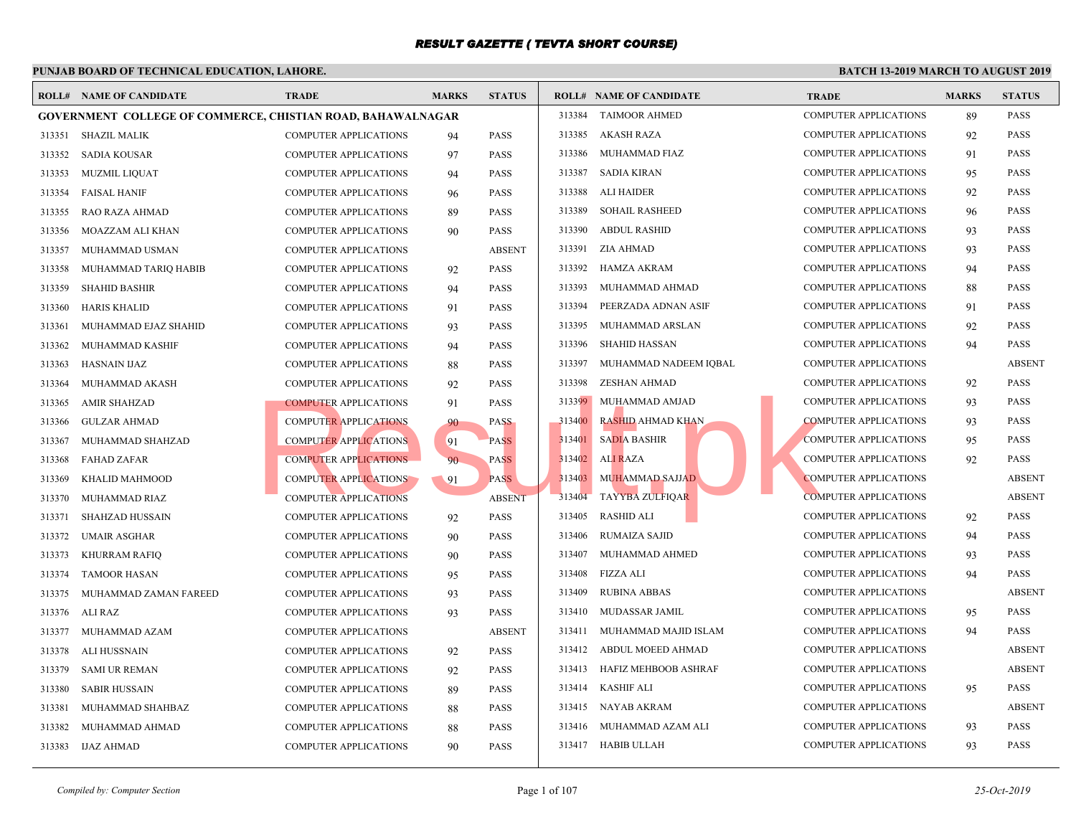|        | <b>ROLL# NAME OF CANDIDATE</b>                                     | <b>TRADE</b>                 | <b>MARKS</b> | <b>STATUS</b> |        | <b>ROLL# NAME OF CANDIDATE</b> | <b>TRAL</b> |
|--------|--------------------------------------------------------------------|------------------------------|--------------|---------------|--------|--------------------------------|-------------|
|        | <b>GOVERNMENT COLLEGE OF COMMERCE, CHISTIAN ROAD, BAHAWALNAGAR</b> |                              |              |               | 313384 | <b>TAIMOOR AHMED</b>           | <b>COMP</b> |
| 313351 | <b>SHAZIL MALIK</b>                                                | COMPUTER APPLICATIONS        | 94           | <b>PASS</b>   | 313385 | AKASH RAZA                     | <b>COMP</b> |
| 313352 | <b>SADIA KOUSAR</b>                                                | COMPUTER APPLICATIONS        | 97           | <b>PASS</b>   | 313386 | MUHAMMAD FIAZ                  | <b>COMP</b> |
| 313353 | <b>MUZMIL LIQUAT</b>                                               | <b>COMPUTER APPLICATIONS</b> | 94           | <b>PASS</b>   | 313387 | <b>SADIA KIRAN</b>             | <b>COMP</b> |
| 313354 | <b>FAISAL HANIF</b>                                                | <b>COMPUTER APPLICATIONS</b> | 96           | <b>PASS</b>   | 313388 | ALI HAIDER                     | COMP        |
| 313355 | RAO RAZA AHMAD                                                     | <b>COMPUTER APPLICATIONS</b> | 89           | <b>PASS</b>   | 313389 | <b>SOHAIL RASHEED</b>          | <b>COMP</b> |
| 313356 | MOAZZAM ALI KHAN                                                   | COMPUTER APPLICATIONS        | 90           | <b>PASS</b>   | 313390 | <b>ABDUL RASHID</b>            | <b>COMP</b> |
| 313357 | MUHAMMAD USMAN                                                     | COMPUTER APPLICATIONS        |              | <b>ABSENT</b> | 313391 | ZIA AHMAD                      | <b>COMP</b> |
| 313358 | MUHAMMAD TARIQ HABIB                                               | <b>COMPUTER APPLICATIONS</b> | 92           | <b>PASS</b>   | 313392 | <b>HAMZA AKRAM</b>             | <b>COMP</b> |
| 313359 | <b>SHAHID BASHIR</b>                                               | <b>COMPUTER APPLICATIONS</b> | 94           | <b>PASS</b>   | 313393 | MUHAMMAD AHMAD                 | <b>COMP</b> |
| 313360 | <b>HARIS KHALID</b>                                                | <b>COMPUTER APPLICATIONS</b> | 91           | <b>PASS</b>   | 313394 | PEERZADA ADNAN ASIF            | <b>COMP</b> |
| 313361 | MUHAMMAD EJAZ SHAHID                                               | <b>COMPUTER APPLICATIONS</b> | 93           | <b>PASS</b>   | 313395 | MUHAMMAD ARSLAN                | <b>COMP</b> |
| 313362 | MUHAMMAD KASHIF                                                    | COMPUTER APPLICATIONS        | 94           | <b>PASS</b>   | 313396 | SHAHID HASSAN                  | <b>COMP</b> |
| 313363 | <b>HASNAIN IJAZ</b>                                                | COMPUTER APPLICATIONS        | 88           | <b>PASS</b>   | 313397 | MUHAMMAD NADEEM IQBAL          | COMP        |
| 313364 | MUHAMMAD AKASH                                                     | COMPUTER APPLICATIONS        | 92           | <b>PASS</b>   | 313398 | ZESHAN AHMAD                   | <b>COMP</b> |
| 313365 | <b>AMIR SHAHZAD</b>                                                | <b>COMPUTER APPLICATIONS</b> | 91           | <b>PASS</b>   | 313399 | MUHAMMAD AMJAD                 | <b>COMP</b> |
| 313366 | <b>GULZAR AHMAD</b>                                                | <b>COMPUTER APPLICATIONS</b> | 90           | <b>PASS</b>   | 313400 | <b>RASHID AHMAD KHAN</b>       | <b>COMP</b> |
| 313367 | MUHAMMAD SHAHZAD                                                   | <b>COMPUTER APPLICATIONS</b> | 91           | <b>PASS</b>   | 313401 | <b>SADIA BASHIR</b>            | <b>COMP</b> |
| 313368 | <b>FAHAD ZAFAR</b>                                                 | <b>COMPUTER APPLICATIONS</b> | 90           | <b>PASS</b>   | 313402 | <b>ALI RAZA</b>                | <b>COMP</b> |
| 313369 | KHALID MAHMOOD                                                     | <b>COMPUTER APPLICATIONS</b> | 91           | <b>PASS</b>   | 313403 | <b>MUHAMMAD SAJJAD</b>         | <b>COMP</b> |
| 313370 | MUHAMMAD RIAZ                                                      | <b>COMPUTER APPLICATIONS</b> |              | <b>ABSENT</b> | 313404 | <b>TAYYBA ZULFIQAR</b>         | <b>COMP</b> |
| 313371 | SHAHZAD HUSSAIN                                                    | COMPUTER APPLICATIONS        | 92           | <b>PASS</b>   | 313405 | <b>RASHID ALI</b>              | <b>COMP</b> |
| 313372 | <b>UMAIR ASGHAR</b>                                                | COMPUTER APPLICATIONS        | 90           | <b>PASS</b>   | 313406 | RUMAIZA SAJID                  | <b>COMP</b> |
| 313373 | <b>KHURRAM RAFIQ</b>                                               | <b>COMPUTER APPLICATIONS</b> | 90           | <b>PASS</b>   | 313407 | MUHAMMAD AHMED                 | <b>COMP</b> |
| 313374 | <b>TAMOOR HASAN</b>                                                | COMPUTER APPLICATIONS        | 95           | <b>PASS</b>   | 313408 | FIZZA ALI                      | COMP        |
| 313375 | MUHAMMAD ZAMAN FAREED                                              | COMPUTER APPLICATIONS        | 93           | <b>PASS</b>   | 313409 | <b>RUBINA ABBAS</b>            | COMP        |
| 313376 | ALI RAZ                                                            | COMPUTER APPLICATIONS        | 93           | <b>PASS</b>   | 313410 | MUDASSAR JAMIL                 | COMP        |
| 313377 | MUHAMMAD AZAM                                                      | COMPUTER APPLICATIONS        |              | <b>ABSENT</b> | 313411 | MUHAMMAD MAJID ISLAM           | <b>COMP</b> |
| 313378 | ALI HUSSNAIN                                                       | <b>COMPUTER APPLICATIONS</b> | 92           | <b>PASS</b>   | 313412 | ABDUL MOEED AHMAD              | <b>COMP</b> |
| 313379 | <b>SAMI UR REMAN</b>                                               | <b>COMPUTER APPLICATIONS</b> | 92           | <b>PASS</b>   | 313413 | HAFIZ MEHBOOB ASHRAF           | <b>COMP</b> |
| 313380 | <b>SABIR HUSSAIN</b>                                               | <b>COMPUTER APPLICATIONS</b> | 89           | <b>PASS</b>   | 313414 | <b>KASHIF ALI</b>              | <b>COMP</b> |
| 313381 | MUHAMMAD SHAHBAZ                                                   | COMPUTER APPLICATIONS        | 88           | <b>PASS</b>   | 313415 | NAYAB AKRAM                    | <b>COMP</b> |
| 313382 | MUHAMMAD AHMAD                                                     | <b>COMPUTER APPLICATIONS</b> | 88           | <b>PASS</b>   | 313416 | MUHAMMAD AZAM ALI              | <b>COMP</b> |
| 313383 | IJAZ AHMAD                                                         | COMPUTER APPLICATIONS        | 90           | <b>PASS</b>   |        | 313417 HABIB ULLAH             | <b>COMP</b> |
|        |                                                                    |                              |              |               |        |                                |             |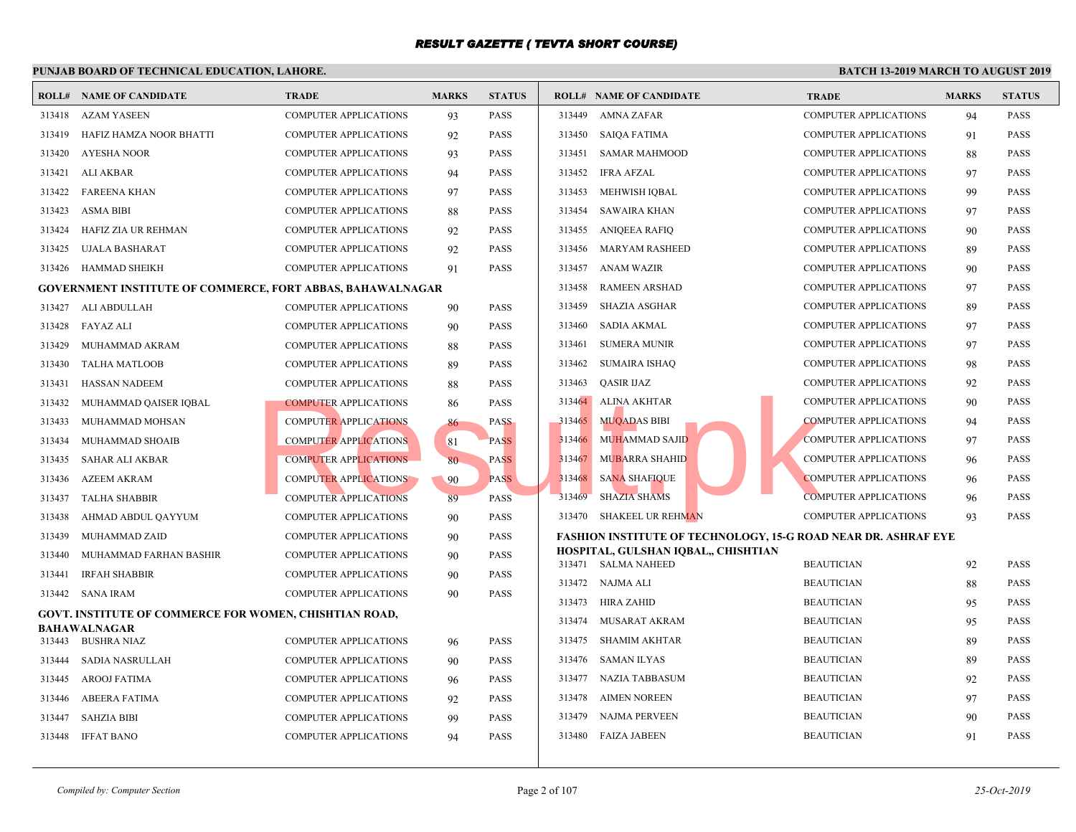|        | t chomb bomb of Technical EbechTion, Emploi                       |                              |              |               |        |                                                   |                            |
|--------|-------------------------------------------------------------------|------------------------------|--------------|---------------|--------|---------------------------------------------------|----------------------------|
|        | <b>ROLL# NAME OF CANDIDATE</b>                                    | <b>TRADE</b>                 | <b>MARKS</b> | <b>STATUS</b> |        | <b>ROLL# NAME OF CANDIDATE</b>                    | <b>TRAL</b>                |
| 313418 | <b>AZAM YASEEN</b>                                                | <b>COMPUTER APPLICATIONS</b> | 93           | <b>PASS</b>   | 313449 | AMNA ZAFAR                                        | <b>COMP</b>                |
| 313419 | HAFIZ HAMZA NOOR BHATTI                                           | <b>COMPUTER APPLICATIONS</b> | 92           | <b>PASS</b>   | 313450 | SAIQA FATIMA                                      | <b>COMP</b>                |
| 313420 | <b>AYESHA NOOR</b>                                                | <b>COMPUTER APPLICATIONS</b> | 93           | <b>PASS</b>   | 313451 | <b>SAMAR MAHMOOD</b>                              | <b>COMP</b>                |
| 313421 | ALI AKBAR                                                         | <b>COMPUTER APPLICATIONS</b> | 94           | <b>PASS</b>   | 313452 | IFRA AFZAL                                        | <b>COMP</b>                |
| 313422 | <b>FAREENA KHAN</b>                                               | <b>COMPUTER APPLICATIONS</b> | 97           | <b>PASS</b>   | 313453 | MEHWISH IQBAL                                     | <b>COMP</b>                |
| 313423 | <b>ASMA BIBI</b>                                                  | <b>COMPUTER APPLICATIONS</b> | 88           | <b>PASS</b>   | 313454 | SAWAIRA KHAN                                      | <b>COMP</b>                |
| 313424 | HAFIZ ZIA UR REHMAN                                               | <b>COMPUTER APPLICATIONS</b> | 92           | <b>PASS</b>   |        | 313455 ANIQEEA RAFIQ                              | <b>COMP</b>                |
| 313425 | UJALA BASHARAT                                                    | <b>COMPUTER APPLICATIONS</b> | 92           | <b>PASS</b>   | 313456 | MARYAM RASHEED                                    | <b>COMP</b>                |
| 313426 | HAMMAD SHEIKH                                                     | <b>COMPUTER APPLICATIONS</b> | 91           | <b>PASS</b>   | 313457 | ANAM WAZIR                                        | <b>COMP</b>                |
|        | <b>GOVERNMENT INSTITUTE OF COMMERCE, FORT ABBAS, BAHAWALNAGAR</b> |                              |              |               | 313458 | <b>RAMEEN ARSHAD</b>                              | <b>COMP</b>                |
| 313427 | ALI ABDULLAH                                                      | <b>COMPUTER APPLICATIONS</b> | 90           | <b>PASS</b>   | 313459 | <b>SHAZIA ASGHAR</b>                              | <b>COMP</b>                |
| 313428 | <b>FAYAZ ALI</b>                                                  | <b>COMPUTER APPLICATIONS</b> | 90           | <b>PASS</b>   | 313460 | SADIA AKMAL                                       | <b>COMP</b>                |
| 313429 | MUHAMMAD AKRAM                                                    | <b>COMPUTER APPLICATIONS</b> | 88           | <b>PASS</b>   | 313461 | <b>SUMERA MUNIR</b>                               | <b>COMP</b>                |
| 313430 | TALHA MATLOOB                                                     | <b>COMPUTER APPLICATIONS</b> | 89           | <b>PASS</b>   | 313462 | SUMAIRA ISHAQ                                     | <b>COMP</b>                |
| 313431 | <b>HASSAN NADEEM</b>                                              | <b>COMPUTER APPLICATIONS</b> | 88           | <b>PASS</b>   | 313463 | <b>OASIR IJAZ</b>                                 | <b>COMP</b>                |
| 313432 | MUHAMMAD QAISER IQBAL                                             | <b>COMPUTER APPLICATIONS</b> | 86           | <b>PASS</b>   |        | 313464 ALINA AKHTAR                               | <b>COMP</b>                |
| 313433 | MUHAMMAD MOHSAN                                                   | <b>COMPUTER APPLICATIONS</b> | 86           | <b>PASS</b>   | 313465 | <b>MUQADAS BIBI</b>                               | <b>COMP</b>                |
| 313434 | MUHAMMAD SHOAIB                                                   | <b>COMPUTER APPLICATIONS</b> | 81           | <b>PASS</b>   | 313466 | <b>MUHAMMAD SAJID</b>                             | <b>COMP</b>                |
| 313435 | <b>SAHAR ALI AKBAR</b>                                            | <b>COMPUTER APPLICATIONS</b> | 80           | <b>PASS</b>   | 313467 | <b>MUBARRA SHAHID</b>                             | <b>COMP</b>                |
| 313436 | <b>AZEEM AKRAM</b>                                                | <b>COMPUTER APPLICATIONS</b> | 90           | <b>PASS</b>   | 313468 | <b>SANA SHAFIQUE</b>                              | <b>COMP</b>                |
| 313437 | <b>TALHA SHABBIR</b>                                              | <b>COMPUTER APPLICATIONS</b> | 89           | <b>PASS</b>   | 313469 | <b>SHAZIA SHAMS</b>                               | <b>COMP</b>                |
| 313438 | AHMAD ABDUL QAYYUM                                                | <b>COMPUTER APPLICATIONS</b> | 90           | <b>PASS</b>   |        | 313470 SHAKEEL UR REHMAN                          | <b>COMP</b>                |
| 313439 | MUHAMMAD ZAID                                                     | <b>COMPUTER APPLICATIONS</b> | 90           | <b>PASS</b>   |        | <b>FASHION INSTITUTE OF TECHNOLOGY, 15-G ROAD</b> |                            |
| 313440 | MUHAMMAD FARHAN BASHIR                                            | <b>COMPUTER APPLICATIONS</b> | 90           | <b>PASS</b>   |        | HOSPITAL, GULSHAN IQBAL,, CHISHTIAN               |                            |
| 313441 | <b>IRFAH SHABBIR</b>                                              | <b>COMPUTER APPLICATIONS</b> | 90           | <b>PASS</b>   |        | 313471 SALMA NAHEED<br>313472 NAJMA ALI           | <b>BEAU</b><br><b>BEAU</b> |
| 313442 | <b>SANA IRAM</b>                                                  | <b>COMPUTER APPLICATIONS</b> | 90           | <b>PASS</b>   |        | 313473 HIRA ZAHID                                 | <b>BEAU</b>                |
|        | <b>GOVT. INSTITUTE OF COMMERCE FOR WOMEN, CHISHTIAN ROAD,</b>     |                              |              |               | 313474 | MUSARAT AKRAM                                     | <b>BEAU</b>                |
| 313443 | <b>BAHAWALNAGAR</b><br><b>BUSHRA NIAZ</b>                         | <b>COMPUTER APPLICATIONS</b> |              | <b>PASS</b>   |        | 313475 SHAMIM AKHTAR                              | <b>BEAU</b>                |
| 313444 | SADIA NASRULLAH                                                   | <b>COMPUTER APPLICATIONS</b> | 96           | <b>PASS</b>   |        | 313476 SAMAN ILYAS                                | <b>BEAU</b>                |
| 313445 | <b>AROOJ FATIMA</b>                                               | <b>COMPUTER APPLICATIONS</b> | 90           | <b>PASS</b>   | 313477 | <b>NAZIA TABBASUM</b>                             | <b>BEAU</b>                |
|        |                                                                   |                              | 96           | <b>PASS</b>   | 313478 | <b>AIMEN NOREEN</b>                               | <b>BEAU</b>                |
| 313446 | <b>ABEERA FATIMA</b>                                              | <b>COMPUTER APPLICATIONS</b> | 92           |               | 313479 | NAJMA PERVEEN                                     | <b>BEAU</b>                |
| 313447 | <b>SAHZIA BIBI</b>                                                | <b>COMPUTER APPLICATIONS</b> | 99           | <b>PASS</b>   | 313480 | <b>FAIZA JABEEN</b>                               | <b>BEAU</b>                |
| 313448 | <b>IFFAT BANO</b>                                                 | <b>COMPUTER APPLICATIONS</b> | 94           | <b>PASS</b>   |        |                                                   |                            |
|        |                                                                   |                              |              |               |        |                                                   |                            |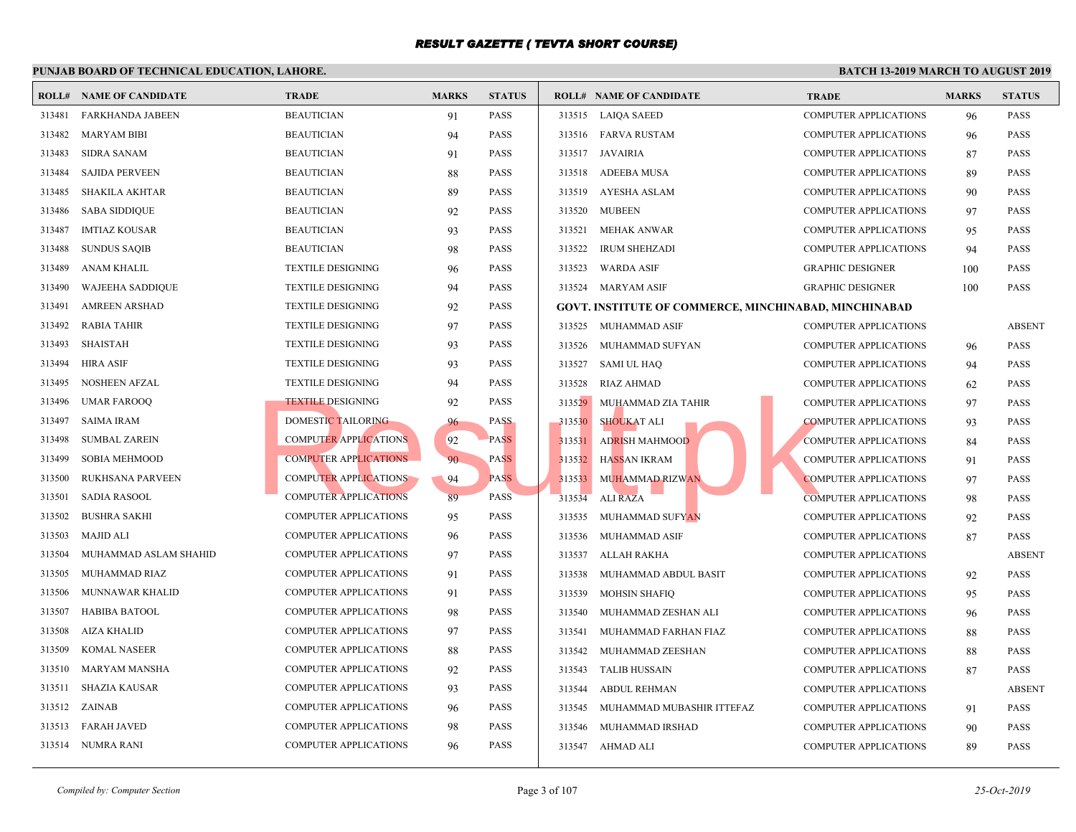|        | <b>ROLL# NAME OF CANDIDATE</b> | <b>TRADE</b>                 | <b>MARKS</b> | <b>STATUS</b> |        | <b>ROLL# NAME OF CANDIDATE</b>                   | <b>TRAL</b>  |
|--------|--------------------------------|------------------------------|--------------|---------------|--------|--------------------------------------------------|--------------|
| 313481 | <b>FARKHANDA JABEEN</b>        | <b>BEAUTICIAN</b>            | 91           | <b>PASS</b>   |        | 313515 LAIQA SAEED                               | <b>COMP</b>  |
| 313482 | <b>MARYAM BIBI</b>             | <b>BEAUTICIAN</b>            | 94           | <b>PASS</b>   |        | 313516 FARVA RUSTAM                              | <b>COMP</b>  |
| 313483 | <b>SIDRA SANAM</b>             | <b>BEAUTICIAN</b>            | 91           | <b>PASS</b>   |        | 313517 JAVAIRIA                                  | COMP         |
| 313484 | <b>SAJIDA PERVEEN</b>          | <b>BEAUTICIAN</b>            | 88           | <b>PASS</b>   |        | 313518 ADEEBA MUSA                               | <b>COMP</b>  |
| 313485 | <b>SHAKILA AKHTAR</b>          | <b>BEAUTICIAN</b>            | 89           | <b>PASS</b>   |        | 313519 AYESHA ASLAM                              | <b>COMP</b>  |
| 313486 | <b>SABA SIDDIQUE</b>           | <b>BEAUTICIAN</b>            | 92           | <b>PASS</b>   | 313520 | <b>MUBEEN</b>                                    | <b>COMP</b>  |
| 313487 | <b>IMTIAZ KOUSAR</b>           | <b>BEAUTICIAN</b>            | 93           | <b>PASS</b>   | 313521 | <b>MEHAK ANWAR</b>                               | <b>COMP</b>  |
| 313488 | <b>SUNDUS SAQIB</b>            | <b>BEAUTICIAN</b>            | 98           | <b>PASS</b>   | 313522 | <b>IRUM SHEHZADI</b>                             | <b>COMP</b>  |
| 313489 | ANAM KHALIL                    | <b>TEXTILE DESIGNING</b>     | 96           | <b>PASS</b>   | 313523 | <b>WARDA ASIF</b>                                | <b>GRAPI</b> |
| 313490 | <b>WAJEEHA SADDIQUE</b>        | <b>TEXTILE DESIGNING</b>     | 94           | <b>PASS</b>   | 313524 | MARYAM ASIF                                      | <b>GRAPI</b> |
| 313491 | <b>AMREEN ARSHAD</b>           | <b>TEXTILE DESIGNING</b>     | 92           | <b>PASS</b>   |        | <b>GOVT. INSTITUTE OF COMMERCE, MINCHINABAD,</b> |              |
| 313492 | RABIA TAHIR                    | <b>TEXTILE DESIGNING</b>     | 97           | PASS          |        | 313525 MUHAMMAD ASIF                             | <b>COMP</b>  |
| 313493 | <b>SHAISTAH</b>                | <b>TEXTILE DESIGNING</b>     | 93           | <b>PASS</b>   | 313526 | MUHAMMAD SUFYAN                                  | <b>COMP</b>  |
| 313494 | <b>HIRA ASIF</b>               | <b>TEXTILE DESIGNING</b>     | 93           | <b>PASS</b>   |        | 313527 SAMI UL HAQ                               | <b>COMP</b>  |
| 313495 | <b>NOSHEEN AFZAL</b>           | <b>TEXTILE DESIGNING</b>     | 94           | <b>PASS</b>   | 313528 | RIAZ AHMAD                                       | <b>COMP</b>  |
| 313496 | <b>UMAR FAROOQ</b>             | <b>TEXTILE DESIGNING</b>     | 92           | <b>PASS</b>   | 313529 | MUHAMMAD ZIA TAHIR                               | <b>COMP</b>  |
| 313497 | <b>SAIMA IRAM</b>              | DOMESTIC TAILORING           | 96           | <b>PASS</b>   | 313530 | <b>SHOUKAT ALI</b>                               | <b>COMP</b>  |
| 313498 | <b>SUMBAL ZAREIN</b>           | <b>COMPUTER APPLICATIONS</b> | 92           | <b>PASS</b>   | 313531 | <b>ADRISH MAHMOOD</b>                            | <b>COMP</b>  |
| 313499 | <b>SOBIA MEHMOOD</b>           | <b>COMPUTER APPLICATIONS</b> | 90           | <b>PASS</b>   | 313532 | HASSAN IKRAM                                     | <b>COMP</b>  |
| 313500 | <b>RUKHSANA PARVEEN</b>        | <b>COMPUTER APPLICATIONS</b> | 94           | <b>PASS</b>   | 313533 | <b>MUHAMMAD RIZWAN</b>                           | <b>COMP</b>  |
| 313501 | <b>SADIA RASOOL</b>            | <b>COMPUTER APPLICATIONS</b> | 89           | <b>PASS</b>   | 313534 | <b>ALI RAZA</b>                                  | <b>COMP</b>  |
| 313502 | <b>BUSHRA SAKHI</b>            | <b>COMPUTER APPLICATIONS</b> | 95           | <b>PASS</b>   | 313535 | <b>MUHAMMAD SUFYAN</b>                           | <b>COMP</b>  |
| 313503 | <b>MAJID ALI</b>               | <b>COMPUTER APPLICATIONS</b> | 96           | <b>PASS</b>   | 313536 | MUHAMMAD ASIF                                    | <b>COMP</b>  |
| 313504 | MUHAMMAD ASLAM SHAHID          | <b>COMPUTER APPLICATIONS</b> | 97           | <b>PASS</b>   | 313537 | ALLAH RAKHA                                      | COMP         |
| 313505 | MUHAMMAD RIAZ                  | <b>COMPUTER APPLICATIONS</b> | 91           | <b>PASS</b>   | 313538 | MUHAMMAD ABDUL BASIT                             | <b>COMP</b>  |
| 313506 | MUNNAWAR KHALID                | <b>COMPUTER APPLICATIONS</b> | 91           | <b>PASS</b>   | 313539 | <b>MOHSIN SHAFIQ</b>                             | <b>COMP</b>  |
| 313507 | <b>HABIBA BATOOL</b>           | <b>COMPUTER APPLICATIONS</b> | 98           | <b>PASS</b>   | 313540 | MUHAMMAD ZESHAN ALI                              | <b>COMP</b>  |
| 313508 | <b>AIZA KHALID</b>             | <b>COMPUTER APPLICATIONS</b> | 97           | <b>PASS</b>   | 313541 | MUHAMMAD FARHAN FIAZ                             | <b>COMP</b>  |
| 313509 | <b>KOMAL NASEER</b>            | COMPUTER APPLICATIONS        | 88           | <b>PASS</b>   | 313542 | MUHAMMAD ZEESHAN                                 | COMP         |
| 313510 | <b>MARYAM MANSHA</b>           | <b>COMPUTER APPLICATIONS</b> | 92           | <b>PASS</b>   | 313543 | <b>TALIB HUSSAIN</b>                             | <b>COMP</b>  |
| 313511 | <b>SHAZIA KAUSAR</b>           | COMPUTER APPLICATIONS        | 93           | <b>PASS</b>   | 313544 | <b>ABDUL REHMAN</b>                              | <b>COMP</b>  |
| 313512 | ZAINAB                         | <b>COMPUTER APPLICATIONS</b> | 96           | <b>PASS</b>   | 313545 | MUHAMMAD MUBASHIR ITTEFAZ                        | <b>COMP</b>  |
| 313513 | <b>FARAH JAVED</b>             | <b>COMPUTER APPLICATIONS</b> | 98           | <b>PASS</b>   | 313546 | MUHAMMAD IRSHAD                                  | <b>COMP</b>  |
| 313514 | NUMRA RANI                     | <b>COMPUTER APPLICATIONS</b> | 96           | <b>PASS</b>   |        | 313547 AHMAD ALI                                 | <b>COMP</b>  |
|        |                                |                              |              |               |        |                                                  |              |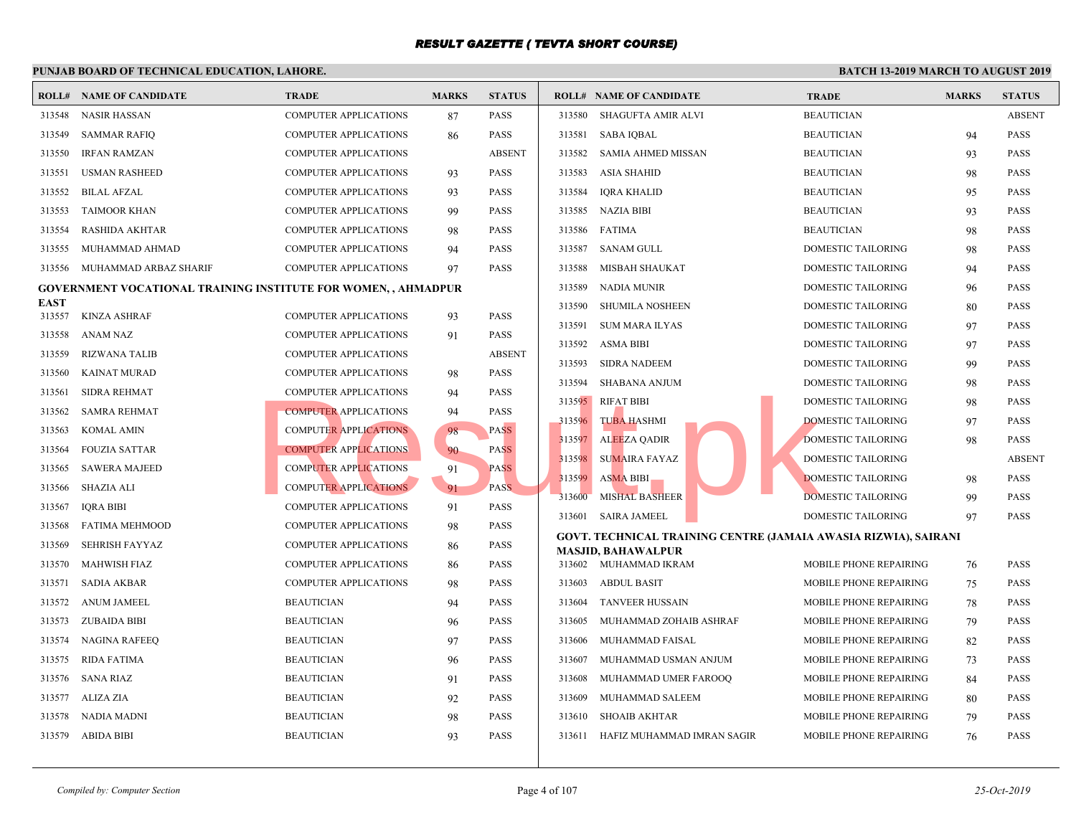| ROLL#       | NAME OF CANDIDATE                                              | <b>TRADE</b>                 | <b>MARKS</b> | <b>STATUS</b> |        | <b>ROLL# NAME OF CANDIDATE</b>                    | <b>TRAI</b>  |
|-------------|----------------------------------------------------------------|------------------------------|--------------|---------------|--------|---------------------------------------------------|--------------|
| 313548      | <b>NASIR HASSAN</b>                                            | <b>COMPUTER APPLICATIONS</b> | 87           | <b>PASS</b>   | 313580 | SHAGUFTA AMIR ALVI                                | <b>BEAU</b>  |
| 313549      | <b>SAMMAR RAFIQ</b>                                            | <b>COMPUTER APPLICATIONS</b> | 86           | <b>PASS</b>   | 313581 | <b>SABA IQBAL</b>                                 | <b>BEAU</b>  |
| 313550      | <b>IRFAN RAMZAN</b>                                            | <b>COMPUTER APPLICATIONS</b> |              | <b>ABSENT</b> | 313582 | <b>SAMIA AHMED MISSAN</b>                         | <b>BEAU</b>  |
| 313551      | <b>USMAN RASHEED</b>                                           | <b>COMPUTER APPLICATIONS</b> | 93           | <b>PASS</b>   | 313583 | <b>ASIA SHAHID</b>                                | <b>BEAU</b>  |
| 313552      | <b>BILAL AFZAL</b>                                             | <b>COMPUTER APPLICATIONS</b> | 93           | <b>PASS</b>   | 313584 | <b>IQRA KHALID</b>                                | <b>BEAU</b>  |
| 313553      | <b>TAIMOOR KHAN</b>                                            | <b>COMPUTER APPLICATIONS</b> | 99           | <b>PASS</b>   | 313585 | <b>NAZIA BIBI</b>                                 | <b>BEAU</b>  |
| 313554      | <b>RASHIDA AKHTAR</b>                                          | <b>COMPUTER APPLICATIONS</b> | 98           | <b>PASS</b>   | 313586 | <b>FATIMA</b>                                     | <b>BEAU</b>  |
| 313555      | MUHAMMAD AHMAD                                                 | <b>COMPUTER APPLICATIONS</b> | 94           | <b>PASS</b>   | 313587 | SANAM GULL                                        | <b>DOME</b>  |
| 313556      | MUHAMMAD ARBAZ SHARIF                                          | <b>COMPUTER APPLICATIONS</b> | 97           | <b>PASS</b>   | 313588 | MISBAH SHAUKAT                                    | <b>DOME</b>  |
|             | GOVERNMENT VOCATIONAL TRAINING INSTITUTE FOR WOMEN, , AHMADPUR |                              |              |               | 313589 | <b>NADIA MUNIR</b>                                | <b>DOME</b>  |
| <b>EAST</b> |                                                                |                              |              |               | 313590 | <b>SHUMILA NOSHEEN</b>                            | <b>DOME</b>  |
| 313557      | <b>KINZA ASHRAF</b>                                            | COMPUTER APPLICATIONS        | 93           | <b>PASS</b>   | 313591 | <b>SUM MARA ILYAS</b>                             | <b>DOME</b>  |
| 313558      | ANAM NAZ                                                       | <b>COMPUTER APPLICATIONS</b> | 91           | <b>PASS</b>   | 313592 | ASMA BIBI                                         | <b>DOME</b>  |
| 313559      | <b>RIZWANA TALIB</b>                                           | <b>COMPUTER APPLICATIONS</b> |              | <b>ABSENT</b> | 313593 | SIDRA NADEEM                                      | <b>DOME</b>  |
| 313560      | <b>KAINAT MURAD</b>                                            | <b>COMPUTER APPLICATIONS</b> | 98           | <b>PASS</b>   | 313594 | SHABANA ANJUM                                     | <b>DOME</b>  |
| 313561      | <b>SIDRA REHMAT</b>                                            | <b>COMPUTER APPLICATIONS</b> | 94           | <b>PASS</b>   | 313595 | <b>RIFAT BIBI</b>                                 | <b>DOME</b>  |
| 313562      | SAMRA REHMAT                                                   | <b>COMPUTER APPLICATIONS</b> | 94           | <b>PASS</b>   | 313596 | <b>TUBA HASHMI</b>                                | <b>DOME</b>  |
| 313563      | <b>KOMAL AMIN</b>                                              | <b>COMPUTER APPLICATIONS</b> | 98           | <b>PASS</b>   | 313597 | <b>ALEEZA QADIR</b>                               | <b>DOME</b>  |
| 313564      | <b>FOUZIA SATTAR</b>                                           | <b>COMPUTER APPLICATIONS</b> | 90           | <b>PASS</b>   | 313598 | <b>SUMAIRA FAYAZ</b>                              | <b>DOME</b>  |
| 313565      | <b>SAWERA MAJEED</b>                                           | <b>COMPUTER APPLICATIONS</b> | 91           | <b>PASS</b>   | 313599 | <b>ASMA BIBI</b>                                  | <b>DOME</b>  |
| 313566      | SHAZIA ALI                                                     | <b>COMPUTER APPLICATIONS</b> | 91           | PASS.         | 313600 | <b>MISHAL BASHEER</b>                             | <b>DOME</b>  |
| 313567      | IQRA BIBI                                                      | COMPUTER APPLICATIONS        | 91           | <b>PASS</b>   | 313601 | <b>SAIRA JAMEEL</b>                               | <b>DOME</b>  |
| 313568      | <b>FATIMA MEHMOOD</b>                                          | <b>COMPUTER APPLICATIONS</b> | 98           | <b>PASS</b>   |        | <b>GOVT. TECHNICAL TRAINING CENTRE (JAMAIA AV</b> |              |
| 313569      | <b>SEHRISH FAYYAZ</b>                                          | <b>COMPUTER APPLICATIONS</b> | 86           | <b>PASS</b>   |        | <b>MASJID, BAHAWALPUR</b>                         |              |
| 313570      | <b>MAHWISH FIAZ</b>                                            | COMPUTER APPLICATIONS        | 86           | <b>PASS</b>   |        | 313602 MUHAMMAD IKRAM                             | <b>MOBII</b> |
| 313571      | SADIA AKBAR                                                    | <b>COMPUTER APPLICATIONS</b> | 98           | <b>PASS</b>   | 313603 | ABDUL BASIT                                       | <b>MOBII</b> |
| 313572      | <b>ANUM JAMEEL</b>                                             | <b>BEAUTICIAN</b>            | 94           | <b>PASS</b>   | 313604 | <b>TANVEER HUSSAIN</b>                            | <b>MOBII</b> |
| 313573      | ZUBAIDA BIBI                                                   | <b>BEAUTICIAN</b>            | 96           | <b>PASS</b>   | 313605 | MUHAMMAD ZOHAIB ASHRAF                            | <b>MOBII</b> |
| 313574      | NAGINA RAFEEQ                                                  | <b>BEAUTICIAN</b>            | 97           | <b>PASS</b>   | 313606 | MUHAMMAD FAISAL                                   | <b>MOBII</b> |
| 313575      | <b>RIDA FATIMA</b>                                             | <b>BEAUTICIAN</b>            | 96           | <b>PASS</b>   | 313607 | MUHAMMAD USMAN ANJUM                              | MOBII        |
| 313576      | <b>SANA RIAZ</b>                                               | <b>BEAUTICIAN</b>            | 91           | <b>PASS</b>   | 313608 | MUHAMMAD UMER FAROOQ                              | <b>MOBII</b> |
| 313577      | ALIZA ZIA                                                      | <b>BEAUTICIAN</b>            | 92           | <b>PASS</b>   | 313609 | MUHAMMAD SALEEM                                   | <b>MOBII</b> |
| 313578      | NADIA MADNI                                                    | <b>BEAUTICIAN</b>            | 98           | <b>PASS</b>   | 313610 | <b>SHOAIB AKHTAR</b>                              | <b>MOBII</b> |
| 313579      | ABIDA BIBI                                                     | <b>BEAUTICIAN</b>            | 93           | <b>PASS</b>   | 313611 | HAFIZ MUHAMMAD IMRAN SAGIR                        | MOBII        |
|             |                                                                |                              |              |               |        |                                                   |              |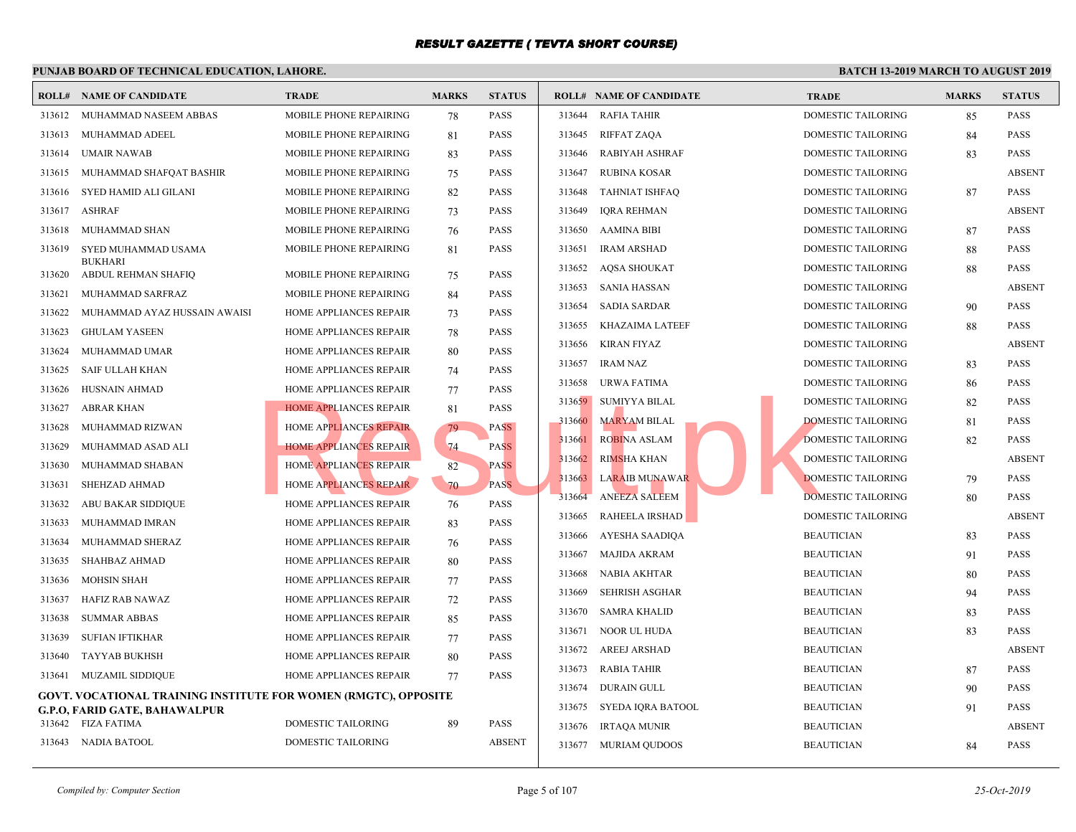|        | <b>ROLL# NAME OF CANDIDATE</b>                                         | <b>TRADE</b>                  | <b>MARKS</b> | <b>STATUS</b> |        | <b>ROLL# NAME OF CANDIDATE</b> | <b>TRAL</b> |
|--------|------------------------------------------------------------------------|-------------------------------|--------------|---------------|--------|--------------------------------|-------------|
| 313612 | MUHAMMAD NASEEM ABBAS                                                  | MOBILE PHONE REPAIRING        | 78           | <b>PASS</b>   | 313644 | <b>RAFIA TAHIR</b>             | <b>DOME</b> |
| 313613 | MUHAMMAD ADEEL                                                         | MOBILE PHONE REPAIRING        | 81           | <b>PASS</b>   | 313645 | <b>RIFFAT ZAQA</b>             | <b>DOME</b> |
| 313614 | <b>UMAIR NAWAB</b>                                                     | MOBILE PHONE REPAIRING        | 83           | <b>PASS</b>   | 313646 | RABIYAH ASHRAF                 | <b>DOME</b> |
| 313615 | MUHAMMAD SHAFOAT BASHIR                                                | <b>MOBILE PHONE REPAIRING</b> | 75           | <b>PASS</b>   | 313647 | <b>RUBINA KOSAR</b>            | <b>DOME</b> |
| 313616 | SYED HAMID ALI GILANI                                                  | <b>MOBILE PHONE REPAIRING</b> | 82           | <b>PASS</b>   | 313648 | <b>TAHNIAT ISHFAQ</b>          | <b>DOME</b> |
| 313617 | <b>ASHRAF</b>                                                          | MOBILE PHONE REPAIRING        | 73           | <b>PASS</b>   | 313649 | <b>IQRA REHMAN</b>             | <b>DOME</b> |
| 313618 | MUHAMMAD SHAN                                                          | MOBILE PHONE REPAIRING        | 76           | <b>PASS</b>   | 313650 | AAMINA BIBI                    | <b>DOME</b> |
| 313619 | SYED MUHAMMAD USAMA                                                    | MOBILE PHONE REPAIRING        | 81           | <b>PASS</b>   | 313651 | <b>IRAM ARSHAD</b>             | <b>DOME</b> |
| 313620 | <b>BUKHARI</b><br>ABDUL REHMAN SHAFIQ                                  | <b>MOBILE PHONE REPAIRING</b> | 75           | <b>PASS</b>   | 313652 | AQSA SHOUKAT                   | <b>DOME</b> |
| 313621 | MUHAMMAD SARFRAZ                                                       | <b>MOBILE PHONE REPAIRING</b> | 84           | <b>PASS</b>   | 313653 | <b>SANIA HASSAN</b>            | <b>DOME</b> |
| 313622 | MUHAMMAD AYAZ HUSSAIN AWAISI                                           | HOME APPLIANCES REPAIR        | 73           | <b>PASS</b>   | 313654 | <b>SADIA SARDAR</b>            | <b>DOME</b> |
| 313623 | <b>GHULAM YASEEN</b>                                                   | HOME APPLIANCES REPAIR        | 78           | <b>PASS</b>   | 313655 | KHAZAIMA LATEEF                | <b>DOME</b> |
| 313624 | MUHAMMAD UMAR                                                          | HOME APPLIANCES REPAIR        | 80           | <b>PASS</b>   | 313656 | <b>KIRAN FIYAZ</b>             | <b>DOME</b> |
| 313625 | SAIF ULLAH KHAN                                                        | <b>HOME APPLIANCES REPAIR</b> | 74           | <b>PASS</b>   | 313657 | <b>IRAM NAZ</b>                | <b>DOME</b> |
| 313626 | HUSNAIN AHMAD                                                          | HOME APPLIANCES REPAIR        | 77           | <b>PASS</b>   | 313658 | URWA FATIMA                    | <b>DOME</b> |
| 313627 | <b>ABRAR KHAN</b>                                                      | <b>HOME APPLIANCES REPAIR</b> | 81           | <b>PASS</b>   | 313659 | <b>SUMIYYA BILAL</b>           | <b>DOME</b> |
| 313628 | MUHAMMAD RIZWAN                                                        | <b>HOME APPLIANCES REPAIR</b> | 79           | <b>PASS</b>   | 313660 | <b>MARYAM BILAL</b>            | <b>DOME</b> |
| 313629 | MUHAMMAD ASAD ALI                                                      | <b>HOME APPLIANCES REPAIR</b> | 74           | <b>PASS</b>   | 313661 | <b>ROBINA ASLAM</b>            | <b>DOME</b> |
| 313630 | MUHAMMAD SHABAN                                                        | <b>HOME APPLIANCES REPAIR</b> | 82           | <b>PASS</b>   | 313662 | <b>RIMSHA KHAN</b>             | <b>DOME</b> |
| 313631 | SHEHZAD AHMAD                                                          | HOME APPLIANCES REPAIR        | 70           | <b>PASS</b>   | 313663 | LARAIB MUNAWAR                 | <b>DOME</b> |
| 313632 | ABU BAKAR SIDDIQUE                                                     | HOME APPLIANCES REPAIR        | 76           | <b>PASS</b>   | 313664 | <b>ANEEZA SALEEM</b>           | <b>DOME</b> |
| 313633 | MUHAMMAD IMRAN                                                         | HOME APPLIANCES REPAIR        | 83           | <b>PASS</b>   | 313665 | RAHEELA IRSHAD                 | <b>DOME</b> |
| 313634 | MUHAMMAD SHERAZ                                                        | HOME APPLIANCES REPAIR        | 76           | <b>PASS</b>   | 313666 | AYESHA SAADIQA                 | <b>BEAU</b> |
| 313635 | <b>SHAHBAZ AHMAD</b>                                                   | HOME APPLIANCES REPAIR        | 80           | <b>PASS</b>   | 313667 | <b>MAJIDA AKRAM</b>            | <b>BEAU</b> |
| 313636 | <b>MOHSIN SHAH</b>                                                     | HOME APPLIANCES REPAIR        | 77           | <b>PASS</b>   | 313668 | NABIA AKHTAR                   | <b>BEAU</b> |
| 313637 | HAFIZ RAB NAWAZ                                                        | <b>HOME APPLIANCES REPAIR</b> | 72           | <b>PASS</b>   | 313669 | <b>SEHRISH ASGHAR</b>          | <b>BEAU</b> |
| 313638 | <b>SUMMAR ABBAS</b>                                                    | <b>HOME APPLIANCES REPAIR</b> | 85           | <b>PASS</b>   | 313670 | <b>SAMRA KHALID</b>            | <b>BEAU</b> |
| 313639 | <b>SUFIAN IFTIKHAR</b>                                                 | HOME APPLIANCES REPAIR        | 77           | <b>PASS</b>   | 313671 | NOOR UL HUDA                   | <b>BEAU</b> |
| 313640 | <b>TAYYAB BUKHSH</b>                                                   | HOME APPLIANCES REPAIR        | 80           | <b>PASS</b>   | 313672 | <b>AREEJ ARSHAD</b>            | <b>BEAU</b> |
| 313641 | <b>MUZAMIL SIDDIQUE</b>                                                | HOME APPLIANCES REPAIR        | 77           | <b>PASS</b>   | 313673 | RABIA TAHIR                    | <b>BEAU</b> |
|        | <b>GOVT. VOCATIONAL TRAINING INSTITUTE FOR WOMEN (RMGTC), OPPOSITE</b> |                               |              |               | 313674 | <b>DURAIN GULL</b>             | <b>BEAU</b> |
|        | <b>G.P.O. FARID GATE, BAHAWALPUR</b>                                   |                               |              |               | 313675 | SYEDA IQRA BATOOL              | <b>BEAU</b> |
| 313642 | FIZA FATIMA                                                            | DOMESTIC TAILORING            | 89           | <b>PASS</b>   | 313676 | <b>IRTAQA MUNIR</b>            | <b>BEAU</b> |
|        | 313643 NADIA BATOOL                                                    | DOMESTIC TAILORING            |              | <b>ABSENT</b> |        | 313677 MURIAM QUDOOS           | <b>BEAU</b> |
|        |                                                                        |                               |              |               |        |                                |             |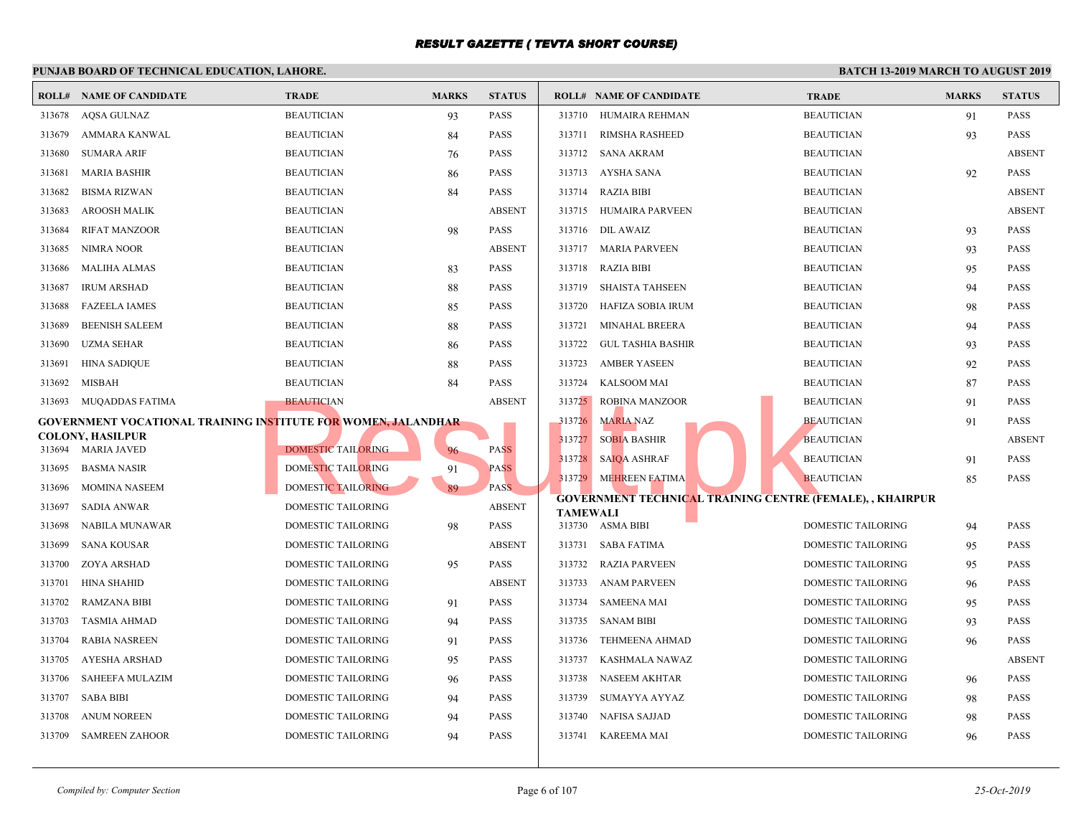|        | PUNJAB BOARD OF TECHNICAL EDUCATION, LAHORE.                          |                                          |              |               |                 |                                                  |             |
|--------|-----------------------------------------------------------------------|------------------------------------------|--------------|---------------|-----------------|--------------------------------------------------|-------------|
|        | <b>ROLL# NAME OF CANDIDATE</b>                                        | <b>TRADE</b>                             | <b>MARKS</b> | <b>STATUS</b> |                 | <b>ROLL# NAME OF CANDIDATE</b>                   | <b>TRAL</b> |
| 313678 | AQSA GULNAZ                                                           | <b>BEAUTICIAN</b>                        | 93           | <b>PASS</b>   |                 | 313710 HUMAIRA REHMAN                            | <b>BEAU</b> |
| 313679 | AMMARA KANWAL                                                         | <b>BEAUTICIAN</b>                        | 84           | <b>PASS</b>   |                 | 313711 RIMSHA RASHEED                            | <b>BEAU</b> |
| 313680 | <b>SUMARA ARIF</b>                                                    | <b>BEAUTICIAN</b>                        | 76           | <b>PASS</b>   |                 | 313712 SANA AKRAM                                | <b>BEAU</b> |
| 313681 | <b>MARIA BASHIR</b>                                                   | <b>BEAUTICIAN</b>                        | 86           | <b>PASS</b>   |                 | 313713 AYSHA SANA                                | <b>BEAU</b> |
| 313682 | <b>BISMA RIZWAN</b>                                                   | <b>BEAUTICIAN</b>                        | 84           | <b>PASS</b>   |                 | 313714 RAZIA BIBI                                | <b>BEAU</b> |
| 313683 | <b>AROOSH MALIK</b>                                                   | <b>BEAUTICIAN</b>                        |              | <b>ABSENT</b> |                 | 313715 HUMAIRA PARVEEN                           | <b>BEAU</b> |
| 313684 | <b>RIFAT MANZOOR</b>                                                  | <b>BEAUTICIAN</b>                        | 98           | <b>PASS</b>   |                 | 313716 DIL AWAIZ                                 | <b>BEAU</b> |
| 313685 | NIMRA NOOR                                                            | <b>BEAUTICIAN</b>                        |              | <b>ABSENT</b> |                 | 313717 MARIA PARVEEN                             | <b>BEAU</b> |
| 313686 | <b>MALIHA ALMAS</b>                                                   | <b>BEAUTICIAN</b>                        | 83           | <b>PASS</b>   |                 | 313718 RAZIA BIBI                                | <b>BEAU</b> |
| 313687 | <b>IRUM ARSHAD</b>                                                    | <b>BEAUTICIAN</b>                        | 88           | <b>PASS</b>   | 313719          | SHAISTA TAHSEEN                                  | <b>BEAU</b> |
| 313688 | <b>FAZEELA IAMES</b>                                                  | <b>BEAUTICIAN</b>                        | 85           | <b>PASS</b>   | 313720          | HAFIZA SOBIA IRUM                                | <b>BEAU</b> |
| 313689 | <b>BEENISH SALEEM</b>                                                 | <b>BEAUTICIAN</b>                        | 88           | <b>PASS</b>   | 313721          | MINAHAL BREERA                                   | <b>BEAU</b> |
| 313690 | <b>UZMA SEHAR</b>                                                     | <b>BEAUTICIAN</b>                        | 86           | <b>PASS</b>   | 313722          | <b>GUL TASHIA BASHIR</b>                         | <b>BEAU</b> |
| 313691 | <b>HINA SADIQUE</b>                                                   | <b>BEAUTICIAN</b>                        | 88           | <b>PASS</b>   | 313723          | <b>AMBER YASEEN</b>                              | <b>BEAU</b> |
| 313692 | MISBAH                                                                | <b>BEAUTICIAN</b>                        | 84           | <b>PASS</b>   | 313724          | KALSOOM MAI                                      | <b>BEAU</b> |
| 313693 | MUQADDAS FATIMA                                                       | <b>BEAUTICIAN</b>                        |              | <b>ABSENT</b> |                 | 313725 ROBINA MANZOOR                            | <b>BEAU</b> |
|        | <b>GOVERNMENT VOCATIONAL TRAINING INSTITUTE FOR WOMEN, JALANDHAR-</b> |                                          |              |               | 313726          | <b>MARIA NAZ</b>                                 | <b>BEAU</b> |
|        | COLONY, HASILPUR                                                      |                                          |              | <b>PASS</b>   | 313727          | <b>SOBIA BASHIR</b>                              | <b>BEAU</b> |
| 313695 | 313694 MARIA JAVED<br><b>BASMA NASIR</b>                              | DOMESTIC TAILORING<br>DOMESTIC TAILORING | 96           | <b>PASS</b>   |                 | 313728 SAIQA ASHRAF                              | <b>BEAU</b> |
|        |                                                                       |                                          | 91           |               |                 | 313729 MEHREEN FATIMA                            | <b>BEAU</b> |
| 313696 | <b>MOMINA NASEEM</b>                                                  | <b>DOMESTIC TAILORING</b>                | 89           | <b>PASS</b>   |                 | <b>GOVERNMENT TECHNICAL TRAINING CENTRE (FE)</b> |             |
| 313697 | <b>SADIA ANWAR</b>                                                    | DOMESTIC TAILORING                       |              | <b>ABSENT</b> | <b>TAMEWALI</b> |                                                  |             |
| 313698 | NABILA MUNAWAR                                                        | <b>DOMESTIC TAILORING</b>                | 98           | <b>PASS</b>   |                 | 313730 ASMA BIBI                                 | <b>DOME</b> |
| 313699 | <b>SANA KOUSAR</b>                                                    | DOMESTIC TAILORING                       |              | <b>ABSENT</b> | 313731          | SABA FATIMA                                      | <b>DOME</b> |
| 313700 | <b>ZOYA ARSHAD</b>                                                    | <b>DOMESTIC TAILORING</b>                | 95           | <b>PASS</b>   |                 | 313732 RAZIA PARVEEN                             | <b>DOME</b> |
| 313701 | <b>HINA SHAHID</b>                                                    | DOMESTIC TAILORING                       |              | <b>ABSENT</b> | 313733          | ANAM PARVEEN                                     | <b>DOME</b> |
| 313702 | <b>RAMZANA BIBI</b>                                                   | DOMESTIC TAILORING                       | 91           | <b>PASS</b>   | 313734          | <b>SAMEENA MAI</b>                               | <b>DOME</b> |
| 313703 | TASMIA AHMAD                                                          | DOMESTIC TAILORING                       | 94           | <b>PASS</b>   |                 | 313735 SANAM BIBI                                | <b>DOME</b> |
| 313704 | <b>RABIA NASREEN</b>                                                  | DOMESTIC TAILORING                       | 91           | <b>PASS</b>   | 313736          | TEHMEENA AHMAD                                   | <b>DOME</b> |
| 313705 | AYESHA ARSHAD                                                         | DOMESTIC TAILORING                       | 95           | <b>PASS</b>   | 313737          | KASHMALA NAWAZ                                   | <b>DOME</b> |
| 313706 | <b>SAHEEFA MULAZIM</b>                                                | DOMESTIC TAILORING                       | 96           | <b>PASS</b>   | 313738          | <b>NASEEM AKHTAR</b>                             | <b>DOME</b> |
| 313707 | SABA BIBI                                                             | DOMESTIC TAILORING                       | 94           | <b>PASS</b>   | 313739          | SUMAYYA AYYAZ                                    | <b>DOME</b> |
| 313708 | <b>ANUM NOREEN</b>                                                    | DOMESTIC TAILORING                       | 94           | <b>PASS</b>   | 313740          | NAFISA SAJJAD                                    | <b>DOME</b> |
| 313709 | <b>SAMREEN ZAHOOR</b>                                                 | DOMESTIC TAILORING                       | 94           | <b>PASS</b>   |                 | 313741 KAREEMA MAI                               | <b>DOME</b> |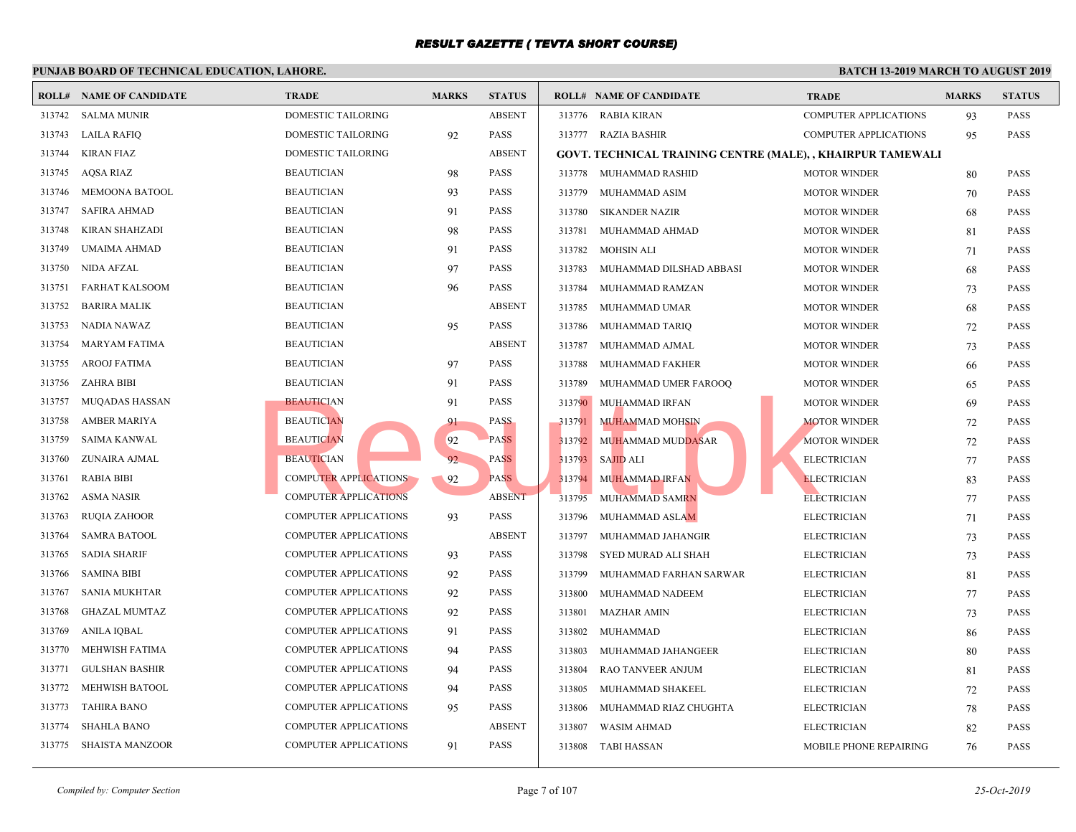|        | <b>ROLL# NAME OF CANDIDATE</b> | <b>TRADE</b>                 | <b>MARKS</b> | <b>STATUS</b> |        | <b>ROLL# NAME OF CANDIDATE</b>                      | <b>TRAL</b>  |
|--------|--------------------------------|------------------------------|--------------|---------------|--------|-----------------------------------------------------|--------------|
| 313742 | SALMA MUNIR                    | DOMESTIC TAILORING           |              | <b>ABSENT</b> |        | 313776 RABIA KIRAN                                  | <b>COMP</b>  |
| 313743 | <b>LAILA RAFIQ</b>             | DOMESTIC TAILORING           | 92           | PASS          |        | 313777 RAZIA BASHIR                                 | <b>COMP</b>  |
| 313744 | KIRAN FIAZ                     | <b>DOMESTIC TAILORING</b>    |              | <b>ABSENT</b> |        | <b>GOVT. TECHNICAL TRAINING CENTRE (MALE), , KH</b> |              |
| 313745 | <b>AQSA RIAZ</b>               | <b>BEAUTICIAN</b>            | 98           | <b>PASS</b>   |        | 313778 MUHAMMAD RASHID                              | <b>MOTO</b>  |
| 313746 | MEMOONA BATOOL                 | <b>BEAUTICIAN</b>            | 93           | <b>PASS</b>   | 313779 | MUHAMMAD ASIM                                       | <b>MOTO</b>  |
| 313747 | <b>SAFIRA AHMAD</b>            | <b>BEAUTICIAN</b>            | 91           | <b>PASS</b>   | 313780 | <b>SIKANDER NAZIR</b>                               | <b>MOTO</b>  |
| 313748 | <b>KIRAN SHAHZADI</b>          | <b>BEAUTICIAN</b>            | 98           | PASS          | 313781 | MUHAMMAD AHMAD                                      | <b>MOTO</b>  |
| 313749 | UMAIMA AHMAD                   | <b>BEAUTICIAN</b>            | 91           | <b>PASS</b>   | 313782 | <b>MOHSIN ALI</b>                                   | <b>MOTO</b>  |
| 313750 | NIDA AFZAL                     | <b>BEAUTICIAN</b>            | 97           | <b>PASS</b>   | 313783 | MUHAMMAD DILSHAD ABBASI                             | <b>MOTO</b>  |
| 313751 | FARHAT KALSOOM                 | <b>BEAUTICIAN</b>            | 96           | <b>PASS</b>   | 313784 | MUHAMMAD RAMZAN                                     | <b>MOTO</b>  |
| 313752 | <b>BARIRA MALIK</b>            | <b>BEAUTICIAN</b>            |              | <b>ABSENT</b> | 313785 | MUHAMMAD UMAR                                       | <b>MOTO</b>  |
| 313753 | NADIA NAWAZ                    | <b>BEAUTICIAN</b>            | 95           | PASS          | 313786 | MUHAMMAD TARIQ                                      | <b>MOTO</b>  |
| 313754 | <b>MARYAM FATIMA</b>           | <b>BEAUTICIAN</b>            |              | <b>ABSENT</b> | 313787 | MUHAMMAD AJMAL                                      | <b>MOTO</b>  |
| 313755 | AROOJ FATIMA                   | <b>BEAUTICIAN</b>            | 97           | PASS          | 313788 | MUHAMMAD FAKHER                                     | <b>MOTO</b>  |
| 313756 | <b>ZAHRA BIBI</b>              | <b>BEAUTICIAN</b>            | 91           | <b>PASS</b>   | 313789 | MUHAMMAD UMER FAROOQ                                | <b>MOTO</b>  |
| 313757 | MUQADAS HASSAN                 | <b>BEAUTICIAN</b>            | 91           | <b>PASS</b>   | 313790 | MUHAMMAD IRFAN                                      | <b>MOTO</b>  |
| 313758 | AMBER MARIYA                   | <b>BEAUTICIAN</b>            | 91           | <b>PASS</b>   | 313791 | <b>MUHAMMAD MOHSIN</b>                              | <b>MOTO</b>  |
| 313759 | SAIMA KANWAL                   | <b>BEAUTICIAN</b>            | 92           | <b>PASS</b>   | 313792 | MUHAMMAD MUD <mark>DAS</mark> AR                    | <b>MOTO</b>  |
| 313760 | ZUNAIRA AJMAL                  | <b>BEAUTICIAN</b>            | 92           | <b>PASS</b>   | 313793 | SAJID ALI                                           | <b>ELECT</b> |
| 313761 | <b>RABIA BIBI</b>              | <b>COMPUTER APPLICATIONS</b> | 92           | <b>PASS</b>   | 313794 | <b>MUHAMMAD IRFAN</b>                               | <b>ELECT</b> |
| 313762 | <b>ASMA NASIR</b>              | <b>COMPUTER APPLICATIONS</b> |              | <b>ABSENT</b> | 313795 | <b>MUHAMMAD SAMRN</b>                               | <b>ELECT</b> |
| 313763 | <b>RUQIA ZAHOOR</b>            | <b>COMPUTER APPLICATIONS</b> | 93           | <b>PASS</b>   | 313796 | MUHAMMAD ASLAM                                      | <b>ELECT</b> |
| 313764 | <b>SAMRA BATOOL</b>            | <b>COMPUTER APPLICATIONS</b> |              | <b>ABSENT</b> | 313797 | MUHAMMAD JAHANGIR                                   | <b>ELECT</b> |
| 313765 | <b>SADIA SHARIF</b>            | <b>COMPUTER APPLICATIONS</b> | 93           | PASS          | 313798 | SYED MURAD ALI SHAH                                 | <b>ELECT</b> |
| 313766 | <b>SAMINA BIBI</b>             | <b>COMPUTER APPLICATIONS</b> | 92           | <b>PASS</b>   | 313799 | MUHAMMAD FARHAN SARWAR                              | <b>ELECT</b> |
| 313767 | <b>SANIA MUKHTAR</b>           | <b>COMPUTER APPLICATIONS</b> | 92           | <b>PASS</b>   | 313800 | MUHAMMAD NADEEM                                     | <b>ELECT</b> |
| 313768 | <b>GHAZAL MUMTAZ</b>           | <b>COMPUTER APPLICATIONS</b> | 92           | <b>PASS</b>   | 313801 | <b>MAZHAR AMIN</b>                                  | <b>ELECT</b> |
| 313769 | ANILA IQBAL                    | <b>COMPUTER APPLICATIONS</b> | 91           | <b>PASS</b>   | 313802 | <b>MUHAMMAD</b>                                     | <b>ELECT</b> |
| 313770 | MEHWISH FATIMA                 | <b>COMPUTER APPLICATIONS</b> | 94           | <b>PASS</b>   | 313803 | MUHAMMAD JAHANGEER                                  | <b>ELECT</b> |
| 313771 | <b>GULSHAN BASHIR</b>          | <b>COMPUTER APPLICATIONS</b> | 94           | <b>PASS</b>   | 313804 | <b>RAO TANVEER ANJUM</b>                            | <b>ELECT</b> |
| 313772 | MEHWISH BATOOL                 | <b>COMPUTER APPLICATIONS</b> | 94           | <b>PASS</b>   | 313805 | MUHAMMAD SHAKEEL                                    | <b>ELECT</b> |
| 313773 | <b>TAHIRA BANO</b>             | <b>COMPUTER APPLICATIONS</b> | 95           | <b>PASS</b>   | 313806 | MUHAMMAD RIAZ CHUGHTA                               | <b>ELECT</b> |
| 313774 | <b>SHAHLA BANO</b>             | <b>COMPUTER APPLICATIONS</b> |              | <b>ABSENT</b> | 313807 | <b>WASIM AHMAD</b>                                  | <b>ELECT</b> |
| 313775 | SHAISTA MANZOOR                | <b>COMPUTER APPLICATIONS</b> | 91           | <b>PASS</b>   |        | 313808 TABI HASSAN                                  | <b>MOBII</b> |
|        |                                |                              |              |               |        |                                                     |              |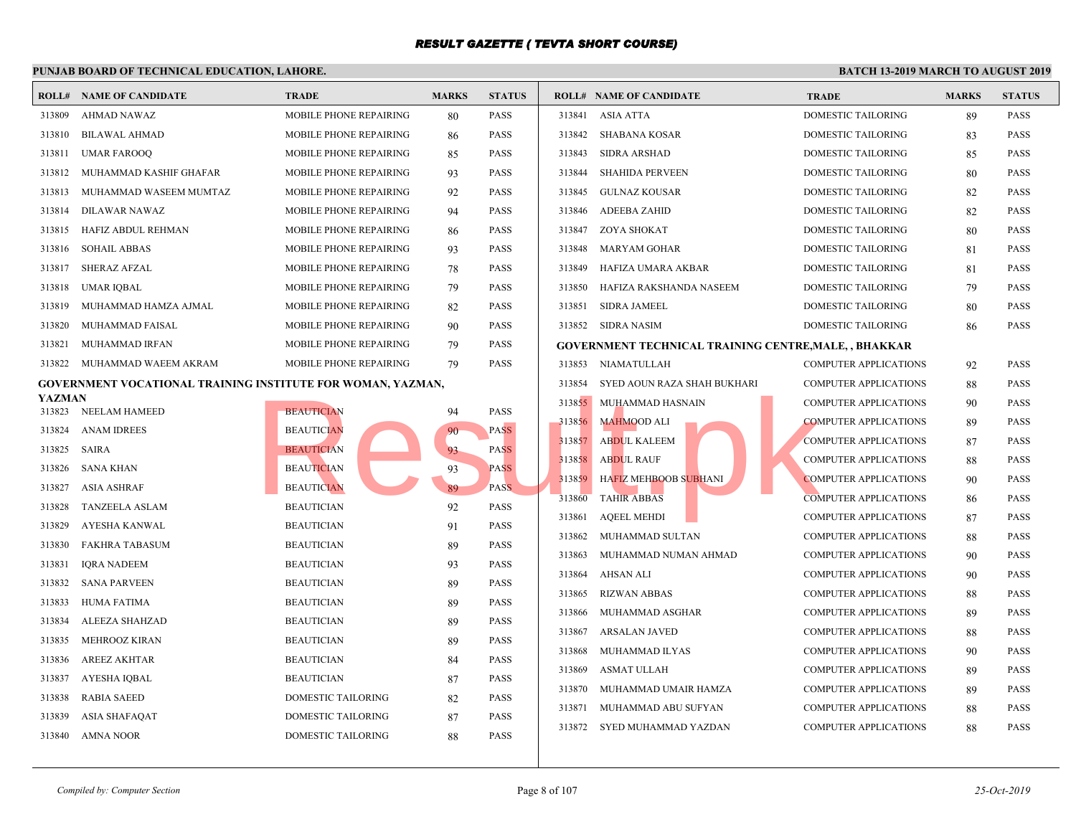|                  | I UNIAD DOARD OF TECHNICAL EDUCATION, LAHORE,               |                               |              |               |        |                                                 |             |
|------------------|-------------------------------------------------------------|-------------------------------|--------------|---------------|--------|-------------------------------------------------|-------------|
|                  | <b>ROLL# NAME OF CANDIDATE</b>                              | <b>TRADE</b>                  | <b>MARKS</b> | <b>STATUS</b> |        | <b>ROLL# NAME OF CANDIDATE</b>                  | <b>TRAL</b> |
| 313809           | AHMAD NAWAZ                                                 | MOBILE PHONE REPAIRING        | 80           | <b>PASS</b>   | 313841 | <b>ASIA ATTA</b>                                | <b>DOME</b> |
| 313810           | <b>BILAWAL AHMAD</b>                                        | MOBILE PHONE REPAIRING        | 86           | <b>PASS</b>   | 313842 | <b>SHABANA KOSAR</b>                            | <b>DOME</b> |
| 313811           | <b>UMAR FAROOQ</b>                                          | MOBILE PHONE REPAIRING        | 85           | <b>PASS</b>   | 313843 | SIDRA ARSHAD                                    | <b>DOME</b> |
| 313812           | MUHAMMAD KASHIF GHAFAR                                      | MOBILE PHONE REPAIRING        | 93           | <b>PASS</b>   | 313844 | <b>SHAHIDA PERVEEN</b>                          | <b>DOME</b> |
| 313813           | MUHAMMAD WASEEM MUMTAZ                                      | <b>MOBILE PHONE REPAIRING</b> | 92           | <b>PASS</b>   | 313845 | GULNAZ KOUSAR                                   | <b>DOME</b> |
| 313814           | <b>DILAWAR NAWAZ</b>                                        | MOBILE PHONE REPAIRING        | 94           | <b>PASS</b>   | 313846 | ADEEBA ZAHID                                    | <b>DOME</b> |
| 313815           | HAFIZ ABDUL REHMAN                                          | MOBILE PHONE REPAIRING        | 86           | <b>PASS</b>   | 313847 | ZOYA SHOKAT                                     | <b>DOME</b> |
| 313816           | <b>SOHAIL ABBAS</b>                                         | MOBILE PHONE REPAIRING        | 93           | <b>PASS</b>   | 313848 | MARYAM GOHAR                                    | <b>DOME</b> |
| 313817           | <b>SHERAZ AFZAL</b>                                         | MOBILE PHONE REPAIRING        | 78           | <b>PASS</b>   | 313849 | HAFIZA UMARA AKBAR                              | <b>DOME</b> |
| 313818           | UMAR IQBAL                                                  | MOBILE PHONE REPAIRING        | 79           | <b>PASS</b>   | 313850 | HAFIZA RAKSHANDA NASEEM                         | <b>DOME</b> |
| 313819           | MUHAMMAD HAMZA AJMAL                                        | MOBILE PHONE REPAIRING        | 82           | <b>PASS</b>   | 313851 | <b>SIDRA JAMEEL</b>                             | <b>DOME</b> |
| 313820           | MUHAMMAD FAISAL                                             | <b>MOBILE PHONE REPAIRING</b> | 90           | <b>PASS</b>   |        | 313852 SIDRA NASIM                              | <b>DOME</b> |
| 313821           | <b>MUHAMMAD IRFAN</b>                                       | <b>MOBILE PHONE REPAIRING</b> | 79           | <b>PASS</b>   |        | <b>GOVERNMENT TECHNICAL TRAINING CENTRE, MA</b> |             |
| 313822           | MUHAMMAD WAEEM AKRAM                                        | MOBILE PHONE REPAIRING        | 79           | <b>PASS</b>   | 313853 | NIAMATULLAH                                     | <b>COMP</b> |
|                  | GOVERNMENT VOCATIONAL TRAINING INSTITUTE FOR WOMAN, YAZMAN, |                               |              |               | 313854 | SYED AOUN RAZA SHAH BUKHARI                     | <b>COMP</b> |
| YAZMAN<br>313823 | NEELAM HAMEED                                               | <b>BEAUTICIAN</b>             | 94           | <b>PASS</b>   | 313855 | MUHAMMAD HASNAIN                                | <b>COMP</b> |
| 313824           | <b>ANAM IDREES</b>                                          | <b>BEAUTICIAN</b>             | 90           | <b>PASS</b>   | 313856 | <b>MAHMOOD ALI</b>                              | <b>COMP</b> |
| 313825           | SAIRA                                                       | <b>BEAUTICIAN</b>             | 93           | <b>PASS</b>   | 313857 | <b>ABDUL KALEEM</b>                             | <b>COMP</b> |
| 313826           | SANA KHAN                                                   | <b>BEAUTICIAN</b>             | 93           | <b>PASS</b>   | 313858 | <b>ABDUL RAUF</b>                               | <b>COMP</b> |
| 313827           | <b>ASIA ASHRAF</b>                                          | <b>BEAUTICIAN</b>             | 89           | PASS.         | 313859 | HAFIZ MEHBOOB SUBHANI                           | <b>COMP</b> |
| 313828           | TANZEELA ASLAM                                              | <b>BEAUTICIAN</b>             | 92           | <b>PASS</b>   | 313860 | <b>TAHIR ABBAS</b>                              | <b>COMP</b> |
| 313829           | AYESHA KANWAL                                               | <b>BEAUTICIAN</b>             | 91           | <b>PASS</b>   | 313861 | <b>AQEEL MEHDI</b>                              | <b>COMP</b> |
| 313830           | <b>FAKHRA TABASUM</b>                                       | <b>BEAUTICIAN</b>             | 89           | <b>PASS</b>   | 313862 | MUHAMMAD SULTAN                                 | <b>COMP</b> |
| 313831           | <b>IORA NADEEM</b>                                          | <b>BEAUTICIAN</b>             | 93           | <b>PASS</b>   | 313863 | MUHAMMAD NUMAN AHMAD                            | <b>COMP</b> |
| 313832           | <b>SANA PARVEEN</b>                                         | <b>BEAUTICIAN</b>             | 89           | <b>PASS</b>   | 313864 | <b>AHSAN ALI</b>                                | <b>COMP</b> |
| 313833           | <b>HUMA FATIMA</b>                                          | <b>BEAUTICIAN</b>             | 89           | <b>PASS</b>   | 313865 | <b>RIZWAN ABBAS</b>                             | <b>COMP</b> |
| 313834           | ALEEZA SHAHZAD                                              | <b>BEAUTICIAN</b>             | 89           | <b>PASS</b>   | 313866 | MUHAMMAD ASGHAR                                 | <b>COMP</b> |
| 313835           | MEHROOZ KIRAN                                               | <b>BEAUTICIAN</b>             | 89           | <b>PASS</b>   | 313867 | <b>ARSALAN JAVED</b>                            | <b>COMP</b> |
| 313836           | <b>AREEZ AKHTAR</b>                                         | <b>BEAUTICIAN</b>             | 84           | <b>PASS</b>   | 313868 | MUHAMMAD ILYAS                                  | <b>COMP</b> |
| 313837           | <b>AYESHA IQBAL</b>                                         | <b>BEAUTICIAN</b>             | 87           | <b>PASS</b>   | 313869 | <b>ASMAT ULLAH</b>                              | <b>COMP</b> |
| 313838           | <b>RABIA SAEED</b>                                          | DOMESTIC TAILORING            | 82           | <b>PASS</b>   | 313870 | MUHAMMAD UMAIR HAMZA                            | <b>COMP</b> |
| 313839           | ASIA SHAFAQAT                                               | <b>DOMESTIC TAILORING</b>     | 87           | <b>PASS</b>   | 313871 | MUHAMMAD ABU SUFYAN                             | <b>COMP</b> |
| 313840           | AMNA NOOR                                                   | DOMESTIC TAILORING            | 88           | <b>PASS</b>   | 313872 | SYED MUHAMMAD YAZDAN                            | <b>COMP</b> |
|                  |                                                             |                               |              |               |        |                                                 |             |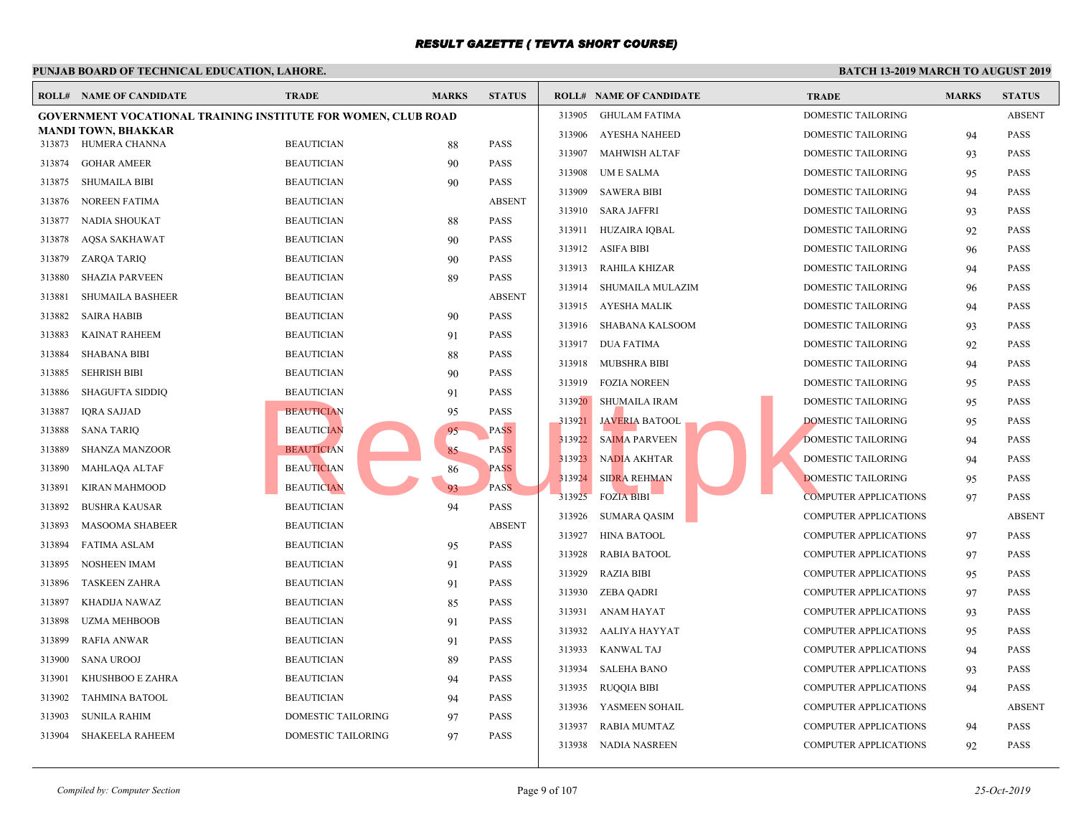|        | <b>ROLL# NAME OF CANDIDATE</b>                                | <b>TRADE</b>       | <b>MARKS</b> | <b>STATUS</b> |        | <b>ROLL# NAME OF CANDIDATE</b> | <b>TRAL</b> |
|--------|---------------------------------------------------------------|--------------------|--------------|---------------|--------|--------------------------------|-------------|
|        | GOVERNMENT VOCATIONAL TRAINING INSTITUTE FOR WOMEN, CLUB ROAD |                    |              |               | 313905 | <b>GHULAM FATIMA</b>           | <b>DOME</b> |
| 313873 | <b>MANDI TOWN, BHAKKAR</b><br>HUMERA CHANNA                   | <b>BEAUTICIAN</b>  | 88           | <b>PASS</b>   | 313906 | <b>AYESHA NAHEED</b>           | <b>DOME</b> |
| 313874 | <b>GOHAR AMEER</b>                                            | <b>BEAUTICIAN</b>  | 90           | <b>PASS</b>   | 313907 | <b>MAHWISH ALTAF</b>           | <b>DOME</b> |
| 313875 | <b>SHUMAILA BIBI</b>                                          | <b>BEAUTICIAN</b>  | 90           | <b>PASS</b>   | 313908 | UM E SALMA                     | <b>DOME</b> |
| 313876 | <b>NOREEN FATIMA</b>                                          | <b>BEAUTICIAN</b>  |              | <b>ABSENT</b> | 313909 | <b>SAWERA BIBI</b>             | <b>DOME</b> |
| 313877 | NADIA SHOUKAT                                                 | <b>BEAUTICIAN</b>  |              | <b>PASS</b>   | 313910 | <b>SARA JAFFRI</b>             | <b>DOME</b> |
|        |                                                               |                    | 88           | <b>PASS</b>   | 313911 | HUZAIRA IQBAL                  | <b>DOME</b> |
| 313878 | <b>AQSA SAKHAWAT</b>                                          | <b>BEAUTICIAN</b>  | 90           |               | 313912 | <b>ASIFA BIBI</b>              | <b>DOME</b> |
| 313879 | ZARQA TARIQ                                                   | <b>BEAUTICIAN</b>  | 90           | <b>PASS</b>   | 313913 | RAHILA KHIZAR                  | <b>DOME</b> |
| 313880 | <b>SHAZIA PARVEEN</b>                                         | <b>BEAUTICIAN</b>  | 89           | <b>PASS</b>   | 313914 | SHUMAILA MULAZIM               | <b>DOME</b> |
| 313881 | <b>SHUMAILA BASHEER</b>                                       | <b>BEAUTICIAN</b>  |              | <b>ABSENT</b> | 313915 | AYESHA MALIK                   | <b>DOME</b> |
| 313882 | <b>SAIRA HABIB</b>                                            | <b>BEAUTICIAN</b>  | 90           | <b>PASS</b>   | 313916 | SHABANA KALSOOM                | <b>DOME</b> |
| 313883 | <b>KAINAT RAHEEM</b>                                          | <b>BEAUTICIAN</b>  | 91           | <b>PASS</b>   | 313917 | <b>DUA FATIMA</b>              | <b>DOME</b> |
| 313884 | <b>SHABANA BIBI</b>                                           | <b>BEAUTICIAN</b>  | 88           | <b>PASS</b>   | 313918 | MUBSHRA BIBI                   | <b>DOME</b> |
| 313885 | <b>SEHRISH BIBI</b>                                           | <b>BEAUTICIAN</b>  | 90           | <b>PASS</b>   | 313919 | <b>FOZIA NOREEN</b>            | <b>DOME</b> |
| 313886 | <b>SHAGUFTA SIDDIQ</b>                                        | <b>BEAUTICIAN</b>  | 91           | <b>PASS</b>   |        | 313920 SHUMAILA IRAM           | <b>DOME</b> |
| 313887 | <b>IORA SAJJAD</b>                                            | <b>BEAUTICIAN</b>  | 95           | <b>PASS</b>   |        | 313921 JAVERIA BATOOL          | <b>DOME</b> |
| 313888 | <b>SANA TARIQ</b>                                             | <b>BEAUTICIAN</b>  | 95           | <b>PASS</b>   | 313922 | <b>SAIMA PARVEEN</b>           | <b>DOME</b> |
| 313889 | <b>SHANZA MANZOOR</b>                                         | <b>BEAUTICIAN</b>  | 85           | <b>PASS</b>   | 313923 | <b>NADIA AKHTAR</b>            | <b>DOME</b> |
| 313890 | MAHLAQA ALTAF                                                 | <b>BEAUTICIAN</b>  | 86           | <b>PASS</b>   | 313924 | <b>SIDRA REHMAN</b>            | <b>DOME</b> |
| 313891 | <b>KIRAN MAHMOOD</b>                                          | <b>BEAUTICIAN</b>  | 93           | PASS.         | 313925 | <b>FOZIA BIBI</b>              | <b>COMP</b> |
| 313892 | <b>BUSHRA KAUSAR</b>                                          | <b>BEAUTICIAN</b>  | 94           | PASS          | 313926 | <b>SUMARA QASIM</b>            | COMP        |
| 313893 | <b>MASOOMA SHABEER</b>                                        | <b>BEAUTICIAN</b>  |              | <b>ABSENT</b> | 313927 | <b>HINA BATOOL</b>             | <b>COMP</b> |
| 313894 | <b>FATIMA ASLAM</b>                                           | <b>BEAUTICIAN</b>  | 95           | <b>PASS</b>   | 313928 | <b>RABIA BATOOL</b>            | COMP        |
| 313895 | <b>NOSHEEN IMAM</b>                                           | <b>BEAUTICIAN</b>  | 91           | <b>PASS</b>   | 313929 | <b>RAZIA BIBI</b>              | <b>COMP</b> |
| 313896 | <b>TASKEEN ZAHRA</b>                                          | <b>BEAUTICIAN</b>  | 91           | <b>PASS</b>   | 313930 | <b>ZEBA QADRI</b>              | COMP        |
| 313897 | KHADIJA NAWAZ                                                 | <b>BEAUTICIAN</b>  | 85           | <b>PASS</b>   | 313931 | <b>ANAM HAYAT</b>              | <b>COMP</b> |
| 313898 | <b>UZMA MEHBOOB</b>                                           | <b>BEAUTICIAN</b>  | 91           | PASS          | 313932 | AALIYA HAYYAT                  | COMP        |
| 313899 | <b>RAFIA ANWAR</b>                                            | <b>BEAUTICIAN</b>  | 91           | <b>PASS</b>   | 313933 | KANWAL TAJ                     | <b>COMP</b> |
| 313900 | <b>SANA UROOJ</b>                                             | <b>BEAUTICIAN</b>  | 89           | PASS          | 313934 | <b>SALEHA BANO</b>             | COMP        |
| 313901 | KHUSHBOO E ZAHRA                                              | <b>BEAUTICIAN</b>  | 94           | <b>PASS</b>   | 313935 |                                | <b>COMP</b> |
| 313902 | <b>TAHMINA BATOOL</b>                                         | <b>BEAUTICIAN</b>  | 94           | <b>PASS</b>   |        | RUQQIA BIBI                    |             |
| 313903 | <b>SUNILA RAHIM</b>                                           | DOMESTIC TAILORING | 97           | <b>PASS</b>   | 313936 | YASMEEN SOHAIL                 | COMP        |
| 313904 | <b>SHAKEELA RAHEEM</b>                                        | DOMESTIC TAILORING | 97           | <b>PASS</b>   | 313937 | <b>RABIA MUMTAZ</b>            | COMP        |
|        |                                                               |                    |              |               | 313938 | NADIA NASREEN                  | COMP        |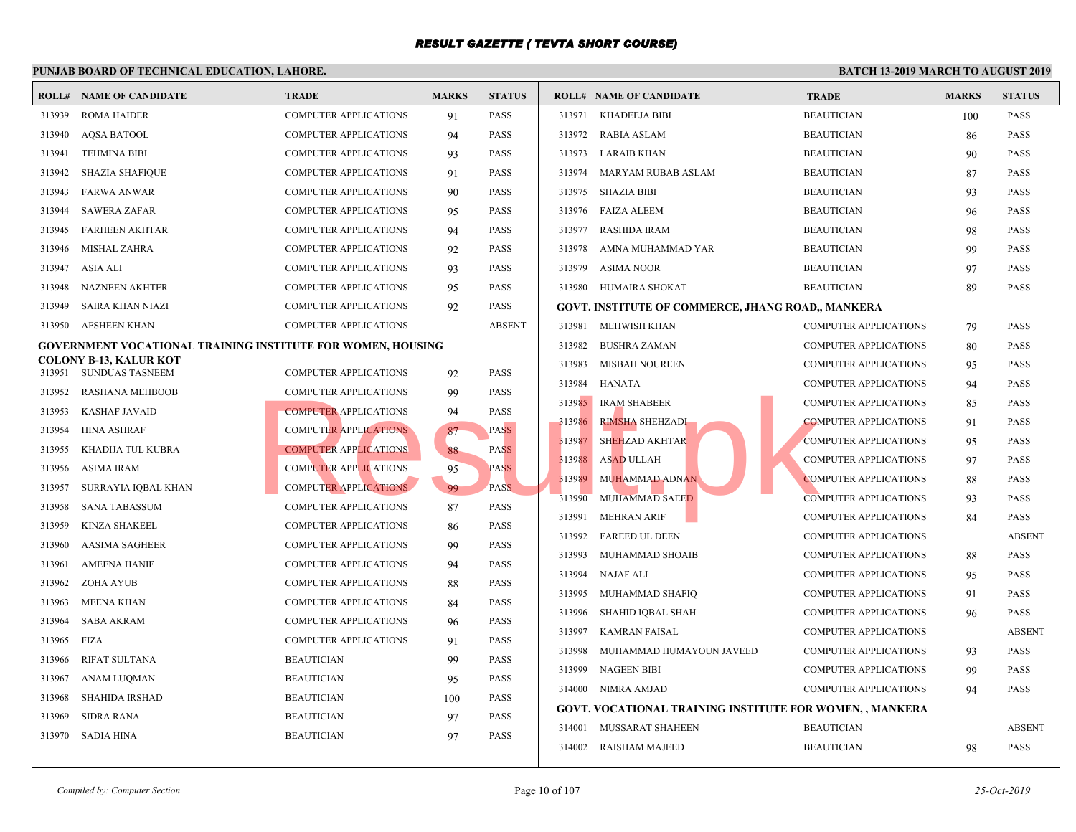|        | <b>ROLL# NAME OF CANDIDATE</b>                                     | <b>TRADE</b>                 | <b>MARKS</b> | <b>STATUS</b> |        | <b>ROLL# NAME OF CANDIDATE</b>              | <b>TRAI</b> |
|--------|--------------------------------------------------------------------|------------------------------|--------------|---------------|--------|---------------------------------------------|-------------|
| 313939 | <b>ROMA HAIDER</b>                                                 | <b>COMPUTER APPLICATIONS</b> | 91           | PASS          | 313971 | KHADEEJA BIBI                               | <b>BEAU</b> |
| 313940 | <b>AQSA BATOOL</b>                                                 | <b>COMPUTER APPLICATIONS</b> | 94           | <b>PASS</b>   | 313972 | <b>RABIA ASLAM</b>                          | <b>BEAU</b> |
| 313941 | <b>TEHMINA BIBI</b>                                                | <b>COMPUTER APPLICATIONS</b> | 93           | PASS          | 313973 | <b>LARAIB KHAN</b>                          | <b>BEAU</b> |
| 313942 | <b>SHAZIA SHAFIQUE</b>                                             | <b>COMPUTER APPLICATIONS</b> | 91           | <b>PASS</b>   | 313974 | <b>MARYAM RUBAB ASLAM</b>                   | <b>BEAU</b> |
| 313943 | <b>FARWA ANWAR</b>                                                 | <b>COMPUTER APPLICATIONS</b> | 90           | PASS          | 313975 | <b>SHAZIA BIBI</b>                          | <b>BEAU</b> |
| 313944 | <b>SAWERA ZAFAR</b>                                                | <b>COMPUTER APPLICATIONS</b> | 95           | <b>PASS</b>   | 313976 | FAIZA ALEEM                                 | <b>BEAU</b> |
| 313945 | <b>FARHEEN AKHTAR</b>                                              | <b>COMPUTER APPLICATIONS</b> | 94           | PASS          | 313977 | <b>RASHIDA IRAM</b>                         | <b>BEAU</b> |
| 313946 | <b>MISHAL ZAHRA</b>                                                | <b>COMPUTER APPLICATIONS</b> | 92           | PASS          | 313978 | AMNA MUHAMMAD YAR                           | <b>BEAU</b> |
| 313947 | ASIA ALI                                                           | <b>COMPUTER APPLICATIONS</b> | 93           | <b>PASS</b>   | 313979 | <b>ASIMA NOOR</b>                           | <b>BEAU</b> |
| 313948 | <b>NAZNEEN AKHTER</b>                                              | <b>COMPUTER APPLICATIONS</b> | 95           | <b>PASS</b>   |        | 313980 HUMAIRA SHOKAT                       | <b>BEAU</b> |
| 313949 | <b>SAIRA KHAN NIAZI</b>                                            | <b>COMPUTER APPLICATIONS</b> | 92           | PASS          |        | GOVT. INSTITUTE OF COMMERCE, JHANG ROAD,, M |             |
| 313950 | AFSHEEN KHAN                                                       | <b>COMPUTER APPLICATIONS</b> |              | <b>ABSENT</b> | 313981 | MEHWISH KHAN                                | <b>COMP</b> |
|        | <b>GOVERNMENT VOCATIONAL TRAINING INSTITUTE FOR WOMEN, HOUSING</b> |                              |              |               | 313982 | <b>BUSHRA ZAMAN</b>                         | COMP        |
| 313951 | <b>COLONY B-13, KALUR KOT</b><br><b>SUNDUAS TASNEEM</b>            | <b>COMPUTER APPLICATIONS</b> | 92           | <b>PASS</b>   | 313983 | <b>MISBAH NOUREEN</b>                       | <b>COMP</b> |
| 313952 | <b>RASHANA MEHBOOB</b>                                             | <b>COMPUTER APPLICATIONS</b> | 99           | PASS          | 313984 | HANATA                                      | <b>COMP</b> |
| 313953 | <b>KASHAF JAVAID</b>                                               | <b>COMPUTER APPLICATIONS</b> | 94           | PASS          | 313985 | <b>IRAM SHABEER</b>                         | <b>COMP</b> |
| 313954 | <b>HINA ASHRAF</b>                                                 | <b>COMPUTER APPLICATIONS</b> | 87           | PASS          | 313986 | RIMSHA SHEHZADI                             | <b>COMP</b> |
| 313955 | KHADIJA TUL KUBRA                                                  | <b>COMPUTER APPLICATIONS</b> | 88           | <b>PASS</b>   | 313987 | <b>SHEHZAD AKHTAR</b>                       | <b>COMP</b> |
| 313956 | ASIMA IRAM                                                         | <b>COMPUTER APPLICATIONS</b> | 95           | <b>PASS</b>   | 313988 | <b>ASAD ULLAH</b>                           | <b>COMP</b> |
| 313957 | SURRAYIA IQBAL KHAN                                                | <b>COMPUTER APPLICATIONS</b> | 99           | PASS.         | 313989 | MUHAMMAD ADNAN                              | <b>COMP</b> |
| 313958 | <b>SANA TABASSUM</b>                                               | <b>COMPUTER APPLICATIONS</b> | 87           | PASS          | 313990 | MUHAMMAD SAEED                              | <b>COMP</b> |
| 313959 | <b>KINZA SHAKEEL</b>                                               | <b>COMPUTER APPLICATIONS</b> | 86           | <b>PASS</b>   | 313991 | <b>MEHRAN ARIF</b>                          | <b>COMP</b> |
| 313960 | <b>AASIMA SAGHEER</b>                                              | <b>COMPUTER APPLICATIONS</b> | 99           | PASS          | 313992 | <b>FAREED UL DEEN</b>                       | <b>COMP</b> |
| 313961 | <b>AMEENA HANIF</b>                                                | <b>COMPUTER APPLICATIONS</b> | 94           | PASS          | 313993 | MUHAMMAD SHOAIB                             | <b>COMP</b> |
| 313962 | ZOHA AYUB                                                          | <b>COMPUTER APPLICATIONS</b> | 88           | <b>PASS</b>   | 313994 | NAJAF ALI                                   | <b>COMP</b> |
| 313963 | MEENA KHAN                                                         | <b>COMPUTER APPLICATIONS</b> | 84           | PASS          | 313995 | MUHAMMAD SHAFIQ                             | <b>COMP</b> |
| 313964 | <b>SABA AKRAM</b>                                                  | <b>COMPUTER APPLICATIONS</b> | 96           | PASS          | 313996 | SHAHID IQBAL SHAH                           | <b>COMP</b> |
| 313965 | <b>FIZA</b>                                                        | <b>COMPUTER APPLICATIONS</b> | 91           | PASS          | 313997 | <b>KAMRAN FAISAL</b>                        | <b>COMP</b> |
| 313966 | RIFAT SULTANA                                                      | <b>BEAUTICIAN</b>            | 99           | <b>PASS</b>   | 313998 | MUHAMMAD HUMAYOUN JAVEED                    | <b>COMP</b> |
| 313967 | ANAM LUQMAN                                                        | <b>BEAUTICIAN</b>            | 95           | PASS          | 313999 | <b>NAGEEN BIBI</b>                          | <b>COMP</b> |
| 313968 | <b>SHAHIDA IRSHAD</b>                                              | <b>BEAUTICIAN</b>            | 100          | PASS          | 314000 | NIMRA AMJAD                                 | <b>COMP</b> |
| 313969 | <b>SIDRA RANA</b>                                                  | <b>BEAUTICIAN</b>            | 97           | <b>PASS</b>   |        | GOVT. VOCATIONAL TRAINING INSTITUTE FOR WO  |             |
| 313970 | <b>SADIA HINA</b>                                                  | <b>BEAUTICIAN</b>            | 97           | <b>PASS</b>   | 314001 | MUSSARAT SHAHEEN                            | <b>BEAU</b> |
|        |                                                                    |                              |              |               |        | 314002 RAISHAM MAJEED                       | <b>BEAU</b> |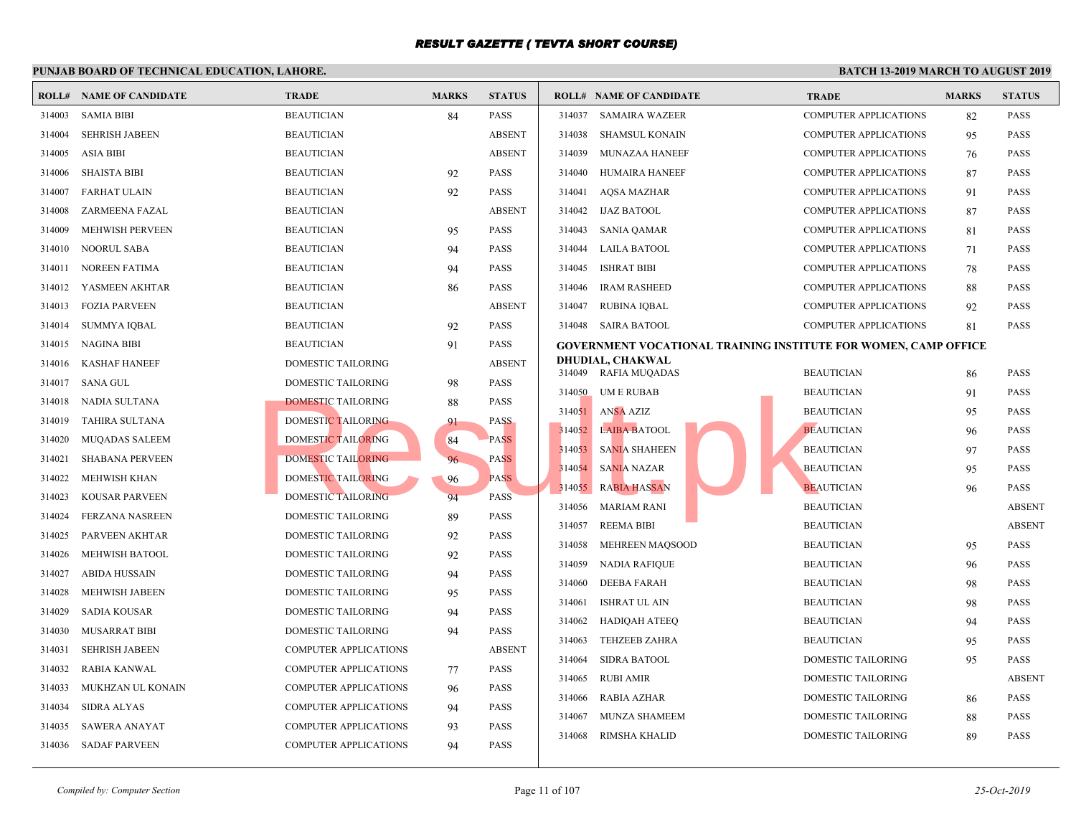#### **PUNJAB BOARD OF TECHNICAL EDUCATION, LAHORE. ROLL# NAME OF CANDIDATE TRADE MARKS STATUS ROLL# NAME OF CANDIDATE TRADE MARKS STATUS** 314003 SAMIA BIBI BEAUTICIAN 84 PASS 314004 SEHRISH JABEEN BEAUTICIAN ABSENT 314005 ASIA BIBI BEAUTICIAN ABSENT 314006 SHAISTA BIBI BEAUTICIAN 92 PASS 314007 FARHAT ULAIN BEAUTICIAN 92 PASS 314008 ZARMEENA FAZAL BEAUTICIAN ABSENT 314009 MEHWISH PERVEEN BEAUTICIAN 95 PASS 314010 NOORUL SABA BEAUTICIAN 94 PASS 314011 NOREEN FATIMA BEAUTICIAN 94 PASS 314012 YASMEEN AKHTAR BEAUTICIAN 86 PASS 314013 FOZIA PARVEEN BEAUTICIAN ABSENT 314014 SUMMYA IQBAL BEAUTICIAN 92 PASS 314015 NAGINA BIBI BEAUTICIAN 91 PASS 314016 KASHAF HANEEF DOMESTIC TAILORING ABSENT 314017 SANA GUL DOMESTIC TAILORING 98 PASS 314018 NADIA SULTANA DOMESTIC TAILORING 88 PASS 314019 TAHIRA SULTANA DOMESTIC TAILORING 91 PASS 314020 MUQADAS SALEEM DOMESTIC TAILORING 84 PASS 314021 SHABANA PERVEEN DOMESTIC TAILORING 96 PASS 314022 MEHWISH KHAN DOMESTIC TAILORING 96 PASS 314023 KOUSAR PARVEEN DOMESTIC TAILORING 94 PASS 314024 FERZANA NASREEN DOMESTIC TAILORING 89 PASS 314025 PARVEEN AKHTAR DOMESTIC TAILORING 92 PASS 314026 MEHWISH BATOOL DOMESTIC TAILORING 92 PASS 314027 ABIDA HUSSAIN DOMESTIC TAILORING 94 PASS 314028 MEHWISH JABEEN DOMESTIC TAILORING 95 PASS 314029 SADIA KOUSAR DOMESTIC TAILORING 94 PASS 314030 MUSARRAT BIBI DOMESTIC TAILORING 94 PASS 314031 SEHRISH JABEEN COMPUTER APPLICATIONS ABSENT 314032 RABIA KANWAL COMPUTER APPLICATIONS 77 PASS 314033 MUKHZAN UL KONAIN COMPUTER APPLICATIONS 96 PASS 314034 SIDRA ALYAS COMPUTER APPLICATIONS 94 PASS 314035 SAWERA ANAYAT COMPUTER APPLICATIONS 93 PASS 314036 SADAF PARVEEN COMPUTER APPLICATIONS 94 PASS 314037 SAMAIRA WAZEER COMP 314038 SHAMSUL KONAIN COMP 314039 MUNAZAA HANEEF COMP 314040 HUMAIRA HANEEF COMP 314041 AQSA MAZHAR COMP 314042 IJAZ BATOOL COMP 314043 SANIA OAMAR COMP 314044 LAILA BATOOL COMP 314045 ISHRAT BIBI COMP 314046 IRAM RASHEED COMP 314047 RUBINA IQBAL COMP 314048 SAIRA BATOOL COMP **GOVERNMENT VOCATIONAL TRAINING INSTITUTE DHUDIAL, CHAKWAL** 314049 RAFIA MUQADAS BEAUTICIAN BEAUTICIAN BEAUTICIAN BEAUTICIAN BEAUTICIAN BEAU 314050 UM E RUBAB BEAUTICIAN 914050 314051 ANSA AZIZ BEAUT 314052 LAIBA BATOOL BEAUTICIAN 96 PASSES 314053 SANIA SHAHEEN BEAUTICIAN 97 PASSES 314054 SANIA NAZAR BEAUTICIAN 95 BEAUTICIAN 95 PASSAULT EXPERIENCE ENTREMINISTICIAL BEAUTICIAN BEAUTICIAN BEAU 314055 RABIA HASSAN BEAUTICIAN 96 PASSAN 314056 MARIAM RANI BEAUTICIAN BEAU 314057 REEMA BIBI BEAUTICIAN ABSENT 314058 MEHREEN MAQSOOD BEAUT 314059 NADIA RAFIQUE BEAUTICIAN 96 BEAU 314060 DEEBA FARAH BEAUTICIAN 98 BEAUTICIAN 98 BEAUTICIAN 98 BEAUTICIAN 98 PASSES BEAUTICIAN 98 PASSES BEAUTICIAN 98 PASSES BEAUTICIAN 98 PASSES BEAUTICIAN 98 PASSES BEAUTICIAN 98 PASSES BEAUTICIAN 98 PASSES BEAUTICIAN 98 314061 ISHRAT UL AIN BEAUTICIAN BEAUTICIAN BEAUTICIAN BEAUTICIAN BEAUTICIAN BEAUTICIAN BEAUTICIAN BEAUTICIAN BEAUTICIAN BEAUTICIAN BEAUTICIAN BEAUTICIAN BEAUTICIAN BEAUTICIAN BEAUTICIAN BEAUTICIAN BEAUTICIAN BEAUTICIAN BEA 314062 HADIQAH ATEEQ BEAUT 314063 TEHZEEB ZAHRA BEAUT 314064 SIDRA BATOOL DOME 314065 RUBI AMIR DOME 314066 RABIA AZHAR DOME 314067 MUNZA SHAMEEM DOME 314068 RIMSHA KHALID DOME **EXERCEMENT BEARED MESTIC TAILORING**<br> **EXERCEMENT DOMESTIC TAILORING**<br> **EXERCEMENT DOMESTIC TAILORING**<br> **EXERCEMENT DOMESTIC TAILORING**<br> **EXERCEMENT DOMESTIC TAILORING**<br> **EXERCEMENT DOMESTIC TAILORING**<br> **EXERCEMENT DOMESTI**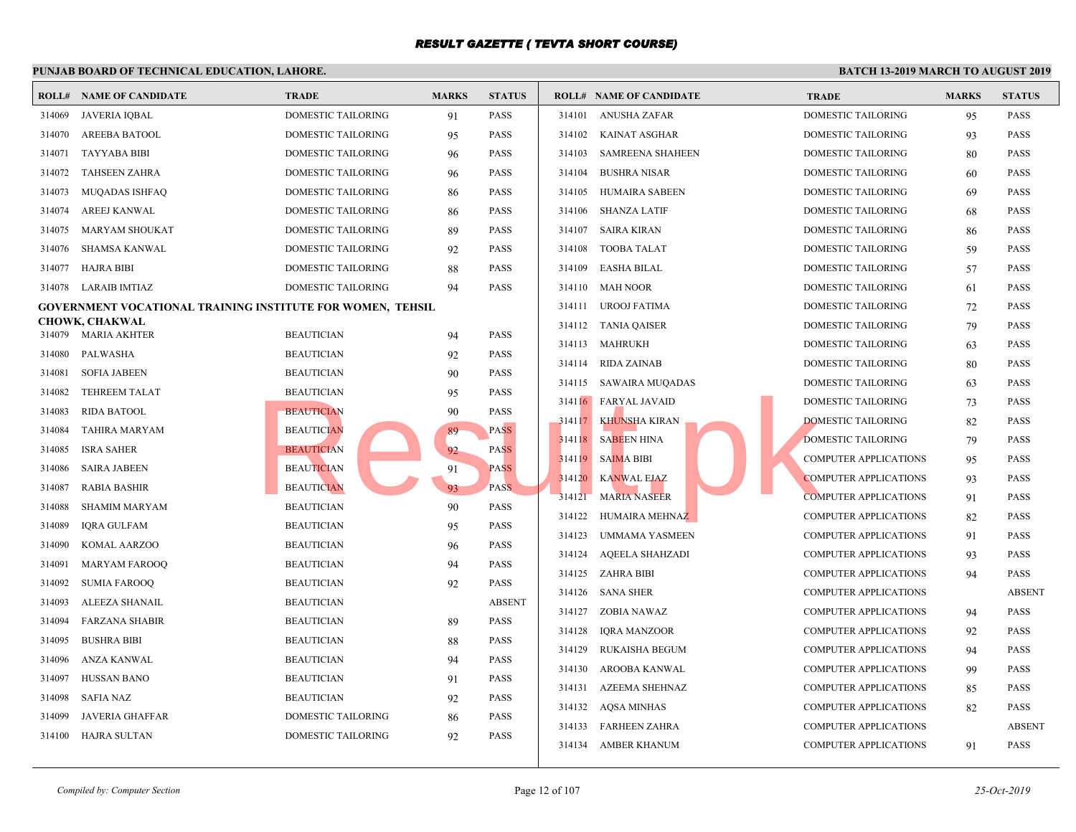#### **PUNJAB BOARD OF TECHNICAL EDUCATION, LAHORE. ROLL# NAME OF CANDIDATE TRADE MARKS STATUS ROLL# NAME OF CANDIDATE TRADE MARKS STATUS** 314069 JAVERIA IQBAL DOMESTIC TAILORING 91 PASS 314070 AREEBA BATOOL DOMESTIC TAILORING 95 PASS 314071 TAYYABA BIBI DOMESTIC TAILORING 96 PASS 314072 TAHSEEN ZAHRA DOMESTIC TAILORING 96 PASS 314073 MUQADAS ISHFAQ DOMESTIC TAILORING 86 PASS 314074 AREEJ KANWAL DOMESTIC TAILORING 86 PASS 314075 MARYAM SHOUKAT DOMESTIC TAILORING 89 PASS 314076 SHAMSA KANWAL DOMESTIC TAILORING 92 PASS 314077 HAJRA BIBI DOMESTIC TAILORING 88 PASS 314078 LARAIB IMTIAZ DOMESTIC TAILORING 94 PASS **GOVERNMENT VOCATIONAL TRAINING INSTITUTE FOR WOMEN, TEHSIL CHOWK, CHAKWAL** 314079 MARIA AKHTER BEAUTICIAN 94 PASS 314080 PALWASHA BEAUTICIAN 92 PASS 314081 SOFIA JABEEN BEAUTICIAN 90 PASS 314082 TEHREEM TALAT BEAUTICIAN 95 PASS 314083 RIDA BATOOL BEAUTICIAN 90 PASS 314084 TAHIRA MARYAM BEAUTICIAN 89 PASS 314085 ISRA SAHER BEAUTICIAN 82 PASS 314086 SAIRA JABEEN BEAUTICIAN 91 PASS 314087 RABIA BASHIR BEAUTICIAN 93 PASS 314088 SHAMIM MARYAM BEAUTICIAN 90 PASS 314089 IQRA GULFAM BEAUTICIAN 95 PASS 314090 KOMAL AARZOO BEAUTICIAN 96 PASS 314091 MARYAM FAROOQ BEAUTICIAN 94 PASS 314092 SUMIA FAROOQ BEAUTICIAN 92 PASS 314093 ALEEZA SHANAIL BEAUTICIAN ABSENT 314094 FARZANA SHABIR BEAUTICIAN 89 PASS 314095 BUSHRA BIBI BEAUTICIAN 88 PASS 314096 ANZA KANWAL BEAUTICIAN 94 PASS 314097 HUSSAN BANO BEAUTICIAN 91 PASS 314098 SAFIA NAZ BEAUTICIAN 92 PASS 314099 JAVERIA GHAFFAR DOMESTIC TAILORING 86 PASS 314100 HAJRA SULTAN DOMESTIC TAILORING 92 PASS 314101 ANUSHA ZAFAR DOME 314102 KAINAT ASGHAR DOME 314103 SAMREENA SHAHEEN DOME 314104 BUSHRA NISAR DOME 314105 HUMAIRA SABEEN DOME 314106 SHANZA LATIF DOME 314107 SAIRA KIRAN DOME 314108 TOOBA TALAT DOME 314109 EASHA BILAL DOME 314110 MAH NOOR DOME 314111 UROOJ FATIMA DOME 314112 TANIA QAISER DOME 314113 MAHRUKH DOME 314114 RIDA ZAINAB DOME 314115 SAWAIRA MUQADAS DOME 314116 FARYAL JAVAID DOME 314117 KHUNSHA KIRAN DOME 314118 SABEEN HINA DOME 314119 SAIMA BIBI COMP 314120 KANWAL EJAZ COMP 314121 MARIA NASEER COMP 314122 HUMAIRA MEHNAZ COMP 314123 UMMAMA YASMEEN COMP 314124 AQEELA SHAHZADI COMP 314125 ZAHRA BIBI COMP 314126 SANA SHER COMP 314127 ZOBIA NAWAZ COMP 314128 IQRA MANZOOR COMP 314129 RUKAISHA BEGUM COMP 314130 AROOBA KANWAL COMP 314131 AZEEMA SHEHNAZ COMP 314132 AQSA MINHAS COMP 314133 FARHEEN ZAHRA COMP 314134 AMBER KHANUM COMP BEAUTICIAN<br>
BEAUTICIAN<br>
BEAUTICIAN<br>
BEAUTICIAN<br>
BEAUTICIAN<br>
BEAUTICIAN<br>
BEAUTICIAN<br>
BEAUTICIAN<br>
PASS<br>
PASS<br>
PASS<br>
PASS<br>
PASS<br>
PASS<br>
PASS<br>
PASS<br>
PASS<br>
PASS<br>
PASS<br>
PASS<br>
PASS<br>
PASS<br>
PASS<br>
PASS<br>
PASS<br>
PASS<br>
PASS<br>
PASS<br>
PASS<br>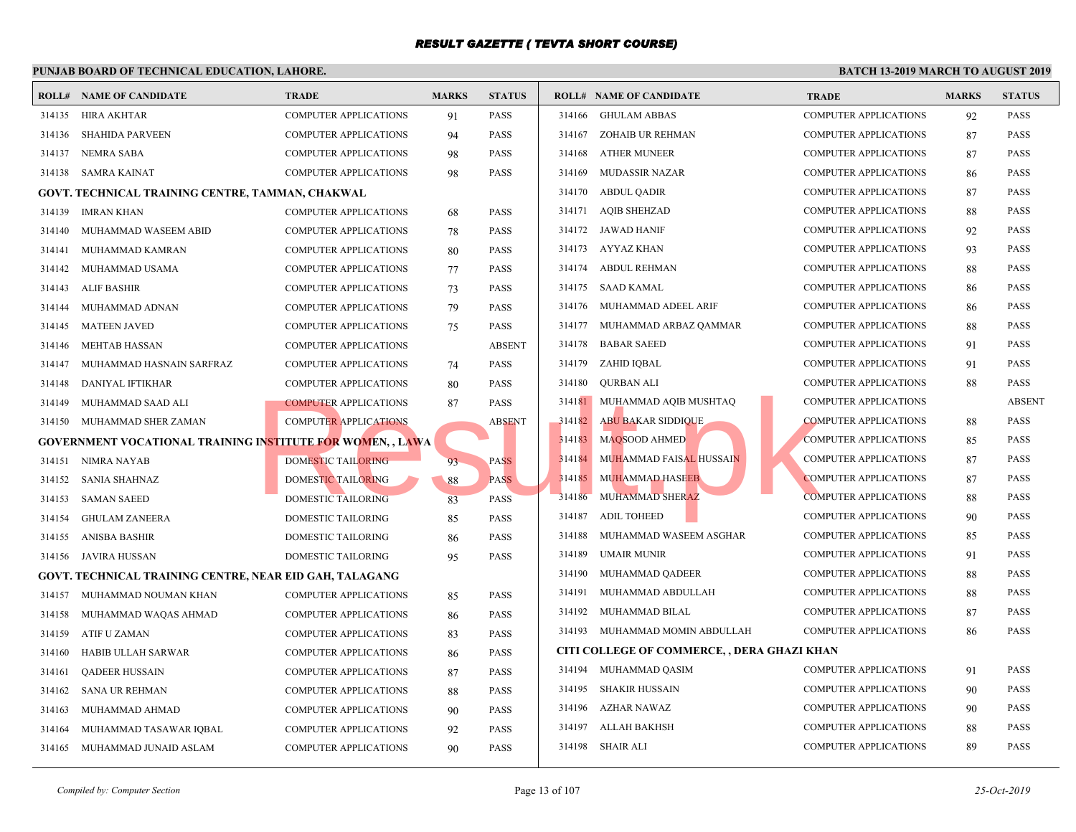|        | r UNJAD DOARD OF TECHNICAL EDUCATION, LAHORE                      |                              |              |               |        |                                            |             |
|--------|-------------------------------------------------------------------|------------------------------|--------------|---------------|--------|--------------------------------------------|-------------|
|        | <b>ROLL# NAME OF CANDIDATE</b>                                    | <b>TRADE</b>                 | <b>MARKS</b> | <b>STATUS</b> |        | <b>ROLL# NAME OF CANDIDATE</b>             | <b>TRAL</b> |
| 314135 | <b>HIRA AKHTAR</b>                                                | <b>COMPUTER APPLICATIONS</b> | 91           | <b>PASS</b>   |        | 314166 GHULAM ABBAS                        | <b>COMP</b> |
| 314136 | <b>SHAHIDA PARVEEN</b>                                            | COMPUTER APPLICATIONS        | 94           | <b>PASS</b>   | 314167 | ZOHAIB UR REHMAN                           | <b>COMP</b> |
| 314137 | <b>NEMRA SABA</b>                                                 | <b>COMPUTER APPLICATIONS</b> | 98           | <b>PASS</b>   | 314168 | <b>ATHER MUNEER</b>                        | <b>COMP</b> |
| 314138 | <b>SAMRA KAINAT</b>                                               | <b>COMPUTER APPLICATIONS</b> | 98           | <b>PASS</b>   | 314169 | <b>MUDASSIR NAZAR</b>                      | <b>COMP</b> |
|        | GOVT. TECHNICAL TRAINING CENTRE, TAMMAN, CHAKWAL                  |                              |              |               | 314170 | <b>ABDUL QADIR</b>                         | <b>COMP</b> |
| 314139 | <b>IMRAN KHAN</b>                                                 | <b>COMPUTER APPLICATIONS</b> | 68           | <b>PASS</b>   | 314171 | <b>AQIB SHEHZAD</b>                        | <b>COMP</b> |
| 314140 | MUHAMMAD WASEEM ABID                                              | <b>COMPUTER APPLICATIONS</b> | 78           | <b>PASS</b>   |        | 314172 JAWAD HANIF                         | <b>COMP</b> |
| 314141 | MUHAMMAD KAMRAN                                                   | <b>COMPUTER APPLICATIONS</b> | 80           | <b>PASS</b>   |        | 314173 AYYAZ KHAN                          | <b>COMP</b> |
| 314142 | MUHAMMAD USAMA                                                    | <b>COMPUTER APPLICATIONS</b> | 77           | <b>PASS</b>   |        | 314174 ABDUL REHMAN                        | <b>COMP</b> |
| 314143 | ALIF BASHIR                                                       | <b>COMPUTER APPLICATIONS</b> | 73           | <b>PASS</b>   | 314175 | SAAD KAMAL                                 | <b>COMP</b> |
| 314144 | MUHAMMAD ADNAN                                                    | <b>COMPUTER APPLICATIONS</b> | 79           | <b>PASS</b>   | 314176 | MUHAMMAD ADEEL ARIF                        | <b>COMP</b> |
| 314145 | <b>MATEEN JAVED</b>                                               | <b>COMPUTER APPLICATIONS</b> | 75           | <b>PASS</b>   | 314177 | MUHAMMAD ARBAZ QAMMAR                      | <b>COMP</b> |
| 314146 | <b>MEHTAB HASSAN</b>                                              | <b>COMPUTER APPLICATIONS</b> |              | <b>ABSENT</b> | 314178 | <b>BABAR SAEED</b>                         | <b>COMP</b> |
| 314147 | MUHAMMAD HASNAIN SARFRAZ                                          | COMPUTER APPLICATIONS        | 74           | <b>PASS</b>   | 314179 | ZAHID IQBAL                                | <b>COMP</b> |
| 314148 | DANIYAL IFTIKHAR                                                  | <b>COMPUTER APPLICATIONS</b> | 80           | <b>PASS</b>   | 314180 | QURBAN ALI                                 | <b>COMP</b> |
| 314149 | MUHAMMAD SAAD ALI                                                 | <b>COMPUTER APPLICATIONS</b> | 87           | <b>PASS</b>   | 314181 | MUHAMMAD AQIB MUSHTAQ                      | <b>COMP</b> |
| 314150 | MUHAMMAD SHER ZAMAN                                               | <b>COMPUTER APPLICATIONS</b> |              | <b>ABSENT</b> | 314182 | <b>ABU BAKAR SIDDIQUE</b>                  | <b>COMP</b> |
|        | <b>GOVERNMENT VOCATIONAL TRAINING INSTITUTE FOR WOMEN, , LAWA</b> |                              |              |               | 314183 | MAQSOOD AHMED                              | <b>COMP</b> |
| 314151 | NIMRA NAYAB                                                       | <b>DOMESTIC TAILORING</b>    | 93           | <b>PASS</b>   | 314184 | <b>MUHAMMAD FAISAL HUSSAIN</b>             | <b>COMP</b> |
| 314152 | <b>SANIA SHAHNAZ</b>                                              | DOMESTIC TAILORING           | 88           | <b>PASS</b>   | 314185 | <b>MUHAMMAD HASEEB</b>                     | <b>COMP</b> |
| 314153 | <b>SAMAN SAEED</b>                                                | DOMESTIC TAILORING           | 83           | <b>PASS</b>   | 314186 | MUHAMMAD SHERAZ                            | <b>COMP</b> |
| 314154 | <b>GHULAM ZANEERA</b>                                             | DOMESTIC TAILORING           | 85           | <b>PASS</b>   | 314187 | <b>ADIL TOHEED</b>                         | <b>COMP</b> |
| 314155 | <b>ANISBA BASHIR</b>                                              | <b>DOMESTIC TAILORING</b>    | 86           | <b>PASS</b>   | 314188 | MUHAMMAD WASEEM ASGHAR                     | <b>COMP</b> |
| 314156 | JAVIRA HUSSAN                                                     | <b>DOMESTIC TAILORING</b>    | 95           | <b>PASS</b>   | 314189 | <b>UMAIR MUNIR</b>                         | <b>COMP</b> |
|        | GOVT. TECHNICAL TRAINING CENTRE, NEAR EID GAH, TALAGANG           |                              |              |               | 314190 | MUHAMMAD QADEER                            | <b>COMP</b> |
| 314157 | MUHAMMAD NOUMAN KHAN                                              | <b>COMPUTER APPLICATIONS</b> | 85           | <b>PASS</b>   | 314191 | MUHAMMAD ABDULLAH                          | <b>COMP</b> |
| 314158 | MUHAMMAD WAQAS AHMAD                                              | <b>COMPUTER APPLICATIONS</b> | 86           | <b>PASS</b>   | 314192 | MUHAMMAD BILAL                             | <b>COMP</b> |
| 314159 | ATIF U ZAMAN                                                      | COMPUTER APPLICATIONS        | 83           | <b>PASS</b>   | 314193 | MUHAMMAD MOMIN ABDULLAH                    | <b>COMP</b> |
| 314160 | HABIB ULLAH SARWAR                                                | <b>COMPUTER APPLICATIONS</b> | 86           | <b>PASS</b>   |        | CITI COLLEGE OF COMMERCE, , DERA GHAZI KHA |             |
| 314161 | <b>QADEER HUSSAIN</b>                                             | <b>COMPUTER APPLICATIONS</b> | 87           | <b>PASS</b>   | 314194 | MUHAMMAD QASIM                             | <b>COMP</b> |
| 314162 | <b>SANA UR REHMAN</b>                                             | <b>COMPUTER APPLICATIONS</b> | 88           | <b>PASS</b>   | 314195 | SHAKIR HUSSAIN                             | <b>COMP</b> |
| 314163 | MUHAMMAD AHMAD                                                    | COMPUTER APPLICATIONS        | 90           | <b>PASS</b>   | 314196 | AZHAR NAWAZ                                | <b>COMP</b> |
| 314164 | MUHAMMAD TASAWAR IQBAL                                            | <b>COMPUTER APPLICATIONS</b> | 92           | PASS          | 314197 | ALLAH BAKHSH                               | <b>COMP</b> |
|        | 314165 MUHAMMAD JUNAID ASLAM                                      | <b>COMPUTER APPLICATIONS</b> | 90           | <b>PASS</b>   |        | 314198 SHAIR ALI                           | <b>COMP</b> |
|        |                                                                   |                              |              |               |        |                                            |             |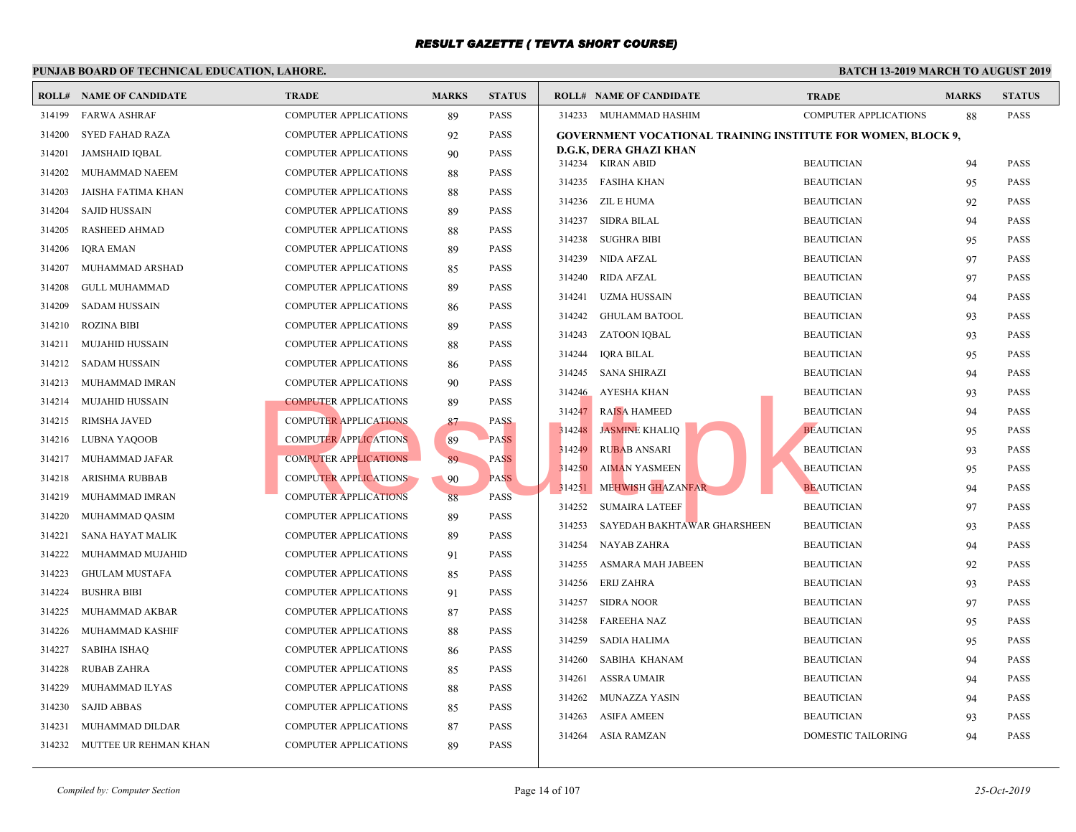|        | <b>ROLL# NAME OF CANDIDATE</b> | <b>TRADE</b>                 | <b>MARKS</b> | <b>STATUS</b> | <b>ROLL# NAME OF CANDIDATE</b>              |                                                 | <b>TRAL</b> |
|--------|--------------------------------|------------------------------|--------------|---------------|---------------------------------------------|-------------------------------------------------|-------------|
| 314199 | <b>FARWA ASHRAF</b>            | <b>COMPUTER APPLICATIONS</b> | 89           | <b>PASS</b>   | 314233 MUHAMMAD HASHIM                      |                                                 | <b>COMP</b> |
| 314200 | SYED FAHAD RAZA                | COMPUTER APPLICATIONS        | 92           | <b>PASS</b>   |                                             | <b>GOVERNMENT VOCATIONAL TRAINING INSTITUTE</b> |             |
| 314201 | <b>JAMSHAID IQBAL</b>          | COMPUTER APPLICATIONS        | 90           | <b>PASS</b>   | D.G.K, DERA GHAZI KHAN<br>314234 KIRAN ABID |                                                 | <b>BEAU</b> |
| 314202 | MUHAMMAD NAEEM                 | COMPUTER APPLICATIONS        | 88           | <b>PASS</b>   | 314235 FASIHA KHAN                          |                                                 | <b>BEAU</b> |
| 314203 | JAISHA FATIMA KHAN             | COMPUTER APPLICATIONS        | 88           | <b>PASS</b>   |                                             |                                                 |             |
| 314204 | <b>SAJID HUSSAIN</b>           | COMPUTER APPLICATIONS        | 89           | <b>PASS</b>   | 314236 ZIL E HUMA                           |                                                 | <b>BEAU</b> |
| 314205 | RASHEED AHMAD                  | COMPUTER APPLICATIONS        | 88           | <b>PASS</b>   | 314237 SIDRA BILAL                          |                                                 | <b>BEAU</b> |
| 314206 | <b>IORA EMAN</b>               | <b>COMPUTER APPLICATIONS</b> | 89           | <b>PASS</b>   | 314238<br><b>SUGHRA BIBI</b>                |                                                 | <b>BEAU</b> |
| 314207 | MUHAMMAD ARSHAD                | <b>COMPUTER APPLICATIONS</b> | 85           | <b>PASS</b>   | 314239 NIDA AFZAL                           |                                                 | <b>BEAU</b> |
| 314208 | <b>GULL MUHAMMAD</b>           | <b>COMPUTER APPLICATIONS</b> | 89           | <b>PASS</b>   | 314240<br>RIDA AFZAL                        |                                                 | <b>BEAU</b> |
| 314209 | <b>SADAM HUSSAIN</b>           | <b>COMPUTER APPLICATIONS</b> | 86           | <b>PASS</b>   | 314241 UZMA HUSSAIN                         |                                                 | <b>BEAU</b> |
| 314210 | <b>ROZINA BIBI</b>             | COMPUTER APPLICATIONS        | 89           | <b>PASS</b>   | <b>GHULAM BATOOL</b><br>314242              |                                                 | <b>BEAU</b> |
| 314211 | <b>MUJAHID HUSSAIN</b>         | COMPUTER APPLICATIONS        | 88           | <b>PASS</b>   | 314243 ZATOON IQBAL                         |                                                 | <b>BEAU</b> |
| 314212 | <b>SADAM HUSSAIN</b>           | COMPUTER APPLICATIONS        | 86           | <b>PASS</b>   | 314244<br><b>IQRA BILAL</b>                 |                                                 | <b>BEAU</b> |
| 314213 | MUHAMMAD IMRAN                 | COMPUTER APPLICATIONS        | 90           | <b>PASS</b>   | 314245 SANA SHIRAZI                         |                                                 | <b>BEAU</b> |
| 314214 | <b>MUJAHID HUSSAIN</b>         | <b>COMPUTER APPLICATIONS</b> | 89           | <b>PASS</b>   | 314246<br>AYESHA KHAN                       |                                                 | <b>BEAU</b> |
| 314215 | <b>RIMSHA JAVED</b>            | <b>COMPUTER APPLICATIONS</b> | 87           | <b>PASS</b>   | <b>RAISA HAMEED</b><br>314247               |                                                 | <b>BEAU</b> |
| 314216 | LUBNA YAQOOB                   | <b>COMPUTER APPLICATIONS</b> | 89           | <b>PASS</b>   | 314248 JASMINE KHALIQ                       |                                                 | <b>BEAU</b> |
| 314217 | MUHAMMAD JAFAR                 | <b>COMPUTER APPLICATIONS</b> | 89           | <b>PASS</b>   | 314249<br><b>RUBAB ANSARI</b>               |                                                 | <b>BEAU</b> |
| 314218 | ARISHMA RUBBAB                 | <b>COMPUTER APPLICATIONS</b> | 90           | <b>PASS</b>   | 314250<br><b>AIMAN YASMEEN</b>              |                                                 | <b>BEAU</b> |
| 314219 | MUHAMMAD IMRAN                 | <b>COMPUTER APPLICATIONS</b> | 88           | <b>PASS</b>   | 314251                                      | <b>MEHWISH GHAZANFAR</b>                        | <b>BEAU</b> |
| 314220 | MUHAMMAD QASIM                 | COMPUTER APPLICATIONS        | 89           | <b>PASS</b>   | <b>SUMAIRA LATEEF</b><br>314252             |                                                 | <b>BEAU</b> |
| 314221 | SANA HAYAT MALIK               | COMPUTER APPLICATIONS        | 89           | <b>PASS</b>   | 314253                                      | SAYEDAH BAKHTAWAR GHARSHEEN                     | <b>BEAU</b> |
| 314222 | MUHAMMAD MUJAHID               | COMPUTER APPLICATIONS        | 91           | <b>PASS</b>   | <b>NAYAB ZAHRA</b><br>314254                |                                                 | <b>BEAU</b> |
| 314223 | <b>GHULAM MUSTAFA</b>          | COMPUTER APPLICATIONS        | 85           | <b>PASS</b>   | 314255<br>ASMARA MAH JABEEN                 |                                                 | <b>BEAU</b> |
| 314224 | <b>BUSHRA BIBI</b>             | <b>COMPUTER APPLICATIONS</b> | 91           | <b>PASS</b>   | 314256 ERIJ ZAHRA                           |                                                 | <b>BEAU</b> |
| 314225 | MUHAMMAD AKBAR                 | <b>COMPUTER APPLICATIONS</b> | 87           | <b>PASS</b>   | 314257 SIDRA NOOR                           |                                                 | <b>BEAU</b> |
| 314226 | MUHAMMAD KASHIF                | <b>COMPUTER APPLICATIONS</b> | 88           | <b>PASS</b>   | 314258<br>FAREEHA NAZ                       |                                                 | <b>BEAU</b> |
| 314227 | SABIHA ISHAQ                   | <b>COMPUTER APPLICATIONS</b> |              | <b>PASS</b>   | 314259<br>SADIA HALIMA                      |                                                 | <b>BEAU</b> |
|        |                                |                              | 86           | <b>PASS</b>   | 314260<br>SABIHA KHANAM                     |                                                 | <b>BEAU</b> |
| 314228 | RUBAB ZAHRA                    | <b>COMPUTER APPLICATIONS</b> | 85           |               | 314261<br><b>ASSRA UMAIR</b>                |                                                 | <b>BEAU</b> |
| 314229 | MUHAMMAD ILYAS                 | COMPUTER APPLICATIONS        | 88           | <b>PASS</b>   | 314262 MUNAZZA YASIN                        |                                                 | <b>BEAU</b> |
| 314230 | <b>SAJID ABBAS</b>             | <b>COMPUTER APPLICATIONS</b> | 85           | <b>PASS</b>   | 314263<br><b>ASIFA AMEEN</b>                |                                                 | <b>BEAU</b> |
| 314231 | MUHAMMAD DILDAR                | COMPUTER APPLICATIONS        | 87           | <b>PASS</b>   | ASIA RAMZAN<br>314264                       |                                                 | <b>DOME</b> |
|        | 314232 MUTTEE UR REHMAN KHAN   | COMPUTER APPLICATIONS        | 89           | <b>PASS</b>   |                                             |                                                 |             |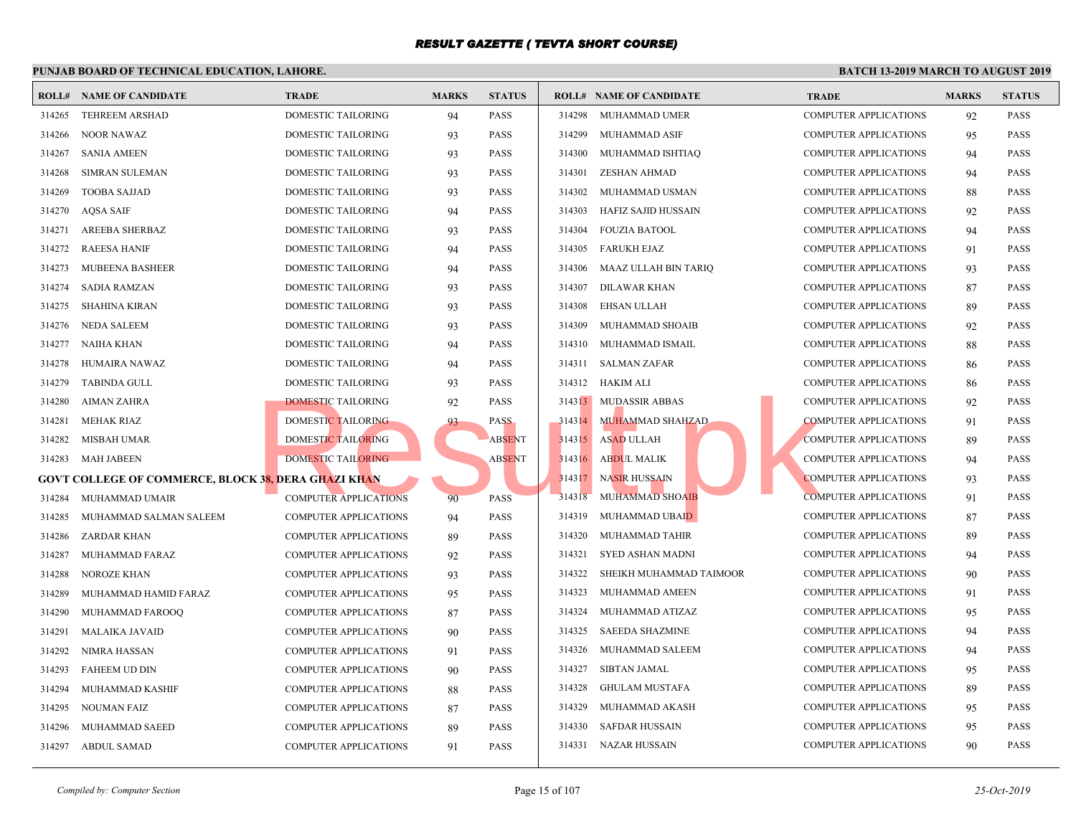|        | <b>ROLL# NAME OF CANDIDATE</b>                             | <b>TRADE</b>                 | <b>MARKS</b> | <b>STATUS</b> |        | <b>ROLL# NAME OF CANDIDATE</b> | <b>TRAL</b> |
|--------|------------------------------------------------------------|------------------------------|--------------|---------------|--------|--------------------------------|-------------|
| 314265 | <b>TEHREEM ARSHAD</b>                                      | DOMESTIC TAILORING           | 94           | <b>PASS</b>   | 314298 | MUHAMMAD UMER                  | <b>COMP</b> |
| 314266 | <b>NOOR NAWAZ</b>                                          | DOMESTIC TAILORING           | 93           | <b>PASS</b>   | 314299 | MUHAMMAD ASIF                  | <b>COMP</b> |
| 314267 | <b>SANIA AMEEN</b>                                         | DOMESTIC TAILORING           | 93           | <b>PASS</b>   |        | 314300 MUHAMMAD ISHTIAQ        | <b>COMP</b> |
| 314268 | <b>SIMRAN SULEMAN</b>                                      | DOMESTIC TAILORING           | 93           | <b>PASS</b>   | 314301 | <b>ZESHAN AHMAD</b>            | <b>COMP</b> |
| 314269 | <b>TOOBA SAJJAD</b>                                        | DOMESTIC TAILORING           | 93           | <b>PASS</b>   | 314302 | MUHAMMAD USMAN                 | <b>COMP</b> |
| 314270 | AQSA SAIF                                                  | DOMESTIC TAILORING           | 94           | <b>PASS</b>   | 314303 | HAFIZ SAJID HUSSAIN            | <b>COMP</b> |
| 314271 | AREEBA SHERBAZ                                             | DOMESTIC TAILORING           | 93           | <b>PASS</b>   | 314304 | FOUZIA BATOOL                  | <b>COMP</b> |
| 314272 | <b>RAEESA HANIF</b>                                        | DOMESTIC TAILORING           | 94           | <b>PASS</b>   | 314305 | FARUKH EJAZ                    | <b>COMP</b> |
| 314273 | <b>MUBEENA BASHEER</b>                                     | DOMESTIC TAILORING           | 94           | <b>PASS</b>   | 314306 | MAAZ ULLAH BIN TARIQ           | <b>COMP</b> |
| 314274 | <b>SADIA RAMZAN</b>                                        | DOMESTIC TAILORING           | 93           | <b>PASS</b>   | 314307 | DILAWAR KHAN                   | <b>COMP</b> |
| 314275 | <b>SHAHINA KIRAN</b>                                       | DOMESTIC TAILORING           | 93           | <b>PASS</b>   | 314308 | EHSAN ULLAH                    | <b>COMP</b> |
| 314276 | NEDA SALEEM                                                | DOMESTIC TAILORING           | 93           | <b>PASS</b>   | 314309 | MUHAMMAD SHOAIB                | <b>COMP</b> |
| 314277 | NAIHA KHAN                                                 | DOMESTIC TAILORING           | 94           | <b>PASS</b>   |        | 314310 MUHAMMAD ISMAIL         | <b>COMP</b> |
| 314278 | HUMAIRA NAWAZ                                              | DOMESTIC TAILORING           | 94           | <b>PASS</b>   | 314311 | <b>SALMAN ZAFAR</b>            | <b>COMP</b> |
| 314279 | <b>TABINDA GULL</b>                                        | DOMESTIC TAILORING           | 93           | <b>PASS</b>   |        | 314312 HAKIM ALI               | <b>COMP</b> |
| 314280 | AIMAN ZAHRA                                                | <b>DOMESTIC TAILORING</b>    | 92           | <b>PASS</b>   |        | 314313 MUDASSIR ABBAS          | <b>COMP</b> |
| 314281 | MEHAK RIAZ                                                 | <b>DOMESTIC TAILORING</b>    | 93           | <b>PASS</b>   | 314314 | MUHAMMAD SHAHZAD               | <b>COMP</b> |
| 314282 | MISBAH UMAR                                                | <b>DOMESTIC TAILORING</b>    |              | <b>ABSENT</b> | 314315 | <b>ASAD ULLAH</b>              | <b>COMP</b> |
| 314283 | MAH JABEEN                                                 | <b>DOMESTIC TAILORING</b>    |              | <b>ABSENT</b> | 314316 | <b>ABDUL MALIK</b>             | <b>COMP</b> |
|        | <b>GOVT COLLEGE OF COMMERCE, BLOCK 38, DERA GHAZI KHAN</b> |                              |              |               | 314317 | <b>NASIR HUSSAIN</b>           | <b>COMP</b> |
| 314284 | MUHAMMAD UMAIR                                             | <b>COMPUTER APPLICATIONS</b> | 90           | <b>PASS</b>   | 314318 | <b>MUHAMMAD SHOAIB</b>         | <b>COMP</b> |
| 314285 | MUHAMMAD SALMAN SALEEM                                     | COMPUTER APPLICATIONS        | 94           | <b>PASS</b>   | 314319 | MUHAMMAD UBAID                 | <b>COMP</b> |
| 314286 | <b>ZARDAR KHAN</b>                                         | COMPUTER APPLICATIONS        | 89           | <b>PASS</b>   | 314320 | MUHAMMAD TAHIR                 | <b>COMP</b> |
| 314287 | MUHAMMAD FARAZ                                             | COMPUTER APPLICATIONS        | 92           | <b>PASS</b>   | 314321 | SYED ASHAN MADNI               | <b>COMP</b> |
| 314288 | NOROZE KHAN                                                | COMPUTER APPLICATIONS        | 93           | <b>PASS</b>   | 314322 | SHEIKH MUHAMMAD TAIMOOR        | <b>COMP</b> |
| 314289 | MUHAMMAD HAMID FARAZ                                       | <b>COMPUTER APPLICATIONS</b> | 95           | <b>PASS</b>   | 314323 | MUHAMMAD AMEEN                 | <b>COMP</b> |
| 314290 | MUHAMMAD FAROOQ                                            | <b>COMPUTER APPLICATIONS</b> | 87           | <b>PASS</b>   | 314324 | MUHAMMAD ATIZAZ                | <b>COMP</b> |
| 314291 | <b>MALAIKA JAVAID</b>                                      | <b>COMPUTER APPLICATIONS</b> | 90           | <b>PASS</b>   | 314325 | <b>SAEEDA SHAZMINE</b>         | <b>COMP</b> |
| 314292 | NIMRA HASSAN                                               | <b>COMPUTER APPLICATIONS</b> | 91           | <b>PASS</b>   | 314326 | MUHAMMAD SALEEM                | <b>COMP</b> |
| 314293 | <b>FAHEEM UD DIN</b>                                       | COMPUTER APPLICATIONS        | 90           | <b>PASS</b>   | 314327 | SIBTAN JAMAL                   | <b>COMP</b> |
| 314294 | MUHAMMAD KASHIF                                            | COMPUTER APPLICATIONS        | 88           | <b>PASS</b>   | 314328 | <b>GHULAM MUSTAFA</b>          | <b>COMP</b> |
| 314295 | NOUMAN FAIZ                                                | COMPUTER APPLICATIONS        | 87           | <b>PASS</b>   | 314329 | MUHAMMAD AKASH                 | <b>COMP</b> |
| 314296 | MUHAMMAD SAEED                                             | <b>COMPUTER APPLICATIONS</b> | 89           | <b>PASS</b>   | 314330 | <b>SAFDAR HUSSAIN</b>          | <b>COMP</b> |
| 314297 | ABDUL SAMAD                                                | COMPUTER APPLICATIONS        | 91           | <b>PASS</b>   |        | 314331 NAZAR HUSSAIN           | <b>COMP</b> |
|        |                                                            |                              |              |               |        |                                |             |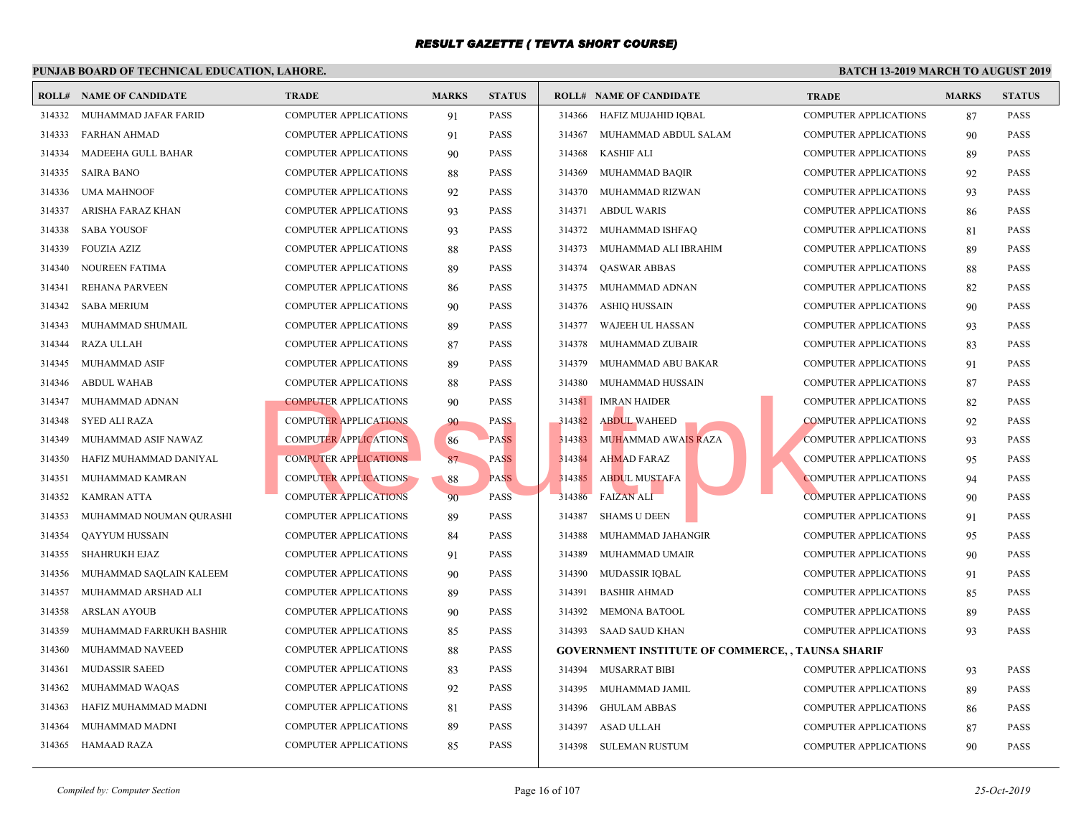|        | <b>ROLL# NAME OF CANDIDATE</b> | TRADE                        | <b>MARKS</b> | <b>STATUS</b> |        | <b>ROLL# NAME OF CANDIDATE</b>                  | <b>TRAL</b> |
|--------|--------------------------------|------------------------------|--------------|---------------|--------|-------------------------------------------------|-------------|
| 314332 | MUHAMMAD JAFAR FARID           | <b>COMPUTER APPLICATIONS</b> | 91           | <b>PASS</b>   | 314366 | HAFIZ MUJAHID IQBAL                             | <b>COMP</b> |
| 314333 | FARHAN AHMAD                   | <b>COMPUTER APPLICATIONS</b> | 91           | <b>PASS</b>   | 314367 | MUHAMMAD ABDUL SALAM                            | <b>COMP</b> |
| 314334 | MADEEHA GULL BAHAR             | <b>COMPUTER APPLICATIONS</b> | 90           | <b>PASS</b>   | 314368 | <b>KASHIF ALI</b>                               | <b>COMP</b> |
| 314335 | <b>SAIRA BANO</b>              | <b>COMPUTER APPLICATIONS</b> | 88           | <b>PASS</b>   | 314369 | MUHAMMAD BAQIR                                  | <b>COMP</b> |
| 314336 | <b>UMA MAHNOOF</b>             | <b>COMPUTER APPLICATIONS</b> | 92           | <b>PASS</b>   | 314370 | MUHAMMAD RIZWAN                                 | <b>COMP</b> |
| 314337 | ARISHA FARAZ KHAN              | <b>COMPUTER APPLICATIONS</b> | 93           | <b>PASS</b>   | 314371 | <b>ABDUL WARIS</b>                              | <b>COMP</b> |
| 314338 | <b>SABA YOUSOF</b>             | <b>COMPUTER APPLICATIONS</b> | 93           | <b>PASS</b>   | 314372 | MUHAMMAD ISHFAQ                                 | <b>COMP</b> |
| 314339 | <b>FOUZIA AZIZ</b>             | <b>COMPUTER APPLICATIONS</b> | 88           | <b>PASS</b>   | 314373 | MUHAMMAD ALI IBRAHIM                            | <b>COMP</b> |
| 314340 | NOUREEN FATIMA                 | <b>COMPUTER APPLICATIONS</b> | 89           | <b>PASS</b>   | 314374 | <b>QASWAR ABBAS</b>                             | <b>COMP</b> |
| 314341 | REHANA PARVEEN                 | <b>COMPUTER APPLICATIONS</b> | 86           | <b>PASS</b>   | 314375 | MUHAMMAD ADNAN                                  | <b>COMP</b> |
| 314342 | <b>SABA MERIUM</b>             | <b>COMPUTER APPLICATIONS</b> | 90           | <b>PASS</b>   | 314376 | ASHIQ HUSSAIN                                   | <b>COMP</b> |
| 314343 | MUHAMMAD SHUMAIL               | <b>COMPUTER APPLICATIONS</b> | 89           | <b>PASS</b>   | 314377 | WAJEEH UL HASSAN                                | <b>COMP</b> |
| 314344 | <b>RAZA ULLAH</b>              | <b>COMPUTER APPLICATIONS</b> | 87           | <b>PASS</b>   | 314378 | MUHAMMAD ZUBAIR                                 | <b>COMP</b> |
| 314345 | MUHAMMAD ASIF                  | <b>COMPUTER APPLICATIONS</b> | 89           | <b>PASS</b>   | 314379 | MUHAMMAD ABU BAKAR                              | <b>COMP</b> |
| 314346 | <b>ABDUL WAHAB</b>             | <b>COMPUTER APPLICATIONS</b> | 88           | <b>PASS</b>   | 314380 | MUHAMMAD HUSSAIN                                | <b>COMP</b> |
| 314347 | MUHAMMAD ADNAN                 | <b>COMPUTER APPLICATIONS</b> | 90           | <b>PASS</b>   | 314381 | <b>IMRAN HAIDER</b>                             | <b>COMP</b> |
| 314348 | <b>SYED ALI RAZA</b>           | COMPUTER APPLICATIONS        | 90           | <b>PASS</b>   | 314382 | <b>ABDUL WAHEED</b>                             | <b>COMP</b> |
| 314349 | MUHAMMAD ASIF NAWAZ            | <b>COMPUTER APPLICATIONS</b> | 86           | <b>PASS</b>   | 314383 | <b>MUHAMMAD AWAIS RAZA</b>                      | <b>COMP</b> |
| 314350 | HAFIZ MUHAMMAD DANIYAL         | <b>COMPUTER APPLICATIONS</b> | 87           | <b>PASS</b>   | 314384 | <b>AHMAD FARAZ</b>                              | <b>COMP</b> |
| 314351 | MUHAMMAD KAMRAN                | <b>COMPUTER APPLICATIONS</b> | 88           | <b>PASS</b>   | 314385 | <b>ABDUL MUSTAFA</b>                            | <b>COMP</b> |
| 314352 | <b>KAMRAN ATTA</b>             | <b>COMPUTER APPLICATIONS</b> | 90           | <b>PASS</b>   | 314386 | <b>FAIZAN ALI</b>                               | <b>COMP</b> |
| 314353 | MUHAMMAD NOUMAN QURASHI        | <b>COMPUTER APPLICATIONS</b> | 89           | <b>PASS</b>   | 314387 | <b>SHAMS U DEEN</b>                             | <b>COMP</b> |
| 314354 | <b>QAYYUM HUSSAIN</b>          | <b>COMPUTER APPLICATIONS</b> | 84           | <b>PASS</b>   | 314388 | MUHAMMAD JAHANGIR                               | <b>COMP</b> |
| 314355 | <b>SHAHRUKH EJAZ</b>           | <b>COMPUTER APPLICATIONS</b> | 91           | <b>PASS</b>   | 314389 | MUHAMMAD UMAIR                                  | <b>COMP</b> |
| 314356 | MUHAMMAD SAQLAIN KALEEM        | <b>COMPUTER APPLICATIONS</b> | 90           | <b>PASS</b>   | 314390 | <b>MUDASSIR IQBAL</b>                           | <b>COMP</b> |
| 314357 | MUHAMMAD ARSHAD ALI            | <b>COMPUTER APPLICATIONS</b> | 89           | <b>PASS</b>   | 314391 | <b>BASHIR AHMAD</b>                             | <b>COMP</b> |
| 314358 | <b>ARSLAN AYOUB</b>            | <b>COMPUTER APPLICATIONS</b> | 90           | <b>PASS</b>   | 314392 | <b>MEMONA BATOOL</b>                            | <b>COMP</b> |
| 314359 | MUHAMMAD FARRUKH BASHIR        | <b>COMPUTER APPLICATIONS</b> | 85           | <b>PASS</b>   | 314393 | SAAD SAUD KHAN                                  | <b>COMP</b> |
| 314360 | MUHAMMAD NAVEED                | <b>COMPUTER APPLICATIONS</b> | 88           | <b>PASS</b>   |        | <b>GOVERNMENT INSTITUTE OF COMMERCE,, TAUNS</b> |             |
| 314361 | <b>MUDASSIR SAEED</b>          | <b>COMPUTER APPLICATIONS</b> | 83           | <b>PASS</b>   | 314394 | MUSARRAT BIBI                                   | <b>COMP</b> |
| 314362 | MUHAMMAD WAQAS                 | <b>COMPUTER APPLICATIONS</b> | 92           | <b>PASS</b>   | 314395 | MUHAMMAD JAMIL                                  | <b>COMP</b> |
| 314363 | HAFIZ MUHAMMAD MADNI           | <b>COMPUTER APPLICATIONS</b> | 81           | <b>PASS</b>   | 314396 | <b>GHULAM ABBAS</b>                             | <b>COMP</b> |
| 314364 | MUHAMMAD MADNI                 | <b>COMPUTER APPLICATIONS</b> | 89           | <b>PASS</b>   | 314397 | <b>ASAD ULLAH</b>                               | <b>COMP</b> |
| 314365 | HAMAAD RAZA                    | <b>COMPUTER APPLICATIONS</b> | 85           | <b>PASS</b>   |        | 314398 SULEMAN RUSTUM                           | <b>COMP</b> |
|        |                                |                              |              |               |        |                                                 |             |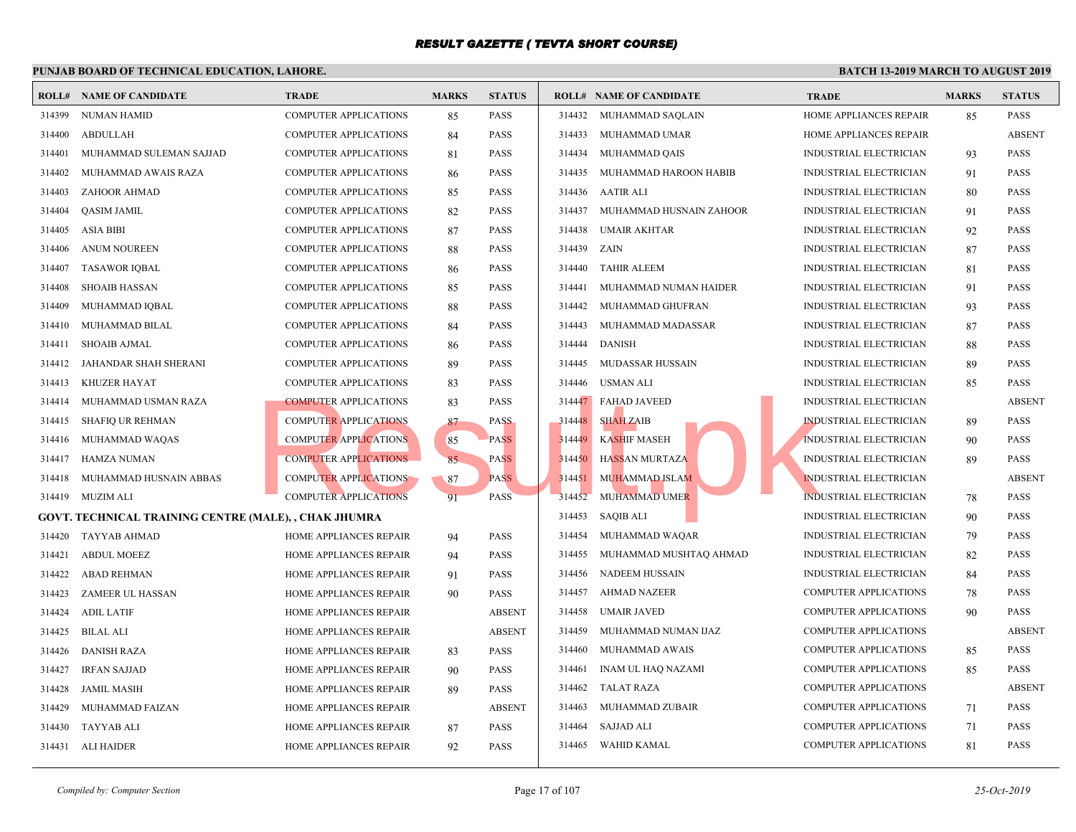|        | <b>ROLL# NAME OF CANDIDATE</b>                        | <b>TRADE</b>                  | <b>MARKS</b> | <b>STATUS</b> |        | <b>ROLL# NAME OF CANDIDATE</b> | <b>TRAL</b>  |
|--------|-------------------------------------------------------|-------------------------------|--------------|---------------|--------|--------------------------------|--------------|
| 314399 | <b>NUMAN HAMID</b>                                    | <b>COMPUTER APPLICATIONS</b>  | 85           | <b>PASS</b>   | 314432 | MUHAMMAD SAQLAIN               | <b>HOME</b>  |
| 314400 | <b>ABDULLAH</b>                                       | <b>COMPUTER APPLICATIONS</b>  | 84           | <b>PASS</b>   | 314433 | MUHAMMAD UMAR                  | HOME         |
| 314401 | MUHAMMAD SULEMAN SAJJAD                               | <b>COMPUTER APPLICATIONS</b>  | 81           | <b>PASS</b>   | 314434 | MUHAMMAD QAIS                  | <b>INDUS</b> |
| 314402 | MUHAMMAD AWAIS RAZA                                   | COMPUTER APPLICATIONS         | 86           | <b>PASS</b>   | 314435 | MUHAMMAD HAROON HABIB          | <b>INDUS</b> |
| 314403 | ZAHOOR AHMAD                                          | <b>COMPUTER APPLICATIONS</b>  | 85           | <b>PASS</b>   | 314436 | AATIR ALI                      | <b>INDUS</b> |
| 314404 | QASIM JAMIL                                           | COMPUTER APPLICATIONS         | 82           | <b>PASS</b>   | 314437 | MUHAMMAD HUSNAIN ZAHOOR        | <b>INDUS</b> |
| 314405 | ASIA BIBI                                             | <b>COMPUTER APPLICATIONS</b>  | 87           | <b>PASS</b>   | 314438 | <b>UMAIR AKHTAR</b>            | <b>INDUS</b> |
| 314406 | <b>ANUM NOUREEN</b>                                   | <b>COMPUTER APPLICATIONS</b>  | 88           | <b>PASS</b>   | 314439 | ZAIN                           | <b>INDUS</b> |
| 314407 | <b>TASAWOR IQBAL</b>                                  | <b>COMPUTER APPLICATIONS</b>  | 86           | <b>PASS</b>   | 314440 | <b>TAHIR ALEEM</b>             | <b>INDUS</b> |
| 314408 | <b>SHOAIB HASSAN</b>                                  | <b>COMPUTER APPLICATIONS</b>  | 85           | <b>PASS</b>   | 314441 | MUHAMMAD NUMAN HAIDER          | <b>INDUS</b> |
| 314409 | MUHAMMAD IQBAL                                        | COMPUTER APPLICATIONS         | 88           | <b>PASS</b>   | 314442 | MUHAMMAD GHUFRAN               | <b>INDUS</b> |
| 314410 | MUHAMMAD BILAL                                        | <b>COMPUTER APPLICATIONS</b>  | 84           | <b>PASS</b>   | 314443 | MUHAMMAD MADASSAR              | <b>INDUS</b> |
| 314411 | <b>SHOAIB AJMAL</b>                                   | <b>COMPUTER APPLICATIONS</b>  | 86           | <b>PASS</b>   | 314444 | <b>DANISH</b>                  | <b>INDUS</b> |
| 314412 | JAHANDAR SHAH SHERANI                                 | <b>COMPUTER APPLICATIONS</b>  | 89           | <b>PASS</b>   | 314445 | MUDASSAR HUSSAIN               | <b>INDUS</b> |
| 314413 | KHUZER HAYAT                                          | <b>COMPUTER APPLICATIONS</b>  | 83           | PASS          | 314446 | USMAN ALI                      | <b>INDUS</b> |
| 314414 | MUHAMMAD USMAN RAZA                                   | <b>COMPUTER APPLICATIONS</b>  | 83           | <b>PASS</b>   |        | 314447 FAHAD JAVEED            | <b>INDUS</b> |
| 314415 | <b>SHAFIO UR REHMAN</b>                               | <b>COMPUTER APPLICATIONS</b>  | 87           | <b>PASS</b>   | 314448 | <b>SHAH ZAIB</b>               | <b>INDUS</b> |
| 314416 | MUHAMMAD WAQAS                                        | <b>COMPUTER APPLICATIONS</b>  | 85           | <b>PASS</b>   | 314449 | <b>KASHIF MASEH</b>            | <b>INDUS</b> |
| 314417 | HAMZA NUMAN                                           | <b>COMPUTER APPLICATIONS</b>  | 85           | <b>PASS</b>   |        | 314450 HASSAN MURTAZA          | <b>INDUS</b> |
| 314418 | MUHAMMAD HUSNAIN ABBAS                                | <b>COMPUTER APPLICATIONS</b>  | 87           | <b>PASS</b>   | 314451 | <b>MUHAMMAD ISLAM</b>          | <b>INDUS</b> |
| 314419 | MUZIM ALI                                             | <b>COMPUTER APPLICATIONS</b>  | 91           | <b>PASS</b>   | 314452 | MUHAMMAD UMER                  | <b>INDUS</b> |
|        | GOVT. TECHNICAL TRAINING CENTRE (MALE), , CHAK JHUMRA |                               |              |               | 314453 | <b>SAQIB ALI</b>               | <b>INDUS</b> |
| 314420 | <b>TAYYAB AHMAD</b>                                   | HOME APPLIANCES REPAIR        | 94           | <b>PASS</b>   | 314454 | MUHAMMAD WAQAR                 | <b>INDUS</b> |
| 314421 | <b>ABDUL MOEEZ</b>                                    | HOME APPLIANCES REPAIR        | 94           | <b>PASS</b>   | 314455 | MUHAMMAD MUSHTAQ AHMAD         | <b>INDUS</b> |
| 314422 | <b>ABAD REHMAN</b>                                    | HOME APPLIANCES REPAIR        | 91           | <b>PASS</b>   | 314456 | <b>NADEEM HUSSAIN</b>          | <b>INDUS</b> |
| 314423 | <b>ZAMEER UL HASSAN</b>                               | HOME APPLIANCES REPAIR        | 90           | <b>PASS</b>   | 314457 | <b>AHMAD NAZEER</b>            | <b>COMP</b>  |
| 314424 | <b>ADIL LATIF</b>                                     | HOME APPLIANCES REPAIR        |              | <b>ABSENT</b> | 314458 | <b>UMAIR JAVED</b>             | <b>COMP</b>  |
| 314425 | <b>BILAL ALI</b>                                      | <b>HOME APPLIANCES REPAIR</b> |              | <b>ABSENT</b> | 314459 | MUHAMMAD NUMAN IJAZ            | <b>COMP</b>  |
| 314426 | <b>DANISH RAZA</b>                                    | HOME APPLIANCES REPAIR        | 83           | <b>PASS</b>   | 314460 | MUHAMMAD AWAIS                 | <b>COMP</b>  |
| 314427 | <b>IRFAN SAJJAD</b>                                   | HOME APPLIANCES REPAIR        | 90           | <b>PASS</b>   | 314461 | <b>INAM UL HAQ NAZAMI</b>      | <b>COMP</b>  |
| 314428 | JAMIL MASIH                                           | HOME APPLIANCES REPAIR        | 89           | <b>PASS</b>   | 314462 | <b>TALAT RAZA</b>              | COMP         |
| 314429 | MUHAMMAD FAIZAN                                       | HOME APPLIANCES REPAIR        |              | <b>ABSENT</b> | 314463 | MUHAMMAD ZUBAIR                | <b>COMP</b>  |
| 314430 | <b>TAYYAB ALI</b>                                     | HOME APPLIANCES REPAIR        | 87           | <b>PASS</b>   | 314464 | <b>SAJJAD ALI</b>              | <b>COMP</b>  |
| 314431 | ALI HAIDER                                            | HOME APPLIANCES REPAIR        | 92           | <b>PASS</b>   | 314465 | WAHID KAMAL                    | COMP         |
|        |                                                       |                               |              |               |        |                                |              |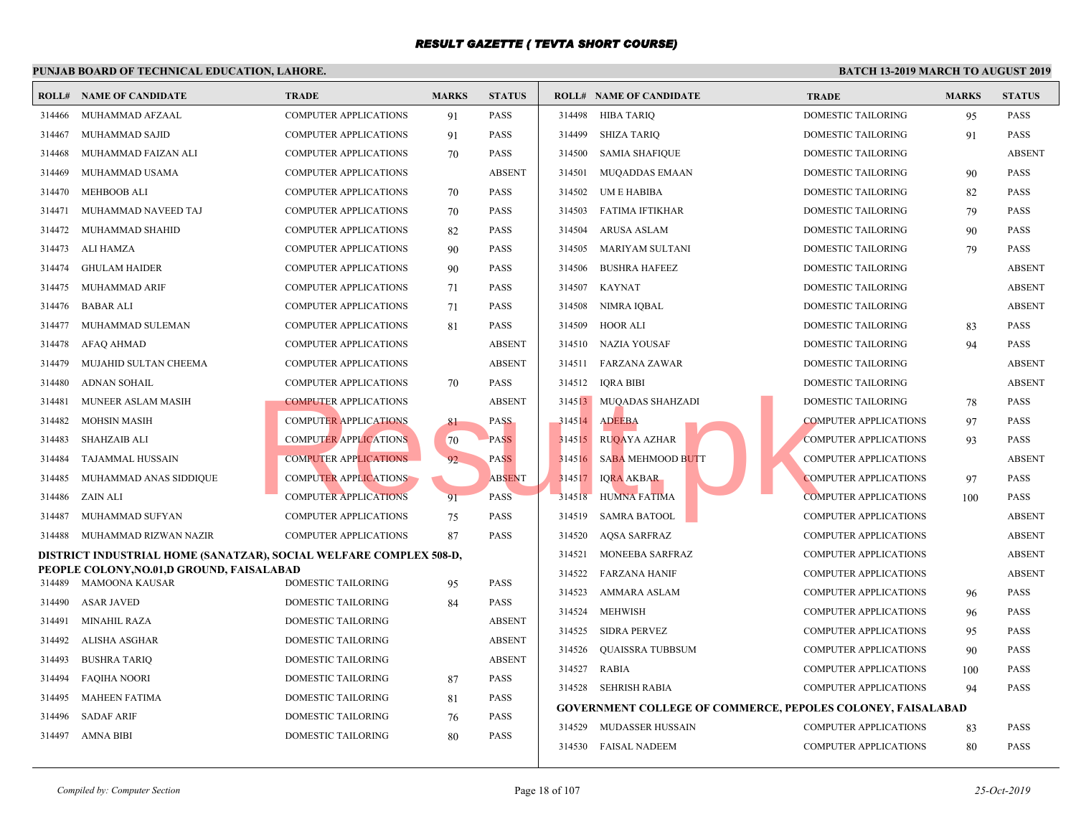| <b>TRADE</b><br><b>MARKS</b><br><b>STATUS</b><br><b>ROLL# NAME OF CANDIDATE</b><br><b>ROLL# NAME OF CANDIDATE</b><br><b>TRAL</b><br><b>COMPUTER APPLICATIONS</b><br><b>PASS</b><br>314498<br>HIBA TARIQ<br><b>DOME</b><br>314466<br>MUHAMMAD AFZAAL<br>91<br><b>COMPUTER APPLICATIONS</b><br><b>PASS</b><br>314499<br><b>SHIZA TARIO</b><br><b>DOME</b><br>314467<br>MUHAMMAD SAJID<br>91<br><b>DOME</b><br>MUHAMMAD FAIZAN ALI<br><b>COMPUTER APPLICATIONS</b><br><b>PASS</b><br>314500<br><b>SAMIA SHAFIQUE</b><br>314468<br>70<br><b>ABSENT</b><br>314501<br><b>DOME</b><br>314469<br>MUHAMMAD USAMA<br>COMPUTER APPLICATIONS<br><b>MUQADDAS EMAAN</b><br><b>MEHBOOB ALI</b><br><b>PASS</b><br>314502<br>UM E HABIBA<br><b>DOME</b><br>314470<br><b>COMPUTER APPLICATIONS</b><br>70<br><b>DOME</b><br>MUHAMMAD NAVEED TAJ<br><b>COMPUTER APPLICATIONS</b><br>70<br><b>PASS</b><br>314503<br>FATIMA IFTIKHAR<br>314471<br>314472<br><b>COMPUTER APPLICATIONS</b><br><b>PASS</b><br>314504<br><b>ARUSA ASLAM</b><br><b>DOME</b><br>MUHAMMAD SHAHID<br>82<br>ALI HAMZA<br>314505<br>MARIYAM SULTANI<br><b>DOME</b><br>314473<br><b>COMPUTER APPLICATIONS</b><br>90<br><b>PASS</b><br><b>GHULAM HAIDER</b><br><b>PASS</b><br>314506<br><b>BUSHRA HAFEEZ</b><br><b>DOME</b><br>314474<br><b>COMPUTER APPLICATIONS</b><br>90<br>314507<br><b>KAYNAT</b><br><b>DOME</b><br>314475<br><b>MUHAMMAD ARIF</b><br><b>COMPUTER APPLICATIONS</b><br><b>PASS</b><br>71<br>NIMRA IQBAL<br><b>DOME</b><br>314476<br><b>BABAR ALI</b><br><b>COMPUTER APPLICATIONS</b><br>71<br><b>PASS</b><br>314508<br><b>PASS</b><br>314509<br><b>HOOR ALI</b><br><b>DOME</b><br>314477<br>MUHAMMAD SULEMAN<br>COMPUTER APPLICATIONS<br>81<br>AFAQ AHMAD<br>COMPUTER APPLICATIONS<br><b>ABSENT</b><br>314510 NAZIA YOUSAF<br><b>DOME</b><br>314478<br>MUJAHID SULTAN CHEEMA<br>COMPUTER APPLICATIONS<br><b>ABSENT</b><br>314511 FARZANA ZAWAR<br><b>DOME</b><br>314479<br><b>ADNAN SOHAIL</b><br><b>PASS</b><br>314512<br>IQRA BIBI<br><b>DOME</b><br>314480<br><b>COMPUTER APPLICATIONS</b><br>70<br>MUNEER ASLAM MASIH<br><b>COMPUTER APPLICATIONS</b><br><b>ABSENT</b><br>314513 MUQADAS SHAHZADI<br><b>DOME</b><br>314481<br><b>MOHSIN MASIH</b><br><b>COMPUTER APPLICATIONS</b><br><b>PASS</b><br>314514 ADEEBA<br><b>COMP</b><br>314482<br>81<br><b>COMPUTER APPLICATIONS</b><br>314515 RUQAYA AZHAR<br><b>COMP</b><br>314483<br><b>SHAHZAIB ALI</b><br>70<br><b>PASS</b><br><b>COMPUTER APPLICATIONS</b><br>92<br><b>SABA MEHMOOD BUTT</b><br><b>COMP</b><br>314484<br><b>TAJAMMAL HUSSAIN</b><br><b>PASS</b><br>314516<br><b>COMPUTER APPLICATIONS</b><br><b>ABSENT</b><br>MUHAMMAD ANAS SIDDIQUE<br>314517<br><b>IQRA AKBAR</b><br><b>COMP</b><br>314485<br><b>COMPUTER APPLICATIONS</b><br>91<br><b>PASS</b><br><b>COMP</b><br>314486<br>ZAIN ALI<br>314518<br><b>HUMNA FATIMA</b><br><b>COMP</b><br>MUHAMMAD SUFYAN<br><b>COMPUTER APPLICATIONS</b><br><b>PASS</b><br>314519<br><b>SAMRA BATOOL</b><br>314487<br>75<br><b>COMPUTER APPLICATIONS</b><br><b>PASS</b><br>314520<br><b>COMP</b><br>314488<br>MUHAMMAD RIZWAN NAZIR<br>87<br><b>AOSA SARFRAZ</b><br>314521<br>MONEEBA SARFRAZ<br><b>COMP</b><br>DISTRICT INDUSTRIAL HOME (SANATZAR), SOCIAL WELFARE COMPLEX 508-D,<br>PEOPLE COLONY, NO.01, D GROUND, FAISALABAD<br>314522<br><b>FARZANA HANIF</b><br><b>COMP</b><br><b>MAMOONA KAUSAR</b><br>314489<br>DOMESTIC TAILORING<br><b>PASS</b><br>95<br>314523<br>AMMARA ASLAM<br><b>COMP</b><br><b>PASS</b><br>314490<br><b>ASAR JAVED</b><br>DOMESTIC TAILORING<br>84<br>314524<br><b>MEHWISH</b><br><b>COMP</b><br><b>ABSENT</b><br><b>MINAHIL RAZA</b><br>DOMESTIC TAILORING<br>314491<br>314525<br><b>SIDRA PERVEZ</b><br><b>COMP</b><br><b>ABSENT</b><br>314492<br>ALISHA ASGHAR<br>DOMESTIC TAILORING<br>314526<br><b>QUAISSRA TUBBSUM</b><br><b>COMP</b><br><b>ABSENT</b><br><b>BUSHRA TARIO</b><br><b>DOMESTIC TAILORING</b><br>314493<br>314527<br><b>RABIA</b><br><b>COMP</b><br><b>FAQIHA NOORI</b><br><b>DOMESTIC TAILORING</b><br><b>PASS</b><br>314494<br>87<br>314528 SEHRISH RABIA<br><b>COMP</b><br>DOMESTIC TAILORING<br><b>PASS</b><br>314495<br><b>MAHEEN FATIMA</b><br>81<br><b>GOVERNMENT COLLEGE OF COMMERCE, PEPOLES</b><br><b>PASS</b><br><b>SADAF ARIF</b><br><b>DOMESTIC TAILORING</b><br>314496<br>76<br>MUDASSER HUSSAIN<br><b>COMP</b><br>314529<br>314497<br>AMNA BIBI<br>DOMESTIC TAILORING<br>80<br><b>PASS</b> | І ОІЧАВ ВОАКВ ОГ ТЕСПІЧСАЕ ЕВОСАТІОІЧ, ЕАПОКЕ. |  |  |                      |             |
|---------------------------------------------------------------------------------------------------------------------------------------------------------------------------------------------------------------------------------------------------------------------------------------------------------------------------------------------------------------------------------------------------------------------------------------------------------------------------------------------------------------------------------------------------------------------------------------------------------------------------------------------------------------------------------------------------------------------------------------------------------------------------------------------------------------------------------------------------------------------------------------------------------------------------------------------------------------------------------------------------------------------------------------------------------------------------------------------------------------------------------------------------------------------------------------------------------------------------------------------------------------------------------------------------------------------------------------------------------------------------------------------------------------------------------------------------------------------------------------------------------------------------------------------------------------------------------------------------------------------------------------------------------------------------------------------------------------------------------------------------------------------------------------------------------------------------------------------------------------------------------------------------------------------------------------------------------------------------------------------------------------------------------------------------------------------------------------------------------------------------------------------------------------------------------------------------------------------------------------------------------------------------------------------------------------------------------------------------------------------------------------------------------------------------------------------------------------------------------------------------------------------------------------------------------------------------------------------------------------------------------------------------------------------------------------------------------------------------------------------------------------------------------------------------------------------------------------------------------------------------------------------------------------------------------------------------------------------------------------------------------------------------------------------------------------------------------------------------------------------------------------------------------------------------------------------------------------------------------------------------------------------------------------------------------------------------------------------------------------------------------------------------------------------------------------------------------------------------------------------------------------------------------------------------------------------------------------------------------------------------------------------------------------------------------------------------------------------------------------------------------------------------------------------------------------------------------------------------------------------------------------------------------------------------------------------------------------------------------------------------------------------------------------------------------------------------------------------------------------------------------------------------------------------------------------------------------------------------------------------------------------------------------------------------------------------------------------------------------------------------------------------------------------------------------------|------------------------------------------------|--|--|----------------------|-------------|
|                                                                                                                                                                                                                                                                                                                                                                                                                                                                                                                                                                                                                                                                                                                                                                                                                                                                                                                                                                                                                                                                                                                                                                                                                                                                                                                                                                                                                                                                                                                                                                                                                                                                                                                                                                                                                                                                                                                                                                                                                                                                                                                                                                                                                                                                                                                                                                                                                                                                                                                                                                                                                                                                                                                                                                                                                                                                                                                                                                                                                                                                                                                                                                                                                                                                                                                                                                                                                                                                                                                                                                                                                                                                                                                                                                                                                                                                                                                                                                                                                                                                                                                                                                                                                                                                                                                                                                                                                                       |                                                |  |  |                      |             |
|                                                                                                                                                                                                                                                                                                                                                                                                                                                                                                                                                                                                                                                                                                                                                                                                                                                                                                                                                                                                                                                                                                                                                                                                                                                                                                                                                                                                                                                                                                                                                                                                                                                                                                                                                                                                                                                                                                                                                                                                                                                                                                                                                                                                                                                                                                                                                                                                                                                                                                                                                                                                                                                                                                                                                                                                                                                                                                                                                                                                                                                                                                                                                                                                                                                                                                                                                                                                                                                                                                                                                                                                                                                                                                                                                                                                                                                                                                                                                                                                                                                                                                                                                                                                                                                                                                                                                                                                                                       |                                                |  |  |                      |             |
|                                                                                                                                                                                                                                                                                                                                                                                                                                                                                                                                                                                                                                                                                                                                                                                                                                                                                                                                                                                                                                                                                                                                                                                                                                                                                                                                                                                                                                                                                                                                                                                                                                                                                                                                                                                                                                                                                                                                                                                                                                                                                                                                                                                                                                                                                                                                                                                                                                                                                                                                                                                                                                                                                                                                                                                                                                                                                                                                                                                                                                                                                                                                                                                                                                                                                                                                                                                                                                                                                                                                                                                                                                                                                                                                                                                                                                                                                                                                                                                                                                                                                                                                                                                                                                                                                                                                                                                                                                       |                                                |  |  |                      |             |
|                                                                                                                                                                                                                                                                                                                                                                                                                                                                                                                                                                                                                                                                                                                                                                                                                                                                                                                                                                                                                                                                                                                                                                                                                                                                                                                                                                                                                                                                                                                                                                                                                                                                                                                                                                                                                                                                                                                                                                                                                                                                                                                                                                                                                                                                                                                                                                                                                                                                                                                                                                                                                                                                                                                                                                                                                                                                                                                                                                                                                                                                                                                                                                                                                                                                                                                                                                                                                                                                                                                                                                                                                                                                                                                                                                                                                                                                                                                                                                                                                                                                                                                                                                                                                                                                                                                                                                                                                                       |                                                |  |  |                      |             |
|                                                                                                                                                                                                                                                                                                                                                                                                                                                                                                                                                                                                                                                                                                                                                                                                                                                                                                                                                                                                                                                                                                                                                                                                                                                                                                                                                                                                                                                                                                                                                                                                                                                                                                                                                                                                                                                                                                                                                                                                                                                                                                                                                                                                                                                                                                                                                                                                                                                                                                                                                                                                                                                                                                                                                                                                                                                                                                                                                                                                                                                                                                                                                                                                                                                                                                                                                                                                                                                                                                                                                                                                                                                                                                                                                                                                                                                                                                                                                                                                                                                                                                                                                                                                                                                                                                                                                                                                                                       |                                                |  |  |                      |             |
|                                                                                                                                                                                                                                                                                                                                                                                                                                                                                                                                                                                                                                                                                                                                                                                                                                                                                                                                                                                                                                                                                                                                                                                                                                                                                                                                                                                                                                                                                                                                                                                                                                                                                                                                                                                                                                                                                                                                                                                                                                                                                                                                                                                                                                                                                                                                                                                                                                                                                                                                                                                                                                                                                                                                                                                                                                                                                                                                                                                                                                                                                                                                                                                                                                                                                                                                                                                                                                                                                                                                                                                                                                                                                                                                                                                                                                                                                                                                                                                                                                                                                                                                                                                                                                                                                                                                                                                                                                       |                                                |  |  |                      |             |
|                                                                                                                                                                                                                                                                                                                                                                                                                                                                                                                                                                                                                                                                                                                                                                                                                                                                                                                                                                                                                                                                                                                                                                                                                                                                                                                                                                                                                                                                                                                                                                                                                                                                                                                                                                                                                                                                                                                                                                                                                                                                                                                                                                                                                                                                                                                                                                                                                                                                                                                                                                                                                                                                                                                                                                                                                                                                                                                                                                                                                                                                                                                                                                                                                                                                                                                                                                                                                                                                                                                                                                                                                                                                                                                                                                                                                                                                                                                                                                                                                                                                                                                                                                                                                                                                                                                                                                                                                                       |                                                |  |  |                      |             |
|                                                                                                                                                                                                                                                                                                                                                                                                                                                                                                                                                                                                                                                                                                                                                                                                                                                                                                                                                                                                                                                                                                                                                                                                                                                                                                                                                                                                                                                                                                                                                                                                                                                                                                                                                                                                                                                                                                                                                                                                                                                                                                                                                                                                                                                                                                                                                                                                                                                                                                                                                                                                                                                                                                                                                                                                                                                                                                                                                                                                                                                                                                                                                                                                                                                                                                                                                                                                                                                                                                                                                                                                                                                                                                                                                                                                                                                                                                                                                                                                                                                                                                                                                                                                                                                                                                                                                                                                                                       |                                                |  |  |                      |             |
|                                                                                                                                                                                                                                                                                                                                                                                                                                                                                                                                                                                                                                                                                                                                                                                                                                                                                                                                                                                                                                                                                                                                                                                                                                                                                                                                                                                                                                                                                                                                                                                                                                                                                                                                                                                                                                                                                                                                                                                                                                                                                                                                                                                                                                                                                                                                                                                                                                                                                                                                                                                                                                                                                                                                                                                                                                                                                                                                                                                                                                                                                                                                                                                                                                                                                                                                                                                                                                                                                                                                                                                                                                                                                                                                                                                                                                                                                                                                                                                                                                                                                                                                                                                                                                                                                                                                                                                                                                       |                                                |  |  |                      |             |
|                                                                                                                                                                                                                                                                                                                                                                                                                                                                                                                                                                                                                                                                                                                                                                                                                                                                                                                                                                                                                                                                                                                                                                                                                                                                                                                                                                                                                                                                                                                                                                                                                                                                                                                                                                                                                                                                                                                                                                                                                                                                                                                                                                                                                                                                                                                                                                                                                                                                                                                                                                                                                                                                                                                                                                                                                                                                                                                                                                                                                                                                                                                                                                                                                                                                                                                                                                                                                                                                                                                                                                                                                                                                                                                                                                                                                                                                                                                                                                                                                                                                                                                                                                                                                                                                                                                                                                                                                                       |                                                |  |  |                      |             |
|                                                                                                                                                                                                                                                                                                                                                                                                                                                                                                                                                                                                                                                                                                                                                                                                                                                                                                                                                                                                                                                                                                                                                                                                                                                                                                                                                                                                                                                                                                                                                                                                                                                                                                                                                                                                                                                                                                                                                                                                                                                                                                                                                                                                                                                                                                                                                                                                                                                                                                                                                                                                                                                                                                                                                                                                                                                                                                                                                                                                                                                                                                                                                                                                                                                                                                                                                                                                                                                                                                                                                                                                                                                                                                                                                                                                                                                                                                                                                                                                                                                                                                                                                                                                                                                                                                                                                                                                                                       |                                                |  |  |                      |             |
|                                                                                                                                                                                                                                                                                                                                                                                                                                                                                                                                                                                                                                                                                                                                                                                                                                                                                                                                                                                                                                                                                                                                                                                                                                                                                                                                                                                                                                                                                                                                                                                                                                                                                                                                                                                                                                                                                                                                                                                                                                                                                                                                                                                                                                                                                                                                                                                                                                                                                                                                                                                                                                                                                                                                                                                                                                                                                                                                                                                                                                                                                                                                                                                                                                                                                                                                                                                                                                                                                                                                                                                                                                                                                                                                                                                                                                                                                                                                                                                                                                                                                                                                                                                                                                                                                                                                                                                                                                       |                                                |  |  |                      |             |
|                                                                                                                                                                                                                                                                                                                                                                                                                                                                                                                                                                                                                                                                                                                                                                                                                                                                                                                                                                                                                                                                                                                                                                                                                                                                                                                                                                                                                                                                                                                                                                                                                                                                                                                                                                                                                                                                                                                                                                                                                                                                                                                                                                                                                                                                                                                                                                                                                                                                                                                                                                                                                                                                                                                                                                                                                                                                                                                                                                                                                                                                                                                                                                                                                                                                                                                                                                                                                                                                                                                                                                                                                                                                                                                                                                                                                                                                                                                                                                                                                                                                                                                                                                                                                                                                                                                                                                                                                                       |                                                |  |  |                      |             |
|                                                                                                                                                                                                                                                                                                                                                                                                                                                                                                                                                                                                                                                                                                                                                                                                                                                                                                                                                                                                                                                                                                                                                                                                                                                                                                                                                                                                                                                                                                                                                                                                                                                                                                                                                                                                                                                                                                                                                                                                                                                                                                                                                                                                                                                                                                                                                                                                                                                                                                                                                                                                                                                                                                                                                                                                                                                                                                                                                                                                                                                                                                                                                                                                                                                                                                                                                                                                                                                                                                                                                                                                                                                                                                                                                                                                                                                                                                                                                                                                                                                                                                                                                                                                                                                                                                                                                                                                                                       |                                                |  |  |                      |             |
|                                                                                                                                                                                                                                                                                                                                                                                                                                                                                                                                                                                                                                                                                                                                                                                                                                                                                                                                                                                                                                                                                                                                                                                                                                                                                                                                                                                                                                                                                                                                                                                                                                                                                                                                                                                                                                                                                                                                                                                                                                                                                                                                                                                                                                                                                                                                                                                                                                                                                                                                                                                                                                                                                                                                                                                                                                                                                                                                                                                                                                                                                                                                                                                                                                                                                                                                                                                                                                                                                                                                                                                                                                                                                                                                                                                                                                                                                                                                                                                                                                                                                                                                                                                                                                                                                                                                                                                                                                       |                                                |  |  |                      |             |
|                                                                                                                                                                                                                                                                                                                                                                                                                                                                                                                                                                                                                                                                                                                                                                                                                                                                                                                                                                                                                                                                                                                                                                                                                                                                                                                                                                                                                                                                                                                                                                                                                                                                                                                                                                                                                                                                                                                                                                                                                                                                                                                                                                                                                                                                                                                                                                                                                                                                                                                                                                                                                                                                                                                                                                                                                                                                                                                                                                                                                                                                                                                                                                                                                                                                                                                                                                                                                                                                                                                                                                                                                                                                                                                                                                                                                                                                                                                                                                                                                                                                                                                                                                                                                                                                                                                                                                                                                                       |                                                |  |  |                      |             |
|                                                                                                                                                                                                                                                                                                                                                                                                                                                                                                                                                                                                                                                                                                                                                                                                                                                                                                                                                                                                                                                                                                                                                                                                                                                                                                                                                                                                                                                                                                                                                                                                                                                                                                                                                                                                                                                                                                                                                                                                                                                                                                                                                                                                                                                                                                                                                                                                                                                                                                                                                                                                                                                                                                                                                                                                                                                                                                                                                                                                                                                                                                                                                                                                                                                                                                                                                                                                                                                                                                                                                                                                                                                                                                                                                                                                                                                                                                                                                                                                                                                                                                                                                                                                                                                                                                                                                                                                                                       |                                                |  |  |                      |             |
|                                                                                                                                                                                                                                                                                                                                                                                                                                                                                                                                                                                                                                                                                                                                                                                                                                                                                                                                                                                                                                                                                                                                                                                                                                                                                                                                                                                                                                                                                                                                                                                                                                                                                                                                                                                                                                                                                                                                                                                                                                                                                                                                                                                                                                                                                                                                                                                                                                                                                                                                                                                                                                                                                                                                                                                                                                                                                                                                                                                                                                                                                                                                                                                                                                                                                                                                                                                                                                                                                                                                                                                                                                                                                                                                                                                                                                                                                                                                                                                                                                                                                                                                                                                                                                                                                                                                                                                                                                       |                                                |  |  |                      |             |
|                                                                                                                                                                                                                                                                                                                                                                                                                                                                                                                                                                                                                                                                                                                                                                                                                                                                                                                                                                                                                                                                                                                                                                                                                                                                                                                                                                                                                                                                                                                                                                                                                                                                                                                                                                                                                                                                                                                                                                                                                                                                                                                                                                                                                                                                                                                                                                                                                                                                                                                                                                                                                                                                                                                                                                                                                                                                                                                                                                                                                                                                                                                                                                                                                                                                                                                                                                                                                                                                                                                                                                                                                                                                                                                                                                                                                                                                                                                                                                                                                                                                                                                                                                                                                                                                                                                                                                                                                                       |                                                |  |  |                      |             |
|                                                                                                                                                                                                                                                                                                                                                                                                                                                                                                                                                                                                                                                                                                                                                                                                                                                                                                                                                                                                                                                                                                                                                                                                                                                                                                                                                                                                                                                                                                                                                                                                                                                                                                                                                                                                                                                                                                                                                                                                                                                                                                                                                                                                                                                                                                                                                                                                                                                                                                                                                                                                                                                                                                                                                                                                                                                                                                                                                                                                                                                                                                                                                                                                                                                                                                                                                                                                                                                                                                                                                                                                                                                                                                                                                                                                                                                                                                                                                                                                                                                                                                                                                                                                                                                                                                                                                                                                                                       |                                                |  |  |                      |             |
|                                                                                                                                                                                                                                                                                                                                                                                                                                                                                                                                                                                                                                                                                                                                                                                                                                                                                                                                                                                                                                                                                                                                                                                                                                                                                                                                                                                                                                                                                                                                                                                                                                                                                                                                                                                                                                                                                                                                                                                                                                                                                                                                                                                                                                                                                                                                                                                                                                                                                                                                                                                                                                                                                                                                                                                                                                                                                                                                                                                                                                                                                                                                                                                                                                                                                                                                                                                                                                                                                                                                                                                                                                                                                                                                                                                                                                                                                                                                                                                                                                                                                                                                                                                                                                                                                                                                                                                                                                       |                                                |  |  |                      |             |
|                                                                                                                                                                                                                                                                                                                                                                                                                                                                                                                                                                                                                                                                                                                                                                                                                                                                                                                                                                                                                                                                                                                                                                                                                                                                                                                                                                                                                                                                                                                                                                                                                                                                                                                                                                                                                                                                                                                                                                                                                                                                                                                                                                                                                                                                                                                                                                                                                                                                                                                                                                                                                                                                                                                                                                                                                                                                                                                                                                                                                                                                                                                                                                                                                                                                                                                                                                                                                                                                                                                                                                                                                                                                                                                                                                                                                                                                                                                                                                                                                                                                                                                                                                                                                                                                                                                                                                                                                                       |                                                |  |  |                      |             |
|                                                                                                                                                                                                                                                                                                                                                                                                                                                                                                                                                                                                                                                                                                                                                                                                                                                                                                                                                                                                                                                                                                                                                                                                                                                                                                                                                                                                                                                                                                                                                                                                                                                                                                                                                                                                                                                                                                                                                                                                                                                                                                                                                                                                                                                                                                                                                                                                                                                                                                                                                                                                                                                                                                                                                                                                                                                                                                                                                                                                                                                                                                                                                                                                                                                                                                                                                                                                                                                                                                                                                                                                                                                                                                                                                                                                                                                                                                                                                                                                                                                                                                                                                                                                                                                                                                                                                                                                                                       |                                                |  |  |                      |             |
|                                                                                                                                                                                                                                                                                                                                                                                                                                                                                                                                                                                                                                                                                                                                                                                                                                                                                                                                                                                                                                                                                                                                                                                                                                                                                                                                                                                                                                                                                                                                                                                                                                                                                                                                                                                                                                                                                                                                                                                                                                                                                                                                                                                                                                                                                                                                                                                                                                                                                                                                                                                                                                                                                                                                                                                                                                                                                                                                                                                                                                                                                                                                                                                                                                                                                                                                                                                                                                                                                                                                                                                                                                                                                                                                                                                                                                                                                                                                                                                                                                                                                                                                                                                                                                                                                                                                                                                                                                       |                                                |  |  |                      |             |
|                                                                                                                                                                                                                                                                                                                                                                                                                                                                                                                                                                                                                                                                                                                                                                                                                                                                                                                                                                                                                                                                                                                                                                                                                                                                                                                                                                                                                                                                                                                                                                                                                                                                                                                                                                                                                                                                                                                                                                                                                                                                                                                                                                                                                                                                                                                                                                                                                                                                                                                                                                                                                                                                                                                                                                                                                                                                                                                                                                                                                                                                                                                                                                                                                                                                                                                                                                                                                                                                                                                                                                                                                                                                                                                                                                                                                                                                                                                                                                                                                                                                                                                                                                                                                                                                                                                                                                                                                                       |                                                |  |  |                      |             |
|                                                                                                                                                                                                                                                                                                                                                                                                                                                                                                                                                                                                                                                                                                                                                                                                                                                                                                                                                                                                                                                                                                                                                                                                                                                                                                                                                                                                                                                                                                                                                                                                                                                                                                                                                                                                                                                                                                                                                                                                                                                                                                                                                                                                                                                                                                                                                                                                                                                                                                                                                                                                                                                                                                                                                                                                                                                                                                                                                                                                                                                                                                                                                                                                                                                                                                                                                                                                                                                                                                                                                                                                                                                                                                                                                                                                                                                                                                                                                                                                                                                                                                                                                                                                                                                                                                                                                                                                                                       |                                                |  |  |                      |             |
|                                                                                                                                                                                                                                                                                                                                                                                                                                                                                                                                                                                                                                                                                                                                                                                                                                                                                                                                                                                                                                                                                                                                                                                                                                                                                                                                                                                                                                                                                                                                                                                                                                                                                                                                                                                                                                                                                                                                                                                                                                                                                                                                                                                                                                                                                                                                                                                                                                                                                                                                                                                                                                                                                                                                                                                                                                                                                                                                                                                                                                                                                                                                                                                                                                                                                                                                                                                                                                                                                                                                                                                                                                                                                                                                                                                                                                                                                                                                                                                                                                                                                                                                                                                                                                                                                                                                                                                                                                       |                                                |  |  |                      |             |
|                                                                                                                                                                                                                                                                                                                                                                                                                                                                                                                                                                                                                                                                                                                                                                                                                                                                                                                                                                                                                                                                                                                                                                                                                                                                                                                                                                                                                                                                                                                                                                                                                                                                                                                                                                                                                                                                                                                                                                                                                                                                                                                                                                                                                                                                                                                                                                                                                                                                                                                                                                                                                                                                                                                                                                                                                                                                                                                                                                                                                                                                                                                                                                                                                                                                                                                                                                                                                                                                                                                                                                                                                                                                                                                                                                                                                                                                                                                                                                                                                                                                                                                                                                                                                                                                                                                                                                                                                                       |                                                |  |  |                      |             |
|                                                                                                                                                                                                                                                                                                                                                                                                                                                                                                                                                                                                                                                                                                                                                                                                                                                                                                                                                                                                                                                                                                                                                                                                                                                                                                                                                                                                                                                                                                                                                                                                                                                                                                                                                                                                                                                                                                                                                                                                                                                                                                                                                                                                                                                                                                                                                                                                                                                                                                                                                                                                                                                                                                                                                                                                                                                                                                                                                                                                                                                                                                                                                                                                                                                                                                                                                                                                                                                                                                                                                                                                                                                                                                                                                                                                                                                                                                                                                                                                                                                                                                                                                                                                                                                                                                                                                                                                                                       |                                                |  |  |                      |             |
|                                                                                                                                                                                                                                                                                                                                                                                                                                                                                                                                                                                                                                                                                                                                                                                                                                                                                                                                                                                                                                                                                                                                                                                                                                                                                                                                                                                                                                                                                                                                                                                                                                                                                                                                                                                                                                                                                                                                                                                                                                                                                                                                                                                                                                                                                                                                                                                                                                                                                                                                                                                                                                                                                                                                                                                                                                                                                                                                                                                                                                                                                                                                                                                                                                                                                                                                                                                                                                                                                                                                                                                                                                                                                                                                                                                                                                                                                                                                                                                                                                                                                                                                                                                                                                                                                                                                                                                                                                       |                                                |  |  |                      |             |
|                                                                                                                                                                                                                                                                                                                                                                                                                                                                                                                                                                                                                                                                                                                                                                                                                                                                                                                                                                                                                                                                                                                                                                                                                                                                                                                                                                                                                                                                                                                                                                                                                                                                                                                                                                                                                                                                                                                                                                                                                                                                                                                                                                                                                                                                                                                                                                                                                                                                                                                                                                                                                                                                                                                                                                                                                                                                                                                                                                                                                                                                                                                                                                                                                                                                                                                                                                                                                                                                                                                                                                                                                                                                                                                                                                                                                                                                                                                                                                                                                                                                                                                                                                                                                                                                                                                                                                                                                                       |                                                |  |  |                      |             |
|                                                                                                                                                                                                                                                                                                                                                                                                                                                                                                                                                                                                                                                                                                                                                                                                                                                                                                                                                                                                                                                                                                                                                                                                                                                                                                                                                                                                                                                                                                                                                                                                                                                                                                                                                                                                                                                                                                                                                                                                                                                                                                                                                                                                                                                                                                                                                                                                                                                                                                                                                                                                                                                                                                                                                                                                                                                                                                                                                                                                                                                                                                                                                                                                                                                                                                                                                                                                                                                                                                                                                                                                                                                                                                                                                                                                                                                                                                                                                                                                                                                                                                                                                                                                                                                                                                                                                                                                                                       |                                                |  |  |                      |             |
|                                                                                                                                                                                                                                                                                                                                                                                                                                                                                                                                                                                                                                                                                                                                                                                                                                                                                                                                                                                                                                                                                                                                                                                                                                                                                                                                                                                                                                                                                                                                                                                                                                                                                                                                                                                                                                                                                                                                                                                                                                                                                                                                                                                                                                                                                                                                                                                                                                                                                                                                                                                                                                                                                                                                                                                                                                                                                                                                                                                                                                                                                                                                                                                                                                                                                                                                                                                                                                                                                                                                                                                                                                                                                                                                                                                                                                                                                                                                                                                                                                                                                                                                                                                                                                                                                                                                                                                                                                       |                                                |  |  |                      |             |
|                                                                                                                                                                                                                                                                                                                                                                                                                                                                                                                                                                                                                                                                                                                                                                                                                                                                                                                                                                                                                                                                                                                                                                                                                                                                                                                                                                                                                                                                                                                                                                                                                                                                                                                                                                                                                                                                                                                                                                                                                                                                                                                                                                                                                                                                                                                                                                                                                                                                                                                                                                                                                                                                                                                                                                                                                                                                                                                                                                                                                                                                                                                                                                                                                                                                                                                                                                                                                                                                                                                                                                                                                                                                                                                                                                                                                                                                                                                                                                                                                                                                                                                                                                                                                                                                                                                                                                                                                                       |                                                |  |  |                      |             |
|                                                                                                                                                                                                                                                                                                                                                                                                                                                                                                                                                                                                                                                                                                                                                                                                                                                                                                                                                                                                                                                                                                                                                                                                                                                                                                                                                                                                                                                                                                                                                                                                                                                                                                                                                                                                                                                                                                                                                                                                                                                                                                                                                                                                                                                                                                                                                                                                                                                                                                                                                                                                                                                                                                                                                                                                                                                                                                                                                                                                                                                                                                                                                                                                                                                                                                                                                                                                                                                                                                                                                                                                                                                                                                                                                                                                                                                                                                                                                                                                                                                                                                                                                                                                                                                                                                                                                                                                                                       |                                                |  |  | 314530 FAISAL NADEEM | <b>COMP</b> |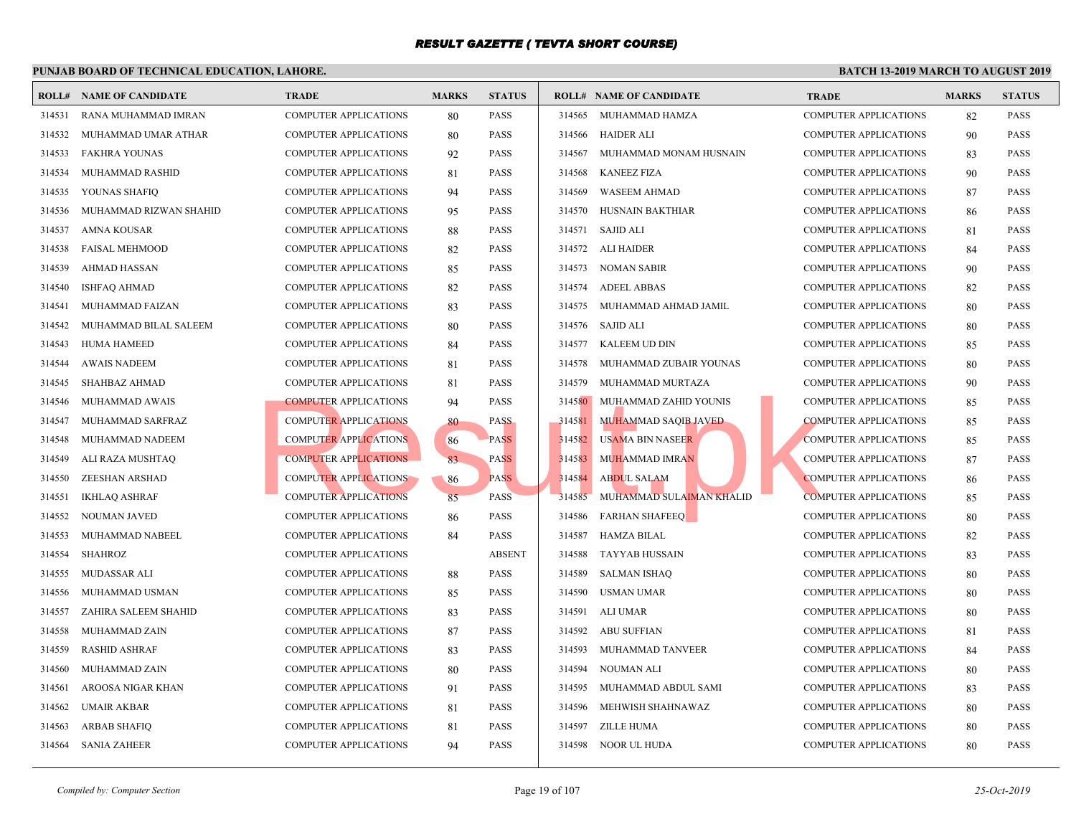|        | <b>ROLL# NAME OF CANDIDATE</b> | <b>TRADE</b>                 | <b>MARKS</b> | <b>STATUS</b> |        | <b>ROLL# NAME OF CANDIDATE</b> | <b>TRAD</b> |
|--------|--------------------------------|------------------------------|--------------|---------------|--------|--------------------------------|-------------|
| 314531 | RANA MUHAMMAD IMRAN            | <b>COMPUTER APPLICATIONS</b> | 80           | <b>PASS</b>   | 314565 | MUHAMMAD HAMZA                 | <b>COMP</b> |
| 314532 | MUHAMMAD UMAR ATHAR            | <b>COMPUTER APPLICATIONS</b> | 80           | <b>PASS</b>   | 314566 | HAIDER ALI                     | <b>COMP</b> |
| 314533 | <b>FAKHRA YOUNAS</b>           | <b>COMPUTER APPLICATIONS</b> | 92           | <b>PASS</b>   | 314567 | MUHAMMAD MONAM HUSNAIN         | <b>COMP</b> |
| 314534 | MUHAMMAD RASHID                | <b>COMPUTER APPLICATIONS</b> | 81           | <b>PASS</b>   | 314568 | <b>KANEEZ FIZA</b>             | <b>COMP</b> |
| 314535 | YOUNAS SHAFIQ                  | <b>COMPUTER APPLICATIONS</b> | 94           | <b>PASS</b>   | 314569 | <b>WASEEM AHMAD</b>            | <b>COMP</b> |
| 314536 | MUHAMMAD RIZWAN SHAHID         | <b>COMPUTER APPLICATIONS</b> | 95           | <b>PASS</b>   | 314570 | HUSNAIN BAKTHIAR               | <b>COMP</b> |
| 314537 | <b>AMNA KOUSAR</b>             | <b>COMPUTER APPLICATIONS</b> | 88           | <b>PASS</b>   | 314571 | <b>SAJID ALI</b>               | <b>COMP</b> |
| 314538 | <b>FAISAL MEHMOOD</b>          | <b>COMPUTER APPLICATIONS</b> | 82           | <b>PASS</b>   | 314572 | ALI HAIDER                     | <b>COMP</b> |
| 314539 | <b>AHMAD HASSAN</b>            | <b>COMPUTER APPLICATIONS</b> | 85           | <b>PASS</b>   | 314573 | NOMAN SABIR                    | <b>COMP</b> |
| 314540 | <b>ISHFAQ AHMAD</b>            | <b>COMPUTER APPLICATIONS</b> | 82           | <b>PASS</b>   | 314574 | <b>ADEEL ABBAS</b>             | <b>COMP</b> |
| 314541 | <b>MUHAMMAD FAIZAN</b>         | <b>COMPUTER APPLICATIONS</b> | 83           | <b>PASS</b>   | 314575 | MUHAMMAD AHMAD JAMIL           | <b>COMP</b> |
| 314542 | MUHAMMAD BILAL SALEEM          | <b>COMPUTER APPLICATIONS</b> | 80           | <b>PASS</b>   | 314576 | SAJID ALI                      | <b>COMP</b> |
| 314543 | <b>HUMA HAMEED</b>             | <b>COMPUTER APPLICATIONS</b> | 84           | <b>PASS</b>   | 314577 | KALEEM UD DIN                  | <b>COMP</b> |
| 314544 | <b>AWAIS NADEEM</b>            | <b>COMPUTER APPLICATIONS</b> | 81           | <b>PASS</b>   | 314578 | MUHAMMAD ZUBAIR YOUNAS         | <b>COMP</b> |
| 314545 | <b>SHAHBAZ AHMAD</b>           | <b>COMPUTER APPLICATIONS</b> | 81           | <b>PASS</b>   | 314579 | MUHAMMAD MURTAZA               | <b>COMP</b> |
| 314546 | MUHAMMAD AWAIS                 | <b>COMPUTER APPLICATIONS</b> | 94           | <b>PASS</b>   | 314580 | MUHAMMAD ZAHID YOUNIS          | <b>COMP</b> |
| 314547 | MUHAMMAD SARFRAZ               | <b>COMPUTER APPLICATIONS</b> | 80           | <b>PASS</b>   | 314581 | MUHAMMAD SAQIB JAVED           | <b>COMP</b> |
| 314548 | MUHAMMAD NADEEM                | <b>COMPUTER APPLICATIONS</b> | 86           | <b>PASS</b>   | 314582 | <b>USAMA BIN NASEER</b>        | <b>COMP</b> |
| 314549 | ALI RAZA MUSHTAQ               | <b>COMPUTER APPLICATIONS</b> | 83           | <b>PASS</b>   | 314583 | <b>MUHAMMAD IMRAN</b>          | <b>COMP</b> |
| 314550 | ZEESHAN ARSHAD                 | <b>COMPUTER APPLICATIONS</b> | 86           | <b>PASS</b>   | 314584 | <b>ABDUL SALAM</b>             | <b>COMP</b> |
| 314551 | <b>IKHLAQ ASHRAF</b>           | <b>COMPUTER APPLICATIONS</b> | 85           | <b>PASS</b>   | 314585 | MUHAMMAD SULAIMAN KHALID       | <b>COMP</b> |
| 314552 | NOUMAN JAVED                   | <b>COMPUTER APPLICATIONS</b> | 86           | <b>PASS</b>   | 314586 | <b>FARHAN SHAFEEQ</b>          | <b>COMP</b> |
| 314553 | MUHAMMAD NABEEL                | <b>COMPUTER APPLICATIONS</b> | 84           | <b>PASS</b>   | 314587 | <b>HAMZA BILAL</b>             | <b>COMP</b> |
| 314554 | <b>SHAHROZ</b>                 | <b>COMPUTER APPLICATIONS</b> |              | <b>ABSENT</b> | 314588 | TAYYAB HUSSAIN                 | <b>COMP</b> |
| 314555 | <b>MUDASSAR ALI</b>            | COMPUTER APPLICATIONS        | 88           | <b>PASS</b>   | 314589 | <b>SALMAN ISHAQ</b>            | <b>COMP</b> |
| 314556 | MUHAMMAD USMAN                 | <b>COMPUTER APPLICATIONS</b> | 85           | <b>PASS</b>   | 314590 | <b>USMAN UMAR</b>              | <b>COMP</b> |
| 314557 | ZAHIRA SALEEM SHAHID           | COMPUTER APPLICATIONS        | 83           | <b>PASS</b>   | 314591 | ALI UMAR                       | <b>COMP</b> |
| 314558 | MUHAMMAD ZAIN                  | <b>COMPUTER APPLICATIONS</b> | 87           | <b>PASS</b>   | 314592 | <b>ABU SUFFIAN</b>             | <b>COMP</b> |
| 314559 | <b>RASHID ASHRAF</b>           | <b>COMPUTER APPLICATIONS</b> | 83           | <b>PASS</b>   | 314593 | MUHAMMAD TANVEER               | <b>COMP</b> |
| 314560 | MUHAMMAD ZAIN                  | COMPUTER APPLICATIONS        | 80           | <b>PASS</b>   | 314594 | NOUMAN ALI                     | <b>COMP</b> |
| 314561 | AROOSA NIGAR KHAN              | <b>COMPUTER APPLICATIONS</b> | 91           | <b>PASS</b>   | 314595 | MUHAMMAD ABDUL SAMI            | <b>COMP</b> |
| 314562 | <b>UMAIR AKBAR</b>             | <b>COMPUTER APPLICATIONS</b> | 81           | <b>PASS</b>   | 314596 | MEHWISH SHAHNAWAZ              | <b>COMP</b> |
| 314563 | <b>ARBAB SHAFIQ</b>            | <b>COMPUTER APPLICATIONS</b> | 81           | <b>PASS</b>   |        | 314597 ZILLE HUMA              | <b>COMP</b> |
| 314564 | <b>SANIA ZAHEER</b>            | <b>COMPUTER APPLICATIONS</b> | 94           | <b>PASS</b>   |        | 314598 NOOR UL HUDA            | <b>COMP</b> |
|        |                                |                              |              |               |        |                                |             |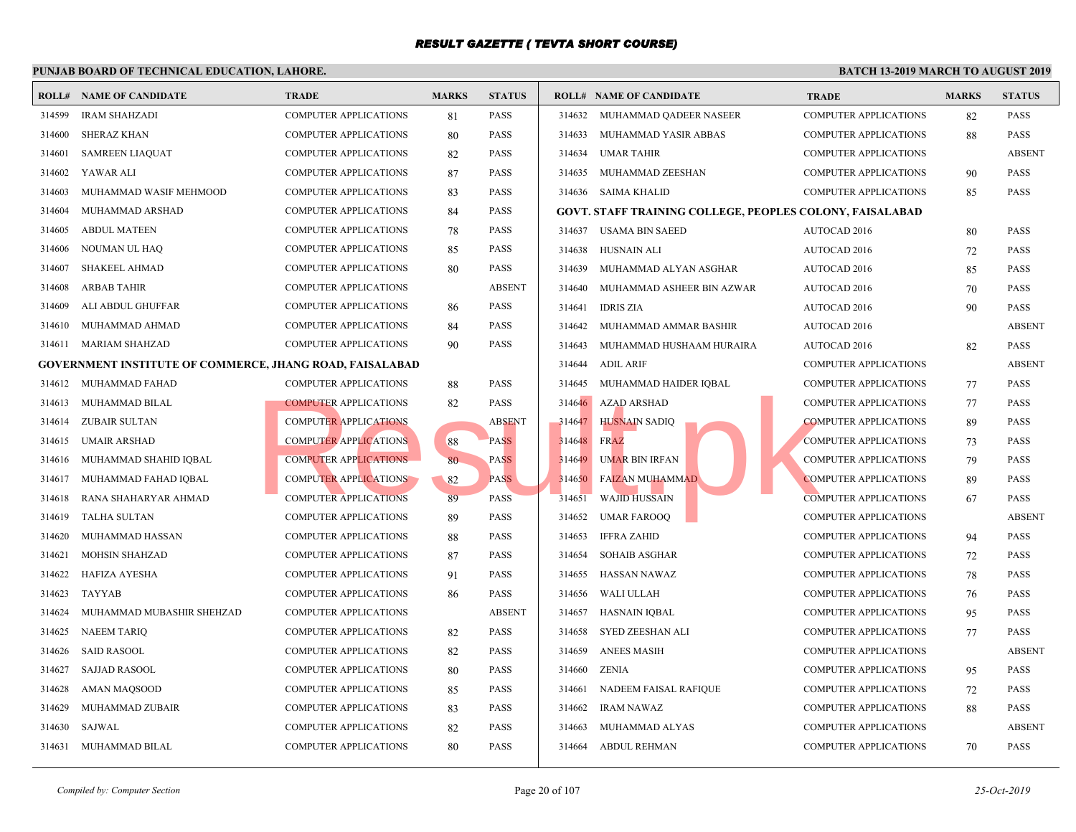|        | <b>ROLL# NAME OF CANDIDATE</b>                                  | <b>TRADE</b>                 | <b>MARKS</b> | <b>STATUS</b> |        | <b>ROLL# NAME OF CANDIDATE</b>                    | <b>TRAL</b> |
|--------|-----------------------------------------------------------------|------------------------------|--------------|---------------|--------|---------------------------------------------------|-------------|
| 314599 | <b>IRAM SHAHZADI</b>                                            | <b>COMPUTER APPLICATIONS</b> | 81           | <b>PASS</b>   | 314632 | MUHAMMAD QADEER NASEER                            | <b>COMP</b> |
| 314600 | <b>SHERAZ KHAN</b>                                              | <b>COMPUTER APPLICATIONS</b> | 80           | <b>PASS</b>   | 314633 | MUHAMMAD YASIR ABBAS                              | <b>COMP</b> |
| 314601 | <b>SAMREEN LIAQUAT</b>                                          | <b>COMPUTER APPLICATIONS</b> | 82           | <b>PASS</b>   | 314634 | <b>UMAR TAHIR</b>                                 | <b>COMP</b> |
| 314602 | YAWAR ALI                                                       | <b>COMPUTER APPLICATIONS</b> | 87           | <b>PASS</b>   | 314635 | MUHAMMAD ZEESHAN                                  | <b>COMP</b> |
| 314603 | MUHAMMAD WASIF MEHMOOD                                          | <b>COMPUTER APPLICATIONS</b> | 83           | <b>PASS</b>   |        | 314636 SAIMA KHALID                               | <b>COMP</b> |
| 314604 | MUHAMMAD ARSHAD                                                 | <b>COMPUTER APPLICATIONS</b> | 84           | <b>PASS</b>   |        | <b>GOVT. STAFF TRAINING COLLEGE, PEOPLES COLO</b> |             |
| 314605 | <b>ABDUL MATEEN</b>                                             | <b>COMPUTER APPLICATIONS</b> | 78           | <b>PASS</b>   | 314637 | USAMA BIN SAEED                                   | <b>AUTO</b> |
| 314606 | NOUMAN UL HAQ                                                   | <b>COMPUTER APPLICATIONS</b> | 85           | <b>PASS</b>   | 314638 | HUSNAIN ALI                                       | <b>AUTO</b> |
| 314607 | SHAKEEL AHMAD                                                   | <b>COMPUTER APPLICATIONS</b> | 80           | <b>PASS</b>   | 314639 | MUHAMMAD ALYAN ASGHAR                             | <b>AUTO</b> |
| 314608 | ARBAB TAHIR                                                     | <b>COMPUTER APPLICATIONS</b> |              | <b>ABSENT</b> | 314640 | MUHAMMAD ASHEER BIN AZWAR                         | <b>AUTO</b> |
| 314609 | ALI ABDUL GHUFFAR                                               | <b>COMPUTER APPLICATIONS</b> | 86           | <b>PASS</b>   | 314641 | <b>IDRIS ZIA</b>                                  | <b>AUTO</b> |
| 314610 | MUHAMMAD AHMAD                                                  | COMPUTER APPLICATIONS        | 84           | <b>PASS</b>   | 314642 | MUHAMMAD AMMAR BASHIR                             | <b>AUTO</b> |
| 314611 | <b>MARIAM SHAHZAD</b>                                           | <b>COMPUTER APPLICATIONS</b> | 90           | <b>PASS</b>   | 314643 | MUHAMMAD HUSHAAM HURAIRA                          | <b>AUTO</b> |
|        | <b>GOVERNMENT INSTITUTE OF COMMERCE, JHANG ROAD, FAISALABAD</b> |                              |              |               | 314644 | <b>ADIL ARIF</b>                                  | <b>COMP</b> |
| 314612 | MUHAMMAD FAHAD                                                  | <b>COMPUTER APPLICATIONS</b> | 88           | <b>PASS</b>   | 314645 | MUHAMMAD HAIDER IQBAL                             | <b>COMP</b> |
| 314613 | MUHAMMAD BILAL                                                  | <b>COMPUTER APPLICATIONS</b> | 82           | <b>PASS</b>   | 314646 | <b>AZAD ARSHAD</b>                                | <b>COMP</b> |
| 314614 | <b>ZUBAIR SULTAN</b>                                            | <b>COMPUTER APPLICATIONS</b> |              | <b>ABSENT</b> | 314647 | HUSNAIN SADIQ                                     | <b>COMP</b> |
| 314615 | <b>UMAIR ARSHAD</b>                                             | <b>COMPUTER APPLICATIONS</b> | 88           | <b>PASS</b>   | 314648 | <b>FRAZ</b>                                       | <b>COMP</b> |
| 314616 | MUHAMMAD SHAHID IQBAL                                           | <b>COMPUTER APPLICATIONS</b> | 80           | <b>PASS</b>   | 314649 | <b>UMAR BIN IRFAN</b>                             | <b>COMP</b> |
| 314617 | MUHAMMAD FAHAD IQBAL                                            | <b>COMPUTER APPLICATIONS</b> | 82           | <b>PASS</b>   | 314650 | <b>FAIZAN MUHAMMAD</b>                            | <b>COMP</b> |
| 314618 | RANA SHAHARYAR AHMAD                                            | <b>COMPUTER APPLICATIONS</b> | 89           | <b>PASS</b>   | 314651 | <b>WAJID HUSSAIN</b>                              | <b>COMP</b> |
| 314619 | TALHA SULTAN                                                    | <b>COMPUTER APPLICATIONS</b> | 89           | <b>PASS</b>   | 314652 | <b>UMAR FAROOQ</b>                                | <b>COMP</b> |
| 314620 | MUHAMMAD HASSAN                                                 | <b>COMPUTER APPLICATIONS</b> | 88           | <b>PASS</b>   | 314653 | <b>IFFRA ZAHID</b>                                | <b>COMP</b> |
| 314621 | <b>MOHSIN SHAHZAD</b>                                           | <b>COMPUTER APPLICATIONS</b> | 87           | <b>PASS</b>   | 314654 | <b>SOHAIB ASGHAR</b>                              | <b>COMP</b> |
| 314622 | HAFIZA AYESHA                                                   | <b>COMPUTER APPLICATIONS</b> | 91           | <b>PASS</b>   | 314655 | HASSAN NAWAZ                                      | <b>COMP</b> |
| 314623 | TAYYAB                                                          | <b>COMPUTER APPLICATIONS</b> | 86           | <b>PASS</b>   | 314656 | <b>WALI ULLAH</b>                                 | <b>COMP</b> |
| 314624 | MUHAMMAD MUBASHIR SHEHZAD                                       | <b>COMPUTER APPLICATIONS</b> |              | <b>ABSENT</b> | 314657 | HASNAIN IQBAL                                     | <b>COMP</b> |
| 314625 | <b>NAEEM TARIQ</b>                                              | <b>COMPUTER APPLICATIONS</b> | 82           | <b>PASS</b>   | 314658 | <b>SYED ZEESHAN ALI</b>                           | <b>COMP</b> |
| 314626 | <b>SAID RASOOL</b>                                              | <b>COMPUTER APPLICATIONS</b> | 82           | <b>PASS</b>   | 314659 | <b>ANEES MASIH</b>                                | <b>COMP</b> |
| 314627 | <b>SAJJAD RASOOL</b>                                            | <b>COMPUTER APPLICATIONS</b> | 80           | <b>PASS</b>   | 314660 | <b>ZENIA</b>                                      | COMP        |
| 314628 | AMAN MAQSOOD                                                    | <b>COMPUTER APPLICATIONS</b> | 85           | <b>PASS</b>   | 314661 | NADEEM FAISAL RAFIQUE                             | <b>COMP</b> |
| 314629 | MUHAMMAD ZUBAIR                                                 | COMPUTER APPLICATIONS        | 83           | <b>PASS</b>   | 314662 | <b>IRAM NAWAZ</b>                                 | COMP        |
| 314630 | <b>SAJWAL</b>                                                   | COMPUTER APPLICATIONS        | 82           | <b>PASS</b>   | 314663 | MUHAMMAD ALYAS                                    | <b>COMP</b> |
| 314631 | MUHAMMAD BILAL                                                  | <b>COMPUTER APPLICATIONS</b> | 80           | <b>PASS</b>   | 314664 | <b>ABDUL REHMAN</b>                               | <b>COMP</b> |
|        |                                                                 |                              |              |               |        |                                                   |             |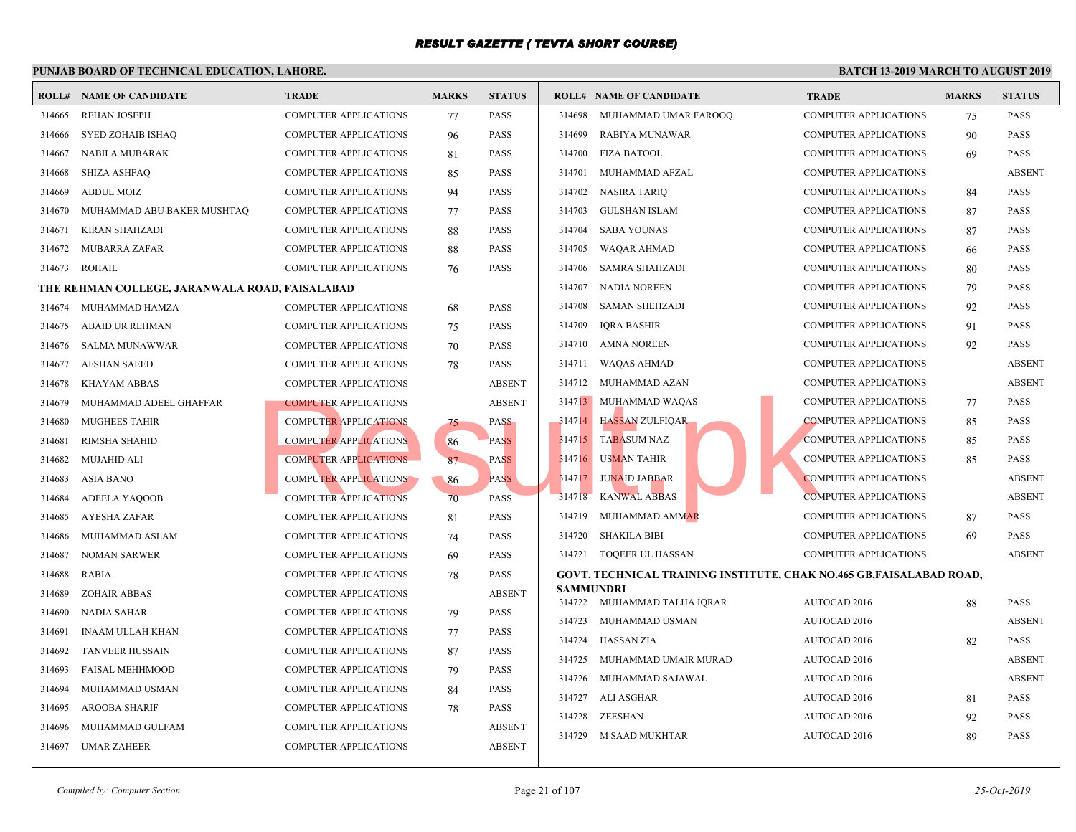| ROLL#  | NAME OF CANDIDATE                              | <b>TRADE</b>                 | <b>MARKS</b> | <b>STATUS</b> |        | <b>ROLL# NAME OF CANDIDATE</b>              | <b>TRAL</b> |
|--------|------------------------------------------------|------------------------------|--------------|---------------|--------|---------------------------------------------|-------------|
| 314665 | <b>REHAN JOSEPH</b>                            | <b>COMPUTER APPLICATIONS</b> | 77           | <b>PASS</b>   | 314698 | MUHAMMAD UMAR FAROOQ                        | <b>COMP</b> |
| 314666 | SYED ZOHAIB ISHAQ                              | <b>COMPUTER APPLICATIONS</b> | 96           | <b>PASS</b>   | 314699 | RABIYA MUNAWAR                              | <b>COMP</b> |
| 314667 | NABILA MUBARAK                                 | <b>COMPUTER APPLICATIONS</b> | 81           | <b>PASS</b>   | 314700 | <b>FIZA BATOOL</b>                          | <b>COMP</b> |
| 314668 | <b>SHIZA ASHFAQ</b>                            | <b>COMPUTER APPLICATIONS</b> | 85           | <b>PASS</b>   | 314701 | MUHAMMAD AFZAL                              | <b>COMP</b> |
| 314669 | <b>ABDUL MOIZ</b>                              | <b>COMPUTER APPLICATIONS</b> | 94           | <b>PASS</b>   | 314702 | NASIRA TARIQ                                | <b>COMP</b> |
| 314670 | MUHAMMAD ABU BAKER MUSHTAQ                     | <b>COMPUTER APPLICATIONS</b> | 77           | PASS          | 314703 | <b>GULSHAN ISLAM</b>                        | <b>COMP</b> |
| 314671 | KIRAN SHAHZADI                                 | <b>COMPUTER APPLICATIONS</b> | 88           | PASS          | 314704 | <b>SABA YOUNAS</b>                          | <b>COMP</b> |
| 314672 | <b>MUBARRA ZAFAR</b>                           | <b>COMPUTER APPLICATIONS</b> | 88           | PASS          | 314705 | WAQAR AHMAD                                 | <b>COMP</b> |
| 314673 | <b>ROHAIL</b>                                  | <b>COMPUTER APPLICATIONS</b> | 76           | <b>PASS</b>   | 314706 | SAMRA SHAHZADI                              | <b>COMP</b> |
|        | THE REHMAN COLLEGE, JARANWALA ROAD, FAISALABAD |                              |              |               | 314707 | <b>NADIA NOREEN</b>                         | <b>COMP</b> |
| 314674 | MUHAMMAD HAMZA                                 | <b>COMPUTER APPLICATIONS</b> | 68           | <b>PASS</b>   | 314708 | <b>SAMAN SHEHZADI</b>                       | <b>COMP</b> |
| 314675 | <b>ABAID UR REHMAN</b>                         | <b>COMPUTER APPLICATIONS</b> | 75           | <b>PASS</b>   | 314709 | <b>IQRA BASHIR</b>                          | <b>COMP</b> |
| 314676 | <b>SALMA MUNAWWAR</b>                          | <b>COMPUTER APPLICATIONS</b> | 70           | PASS          | 314710 | <b>AMNA NOREEN</b>                          | <b>COMP</b> |
| 314677 | <b>AFSHAN SAEED</b>                            | <b>COMPUTER APPLICATIONS</b> | 78           | <b>PASS</b>   | 314711 | WAQAS AHMAD                                 | <b>COMP</b> |
| 314678 | <b>KHAYAM ABBAS</b>                            | <b>COMPUTER APPLICATIONS</b> |              | <b>ABSENT</b> | 314712 | MUHAMMAD AZAN                               | <b>COMP</b> |
| 314679 | MUHAMMAD ADEEL GHAFFAR                         | <b>COMPUTER APPLICATIONS</b> |              | <b>ABSENT</b> |        | 314713 MUHAMMAD WAQAS                       | <b>COMP</b> |
| 314680 | <b>MUGHEES TAHIR</b>                           | <b>COMPUTER APPLICATIONS</b> | 75           | <b>PASS</b>   | 314714 | <b>HASSAN ZULFIQAR</b>                      | <b>COMP</b> |
| 314681 | <b>RIMSHA SHAHID</b>                           | <b>COMPUTER APPLICATIONS</b> | 86           | <b>PASS</b>   | 314715 | <b>TABASUM NAZ</b>                          | <b>COMP</b> |
| 314682 | <b>MUJAHID ALI</b>                             | <b>COMPUTER APPLICATIONS</b> | 87           | <b>PASS</b>   | 314716 | USMAN TAHIR                                 | <b>COMP</b> |
| 314683 | ASIA BANO                                      | <b>COMPUTER APPLICATIONS</b> | 86           | <b>PASS</b>   | 314717 | <b>JUNAID JABBAR</b>                        | <b>COMP</b> |
| 314684 | ADEELA YAQOOB                                  | <b>COMPUTER APPLICATIONS</b> | 70           | <b>PASS</b>   | 314718 | <b>KANWAL ABBAS</b>                         | <b>COMP</b> |
| 314685 | AYESHA ZAFAR                                   | <b>COMPUTER APPLICATIONS</b> | 81           | PASS          | 314719 | MUHAMMAD AMMAR                              | <b>COMP</b> |
| 314686 | MUHAMMAD ASLAM                                 | <b>COMPUTER APPLICATIONS</b> | 74           | <b>PASS</b>   | 314720 | <b>SHAKILA BIBI</b>                         | <b>COMP</b> |
| 314687 | <b>NOMAN SARWER</b>                            | <b>COMPUTER APPLICATIONS</b> | 69           | <b>PASS</b>   | 314721 | <b>TOQEER UL HASSAN</b>                     | <b>COMP</b> |
| 314688 | RABIA                                          | <b>COMPUTER APPLICATIONS</b> | 78           | <b>PASS</b>   |        | GOVT. TECHNICAL TRAINING INSTITUTE, CHAK NO |             |
| 314689 | <b>ZOHAIR ABBAS</b>                            | <b>COMPUTER APPLICATIONS</b> |              | <b>ABSENT</b> |        | <b>SAMMUNDRI</b>                            |             |
| 314690 | NADIA SAHAR                                    | <b>COMPUTER APPLICATIONS</b> | 79           | <b>PASS</b>   | 314723 | 314722 MUHAMMAD TALHA IQRAR                 | <b>AUTO</b> |
| 314691 | <b>INAAM ULLAH KHAN</b>                        | <b>COMPUTER APPLICATIONS</b> | 77           | <b>PASS</b>   |        | MUHAMMAD USMAN                              | <b>AUTO</b> |
| 314692 | <b>TANVEER HUSSAIN</b>                         | <b>COMPUTER APPLICATIONS</b> | 87           | <b>PASS</b>   | 314724 | <b>HASSAN ZIA</b>                           | <b>AUTO</b> |
| 314693 | <b>FAISAL MEHHMOOD</b>                         | <b>COMPUTER APPLICATIONS</b> | 79           | PASS          | 314725 | MUHAMMAD UMAIR MURAD                        | <b>AUTO</b> |
| 314694 | MUHAMMAD USMAN                                 | <b>COMPUTER APPLICATIONS</b> | 84           | <b>PASS</b>   | 314726 | MUHAMMAD SAJAWAL                            | <b>AUTO</b> |
| 314695 | <b>AROOBA SHARIF</b>                           | <b>COMPUTER APPLICATIONS</b> | 78           | <b>PASS</b>   | 314727 | ALI ASGHAR                                  | <b>AUTO</b> |
| 314696 | MUHAMMAD GULFAM                                | <b>COMPUTER APPLICATIONS</b> |              | <b>ABSENT</b> | 314728 | ZEESHAN                                     | <b>AUTO</b> |
| 314697 | UMAR ZAHEER                                    | <b>COMPUTER APPLICATIONS</b> |              | <b>ABSENT</b> | 314729 | M SAAD MUKHTAR                              | <b>AUTO</b> |
|        |                                                |                              |              |               |        |                                             |             |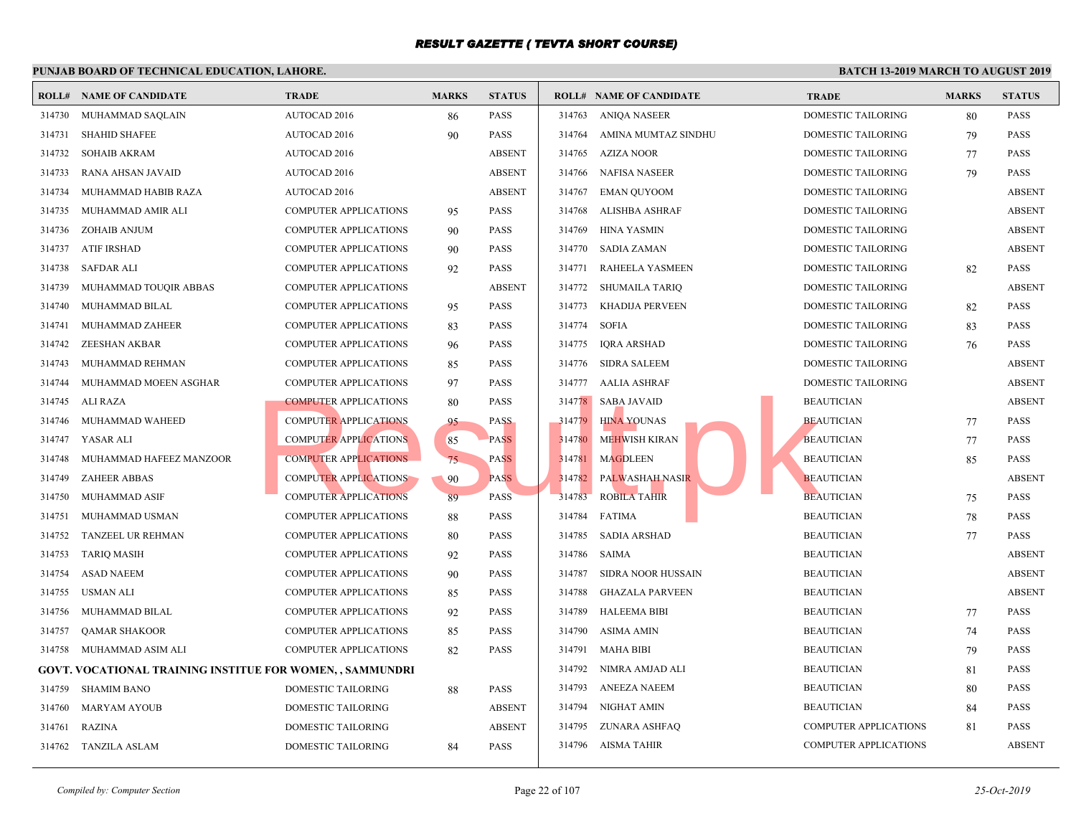|        | <b>ROLL# NAME OF CANDIDATE</b>                           | <b>TRADE</b>                 | <b>MARKS</b> | <b>STATUS</b> |        | <b>ROLL# NAME OF CANDIDATE</b> | <b>TRAL</b> |
|--------|----------------------------------------------------------|------------------------------|--------------|---------------|--------|--------------------------------|-------------|
| 314730 | MUHAMMAD SAQLAIN                                         | AUTOCAD 2016                 | 86           | <b>PASS</b>   | 314763 | ANIOA NASEER                   | <b>DOME</b> |
| 314731 | <b>SHAHID SHAFEE</b>                                     | AUTOCAD 2016                 | 90           | PASS          | 314764 | AMINA MUMTAZ SINDHU            | <b>DOME</b> |
| 314732 | <b>SOHAIB AKRAM</b>                                      | <b>AUTOCAD 2016</b>          |              | <b>ABSENT</b> | 314765 | AZIZA NOOR                     | <b>DOME</b> |
| 314733 | RANA AHSAN JAVAID                                        | AUTOCAD 2016                 |              | <b>ABSENT</b> | 314766 | <b>NAFISA NASEER</b>           | <b>DOME</b> |
| 314734 | MUHAMMAD HABIB RAZA                                      | AUTOCAD 2016                 |              | <b>ABSENT</b> | 314767 | <b>EMAN QUYOOM</b>             | <b>DOME</b> |
| 314735 | MUHAMMAD AMIR ALI                                        | <b>COMPUTER APPLICATIONS</b> | 95           | <b>PASS</b>   | 314768 | ALISHBA ASHRAF                 | <b>DOME</b> |
| 314736 | ZOHAIB ANJUM                                             | <b>COMPUTER APPLICATIONS</b> | 90           | PASS          | 314769 | <b>HINA YASMIN</b>             | <b>DOME</b> |
| 314737 | <b>ATIF IRSHAD</b>                                       | <b>COMPUTER APPLICATIONS</b> | 90           | PASS          | 314770 | <b>SADIA ZAMAN</b>             | <b>DOME</b> |
| 314738 | <b>SAFDAR ALI</b>                                        | <b>COMPUTER APPLICATIONS</b> | 92           | PASS          | 314771 | <b>RAHEELA YASMEEN</b>         | <b>DOME</b> |
| 314739 | MUHAMMAD TOUQIR ABBAS                                    | <b>COMPUTER APPLICATIONS</b> |              | <b>ABSENT</b> | 314772 | <b>SHUMAILA TARIQ</b>          | <b>DOME</b> |
| 314740 | MUHAMMAD BILAL                                           | <b>COMPUTER APPLICATIONS</b> | 95           | <b>PASS</b>   | 314773 | <b>KHADIJA PERVEEN</b>         | <b>DOME</b> |
| 314741 | MUHAMMAD ZAHEER                                          | <b>COMPUTER APPLICATIONS</b> | 83           | <b>PASS</b>   | 314774 | <b>SOFIA</b>                   | <b>DOME</b> |
| 314742 | <b>ZEESHAN AKBAR</b>                                     | <b>COMPUTER APPLICATIONS</b> | 96           | <b>PASS</b>   | 314775 | IQRA ARSHAD                    | <b>DOME</b> |
| 314743 | MUHAMMAD REHMAN                                          | COMPUTER APPLICATIONS        | 85           | PASS          | 314776 | <b>SIDRA SALEEM</b>            | <b>DOME</b> |
| 314744 | MUHAMMAD MOEEN ASGHAR                                    | <b>COMPUTER APPLICATIONS</b> | 97           | <b>PASS</b>   | 314777 | <b>AALIA ASHRAF</b>            | <b>DOME</b> |
| 314745 | ALI RAZA                                                 | <b>COMPUTER APPLICATIONS</b> | 80           | PASS          | 314778 | <b>SABA JAVAID</b>             | <b>BEAU</b> |
| 314746 | MUHAMMAD WAHEED                                          | <b>COMPUTER APPLICATIONS</b> | 95           | <b>PASS</b>   | 314779 | <b>HINA YOUNAS</b>             | <b>BEAU</b> |
| 314747 | YASAR ALI                                                | <b>COMPUTER APPLICATIONS</b> | 85           | <b>PASS</b>   | 314780 | <b>MEHWISH KIRAN</b>           | <b>BEAU</b> |
| 314748 | MUHAMMAD HAFEEZ MANZOOR                                  | <b>COMPUTER APPLICATIONS</b> | 75           | <b>PASS</b>   | 314781 | <b>MAGDLEEN</b>                | <b>BEAU</b> |
| 314749 | <b>ZAHEER ABBAS</b>                                      | <b>COMPUTER APPLICATIONS</b> | 90           | <b>PASS</b>   | 314782 | PALWASHAH NASIR                | <b>BEAU</b> |
| 314750 | MUHAMMAD ASIF                                            | <b>COMPUTER APPLICATIONS</b> | 89           | <b>PASS</b>   | 314783 | <b>ROBILA TAHIR</b>            | <b>BEAU</b> |
| 314751 | MUHAMMAD USMAN                                           | <b>COMPUTER APPLICATIONS</b> | 88           | <b>PASS</b>   | 314784 | <b>FATIMA</b>                  | <b>BEAU</b> |
| 314752 | TANZEEL UR REHMAN                                        | <b>COMPUTER APPLICATIONS</b> | 80           | <b>PASS</b>   | 314785 | <b>SADIA ARSHAD</b>            | <b>BEAU</b> |
| 314753 | <b>TARIQ MASIH</b>                                       | <b>COMPUTER APPLICATIONS</b> | 92           | <b>PASS</b>   | 314786 | SAIMA                          | <b>BEAU</b> |
| 314754 | <b>ASAD NAEEM</b>                                        | <b>COMPUTER APPLICATIONS</b> | 90           | PASS          | 314787 | SIDRA NOOR HUSSAIN             | <b>BEAU</b> |
| 314755 | <b>USMAN ALI</b>                                         | <b>COMPUTER APPLICATIONS</b> | 85           | <b>PASS</b>   | 314788 | <b>GHAZALA PARVEEN</b>         | <b>BEAU</b> |
| 314756 | MUHAMMAD BILAL                                           | <b>COMPUTER APPLICATIONS</b> | 92           | PASS          | 314789 | <b>HALEEMA BIBI</b>            | <b>BEAU</b> |
| 314757 | <b>QAMAR SHAKOOR</b>                                     | <b>COMPUTER APPLICATIONS</b> | 85           | PASS          | 314790 | ASIMA AMIN                     | <b>BEAU</b> |
| 314758 | MUHAMMAD ASIM ALI                                        | <b>COMPUTER APPLICATIONS</b> | 82           | PASS          | 314791 | <b>MAHA BIBI</b>               | <b>BEAU</b> |
|        | GOVT. VOCATIONAL TRAINING INSTITUE FOR WOMEN,, SAMMUNDRI |                              |              |               | 314792 | NIMRA AMJAD ALI                | <b>BEAU</b> |
| 314759 | <b>SHAMIM BANO</b>                                       | <b>DOMESTIC TAILORING</b>    | 88           | <b>PASS</b>   | 314793 | ANEEZA NAEEM                   | <b>BEAU</b> |
| 314760 | <b>MARYAM AYOUB</b>                                      | DOMESTIC TAILORING           |              | <b>ABSENT</b> | 314794 | NIGHAT AMIN                    | <b>BEAU</b> |
| 314761 | <b>RAZINA</b>                                            | DOMESTIC TAILORING           |              | <b>ABSENT</b> | 314795 | ZUNARA ASHFAQ                  | <b>COMP</b> |
| 314762 | <b>TANZILA ASLAM</b>                                     | <b>DOMESTIC TAILORING</b>    | 84           | <b>PASS</b>   | 314796 | AISMA TAHIR                    | <b>COMP</b> |
|        |                                                          |                              |              |               |        |                                |             |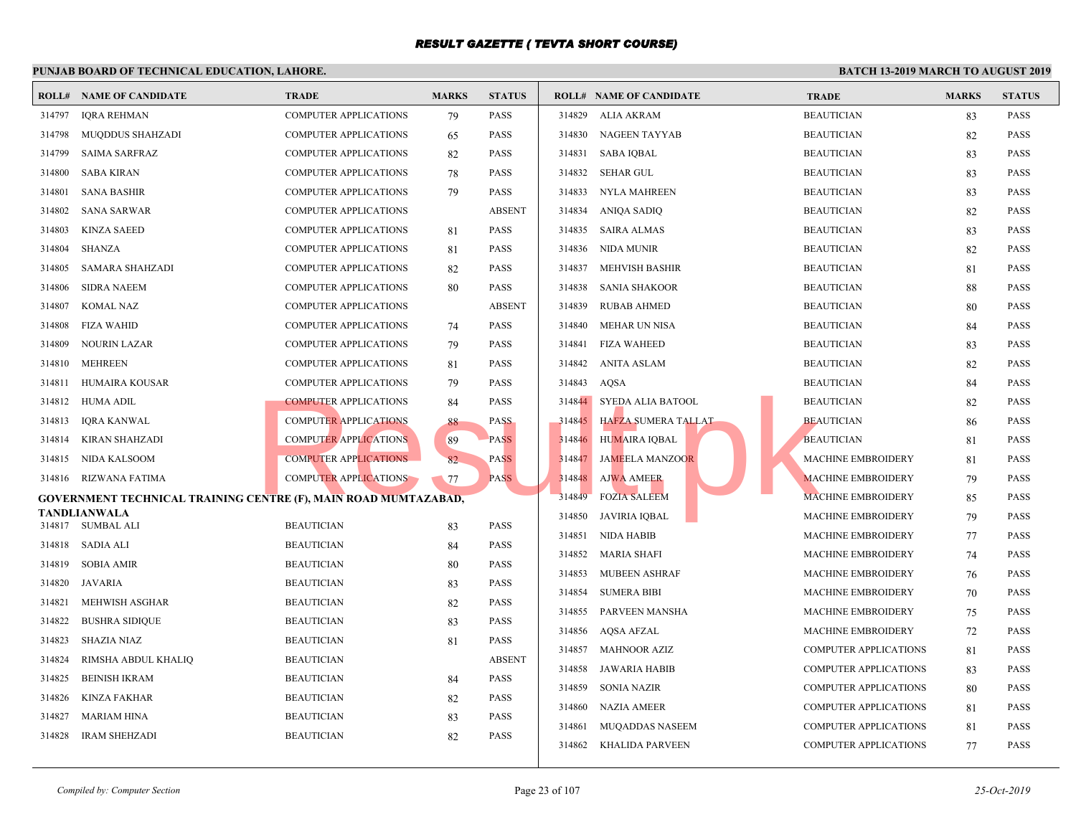|        | <b>ROLL# NAME OF CANDIDATE</b>                                  | <b>TRADE</b>                 | <b>MARKS</b> | <b>STATUS</b>       |        | <b>ROLL# NAME OF CANDIDATE</b> | <b>TRAL</b> |
|--------|-----------------------------------------------------------------|------------------------------|--------------|---------------------|--------|--------------------------------|-------------|
| 314797 | <b>IQRA REHMAN</b>                                              | <b>COMPUTER APPLICATIONS</b> | 79           | PASS                | 314829 | ALIA AKRAM                     | <b>BEAU</b> |
| 314798 | <b>MUQDDUS SHAHZADI</b>                                         | <b>COMPUTER APPLICATIONS</b> | 65           | <b>PASS</b>         | 314830 | NAGEEN TAYYAB                  | <b>BEAU</b> |
| 314799 | <b>SAIMA SARFRAZ</b>                                            | <b>COMPUTER APPLICATIONS</b> | 82           | <b>PASS</b>         | 314831 | <b>SABA IQBAL</b>              | <b>BEAU</b> |
| 314800 | <b>SABA KIRAN</b>                                               | COMPUTER APPLICATIONS        | 78           | <b>PASS</b>         | 314832 | <b>SEHAR GUL</b>               | <b>BEAU</b> |
| 314801 | <b>SANA BASHIR</b>                                              | <b>COMPUTER APPLICATIONS</b> | 79           | <b>PASS</b>         | 314833 | NYLA MAHREEN                   | <b>BEAU</b> |
| 314802 | <b>SANA SARWAR</b>                                              | <b>COMPUTER APPLICATIONS</b> |              | <b>ABSENT</b>       |        | 314834 ANIQA SADIQ             | <b>BEAU</b> |
| 314803 | <b>KINZA SAEED</b>                                              | <b>COMPUTER APPLICATIONS</b> | 81           | <b>PASS</b>         | 314835 | SAIRA ALMAS                    | <b>BEAU</b> |
| 314804 | SHANZA                                                          | <b>COMPUTER APPLICATIONS</b> | 81           | <b>PASS</b>         |        | 314836 NIDA MUNIR              | <b>BEAU</b> |
| 314805 | <b>SAMARA SHAHZADI</b>                                          | COMPUTER APPLICATIONS        | 82           | <b>PASS</b>         | 314837 | <b>MEHVISH BASHIR</b>          | <b>BEAU</b> |
| 314806 | <b>SIDRA NAEEM</b>                                              | COMPUTER APPLICATIONS        | 80           | <b>PASS</b>         | 314838 | <b>SANIA SHAKOOR</b>           | <b>BEAU</b> |
| 314807 | <b>KOMAL NAZ</b>                                                | <b>COMPUTER APPLICATIONS</b> |              | <b>ABSENT</b>       | 314839 | <b>RUBAB AHMED</b>             | <b>BEAU</b> |
| 314808 | <b>FIZA WAHID</b>                                               | <b>COMPUTER APPLICATIONS</b> | 74           | PASS                | 314840 | <b>MEHAR UN NISA</b>           | <b>BEAU</b> |
| 314809 | <b>NOURIN LAZAR</b>                                             | <b>COMPUTER APPLICATIONS</b> | 79           | <b>PASS</b>         |        | 314841 FIZA WAHEED             | <b>BEAU</b> |
| 314810 | <b>MEHREEN</b>                                                  | COMPUTER APPLICATIONS        | 81           | <b>PASS</b>         | 314842 | <b>ANITA ASLAM</b>             | <b>BEAU</b> |
| 314811 | HUMAIRA KOUSAR                                                  | <b>COMPUTER APPLICATIONS</b> | 79           | PASS                | 314843 | AQSA                           | <b>BEAU</b> |
| 314812 | HUMA ADIL                                                       | <b>COMPUTER APPLICATIONS</b> | 84           | PASS                | 314844 | SYEDA ALIA BATOOL              | <b>BEAU</b> |
| 314813 | <b>IQRA KANWAL</b>                                              | <b>COMPUTER APPLICATIONS</b> | 88           | <b>PASS</b>         |        | 314845 HAFZA SUMERA TALLAT     | <b>BEAU</b> |
| 314814 | <b>KIRAN SHAHZADI</b>                                           | <b>COMPUTER APPLICATIONS</b> | 89           | <b>PASS</b>         | 314846 | <b>HUMAIRA IQBAL</b>           | <b>BEAU</b> |
| 314815 | NIDA KALSOOM                                                    | <b>COMPUTER APPLICATIONS</b> | 82           | <b>PASS</b>         | 314847 | <b>JAMEELA MANZOOR</b>         | <b>MACH</b> |
| 314816 | RIZWANA FATIMA                                                  | <b>COMPUTER APPLICATIONS</b> | 77           | <b>PASS</b>         | 314848 | <b>AJWA AMEER</b>              | <b>MACH</b> |
|        | GOVERNMENT TECHNICAL TRAINING CENTRE (F), MAIN ROAD MUMTAZABAD, |                              |              |                     | 314849 | <b>FOZIA SALEEM</b>            | <b>MACH</b> |
|        | <b>TANDLIANWALA</b><br>314817 SUMBAL ALI                        | <b>BEAUTICIAN</b>            |              | <b>PASS</b>         | 314850 | JAVIRIA IQBAL                  | <b>MACH</b> |
| 314818 | SADIA ALI                                                       | <b>BEAUTICIAN</b>            | 83           | <b>PASS</b>         | 314851 | NIDA HABIB                     | <b>MACH</b> |
| 314819 |                                                                 |                              | 84           | <b>PASS</b>         | 314852 | MARIA SHAFI                    | <b>MACH</b> |
|        | <b>SOBIA AMIR</b>                                               | <b>BEAUTICIAN</b>            | 80           |                     | 314853 | <b>MUBEEN ASHRAF</b>           | <b>MACH</b> |
| 314820 | JAVARIA                                                         | <b>BEAUTICIAN</b>            | 83           | PASS<br><b>PASS</b> | 314854 | <b>SUMERA BIBI</b>             | <b>MACH</b> |
| 314821 | MEHWISH ASGHAR                                                  | <b>BEAUTICIAN</b>            | 82           |                     | 314855 | PARVEEN MANSHA                 | <b>MACH</b> |
| 314822 | <b>BUSHRA SIDIQUE</b>                                           | <b>BEAUTICIAN</b>            | 83           | <b>PASS</b>         | 314856 | AQSA AFZAL                     | <b>MACH</b> |
| 314823 | <b>SHAZIA NIAZ</b>                                              | <b>BEAUTICIAN</b>            | 81           | <b>PASS</b>         |        | 314857 MAHNOOR AZIZ            | <b>COMP</b> |
| 314824 | RIMSHA ABDUL KHALIQ                                             | <b>BEAUTICIAN</b>            |              | <b>ABSENT</b>       | 314858 | JAWARIA HABIB                  | <b>COMP</b> |
| 314825 | <b>BEINISH IKRAM</b>                                            | <b>BEAUTICIAN</b>            | 84           | <b>PASS</b>         | 314859 | <b>SONIA NAZIR</b>             | <b>COMP</b> |
| 314826 | <b>KINZA FAKHAR</b>                                             | <b>BEAUTICIAN</b>            | 82           | <b>PASS</b>         | 314860 | <b>NAZIA AMEER</b>             | <b>COMP</b> |
| 314827 | <b>MARIAM HINA</b>                                              | <b>BEAUTICIAN</b>            | 83           | <b>PASS</b>         | 314861 | <b>MUQADDAS NASEEM</b>         | <b>COMP</b> |
| 314828 | <b>IRAM SHEHZADI</b>                                            | <b>BEAUTICIAN</b>            | 82           | <b>PASS</b>         |        | 314862 KHALIDA PARVEEN         | <b>COMP</b> |
|        |                                                                 |                              |              |                     |        |                                |             |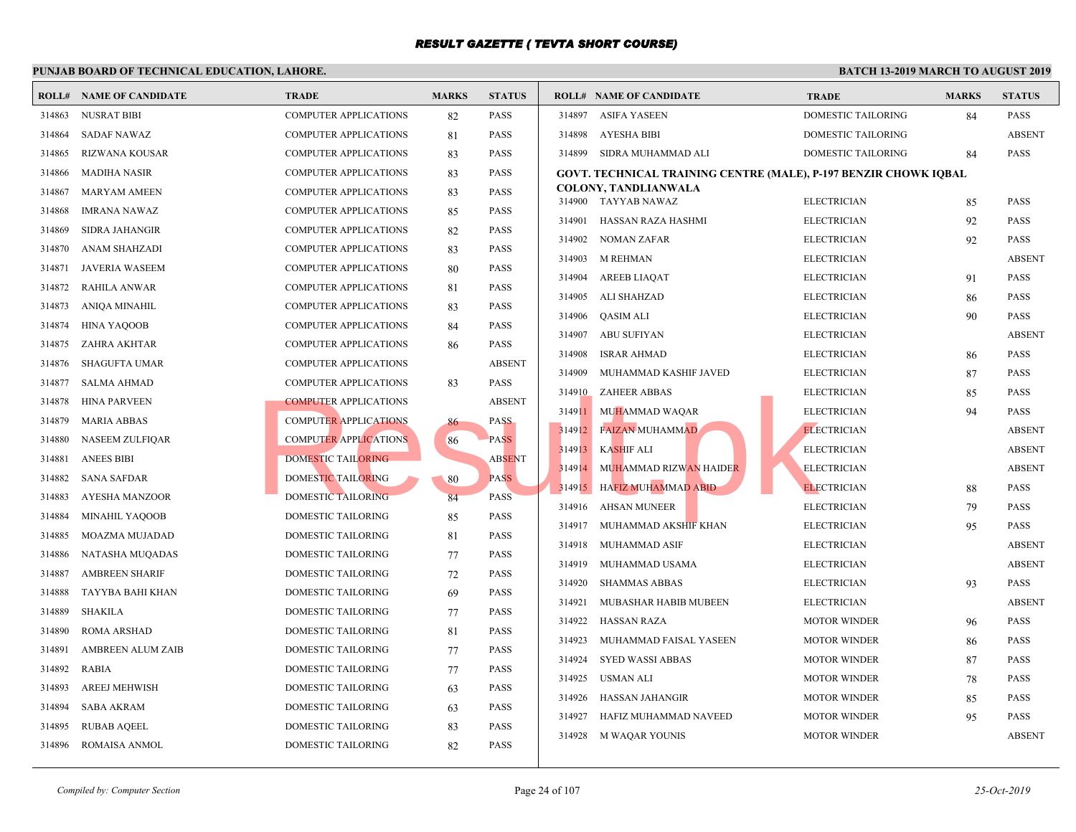|        | <b>ROLL# NAME OF CANDIDATE</b> | <b>TRADE</b>                 | <b>MARKS</b> | <b>STATUS</b> |        | <b>ROLL# NAME OF CANDIDATE</b>                      | <b>TRAL</b>  |
|--------|--------------------------------|------------------------------|--------------|---------------|--------|-----------------------------------------------------|--------------|
| 314863 | <b>NUSRAT BIBI</b>             | <b>COMPUTER APPLICATIONS</b> | 82           | <b>PASS</b>   | 314897 | <b>ASIFA YASEEN</b>                                 | <b>DOME</b>  |
| 314864 | <b>SADAF NAWAZ</b>             | COMPUTER APPLICATIONS        | 81           | <b>PASS</b>   | 314898 | AYESHA BIBI                                         | <b>DOME</b>  |
| 314865 | <b>RIZWANA KOUSAR</b>          | <b>COMPUTER APPLICATIONS</b> | 83           | <b>PASS</b>   | 314899 | SIDRA MUHAMMAD ALI                                  | <b>DOME</b>  |
| 314866 | <b>MADIHA NASIR</b>            | <b>COMPUTER APPLICATIONS</b> | 83           | <b>PASS</b>   |        | <b>GOVT. TECHNICAL TRAINING CENTRE (MALE), P-19</b> |              |
| 314867 | <b>MARYAM AMEEN</b>            | <b>COMPUTER APPLICATIONS</b> | 83           | <b>PASS</b>   |        | <b>COLONY, TANDLIANWALA</b>                         |              |
| 314868 | <b>IMRANA NAWAZ</b>            | <b>COMPUTER APPLICATIONS</b> | 85           | <b>PASS</b>   |        | 314900 TAYYAB NAWAZ                                 | <b>ELECT</b> |
| 314869 | <b>SIDRA JAHANGIR</b>          | <b>COMPUTER APPLICATIONS</b> | 82           | PASS          | 314901 | HASSAN RAZA HASHMI                                  | <b>ELECT</b> |
| 314870 | ANAM SHAHZADI                  | <b>COMPUTER APPLICATIONS</b> | 83           | <b>PASS</b>   | 314902 | NOMAN ZAFAR                                         | <b>ELECT</b> |
| 314871 | JAVERIA WASEEM                 | <b>COMPUTER APPLICATIONS</b> | 80           | <b>PASS</b>   | 314903 | <b>M REHMAN</b>                                     | <b>ELECT</b> |
| 314872 | <b>RAHILA ANWAR</b>            | <b>COMPUTER APPLICATIONS</b> | 81           | <b>PASS</b>   | 314904 | AREEB LIAQAT                                        | <b>ELECT</b> |
| 314873 | <b>ANIQA MINAHIL</b>           | <b>COMPUTER APPLICATIONS</b> | 83           | <b>PASS</b>   | 314905 | ALI SHAHZAD                                         | <b>ELECT</b> |
| 314874 | <b>HINA YAQOOB</b>             | COMPUTER APPLICATIONS        | 84           | PASS          | 314906 | QASIM ALI                                           | ELECT        |
| 314875 | ZAHRA AKHTAR                   | <b>COMPUTER APPLICATIONS</b> | 86           | <b>PASS</b>   | 314907 | ABU SUFIYAN                                         | <b>ELECT</b> |
| 314876 | <b>SHAGUFTA UMAR</b>           | <b>COMPUTER APPLICATIONS</b> |              | <b>ABSENT</b> | 314908 | <b>ISRAR AHMAD</b>                                  | <b>ELECT</b> |
| 314877 | <b>SALMA AHMAD</b>             | <b>COMPUTER APPLICATIONS</b> | 83           | <b>PASS</b>   | 314909 | MUHAMMAD KASHIF JAVED                               | <b>ELECT</b> |
| 314878 | <b>HINA PARVEEN</b>            | <b>COMPUTER APPLICATIONS</b> |              | <b>ABSENT</b> | 314910 | <b>ZAHEER ABBAS</b>                                 | <b>ELECT</b> |
| 314879 | <b>MARIA ABBAS</b>             | <b>COMPUTER APPLICATIONS</b> | 86           | <b>PASS</b>   |        | 314911 MUHAMMAD WAQAR                               | <b>ELECT</b> |
| 314880 | <b>NASEEM ZULFIOAR</b>         | <b>COMPUTER APPLICATIONS</b> | 86           | <b>PASS</b>   | 314912 | <b>FAIZAN MUHAMMAD</b>                              | <b>ELECT</b> |
| 314881 | <b>ANEES BIBI</b>              | DOMESTIC TAILORING           |              | <b>ABSENT</b> | 314913 | KASHIF ALI                                          | <b>ELECT</b> |
| 314882 | <b>SANA SAFDAR</b>             | DOMESTIC TAILORING           | 80           | <b>PASS</b>   | 314914 | MUHAMMAD RIZWAN HAIDER                              | <b>ELECT</b> |
| 314883 | AYESHA MANZOOR                 | DOMESTIC TAILORING           | 84           | PASS          | 314915 | <b>HAFIZ MUHAMMAD ABID</b>                          | <b>ELECT</b> |
| 314884 | <b>MINAHIL YAQOOB</b>          | DOMESTIC TAILORING           | 85           | <b>PASS</b>   | 314916 | AHSAN MUNEER                                        | ELECT        |
| 314885 | <b>MOAZMA MUJADAD</b>          | DOMESTIC TAILORING           | 81           | <b>PASS</b>   | 314917 | MUHAMMAD AKSHIF KHAN                                | <b>ELECT</b> |
| 314886 | NATASHA MUQADAS                | DOMESTIC TAILORING           | 77           | <b>PASS</b>   | 314918 | MUHAMMAD ASIF                                       | <b>ELECT</b> |
| 314887 | <b>AMBREEN SHARIF</b>          | DOMESTIC TAILORING           | 72           | <b>PASS</b>   | 314919 | MUHAMMAD USAMA                                      | <b>ELECT</b> |
| 314888 | TAYYBA BAHI KHAN               | DOMESTIC TAILORING           | 69           | PASS          | 314920 | <b>SHAMMAS ABBAS</b>                                | <b>ELECT</b> |
| 314889 | <b>SHAKILA</b>                 | DOMESTIC TAILORING           | 77           | <b>PASS</b>   | 314921 | MUBASHAR HABIB MUBEEN                               | <b>ELECT</b> |
| 314890 | <b>ROMA ARSHAD</b>             | <b>DOMESTIC TAILORING</b>    | 81           | <b>PASS</b>   | 314922 | HASSAN RAZA                                         | <b>MOTO</b>  |
| 314891 | <b>AMBREEN ALUM ZAIB</b>       | DOMESTIC TAILORING           | 77           | <b>PASS</b>   | 314923 | MUHAMMAD FAISAL YASEEN                              | <b>MOTO</b>  |
| 314892 | <b>RABIA</b>                   | DOMESTIC TAILORING           | 77           | <b>PASS</b>   | 314924 | <b>SYED WASSI ABBAS</b>                             | <b>MOTO</b>  |
| 314893 | AREEJ MEHWISH                  | DOMESTIC TAILORING           | 63           | <b>PASS</b>   | 314925 | USMAN ALI                                           | <b>MOTO</b>  |
| 314894 | <b>SABA AKRAM</b>              | DOMESTIC TAILORING           | 63           | <b>PASS</b>   | 314926 | HASSAN JAHANGIR                                     | <b>MOTO</b>  |
| 314895 | <b>RUBAB AQEEL</b>             | DOMESTIC TAILORING           | 83           | PASS          | 314927 | HAFIZ MUHAMMAD NAVEED                               | <b>MOTO</b>  |
| 314896 | ROMAISA ANMOL                  | DOMESTIC TAILORING           | 82           | <b>PASS</b>   | 314928 | M WAQAR YOUNIS                                      | <b>MOTO</b>  |
|        |                                |                              |              |               |        |                                                     |              |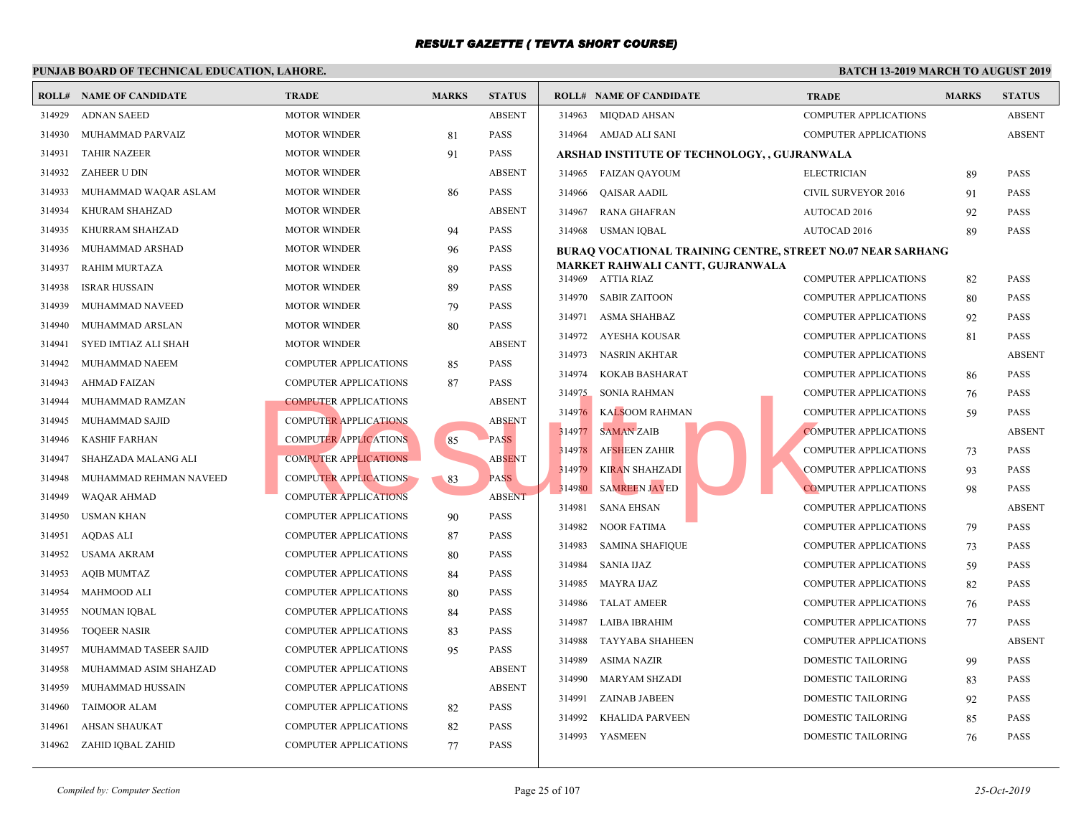|        | <b>ROLL# NAME OF CANDIDATE</b> | <b>TRADE</b>                 | <b>MARKS</b> | <b>STATUS</b> |        | <b>ROLL# NAME OF CANDIDATE</b>                    | <b>TRAI</b>  |
|--------|--------------------------------|------------------------------|--------------|---------------|--------|---------------------------------------------------|--------------|
| 314929 | <b>ADNAN SAEED</b>             | <b>MOTOR WINDER</b>          |              | <b>ABSENT</b> | 314963 | <b>MIQDAD AHSAN</b>                               | <b>COMP</b>  |
| 314930 | MUHAMMAD PARVAIZ               | <b>MOTOR WINDER</b>          | 81           | <b>PASS</b>   |        | 314964 AMJAD ALI SANI                             | <b>COMP</b>  |
| 314931 | <b>TAHIR NAZEER</b>            | <b>MOTOR WINDER</b>          | 91           | <b>PASS</b>   |        | <b>ARSHAD INSTITUTE OF TECHNOLOGY, , GUJRANWA</b> |              |
| 314932 | <b>ZAHEER U DIN</b>            | <b>MOTOR WINDER</b>          |              | <b>ABSENT</b> | 314965 | FAIZAN QAYOUM                                     | <b>ELECT</b> |
| 314933 | MUHAMMAD WAQAR ASLAM           | <b>MOTOR WINDER</b>          | 86           | <b>PASS</b>   | 314966 | QAISAR AADIL                                      | <b>CIVIL</b> |
| 314934 | KHURAM SHAHZAD                 | <b>MOTOR WINDER</b>          |              | <b>ABSENT</b> | 314967 | RANA GHAFRAN                                      | <b>AUTO</b>  |
| 314935 | KHURRAM SHAHZAD                | <b>MOTOR WINDER</b>          | 94           | <b>PASS</b>   | 314968 | USMAN IQBAL                                       | <b>AUTO</b>  |
| 314936 | MUHAMMAD ARSHAD                | <b>MOTOR WINDER</b>          | 96           | <b>PASS</b>   |        | <b>BURAQ VOCATIONAL TRAINING CENTRE, STREET I</b> |              |
| 314937 | RAHIM MURTAZA                  | <b>MOTOR WINDER</b>          | 89           | <b>PASS</b>   |        | MARKET RAHWALI CANTT, GUJRANWALA                  |              |
| 314938 | <b>ISRAR HUSSAIN</b>           | <b>MOTOR WINDER</b>          | 89           | <b>PASS</b>   |        | 314969 ATTIA RIAZ                                 | <b>COMP</b>  |
| 314939 | MUHAMMAD NAVEED                | <b>MOTOR WINDER</b>          | 79           | <b>PASS</b>   | 314970 | <b>SABIR ZAITOON</b>                              | <b>COMP</b>  |
| 314940 | MUHAMMAD ARSLAN                | <b>MOTOR WINDER</b>          | 80           | <b>PASS</b>   | 314971 | ASMA SHAHBAZ                                      | <b>COMP</b>  |
| 314941 | SYED IMTIAZ ALI SHAH           | <b>MOTOR WINDER</b>          |              | <b>ABSENT</b> | 314972 | AYESHA KOUSAR                                     | <b>COMP</b>  |
| 314942 | MUHAMMAD NAEEM                 | <b>COMPUTER APPLICATIONS</b> | 85           | <b>PASS</b>   | 314973 | <b>NASRIN AKHTAR</b>                              | <b>COMP</b>  |
| 314943 | <b>AHMAD FAIZAN</b>            | <b>COMPUTER APPLICATIONS</b> | 87           | <b>PASS</b>   | 314974 | KOKAB BASHARAT                                    | <b>COMP</b>  |
| 314944 | MUHAMMAD RAMZAN                | <b>COMPUTER APPLICATIONS</b> |              | <b>ABSENT</b> | 314975 | <b>SONIA RAHMAN</b>                               | <b>COMP</b>  |
| 314945 | MUHAMMAD SAJID                 | <b>COMPUTER APPLICATIONS</b> |              | <b>ABSENT</b> | 314976 | <b>KALSOOM RAHMAN</b>                             | <b>COMP</b>  |
| 314946 | <b>KASHIF FARHAN</b>           | <b>COMPUTER APPLICATIONS</b> | 85           | <b>PASS</b>   | 314977 | <b>SAMAN ZAIB</b>                                 | <b>COMP</b>  |
| 314947 | SHAHZADA MALANG ALI            | <b>COMPUTER APPLICATIONS</b> |              | <b>ABSENT</b> | 314978 | AFSHEEN ZAHIR                                     | <b>COMP</b>  |
| 314948 | MUHAMMAD REHMAN NAVEED         | <b>COMPUTER APPLICATIONS</b> | 83           | <b>PASS</b>   | 314979 | <b>KIRAN SHAHZADI</b>                             | <b>COMP</b>  |
| 314949 | <b>WAQAR AHMAD</b>             | <b>COMPUTER APPLICATIONS</b> |              | <b>ABSENT</b> | 314980 | <b>SAMREEN JAVED</b>                              | <b>COMP</b>  |
| 314950 | <b>USMAN KHAN</b>              | <b>COMPUTER APPLICATIONS</b> | 90           | <b>PASS</b>   | 314981 | <b>SANA EHSAN</b>                                 | <b>COMP</b>  |
| 314951 | <b>AQDAS ALI</b>               | COMPUTER APPLICATIONS        | 87           | <b>PASS</b>   | 314982 | <b>NOOR FATIMA</b>                                | <b>COMP</b>  |
| 314952 | <b>USAMA AKRAM</b>             | <b>COMPUTER APPLICATIONS</b> | 80           | <b>PASS</b>   | 314983 | <b>SAMINA SHAFIQUE</b>                            | <b>COMP</b>  |
| 314953 | <b>AQIB MUMTAZ</b>             | <b>COMPUTER APPLICATIONS</b> | 84           | <b>PASS</b>   | 314984 | <b>SANIA IJAZ</b>                                 | <b>COMP</b>  |
| 314954 | <b>MAHMOOD ALI</b>             | <b>COMPUTER APPLICATIONS</b> | 80           | <b>PASS</b>   | 314985 | <b>MAYRA IJAZ</b>                                 | <b>COMP</b>  |
| 314955 | NOUMAN IQBAL                   | <b>COMPUTER APPLICATIONS</b> | 84           | <b>PASS</b>   | 314986 | <b>TALAT AMEER</b>                                | <b>COMP</b>  |
| 314956 | <b>TOOEER NASIR</b>            | <b>COMPUTER APPLICATIONS</b> | 83           | <b>PASS</b>   | 314987 | LAIBA IBRAHIM                                     | <b>COMP</b>  |
| 314957 | MUHAMMAD TASEER SAJID          | <b>COMPUTER APPLICATIONS</b> | 95           | <b>PASS</b>   | 314988 | TAYYABA SHAHEEN                                   | <b>COMP</b>  |
| 314958 | MUHAMMAD ASIM SHAHZAD          | <b>COMPUTER APPLICATIONS</b> |              | <b>ABSENT</b> | 314989 | <b>ASIMA NAZIR</b>                                | <b>DOME</b>  |
| 314959 | MUHAMMAD HUSSAIN               | <b>COMPUTER APPLICATIONS</b> |              | <b>ABSENT</b> | 314990 | <b>MARYAM SHZADI</b>                              | <b>DOME</b>  |
| 314960 | <b>TAIMOOR ALAM</b>            | <b>COMPUTER APPLICATIONS</b> | 82           | <b>PASS</b>   | 314991 | <b>ZAINAB JABEEN</b>                              | <b>DOME</b>  |
| 314961 | AHSAN SHAUKAT                  | <b>COMPUTER APPLICATIONS</b> | 82           | <b>PASS</b>   | 314992 | <b>KHALIDA PARVEEN</b>                            | <b>DOME</b>  |
| 314962 | ZAHID IQBAL ZAHID              | <b>COMPUTER APPLICATIONS</b> | 77           | <b>PASS</b>   | 314993 | YASMEEN                                           | <b>DOME</b>  |
|        |                                |                              |              |               |        |                                                   |              |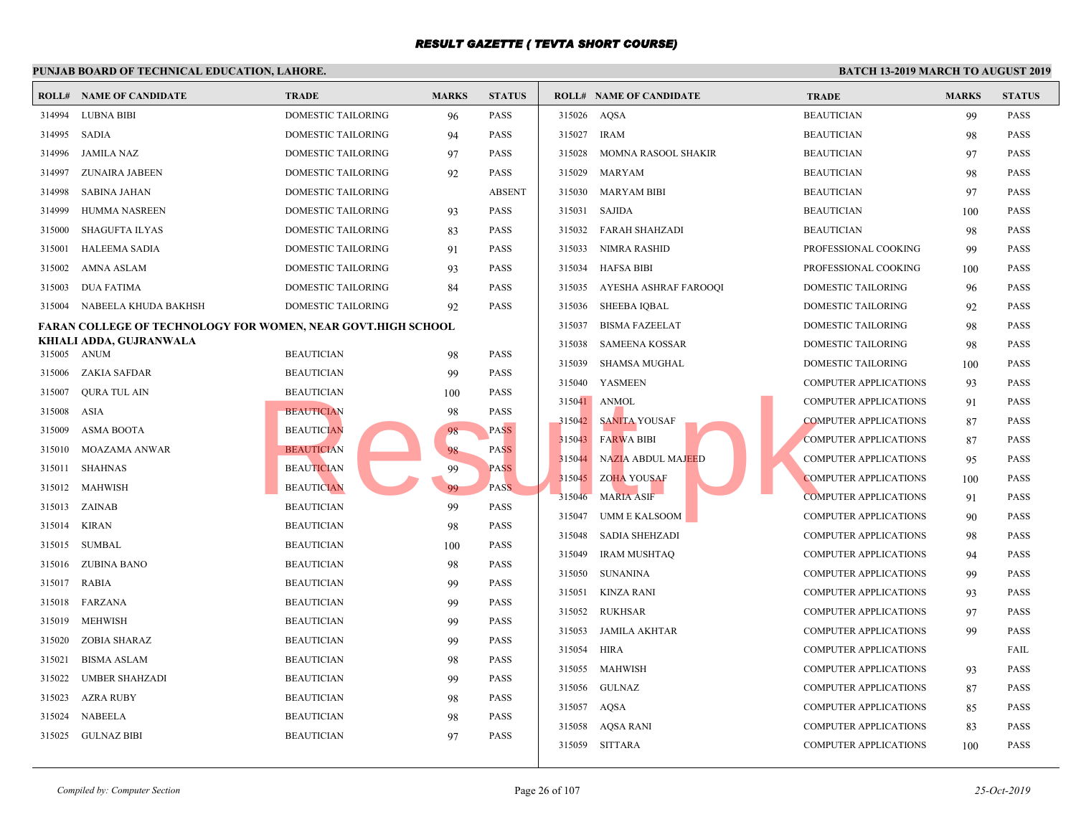#### **PUNJAB BOARD OF TECHNICAL EDUCATION, LAHORE. ROLL# NAME OF CANDIDATE TRADE MARKS STATUS ROLL# NAME OF CANDIDATE TRADE MARKS STATUS** 314994 LUBNA BIBI DOMESTIC TAILORING 96 PASS 314995 SADIA DOMESTIC TAILORING 94 PASS 314996 JAMILA NAZ DOMESTIC TAILORING 97 PASS 314997 ZUNAIRA JABEEN DOMESTIC TAILORING 92 PASS 314998 SABINA JAHAN DOMESTIC TAILORING ABSENT 314999 HUMMA NASREEN DOMESTIC TAILORING 93 PASS 315000 SHAGUFTA ILYAS DOMESTIC TAILORING 83 PASS 315001 HALEEMA SADIA DOMESTIC TAILORING 91 PASS 315002 AMNA ASLAM DOMESTIC TAILORING 93 PASS 315003 DUA FATIMA DOMESTIC TAILORING 84 PASS 315004 NABEELA KHUDA BAKHSH DOMESTIC TAILORING 92 PASS **FARAN COLLEGE OF TECHNOLOGY FOR WOMEN, NEAR GOVT.HIGH SCHOOL KHIALI ADDA, GUJRANWALA** 315005 ANUM BEAUTICIAN 98 PASS 315006 ZAKIA SAFDAR BEAUTICIAN 99 PASS 315007 QURA TUL AIN BEAUTICIAN 100 PASS 315008 ASIA BEAUTICIAN 98 PASS 315009 ASMA BOOTA BEAUTICIAN 98 PASS 315010 MOAZAMA ANWAR BEAUTICIAN 88 PASS 315011 SHAHNAS BEAUTICIAN 99 PASS 315012 MAHWISH BEAUTICIAN 99 PASS 315013 ZAINAB BEAUTICIAN 99 PASS 315014 KIRAN BEAUTICIAN 98 PASS 315015 SUMBAL BEAUTICIAN 100 PASS 315016 ZUBINA BANO BEAUTICIAN 98 PASS 315017 RABIA BEAUTICIAN 99 PASS 315018 FARZANA BEAUTICIAN 99 PASS 315019 MEHWISH BEAUTICIAN 99 PASS 315020 ZOBIA SHARAZ BEAUTICIAN 99 PASS 315021 BISMA ASLAM BEAUTICIAN 98 PASS 315022 UMBER SHAHZADI BEAUTICIAN 99 PASS 315023 AZRA RUBY BEAUTICIAN 98 PASS 315024 NABEELA BEAUTICIAN 98 PASS 315025 GULNAZ BIBI BEAUTICIAN 97 PASS 315026 AQSA BEAUTICIAN 99 PASSA 315027 IRAM BEAUTH 315028 MOMNA RASOOL SHAKIR BEAUT 315029 MARYAM BEAUT 315030 MARYAM BIBI BEAUTICIAN 97 BEAU 315031 SAJIDA BEAUT 315032 FARAH SHAHZADI BEAUT 315033 NIMRA RASHID PROFE 315034 HAFSA BIBI PROFE 315035 AYESHA ASHRAF FAROOQI DOME 315036 SHEEBA IQBAL DOME 315037 BISMA FAZEELAT DOME 315038 SAMEENA KOSSAR DOME 315039 SHAMSA MUGHAL DOME 315040 YASMEEN COMP 315041 ANMOL COMP 315042 SANITA YOUSAF COMP 315043 FARWA BIBI COMP 315044 NAZIA ABDUL MAJEED COMP 315045 ZOHA YOUSAF COMP 315046 MARIA ASIF COMP 315047 UMM E KALSOOM COMP 315048 SADIA SHEHZADI COMP 315049 IRAM MUSHTAQ COMP 315050 SUNANINA COMP 315051 KINZA RANI COMP 315052 RUKHSAR COMP 315053 JAMILA AKHTAR COMP 315054 HIRA COMP 315055 MAHWISH COMP 315056 GULNAZ COMP 315057 AQSA COMP 315058 AQSA RANI COMP 315059 SITTARA COMP BEAUTICIAN 98 PASS<br>
BEAUTICIAN 98 PASS<br>
BEAUTICIAN 98 PASS<br>
BEAUTICIAN PASS<br>
BEAUTICIAN 99 PASS<br>
BEAUTICIAN PASS<br>
BEAUTICIAN 99 PASS<br>
PASS<br>
PASS<br>
PASS<br>
PASS<br>
PASS<br>
PASS<br>
PASS<br>
PASS<br>
PASS<br>
PASS<br>
PASS<br>
PASS<br>
PASS<br>
PASS<br>
PASS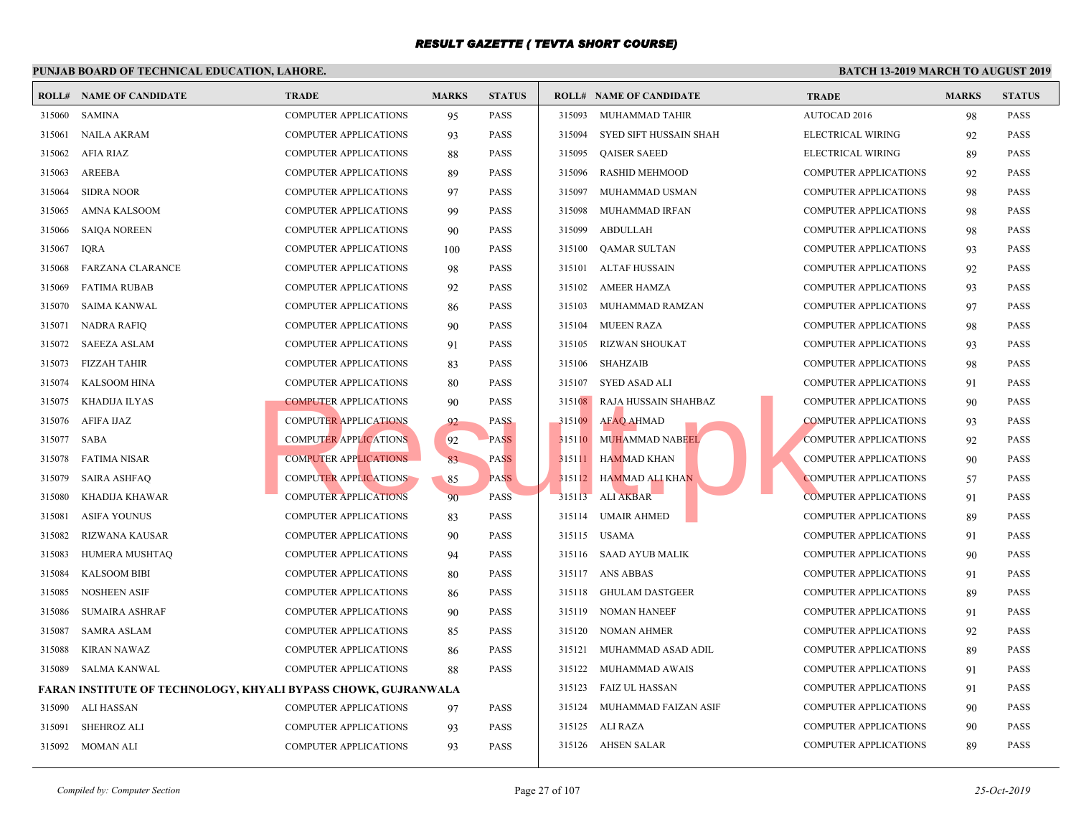|        | <b>ROLL# NAME OF CANDIDATE</b>                                 | <b>TRADE</b>                 | <b>MARKS</b> | <b>STATUS</b> |        | <b>ROLL# NAME OF CANDIDATE</b> | <b>TRAL</b>  |
|--------|----------------------------------------------------------------|------------------------------|--------------|---------------|--------|--------------------------------|--------------|
| 315060 | SAMINA                                                         | <b>COMPUTER APPLICATIONS</b> | 95           | <b>PASS</b>   | 315093 | MUHAMMAD TAHIR                 | <b>AUTO</b>  |
| 315061 | <b>NAILA AKRAM</b>                                             | <b>COMPUTER APPLICATIONS</b> | 93           | <b>PASS</b>   | 315094 | SYED SIFT HUSSAIN SHAH         | <b>ELECT</b> |
| 315062 | AFIA RIAZ                                                      | <b>COMPUTER APPLICATIONS</b> | 88           | <b>PASS</b>   | 315095 | <b>QAISER SAEED</b>            | <b>ELECT</b> |
| 315063 | AREEBA                                                         | <b>COMPUTER APPLICATIONS</b> | 89           | <b>PASS</b>   | 315096 | <b>RASHID MEHMOOD</b>          | <b>COMP</b>  |
| 315064 | <b>SIDRA NOOR</b>                                              | <b>COMPUTER APPLICATIONS</b> | 97           | <b>PASS</b>   | 315097 | MUHAMMAD USMAN                 | <b>COMP</b>  |
| 315065 | <b>AMNA KALSOOM</b>                                            | <b>COMPUTER APPLICATIONS</b> | 99           | <b>PASS</b>   | 315098 | MUHAMMAD IRFAN                 | <b>COMP</b>  |
| 315066 | <b>SAIQA NOREEN</b>                                            | <b>COMPUTER APPLICATIONS</b> | 90           | <b>PASS</b>   | 315099 | <b>ABDULLAH</b>                | <b>COMP</b>  |
| 315067 | <b>IORA</b>                                                    | <b>COMPUTER APPLICATIONS</b> | 100          | <b>PASS</b>   | 315100 | QAMAR SULTAN                   | <b>COMP</b>  |
| 315068 | <b>FARZANA CLARANCE</b>                                        | <b>COMPUTER APPLICATIONS</b> | 98           | <b>PASS</b>   | 315101 | ALTAF HUSSAIN                  | <b>COMP</b>  |
| 315069 | <b>FATIMA RUBAB</b>                                            | <b>COMPUTER APPLICATIONS</b> | 92           | <b>PASS</b>   |        | 315102 AMEER HAMZA             | <b>COMP</b>  |
| 315070 | SAIMA KANWAL                                                   | <b>COMPUTER APPLICATIONS</b> | 86           | <b>PASS</b>   | 315103 | MUHAMMAD RAMZAN                | <b>COMP</b>  |
| 315071 | <b>NADRA RAFIQ</b>                                             | COMPUTER APPLICATIONS        | 90           | <b>PASS</b>   | 315104 | MUEEN RAZA                     | <b>COMP</b>  |
| 315072 | <b>SAEEZA ASLAM</b>                                            | <b>COMPUTER APPLICATIONS</b> | 91           | <b>PASS</b>   | 315105 | <b>RIZWAN SHOUKAT</b>          | <b>COMP</b>  |
| 315073 | FIZZAH TAHIR                                                   | <b>COMPUTER APPLICATIONS</b> | 83           | <b>PASS</b>   |        | 315106 SHAHZAIB                | <b>COMP</b>  |
| 315074 | KALSOOM HINA                                                   | <b>COMPUTER APPLICATIONS</b> | 80           | <b>PASS</b>   | 315107 | SYED ASAD ALI                  | <b>COMP</b>  |
| 315075 | KHADIJA ILYAS                                                  | <b>COMPUTER APPLICATIONS</b> | 90           | <b>PASS</b>   | 315108 | RAJĄ HUSSAIN SHAHBAZ           | <b>COMP</b>  |
| 315076 | AFIFA IJAZ                                                     | <b>COMPUTER APPLICATIONS</b> | 92           | <b>PASS</b>   | 315109 | <b>AFAQ AHMAD</b>              | <b>COMP</b>  |
| 315077 | SABA                                                           | <b>COMPUTER APPLICATIONS</b> | 92           | <b>PASS</b>   | 315110 | MUHAMMAD NABEEL                | <b>COMP</b>  |
| 315078 | FATIMA NISAR                                                   | <b>COMPUTER APPLICATIONS</b> | 83           | <b>PASS</b>   | 315111 | <b>HAMMAD KHAN</b>             | <b>COMP</b>  |
| 315079 | <b>SAIRA ASHFAQ</b>                                            | <b>COMPUTER APPLICATIONS</b> | 85           | <b>PASS</b>   |        | 315112 HAMMAD ALI KHAN         | <b>COMP</b>  |
| 315080 | KHADIJA KHAWAR                                                 | <b>COMPUTER APPLICATIONS</b> | 90           | <b>PASS</b>   | 315113 | <b>ALI AKBAR</b>               | <b>COMP</b>  |
| 315081 | <b>ASIFA YOUNUS</b>                                            | <b>COMPUTER APPLICATIONS</b> | 83           | <b>PASS</b>   | 315114 | <b>UMAIR AHMED</b>             | <b>COMP</b>  |
| 315082 | RIZWANA KAUSAR                                                 | <b>COMPUTER APPLICATIONS</b> | 90           | <b>PASS</b>   |        | 315115 USAMA                   | <b>COMP</b>  |
| 315083 | HUMERA MUSHTAQ                                                 | <b>COMPUTER APPLICATIONS</b> | 94           | <b>PASS</b>   | 315116 | <b>SAAD AYUB MALIK</b>         | <b>COMP</b>  |
| 315084 | <b>KALSOOM BIBI</b>                                            | <b>COMPUTER APPLICATIONS</b> | 80           | <b>PASS</b>   |        | 315117 ANS ABBAS               | <b>COMP</b>  |
| 315085 | <b>NOSHEEN ASIF</b>                                            | <b>COMPUTER APPLICATIONS</b> | 86           | <b>PASS</b>   | 315118 | <b>GHULAM DASTGEER</b>         | <b>COMP</b>  |
| 315086 | <b>SUMAIRA ASHRAF</b>                                          | <b>COMPUTER APPLICATIONS</b> | 90           | <b>PASS</b>   |        | 315119 NOMAN HANEEF            | <b>COMP</b>  |
| 315087 | <b>SAMRA ASLAM</b>                                             | <b>COMPUTER APPLICATIONS</b> | 85           | <b>PASS</b>   | 315120 | NOMAN AHMER                    | <b>COMP</b>  |
| 315088 | <b>KIRAN NAWAZ</b>                                             | <b>COMPUTER APPLICATIONS</b> | 86           | <b>PASS</b>   | 315121 | MUHAMMAD ASAD ADIL             | <b>COMP</b>  |
| 315089 | SALMA KANWAL                                                   | <b>COMPUTER APPLICATIONS</b> | 88           | <b>PASS</b>   | 315122 | MUHAMMAD AWAIS                 | <b>COMP</b>  |
|        | FARAN INSTITUTE OF TECHNOLOGY, KHYALI BYPASS CHOWK, GUJRANWALA |                              |              |               | 315123 | FAIZ UL HASSAN                 | <b>COMP</b>  |
| 315090 | ALI HASSAN                                                     | <b>COMPUTER APPLICATIONS</b> | 97           | <b>PASS</b>   | 315124 | MUHAMMAD FAIZAN ASIF           | <b>COMP</b>  |
| 315091 | <b>SHEHROZ ALI</b>                                             | <b>COMPUTER APPLICATIONS</b> | 93           | <b>PASS</b>   |        | 315125 ALI RAZA                | <b>COMP</b>  |
| 315092 | MOMAN ALI                                                      | <b>COMPUTER APPLICATIONS</b> | 93           | <b>PASS</b>   |        | 315126 AHSEN SALAR             | <b>COMP</b>  |
|        |                                                                |                              |              |               |        |                                |              |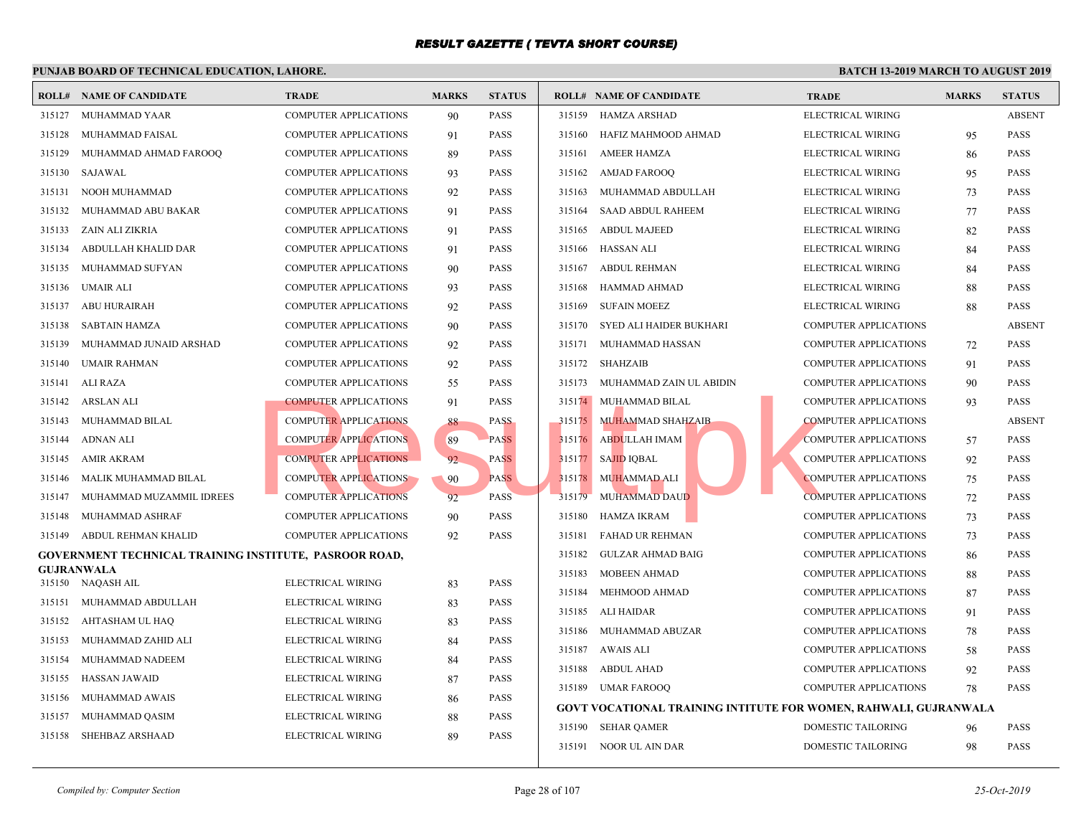|        | <b>ROLL# NAME OF CANDIDATE</b>                         | <b>TRADE</b>                 | <b>MARKS</b> | <b>STATUS</b> |        | <b>ROLL# NAME OF CANDIDATE</b>                   | <b>TRAI</b>  |
|--------|--------------------------------------------------------|------------------------------|--------------|---------------|--------|--------------------------------------------------|--------------|
| 315127 | MUHAMMAD YAAR                                          | <b>COMPUTER APPLICATIONS</b> | 90           | <b>PASS</b>   | 315159 | HAMZA ARSHAD                                     | <b>ELECT</b> |
| 315128 | MUHAMMAD FAISAL                                        | <b>COMPUTER APPLICATIONS</b> | 91           | <b>PASS</b>   | 315160 | HAFIZ MAHMOOD AHMAD                              | <b>ELECT</b> |
| 315129 | MUHAMMAD AHMAD FAROOQ                                  | <b>COMPUTER APPLICATIONS</b> | 89           | <b>PASS</b>   | 315161 | <b>AMEER HAMZA</b>                               | <b>ELECT</b> |
| 315130 | SAJAWAL                                                | <b>COMPUTER APPLICATIONS</b> | 93           | <b>PASS</b>   | 315162 | <b>AMJAD FAROOQ</b>                              | <b>ELECT</b> |
| 315131 | NOOH MUHAMMAD                                          | <b>COMPUTER APPLICATIONS</b> | 92           | <b>PASS</b>   | 315163 | MUHAMMAD ABDULLAH                                | <b>ELECT</b> |
| 315132 | MUHAMMAD ABU BAKAR                                     | <b>COMPUTER APPLICATIONS</b> | 91           | <b>PASS</b>   | 315164 | <b>SAAD ABDUL RAHEEM</b>                         | <b>ELECT</b> |
| 315133 | ZAIN ALI ZIKRIA                                        | <b>COMPUTER APPLICATIONS</b> | 91           | <b>PASS</b>   | 315165 | <b>ABDUL MAJEED</b>                              | <b>ELECT</b> |
| 315134 | ABDULLAH KHALID DAR                                    | COMPUTER APPLICATIONS        | 91           | <b>PASS</b>   | 315166 | HASSAN ALI                                       | <b>ELECT</b> |
| 315135 | MUHAMMAD SUFYAN                                        | <b>COMPUTER APPLICATIONS</b> | 90           | <b>PASS</b>   | 315167 | ABDUL REHMAN                                     | <b>ELECT</b> |
| 315136 | UMAIR ALI                                              | <b>COMPUTER APPLICATIONS</b> | 93           | <b>PASS</b>   | 315168 | HAMMAD AHMAD                                     | <b>ELECT</b> |
| 315137 | <b>ABU HURAIRAH</b>                                    | <b>COMPUTER APPLICATIONS</b> | 92           | <b>PASS</b>   | 315169 | <b>SUFAIN MOEEZ</b>                              | <b>ELECT</b> |
| 315138 | <b>SABTAIN HAMZA</b>                                   | COMPUTER APPLICATIONS        | 90           | <b>PASS</b>   | 315170 | <b>SYED ALI HAIDER BUKHARI</b>                   | <b>COMP</b>  |
| 315139 | MUHAMMAD JUNAID ARSHAD                                 | <b>COMPUTER APPLICATIONS</b> | 92           | <b>PASS</b>   | 315171 | MUHAMMAD HASSAN                                  | <b>COMP</b>  |
| 315140 | UMAIR RAHMAN                                           | <b>COMPUTER APPLICATIONS</b> | 92           | <b>PASS</b>   | 315172 | SHAHZAIB                                         | <b>COMP</b>  |
| 315141 | ALI RAZA                                               | <b>COMPUTER APPLICATIONS</b> | 55           | <b>PASS</b>   | 315173 | MUHAMMAD ZAIN UL ABIDIN                          | <b>COMP</b>  |
| 315142 | ARSLAN ALI                                             | <b>COMPUTER APPLICATIONS</b> | 91           | <b>PASS</b>   | 315174 | MUHAMMAD BILAL                                   | <b>COMP</b>  |
| 315143 | MUHAMMAD BILAL                                         | <b>COMPUTER APPLICATIONS</b> | 88           | <b>PASS</b>   | 315175 | MUHAMMAD SHAHZAIB                                | <b>COMP</b>  |
| 315144 | <b>ADNAN ALI</b>                                       | <b>COMPUTER APPLICATIONS</b> | 89           | <b>PASS</b>   | 315176 | ABDULLAH IMAM                                    | <b>COMP</b>  |
| 315145 | <b>AMIR AKRAM</b>                                      | <b>COMPUTER APPLICATIONS</b> | 92           | <b>PASS</b>   | 315177 | <b>SAJID IQBAL</b>                               | <b>COMP</b>  |
| 315146 | MALIK MUHAMMAD BILAL                                   | <b>COMPUTER APPLICATIONS</b> | 90           | <b>PASS</b>   | 315178 | <b>MUHAMMAD ALI</b>                              | <b>COMP</b>  |
| 315147 | MUHAMMAD MUZAMMIL IDREES                               | <b>COMPUTER APPLICATIONS</b> | 92           | <b>PASS</b>   | 315179 | <b>MUHAMMAD DAUD</b>                             | <b>COMP</b>  |
| 315148 | MUHAMMAD ASHRAF                                        | <b>COMPUTER APPLICATIONS</b> | 90           | <b>PASS</b>   | 315180 | <b>HAMZA IKRAM</b>                               | COMP         |
| 315149 | ABDUL REHMAN KHALID                                    | <b>COMPUTER APPLICATIONS</b> | 92           | <b>PASS</b>   | 315181 | <b>FAHAD UR REHMAN</b>                           | <b>COMP</b>  |
|        | GOVERNMENT TECHNICAL TRAINING INSTITUTE, PASROOR ROAD, |                              |              |               | 315182 | <b>GULZAR AHMAD BAIG</b>                         | <b>COMP</b>  |
| 315150 | <b>GUJRANWALA</b><br>NAQASH AIL                        | ELECTRICAL WIRING            | 83           | <b>PASS</b>   | 315183 | MOBEEN AHMAD                                     | <b>COMP</b>  |
| 315151 | MUHAMMAD ABDULLAH                                      | ELECTRICAL WIRING            | 83           | <b>PASS</b>   | 315184 | MEHMOOD AHMAD                                    | <b>COMP</b>  |
| 315152 | AHTASHAM UL HAQ                                        | ELECTRICAL WIRING            | 83           | <b>PASS</b>   | 315185 | ALI HAIDAR                                       | COMP         |
| 315153 | MUHAMMAD ZAHID ALI                                     | ELECTRICAL WIRING            | 84           | <b>PASS</b>   | 315186 | MUHAMMAD ABUZAR                                  | <b>COMP</b>  |
| 315154 | MUHAMMAD NADEEM                                        | ELECTRICAL WIRING            | 84           | <b>PASS</b>   | 315187 | AWAIS ALI                                        | <b>COMP</b>  |
| 315155 | <b>HASSAN JAWAID</b>                                   | ELECTRICAL WIRING            | 87           | <b>PASS</b>   | 315188 | ABDUL AHAD                                       | <b>COMP</b>  |
| 315156 | MUHAMMAD AWAIS                                         | ELECTRICAL WIRING            | 86           | <b>PASS</b>   |        | 315189 UMAR FAROOQ                               | <b>COMP</b>  |
| 315157 | MUHAMMAD QASIM                                         | ELECTRICAL WIRING            | 88           | <b>PASS</b>   |        | <b>GOVT VOCATIONAL TRAINING INTITUTE FOR WON</b> |              |
| 315158 | SHEHBAZ ARSHAAD                                        | ELECTRICAL WIRING            | 89           | <b>PASS</b>   | 315190 | SEHAR QAMER                                      | <b>DOME</b>  |
|        |                                                        |                              |              |               |        | 315191 NOOR UL AIN DAR                           | <b>DOME</b>  |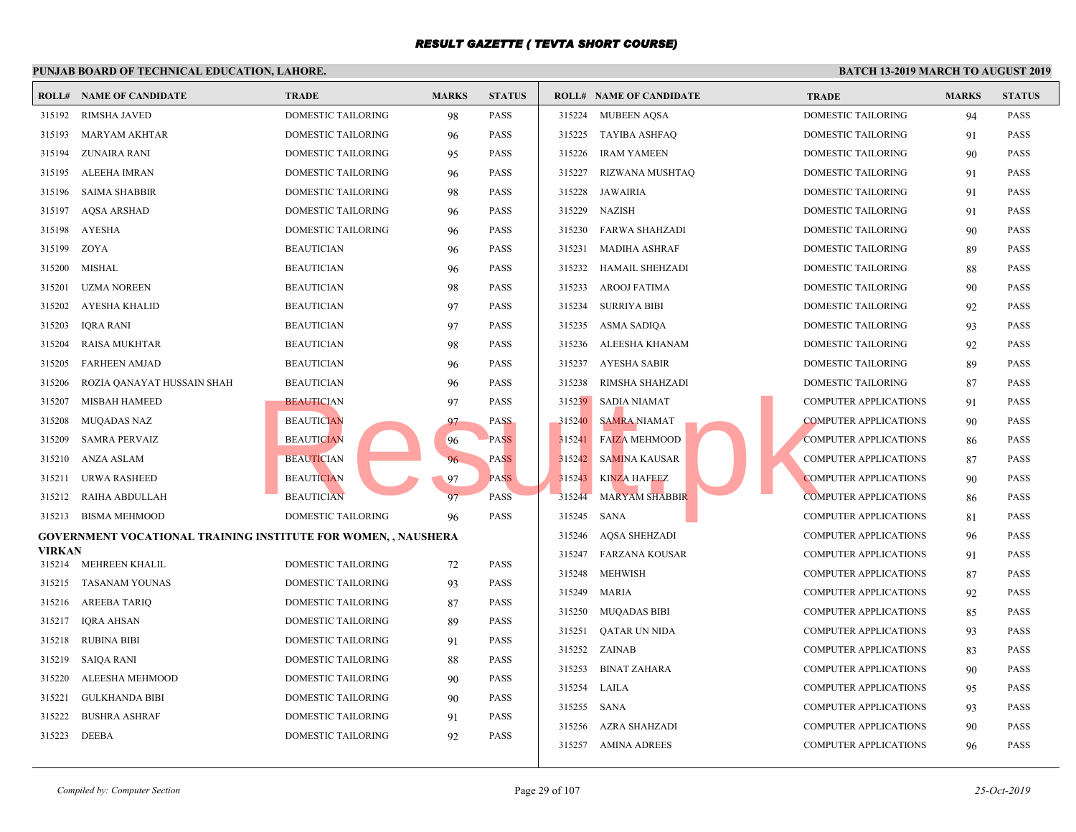|                  | PUNJAB BOARD OF TECHNICAL EDUCATION, LAHORE.                          |                                          |              |               |        |                                |             |
|------------------|-----------------------------------------------------------------------|------------------------------------------|--------------|---------------|--------|--------------------------------|-------------|
|                  | <b>ROLL# NAME OF CANDIDATE</b>                                        | <b>TRADE</b>                             | <b>MARKS</b> | <b>STATUS</b> |        | <b>ROLL# NAME OF CANDIDATE</b> | <b>TRAL</b> |
| 315192           | <b>RIMSHA JAVED</b>                                                   | DOMESTIC TAILORING                       | 98           | <b>PASS</b>   |        | 315224 MUBEEN AQSA             | <b>DOME</b> |
| 315193           | MARYAM AKHTAR                                                         | DOMESTIC TAILORING                       | 96           | <b>PASS</b>   | 315225 | TAYIBA ASHFAQ                  | <b>DOME</b> |
| 315194           | ZUNAIRA RANI                                                          | DOMESTIC TAILORING                       | 95           | <b>PASS</b>   | 315226 | <b>IRAM YAMEEN</b>             | <b>DOME</b> |
| 315195           | ALEEHA IMRAN                                                          | DOMESTIC TAILORING                       | 96           | <b>PASS</b>   | 315227 | RIZWANA MUSHTAQ                | <b>DOME</b> |
| 315196           | SAIMA SHABBIR                                                         | DOMESTIC TAILORING                       | 98           | <b>PASS</b>   | 315228 | JAWAIRIA                       | <b>DOME</b> |
| 315197           | AQSA ARSHAD                                                           | DOMESTIC TAILORING                       | 96           | <b>PASS</b>   | 315229 | NAZISH                         | <b>DOME</b> |
| 315198           | AYESHA                                                                | DOMESTIC TAILORING                       | 96           | <b>PASS</b>   |        | 315230 FARWA SHAHZADI          | <b>DOME</b> |
| 315199           | ZOYA                                                                  | <b>BEAUTICIAN</b>                        | 96           | <b>PASS</b>   | 315231 | <b>MADIHA ASHRAF</b>           | <b>DOME</b> |
| 315200           | MISHAL                                                                | <b>BEAUTICIAN</b>                        | 96           | <b>PASS</b>   | 315232 | HAMAIL SHEHZADI                | <b>DOME</b> |
| 315201           | <b>UZMA NOREEN</b>                                                    | <b>BEAUTICIAN</b>                        | 98           | <b>PASS</b>   | 315233 | <b>AROOJ FATIMA</b>            | <b>DOME</b> |
| 315202           | <b>AYESHA KHALID</b>                                                  | <b>BEAUTICIAN</b>                        | 97           | <b>PASS</b>   | 315234 | <b>SURRIYA BIBI</b>            | <b>DOME</b> |
| 315203           | IQRA RANI                                                             | <b>BEAUTICIAN</b>                        | 97           | <b>PASS</b>   | 315235 | ASMA SADIQA                    | <b>DOME</b> |
| 315204           | <b>RAISA MUKHTAR</b>                                                  | <b>BEAUTICIAN</b>                        | 98           | <b>PASS</b>   | 315236 | ALEESHA KHANAM                 | <b>DOME</b> |
| 315205           | <b>FARHEEN AMJAD</b>                                                  | <b>BEAUTICIAN</b>                        | 96           | <b>PASS</b>   | 315237 | AYESHA SABIR                   | <b>DOME</b> |
| 315206           | ROZIA QANAYAT HUSSAIN SHAH                                            | <b>BEAUTICIAN</b>                        | 96           | <b>PASS</b>   | 315238 | RIMSHA SHAHZADI                | <b>DOME</b> |
| 315207           | <b>MISBAH HAMEED</b>                                                  | <b>BEAUTICIAN</b>                        | 97           | <b>PASS</b>   | 315239 | <b>SADIA NIAMAT</b>            | <b>COMP</b> |
| 315208           | <b>MUQADAS NAZ</b>                                                    | <b>BEAUTICIAN</b>                        | 97           | <b>PASS</b>   | 315240 | <b>SAMRA NIAMAT</b>            | <b>COMP</b> |
| 315209           | <b>SAMRA PERVAIZ</b>                                                  | <b>BEAUTICIAN</b>                        | 96           | <b>PASS</b>   |        | 315241 FAIZA MEHMOOD           | <b>COMP</b> |
| 315210           | ANZA ASLAM                                                            | <b>BEAUTICIAN</b>                        | 96           | <b>PASS</b>   | 315242 | <b>SAMINA KAUSAR</b>           | <b>COMP</b> |
| 315211           | URWA RASHEED                                                          | <b>BEAUTICIAN</b>                        | 97           | <b>PASS</b>   | 315243 | <b>KINZA HAFEEZ</b>            | <b>COMP</b> |
| 315212           | RAIHA ABDULLAH                                                        | <b>BEAUTICIAN</b>                        | 97           | PASS          | 315244 | <b>MARYAM SHABBIR</b>          | <b>COMP</b> |
| 315213           | <b>BISMA MEHMOOD</b>                                                  | DOMESTIC TAILORING                       | 96           | PASS          | 315245 | SANA                           | <b>COMP</b> |
|                  | <b>GOVERNMENT VOCATIONAL TRAINING INSTITUTE FOR WOMEN, , NAUSHERA</b> |                                          |              |               | 315246 | <b>AQSA SHEHZADI</b>           | <b>COMP</b> |
| <b>VIRKAN</b>    | 315214 MEHREEN KHALIL                                                 | DOMESTIC TAILORING                       |              | <b>PASS</b>   |        | 315247 FARZANA KOUSAR          | <b>COMP</b> |
| 315215           | TASANAM YOUNAS                                                        | DOMESTIC TAILORING                       | 72           | <b>PASS</b>   | 315248 | <b>MEHWISH</b>                 | <b>COMP</b> |
| 315216           |                                                                       | DOMESTIC TAILORING                       | 93           | <b>PASS</b>   | 315249 | <b>MARIA</b>                   | <b>COMP</b> |
| 315217           | AREEBA TARIQ<br>IQRA AHSAN                                            | DOMESTIC TAILORING                       | 87           | <b>PASS</b>   |        | 315250 MUQADAS BIBI            | <b>COMP</b> |
|                  |                                                                       |                                          | 89           | <b>PASS</b>   | 315251 | QATAR UN NIDA                  | <b>COMP</b> |
| 315218<br>315219 | <b>RUBINA BIBI</b><br><b>SAIQA RANI</b>                               | DOMESTIC TAILORING<br>DOMESTIC TAILORING | 91           | <b>PASS</b>   |        | 315252 ZAINAB                  | <b>COMP</b> |
|                  |                                                                       |                                          | 88           |               | 315253 | <b>BINAT ZAHARA</b>            | <b>COMP</b> |
| 315220           | ALEESHA MEHMOOD                                                       | <b>DOMESTIC TAILORING</b>                | 90           | <b>PASS</b>   | 315254 | LAILA                          | <b>COMP</b> |
| 315221           | <b>GULKHANDA BIBI</b>                                                 | DOMESTIC TAILORING                       | 90           | <b>PASS</b>   | 315255 | SANA                           | <b>COMP</b> |
| 315222           | <b>BUSHRA ASHRAF</b>                                                  | DOMESTIC TAILORING                       | 91           | <b>PASS</b>   | 315256 | <b>AZRA SHAHZADI</b>           | <b>COMP</b> |
| 315223           | DEEBA                                                                 | DOMESTIC TAILORING                       | 92           | PASS          |        | 315257 AMINA ADREES            | COMP        |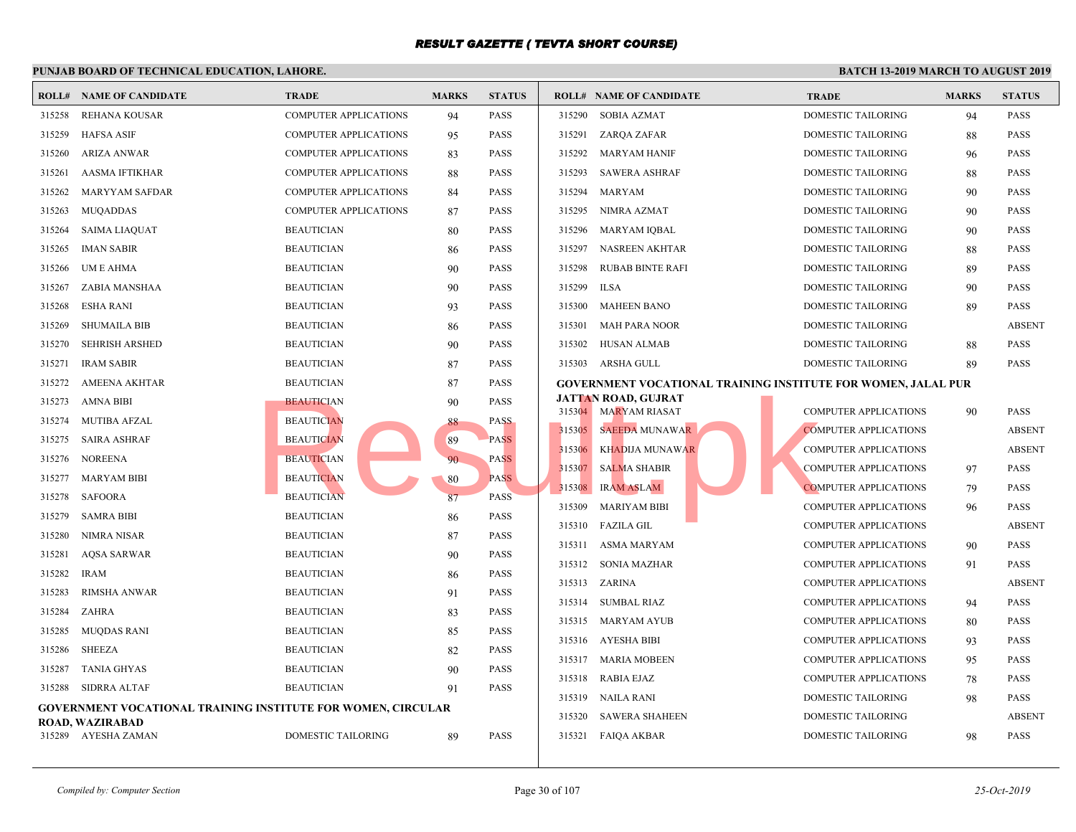|        | I UNJAD DOARD OF TECHNICAL EDUCATION, LAHORE                        |                              |              |               |                  |                                                    |                            |
|--------|---------------------------------------------------------------------|------------------------------|--------------|---------------|------------------|----------------------------------------------------|----------------------------|
|        | <b>ROLL# NAME OF CANDIDATE</b>                                      | <b>TRADE</b>                 | <b>MARKS</b> | <b>STATUS</b> |                  | <b>ROLL# NAME OF CANDIDATE</b>                     | <b>TRAL</b>                |
| 315258 | REHANA KOUSAR                                                       | <b>COMPUTER APPLICATIONS</b> | 94           | <b>PASS</b>   | 315290           | SOBIA AZMAT                                        | <b>DOME</b>                |
| 315259 | <b>HAFSA ASIF</b>                                                   | <b>COMPUTER APPLICATIONS</b> | 95           | <b>PASS</b>   | 315291           | ZARQA ZAFAR                                        | <b>DOME</b>                |
| 315260 | <b>ARIZA ANWAR</b>                                                  | <b>COMPUTER APPLICATIONS</b> | 83           | <b>PASS</b>   | 315292           | MARYAM HANIF                                       | <b>DOME</b>                |
| 315261 | AASMA IFTIKHAR                                                      | <b>COMPUTER APPLICATIONS</b> | 88           | <b>PASS</b>   | 315293           | <b>SAWERA ASHRAF</b>                               | <b>DOME</b>                |
| 315262 | MARYYAM SAFDAR                                                      | <b>COMPUTER APPLICATIONS</b> | 84           | <b>PASS</b>   | 315294           | MARYAM                                             | <b>DOME</b>                |
| 315263 | MUQADDAS                                                            | <b>COMPUTER APPLICATIONS</b> | 87           | <b>PASS</b>   | 315295           | NIMRA AZMAT                                        | <b>DOME</b>                |
| 315264 | SAIMA LIAQUAT                                                       | <b>BEAUTICIAN</b>            | 80           | <b>PASS</b>   | 315296           | MARYAM IQBAL                                       | <b>DOME</b>                |
| 315265 | <b>IMAN SABIR</b>                                                   | <b>BEAUTICIAN</b>            | 86           | <b>PASS</b>   | 315297           | NASREEN AKHTAR                                     | <b>DOME</b>                |
| 315266 | UM E AHMA                                                           | <b>BEAUTICIAN</b>            | 90           | <b>PASS</b>   | 315298           | <b>RUBAB BINTE RAFI</b>                            | <b>DOME</b>                |
| 315267 | ZABIA MANSHAA                                                       | <b>BEAUTICIAN</b>            | 90           | <b>PASS</b>   | 315299           | ILSA                                               | <b>DOME</b>                |
| 315268 | <b>ESHA RANI</b>                                                    | <b>BEAUTICIAN</b>            | 93           | PASS          | 315300           | <b>MAHEEN BANO</b>                                 | <b>DOME</b>                |
| 315269 | <b>SHUMAILA BIB</b>                                                 | <b>BEAUTICIAN</b>            | 86           | <b>PASS</b>   | 315301           | MAH PARA NOOR                                      | <b>DOME</b>                |
| 315270 | <b>SEHRISH ARSHED</b>                                               | <b>BEAUTICIAN</b>            | 90           | PASS          | 315302           | HUSAN ALMAB                                        | <b>DOME</b>                |
| 315271 | <b>IRAM SABIR</b>                                                   | <b>BEAUTICIAN</b>            | 87           | <b>PASS</b>   |                  | 315303 ARSHA GULL                                  | <b>DOME</b>                |
| 315272 | <b>AMEENA AKHTAR</b>                                                | <b>BEAUTICIAN</b>            | 87           | <b>PASS</b>   |                  | GOVERNMENT VOCATIONAL TRAINING INSTITUTE           |                            |
| 315273 | <b>AMNA BIBI</b>                                                    | <b>BEAUTICIAN</b>            | 90           | <b>PASS</b>   |                  | <b>JATTAN ROAD, GUJRAT</b><br>315304 MARYAM RIASAT | <b>COMP</b>                |
| 315274 | MUTIBA AFZAL                                                        | <b>BEAUTICIAN</b>            | 88           | <b>PASS</b>   | 315305           | <b>SAEEDA MUNAWAR</b>                              | <b>COMP</b>                |
| 315275 | SAIRA ASHRAF                                                        | <b>BEAUTICIAN</b>            | 89           | <b>PASS</b>   | 315306           | KHADIJA MUNAWAR                                    |                            |
| 315276 | NOREENA                                                             | <b>BEAUTICIAN</b>            | 90           | <b>PASS</b>   | 315307           | <b>SALMA SHABIR</b>                                | <b>COMP</b><br><b>COMP</b> |
| 315277 | <b>MARYAM BIBI</b>                                                  | <b>BEAUTICIAN</b>            | 80           | <b>PASS</b>   |                  |                                                    |                            |
| 315278 | SAFOORA                                                             | <b>BEAUTICIAN</b>            | 87           | <b>PASS</b>   | 315308<br>315309 | <b>IRAM ASLAM</b>                                  | <b>COMP</b><br><b>COMP</b> |
| 315279 | SAMRA BIBI                                                          | <b>BEAUTICIAN</b>            | 86           | <b>PASS</b>   |                  | <b>MARIYAM BIBI</b>                                |                            |
| 315280 | NIMRA NISAR                                                         | <b>BEAUTICIAN</b>            | 87           | <b>PASS</b>   |                  | 315310 FAZILA GIL                                  | COMP<br><b>COMP</b>        |
| 315281 | <b>AQSA SARWAR</b>                                                  | <b>BEAUTICIAN</b>            | 90           | <b>PASS</b>   |                  | 315311 ASMA MARYAM                                 |                            |
| 315282 | <b>IRAM</b>                                                         | <b>BEAUTICIAN</b>            | 86           | <b>PASS</b>   |                  | 315312 SONIA MAZHAR                                | <b>COMP</b>                |
| 315283 | <b>RIMSHA ANWAR</b>                                                 | <b>BEAUTICIAN</b>            | 91           | <b>PASS</b>   |                  | 315313 ZARINA                                      | <b>COMP</b>                |
| 315284 | ZAHRA                                                               | <b>BEAUTICIAN</b>            | 83           | <b>PASS</b>   | 315314           | SUMBAL RIAZ                                        | <b>COMP</b>                |
| 315285 | <b>MUQDAS RANI</b>                                                  | <b>BEAUTICIAN</b>            | 85           | <b>PASS</b>   |                  | 315315 MARYAM AYUB                                 | <b>COMP</b>                |
| 315286 | SHEEZA                                                              | <b>BEAUTICIAN</b>            | 82           | <b>PASS</b>   |                  | 315316 AYESHA BIBI                                 | <b>COMP</b><br><b>COMP</b> |
| 315287 | TANIA GHYAS                                                         | <b>BEAUTICIAN</b>            | 90           | <b>PASS</b>   |                  | 315317 MARIA MOBEEN                                |                            |
| 315288 | SIDRRA ALTAF                                                        | <b>BEAUTICIAN</b>            | 91           | <b>PASS</b>   |                  | 315318 RABIA EJAZ                                  | <b>COMP</b>                |
|        | <b>GOVERNMENT VOCATIONAL TRAINING INSTITUTE FOR WOMEN, CIRCULAR</b> |                              |              |               |                  | 315319 NAILA RANI                                  | <b>DOME</b>                |
|        | <b>ROAD, WAZIRABAD</b>                                              |                              |              |               |                  | 315320 SAWERA SHAHEEN                              | <b>DOME</b>                |
|        | 315289 AYESHA ZAMAN                                                 | DOMESTIC TAILORING           | 89           | <b>PASS</b>   |                  | 315321 FAIQA AKBAR                                 | <b>DOME</b>                |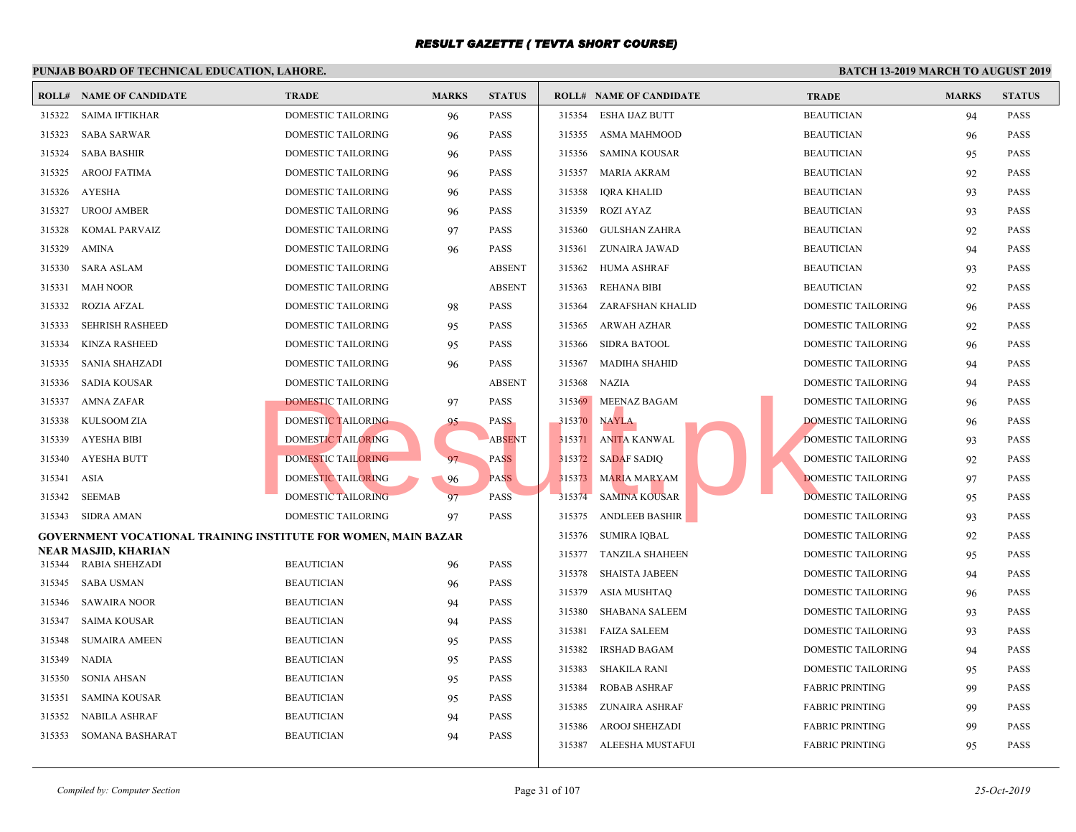|        | I UNGAD DOARD OF TECHNICAL EDUCATION, LAHORE                   |                           |              |               |        |                                |             |
|--------|----------------------------------------------------------------|---------------------------|--------------|---------------|--------|--------------------------------|-------------|
|        | <b>ROLL# NAME OF CANDIDATE</b>                                 | <b>TRADE</b>              | <b>MARKS</b> | <b>STATUS</b> |        | <b>ROLL# NAME OF CANDIDATE</b> | <b>TRAL</b> |
| 315322 | SAIMA IFTIKHAR                                                 | <b>DOMESTIC TAILORING</b> | 96           | <b>PASS</b>   | 315354 | <b>ESHA IJAZ BUTT</b>          | <b>BEAU</b> |
| 315323 | <b>SABA SARWAR</b>                                             | <b>DOMESTIC TAILORING</b> | 96           | <b>PASS</b>   |        | 315355 ASMA MAHMOOD            | <b>BEAU</b> |
| 315324 | <b>SABA BASHIR</b>                                             | DOMESTIC TAILORING        | 96           | <b>PASS</b>   | 315356 | <b>SAMINA KOUSAR</b>           | <b>BEAU</b> |
| 315325 | AROOJ FATIMA                                                   | DOMESTIC TAILORING        | 96           | <b>PASS</b>   | 315357 | <b>MARIA AKRAM</b>             | <b>BEAU</b> |
| 315326 | AYESHA                                                         | DOMESTIC TAILORING        | 96           | PASS          | 315358 | <b>IQRA KHALID</b>             | <b>BEAU</b> |
| 315327 | <b>UROOJ AMBER</b>                                             | DOMESTIC TAILORING        | 96           | <b>PASS</b>   | 315359 | <b>ROZI AYAZ</b>               | <b>BEAU</b> |
| 315328 | KOMAL PARVAIZ                                                  | DOMESTIC TAILORING        | 97           | <b>PASS</b>   | 315360 | GULSHAN ZAHRA                  | <b>BEAU</b> |
| 315329 | AMINA                                                          | DOMESTIC TAILORING        | 96           | PASS          | 315361 | ZUNAIRA JAWAD                  | <b>BEAU</b> |
| 315330 | <b>SARA ASLAM</b>                                              | DOMESTIC TAILORING        |              | <b>ABSENT</b> | 315362 | <b>HUMA ASHRAF</b>             | <b>BEAU</b> |
| 315331 | <b>MAH NOOR</b>                                                | DOMESTIC TAILORING        |              | <b>ABSENT</b> | 315363 | <b>REHANA BIBI</b>             | <b>BEAU</b> |
| 315332 | <b>ROZIA AFZAL</b>                                             | DOMESTIC TAILORING        | 98           | <b>PASS</b>   | 315364 | ZARAFSHAN KHALID               | <b>DOME</b> |
| 315333 | <b>SEHRISH RASHEED</b>                                         | DOMESTIC TAILORING        | 95           | <b>PASS</b>   |        | 315365 ARWAH AZHAR             | <b>DOME</b> |
| 315334 | <b>KINZA RASHEED</b>                                           | DOMESTIC TAILORING        | 95           | <b>PASS</b>   | 315366 | <b>SIDRA BATOOL</b>            | <b>DOME</b> |
| 315335 | SANIA SHAHZADI                                                 | DOMESTIC TAILORING        | 96           | PASS          | 315367 | MADIHA SHAHID                  | <b>DOME</b> |
| 315336 | SADIA KOUSAR                                                   | DOMESTIC TAILORING        |              | <b>ABSENT</b> |        | 315368 NAZIA                   | <b>DOME</b> |
| 315337 | AMNA ZAFAR                                                     | <b>DOMESTIC TAILORING</b> | 97           | PASS          | 315369 | MEENAZ BAGAM                   | <b>DOME</b> |
| 315338 | KULSOOM ZIA                                                    | DOMESTIC TAILORING        | 95           | <b>PASS</b>   | 315370 | <b>NAYLA</b>                   | <b>DOME</b> |
| 315339 | AYESHA BIBI                                                    | <b>DOMESTIC TAILORING</b> |              | <b>ABSENT</b> | 315371 | <b>ANITA KANWAL</b>            | <b>DOME</b> |
| 315340 | AYESHA BUTT                                                    | DOMESTIC TAILORING        | 97           | <b>PASS</b>   | 315372 | <b>SADAF SADIQ</b>             | <b>DOME</b> |
| 315341 | ASIA                                                           | DOMESTIC TAILORING        | 96           | <b>PASS</b>   | 315373 | <b>MARIA MARYAM</b>            | <b>DOME</b> |
| 315342 | <b>SEEMAB</b>                                                  | DOMESTIC TAILORING        | 97           | PASS          | 315374 | <b>SAMINA KOUSAR</b>           | <b>DOME</b> |
|        | 315343 SIDRA AMAN                                              | <b>DOMESTIC TAILORING</b> | 97           | <b>PASS</b>   | 315375 | <b>ANDLEEB BASHIR</b>          | <b>DOME</b> |
|        | GOVERNMENT VOCATIONAL TRAINING INSTITUTE FOR WOMEN, MAIN BAZAR |                           |              |               | 315376 | <b>SUMIRA IQBAL</b>            | <b>DOME</b> |
| 315344 | NEAR MASJID, KHARIAN<br>RABIA SHEHZADI                         | <b>BEAUTICIAN</b>         | 96           | <b>PASS</b>   | 315377 | <b>TANZILA SHAHEEN</b>         | <b>DOME</b> |
| 315345 | <b>SABA USMAN</b>                                              | <b>BEAUTICIAN</b>         |              | <b>PASS</b>   | 315378 | SHAISTA JABEEN                 | <b>DOME</b> |
| 315346 | SAWAIRA NOOR                                                   | <b>BEAUTICIAN</b>         | 96           | <b>PASS</b>   | 315379 | ASIA MUSHTAQ                   | <b>DOME</b> |
| 315347 | SAIMA KOUSAR                                                   | <b>BEAUTICIAN</b>         | 94           | <b>PASS</b>   | 315380 | <b>SHABANA SALEEM</b>          | <b>DOME</b> |
|        |                                                                |                           | 94           | <b>PASS</b>   | 315381 | <b>FAIZA SALEEM</b>            | <b>DOME</b> |
| 315348 | <b>SUMAIRA AMEEN</b>                                           | <b>BEAUTICIAN</b>         | 95           |               | 315382 | <b>IRSHAD BAGAM</b>            | <b>DOME</b> |
| 315349 | NADIA                                                          | <b>BEAUTICIAN</b>         | 95           | <b>PASS</b>   | 315383 | SHAKILA RANI                   | <b>DOME</b> |
| 315350 | <b>SONIA AHSAN</b>                                             | <b>BEAUTICIAN</b>         | 95           | PASS          | 315384 | <b>ROBAB ASHRAF</b>            | FABRI       |
| 315351 | SAMINA KOUSAR                                                  | <b>BEAUTICIAN</b>         | 95           | <b>PASS</b>   |        | 315385 ZUNAIRA ASHRAF          | FABRI       |
| 315352 | NABILA ASHRAF                                                  | <b>BEAUTICIAN</b>         | 94           | PASS          |        | 315386 AROOJ SHEHZADI          | FABRI       |
| 315353 | SOMANA BASHARAT                                                | <b>BEAUTICIAN</b>         | 94           | <b>PASS</b>   |        | 315387 ALEESHA MUSTAFUI        | FABRI       |
|        |                                                                |                           |              |               |        |                                |             |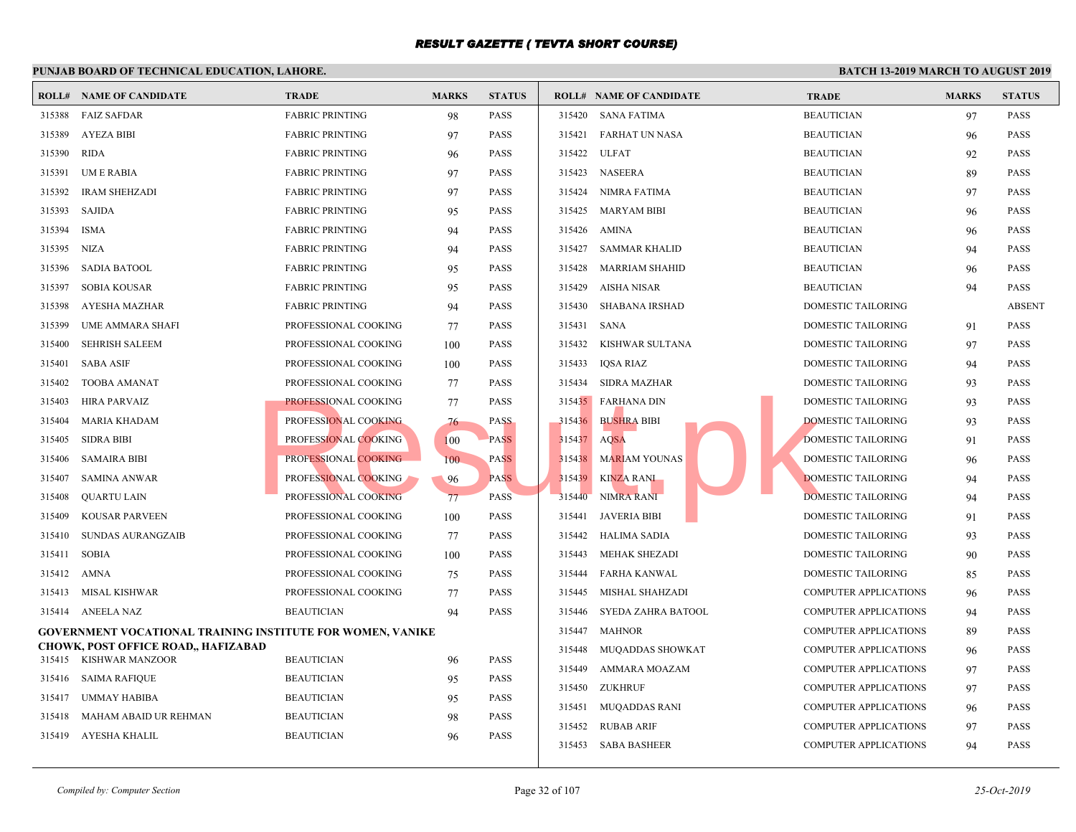|        | I chond bonno of them wand do call for a dimond                      |                        |              |               |             |                                |             |
|--------|----------------------------------------------------------------------|------------------------|--------------|---------------|-------------|--------------------------------|-------------|
|        | <b>ROLL# NAME OF CANDIDATE</b>                                       | <b>TRADE</b>           | <b>MARKS</b> | <b>STATUS</b> |             | <b>ROLL# NAME OF CANDIDATE</b> | <b>TRAL</b> |
| 315388 | <b>FAIZ SAFDAR</b>                                                   | <b>FABRIC PRINTING</b> | 98           | PASS          |             | 315420 SANA FATIMA             | <b>BEAU</b> |
| 315389 | <b>AYEZA BIBI</b>                                                    | <b>FABRIC PRINTING</b> | 97           | <b>PASS</b>   |             | 315421 FARHAT UN NASA          | <b>BEAU</b> |
| 315390 | RIDA                                                                 | <b>FABRIC PRINTING</b> | 96           | <b>PASS</b>   | 315422      | <b>ULFAT</b>                   | <b>BEAU</b> |
| 315391 | UM E RABIA                                                           | <b>FABRIC PRINTING</b> | 97           | <b>PASS</b>   | 315423      | <b>NASEERA</b>                 | <b>BEAU</b> |
| 315392 | <b>IRAM SHEHZADI</b>                                                 | <b>FABRIC PRINTING</b> | 97           | <b>PASS</b>   | 315424      | NIMRA FATIMA                   | <b>BEAU</b> |
| 315393 | SAJIDA                                                               | <b>FABRIC PRINTING</b> | 95           | <b>PASS</b>   | 315425      | MARYAM BIBI                    | <b>BEAU</b> |
| 315394 | <b>ISMA</b>                                                          | <b>FABRIC PRINTING</b> | 94           | <b>PASS</b>   | 315426      | AMINA                          | <b>BEAU</b> |
| 315395 | NIZA                                                                 | <b>FABRIC PRINTING</b> | 94           | <b>PASS</b>   | 315427      | <b>SAMMAR KHALID</b>           | <b>BEAU</b> |
| 315396 | <b>SADIA BATOOL</b>                                                  | <b>FABRIC PRINTING</b> | 95           | <b>PASS</b>   | 315428      | <b>MARRIAM SHAHID</b>          | <b>BEAU</b> |
| 315397 | <b>SOBIA KOUSAR</b>                                                  | <b>FABRIC PRINTING</b> | 95           | <b>PASS</b>   | 315429      | AISHA NISAR                    | <b>BEAU</b> |
| 315398 | AYESHA MAZHAR                                                        | <b>FABRIC PRINTING</b> | 94           | <b>PASS</b>   |             | 315430 SHABANA IRSHAD          | <b>DOME</b> |
| 315399 | UME AMMARA SHAFI                                                     | PROFESSIONAL COOKING   | 77           | <b>PASS</b>   | 315431 SANA |                                | <b>DOME</b> |
| 315400 | <b>SEHRISH SALEEM</b>                                                | PROFESSIONAL COOKING   | 100          | <b>PASS</b>   | 315432      | KISHWAR SULTANA                | <b>DOME</b> |
| 315401 | <b>SABA ASIF</b>                                                     | PROFESSIONAL COOKING   | 100          | PASS          | 315433      | IQSA RIAZ                      | <b>DOME</b> |
| 315402 | TOOBA AMANAT                                                         | PROFESSIONAL COOKING   | 77           | <b>PASS</b>   |             | 315434 SIDRA MAZHAR            | <b>DOME</b> |
| 315403 | HIRA PARVAIZ                                                         | PROFESSIONAL COOKING   | 77           | <b>PASS</b>   |             | 315435 FARHANA DIN             | <b>DOME</b> |
| 315404 | MARIA KHADAM                                                         | PROFESSIONAL COOKING   | 76           | <b>PASS</b>   |             | 315436 BUSHRA BIBI             | <b>DOME</b> |
| 315405 | <b>SIDRA BIBI</b>                                                    | PROFESSIONAL COOKING   | 100          | <b>PASS</b>   | 315437      | <b>AQSA</b>                    | <b>DOME</b> |
| 315406 | SAMAIRA BIBI                                                         | PROFESSIONAL COOKING   | 100          | <b>PASS</b>   |             | 315438 MARIAM YOUNAS           | <b>DOME</b> |
| 315407 | <b>SAMINA ANWAR</b>                                                  | PROFESSIONAL COOKING   | 96           | <b>PASS</b>   | 315439      | KINZA RANI                     | <b>DOME</b> |
| 315408 | QUARTU LAIN                                                          | PROFESSIONAL COOKING   | 77           | <b>PASS</b>   | 315440      | <b>NIMRA RANI</b>              | <b>DOME</b> |
| 315409 | KOUSAR PARVEEN                                                       | PROFESSIONAL COOKING   | 100          | <b>PASS</b>   | 315441      | JAVERIA BIBI                   | <b>DOME</b> |
| 315410 | SUNDAS AURANGZAIB                                                    | PROFESSIONAL COOKING   | 77           | <b>PASS</b>   | 315442      | HALIMA SADIA                   | <b>DOME</b> |
| 315411 | SOBIA                                                                | PROFESSIONAL COOKING   | 100          | <b>PASS</b>   | 315443      | <b>MEHAK SHEZADI</b>           | <b>DOME</b> |
|        | 315412 AMNA                                                          | PROFESSIONAL COOKING   | 75           | <b>PASS</b>   | 315444      | FARHA KANWAL                   | <b>DOME</b> |
| 315413 | MISAL KISHWAR                                                        | PROFESSIONAL COOKING   | 77           | <b>PASS</b>   | 315445      | MISHAL SHAHZADI                | <b>COMP</b> |
|        | 315414 ANEELA NAZ                                                    | <b>BEAUTICIAN</b>      | 94           | <b>PASS</b>   | 315446      | SYEDA ZAHRA BATOOL             | <b>COMP</b> |
|        | <b>GOVERNMENT VOCATIONAL TRAINING INSTITUTE FOR WOMEN, VANIKE</b>    |                        |              |               | 315447      | <b>MAHNOR</b>                  | <b>COMP</b> |
|        | <b>CHOWK, POST OFFICE ROAD,, HAFIZABAD</b><br>315415 KISHWAR MANZOOR | <b>BEAUTICIAN</b>      | 96           | <b>PASS</b>   | 315448      | MUQADDAS SHOWKAT               | <b>COMP</b> |
|        | 315416 SAIMA RAFIQUE                                                 | <b>BEAUTICIAN</b>      | 95           | <b>PASS</b>   | 315449      | AMMARA MOAZAM                  | <b>COMP</b> |
| 315417 | UMMAY HABIBA                                                         | <b>BEAUTICIAN</b>      |              | <b>PASS</b>   |             | 315450 ZUKHRUF                 | <b>COMP</b> |
| 315418 | MAHAM ABAID UR REHMAN                                                | <b>BEAUTICIAN</b>      | 95           | <b>PASS</b>   |             | 315451 MUQADDAS RANI           | <b>COMP</b> |
|        | AYESHA KHALIL                                                        | <b>BEAUTICIAN</b>      | 98           |               | 315452      | RUBAB ARIF                     | <b>COMP</b> |
| 315419 |                                                                      |                        | 96           | PASS          |             | 315453 SABA BASHEER            | <b>COMP</b> |
|        |                                                                      |                        |              |               |             |                                |             |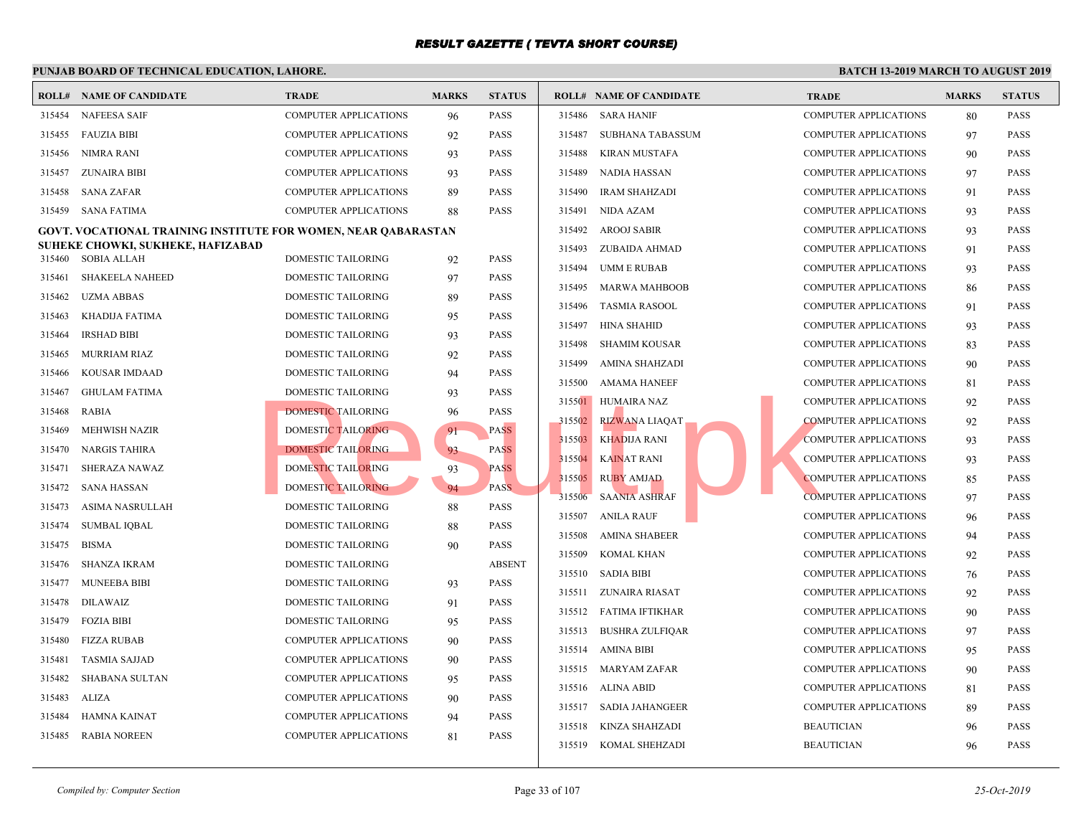|        | <b>ROLL# NAME OF CANDIDATE</b>                                 | <b>TRADE</b>                 | <b>MARKS</b> | <b>STATUS</b> |        | <b>ROLL# NAME OF CANDIDATE</b> | TRAL        |
|--------|----------------------------------------------------------------|------------------------------|--------------|---------------|--------|--------------------------------|-------------|
| 315454 | <b>NAFEESA SAIF</b>                                            | <b>COMPUTER APPLICATIONS</b> | 96           | <b>PASS</b>   |        | 315486 SARA HANIF              | <b>COMP</b> |
| 315455 | <b>FAUZIA BIBI</b>                                             | <b>COMPUTER APPLICATIONS</b> | 92           | <b>PASS</b>   | 315487 | SUBHANA TABASSUM               | <b>COMP</b> |
| 315456 | NIMRA RANI                                                     | <b>COMPUTER APPLICATIONS</b> | 93           | <b>PASS</b>   | 315488 | <b>KIRAN MUSTAFA</b>           | <b>COMP</b> |
| 315457 | ZUNAIRA BIBI                                                   | <b>COMPUTER APPLICATIONS</b> | 93           | <b>PASS</b>   | 315489 | NADIA HASSAN                   | <b>COMP</b> |
| 315458 | <b>SANA ZAFAR</b>                                              | COMPUTER APPLICATIONS        | 89           | <b>PASS</b>   | 315490 | <b>IRAM SHAHZADI</b>           | <b>COMP</b> |
| 315459 | SANA FATIMA                                                    | <b>COMPUTER APPLICATIONS</b> | 88           | <b>PASS</b>   | 315491 | NIDA AZAM                      | <b>COMP</b> |
|        | GOVT. VOCATIONAL TRAINING INSTITUTE FOR WOMEN, NEAR QABARASTAN |                              |              |               |        | 315492 AROOJ SABIR             | <b>COMP</b> |
|        | SUHEKE CHOWKI, SUKHEKE, HAFIZABAD                              |                              |              |               |        | 315493 ZUBAIDA AHMAD           | <b>COMP</b> |
| 315460 | SOBIA ALLAH                                                    | DOMESTIC TAILORING           | 92           | <b>PASS</b>   | 315494 | UMM E RUBAB                    | <b>COMP</b> |
| 315461 | <b>SHAKEELA NAHEED</b>                                         | DOMESTIC TAILORING           | 97           | <b>PASS</b>   |        | 315495 MARWA MAHBOOB           | <b>COMP</b> |
| 315462 | <b>UZMA ABBAS</b>                                              | DOMESTIC TAILORING           | 89           | <b>PASS</b>   | 315496 | TASMIA RASOOL                  | <b>COMP</b> |
| 315463 | KHADIJA FATIMA                                                 | DOMESTIC TAILORING           | 95           | <b>PASS</b>   | 315497 | <b>HINA SHAHID</b>             | <b>COMP</b> |
| 315464 | <b>IRSHAD BIBI</b>                                             | <b>DOMESTIC TAILORING</b>    | 93           | <b>PASS</b>   | 315498 | <b>SHAMIM KOUSAR</b>           | <b>COMP</b> |
| 315465 | <b>MURRIAM RIAZ</b>                                            | DOMESTIC TAILORING           | 92           | <b>PASS</b>   |        | 315499 AMINA SHAHZADI          | <b>COMP</b> |
| 315466 | <b>KOUSAR IMDAAD</b>                                           | <b>DOMESTIC TAILORING</b>    | 94           | <b>PASS</b>   | 315500 | AMAMA HANEEF                   | <b>COMP</b> |
| 315467 | <b>GHULAM FATIMA</b>                                           | DOMESTIC TAILORING           | 93           | <b>PASS</b>   |        | 315501 HUMAIRA NAZ             | <b>COMP</b> |
| 315468 | RABIA                                                          | <b>DOMESTIC TAILORING</b>    | 96           | PASS          | 315502 | RIZWANA LIAQAT                 | <b>COMP</b> |
| 315469 | MEHWISH NAZIR                                                  | DOMESTIC TAILORING           | 91           | <b>PASS</b>   | 315503 | <b>KHADIJA RANI</b>            | <b>COMP</b> |
| 315470 | <b>NARGIS TAHIRA</b>                                           | <b>DOMESTIC TAILORING</b>    | 93           | <b>PASS</b>   | 315504 | <b>KAINAT RANI</b>             | <b>COMP</b> |
| 315471 | <b>SHERAZA NAWAZ</b>                                           | DOMESTIC TAILORING           | 93           | <b>PASS</b>   |        | 315505 RUBY AMJAD              | <b>COMP</b> |
| 315472 | SANA HASSAN                                                    | <b>DOMESTIC TAILORING</b>    | 94           | <b>PASS</b>   | 315506 | <b>SAANIA ASHRAF</b>           | <b>COMP</b> |
| 315473 | ASIMA NASRULLAH                                                | DOMESTIC TAILORING           | 88           | <b>PASS</b>   | 315507 | <b>ANILA RAUF</b>              | <b>COMP</b> |
| 315474 | <b>SUMBAL IQBAL</b>                                            | DOMESTIC TAILORING           | 88           | <b>PASS</b>   |        | 315508 AMINA SHABEER           | <b>COMP</b> |
| 315475 | <b>BISMA</b>                                                   | DOMESTIC TAILORING           | 90           | PASS          | 315509 | KOMAL KHAN                     | <b>COMP</b> |
| 315476 | SHANZA IKRAM                                                   | DOMESTIC TAILORING           |              | <b>ABSENT</b> |        |                                |             |
| 315477 | <b>MUNEEBA BIBI</b>                                            | DOMESTIC TAILORING           | 93           | PASS          |        | 315510 SADIA BIBI              | <b>COMP</b> |
| 315478 | <b>DILAWAIZ</b>                                                | DOMESTIC TAILORING           | 91           | <b>PASS</b>   |        | 315511 ZUNAIRA RIASAT          | <b>COMP</b> |
| 315479 | <b>FOZIA BIBI</b>                                              | <b>DOMESTIC TAILORING</b>    | 95           | <b>PASS</b>   |        | 315512 FATIMA IFTIKHAR         | <b>COMP</b> |
| 315480 | FIZZA RUBAB                                                    | <b>COMPUTER APPLICATIONS</b> | 90           | <b>PASS</b>   | 315513 | <b>BUSHRA ZULFIQAR</b>         | <b>COMP</b> |
| 315481 | TASMIA SAJJAD                                                  | <b>COMPUTER APPLICATIONS</b> | 90           | <b>PASS</b>   |        | 315514 AMINA BIBI              | <b>COMP</b> |
| 315482 | SHABANA SULTAN                                                 | <b>COMPUTER APPLICATIONS</b> | 95           | <b>PASS</b>   |        | 315515 MARYAM ZAFAR            | <b>COMP</b> |
| 315483 | ALIZA                                                          | <b>COMPUTER APPLICATIONS</b> | 90           | PASS          |        | 315516 ALINA ABID              | <b>COMP</b> |
| 315484 | HAMNA KAINAT                                                   | <b>COMPUTER APPLICATIONS</b> | 94           | <b>PASS</b>   |        | 315517 SADIA JAHANGEER         | <b>COMP</b> |
| 315485 | <b>RABIA NOREEN</b>                                            | <b>COMPUTER APPLICATIONS</b> | 81           | <b>PASS</b>   | 315518 | KINZA SHAHZADI                 | <b>BEAU</b> |
|        |                                                                |                              |              |               | 315519 | KOMAL SHEHZADI                 | <b>BEAU</b> |
|        |                                                                |                              |              |               |        |                                |             |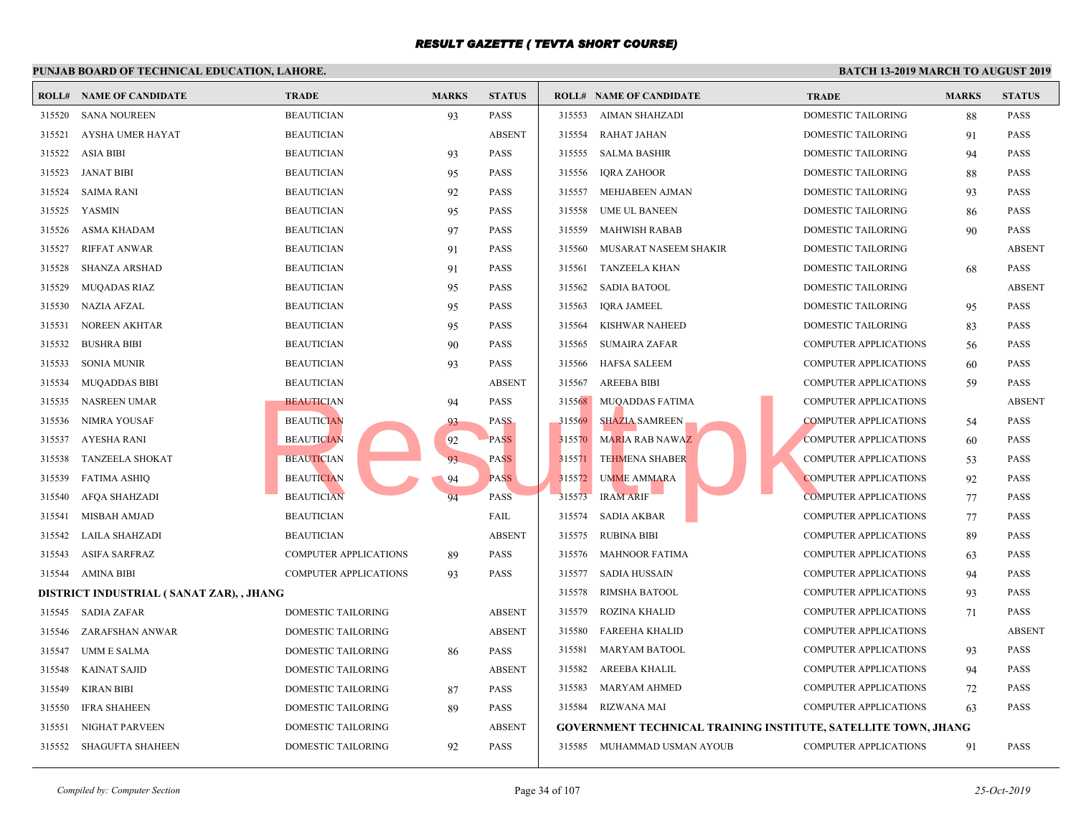|        | <b>ROLL# NAME OF CANDIDATE</b>           | <b>TRADE</b>          | <b>MARKS</b> | <b>STATUS</b> |        | <b>ROLL# NAME OF CANDIDATE</b>                    | <b>TRAL</b> |
|--------|------------------------------------------|-----------------------|--------------|---------------|--------|---------------------------------------------------|-------------|
| 315520 | <b>SANA NOUREEN</b>                      | <b>BEAUTICIAN</b>     | 93           | PASS          | 315553 | AIMAN SHAHZADI                                    | <b>DOME</b> |
| 315521 | AYSHA UMER HAYAT                         | <b>BEAUTICIAN</b>     |              | <b>ABSENT</b> | 315554 | RAHAT JAHAN                                       | <b>DOME</b> |
| 315522 | <b>ASIA BIBI</b>                         | <b>BEAUTICIAN</b>     | 93           | PASS          | 315555 | SALMA BASHIR                                      | <b>DOME</b> |
| 315523 | JANAT BIBI                               | <b>BEAUTICIAN</b>     | 95           | PASS          | 315556 | <b>IQRA ZAHOOR</b>                                | <b>DOME</b> |
| 315524 | <b>SAIMA RANI</b>                        | <b>BEAUTICIAN</b>     | 92           | PASS          | 315557 | MEHJABEEN AJMAN                                   | <b>DOME</b> |
| 315525 | <b>YASMIN</b>                            | <b>BEAUTICIAN</b>     | 95           | PASS          | 315558 | <b>UME UL BANEEN</b>                              | <b>DOME</b> |
| 315526 | <b>ASMA KHADAM</b>                       | <b>BEAUTICIAN</b>     | 97           | PASS          | 315559 | <b>MAHWISH RABAB</b>                              | <b>DOME</b> |
| 315527 | <b>RIFFAT ANWAR</b>                      | <b>BEAUTICIAN</b>     | 91           | PASS          | 315560 | MUSARAT NASEEM SHAKIR                             | <b>DOME</b> |
| 315528 | <b>SHANZA ARSHAD</b>                     | <b>BEAUTICIAN</b>     | 91           | PASS          | 315561 | <b>TANZEELA KHAN</b>                              | <b>DOME</b> |
| 315529 | <b>MUQADAS RIAZ</b>                      | <b>BEAUTICIAN</b>     | 95           | PASS          | 315562 | <b>SADIA BATOOL</b>                               | <b>DOME</b> |
| 315530 | <b>NAZIA AFZAL</b>                       | <b>BEAUTICIAN</b>     | 95           | PASS          | 315563 | <b>IQRA JAMEEL</b>                                | <b>DOME</b> |
| 315531 | NOREEN AKHTAR                            | <b>BEAUTICIAN</b>     | 95           | PASS          | 315564 | <b>KISHWAR NAHEED</b>                             | <b>DOME</b> |
| 315532 | <b>BUSHRA BIBI</b>                       | <b>BEAUTICIAN</b>     | 90           | PASS          | 315565 | SUMAIRA ZAFAR                                     | COMP        |
| 315533 | <b>SONIA MUNIR</b>                       | <b>BEAUTICIAN</b>     | 93           | PASS          | 315566 | <b>HAFSA SALEEM</b>                               | <b>COMP</b> |
| 315534 | <b>MUQADDAS BIBI</b>                     | <b>BEAUTICIAN</b>     |              | <b>ABSENT</b> | 315567 | <b>AREEBA BIBI</b>                                | <b>COMP</b> |
| 315535 | NASREEN UMAR                             | <b>BEAUTICIAN</b>     | 94           | <b>PASS</b>   | 315568 | MUQADDAS FATIMA                                   | <b>COMP</b> |
| 315536 | NIMRA YOUSAF                             | <b>BEAUTICIAN</b>     | 93           | <b>PASS</b>   | 315569 | <b>SHAZIA SAMREEN</b>                             | <b>COMP</b> |
| 315537 | AYESHA RANI                              | <b>BEAUTICIAN</b>     | 92           | <b>PASS</b>   | 315570 | <b>MARIA RAB NAWAZ</b>                            | <b>COMP</b> |
| 315538 | <b>TANZEELA SHOKAT</b>                   | <b>BEAUTICIAN</b>     | 93           | <b>PASS</b>   | 315571 | <b>TEHMENA SHABER</b>                             | <b>COMP</b> |
| 315539 | <b>FATIMA ASHIQ</b>                      | <b>BEAUTICIAN</b>     | 94           | <b>PASS</b>   | 315572 | <b>UMME AMMARA</b>                                | <b>COMP</b> |
| 315540 | AFQA SHAHZADI                            | <b>BEAUTICIAN</b>     | 94           | PASS          | 315573 | <b>IRAM ARIF</b>                                  | <b>COMP</b> |
| 315541 | MISBAH AMJAD                             | <b>BEAUTICIAN</b>     |              | FAIL          | 315574 | <b>SADIA AKBAR</b>                                | <b>COMP</b> |
| 315542 | <b>LAILA SHAHZADI</b>                    | <b>BEAUTICIAN</b>     |              | <b>ABSENT</b> | 315575 | <b>RUBINA BIBI</b>                                | <b>COMP</b> |
| 315543 | <b>ASIFA SARFRAZ</b>                     | COMPUTER APPLICATIONS | 89           | PASS          | 315576 | <b>MAHNOOR FATIMA</b>                             | <b>COMP</b> |
| 315544 | AMINA BIBI                               | COMPUTER APPLICATIONS | 93           | PASS          | 315577 | SADIA HUSSAIN                                     | <b>COMP</b> |
|        | DISTRICT INDUSTRIAL (SANAT ZAR), , JHANG |                       |              |               | 315578 | <b>RIMSHA BATOOL</b>                              | <b>COMP</b> |
| 315545 | SADIA ZAFAR                              | DOMESTIC TAILORING    |              | <b>ABSENT</b> | 315579 | <b>ROZINA KHALID</b>                              | <b>COMP</b> |
| 315546 | ZARAFSHAN ANWAR                          | DOMESTIC TAILORING    |              | <b>ABSENT</b> | 315580 | <b>FAREEHA KHALID</b>                             | <b>COMP</b> |
| 315547 | <b>UMM E SALMA</b>                       | DOMESTIC TAILORING    | 86           | PASS          | 315581 | <b>MARYAM BATOOL</b>                              | <b>COMP</b> |
| 315548 | <b>KAINAT SAJID</b>                      | DOMESTIC TAILORING    |              | <b>ABSENT</b> | 315582 | AREEBA KHALIL                                     | <b>COMP</b> |
| 315549 | <b>KIRAN BIBI</b>                        | DOMESTIC TAILORING    | 87           | PASS          | 315583 | <b>MARYAM AHMED</b>                               | <b>COMP</b> |
| 315550 | <b>IFRA SHAHEEN</b>                      | DOMESTIC TAILORING    | 89           | PASS          | 315584 | RIZWANA MAI                                       | <b>COMP</b> |
| 315551 | NIGHAT PARVEEN                           | DOMESTIC TAILORING    |              | <b>ABSENT</b> |        | <b>GOVERNMENT TECHNICAL TRAINING INSTITUTE, :</b> |             |
| 315552 | SHAGUFTA SHAHEEN                         | DOMESTIC TAILORING    | 92           | PASS          |        | 315585 MUHAMMAD USMAN AYOUB                       | <b>COMP</b> |
|        |                                          |                       |              |               |        |                                                   |             |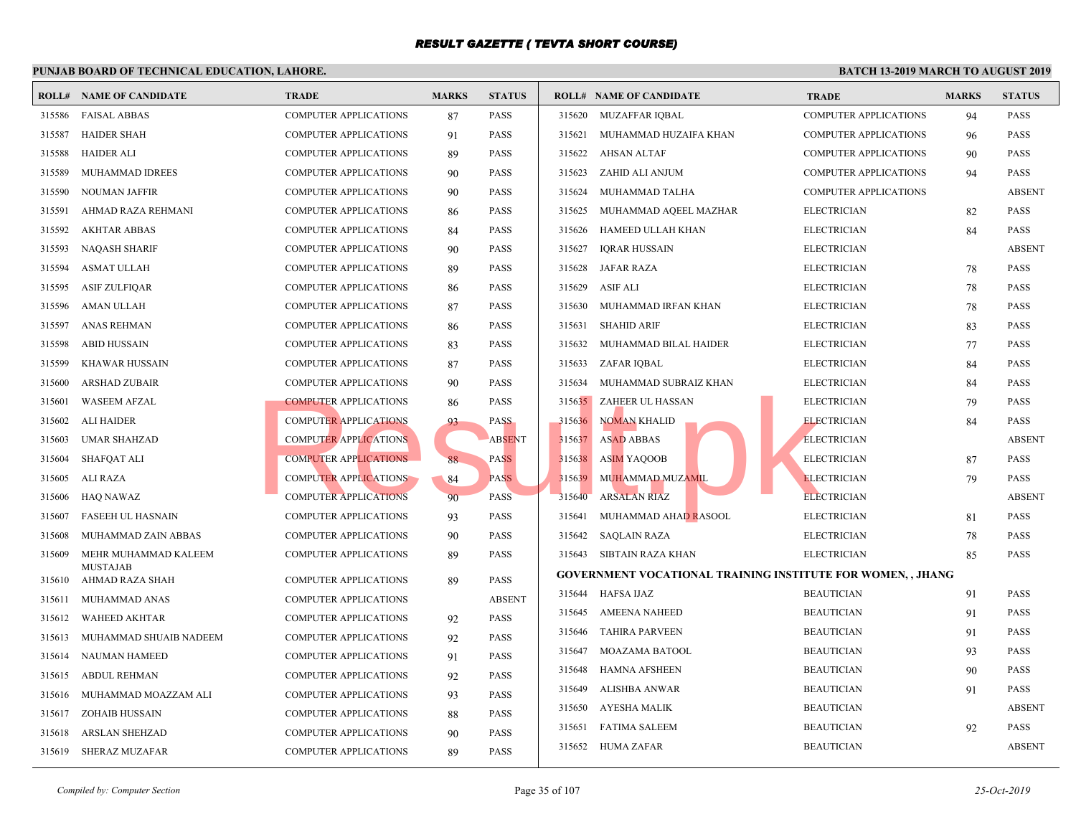|        | <b>ROLL# NAME OF CANDIDATE</b>          | <b>TRADE</b>                 | <b>MARKS</b> | <b>STATUS</b> |        | <b>ROLL# NAME OF CANDIDATE</b>                  | <b>TRAL</b>  |
|--------|-----------------------------------------|------------------------------|--------------|---------------|--------|-------------------------------------------------|--------------|
| 315586 | <b>FAISAL ABBAS</b>                     | COMPUTER APPLICATIONS        | 87           | <b>PASS</b>   |        | 315620 MUZAFFAR IQBAL                           | <b>COMP</b>  |
| 315587 | <b>HAIDER SHAH</b>                      | COMPUTER APPLICATIONS        | 91           | <b>PASS</b>   | 315621 | MUHAMMAD HUZAIFA KHAN                           | <b>COMP</b>  |
| 315588 | <b>HAIDER ALI</b>                       | COMPUTER APPLICATIONS        | 89           | <b>PASS</b>   | 315622 | <b>AHSAN ALTAF</b>                              | <b>COMP</b>  |
| 315589 | MUHAMMAD IDREES                         | COMPUTER APPLICATIONS        | 90           | <b>PASS</b>   | 315623 | ZAHID ALI ANJUM                                 | <b>COMP</b>  |
| 315590 | <b>NOUMAN JAFFIR</b>                    | COMPUTER APPLICATIONS        | 90           | <b>PASS</b>   | 315624 | MUHAMMAD TALHA                                  | COMP         |
| 315591 | AHMAD RAZA REHMANI                      | <b>COMPUTER APPLICATIONS</b> | 86           | <b>PASS</b>   | 315625 | MUHAMMAD AQEEL MAZHAR                           | <b>ELECT</b> |
| 315592 | <b>AKHTAR ABBAS</b>                     | COMPUTER APPLICATIONS        | 84           | <b>PASS</b>   | 315626 | HAMEED ULLAH KHAN                               | <b>ELECT</b> |
| 315593 | <b>NAQASH SHARIF</b>                    | COMPUTER APPLICATIONS        | 90           | <b>PASS</b>   | 315627 | <b>IQRAR HUSSAIN</b>                            | <b>ELECT</b> |
| 315594 | <b>ASMAT ULLAH</b>                      | <b>COMPUTER APPLICATIONS</b> | 89           | <b>PASS</b>   | 315628 | <b>JAFAR RAZA</b>                               | <b>ELECT</b> |
| 315595 | <b>ASIF ZULFIQAR</b>                    | COMPUTER APPLICATIONS        | 86           | <b>PASS</b>   | 315629 | <b>ASIF ALI</b>                                 | <b>ELECT</b> |
| 315596 | AMAN ULLAH                              | <b>COMPUTER APPLICATIONS</b> | 87           | <b>PASS</b>   | 315630 | MUHAMMAD IRFAN KHAN                             | <b>ELECT</b> |
| 315597 | <b>ANAS REHMAN</b>                      | <b>COMPUTER APPLICATIONS</b> | 86           | <b>PASS</b>   | 315631 | <b>SHAHID ARIF</b>                              | <b>ELECT</b> |
| 315598 | <b>ABID HUSSAIN</b>                     | COMPUTER APPLICATIONS        | 83           | <b>PASS</b>   | 315632 | MUHAMMAD BILAL HAIDER                           | <b>ELECT</b> |
| 315599 | <b>KHAWAR HUSSAIN</b>                   | COMPUTER APPLICATIONS        | 87           | <b>PASS</b>   | 315633 | ZAFAR IQBAL                                     | <b>ELECT</b> |
| 315600 | <b>ARSHAD ZUBAIR</b>                    | COMPUTER APPLICATIONS        | 90           | <b>PASS</b>   | 315634 | MUHAMMAD SUBRAIZ KHAN                           | <b>ELECT</b> |
| 315601 | <b>WASEEM AFZAL</b>                     | <b>COMPUTER APPLICATIONS</b> | 86           | <b>PASS</b>   | 315635 | ZAHEER UL HASSAN                                | <b>ELECT</b> |
| 315602 | <b>ALI HAIDER</b>                       | <b>COMPUTER APPLICATIONS</b> | 93           | <b>PASS</b>   | 315636 | NOMAN KHALID                                    | <b>ELECT</b> |
| 315603 | <b>UMAR SHAHZAD</b>                     | <b>COMPUTER APPLICATIONS</b> |              | <b>ABSENT</b> | 315637 | <b>ASAD ABBAS</b>                               | <b>ELECT</b> |
| 315604 | <b>SHAFQAT ALI</b>                      | <b>COMPUTER APPLICATIONS</b> | 88           | <b>PASS</b>   | 315638 | <b>ASIM YAQOOB</b>                              | <b>ELECT</b> |
| 315605 | ALI RAZA                                | <b>COMPUTER APPLICATIONS</b> | 84           | <b>PASS</b>   | 315639 | MUHAMMAD MUZAMIL                                | <b>ELECT</b> |
| 315606 | <b>HAQ NAWAZ</b>                        | <b>COMPUTER APPLICATIONS</b> | 90           | <b>PASS</b>   | 315640 | <b>ARSALAN RIAZ</b>                             | <b>ELECT</b> |
| 315607 | <b>FASEEH UL HASNAIN</b>                | COMPUTER APPLICATIONS        | 93           | <b>PASS</b>   | 315641 | MUHAMMAD AHAD RASOOL                            | <b>ELECT</b> |
| 315608 | MUHAMMAD ZAIN ABBAS                     | COMPUTER APPLICATIONS        | 90           | <b>PASS</b>   | 315642 | <b>SAQLAIN RAZA</b>                             | <b>ELECT</b> |
| 315609 | MEHR MUHAMMAD KALEEM<br><b>MUSTAJAB</b> | <b>COMPUTER APPLICATIONS</b> | 89           | <b>PASS</b>   | 315643 | SIBTAIN RAZA KHAN                               | <b>ELECT</b> |
| 315610 | AHMAD RAZA SHAH                         | <b>COMPUTER APPLICATIONS</b> | 89           | <b>PASS</b>   |        | <b>GOVERNMENT VOCATIONAL TRAINING INSTITUTE</b> |              |
| 315611 | MUHAMMAD ANAS                           | COMPUTER APPLICATIONS        |              | <b>ABSENT</b> | 315644 | <b>HAFSA IJAZ</b>                               | <b>BEAU</b>  |
| 315612 | <b>WAHEED AKHTAR</b>                    | <b>COMPUTER APPLICATIONS</b> | 92           | <b>PASS</b>   | 315645 | <b>AMEENA NAHEED</b>                            | <b>BEAU</b>  |
| 315613 | MUHAMMAD SHUAIB NADEEM                  | <b>COMPUTER APPLICATIONS</b> | 92           | <b>PASS</b>   | 315646 | <b>TAHIRA PARVEEN</b>                           | <b>BEAU</b>  |
| 315614 | NAUMAN HAMEED                           | COMPUTER APPLICATIONS        | 91           | <b>PASS</b>   | 315647 | MOAZAMA BATOOL                                  | <b>BEAU</b>  |
| 315615 | <b>ABDUL REHMAN</b>                     | COMPUTER APPLICATIONS        | 92           | <b>PASS</b>   | 315648 | <b>HAMNA AFSHEEN</b>                            | <b>BEAU</b>  |
| 315616 | MUHAMMAD MOAZZAM ALI                    | COMPUTER APPLICATIONS        | 93           | <b>PASS</b>   | 315649 | ALISHBA ANWAR                                   | <b>BEAU</b>  |
| 315617 | <b>ZOHAIB HUSSAIN</b>                   | COMPUTER APPLICATIONS        | 88           | <b>PASS</b>   | 315650 | AYESHA MALIK                                    | <b>BEAU</b>  |
| 315618 | <b>ARSLAN SHEHZAD</b>                   | <b>COMPUTER APPLICATIONS</b> | 90           | <b>PASS</b>   | 315651 | <b>FATIMA SALEEM</b>                            | <b>BEAU</b>  |
| 315619 | <b>SHERAZ MUZAFAR</b>                   | <b>COMPUTER APPLICATIONS</b> | 89           | <b>PASS</b>   | 315652 | HUMA ZAFAR                                      | <b>BEAU</b>  |
|        |                                         |                              |              |               |        |                                                 |              |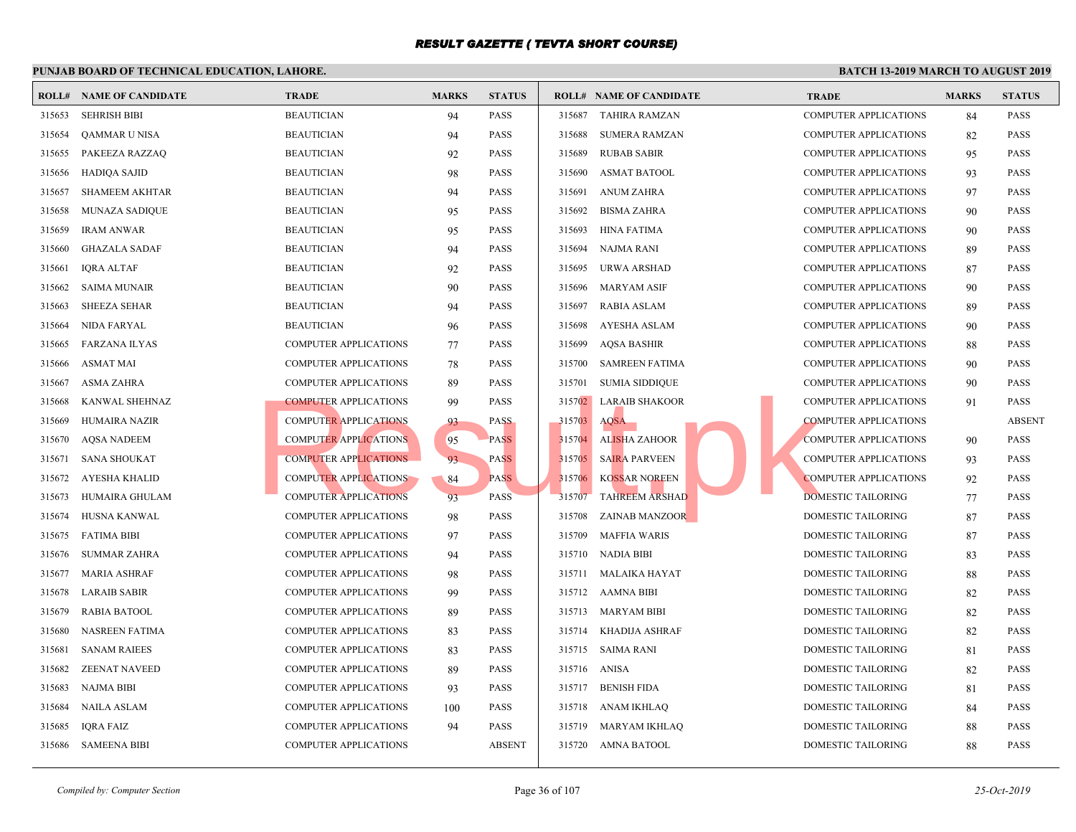|        | <b>ROLL# NAME OF CANDIDATE</b> | <b>TRADE</b>                 | <b>MARKS</b> | <b>STATUS</b> |        | <b>ROLL# NAME OF CANDIDATE</b> | <b>TRAL</b> |
|--------|--------------------------------|------------------------------|--------------|---------------|--------|--------------------------------|-------------|
| 315653 | <b>SEHRISH BIBI</b>            | <b>BEAUTICIAN</b>            | 94           | <b>PASS</b>   | 315687 | TAHIRA RAMZAN                  | <b>COMP</b> |
| 315654 | QAMMAR U NISA                  | <b>BEAUTICIAN</b>            | 94           | <b>PASS</b>   | 315688 | <b>SUMERA RAMZAN</b>           | <b>COMP</b> |
| 315655 | PAKEEZA RAZZAQ                 | <b>BEAUTICIAN</b>            | 92           | <b>PASS</b>   | 315689 | <b>RUBAB SABIR</b>             | <b>COMP</b> |
| 315656 | <b>HADIQA SAJID</b>            | <b>BEAUTICIAN</b>            | 98           | <b>PASS</b>   | 315690 | <b>ASMAT BATOOL</b>            | <b>COMP</b> |
| 315657 | <b>SHAMEEM AKHTAR</b>          | <b>BEAUTICIAN</b>            | 94           | <b>PASS</b>   | 315691 | <b>ANUM ZAHRA</b>              | <b>COMP</b> |
| 315658 | <b>MUNAZA SADIQUE</b>          | <b>BEAUTICIAN</b>            | 95           | <b>PASS</b>   | 315692 | <b>BISMA ZAHRA</b>             | <b>COMP</b> |
| 315659 | <b>IRAM ANWAR</b>              | <b>BEAUTICIAN</b>            | 95           | <b>PASS</b>   | 315693 | <b>HINA FATIMA</b>             | <b>COMP</b> |
| 315660 | <b>GHAZALA SADAF</b>           | <b>BEAUTICIAN</b>            | 94           | <b>PASS</b>   | 315694 | NAJMA RANI                     | <b>COMP</b> |
| 315661 | <b>IQRA ALTAF</b>              | <b>BEAUTICIAN</b>            | 92           | <b>PASS</b>   | 315695 | URWA ARSHAD                    | <b>COMP</b> |
| 315662 | <b>SAIMA MUNAIR</b>            | <b>BEAUTICIAN</b>            | 90           | <b>PASS</b>   | 315696 | <b>MARYAM ASIF</b>             | <b>COMP</b> |
| 315663 | <b>SHEEZA SEHAR</b>            | <b>BEAUTICIAN</b>            | 94           | <b>PASS</b>   | 315697 | <b>RABIA ASLAM</b>             | <b>COMP</b> |
| 315664 | NIDA FARYAL                    | <b>BEAUTICIAN</b>            | 96           | <b>PASS</b>   | 315698 | <b>AYESHA ASLAM</b>            | <b>COMP</b> |
| 315665 | <b>FARZANA ILYAS</b>           | <b>COMPUTER APPLICATIONS</b> | 77           | <b>PASS</b>   | 315699 | <b>AQSA BASHIR</b>             | <b>COMP</b> |
| 315666 | ASMAT MAI                      | <b>COMPUTER APPLICATIONS</b> | 78           | PASS          | 315700 | <b>SAMREEN FATIMA</b>          | <b>COMP</b> |
| 315667 | <b>ASMA ZAHRA</b>              | <b>COMPUTER APPLICATIONS</b> | 89           | <b>PASS</b>   | 315701 | <b>SUMIA SIDDIQUE</b>          | <b>COMP</b> |
| 315668 | KANWAL SHEHNAZ                 | <b>COMPUTER APPLICATIONS</b> | 99           | <b>PASS</b>   | 315702 | <b>LARAIB SHAKOOR</b>          | <b>COMP</b> |
| 315669 | <b>HUMAIRA NAZIR</b>           | <b>COMPUTER APPLICATIONS</b> | 93           | <b>PASS</b>   | 315703 | <b>AQSA</b>                    | <b>COMP</b> |
| 315670 | <b>AQSA NADEEM</b>             | <b>COMPUTER APPLICATIONS</b> | 95           | <b>PASS</b>   | 315704 | AL <mark>ISH</mark> A ZAHOOR   | <b>COMP</b> |
| 315671 | <b>SANA SHOUKAT</b>            | <b>COMPUTER APPLICATIONS</b> | 93           | <b>PASS</b>   | 315705 | <b>SAIRA PARVEEN</b>           | <b>COMP</b> |
| 315672 | AYESHA KHALID                  | <b>COMPUTER APPLICATIONS</b> | 84           | <b>PASS</b>   | 315706 | <b>KOSSAR NOREEN</b>           | <b>COMP</b> |
| 315673 | HUMAIRA GHULAM                 | <b>COMPUTER APPLICATIONS</b> | 93           | <b>PASS</b>   | 315707 | <b>TAHREEM ARSHAD</b>          | <b>DOME</b> |
| 315674 | HUSNA KANWAL                   | <b>COMPUTER APPLICATIONS</b> | 98           | PASS          | 315708 | <b>ZAINAB MANZOOR</b>          | <b>DOME</b> |
| 315675 | <b>FATIMA BIBI</b>             | <b>COMPUTER APPLICATIONS</b> | 97           | <b>PASS</b>   | 315709 | <b>MAFFIA WARIS</b>            | <b>DOME</b> |
| 315676 | <b>SUMMAR ZAHRA</b>            | <b>COMPUTER APPLICATIONS</b> | 94           | <b>PASS</b>   | 315710 | NADIA BIBI                     | <b>DOME</b> |
| 315677 | <b>MARIA ASHRAF</b>            | COMPUTER APPLICATIONS        | 98           | <b>PASS</b>   | 315711 | MALAIKA HAYAT                  | <b>DOME</b> |
| 315678 | <b>LARAIB SABIR</b>            | <b>COMPUTER APPLICATIONS</b> | 99           | <b>PASS</b>   |        | 315712 AAMNA BIBI              | <b>DOME</b> |
| 315679 | <b>RABIA BATOOL</b>            | COMPUTER APPLICATIONS        | 89           | <b>PASS</b>   | 315713 | MARYAM BIBI                    | <b>DOME</b> |
| 315680 | NASREEN FATIMA                 | <b>COMPUTER APPLICATIONS</b> | 83           | <b>PASS</b>   | 315714 | KHADIJA ASHRAF                 | <b>DOME</b> |
| 315681 | <b>SANAM RAIEES</b>            | <b>COMPUTER APPLICATIONS</b> | 83           | <b>PASS</b>   | 315715 | <b>SAIMA RANI</b>              | <b>DOME</b> |
| 315682 | <b>ZEENAT NAVEED</b>           | <b>COMPUTER APPLICATIONS</b> | 89           | <b>PASS</b>   | 315716 | <b>ANISA</b>                   | <b>DOME</b> |
| 315683 | <b>NAJMA BIBI</b>              | <b>COMPUTER APPLICATIONS</b> | 93           | <b>PASS</b>   | 315717 | <b>BENISH FIDA</b>             | <b>DOME</b> |
| 315684 | NAILA ASLAM                    | COMPUTER APPLICATIONS        | 100          | <b>PASS</b>   | 315718 | ANAM IKHLAQ                    | <b>DOME</b> |
| 315685 | <b>IQRA FAIZ</b>               | COMPUTER APPLICATIONS        | 94           | <b>PASS</b>   | 315719 | MARYAM IKHLAQ                  | <b>DOME</b> |
| 315686 | <b>SAMEENA BIBI</b>            | <b>COMPUTER APPLICATIONS</b> |              | <b>ABSENT</b> |        | 315720 AMNA BATOOL             | <b>DOME</b> |
|        |                                |                              |              |               |        |                                |             |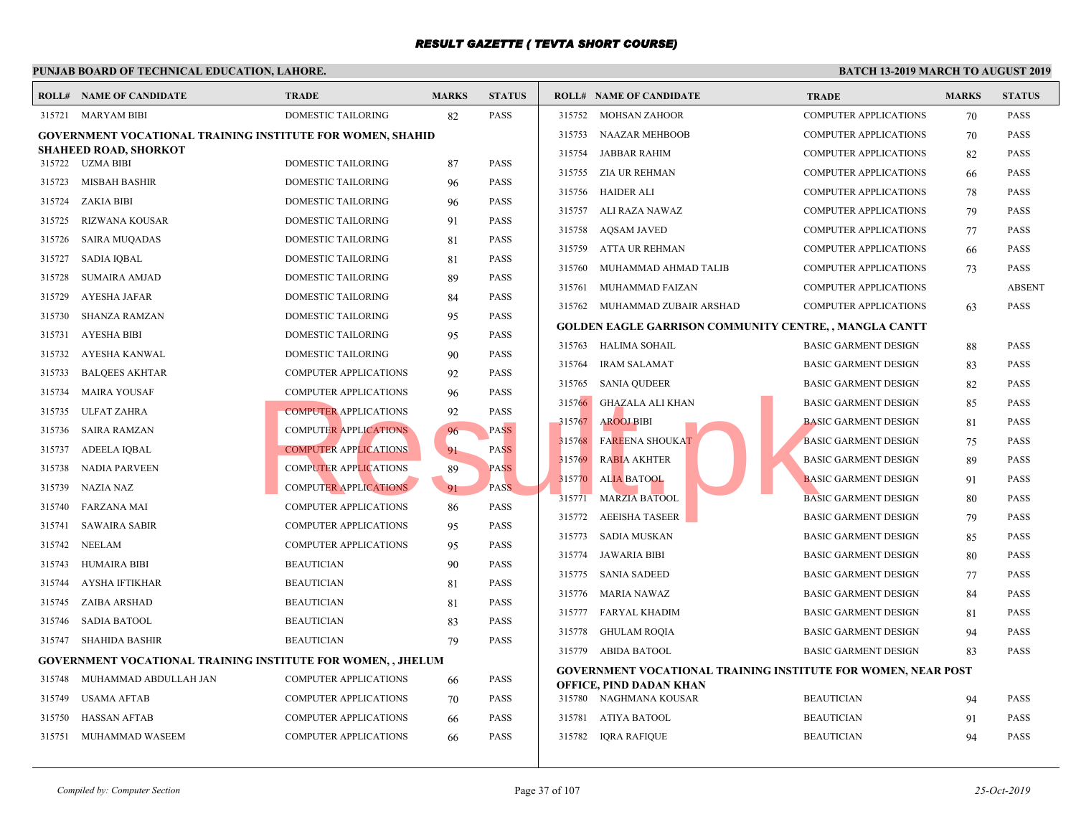|        | <b>ROLL# NAME OF CANDIDATE</b>                                      | <b>TRADE</b>                 | <b>MARKS</b> | <b>STATUS</b> |        | <b>ROLL# NAME OF CANDIDATE</b>                    | <b>TRAL</b>  |
|--------|---------------------------------------------------------------------|------------------------------|--------------|---------------|--------|---------------------------------------------------|--------------|
|        | 315721 MARYAM BIBI                                                  | DOMESTIC TAILORING           | 82           | PASS          |        | 315752 MOHSAN ZAHOOR                              | <b>COMP</b>  |
|        | <b>GOVERNMENT VOCATIONAL TRAINING INSTITUTE FOR WOMEN, SHAHID</b>   |                              |              |               | 315753 | NAAZAR MEHBOOB                                    | <b>COMP</b>  |
| 315722 | SHAHEED ROAD, SHORKOT<br>UZMA BIBI                                  | DOMESTIC TAILORING           |              | <b>PASS</b>   | 315754 | JABBAR RAHIM                                      | <b>COMP</b>  |
| 315723 | <b>MISBAH BASHIR</b>                                                | DOMESTIC TAILORING           | 87           | <b>PASS</b>   | 315755 | ZIA UR REHMAN                                     | <b>COMP</b>  |
|        |                                                                     |                              | 96           |               | 315756 | <b>HAIDER ALI</b>                                 | <b>COMP</b>  |
| 315724 | ZAKIA BIBI                                                          | DOMESTIC TAILORING           | 96           | <b>PASS</b>   | 315757 | ALI RAZA NAWAZ                                    | <b>COMP</b>  |
| 315725 | <b>RIZWANA KOUSAR</b>                                               | DOMESTIC TAILORING           | 91           | <b>PASS</b>   | 315758 | <b>AOSAM JAVED</b>                                | <b>COMP</b>  |
| 315726 | <b>SAIRA MUQADAS</b>                                                | DOMESTIC TAILORING           | 81           | <b>PASS</b>   | 315759 | ATTA UR REHMAN                                    | <b>COMP</b>  |
| 315727 | <b>SADIA IQBAL</b>                                                  | DOMESTIC TAILORING           | 81           | <b>PASS</b>   | 315760 | MUHAMMAD AHMAD TALIB                              | <b>COMP</b>  |
| 315728 | <b>SUMAIRA AMJAD</b>                                                | DOMESTIC TAILORING           | 89           | <b>PASS</b>   | 315761 | MUHAMMAD FAIZAN                                   | <b>COMP</b>  |
| 315729 | <b>AYESHA JAFAR</b>                                                 | DOMESTIC TAILORING           | 84           | <b>PASS</b>   | 315762 | MUHAMMAD ZUBAIR ARSHAD                            | <b>COMP</b>  |
| 315730 | <b>SHANZA RAMZAN</b>                                                | DOMESTIC TAILORING           | 95           | <b>PASS</b>   |        | <b>GOLDEN EAGLE GARRISON COMMUNITY CENTRE,</b>    |              |
| 315731 | <b>AYESHA BIBI</b>                                                  | DOMESTIC TAILORING           | 95           | <b>PASS</b>   | 315763 | HALIMA SOHAIL                                     | <b>BASIC</b> |
| 315732 | AYESHA KANWAL                                                       | DOMESTIC TAILORING           | 90           | <b>PASS</b>   | 315764 | <b>IRAM SALAMAT</b>                               | <b>BASIC</b> |
| 315733 | <b>BALQEES AKHTAR</b>                                               | <b>COMPUTER APPLICATIONS</b> | 92           | <b>PASS</b>   | 315765 | <b>SANIA QUDEER</b>                               | <b>BASIC</b> |
| 315734 | <b>MAIRA YOUSAF</b>                                                 | <b>COMPUTER APPLICATIONS</b> | 96           | <b>PASS</b>   | 315766 | GHAZALA ALI KHAN                                  | <b>BASIC</b> |
| 315735 | <b>ULFAT ZAHRA</b>                                                  | <b>COMPUTER APPLICATIONS</b> | 92           | <b>PASS</b>   | 315767 | <b>AROOJ BIBI</b>                                 | <b>BASIC</b> |
| 315736 | <b>SAIRA RAMZAN</b>                                                 | <b>COMPUTER APPLICATIONS</b> | 96           | <b>PASS</b>   | 315768 | <b>FAREENA SHOUKAT</b>                            | <b>BASIC</b> |
| 315737 | <b>ADEELA IQBAL</b>                                                 | <b>COMPUTER APPLICATIONS</b> | 91           | <b>PASS</b>   | 315769 | <b>RABIA AKHTER</b>                               | <b>BASIC</b> |
| 315738 | NADIA PARVEEN                                                       | <b>COMPUTER APPLICATIONS</b> | 89           | <b>PASS</b>   |        |                                                   |              |
| 315739 | <b>NAZIA NAZ</b>                                                    | <b>COMPUTER APPLICATIONS</b> | 91           | PASS.         | 315770 | <b>ALIA BATOOL</b>                                | <b>BASIC</b> |
| 315740 | <b>FARZANA MAI</b>                                                  | COMPUTER APPLICATIONS        | 86           | <b>PASS</b>   | 315771 | <b>MARZIA BATOOL</b>                              | <b>BASIC</b> |
| 315741 | <b>SAWAIRA SABIR</b>                                                | <b>COMPUTER APPLICATIONS</b> | 95           | <b>PASS</b>   | 315772 | <b>AEEISHA TASEER</b>                             | <b>BASIC</b> |
| 315742 | <b>NEELAM</b>                                                       | COMPUTER APPLICATIONS        | 95           | <b>PASS</b>   | 315773 | SADIA MUSKAN                                      | <b>BASIC</b> |
| 315743 | HUMAIRA BIBI                                                        | <b>BEAUTICIAN</b>            | 90           | <b>PASS</b>   | 315774 | <b>JAWARIA BIBI</b>                               | <b>BASIC</b> |
| 315744 | AYSHA IFTIKHAR                                                      | <b>BEAUTICIAN</b>            | 81           | <b>PASS</b>   | 315775 | <b>SANIA SADEED</b>                               | <b>BASIC</b> |
| 315745 | ZAIBA ARSHAD                                                        | <b>BEAUTICIAN</b>            | 81           | <b>PASS</b>   | 315776 | MARIA NAWAZ                                       | <b>BASIC</b> |
| 315746 | <b>SADIA BATOOL</b>                                                 | <b>BEAUTICIAN</b>            | 83           | <b>PASS</b>   | 315777 | FARYAL KHADIM                                     | <b>BASIC</b> |
| 315747 | <b>SHAHIDA BASHIR</b>                                               | <b>BEAUTICIAN</b>            | 79           | <b>PASS</b>   | 315778 | GHULAM ROQIA                                      | <b>BASIC</b> |
|        | <b>GOVERNMENT VOCATIONAL TRAINING INSTITUTE FOR WOMEN, , JHELUM</b> |                              |              |               |        | 315779 ABIDA BATOOL                               | <b>BASIC</b> |
| 315748 | MUHAMMAD ABDULLAH JAN                                               | COMPUTER APPLICATIONS        | 66           | PASS          |        | GOVERNMENT VOCATIONAL TRAINING INSTITUTE          |              |
| 315749 | USAMA AFTAB                                                         | <b>COMPUTER APPLICATIONS</b> | 70           | <b>PASS</b>   |        | OFFICE, PIND DADAN KHAN<br>315780 NAGHMANA KOUSAR | <b>BEAU</b>  |
| 315750 | <b>HASSAN AFTAB</b>                                                 | COMPUTER APPLICATIONS        | 66           | <b>PASS</b>   | 315781 | ATIYA BATOOL                                      | <b>BEAU</b>  |
| 315751 | MUHAMMAD WASEEM                                                     | COMPUTER APPLICATIONS        | 66           | <b>PASS</b>   | 315782 | IQRA RAFIQUE                                      | <b>BEAU</b>  |
|        |                                                                     |                              |              |               |        |                                                   |              |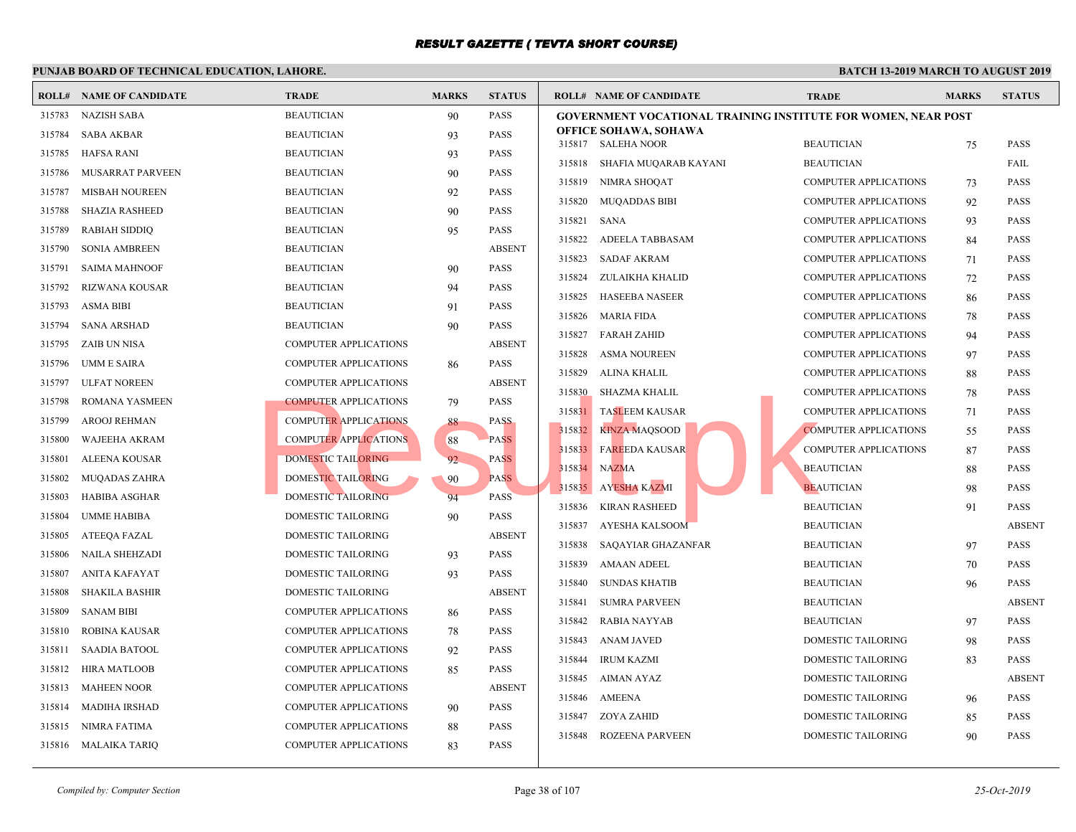|        | <b>ROLL# NAME OF CANDIDATE</b> | <b>TRADE</b>                 | <b>MARKS</b> | <b>STATUS</b> | <b>ROLL# NAME OF CANDIDATE</b>                  | <b>TRAI</b> |
|--------|--------------------------------|------------------------------|--------------|---------------|-------------------------------------------------|-------------|
| 315783 | <b>NAZISH SABA</b>             | <b>BEAUTICIAN</b>            | 90           | <b>PASS</b>   | <b>GOVERNMENT VOCATIONAL TRAINING INSTITUTE</b> |             |
| 315784 | <b>SABA AKBAR</b>              | <b>BEAUTICIAN</b>            | 93           | <b>PASS</b>   | <b>OFFICE SOHAWA, SOHAWA</b>                    |             |
| 315785 | <b>HAFSA RANI</b>              | <b>BEAUTICIAN</b>            | 93           | <b>PASS</b>   | 315817 SALEHA NOOR                              | <b>BEAU</b> |
| 315786 | <b>MUSARRAT PARVEEN</b>        | <b>BEAUTICIAN</b>            | 90           | <b>PASS</b>   | 315818<br>SHAFIA MUQARAB KAYANI                 | <b>BEAU</b> |
| 315787 | <b>MISBAH NOUREEN</b>          | <b>BEAUTICIAN</b>            | 92           | <b>PASS</b>   | 315819<br>NIMRA SHOQAT                          | <b>COMP</b> |
| 315788 | <b>SHAZIA RASHEED</b>          | <b>BEAUTICIAN</b>            | 90           | <b>PASS</b>   | 315820<br><b>MUQADDAS BIBI</b>                  | <b>COMP</b> |
| 315789 | <b>RABIAH SIDDIQ</b>           | <b>BEAUTICIAN</b>            | 95           | <b>PASS</b>   | 315821<br>SANA                                  | <b>COMP</b> |
| 315790 | <b>SONIA AMBREEN</b>           | <b>BEAUTICIAN</b>            |              | <b>ABSENT</b> | 315822<br>ADEELA TABBASAM                       | <b>COMP</b> |
| 315791 | <b>SAIMA MAHNOOF</b>           | <b>BEAUTICIAN</b>            | 90           | <b>PASS</b>   | 315823<br><b>SADAF AKRAM</b>                    | <b>COMP</b> |
| 315792 | <b>RIZWANA KOUSAR</b>          | <b>BEAUTICIAN</b>            | 94           | <b>PASS</b>   | 315824<br>ZULAIKHA KHALID                       | <b>COMP</b> |
| 315793 | <b>ASMA BIBI</b>               | <b>BEAUTICIAN</b>            | 91           | <b>PASS</b>   | 315825<br><b>HASEEBA NASEER</b>                 | <b>COMP</b> |
| 315794 | <b>SANA ARSHAD</b>             | <b>BEAUTICIAN</b>            | 90           | <b>PASS</b>   | 315826<br><b>MARIA FIDA</b>                     | <b>COMP</b> |
| 315795 | <b>ZAIB UN NISA</b>            | <b>COMPUTER APPLICATIONS</b> |              | <b>ABSENT</b> | 315827<br><b>FARAH ZAHID</b>                    | <b>COMP</b> |
| 315796 | UMM E SAIRA                    | <b>COMPUTER APPLICATIONS</b> | 86           | <b>PASS</b>   | 315828<br>ASMA NOUREEN                          | <b>COMP</b> |
| 315797 | <b>ULFAT NOREEN</b>            | <b>COMPUTER APPLICATIONS</b> |              | <b>ABSENT</b> | 315829<br>ALINA KHALIL                          | <b>COMP</b> |
| 315798 | ROMANA YASMEEN                 | <b>COMPUTER APPLICATIONS</b> | 79           | PASS          | 315830<br>SHAZMA KHALIL                         | <b>COMP</b> |
| 315799 | <b>AROOJ REHMAN</b>            | <b>COMPUTER APPLICATIONS</b> | 88           | <b>PASS</b>   | <b>TASLEEM KAUSAR</b><br>315831                 | <b>COMP</b> |
| 315800 | WAJEEHA AKRAM                  | <b>COMPUTER APPLICATIONS</b> | 88           | <b>PASS</b>   | <b>KINZA MAQSOOD</b><br>315832                  | <b>COMP</b> |
| 315801 | ALEENA KOUSAR                  | DOMESTIC TAILORING           | 92           | <b>PASS</b>   | 315833<br><b>FAREEDA KAUSAR</b>                 | <b>COMP</b> |
| 315802 | <b>MUQADAS ZAHRA</b>           | DOMESTIC TAILORING           | 90           | <b>PASS</b>   | 315834<br><b>NAZMA</b>                          | <b>BEAU</b> |
| 315803 | <b>HABIBA ASGHAR</b>           | DOMESTIC TAILORING           | 94           | <b>PASS</b>   | <b>AYESHA KAZMI</b><br>315835                   | <b>BEAU</b> |
| 315804 | <b>UMME HABIBA</b>             | DOMESTIC TAILORING           | 90           | <b>PASS</b>   | 315836<br><b>KIRAN RASHEED</b>                  | <b>BEAU</b> |
| 315805 | <b>ATEEQA FAZAL</b>            | DOMESTIC TAILORING           |              | <b>ABSENT</b> | <b>AYESHA KALSOOM</b><br>315837                 | <b>BEAU</b> |
| 315806 | <b>NAILA SHEHZADI</b>          | DOMESTIC TAILORING           | 93           | <b>PASS</b>   | 315838<br>SAQAYIAR GHAZANFAR                    | <b>BEAU</b> |
| 315807 | ANITA KAFAYAT                  | DOMESTIC TAILORING           | 93           | <b>PASS</b>   | 315839<br>AMAAN ADEEL                           | <b>BEAU</b> |
| 315808 | <b>SHAKILA BASHIR</b>          | DOMESTIC TAILORING           |              | <b>ABSENT</b> | 315840<br><b>SUNDAS KHATIB</b>                  | <b>BEAU</b> |
| 315809 | <b>SANAM BIBI</b>              | <b>COMPUTER APPLICATIONS</b> | 86           | <b>PASS</b>   | 315841<br><b>SUMRA PARVEEN</b>                  | <b>BEAU</b> |
| 315810 | ROBINA KAUSAR                  | <b>COMPUTER APPLICATIONS</b> | 78           | PASS          | 315842<br><b>RABIA NAYYAB</b>                   | <b>BEAU</b> |
| 315811 | <b>SAADIA BATOOL</b>           | <b>COMPUTER APPLICATIONS</b> | 92           | <b>PASS</b>   | 315843<br>ANAM JAVED                            | <b>DOME</b> |
| 315812 | <b>HIRA MATLOOB</b>            | <b>COMPUTER APPLICATIONS</b> | 85           | <b>PASS</b>   | 315844<br><b>IRUM KAZMI</b>                     | <b>DOME</b> |
| 315813 | <b>MAHEEN NOOR</b>             | <b>COMPUTER APPLICATIONS</b> |              | <b>ABSENT</b> | 315845<br>AIMAN AYAZ                            | <b>DOME</b> |
| 315814 | <b>MADIHA IRSHAD</b>           | <b>COMPUTER APPLICATIONS</b> | 90           | <b>PASS</b>   | 315846<br>AMEENA                                | <b>DOME</b> |
| 315815 | NIMRA FATIMA                   | <b>COMPUTER APPLICATIONS</b> | 88           | <b>PASS</b>   | 315847<br>ZOYA ZAHID                            | <b>DOME</b> |
|        | 315816 MALAIKA TARIQ           | <b>COMPUTER APPLICATIONS</b> | 83           | <b>PASS</b>   | 315848<br><b>ROZEENA PARVEEN</b>                | <b>DOME</b> |
|        |                                |                              |              |               |                                                 |             |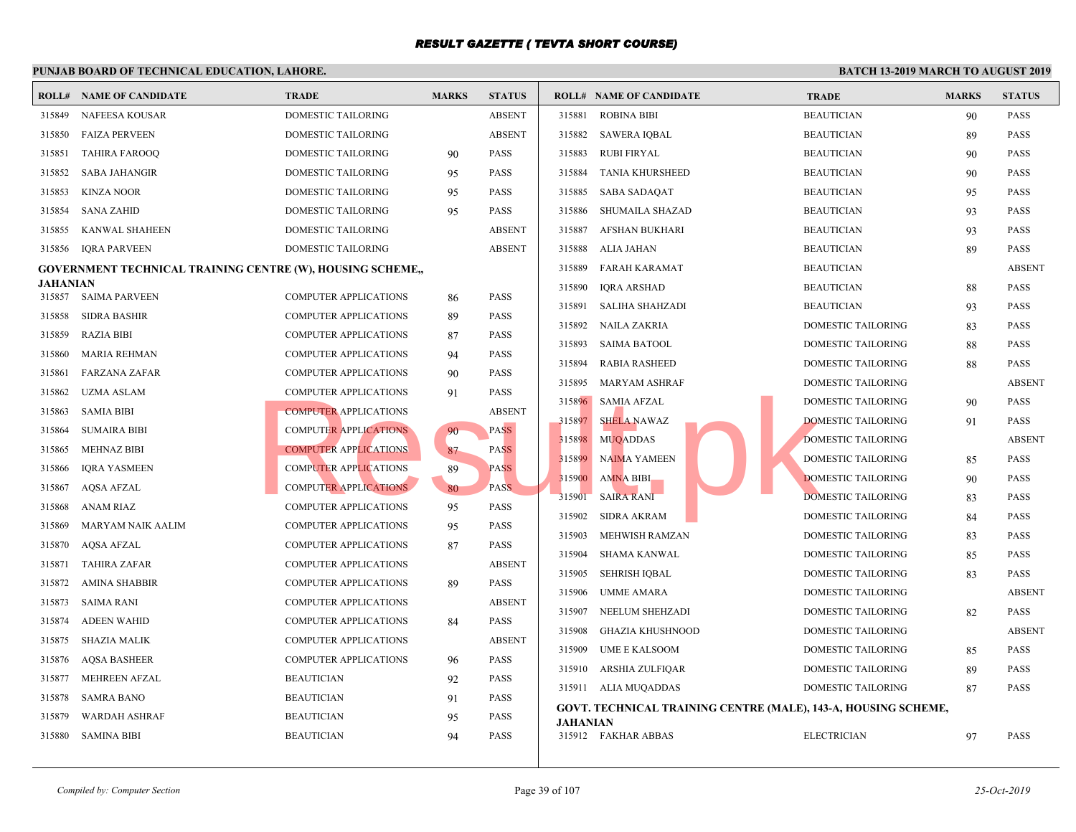| <b>ROLL#</b>     | <b>NAME OF CANDIDATE</b>                                  | <b>TRADE</b>                                          | <b>MARKS</b> | <b>STATUS</b>                |          | <b>ROLL# NAME OF CANDIDATE</b> | <b>TRAL</b>                                         |
|------------------|-----------------------------------------------------------|-------------------------------------------------------|--------------|------------------------------|----------|--------------------------------|-----------------------------------------------------|
| 315849           | NAFEESA KOUSAR                                            | DOMESTIC TAILORING                                    |              | <b>ABSENT</b>                | 315881   | <b>ROBINA BIBI</b>             | <b>BEAU</b>                                         |
| 315850           | <b>FAIZA PERVEEN</b>                                      | DOMESTIC TAILORING                                    |              | <b>ABSENT</b>                | 315882   | SAWERA IQBAL                   | <b>BEAU</b>                                         |
| 315851           | <b>TAHIRA FAROOQ</b>                                      | DOMESTIC TAILORING                                    | 90           | <b>PASS</b>                  | 315883   | RUBI FIRYAL                    | <b>BEAU</b>                                         |
| 315852           | <b>SABA JAHANGIR</b>                                      | <b>DOMESTIC TAILORING</b>                             | 95           | <b>PASS</b>                  | 315884   | <b>TANIA KHURSHEED</b>         | <b>BEAU</b>                                         |
| 315853           | <b>KINZA NOOR</b>                                         | DOMESTIC TAILORING                                    | 95           | <b>PASS</b>                  | 315885   | SABA SADAQAT                   | <b>BEAU</b>                                         |
| 315854           | <b>SANA ZAHID</b>                                         | DOMESTIC TAILORING                                    | 95           | <b>PASS</b>                  | 315886   | <b>SHUMAILA SHAZAD</b>         | <b>BEAU</b>                                         |
| 315855           | KANWAL SHAHEEN                                            | DOMESTIC TAILORING                                    |              | <b>ABSENT</b>                | 315887   | <b>AFSHAN BUKHARI</b>          | <b>BEAU</b>                                         |
| 315856           | <b>IORA PARVEEN</b>                                       | DOMESTIC TAILORING                                    |              | <b>ABSENT</b>                | 315888   | ALIA JAHAN                     | <b>BEAU</b>                                         |
|                  | GOVERNMENT TECHNICAL TRAINING CENTRE (W), HOUSING SCHEME, |                                                       |              |                              | 315889   | FARAH KARAMAT                  | <b>BEAU</b>                                         |
| <b>JAHANIAN</b>  |                                                           |                                                       |              |                              | 315890   | <b>IQRA ARSHAD</b>             | <b>BEAU</b>                                         |
| 315857           | <b>SAIMA PARVEEN</b>                                      | <b>COMPUTER APPLICATIONS</b>                          | 86           | <b>PASS</b>                  | 315891   | SALIHA SHAHZADI                | <b>BEAU</b>                                         |
| 315858<br>315859 | <b>SIDRA BASHIR</b><br><b>RAZIA BIBI</b>                  | COMPUTER APPLICATIONS<br><b>COMPUTER APPLICATIONS</b> | 89           | <b>PASS</b><br><b>PASS</b>   | 315892   | NAILA ZAKRIA                   | <b>DOME</b>                                         |
|                  |                                                           |                                                       | 87           |                              | 315893   | <b>SAIMA BATOOL</b>            | <b>DOME</b>                                         |
| 315860           | <b>MARIA REHMAN</b>                                       | <b>COMPUTER APPLICATIONS</b>                          | 94           | <b>PASS</b>                  | 315894   | <b>RABIA RASHEED</b>           | <b>DOME</b>                                         |
| 315861           | <b>FARZANA ZAFAR</b>                                      | COMPUTER APPLICATIONS                                 | 90           | <b>PASS</b>                  | 315895   | MARYAM ASHRAF                  | <b>DOME</b>                                         |
| 315862           | <b>UZMA ASLAM</b>                                         | COMPUTER APPLICATIONS                                 | 91           | <b>PASS</b>                  | 315896   | SAMIA AFZAL                    | <b>DOME</b>                                         |
| 315863           | <b>SAMIA BIBI</b>                                         | <b>COMPUTER APPLICATIONS</b>                          |              | <b>ABSENT</b><br><b>PASS</b> | 315897   | SHELA NAWAZ                    | <b>DOME</b>                                         |
| 315864           | <b>SUMAIRA BIBI</b>                                       | <b>COMPUTER APPLICATIONS</b>                          | 90           |                              | 315898   | <b>MUQADDAS</b>                | <b>DOME</b>                                         |
| 315865           | <b>MEHNAZ BIBI</b>                                        | <b>COMPUTER APPLICATIONS</b>                          | 87           | <b>PASS</b><br><b>PASS</b>   | 315899   | <b>NAIMA YAMEEN</b>            | <b>DOME</b>                                         |
| 315866           | <b>IQRA YASMEEN</b>                                       | <b>COMPUTER APPLICATIONS</b>                          | 89           | PASS.                        | 315900   | <b>AMNA BIBI</b>               | <b>DOME</b>                                         |
| 315867<br>315868 | <b>AQSA AFZAL</b><br>ANAM RIAZ                            | <b>COMPUTER APPLICATIONS</b>                          | 80           | <b>PASS</b>                  | 315901   | <b>SAIRA RANI</b>              | <b>DOME</b>                                         |
|                  |                                                           | <b>COMPUTER APPLICATIONS</b>                          | 95           |                              | 315902   | <b>SIDRA AKRAM</b>             | <b>DOME</b>                                         |
| 315869           | <b>MARYAM NAIK AALIM</b>                                  | COMPUTER APPLICATIONS                                 | 95           | <b>PASS</b><br><b>PASS</b>   | 315903   | MEHWISH RAMZAN                 | <b>DOME</b>                                         |
| 315870           | AQSA AFZAL                                                | <b>COMPUTER APPLICATIONS</b>                          | 87           |                              | 315904   | <b>SHAMA KANWAL</b>            | <b>DOME</b>                                         |
| 315871           | <b>TAHIRA ZAFAR</b>                                       | COMPUTER APPLICATIONS                                 |              | <b>ABSENT</b><br><b>PASS</b> | 315905   | <b>SEHRISH IQBAL</b>           | <b>DOME</b>                                         |
| 315872           | <b>AMINA SHABBIR</b>                                      | <b>COMPUTER APPLICATIONS</b>                          | 89           |                              | 315906   | UMME AMARA                     | <b>DOME</b>                                         |
| 315873           | SAIMA RANI                                                | <b>COMPUTER APPLICATIONS</b>                          |              | <b>ABSENT</b>                | 315907   | NEELUM SHEHZADI                | <b>DOME</b>                                         |
| 315874           | <b>ADEEN WAHID</b>                                        | COMPUTER APPLICATIONS                                 | 84           | <b>PASS</b>                  | 315908   | <b>GHAZIA KHUSHNOOD</b>        | <b>DOME</b>                                         |
| 315875           | <b>SHAZIA MALIK</b>                                       | COMPUTER APPLICATIONS                                 |              | <b>ABSENT</b>                | 315909   | <b>UME E KALSOOM</b>           | <b>DOME</b>                                         |
| 315876           | <b>AQSA BASHEER</b>                                       | COMPUTER APPLICATIONS                                 | 96           | <b>PASS</b>                  | 315910   | ARSHIA ZULFIQAR                | <b>DOME</b>                                         |
| 315877           | <b>MEHREEN AFZAL</b>                                      | <b>BEAUTICIAN</b>                                     | 92           | <b>PASS</b>                  |          | 315911 ALIA MUQADDAS           | <b>DOME</b>                                         |
| 315878           | <b>SAMRA BANO</b>                                         | <b>BEAUTICIAN</b>                                     | 91           | <b>PASS</b>                  |          |                                | <b>GOVT. TECHNICAL TRAINING CENTRE (MALE), 143-</b> |
| 315879           | <b>WARDAH ASHRAF</b>                                      | <b>BEAUTICIAN</b>                                     | 95           | <b>PASS</b>                  | JAHANIAN |                                |                                                     |
| 315880           | <b>SAMINA BIBI</b>                                        | <b>BEAUTICIAN</b>                                     | 94           | <b>PASS</b>                  |          | 315912 FAKHAR ABBAS            | <b>ELECT</b>                                        |
|                  |                                                           |                                                       |              |                              |          |                                |                                                     |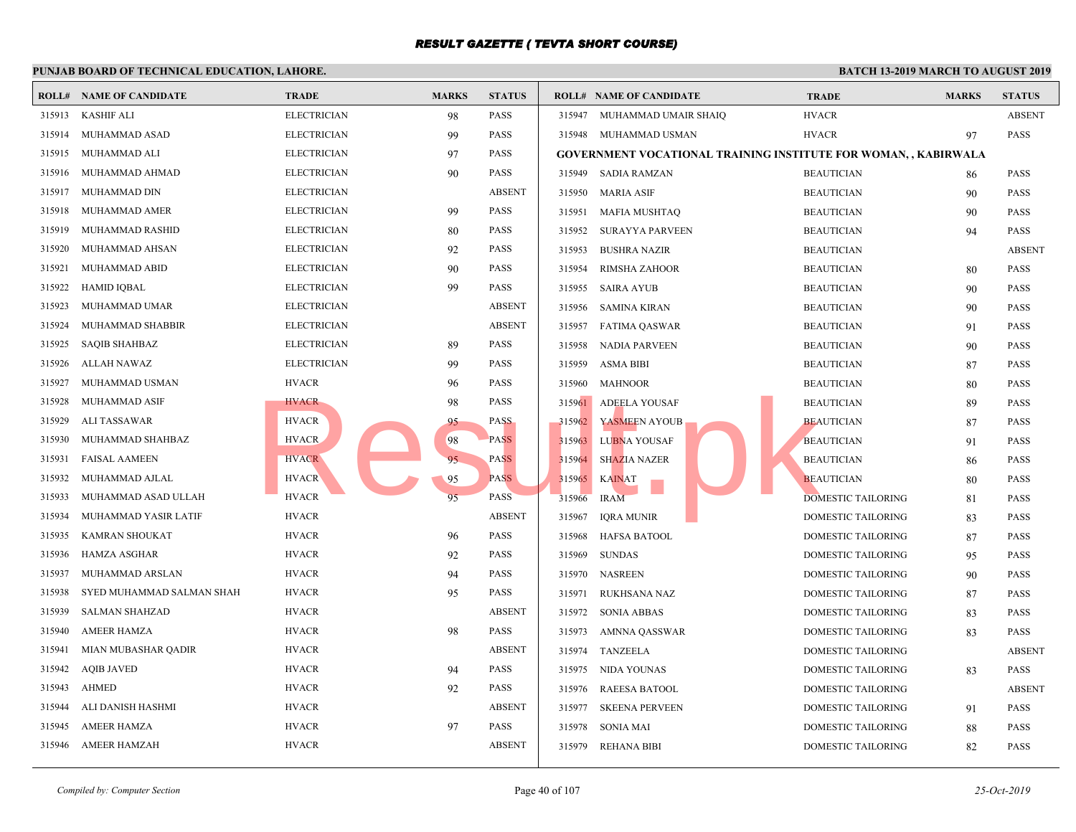|        | <b>ROLL# NAME OF CANDIDATE</b> | <b>TRADE</b>       | <b>MARKS</b> | <b>STATUS</b> |        | <b>ROLL# NAME OF CANDIDATE</b>                  | <b>TRAI</b> |
|--------|--------------------------------|--------------------|--------------|---------------|--------|-------------------------------------------------|-------------|
| 315913 | <b>KASHIF ALI</b>              | <b>ELECTRICIAN</b> | 98           | <b>PASS</b>   | 315947 | MUHAMMAD UMAIR SHAIQ                            | <b>HVAC</b> |
| 315914 | MUHAMMAD ASAD                  | <b>ELECTRICIAN</b> | 99           | <b>PASS</b>   |        | 315948 MUHAMMAD USMAN                           | HVAC        |
| 315915 | MUHAMMAD ALI                   | <b>ELECTRICIAN</b> | 97           | <b>PASS</b>   |        | <b>GOVERNMENT VOCATIONAL TRAINING INSTITUTE</b> |             |
| 315916 | MUHAMMAD AHMAD                 | <b>ELECTRICIAN</b> | 90           | <b>PASS</b>   | 315949 | SADIA RAMZAN                                    | <b>BEAU</b> |
| 315917 | <b>MUHAMMAD DIN</b>            | <b>ELECTRICIAN</b> |              | <b>ABSENT</b> | 315950 | <b>MARIA ASIF</b>                               | <b>BEAU</b> |
| 315918 | MUHAMMAD AMER                  | <b>ELECTRICIAN</b> | 99           | <b>PASS</b>   | 315951 | <b>MAFIA MUSHTAQ</b>                            | <b>BEAU</b> |
| 315919 | MUHAMMAD RASHID                | <b>ELECTRICIAN</b> | 80           | <b>PASS</b>   | 315952 | <b>SURAYYA PARVEEN</b>                          | <b>BEAU</b> |
| 315920 | MUHAMMAD AHSAN                 | <b>ELECTRICIAN</b> | 92           | <b>PASS</b>   | 315953 | <b>BUSHRA NAZIR</b>                             | <b>BEAU</b> |
| 315921 | MUHAMMAD ABID                  | <b>ELECTRICIAN</b> | 90           | <b>PASS</b>   | 315954 | <b>RIMSHA ZAHOOR</b>                            | <b>BEAU</b> |
| 315922 | <b>HAMID IQBAL</b>             | <b>ELECTRICIAN</b> | 99           | <b>PASS</b>   | 315955 | <b>SAIRA AYUB</b>                               | <b>BEAU</b> |
| 315923 | MUHAMMAD UMAR                  | <b>ELECTRICIAN</b> |              | <b>ABSENT</b> | 315956 | <b>SAMINA KIRAN</b>                             | <b>BEAU</b> |
| 315924 | MUHAMMAD SHABBIR               | <b>ELECTRICIAN</b> |              | <b>ABSENT</b> | 315957 | FATIMA QASWAR                                   | <b>BEAU</b> |
| 315925 | <b>SAQIB SHAHBAZ</b>           | <b>ELECTRICIAN</b> | 89           | <b>PASS</b>   | 315958 | NADIA PARVEEN                                   | <b>BEAU</b> |
| 315926 | <b>ALLAH NAWAZ</b>             | <b>ELECTRICIAN</b> | 99           | <b>PASS</b>   | 315959 | <b>ASMA BIBI</b>                                | <b>BEAU</b> |
| 315927 | MUHAMMAD USMAN                 | <b>HVACR</b>       | 96           | <b>PASS</b>   | 315960 | <b>MAHNOOR</b>                                  | <b>BEAU</b> |
| 315928 | MUHAMMAD ASIF                  | <b>HVACR</b>       | 98           | <b>PASS</b>   | 315961 | <b>ADEELA YOUSAF</b>                            | <b>BEAU</b> |
| 315929 | ALI TASSAWAR                   | <b>HVACR</b>       | 95           | <b>PASS</b>   | 315962 | YASMEEN AYOUB                                   | <b>BEAU</b> |
| 315930 | MUHAMMAD SHAHBAZ               | <b>HVACR</b>       | 98           | <b>PASS</b>   | 315963 | <b>LUBNA YOUSAF</b>                             | <b>BEAU</b> |
| 315931 | <b>FAISAL AAMEEN</b>           | <b>HVACR</b>       | 95           | <b>PASS</b>   | 315964 | <b>SHAZIA NAZER</b>                             | <b>BEAU</b> |
| 315932 | MUHAMMAD AJLAL                 | <b>HVACR</b>       | 95           | <b>PASS</b>   | 315965 | <b>KAINAT</b>                                   | <b>BEAU</b> |
| 315933 | MUHAMMAD ASAD ULLAH            | <b>HVACR</b>       | 95           | <b>PASS</b>   | 315966 | <b>IRAM</b>                                     | <b>DOME</b> |
| 315934 | MUHAMMAD YASIR LATIF           | <b>HVACR</b>       |              | <b>ABSENT</b> | 315967 | <b>IQRA MUNIR</b>                               | <b>DOME</b> |
| 315935 | <b>KAMRAN SHOUKAT</b>          | <b>HVACR</b>       | 96           | <b>PASS</b>   | 315968 | <b>HAFSA BATOOL</b>                             | <b>DOME</b> |
| 315936 | <b>HAMZA ASGHAR</b>            | <b>HVACR</b>       | 92           | <b>PASS</b>   | 315969 | <b>SUNDAS</b>                                   | <b>DOME</b> |
| 315937 | MUHAMMAD ARSLAN                | <b>HVACR</b>       | 94           | <b>PASS</b>   | 315970 | NASREEN                                         | <b>DOME</b> |
| 315938 | SYED MUHAMMAD SALMAN SHAH      | <b>HVACR</b>       | 95           | <b>PASS</b>   | 315971 | <b>RUKHSANA NAZ</b>                             | <b>DOME</b> |
| 315939 | <b>SALMAN SHAHZAD</b>          | <b>HVACR</b>       |              | <b>ABSENT</b> | 315972 | <b>SONIA ABBAS</b>                              | <b>DOME</b> |
| 315940 | <b>AMEER HAMZA</b>             | <b>HVACR</b>       | 98           | <b>PASS</b>   | 315973 | AMNNA QASSWAR                                   | <b>DOME</b> |
| 315941 | MIAN MUBASHAR QADIR            | <b>HVACR</b>       |              | <b>ABSENT</b> |        | 315974 TANZEELA                                 | <b>DOME</b> |
| 315942 | <b>AQIB JAVED</b>              | <b>HVACR</b>       | 94           | <b>PASS</b>   | 315975 | NIDA YOUNAS                                     | <b>DOME</b> |
| 315943 | <b>AHMED</b>                   | <b>HVACR</b>       | 92           | <b>PASS</b>   | 315976 | <b>RAEESA BATOOL</b>                            | <b>DOME</b> |
| 315944 | ALI DANISH HASHMI              | <b>HVACR</b>       |              | <b>ABSENT</b> | 315977 | <b>SKEENA PERVEEN</b>                           | <b>DOME</b> |
| 315945 | <b>AMEER HAMZA</b>             | <b>HVACR</b>       | 97           | <b>PASS</b>   | 315978 | <b>SONIA MAI</b>                                | <b>DOME</b> |
| 315946 | <b>AMEER HAMZAH</b>            | <b>HVACR</b>       |              | <b>ABSENT</b> | 315979 | <b>REHANA BIBI</b>                              | <b>DOME</b> |
|        |                                |                    |              |               |        |                                                 |             |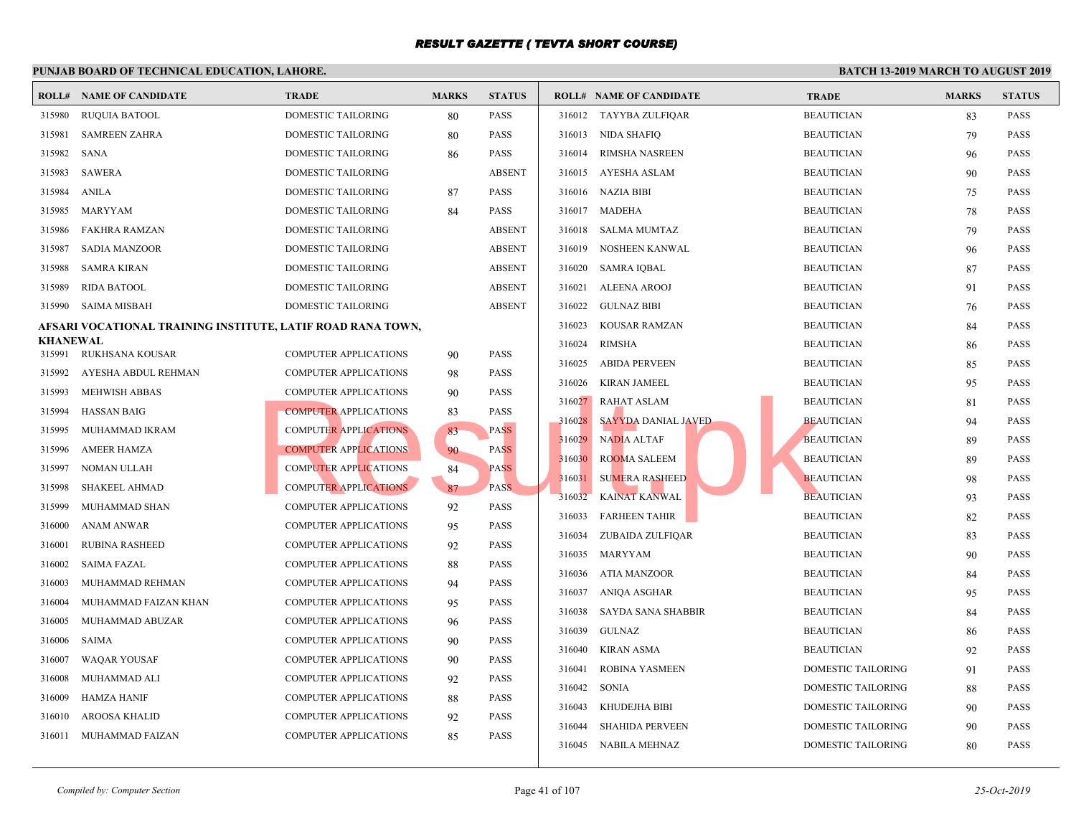#### **PUNJAB BOARD OF TECHNICAL EDUCATION, LAHORE. ROLL# NAME OF CANDIDATE TRADE MARKS STATUS ROLL# NAME OF CANDIDATE TRADE MARKS STATUS** 315980 RUQUIA BATOOL DOMESTIC TAILORING 80 PASS 315981 SAMREEN ZAHRA DOMESTIC TAILORING 80 PASS 315982 SANA DOMESTIC TAILORING 86 PASS 315983 SAWERA DOMESTIC TAILORING ABSENT 315984 ANILA DOMESTIC TAILORING 87 PASS 315985 MARYYAM DOMESTIC TAILORING 84 PASS 315986 FAKHRA RAMZAN DOMESTIC TAILORING ABSENT 315987 SADIA MANZOOR DOMESTIC TAILORING ABSENT 315988 SAMRA KIRAN DOMESTIC TAILORING ABSENT 315989 RIDA BATOOL DOMESTIC TAILORING ABSENT 315990 SAIMA MISBAH DOMESTIC TAILORING ABSENT **AFSARI VOCATIONAL TRAINING INSTITUTE, LATIF ROAD RANA TOWN, KHANEWAL**<br>315991 RUKHSANA KOUSAR 315991 RUKHSANA KOUSAR COMPUTER APPLICATIONS 90 PASS 315992 AYESHA ABDUL REHMAN COMPUTER APPLICATIONS 98 PASS 315993 MEHWISH ABBAS COMPUTER APPLICATIONS 90 PASS 315994 HASSAN BAIG COMPUTER APPLICATIONS 83 PASS 315995 MUHAMMAD IKRAM COMPUTER APPLICATIONS 83 PASS 315996 AMEER HAMZA COMPUTER APPLICATIONS 90 PASS 315997 NOMAN ULLAH COMPUTER APPLICATIONS 84 PASS 315998 SHAKEEL AHMAD COMPUTER APPLICATIONS 87 PASS 315999 MUHAMMAD SHAN COMPUTER APPLICATIONS 92 PASS 316000 ANAM ANWAR COMPUTER APPLICATIONS 95 PASS 316001 RUBINA RASHEED COMPUTER APPLICATIONS 92 PASS 316002 SAIMA FAZAL COMPUTER APPLICATIONS 88 PASS 316003 MUHAMMAD REHMAN COMPUTER APPLICATIONS 94 PASS 316004 MUHAMMAD FAIZAN KHAN COMPUTER APPLICATIONS 95 PASS 316005 MUHAMMAD ABUZAR COMPUTER APPLICATIONS 96 PASS 316006 SAIMA COMPUTER APPLICATIONS 90 PASS 316007 WAQAR YOUSAF COMPUTER APPLICATIONS 90 PASS 316008 MUHAMMAD ALI COMPUTER APPLICATIONS 92 PASS 316009 HAMZA HANIF COMPUTER APPLICATIONS 88 PASS 316010 AROOSA KHALID COMPUTER APPLICATIONS 92 PASS 316011 MUHAMMAD FAIZAN COMPUTER APPLICATIONS 85 PASS 316012 TAYYBA ZULFIQAR BEAUT 316013 NIDA SHAFIQ BEAU 316014 RIMSHA NASREEN BEAUT 316015 AYESHA ASLAM BEAU 316016 NAZIA BIBI BEAUT 316017 MADEHA BEAUT 316018 SALMA MUMTAZ BEAUT 316019 NOSHEEN KANWAL BEAU 316020 SAMRA IQBAL BEAUTICIAN 87 BEAUTICIAN 87 PASSES BEAUTICIAN BEAUTICIAN BEAUTICIAN BEAUTICIAN BEAUTICIAN BEAU 316021 ALEENA AROOJ BEAUT 316022 GULNAZ BIBI BEAUT 316023 KOUSAR RAMZAN BEAUT 316024 RIMSHA BEAUT 316025 ABIDA PERVEEN BEAUT 316026 KIRAN JAMEEL BEAUT 316027 RAHAT ASLAM BEAUTICIAN BEAUTICIAN BEAUTICIAN BEAUTICIAN BEAUTICIAN BEAUTICIAN BEAUTICIAN BEAU 316028 SAYYDA DANIAL JAVED BEAUTICIAN 94 316029 NADIA ALTAF BEAUTICIAN 89 PASSES 316030 ROOMA SALEEM BEAUTICIAN 89 BEAUTICIAN 89 BEAUTICIAN 89 PASSALE 316031 SUMERA RASHEED BEAUTICIAN 98 PASSES 316032 KAINAT KANWAL BEAUTICIAN 93 BEAUTICIAN 93 BEAUTICIAN 93 BEAUTICIAN 93 BEAUTICIAN 93 BEAUTICIAN 93 BEAUT 316033 FARHEEN TAHIR BEAUTICIAN BEAUTICIAN BEAUTICIAN BEAUTICIAN BEAUTICIAN BEAUTICIAN BEAUTICIAN BEAUTICIAN BEAUTICIAN BEAUTICIAN BEAUTICIAN BEAUTICIAN BEAUTICIAN BEAUTICIAN BEAUTICIAN BEAUTICIAN BEAUTICIAN BEAUTICIAN BEA 316034 ZUBAIDA ZULFIQAR BEAU 316035 MARYYAM BEAUT 316036 ATIA MANZOOR BEAUT 316037 ANIQA ASGHAR BEAUTICIAN 95 BEAUTICIAN 95 PASSES PASSES PASSES PASSES PASSES PASSES PASSES PASSES PASSES PASSES PARALLEL AND A PART OF PASSES PARALLEL AND THE PASSES PARALLEL AND THE PASSES PARALLEL AND A PARALLEL AN 316038 SAYDA SANA SHABBIR BEAUTICIAN BEAU 316039 GULNAZ BEAUT 316040 KIRAN ASMA BEAUTICIAN 92 BEAUTICIAN 92 BEAUTICIAN 92 BEAUTICIAN 92 PASSAGE 316041 ROBINA YASMEEN DOME 316042 SONIA DOME 316043 KHUDEJHA BIBI DOME 316044 SHAHIDA PERVEEN DOME 316045 NABILA MEHNAZ DOME COMPUTER APPLICATIONS 316029 MADIA ALTAE BEACH COMPUTER APPLICATIONS 37 PASS<br>
COMPUTER APPLICATIONS 316029 MADIA ALTAE 316030 MADIA ALTAE BEACH COMPUTER APPLICATIONS 37 PASS<br>
COMPUTER APPLICATIONS 37 PASS<br>
COMPUTER APPLICA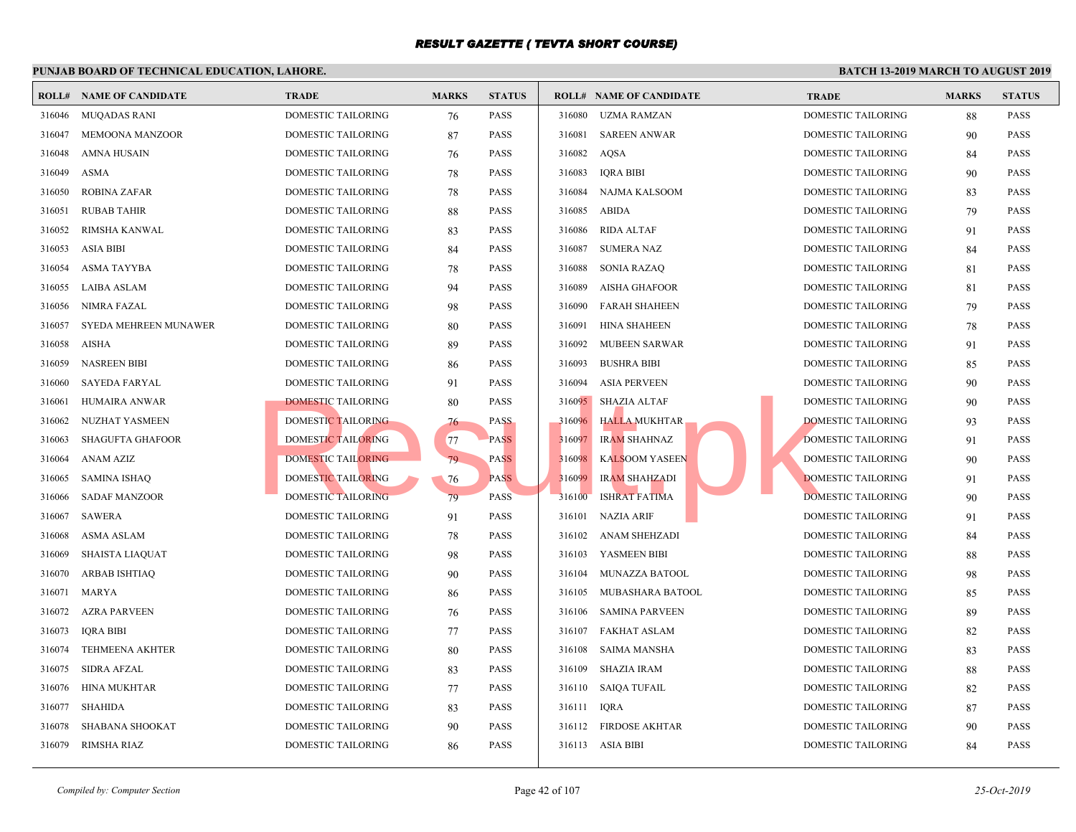|        | <b>ROLL# NAME OF CANDIDATE</b> | <b>TRADE</b>              | <b>MARKS</b> | <b>STATUS</b> |        | <b>ROLL# NAME OF CANDIDATE</b> | <b>TRAL</b> |
|--------|--------------------------------|---------------------------|--------------|---------------|--------|--------------------------------|-------------|
| 316046 | <b>MUQADAS RANI</b>            | DOMESTIC TAILORING        | 76           | <b>PASS</b>   | 316080 | <b>UZMA RAMZAN</b>             | <b>DOME</b> |
| 316047 | MEMOONA MANZOOR                | DOMESTIC TAILORING        | 87           | <b>PASS</b>   | 316081 | <b>SAREEN ANWAR</b>            | <b>DOME</b> |
| 316048 | <b>AMNA HUSAIN</b>             | DOMESTIC TAILORING        | 76           | <b>PASS</b>   | 316082 | AQSA                           | <b>DOME</b> |
| 316049 | <b>ASMA</b>                    | DOMESTIC TAILORING        | 78           | <b>PASS</b>   | 316083 | <b>IQRA BIBI</b>               | <b>DOME</b> |
| 316050 | <b>ROBINA ZAFAR</b>            | DOMESTIC TAILORING        | 78           | <b>PASS</b>   | 316084 | NAJMA KALSOOM                  | <b>DOME</b> |
| 316051 | <b>RUBAB TAHIR</b>             | DOMESTIC TAILORING        | 88           | <b>PASS</b>   | 316085 | ABIDA                          | <b>DOME</b> |
| 316052 | RIMSHA KANWAL                  | DOMESTIC TAILORING        | 83           | <b>PASS</b>   | 316086 | <b>RIDA ALTAF</b>              | <b>DOME</b> |
| 316053 | <b>ASIA BIBI</b>               | DOMESTIC TAILORING        | 84           | <b>PASS</b>   | 316087 | <b>SUMERA NAZ</b>              | <b>DOME</b> |
| 316054 | <b>ASMA TAYYBA</b>             | DOMESTIC TAILORING        | 78           | <b>PASS</b>   | 316088 | <b>SONIA RAZAQ</b>             | <b>DOME</b> |
| 316055 | LAIBA ASLAM                    | DOMESTIC TAILORING        | 94           | <b>PASS</b>   | 316089 | <b>AISHA GHAFOOR</b>           | <b>DOME</b> |
| 316056 | NIMRA FAZAL                    | DOMESTIC TAILORING        | 98           | <b>PASS</b>   | 316090 | <b>FARAH SHAHEEN</b>           | <b>DOME</b> |
| 316057 | SYEDA MEHREEN MUNAWER          | DOMESTIC TAILORING        | 80           | <b>PASS</b>   | 316091 | <b>HINA SHAHEEN</b>            | <b>DOME</b> |
| 316058 | AISHA                          | DOMESTIC TAILORING        | 89           | <b>PASS</b>   | 316092 | MUBEEN SARWAR                  | <b>DOME</b> |
| 316059 | <b>NASREEN BIBI</b>            | DOMESTIC TAILORING        | 86           | <b>PASS</b>   | 316093 | <b>BUSHRA BIBI</b>             | <b>DOME</b> |
| 316060 | <b>SAYEDA FARYAL</b>           | DOMESTIC TAILORING        | 91           | <b>PASS</b>   | 316094 | <b>ASIA PERVEEN</b>            | <b>DOME</b> |
| 316061 | HUMAIRA ANWAR                  | DOMESTIC TAILORING        | 80           | <b>PASS</b>   | 316095 | <b>SHAZIA ALTAF</b>            | <b>DOME</b> |
| 316062 | NUZHAT YASMEEN                 | DOMESTIC TAILORING        | 76           | <b>PASS</b>   | 316096 | <b>HALLA MUKHTAR</b>           | <b>DOME</b> |
| 316063 | <b>SHAGUFTA GHAFOOR</b>        | DOMESTIC TAILORING        | 77           | <b>PASS</b>   | 316097 | <b>IRAM SHAHNAZ</b>            | <b>DOME</b> |
| 316064 | ANAM AZIZ                      | DOMESTIC TAILORING        | 79           | <b>PASS</b>   | 316098 | <b>KALSOOM YASEEN</b>          | <b>DOME</b> |
| 316065 | <b>SAMINA ISHAQ</b>            | DOMESTIC TAILORING        | 76           | <b>PASS</b>   | 316099 | <b>IRAM SHAHZADI</b>           | <b>DOME</b> |
| 316066 | <b>SADAF MANZOOR</b>           | DOMESTIC TAILORING        | 79           | <b>PASS</b>   | 316100 | <b>ISHRAT FATIMA</b>           | <b>DOME</b> |
| 316067 | <b>SAWERA</b>                  | DOMESTIC TAILORING        | 91           | <b>PASS</b>   | 316101 | <b>NAZIA ARIF</b>              | <b>DOME</b> |
| 316068 | <b>ASMA ASLAM</b>              | DOMESTIC TAILORING        | 78           | <b>PASS</b>   | 316102 | ANAM SHEHZADI                  | <b>DOME</b> |
| 316069 | <b>SHAISTA LIAQUAT</b>         | DOMESTIC TAILORING        | 98           | <b>PASS</b>   | 316103 | YASMEEN BIBI                   | <b>DOME</b> |
| 316070 | <b>ARBAB ISHTIAQ</b>           | DOMESTIC TAILORING        | 90           | <b>PASS</b>   | 316104 | MUNAZZA BATOOL                 | <b>DOME</b> |
| 316071 | <b>MARYA</b>                   | <b>DOMESTIC TAILORING</b> | 86           | <b>PASS</b>   | 316105 | MUBASHARA BATOOL               | <b>DOME</b> |
| 316072 | <b>AZRA PARVEEN</b>            | DOMESTIC TAILORING        | 76           | <b>PASS</b>   | 316106 | <b>SAMINA PARVEEN</b>          | <b>DOME</b> |
| 316073 | <b>IORA BIBI</b>               | DOMESTIC TAILORING        | 77           | <b>PASS</b>   | 316107 | <b>FAKHAT ASLAM</b>            | <b>DOME</b> |
| 316074 | <b>TEHMEENA AKHTER</b>         | DOMESTIC TAILORING        | 80           | <b>PASS</b>   | 316108 | SAIMA MANSHA                   | <b>DOME</b> |
| 316075 | <b>SIDRA AFZAL</b>             | DOMESTIC TAILORING        | 83           | <b>PASS</b>   | 316109 | <b>SHAZIA IRAM</b>             | <b>DOME</b> |
| 316076 | <b>HINA MUKHTAR</b>            | DOMESTIC TAILORING        | 77           | <b>PASS</b>   | 316110 | <b>SAIQA TUFAIL</b>            | <b>DOME</b> |
| 316077 | <b>SHAHIDA</b>                 | DOMESTIC TAILORING        | 83           | <b>PASS</b>   | 316111 | <b>IQRA</b>                    | <b>DOME</b> |
| 316078 | SHABANA SHOOKAT                | DOMESTIC TAILORING        | 90           | <b>PASS</b>   |        | 316112 FIRDOSE AKHTAR          | <b>DOME</b> |
| 316079 | RIMSHA RIAZ                    | <b>DOMESTIC TAILORING</b> | 86           | <b>PASS</b>   |        | 316113 ASIA BIBI               | <b>DOME</b> |
|        |                                |                           |              |               |        |                                |             |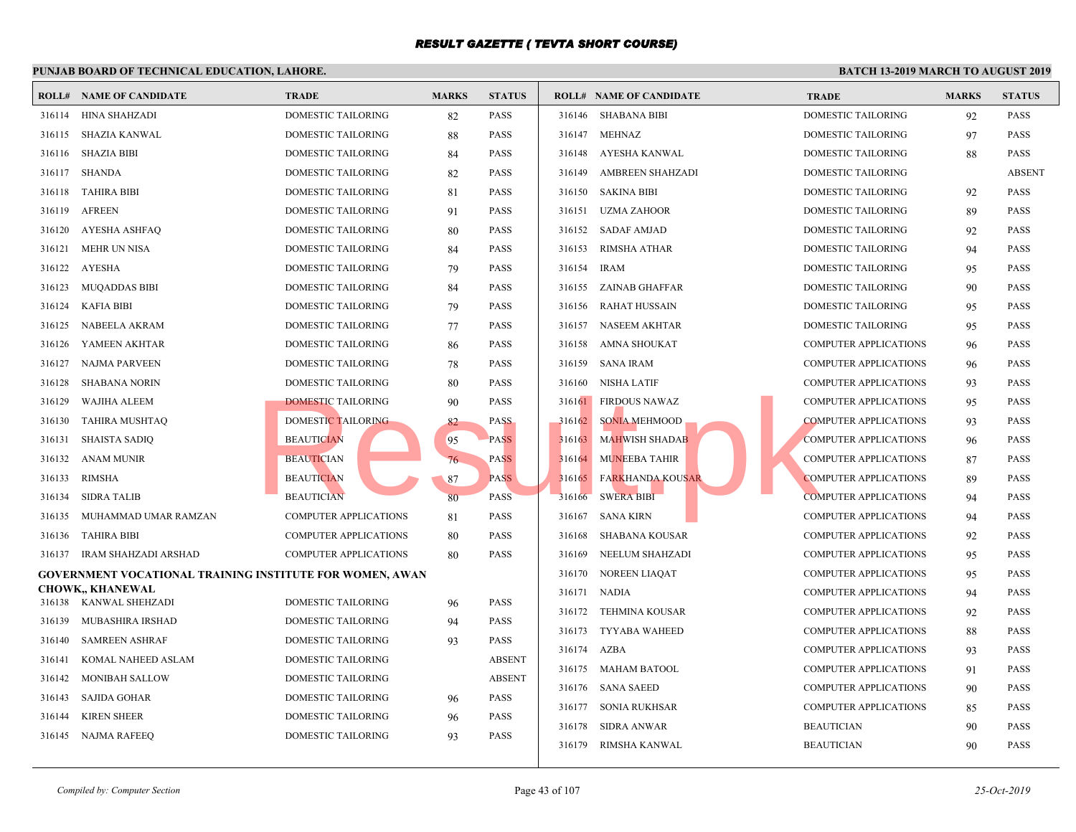|        | <b>ROLL# NAME OF CANDIDATE</b>                                  | <b>TRADE</b>                 | <b>MARKS</b> | <b>STATUS</b> |        | <b>ROLL# NAME OF CANDIDATE</b> | <b>TRAL</b> |
|--------|-----------------------------------------------------------------|------------------------------|--------------|---------------|--------|--------------------------------|-------------|
|        | 316114 HINA SHAHZADI                                            | DOMESTIC TAILORING           | 82           | <b>PASS</b>   |        | 316146 SHABANA BIBI            | <b>DOME</b> |
| 316115 | SHAZIA KANWAL                                                   | DOMESTIC TAILORING           | 88           | <b>PASS</b>   | 316147 | <b>MEHNAZ</b>                  | <b>DOME</b> |
| 316116 | SHAZIA BIBI                                                     | DOMESTIC TAILORING           | 84           | <b>PASS</b>   | 316148 | AYESHA KANWAL                  | <b>DOME</b> |
| 316117 | SHANDA                                                          | DOMESTIC TAILORING           | 82           | <b>PASS</b>   | 316149 | AMBREEN SHAHZADI               | <b>DOME</b> |
| 316118 | TAHIRA BIBI                                                     | DOMESTIC TAILORING           | 81           | <b>PASS</b>   | 316150 | <b>SAKINA BIBI</b>             | <b>DOME</b> |
| 316119 | <b>AFREEN</b>                                                   | DOMESTIC TAILORING           | 91           | <b>PASS</b>   | 316151 | UZMA ZAHOOR                    | <b>DOME</b> |
| 316120 | AYESHA ASHFAO                                                   | DOMESTIC TAILORING           | 80           | <b>PASS</b>   |        | 316152 SADAF AMJAD             | <b>DOME</b> |
| 316121 | <b>MEHR UN NISA</b>                                             | <b>DOMESTIC TAILORING</b>    | 84           | <b>PASS</b>   | 316153 | <b>RIMSHA ATHAR</b>            | <b>DOME</b> |
| 316122 | AYESHA                                                          | DOMESTIC TAILORING           | 79           | <b>PASS</b>   | 316154 | <b>IRAM</b>                    | <b>DOME</b> |
| 316123 | MUQADDAS BIBI                                                   | DOMESTIC TAILORING           | 84           | <b>PASS</b>   | 316155 | ZAINAB GHAFFAR                 | <b>DOME</b> |
| 316124 | KAFIA BIBI                                                      | DOMESTIC TAILORING           | 79           | <b>PASS</b>   | 316156 | <b>RAHAT HUSSAIN</b>           | <b>DOME</b> |
| 316125 | NABEELA AKRAM                                                   | DOMESTIC TAILORING           | 77           | <b>PASS</b>   | 316157 | <b>NASEEM AKHTAR</b>           | <b>DOME</b> |
| 316126 | YAMEEN AKHTAR                                                   | DOMESTIC TAILORING           | 86           | <b>PASS</b>   | 316158 | AMNA SHOUKAT                   | <b>COMP</b> |
| 316127 | NAJMA PARVEEN                                                   | DOMESTIC TAILORING           | 78           | <b>PASS</b>   | 316159 | <b>SANA IRAM</b>               | <b>COMP</b> |
| 316128 | <b>SHABANA NORIN</b>                                            | DOMESTIC TAILORING           | 80           | <b>PASS</b>   | 316160 | <b>NISHA LATIF</b>             | <b>COMP</b> |
| 316129 | WAJIHA ALEEM                                                    | DOMESTIC TAILORING           | 90           | PASS          | 316161 | <b>FIRDOUS NAWAZ</b>           | <b>COMP</b> |
| 316130 | TAHIRA MUSHTAQ                                                  | DOMESTIC TAILORING           | 82           | <b>PASS</b>   | 316162 | <b>SONIA MEHMOOD</b>           | <b>COMP</b> |
| 316131 | SHAISTA SADIQ                                                   | <b>BEAUTICIAN</b>            | 95           | <b>PASS</b>   | 316163 | <b>MAHWISH SHADAB</b>          | <b>COMP</b> |
| 316132 | ANAM MUNIR                                                      | <b>BEAUTICIAN</b>            | 76           | <b>PASS</b>   | 316164 | <b>MUNEEBA TAHIR</b>           | <b>COMP</b> |
| 316133 | RIMSHA                                                          | <b>BEAUTICIAN</b>            | 87           | <b>PASS</b>   | 316165 | <b>FARKHANDA KOUSAR</b>        | <b>COMP</b> |
| 316134 | SIDRA TALIB                                                     | <b>BEAUTICIAN</b>            | 80           | <b>PASS</b>   | 316166 | <b>SWERA BIBI</b>              | <b>COMP</b> |
| 316135 | MUHAMMAD UMAR RAMZAN                                            | <b>COMPUTER APPLICATIONS</b> | 81           | <b>PASS</b>   | 316167 | SANA KIRN                      | <b>COMP</b> |
| 316136 | <b>TAHIRA BIBI</b>                                              | <b>COMPUTER APPLICATIONS</b> | 80           | <b>PASS</b>   | 316168 | SHABANA KOUSAR                 | <b>COMP</b> |
|        | 316137 IRAM SHAHZADI ARSHAD                                     | <b>COMPUTER APPLICATIONS</b> | 80           | <b>PASS</b>   | 316169 | NEELUM SHAHZADI                | <b>COMP</b> |
|        | <b>GOVERNMENT VOCATIONAL TRAINING INSTITUTE FOR WOMEN, AWAN</b> |                              |              |               | 316170 | NOREEN LIAQAT                  | <b>COMP</b> |
|        | <b>CHOWK,, KHANEWAL</b>                                         |                              |              |               |        | 316171 NADIA                   | <b>COMP</b> |
|        | 316138 KANWAL SHEHZADI                                          | DOMESTIC TAILORING           | 96           | <b>PASS</b>   |        | 316172 TEHMINA KOUSAR          | <b>COMP</b> |
| 316139 | MUBASHIRA IRSHAD                                                | DOMESTIC TAILORING           | 94           | <b>PASS</b>   | 316173 | TYYABA WAHEED                  | <b>COMP</b> |
| 316140 | <b>SAMREEN ASHRAF</b>                                           | DOMESTIC TAILORING           | 93           | <b>PASS</b>   | 316174 | <b>AZBA</b>                    | <b>COMP</b> |
| 316141 | KOMAL NAHEED ASLAM                                              | DOMESTIC TAILORING           |              | <b>ABSENT</b> |        | 316175 MAHAM BATOOL            | <b>COMP</b> |
| 316142 | <b>MONIBAH SALLOW</b>                                           | DOMESTIC TAILORING           |              | <b>ABSENT</b> |        | 316176 SANA SAEED              | <b>COMP</b> |
| 316143 | SAJIDA GOHAR                                                    | DOMESTIC TAILORING           | 96           | <b>PASS</b>   | 316177 | SONIA RUKHSAR                  | <b>COMP</b> |
| 316144 | <b>KIREN SHEER</b>                                              | <b>DOMESTIC TAILORING</b>    | 96           | <b>PASS</b>   | 316178 | SIDRA ANWAR                    | <b>BEAU</b> |
| 316145 | NAJMA RAFEEQ                                                    | <b>DOMESTIC TAILORING</b>    | 93           | PASS          | 316179 | RIMSHA KANWAL                  | <b>BEAU</b> |
|        |                                                                 |                              |              |               |        |                                |             |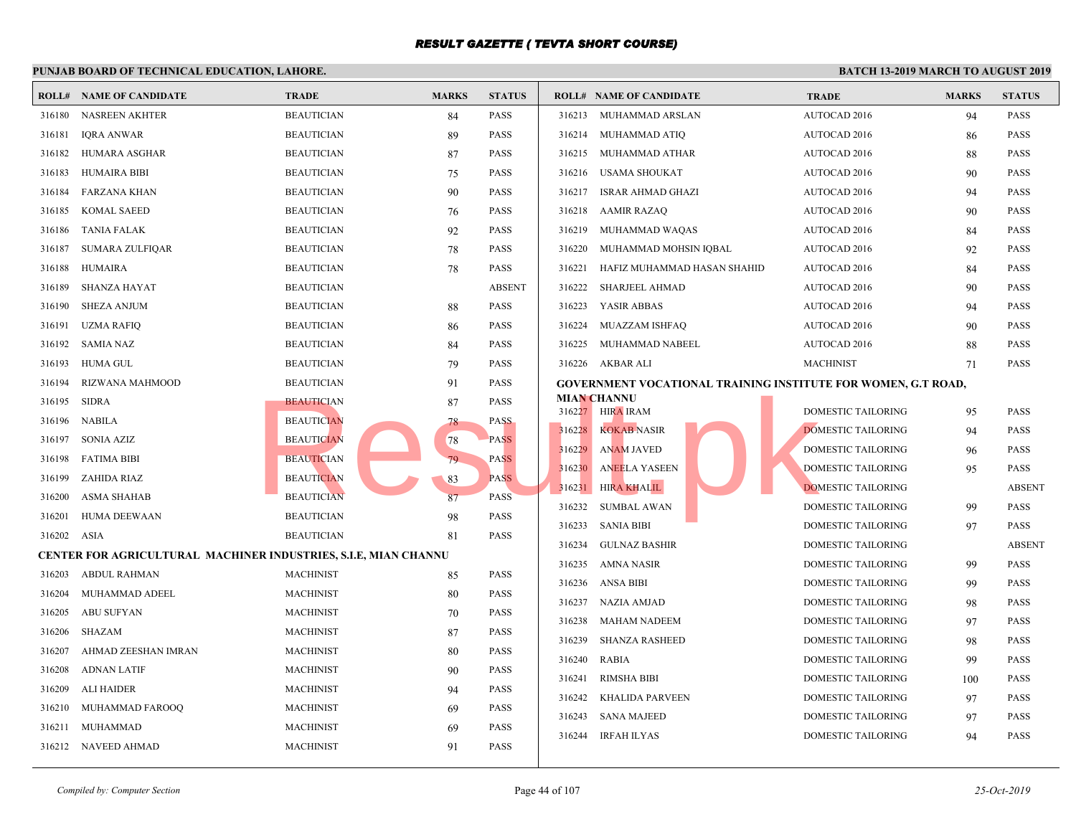#### **PUNJAB BOARD OF TECHNICAL EDUCATION, LAHORE. ROLL# NAME OF CANDIDATE TRADE MARKS STATUS ROLL# NAME OF CANDIDATE TRADE MARKS STATUS** 316180 NASREEN AKHTER BEAUTICIAN 84 PASS 316181 IQRA ANWAR BEAUTICIAN 89 PASS 316182 HUMARA ASGHAR BEAUTICIAN 87 PASS 316183 HUMAIRA BIBI BEAUTICIAN 75 PASS 316184 FARZANA KHAN BEAUTICIAN 90 PASS 316185 KOMAL SAEED BEAUTICIAN 76 PASS 316186 TANIA FALAK BEAUTICIAN 92 PASS 316187 SUMARA ZULFIQAR BEAUTICIAN 78 PASS 316188 HUMAIRA BEAUTICIAN 78 PASS 316189 SHANZA HAYAT BEAUTICIAN ABSENT 316190 SHEZA ANJUM BEAUTICIAN 88 PASS 316191 UZMA RAFIQ BEAUTICIAN 86 PASS 316192 SAMIA NAZ BEAUTICIAN 84 PASS 316193 HUMA GUL BEAUTICIAN 79 PASS 316194 RIZWANA MAHMOOD BEAUTICIAN 91 PASS 316195 SIDRA BEAUTICIAN 87 PASS 316196 NABILA BEAUTICIAN 78 PASS 316197 SONIA AZIZ BEAUTICIAN 78 PASS 316198 FATIMA BIBI BEAUTICIAN 79 PASS 316199 ZAHIDA RIAZ BEAUTICIAN 83 PASS 316200 ASMA SHAHAB BEAUTICIAN 87 PASS 316201 HUMA DEEWAAN BEAUTICIAN 98 PASS 316202 ASIA BEAUTICIAN 81 PASS **CENTER FOR AGRICULTURAL MACHINER INDUSTRIES, S.I.E, MIAN CHANNU** 316203 ABDUL RAHMAN MACHINIST 85 PASS 316204 MUHAMMAD ADEEL MACHINIST 80 PASS 316205 ABU SUFYAN MACHINIST 70 PASS 316206 SHAZAM MACHINIST 87 PASS 316207 AHMAD ZEESHAN IMRAN MACHINIST 80 PASS 316208 ADNAN LATIF MACHINIST 90 PASS 316209 ALI HAIDER MACHINIST 94 PASS 316210 MUHAMMAD FAROOQ MACHINIST 69 PASS 316211 MUHAMMAD MACHINIST 69 PASS 316212 NAVEED AHMAD MACHINIST 91 PASS 316213 MUHAMMAD ARSLAN AUTO 316214 MUHAMMAD ATIQ AUTO 316215 MUHAMMAD ATHAR AUTO 316216 USAMA SHOUKAT AUTO 316217 ISRAR AHMAD GHAZI AUTO 316218 AAMIR RAZAQ AUTO 316219 MUHAMMAD WAQAS AUTO 316220 MUHAMMAD MOHSIN IQBAL AUTO 316221 HAFIZ MUHAMMAD HASAN SHAHID AUTO 316222 SHARJEEL AHMAD AUTO 316223 YASIR ABBAS AUTO 316224 MUAZZAM ISHFAQ AUTO 316225 MUHAMMAD NABEEL AUTO 316226 AKBAR ALI MACH **GOVERNMENT VOCATIONAL TRAINING INSTITUTE MIAN CHANNU** 316227 HIRA IRAM DOME 316228 KOKAB NASIR DOME 316229 ANAM JAVED DOMESTIC TAILORING 96 PASS 316230 ANEELA YASEEN NEELA YASEEN DOME 316231 HIRA KHALIL DOMESTIC TAILORING ABSENTIAL DOMESTIC TAILORING ABSENTIAL DOMESTIC TAILORING ABSENT OF TAILORING ABSENT OF TAILORING ASSAULT AND DOMESTIC TAILORING ABSENT OF TAILORING ABSENT OF TAILORING ABSENT OF TAILO 316232 SUMBAL AWAN DOME 316233 SANIA BIBI DOME 316234 GULNAZ BASHIR DOME 316235 AMNA NASIR DOME 316236 ANSA BIBI DOME 316237 NAZIA AMJAD DOME 316238 MAHAM NADEEM DOME 316239 SHANZA RASHEED DOME 316240 RABIA DOME 316241 RIMSHA BIBI DOME 316242 KHALIDA PARVEEN DOME 316243 SANA MAJEED DOME 316244 IRFAH ILYAS DOME BEAUTICIAN<br>
BEAUTICIAN<br>
BEAUTICIAN<br>
BEAUTICIAN<br>
BEAUTICIAN<br>
BEAUTICIAN<br>
BEAUTICIAN<br>
BEAUTICIAN<br>
BEAUTICIAN<br>
BEAUTICIAN<br>
83<br>
PASS<br>
PASS<br>
PASS<br>
PASS<br>
PASS<br>
PASS<br>
PASS<br>
PASS<br>
PASS<br>
PASS<br>
PASS<br>
PASS<br>
PASS<br>
PASS<br>
PASS<br>
PASS<br>
PA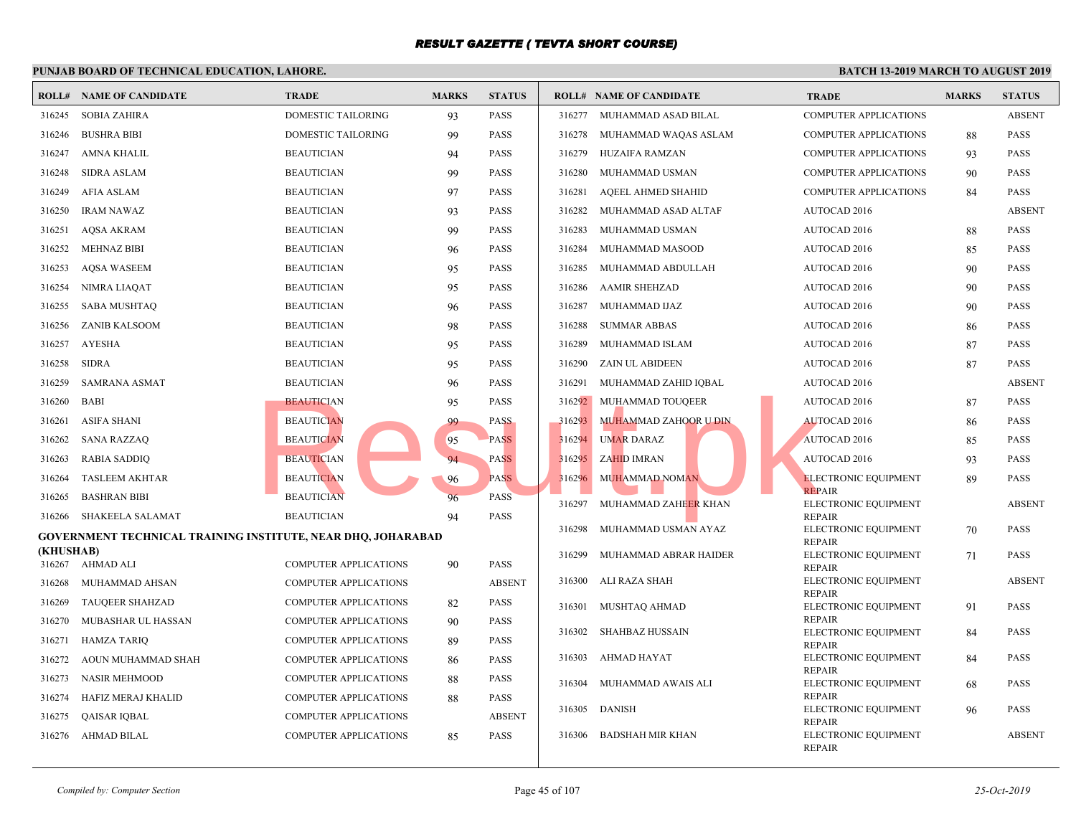#### **PUNJAB BOARD OF TECHNICAL EDUCATION, LAHORE. ROLL# NAME OF CANDIDATE TRADE MARKS STATUS ROLL# NAME OF CANDIDATE TRADE MARKS STATUS** 316245 SOBIA ZAHIRA DOMESTIC TAILORING 93 PASS 316246 BUSHRA BIBI DOMESTIC TAILORING 99 PASS 316247 AMNA KHALIL BEAUTICIAN 94 PASS 316248 SIDRA ASLAM BEAUTICIAN 99 PASS 316249 AFIA ASLAM BEAUTICIAN 97 PASS 316250 IRAM NAWAZ BEAUTICIAN 93 PASS 316251 AQSA AKRAM BEAUTICIAN 99 PASS 316252 MEHNAZ BIBI BEAUTICIAN 96 PASS 316253 AQSA WASEEM BEAUTICIAN 95 PASS 316254 NIMRA LIAQAT BEAUTICIAN 95 PASS 316255 SABA MUSHTAQ BEAUTICIAN 96 PASS 316256 ZANIB KALSOOM BEAUTICIAN 98 PASS 316257 AYESHA BEAUTICIAN 95 PASS 316258 SIDRA BEAUTICIAN 95 PASS 316259 SAMRANA ASMAT BEAUTICIAN 96 PASS 316260 BABI BEAUTICIAN 95 PASS 316261 ASIFA SHANI BEAUTICIAN 99 PASS 316262 SANA RAZZAQ BEAUTICIAN 95 PASS 316263 RABIA SADDIQ BEAUTICIAN 94 PASS 316264 TASLEEM AKHTAR BEAUTICIAN 96 PASS 316265 BASHRAN BIBI BEAUTICIAN 96 PASS 316266 SHAKEELA SALAMAT BEAUTICIAN 94 PASS **GOVERNMENT TECHNICAL TRAINING INSTITUTE, NEAR DHQ, JOHARABAD (KHUSHAB)** 316267 AHMAD ALI COMPUTER APPLICATIONS 90 PASS 316268 MUHAMMAD AHSAN COMPUTER APPLICATIONS ABSENT 316269 TAUQEER SHAHZAD COMPUTER APPLICATIONS 82 PASS 316270 MUBASHAR UL HASSAN COMPUTER APPLICATIONS 90 PASS 316271 HAMZA TARIQ COMPUTER APPLICATIONS 89 PASS 316272 AOUN MUHAMMAD SHAH COMPUTER APPLICATIONS 86 PASS 316273 NASIR MEHMOOD COMPUTER APPLICATIONS 88 PASS 316274 HAFIZ MERAJ KHALID COMPUTER APPLICATIONS 88 PASS 316275 QAISAR IQBAL COMPUTER APPLICATIONS ABSENT 316276 AHMAD BILAL COMPUTER APPLICATIONS 85 PASS 316277 MUHAMMAD ASAD BILAL COMP 316278 MUHAMMAD WAQAS ASLAM COMP 316279 HUZAIFA RAMZAN COMP 316280 MUHAMMAD USMAN COMP 316281 AQEEL AHMED SHAHID COMP 316282 MUHAMMAD ASAD ALTAF AUTO 316283 MUHAMMAD USMAN AUTO 316284 MUHAMMAD MASOOD AUTO 316285 MUHAMMAD ABDULLAH AUTO 316286 AAMIR SHEHZAD AUTO 316287 MUHAMMAD IJAZ AUTO 316288 SUMMAR ABBAS AUTO 316289 MUHAMMAD ISLAM AUTO 316290 ZAIN UL ABIDEEN AUTO 316291 MUHAMMAD ZAHID IQBAL AUTO 316292 MUHAMMAD TOUQEER AUTO 316293 MUHAMMAD ZAHOOR U DIN AUTO 316294 UMAR DARAZ AUTO 316295 ZAHID IMRAN AUTO ELECT<sub>1</sub> **REPAI**  316296 MUHAMMAD NOMAN ELECT REPAI 316297 MUHAMMAD ZAHEER KHAN ELECT **REPAI**  316298 MUHAMMAD USMAN AYAZ ELECT **REPAI**  316299 MUHAMMAD ABRAR HAIDER ELECT **REPAI**  316300 ALI RAZA SHAH ELECT **REPAI**  316301 MUSHTAQ AHMAD ELECT **REPAI**  316302 SHAHBAZ HUSSAIN ELECT **REPAI**  316303 AHMAD HAYAT ELECT REPAIR 316304 MUHAMMAD AWAIS ALI ELECT **REPAI**  316305 DANISH ELECT 316306 BADSHAH MIR KHAN BEAUTICIAN<br>
BEAUTICIAN<br>
BEAUTICIAN<br>
BEAUTICIAN<br>
BEAUTICIAN<br>
BEAUTICIAN<br>
BEAUTICIAN<br>
PASS<br>
PASS<br>
PASS<br>
PASS<br>
PASS<br>
PASS<br>
PASS<br>
PASS<br>
PASS<br>
PASS<br>
PASS<br>
PASS<br>
PASS<br>
PASS<br>
PASS<br>
PASS<br>
PASS<br>
PASS<br>
PASS<br>
PASS<br>
PASS<br>
PASS<br>
PASS<br>

**REPAI**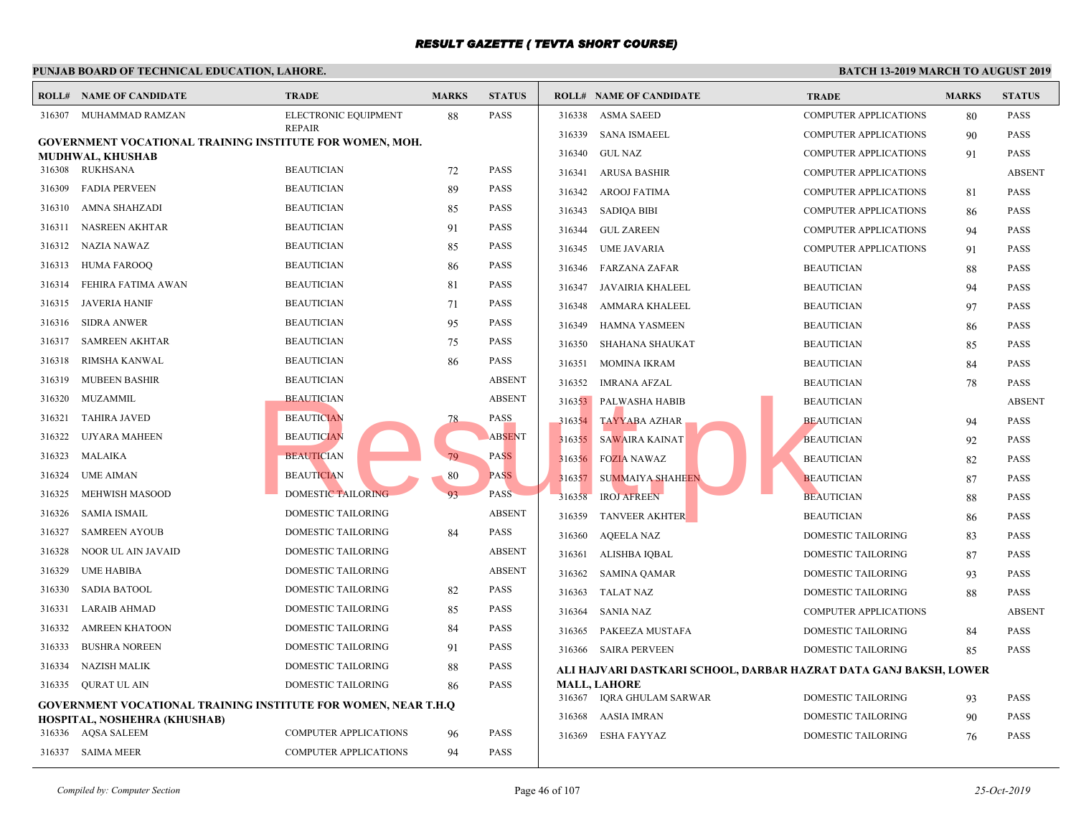|        | <b>ROLL# NAME OF CANDIDATE</b>                                        | <b>TRADE</b>              | <b>MARKS</b>              | <b>STATUS</b> |        | <b>ROLL# NAME OF CANDIDATE</b>             | <b>TRAL</b> |
|--------|-----------------------------------------------------------------------|---------------------------|---------------------------|---------------|--------|--------------------------------------------|-------------|
| 316307 | MUHAMMAD RAMZAN                                                       | ELECTRONIC EQUIPMENT      | 88                        | <b>PASS</b>   | 316338 | <b>ASMA SAEED</b>                          | <b>COMP</b> |
|        | <b>GOVERNMENT VOCATIONAL TRAINING INSTITUTE FOR WOMEN, MOH.</b>       | <b>REPAIR</b>             |                           |               | 316339 | SANA ISMAEEL                               | <b>COMP</b> |
|        | MUDHWAL, KHUSHAB                                                      |                           |                           |               | 316340 | <b>GUL NAZ</b>                             | <b>COMP</b> |
|        | 316308 RUKHSANA                                                       | <b>BEAUTICIAN</b>         | 72                        | <b>PASS</b>   | 316341 | ARUSA BASHIR                               | <b>COMP</b> |
| 316309 | <b>FADIA PERVEEN</b>                                                  | <b>BEAUTICIAN</b>         | 89                        | <b>PASS</b>   | 316342 | AROOJ FATIMA                               | <b>COMP</b> |
| 316310 | AMNA SHAHZADI                                                         | <b>BEAUTICIAN</b>         | 85                        | <b>PASS</b>   | 316343 | SADIQA BIBI                                | COMP        |
| 316311 | NASREEN AKHTAR                                                        | <b>BEAUTICIAN</b>         | 91                        | <b>PASS</b>   | 316344 | <b>GUL ZAREEN</b>                          | <b>COMP</b> |
| 316312 | NAZIA NAWAZ                                                           | <b>BEAUTICIAN</b>         | 85                        | <b>PASS</b>   | 316345 | UME JAVARIA                                | <b>COMP</b> |
| 316313 | <b>HUMA FAROOQ</b>                                                    | <b>BEAUTICIAN</b>         | 86                        | <b>PASS</b>   | 316346 | FARZANA ZAFAR                              | <b>BEAU</b> |
| 316314 | FEHIRA FATIMA AWAN                                                    | <b>BEAUTICIAN</b>         | 81                        | <b>PASS</b>   | 316347 | JAVAIRIA KHALEEL                           | <b>BEAU</b> |
| 316315 | JAVERIA HANIF                                                         | <b>BEAUTICIAN</b>         | 71                        | <b>PASS</b>   | 316348 | AMMARA KHALEEL                             | <b>BEAU</b> |
| 316316 | <b>SIDRA ANWER</b>                                                    | <b>BEAUTICIAN</b>         | 95                        | <b>PASS</b>   | 316349 | <b>HAMNA YASMEEN</b>                       | <b>BEAU</b> |
| 316317 | <b>SAMREEN AKHTAR</b>                                                 | <b>BEAUTICIAN</b>         | 75                        | <b>PASS</b>   | 316350 | SHAHANA SHAUKAT                            | <b>BEAU</b> |
| 316318 | RIMSHA KANWAL                                                         | <b>BEAUTICIAN</b>         | 86                        | <b>PASS</b>   | 316351 | MOMINA IKRAM                               | <b>BEAU</b> |
| 316319 | <b>MUBEEN BASHIR</b>                                                  | <b>BEAUTICIAN</b>         |                           | <b>ABSENT</b> | 316352 | IMRANA AFZAL                               | <b>BEAU</b> |
| 316320 | MUZAMMIL                                                              | <b>BEAUTICIAN</b>         |                           | <b>ABSENT</b> |        | 316353 PALWASHA HABIB                      | <b>BEAU</b> |
| 316321 | <b>TAHIRA JAVED</b>                                                   | <b>BEAUTICIAN</b>         | 78                        | <b>PASS</b>   | 316354 | <b>TAYYABA AZHAR</b>                       | <b>BEAU</b> |
| 316322 | UJYARA MAHEEN                                                         | <b>BEAUTICIAN</b>         |                           | <b>ABSENT</b> | 316355 | SAWAIRA KAINAT                             | <b>BEAU</b> |
| 316323 | MALAIKA                                                               | <b>BEAUTICIAN</b>         | 79                        | <b>PASS</b>   | 316356 | <b>FOZIA NAWAZ</b>                         | <b>BEAU</b> |
| 316324 | <b>UME AIMAN</b>                                                      | <b>BEAUTICIAN</b>         | 80                        | <b>PASS</b>   | 316357 | <b>SUMMAIYA SHAHEEN</b>                    | <b>BEAU</b> |
| 316325 | <b>MEHWISH MASOOD</b>                                                 | <b>DOMESTIC TAILORING</b> | 93                        | <b>PASS</b>   | 316358 | <b>IROJ AFREEN</b>                         | <b>BEAU</b> |
| 316326 | SAMIA ISMAIL                                                          | DOMESTIC TAILORING        |                           | <b>ABSENT</b> | 316359 | <b>TANVEER AKHTER</b>                      | <b>BEAU</b> |
| 316327 | <b>SAMREEN AYOUB</b>                                                  | DOMESTIC TAILORING        | 84                        | <b>PASS</b>   | 316360 | <b>AQEELA NAZ</b>                          | <b>DOME</b> |
| 316328 | NOOR UL AIN JAVAID                                                    | DOMESTIC TAILORING        |                           | <b>ABSENT</b> | 316361 | ALISHBA IQBAL                              | <b>DOME</b> |
| 316329 | UME HABIBA                                                            | DOMESTIC TAILORING        |                           | <b>ABSENT</b> | 316362 | SAMINA QAMAR                               | <b>DOME</b> |
| 316330 | <b>SADIA BATOOL</b>                                                   | DOMESTIC TAILORING        | 82                        | <b>PASS</b>   | 316363 | TALAT NAZ                                  | <b>DOME</b> |
| 316331 | <b>LARAIB AHMAD</b>                                                   | DOMESTIC TAILORING        | 85                        | <b>PASS</b>   | 316364 | SANIA NAZ                                  | <b>COMP</b> |
| 316332 | <b>AMREEN KHATOON</b>                                                 | DOMESTIC TAILORING        | 84                        | <b>PASS</b>   | 316365 | PAKEEZA MUSTAFA                            | <b>DOME</b> |
| 316333 | <b>BUSHRA NOREEN</b>                                                  | DOMESTIC TAILORING        | 91                        | <b>PASS</b>   | 316366 | SAIRA PERVEEN                              | <b>DOME</b> |
| 316334 | <b>NAZISH MALIK</b>                                                   | DOMESTIC TAILORING        | 88                        | <b>PASS</b>   |        | ALI HAJVARI DASTKARI SCHOOL, DARBAR HAZRA' |             |
| 316335 | <b>QURAT UL AIN</b>                                                   | DOMESTIC TAILORING        | 86                        | <b>PASS</b>   |        | <b>MALL, LAHORE</b>                        |             |
|        | <b>GOVERNMENT VOCATIONAL TRAINING INSTITUTE FOR WOMEN, NEAR T.H.Q</b> |                           | 316367 IQRA GHULAM SARWAR | <b>DOME</b>   |        |                                            |             |
|        | HOSPITAL, NOSHEHRA (KHUSHAB)                                          |                           |                           |               | 316368 | AASIA IMRAN                                | <b>DOME</b> |
|        | 316336 AQSA SALEEM                                                    | COMPUTER APPLICATIONS     | 96                        | <b>PASS</b>   | 316369 | ESHA FAYYAZ                                | <b>DOME</b> |
|        | 316337 SAIMA MEER                                                     | COMPUTER APPLICATIONS     | 94                        | <b>PASS</b>   |        |                                            |             |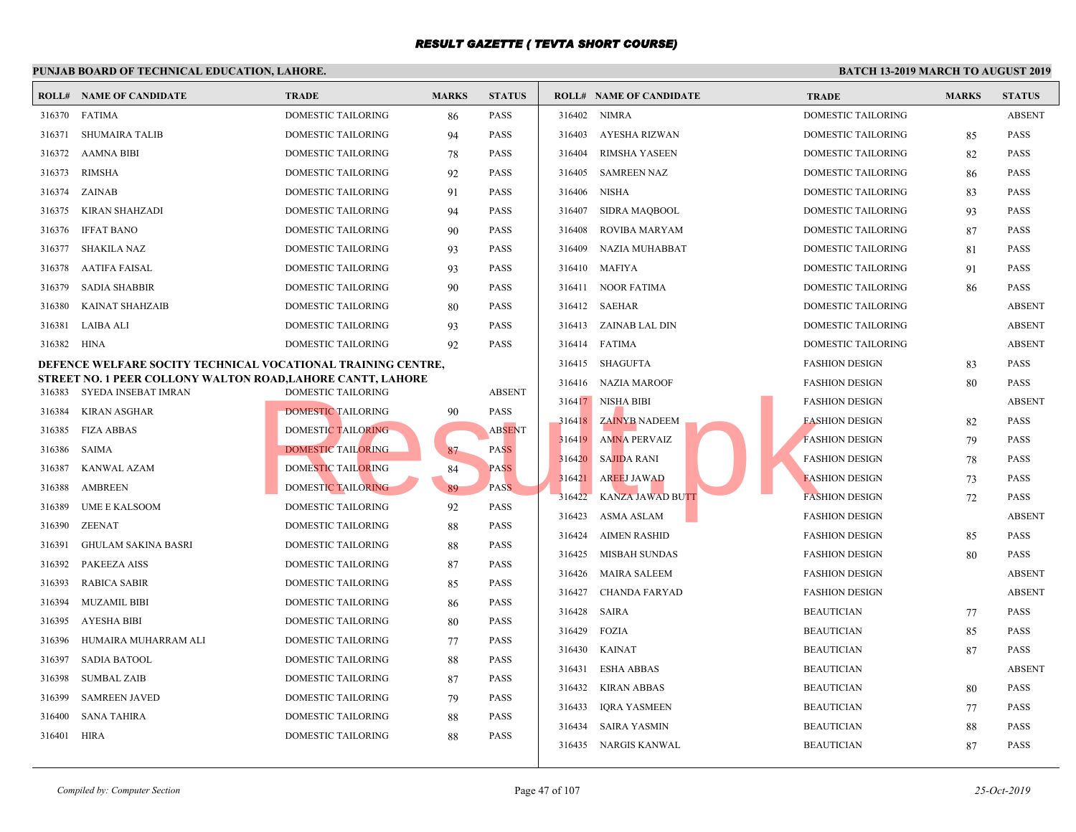#### **PUNJAB BOARD OF TECHNICAL EDUCATION, LAHORE. ROLL# NAME OF CANDIDATE TRADE MARKS STATUS ROLL# NAME OF CANDIDATE TRADE MARKS STATUS** 316370 FATIMA DOMESTIC TAILORING 86 PASS 316371 SHUMAIRA TALIB DOMESTIC TAILORING 94 PASS 316372 AAMNA BIBI DOMESTIC TAILORING 78 PASS 316373 RIMSHA DOMESTIC TAILORING 92 PASS 316374 ZAINAB DOMESTIC TAILORING 91 PASS 316375 KIRAN SHAHZADI DOMESTIC TAILORING 94 PASS 316376 IFFAT BANO DOMESTIC TAILORING 90 PASS 316377 SHAKILA NAZ DOMESTIC TAILORING 93 PASS 316378 AATIFA FAISAL DOMESTIC TAILORING 93 PASS 316379 SADIA SHABBIR DOMESTIC TAILORING 90 PASS 316380 KAINAT SHAHZAIB DOMESTIC TAILORING 80 PASS 316381 LAIBA ALI DOMESTIC TAILORING 93 PASS 316382 HINA DOMESTIC TAILORING 92 PASS **DEFENCE WELFARE SOCITY TECHNICAL VOCATIONAL TRAINING CENTRE, STREET NO. 1 PEER COLLONY WALTON ROAD,LAHORE CANTT, LAHORE** 316383 SYEDA INSEBAT IMRAN DOMESTIC TAILORING ABSENT 316384 KIRAN ASGHAR DOMESTIC TAILORING 90 PASS 316385 FIZA ABBAS DOMESTIC TAILORING ABSENT 316386 SAIMA DOMESTIC TAILORING 87 PASS 316387 KANWAL AZAM DOMESTIC TAILORING 84 PASS 316388 AMBREEN DOMESTIC TAILORING 89 PASS 316389 UME E KALSOOM DOMESTIC TAILORING 92 PASS 316390 ZEENAT DOMESTIC TAILORING 88 PASS 316391 GHULAM SAKINA BASRI DOMESTIC TAILORING 88 PASS 316392 PAKEEZA AISS DOMESTIC TAILORING 87 PASS 316393 RABICA SABIR DOMESTIC TAILORING 85 PASS 316394 MUZAMIL BIBI DOMESTIC TAILORING 86 PASS 316395 AYESHA BIBI DOMESTIC TAILORING 80 PASS 316396 HUMAIRA MUHARRAM ALI DOMESTIC TAILORING 77 PASS 316397 SADIA BATOOL DOMESTIC TAILORING 88 PASS 316398 SUMBAL ZAIB DOMESTIC TAILORING 87 PASS 316399 SAMREEN JAVED DOMESTIC TAILORING 79 PASS 316400 SANA TAHIRA DOMESTIC TAILORING 88 PASS 316401 HIRA DOMESTIC TAILORING 88 PASS 316402 NIMRA DOME 316403 AYESHA RIZWAN DOME 316404 RIMSHA YASEEN DOME 316405 SAMREEN NAZ DOME 316406 NISHA DOME 316407 SIDRA MAQBOOL DOME 316408 ROVIBA MARYAM DOME 316409 NAZIA MUHABBAT DOME 316410 MAFIYA DOME 316411 NOOR FATIMA DOME 316412 SAEHAR DOME 316413 ZAINAB LAL DIN DOME 316414 FATIMA DOME 316415 SHAGUFTA FASHI 316416 NAZIA MAROOF FASHI 316417 NISHA BIBI FASHI 316418 ZAINYB NADEEM FASHI 316419 AMNA PERVAIZ FASHI 316420 SAJIDA RANI FASHI 316421 AREEJ JAWAD FASHI 316422 KANZA JAWAD BUTT FASHI 316423 ASMA ASLAM FASHI 316424 AIMEN RASHID FASHI 316425 MISBAH SUNDAS FASHI 316426 MAIRA SALEEM FASHI 316427 CHANDA FARYAD FASHI 316428 SAIRA BEAUT 316429 FOZIA BEAUT 316430 KAINAT BEAUT 316431 ESHA ABBAS BEAUTICIAN ABSENT 316432 KIRAN ABBAS BEAUT 316433 IQRA YASMEEN BEAUT 316434 SAIRA YASMIN BEAUT 316435 NARGIS KANWAL BEAUT DOMESTIC TAILORING NEW PASS<br>
DOMESTIC TAILORING NEW PASS<br>
DOMESTIC TAILORING RESULTION NEW PASS<br>
DOMESTIC TAILORING RESULTION PASS<br>
DOMESTIC TAILORING RESULTION PASS<br>
DOMESTIC TAILORING RESULTION PASS<br>
DOMESTIC TAILORING P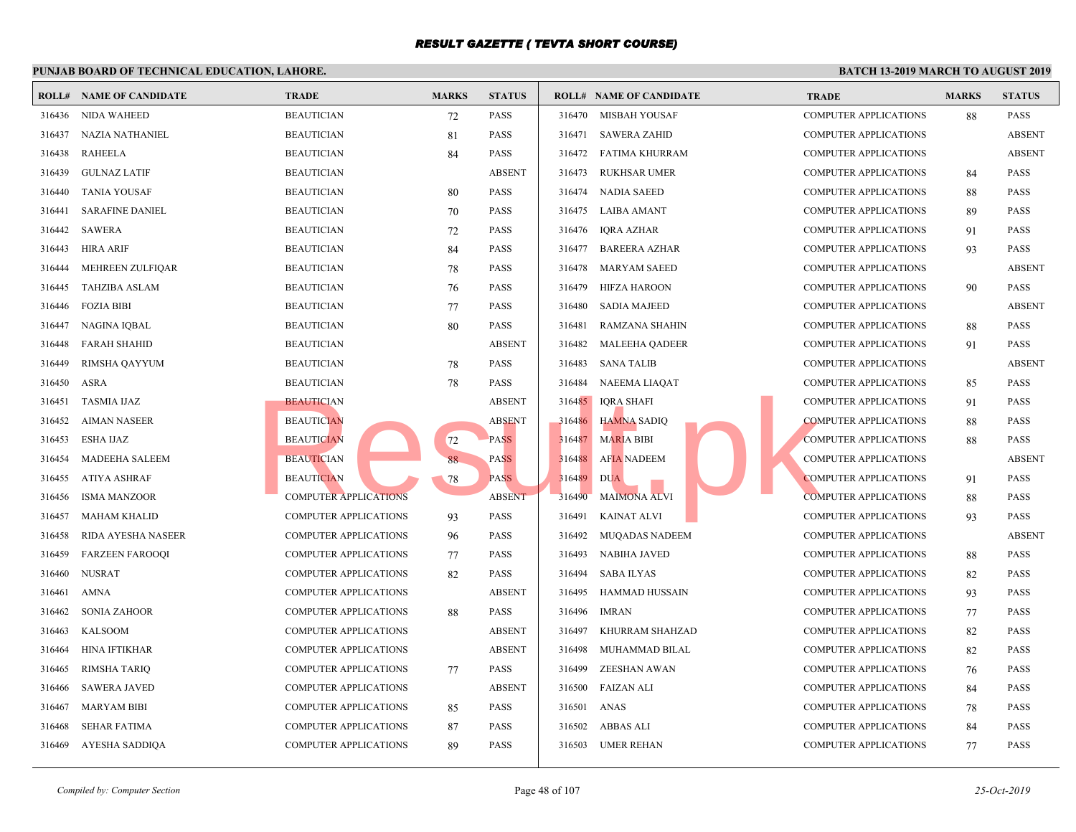|        | <b>ROLL# NAME OF CANDIDATE</b> | <b>TRADE</b>                 | <b>MARKS</b> | <b>STATUS</b> |        | <b>ROLL# NAME OF CANDIDATE</b> | <b>TRAL</b> |
|--------|--------------------------------|------------------------------|--------------|---------------|--------|--------------------------------|-------------|
| 316436 | <b>NIDA WAHEED</b>             | <b>BEAUTICIAN</b>            | 72           | <b>PASS</b>   | 316470 | MISBAH YOUSAF                  | <b>COMP</b> |
| 316437 | <b>NAZIA NATHANIEL</b>         | <b>BEAUTICIAN</b>            | 81           | <b>PASS</b>   | 316471 | <b>SAWERA ZAHID</b>            | <b>COMP</b> |
| 316438 | <b>RAHEELA</b>                 | <b>BEAUTICIAN</b>            | 84           | <b>PASS</b>   | 316472 | FATIMA KHURRAM                 | <b>COMP</b> |
| 316439 | <b>GULNAZ LATIF</b>            | <b>BEAUTICIAN</b>            |              | <b>ABSENT</b> | 316473 | <b>RUKHSAR UMER</b>            | <b>COMP</b> |
| 316440 | <b>TANIA YOUSAF</b>            | <b>BEAUTICIAN</b>            | 80           | <b>PASS</b>   | 316474 | <b>NADIA SAEED</b>             | <b>COMP</b> |
| 316441 | <b>SARAFINE DANIEL</b>         | <b>BEAUTICIAN</b>            | 70           | <b>PASS</b>   | 316475 | LAIBA AMANT                    | <b>COMP</b> |
| 316442 | <b>SAWERA</b>                  | <b>BEAUTICIAN</b>            | 72           | PASS          | 316476 | IQRA AZHAR                     | <b>COMP</b> |
| 316443 | HIRA ARIF                      | <b>BEAUTICIAN</b>            | 84           | <b>PASS</b>   | 316477 | BAREERA AZHAR                  | <b>COMP</b> |
| 316444 | MEHREEN ZULFIQAR               | <b>BEAUTICIAN</b>            | 78           | <b>PASS</b>   | 316478 | <b>MARYAM SAEED</b>            | <b>COMP</b> |
| 316445 | TAHZIBA ASLAM                  | <b>BEAUTICIAN</b>            | 76           | <b>PASS</b>   | 316479 | <b>HIFZA HAROON</b>            | <b>COMP</b> |
| 316446 | <b>FOZIA BIBI</b>              | <b>BEAUTICIAN</b>            | 77           | <b>PASS</b>   | 316480 | <b>SADIA MAJEED</b>            | <b>COMP</b> |
| 316447 | NAGINA IQBAL                   | <b>BEAUTICIAN</b>            | 80           | <b>PASS</b>   | 316481 | RAMZANA SHAHIN                 | <b>COMP</b> |
| 316448 | <b>FARAH SHAHID</b>            | <b>BEAUTICIAN</b>            |              | <b>ABSENT</b> | 316482 | <b>MALEEHA QADEER</b>          | COMP        |
| 316449 | RIMSHA QAYYUM                  | <b>BEAUTICIAN</b>            | 78           | PASS          | 316483 | <b>SANA TALIB</b>              | <b>COMP</b> |
| 316450 | ASRA                           | <b>BEAUTICIAN</b>            | 78           | <b>PASS</b>   | 316484 | NAEEMA LIAQAT                  | <b>COMP</b> |
| 316451 | <b>TASMIA IJAZ</b>             | <b>BEAUTICIAN</b>            |              | <b>ABSENT</b> | 316485 | IQRA SHAFI                     | <b>COMP</b> |
| 316452 | <b>AIMAN NASEER</b>            | <b>BEAUTICIAN</b>            |              | <b>ABSENT</b> | 316486 | <b>HAMNA SADIQ</b>             | <b>COMP</b> |
| 316453 | ESHA IJAZ                      | <b>BEAUTICIAN</b>            | 72           | <b>PASS</b>   | 316487 | <b>MARIA BIBI</b>              | <b>COMP</b> |
| 316454 | MADEEHA SALEEM                 | <b>BEAUTICIAN</b>            | 88           | <b>PASS</b>   | 316488 | <b>AFIA NADEEM</b>             | <b>COMP</b> |
| 316455 | <b>ATIYA ASHRAF</b>            | <b>BEAUTICIAN</b>            | 78           | <b>PASS</b>   | 316489 | <b>DUA</b>                     | <b>COMP</b> |
| 316456 | <b>ISMA MANZOOR</b>            | <b>COMPUTER APPLICATIONS</b> |              | <b>ABSENT</b> | 316490 | <b>MAIMONA ALVI</b>            | <b>COMP</b> |
| 316457 | <b>MAHAM KHALID</b>            | <b>COMPUTER APPLICATIONS</b> | 93           | <b>PASS</b>   | 316491 | <b>KAINAT ALVI</b>             | <b>COMP</b> |
| 316458 | RIDA AYESHA NASEER             | <b>COMPUTER APPLICATIONS</b> | 96           | <b>PASS</b>   | 316492 | <b>MUQADAS NADEEM</b>          | <b>COMP</b> |
| 316459 | <b>FARZEEN FAROOQI</b>         | <b>COMPUTER APPLICATIONS</b> | 77           | <b>PASS</b>   | 316493 | <b>NABIHA JAVED</b>            | <b>COMP</b> |
| 316460 | <b>NUSRAT</b>                  | <b>COMPUTER APPLICATIONS</b> | 82           | <b>PASS</b>   | 316494 | <b>SABA ILYAS</b>              | <b>COMP</b> |
| 316461 | <b>AMNA</b>                    | <b>COMPUTER APPLICATIONS</b> |              | <b>ABSENT</b> | 316495 | HAMMAD HUSSAIN                 | <b>COMP</b> |
| 316462 | <b>SONIA ZAHOOR</b>            | <b>COMPUTER APPLICATIONS</b> | 88           | <b>PASS</b>   | 316496 | IMRAN                          | <b>COMP</b> |
| 316463 | <b>KALSOOM</b>                 | <b>COMPUTER APPLICATIONS</b> |              | <b>ABSENT</b> | 316497 | KHURRAM SHAHZAD                | <b>COMP</b> |
| 316464 | HINA IFTIKHAR                  | <b>COMPUTER APPLICATIONS</b> |              | <b>ABSENT</b> | 316498 | MUHAMMAD BILAL                 | <b>COMP</b> |
| 316465 | <b>RIMSHA TARIQ</b>            | <b>COMPUTER APPLICATIONS</b> | 77           | PASS          | 316499 | ZEESHAN AWAN                   | COMP        |
| 316466 | <b>SAWERA JAVED</b>            | <b>COMPUTER APPLICATIONS</b> |              | <b>ABSENT</b> | 316500 | <b>FAIZAN ALI</b>              | COMP        |
| 316467 | <b>MARYAM BIBI</b>             | <b>COMPUTER APPLICATIONS</b> | 85           | <b>PASS</b>   | 316501 | <b>ANAS</b>                    | <b>COMP</b> |
| 316468 | <b>SEHAR FATIMA</b>            | <b>COMPUTER APPLICATIONS</b> | 87           | <b>PASS</b>   | 316502 | ABBAS ALI                      | <b>COMP</b> |
| 316469 | AYESHA SADDIQA                 | <b>COMPUTER APPLICATIONS</b> | 89           | PASS          | 316503 | <b>UMER REHAN</b>              | <b>COMP</b> |
|        |                                |                              |              |               |        |                                |             |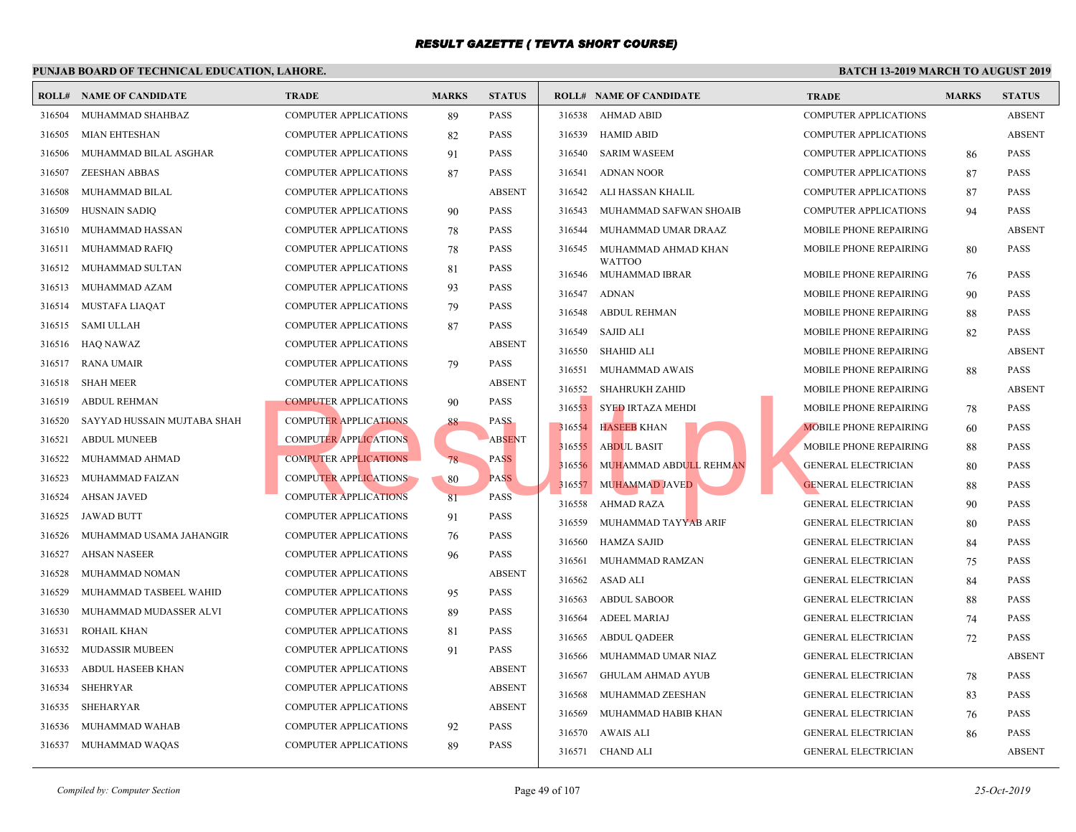| <b>ROLL#</b> | <b>NAME OF CANDIDATE</b>    | <b>TRADE</b>                 | <b>MARKS</b> | <b>STATUS</b> |        | <b>ROLL# NAME OF CANDIDATE</b>  | <b>TRAL</b>  |
|--------------|-----------------------------|------------------------------|--------------|---------------|--------|---------------------------------|--------------|
| 316504       | MUHAMMAD SHAHBAZ            | COMPUTER APPLICATIONS        | 89           | <b>PASS</b>   | 316538 | AHMAD ABID                      | <b>COMP</b>  |
| 316505       | <b>MIAN EHTESHAN</b>        | <b>COMPUTER APPLICATIONS</b> | 82           | <b>PASS</b>   | 316539 | HAMID ABID                      | <b>COMP</b>  |
| 316506       | MUHAMMAD BILAL ASGHAR       | <b>COMPUTER APPLICATIONS</b> | 91           | <b>PASS</b>   | 316540 | <b>SARIM WASEEM</b>             | <b>COMP</b>  |
| 316507       | <b>ZEESHAN ABBAS</b>        | <b>COMPUTER APPLICATIONS</b> | 87           | <b>PASS</b>   | 316541 | <b>ADNAN NOOR</b>               | <b>COMP</b>  |
| 316508       | MUHAMMAD BILAL              | <b>COMPUTER APPLICATIONS</b> |              | <b>ABSENT</b> | 316542 | ALI HASSAN KHALIL               | <b>COMP</b>  |
| 316509       | HUSNAIN SADIQ               | <b>COMPUTER APPLICATIONS</b> | 90           | <b>PASS</b>   | 316543 | MUHAMMAD SAFWAN SHOAIB          | <b>COMP</b>  |
| 316510       | MUHAMMAD HASSAN             | <b>COMPUTER APPLICATIONS</b> | 78           | <b>PASS</b>   | 316544 | MUHAMMAD UMAR DRAAZ             | <b>MOBII</b> |
| 316511       | MUHAMMAD RAFIQ              | <b>COMPUTER APPLICATIONS</b> | 78           | <b>PASS</b>   | 316545 | MUHAMMAD AHMAD KHAN             | MOBII        |
| 316512       | MUHAMMAD SULTAN             | <b>COMPUTER APPLICATIONS</b> | 81           | <b>PASS</b>   | 316546 | <b>WATTOO</b><br>MUHAMMAD IBRAR | <b>MOBII</b> |
| 316513       | MUHAMMAD AZAM               | <b>COMPUTER APPLICATIONS</b> | 93           | <b>PASS</b>   | 316547 | <b>ADNAN</b>                    | <b>MOBII</b> |
| 316514       | MUSTAFA LIAQAT              | <b>COMPUTER APPLICATIONS</b> | 79           | <b>PASS</b>   | 316548 | <b>ABDUL REHMAN</b>             | <b>MOBII</b> |
| 316515       | SAMI ULLAH                  | <b>COMPUTER APPLICATIONS</b> | 87           | <b>PASS</b>   | 316549 | <b>SAJID ALI</b>                | <b>MOBII</b> |
| 316516       | HAQ NAWAZ                   | <b>COMPUTER APPLICATIONS</b> |              | <b>ABSENT</b> | 316550 | <b>SHAHID ALI</b>               | <b>MOBII</b> |
| 316517       | <b>RANA UMAIR</b>           | COMPUTER APPLICATIONS        | 79           | <b>PASS</b>   | 316551 | MUHAMMAD AWAIS                  | <b>MOBII</b> |
| 316518       | <b>SHAH MEER</b>            | <b>COMPUTER APPLICATIONS</b> |              | <b>ABSENT</b> | 316552 | <b>SHAHRUKH ZAHID</b>           | <b>MOBII</b> |
| 316519       | <b>ABDUL REHMAN</b>         | <b>COMPUTER APPLICATIONS</b> | 90           | <b>PASS</b>   | 316553 | <b>SYED IRTAZA MEHDI</b>        | <b>MOBII</b> |
| 316520       | SAYYAD HUSSAIN MUJTABA SHAH | COMPUTER APPLICATIONS        | 88           | <b>PASS</b>   | 316554 | <b>HASEEB KHAN</b>              | <b>MOBII</b> |
| 316521       | <b>ABDUL MUNEEB</b>         | <b>COMPUTER APPLICATIONS</b> |              | <b>ABSENT</b> | 316555 | <b>ABDUL BASIT</b>              | <b>MOBII</b> |
| 316522       | MUHAMMAD AHMAD              | <b>COMPUTER APPLICATIONS</b> | 78           | PASS          | 316556 | MUHAMMAD ABDULL REHMAN          | <b>GENEI</b> |
| 316523       | MUHAMMAD FAIZAN             | <b>COMPUTER APPLICATIONS</b> | 80           | <b>PASS</b>   | 316557 | MUHAMMAD JAVED                  | <b>GENEI</b> |
| 316524       | <b>AHSAN JAVED</b>          | <b>COMPUTER APPLICATIONS</b> | 81           | <b>PASS</b>   | 316558 | <b>AHMAD RAZA</b>               | <b>GENEI</b> |
| 316525       | <b>JAWAD BUTT</b>           | COMPUTER APPLICATIONS        | 91           | <b>PASS</b>   | 316559 | MUHAMMAD TAYYAB ARIF            | <b>GENEI</b> |
| 316526       | MUHAMMAD USAMA JAHANGIR     | COMPUTER APPLICATIONS        | 76           | <b>PASS</b>   | 316560 | <b>HAMZA SAJID</b>              | <b>GENEI</b> |
| 316527       | <b>AHSAN NASEER</b>         | <b>COMPUTER APPLICATIONS</b> | 96           | <b>PASS</b>   | 316561 | MUHAMMAD RAMZAN                 | <b>GENEI</b> |
| 316528       | MUHAMMAD NOMAN              | COMPUTER APPLICATIONS        |              | <b>ABSENT</b> | 316562 | ASAD ALI                        | <b>GENEI</b> |
| 316529       | MUHAMMAD TASBEEL WAHID      | <b>COMPUTER APPLICATIONS</b> | 95           | <b>PASS</b>   | 316563 | <b>ABDUL SABOOR</b>             | <b>GENE</b>  |
| 316530       | MUHAMMAD MUDASSER ALVI      | COMPUTER APPLICATIONS        | 89           | <b>PASS</b>   | 316564 | <b>ADEEL MARIAJ</b>             | <b>GENE</b>  |
| 316531       | ROHAIL KHAN                 | COMPUTER APPLICATIONS        | 81           | <b>PASS</b>   | 316565 | <b>ABDUL QADEER</b>             | <b>GENE</b>  |
| 316532       | <b>MUDASSIR MUBEEN</b>      | <b>COMPUTER APPLICATIONS</b> | 91           | <b>PASS</b>   | 316566 | MUHAMMAD UMAR NIAZ              | <b>GENE</b>  |
| 316533       | ABDUL HASEEB KHAN           | COMPUTER APPLICATIONS        |              | <b>ABSENT</b> | 316567 | <b>GHULAM AHMAD AYUB</b>        | <b>GENEI</b> |
| 316534       | <b>SHEHRYAR</b>             | COMPUTER APPLICATIONS        |              | <b>ABSENT</b> | 316568 | MUHAMMAD ZEESHAN                | <b>GENEI</b> |
| 316535       | <b>SHEHARYAR</b>            | <b>COMPUTER APPLICATIONS</b> |              | <b>ABSENT</b> | 316569 | MUHAMMAD HABIB KHAN             | <b>GENEI</b> |
| 316536       | MUHAMMAD WAHAB              | COMPUTER APPLICATIONS        | 92           | <b>PASS</b>   | 316570 | AWAIS ALI                       | <b>GENE</b>  |
| 316537       | MUHAMMAD WAQAS              | <b>COMPUTER APPLICATIONS</b> | 89           | <b>PASS</b>   | 316571 | CHAND ALI                       | <b>GENEI</b> |
|              |                             |                              |              |               |        |                                 |              |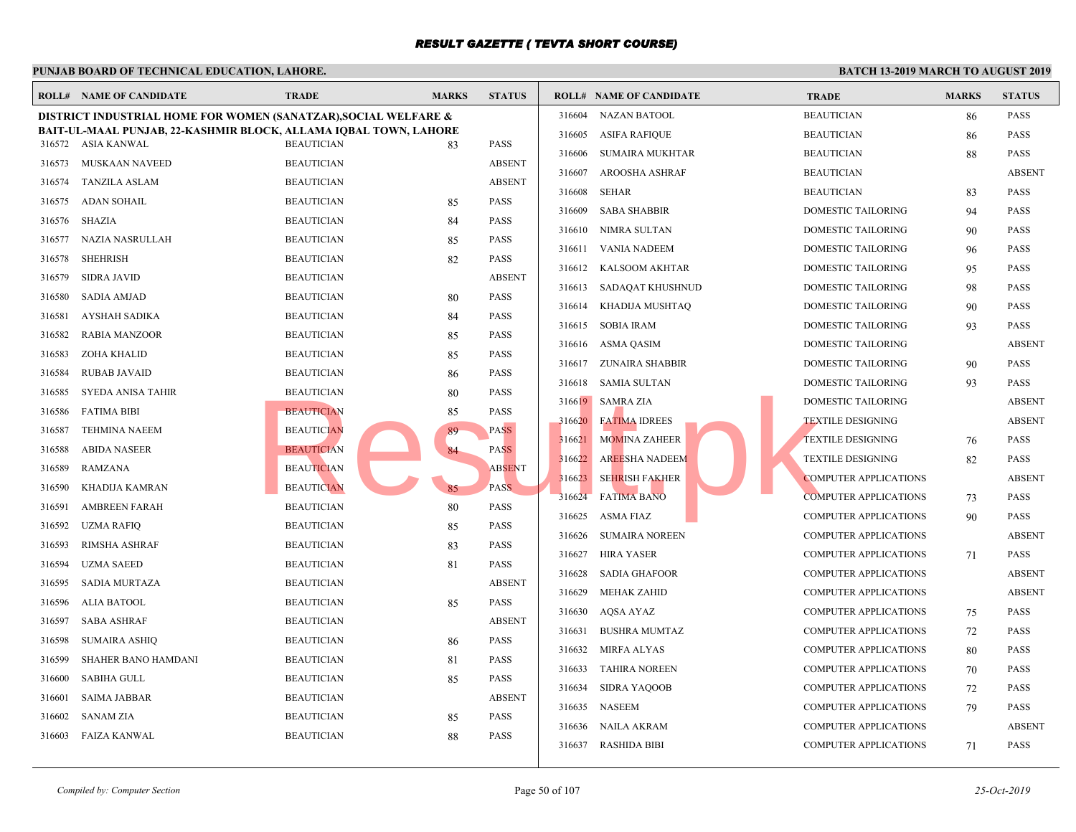|        | <b>ROLL# NAME OF CANDIDATE</b>                                   | <b>TRADE</b>      | <b>MARKS</b> | <b>STATUS</b> |        | <b>ROLL# NAME OF CANDIDATE</b> | <b>TRAI</b>  |
|--------|------------------------------------------------------------------|-------------------|--------------|---------------|--------|--------------------------------|--------------|
|        | DISTRICT INDUSTRIAL HOME FOR WOMEN (SANATZAR), SOCIAL WELFARE &  |                   |              |               | 316604 | <b>NAZAN BATOOL</b>            | <b>BEAU</b>  |
|        | BAIT-UL-MAAL PUNJAB, 22-KASHMIR BLOCK, ALLAMA IOBAL TOWN, LAHORE |                   |              |               | 316605 | <b>ASIFA RAFIQUE</b>           | <b>BEAU</b>  |
|        | 316572 ASIA KANWAL                                               | <b>BEAUTICIAN</b> | 83           | <b>PASS</b>   | 316606 | <b>SUMAIRA MUKHTAR</b>         | <b>BEAU</b>  |
| 316573 | MUSKAAN NAVEED                                                   | <b>BEAUTICIAN</b> |              | <b>ABSENT</b> | 316607 | <b>AROOSHA ASHRAF</b>          | <b>BEAU</b>  |
| 316574 | <b>TANZILA ASLAM</b>                                             | <b>BEAUTICIAN</b> |              | <b>ABSENT</b> | 316608 | <b>SEHAR</b>                   | <b>BEAU</b>  |
| 316575 | <b>ADAN SOHAIL</b>                                               | <b>BEAUTICIAN</b> | 85           | <b>PASS</b>   | 316609 | <b>SABA SHABBIR</b>            | <b>DOME</b>  |
| 316576 | SHAZIA                                                           | <b>BEAUTICIAN</b> | 84           | PASS          | 316610 | NIMRA SULTAN                   | <b>DOME</b>  |
| 316577 | NAZIA NASRULLAH                                                  | <b>BEAUTICIAN</b> | 85           | <b>PASS</b>   | 316611 | VANIA NADEEM                   | <b>DOME</b>  |
| 316578 | <b>SHEHRISH</b>                                                  | <b>BEAUTICIAN</b> | 82           | <b>PASS</b>   | 316612 | KALSOOM AKHTAR                 | <b>DOME</b>  |
| 316579 | <b>SIDRA JAVID</b>                                               | <b>BEAUTICIAN</b> |              | <b>ABSENT</b> | 316613 | SADAQAT KHUSHNUD               | <b>DOME</b>  |
| 316580 | <b>SADIA AMJAD</b>                                               | <b>BEAUTICIAN</b> | 80           | <b>PASS</b>   | 316614 | KHADIJA MUSHTAQ                | <b>DOME</b>  |
| 316581 | AYSHAH SADIKA                                                    | <b>BEAUTICIAN</b> | 84           | <b>PASS</b>   | 316615 | <b>SOBIA IRAM</b>              | <b>DOME</b>  |
| 316582 | <b>RABIA MANZOOR</b>                                             | <b>BEAUTICIAN</b> | 85           | <b>PASS</b>   | 316616 | ASMA QASIM                     | <b>DOME</b>  |
| 316583 | ZOHA KHALID                                                      | <b>BEAUTICIAN</b> | 85           | <b>PASS</b>   | 316617 | ZUNAIRA SHABBIR                | <b>DOME</b>  |
| 316584 | <b>RUBAB JAVAID</b>                                              | <b>BEAUTICIAN</b> | 86           | PASS          | 316618 | SAMIA SULTAN                   | <b>DOME</b>  |
| 316585 | SYEDA ANISA TAHIR                                                | <b>BEAUTICIAN</b> | 80           | PASS          |        | 316619 SAMRA ZIA               | <b>DOME</b>  |
| 316586 | <b>FATIMA BIBI</b>                                               | <b>BEAUTICIAN</b> | 85           | <b>PASS</b>   |        | 316620 FATIMA IDREES           | <b>TEXTI</b> |
| 316587 | <b>TEHMINA NAEEM</b>                                             | <b>BEAUTICIAN</b> | 89           | <b>PASS</b>   | 316621 | <b>MOMINA ZAHEER</b>           | <b>TEXTI</b> |
| 316588 | <b>ABIDA NASEER</b>                                              | <b>BEAUTICIAN</b> | 84           | <b>PASS</b>   | 316622 | AREESHA NADEEM                 | <b>TEXTI</b> |
| 316589 | RAMZANA                                                          | <b>BEAUTICIAN</b> |              | <b>ABSENT</b> | 316623 | <b>SEHRISH FAKHER</b>          | <b>COMP</b>  |
| 316590 | KHADIJA KAMRAN                                                   | <b>BEAUTICIAN</b> | 85           | <b>PASS</b>   | 316624 | <b>FATIMA BANO</b>             | <b>COMP</b>  |
| 316591 | <b>AMBREEN FARAH</b>                                             | <b>BEAUTICIAN</b> | 80           | <b>PASS</b>   |        |                                |              |
| 316592 | <b>UZMA RAFIQ</b>                                                | <b>BEAUTICIAN</b> | 85           | <b>PASS</b>   | 316625 | ASMA FIAZ                      | <b>COMP</b>  |
| 316593 | <b>RIMSHA ASHRAF</b>                                             | <b>BEAUTICIAN</b> | 83           | <b>PASS</b>   | 316626 | <b>SUMAIRA NOREEN</b>          | <b>COMP</b>  |
| 316594 | <b>UZMA SAEED</b>                                                | <b>BEAUTICIAN</b> | 81           | PASS          | 316627 | <b>HIRA YASER</b>              | <b>COMP</b>  |
| 316595 | <b>SADIA MURTAZA</b>                                             | <b>BEAUTICIAN</b> |              | <b>ABSENT</b> | 316628 | <b>SADIA GHAFOOR</b>           | <b>COMP</b>  |
| 316596 | <b>ALIA BATOOL</b>                                               | <b>BEAUTICIAN</b> | 85           | <b>PASS</b>   | 316629 | MEHAK ZAHID                    | COMP         |
| 316597 | <b>SABA ASHRAF</b>                                               | <b>BEAUTICIAN</b> |              | <b>ABSENT</b> | 316630 | AQSA AYAZ                      | COMP         |
| 316598 | <b>SUMAIRA ASHIQ</b>                                             | <b>BEAUTICIAN</b> | 86           | <b>PASS</b>   | 316631 | <b>BUSHRA MUMTAZ</b>           | <b>COMP</b>  |
| 316599 | SHAHER BANO HAMDANI                                              | <b>BEAUTICIAN</b> | 81           | <b>PASS</b>   | 316632 | <b>MIRFA ALYAS</b>             | <b>COMP</b>  |
| 316600 | <b>SABIHA GULL</b>                                               | <b>BEAUTICIAN</b> | 85           | <b>PASS</b>   | 316633 | <b>TAHIRA NOREEN</b>           | <b>COMP</b>  |
| 316601 | <b>SAIMA JABBAR</b>                                              | <b>BEAUTICIAN</b> |              | <b>ABSENT</b> | 316634 | <b>SIDRA YAQOOB</b>            | <b>COMP</b>  |
| 316602 | <b>SANAM ZIA</b>                                                 | <b>BEAUTICIAN</b> | 85           | PASS          | 316635 | <b>NASEEM</b>                  | <b>COMP</b>  |
| 316603 | FAIZA KANWAL                                                     | <b>BEAUTICIAN</b> | 88           | <b>PASS</b>   | 316636 | NAILA AKRAM                    | <b>COMP</b>  |
|        |                                                                  |                   |              |               |        | 316637 RASHIDA BIBI            | <b>COMP</b>  |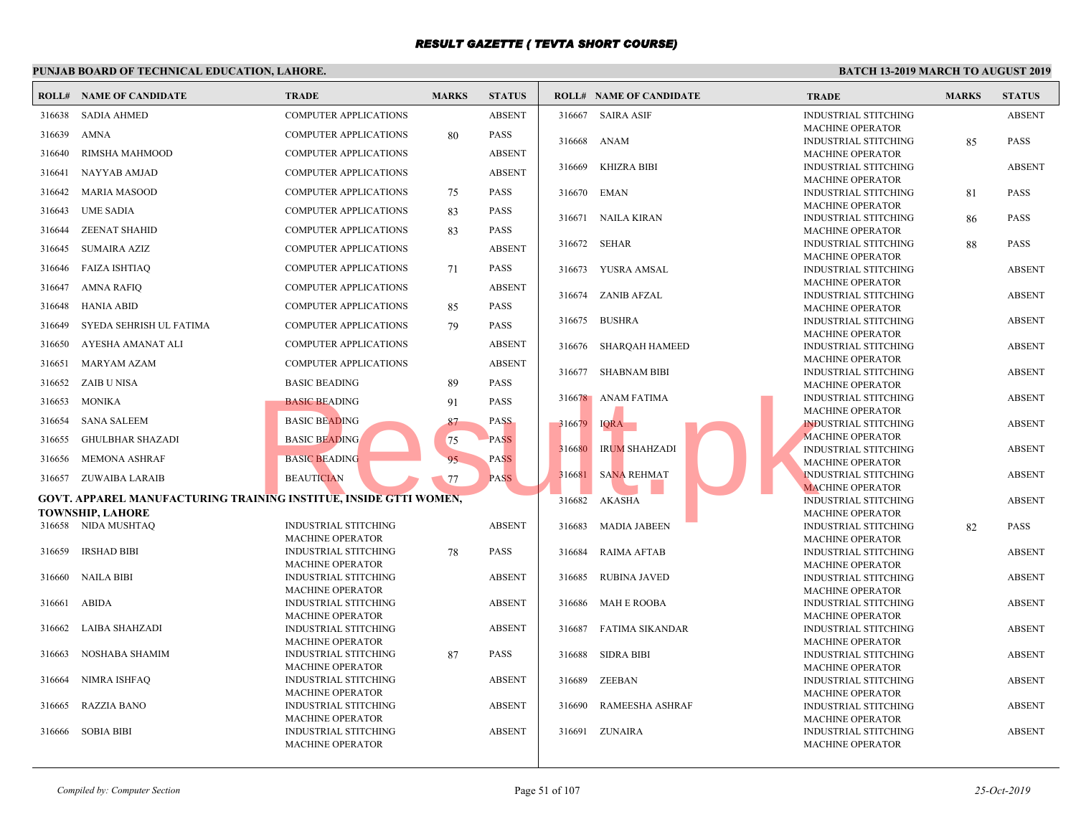|        | <b>ROLL# NAME OF CANDIDATE</b>                                                                      | <b>TRADE</b>                                           | <b>MARKS</b> | <b>STATUS</b> |        | <b>ROLL# NAME OF CANDIDATE</b> | <b>TRAI</b>                 |
|--------|-----------------------------------------------------------------------------------------------------|--------------------------------------------------------|--------------|---------------|--------|--------------------------------|-----------------------------|
| 316638 | <b>SADIA AHMED</b>                                                                                  | <b>COMPUTER APPLICATIONS</b>                           |              | <b>ABSENT</b> |        | 316667 SAIRA ASIF              | <b>INDUS</b>                |
| 316639 | <b>AMNA</b>                                                                                         | <b>COMPUTER APPLICATIONS</b>                           | 80           | PASS          |        | 316668 ANAM                    | <b>MACH</b><br><b>INDUS</b> |
| 316640 | RIMSHA MAHMOOD                                                                                      | <b>COMPUTER APPLICATIONS</b>                           |              | <b>ABSENT</b> |        |                                | <b>MACH</b>                 |
| 316641 | NAYYAB AMJAD                                                                                        | <b>COMPUTER APPLICATIONS</b>                           |              | <b>ABSENT</b> | 316669 | <b>KHIZRA BIBI</b>             | <b>INDUS</b>                |
| 316642 | <b>MARIA MASOOD</b>                                                                                 | <b>COMPUTER APPLICATIONS</b>                           | 75           | <b>PASS</b>   | 316670 | EMAN                           | <b>MACH</b><br><b>INDUS</b> |
| 316643 | <b>UME SADIA</b>                                                                                    | COMPUTER APPLICATIONS                                  | 83           | <b>PASS</b>   |        |                                | <b>MACH</b>                 |
| 316644 | <b>ZEENAT SHAHID</b>                                                                                | COMPUTER APPLICATIONS                                  | 83           | PASS          | 316671 | NAILA KIRAN                    | <b>INDUS</b><br><b>MACH</b> |
|        |                                                                                                     |                                                        |              | <b>ABSENT</b> | 316672 | SEHAR                          | <b>INDUS</b>                |
| 316645 | <b>SUMAIRA AZIZ</b>                                                                                 | <b>COMPUTER APPLICATIONS</b>                           |              |               |        |                                | <b>MACH</b>                 |
| 316646 | <b>FAIZA ISHTIAQ</b>                                                                                | COMPUTER APPLICATIONS                                  | 71           | <b>PASS</b>   |        | 316673 YUSRA AMSAL             | <b>INDUS</b><br><b>MACH</b> |
| 316647 | <b>AMNA RAFIQ</b>                                                                                   | <b>COMPUTER APPLICATIONS</b>                           |              | <b>ABSENT</b> | 316674 | ZANIB AFZAL                    | <b>INDUS</b>                |
| 316648 | <b>HANIA ABID</b>                                                                                   | <b>COMPUTER APPLICATIONS</b>                           | 85           | <b>PASS</b>   |        |                                | <b>MACH</b>                 |
| 316649 | SYEDA SEHRISH UL FATIMA                                                                             | COMPUTER APPLICATIONS                                  | 79           | <b>PASS</b>   | 316675 | <b>BUSHRA</b>                  | <b>INDUS</b><br><b>MACH</b> |
| 316650 | AYESHA AMANAT ALI                                                                                   | <b>COMPUTER APPLICATIONS</b>                           |              | <b>ABSENT</b> | 316676 | SHARQAH HAMEED                 | <b>INDUS</b>                |
| 316651 | <b>MARYAM AZAM</b>                                                                                  | COMPUTER APPLICATIONS                                  |              | <b>ABSENT</b> |        | 316677 SHABNAM BIBI            | MACH<br><b>INDUS</b>        |
| 316652 | <b>ZAIB U NISA</b>                                                                                  | <b>BASIC BEADING</b>                                   | 89           | PASS          |        |                                | <b>MACH</b>                 |
| 316653 | <b>MONIKA</b>                                                                                       | <b>BASIC BEADING</b>                                   | 91           | <b>PASS</b>   |        | 316678 ANAM FATIMA             | <b>INDUS</b>                |
| 316654 | <b>SANA SALEEM</b>                                                                                  | <b>BASIC BEADING</b>                                   | 87           | <b>PASS</b>   | 316679 | <b>IQRA</b>                    | <b>MACH</b><br><b>INDUS</b> |
| 316655 | <b>GHULBHAR SHAZADI</b>                                                                             | <b>BASIC BEADING</b>                                   | 75           | <b>PASS</b>   |        |                                | <b>MACH</b>                 |
| 316656 | <b>MEMONA ASHRAF</b>                                                                                | <b>BASIC BEADING</b>                                   | 95           | <b>PASS</b>   | 316680 | <b>IRUM SHAHZADI</b>           | <b>INDU:</b>                |
| 316657 | ZUWAIBA LARAIB                                                                                      | <b>BEAUTICIAN</b>                                      | 77           | <b>PASS</b>   | 316681 | <b>SANA REHMAT</b>             | <b>MACH</b><br><b>INDUS</b> |
|        |                                                                                                     |                                                        |              |               |        |                                | <b>MACF</b>                 |
|        | <b>GOVT. APPAREL MANUFACTURING TRAINING INSTITUE, INSIDE GTTI WOMEN,</b><br><b>TOWNSHIP, LAHORE</b> |                                                        |              |               | 316682 | <b>AKASHA</b>                  | <b>INDUS</b><br><b>MACH</b> |
|        | 316658 NIDA MUSHTAQ                                                                                 | <b>INDUSTRIAL STITCHING</b>                            |              | <b>ABSENT</b> | 316683 | <b>MADIA JABEEN</b>            | <b>INDUS</b>                |
|        |                                                                                                     | <b>MACHINE OPERATOR</b>                                |              |               |        |                                | <b>MACH</b>                 |
| 316659 | <b>IRSHAD BIBI</b>                                                                                  | <b>INDUSTRIAL STITCHING</b><br><b>MACHINE OPERATOR</b> | 78           | <b>PASS</b>   | 316684 | <b>RAIMA AFTAB</b>             | <b>INDUS</b><br><b>MACH</b> |
| 316660 | <b>NAILA BIBI</b>                                                                                   | <b>INDUSTRIAL STITCHING</b>                            |              | <b>ABSENT</b> | 316685 | RUBINA JAVED                   | <b>INDUS</b>                |
|        |                                                                                                     | <b>MACHINE OPERATOR</b>                                |              |               |        |                                | <b>MACH</b>                 |
| 316661 | <b>ABIDA</b>                                                                                        | <b>INDUSTRIAL STITCHING</b><br><b>MACHINE OPERATOR</b> |              | <b>ABSENT</b> |        | 316686 MAH E ROOBA             | <b>INDUS</b><br><b>MACH</b> |
| 316662 | LAIBA SHAHZADI                                                                                      | <b>INDUSTRIAL STITCHING</b>                            |              | <b>ABSENT</b> |        | 316687 FATIMA SIKANDAR         | <b>INDUS</b>                |
| 316663 | NOSHABA SHAMIM                                                                                      | <b>MACHINE OPERATOR</b><br><b>INDUSTRIAL STITCHING</b> | 87           | <b>PASS</b>   | 316688 | SIDRA BIBI                     | <b>MACH</b><br><b>INDUS</b> |
|        |                                                                                                     | <b>MACHINE OPERATOR</b>                                |              |               |        |                                | <b>MACH</b>                 |
| 316664 | NIMRA ISHFAQ                                                                                        | <b>INDUSTRIAL STITCHING</b>                            |              | <b>ABSENT</b> | 316689 | ZEEBAN                         | <b>INDUS</b>                |
| 316665 | <b>RAZZIA BANO</b>                                                                                  | <b>MACHINE OPERATOR</b><br><b>INDUSTRIAL STITCHING</b> |              | <b>ABSENT</b> | 316690 | RAMEESHA ASHRAF                | <b>MACH</b><br><b>INDUS</b> |
|        |                                                                                                     | <b>MACHINE OPERATOR</b>                                |              |               |        |                                | <b>MACH</b>                 |
| 316666 | <b>SOBIA BIBI</b>                                                                                   | <b>INDUSTRIAL STITCHING</b>                            |              | <b>ABSENT</b> |        | 316691 ZUNAIRA                 | <b>INDUS</b>                |
|        |                                                                                                     | <b>MACHINE OPERATOR</b>                                |              |               |        |                                | <b>MACH</b>                 |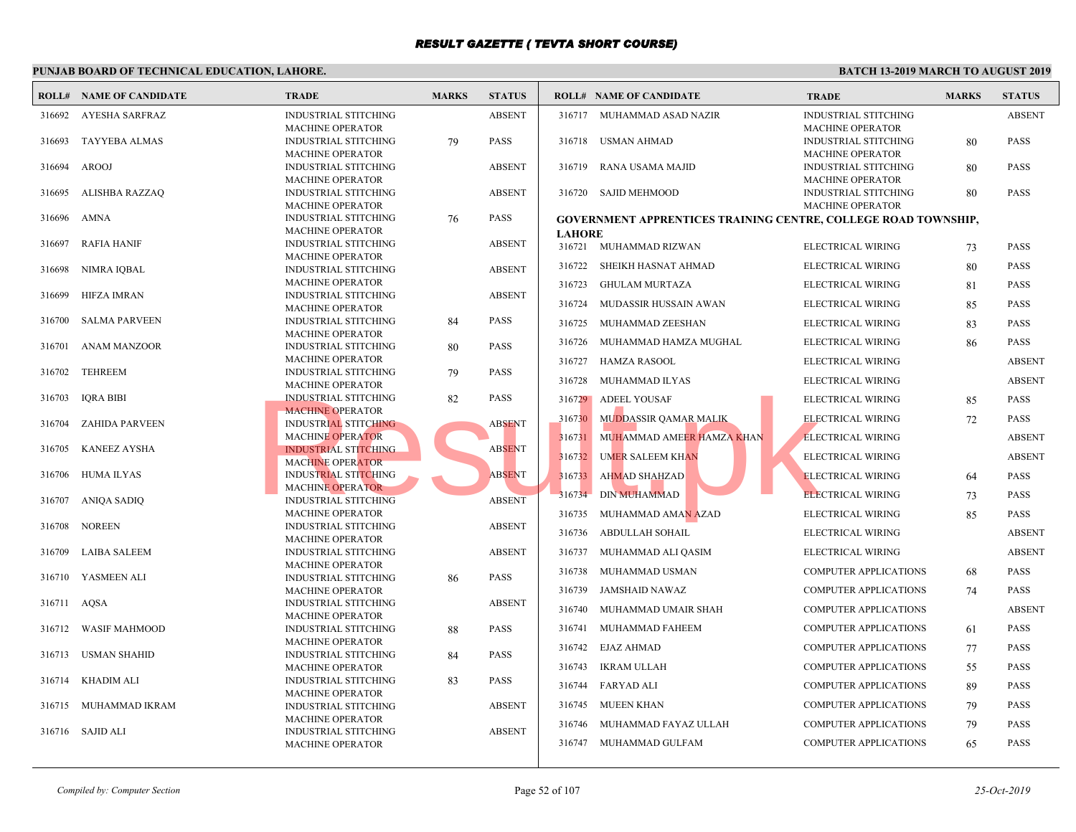|             | <b>ROLL# NAME OF CANDIDATE</b> | <b>TRADE</b>                                           | <b>MARKS</b> | <b>STATUS</b> |               | <b>ROLL# NAME OF CANDIDATE</b>                   | <b>TRAL</b>  |
|-------------|--------------------------------|--------------------------------------------------------|--------------|---------------|---------------|--------------------------------------------------|--------------|
| 316692      | AYESHA SARFRAZ                 | <b>INDUSTRIAL STITCHING</b>                            |              | <b>ABSENT</b> |               | 316717 MUHAMMAD ASAD NAZIR                       | <b>INDUS</b> |
|             |                                | <b>MACHINE OPERATOR</b>                                |              |               |               |                                                  | <b>MACH</b>  |
| 316693      | TAYYEBA ALMAS                  | <b>INDUSTRIAL STITCHING</b>                            | 79           | <b>PASS</b>   | 316718        | USMAN AHMAD                                      | <b>INDUS</b> |
|             |                                | <b>MACHINE OPERATOR</b>                                |              |               |               |                                                  | <b>MACH</b>  |
| 316694      | <b>AROOJ</b>                   | <b>INDUSTRIAL STITCHING</b>                            |              | <b>ABSENT</b> | 316719        | RANA USAMA MAJID                                 | <b>INDUS</b> |
|             |                                | <b>MACHINE OPERATOR</b>                                |              |               |               |                                                  | <b>MACH</b>  |
| 316695      | ALISHBA RAZZAQ                 | INDUSTRIAL STITCHING                                   |              | <b>ABSENT</b> |               | 316720 SAJID MEHMOOD                             | <b>INDUS</b> |
|             |                                | <b>MACHINE OPERATOR</b>                                |              |               |               |                                                  | <b>MACH</b>  |
| 316696      | AMNA                           | <b>INDUSTRIAL STITCHING</b><br><b>MACHINE OPERATOR</b> | 76           | <b>PASS</b>   |               | <b>GOVERNMENT APPRENTICES TRAINING CENTRE. O</b> |              |
| 316697      | <b>RAFIA HANIF</b>             | <b>INDUSTRIAL STITCHING</b>                            |              | <b>ABSENT</b> | <b>LAHORE</b> |                                                  |              |
|             |                                | <b>MACHINE OPERATOR</b>                                |              |               |               | 316721 MUHAMMAD RIZWAN                           | <b>ELECT</b> |
| 316698      | NIMRA IOBAL                    | <b>INDUSTRIAL STITCHING</b>                            |              | <b>ABSENT</b> | 316722        | SHEIKH HASNAT AHMAD                              | <b>ELECT</b> |
|             |                                | <b>MACHINE OPERATOR</b>                                |              |               | 316723        | <b>GHULAM MURTAZA</b>                            | <b>ELECT</b> |
| 316699      | <b>HIFZA IMRAN</b>             | <b>INDUSTRIAL STITCHING</b>                            |              | <b>ABSENT</b> |               |                                                  |              |
|             |                                | MACHINE OPERATOR                                       |              |               | 316724        | MUDASSIR HUSSAIN AWAN                            | <b>ELECT</b> |
| 316700      | <b>SALMA PARVEEN</b>           | <b>INDUSTRIAL STITCHING</b>                            | 84           | <b>PASS</b>   | 316725        | MUHAMMAD ZEESHAN                                 | <b>ELECT</b> |
|             |                                | <b>MACHINE OPERATOR</b>                                |              |               | 316726        | MUHAMMAD HAMZA MUGHAL                            | <b>ELECT</b> |
| 316701      | <b>ANAM MANZOOR</b>            | <b>INDUSTRIAL STITCHING</b>                            | 80           | <b>PASS</b>   |               |                                                  |              |
| 316702      | TEHREEM                        | <b>MACHINE OPERATOR</b><br><b>INDUSTRIAL STITCHING</b> |              | <b>PASS</b>   | 316727        | HAMZA RASOOL                                     | <b>ELECT</b> |
|             |                                | <b>MACHINE OPERATOR</b>                                | 79           |               | 316728        | MUHAMMAD ILYAS                                   | <b>ELECT</b> |
| 316703      | <b>IORA BIBI</b>               | <b>INDUSTRIAL STITCHING</b>                            | 82           | <b>PASS</b>   |               | 316729 ADEEL YOUSAF                              | <b>ELECT</b> |
|             |                                | <b>MACHINE OPERATOR</b>                                |              |               |               |                                                  |              |
| 316704      | <b>ZAHIDA PARVEEN</b>          | <b>INDUSTRIAL STITCHING</b>                            |              | <b>ABSENT</b> | 316730        | <b>MUDDASSIR QAMAR MALIK</b>                     | <b>ELECT</b> |
|             |                                | <b>MACHINE OPERATOR</b>                                |              |               | 316731        | MUHAMMAD AMEER HAMZA KHAN                        | <b>ELECT</b> |
| 316705      | <b>KANEEZ AYSHA</b>            | <b>INDUSTRIAL STITCHING</b>                            |              | <b>ABSENT</b> | 316732        | <b>UMER SALEEM KHAN</b>                          | <b>ELECT</b> |
|             |                                | <b>MACHINE OPERATOR</b>                                |              |               |               |                                                  |              |
| 316706      | <b>HUMA ILYAS</b>              | <b>INDUSTRIAL STITCHING</b>                            |              | <b>ABSENT</b> | 316733        | <b>AHMAD SHAHZAD</b>                             | <b>ELECT</b> |
| 316707      | ANIQA SADIQ                    | <b>MACHINE OPERATOR</b><br><b>INDUSTRIAL STITCHING</b> |              | <b>ABSENT</b> | 316734        | <b>DIN MUHAMMAD</b>                              | <b>ELECT</b> |
|             |                                | <b>MACHINE OPERATOR</b>                                |              |               | 316735        | MUHAMMAD AMA <mark>N A</mark> ZAD                | <b>ELECT</b> |
| 316708      | <b>NOREEN</b>                  | <b>INDUSTRIAL STITCHING</b>                            |              | <b>ABSENT</b> |               |                                                  |              |
|             |                                | <b>MACHINE OPERATOR</b>                                |              |               | 316736        | ABDULLAH SOHAIL                                  | <b>ELECT</b> |
| 316709      | <b>LAIBA SALEEM</b>            | <b>INDUSTRIAL STITCHING</b>                            |              | <b>ABSENT</b> | 316737        | MUHAMMAD ALI QASIM                               | <b>ELECT</b> |
|             |                                | <b>MACHINE OPERATOR</b>                                |              |               | 316738        | MUHAMMAD USMAN                                   | <b>COMP</b>  |
|             | 316710 YASMEEN ALI             | <b>INDUSTRIAL STITCHING</b>                            | 86           | <b>PASS</b>   |               |                                                  |              |
|             |                                | <b>MACHINE OPERATOR</b>                                |              |               | 316739        | <b>JAMSHAID NAWAZ</b>                            | <b>COMP</b>  |
| 316711 AQSA |                                | <b>INDUSTRIAL STITCHING</b>                            |              | <b>ABSENT</b> | 316740        | MUHAMMAD UMAIR SHAH                              | <b>COMP</b>  |
|             |                                | <b>MACHINE OPERATOR</b>                                |              |               |               |                                                  |              |
|             | 316712 WASIF MAHMOOD           | <b>INDUSTRIAL STITCHING</b><br><b>MACHINE OPERATOR</b> | 88           | <b>PASS</b>   | 316741        | MUHAMMAD FAHEEM                                  | <b>COMP</b>  |
| 316713      | USMAN SHAHID                   | <b>INDUSTRIAL STITCHING</b>                            | 84           | <b>PASS</b>   | 316742        | EJAZ AHMAD                                       | <b>COMP</b>  |
|             |                                | <b>MACHINE OPERATOR</b>                                |              |               | 316743        | IKRAM ULLAH                                      | <b>COMP</b>  |
| 316714      | <b>KHADIM ALI</b>              | <b>INDUSTRIAL STITCHING</b>                            | 83           | <b>PASS</b>   |               |                                                  |              |
|             |                                | <b>MACHINE OPERATOR</b>                                |              |               | 316744        | FARYAD ALI                                       | <b>COMP</b>  |
|             | 316715 MUHAMMAD IKRAM          | <b>INDUSTRIAL STITCHING</b>                            |              | <b>ABSENT</b> | 316745        | MUEEN KHAN                                       | <b>COMP</b>  |
|             |                                | <b>MACHINE OPERATOR</b>                                |              |               | 316746        | MUHAMMAD FAYAZ ULLAH                             | <b>COMP</b>  |
|             | 316716 SAJID ALI               | <b>INDUSTRIAL STITCHING</b>                            |              | <b>ABSENT</b> |               |                                                  |              |
|             |                                | <b>MACHINE OPERATOR</b>                                |              |               |               | 316747 MUHAMMAD GULFAM                           | <b>COMP</b>  |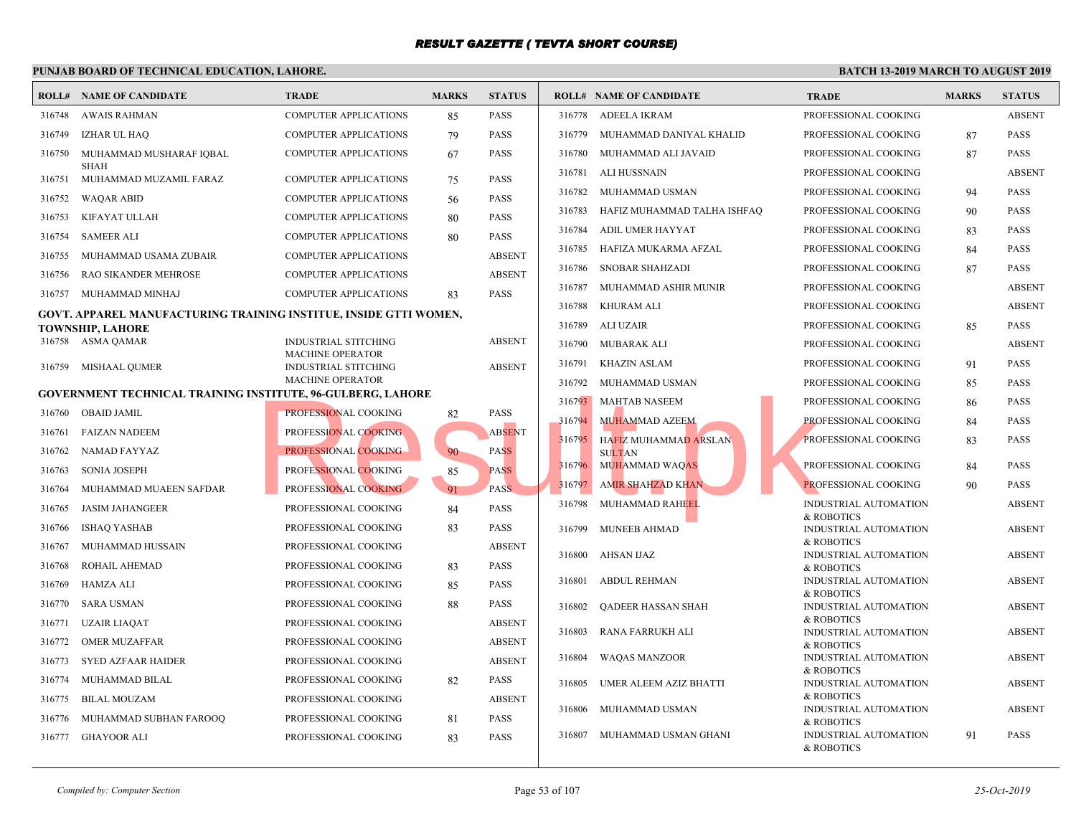|        | PUNJAB BOARD OF TECHNICAL EDUCATION, LAHORE.                                                 |                                                        |              |               |        |                                |                       |
|--------|----------------------------------------------------------------------------------------------|--------------------------------------------------------|--------------|---------------|--------|--------------------------------|-----------------------|
|        | <b>ROLL# NAME OF CANDIDATE</b>                                                               | <b>TRADE</b>                                           | <b>MARKS</b> | <b>STATUS</b> |        | <b>ROLL# NAME OF CANDIDATE</b> | <b>TRAL</b>           |
| 316748 | <b>AWAIS RAHMAN</b>                                                                          | <b>COMPUTER APPLICATIONS</b>                           | 85           | <b>PASS</b>   | 316778 | ADEELA IKRAM                   | <b>PROFE</b>          |
| 316749 | IZHAR UL HAQ                                                                                 | <b>COMPUTER APPLICATIONS</b>                           | 79           | <b>PASS</b>   | 316779 | MUHAMMAD DANIYAL KHALID        | <b>PROFE</b>          |
| 316750 | MUHAMMAD MUSHARAF IQBAL                                                                      | <b>COMPUTER APPLICATIONS</b>                           | 67           | PASS          | 316780 | MUHAMMAD ALI JAVAID            | <b>PROFE</b>          |
| 316751 | <b>SHAH</b><br>MUHAMMAD MUZAMIL FARAZ                                                        | <b>COMPUTER APPLICATIONS</b>                           | 75           | <b>PASS</b>   | 316781 | <b>ALI HUSSNAIN</b>            | <b>PROFE</b>          |
| 316752 | WAQAR ABID                                                                                   | <b>COMPUTER APPLICATIONS</b>                           |              | <b>PASS</b>   | 316782 | MUHAMMAD USMAN                 | <b>PROFE</b>          |
|        | KIFAYAT ULLAH                                                                                | <b>COMPUTER APPLICATIONS</b>                           | 56           | <b>PASS</b>   | 316783 | HAFIZ MUHAMMAD TALHA ISHFAQ    | <b>PROFI</b>          |
| 316753 |                                                                                              |                                                        | 80           |               | 316784 | ADIL UMER HAYYAT               | <b>PROFI</b>          |
| 316754 | <b>SAMEER ALI</b>                                                                            | <b>COMPUTER APPLICATIONS</b>                           | 80           | PASS          | 316785 | HAFIZA MUKARMA AFZAL           | <b>PROFI</b>          |
| 316755 | MUHAMMAD USAMA ZUBAIR                                                                        | <b>COMPUTER APPLICATIONS</b>                           |              | <b>ABSENT</b> | 316786 | <b>SNOBAR SHAHZADI</b>         | <b>PROFE</b>          |
| 316756 | RAO SIKANDER MEHROSE                                                                         | <b>COMPUTER APPLICATIONS</b>                           |              | <b>ABSENT</b> | 316787 | MUHAMMAD ASHIR MUNIR           | <b>PROFE</b>          |
| 316757 | MUHAMMAD MINHAJ                                                                              | <b>COMPUTER APPLICATIONS</b>                           | 83           | <b>PASS</b>   | 316788 | <b>KHURAM ALI</b>              | <b>PROFE</b>          |
|        | GOVT. APPAREL MANUFACTURING TRAINING INSTITUE, INSIDE GTTI WOMEN,<br><b>TOWNSHIP, LAHORE</b> |                                                        |              |               | 316789 | ALI UZAIR                      | <b>PROFE</b>          |
|        | 316758 ASMA QAMAR                                                                            | <b>INDUSTRIAL STITCHING</b>                            |              | <b>ABSENT</b> | 316790 | <b>MUBARAK ALI</b>             | <b>PROFE</b>          |
|        |                                                                                              | <b>MACHINE OPERATOR</b>                                |              | <b>ABSENT</b> | 316791 | <b>KHAZIN ASLAM</b>            | <b>PROFE</b>          |
| 316759 | MISHAAL QUMER                                                                                | <b>INDUSTRIAL STITCHING</b><br><b>MACHINE OPERATOR</b> |              |               | 316792 | MUHAMMAD USMAN                 | <b>PROFE</b>          |
|        | <b>GOVERNMENT TECHNICAL TRAINING INSTITUTE, 96-GULBERG, LAHORE</b>                           |                                                        |              |               | 316793 | <b>MAHTAB NASEEM</b>           | <b>PROFE</b>          |
| 316760 | <b>OBAID JAMIL</b>                                                                           | PROFESSIONAL COOKING                                   | 82           | PASS          | 316794 | MUHAMMAD AZEEM                 | <b>PROFE</b>          |
| 316761 | <b>FAIZAN NADEEM</b>                                                                         | PROFESSIONAL COOKING                                   |              | <b>ABSENT</b> | 316795 | HAFIZ MUHAMMAD ARSLAN          | <b>PROFE</b>          |
| 316762 | NAMAD FAYYAZ                                                                                 | PROFESSIONAL COOKING                                   | 90           | <b>PASS</b>   |        | <b>SULTAN</b>                  |                       |
| 316763 | <b>SONIA JOSEPH</b>                                                                          | PROFESSIONAL COOKING                                   | 85           | <b>PASS</b>   | 316796 | <b>MUHAMMAD WAQAS</b>          | <b>PROFE</b>          |
| 316764 | MUHAMMAD MUAEEN SAFDAR                                                                       | PROFESSIONAL COOKING                                   | 91           | <b>PASS</b>   | 316797 | <b>AMIR SHAHZAD KHAN</b>       | <b>PROFE</b>          |
| 316765 | <b>JASIM JAHANGEER</b>                                                                       | PROFESSIONAL COOKING                                   | 84           | <b>PASS</b>   | 316798 | MUHAMMAD RAHEEL                | <b>INDUS</b>          |
| 316766 | <b>ISHAQ YASHAB</b>                                                                          | PROFESSIONAL COOKING                                   | 83           | PASS          | 316799 | <b>MUNEEB AHMAD</b>            | & ROE<br><b>INDUS</b> |
| 316767 | MUHAMMAD HUSSAIN                                                                             | PROFESSIONAL COOKING                                   |              | <b>ABSENT</b> |        |                                | & ROE                 |
| 316768 | ROHAIL AHEMAD                                                                                | PROFESSIONAL COOKING                                   | 83           | PASS          | 316800 | AHSAN IJAZ                     | <b>INDUS</b><br>& ROE |
| 316769 | <b>HAMZA ALI</b>                                                                             | PROFESSIONAL COOKING                                   | 85           | PASS          | 316801 | <b>ABDUL REHMAN</b>            | <b>INDUS</b>          |
| 316770 | <b>SARA USMAN</b>                                                                            | PROFESSIONAL COOKING                                   | 88           | <b>PASS</b>   | 316802 | QADEER HASSAN SHAH             | & ROE<br><b>INDUS</b> |
| 316771 | <b>UZAIR LIAQAT</b>                                                                          | PROFESSIONAL COOKING                                   |              | <b>ABSENT</b> |        |                                | & ROE                 |
| 316772 | <b>OMER MUZAFFAR</b>                                                                         | PROFESSIONAL COOKING                                   |              | <b>ABSENT</b> | 316803 | RANA FARRUKH ALI               | <b>INDUS</b><br>& ROE |
| 316773 | <b>SYED AZFAAR HAIDER</b>                                                                    | PROFESSIONAL COOKING                                   |              | <b>ABSENT</b> | 316804 | <b>WAQAS MANZOOR</b>           | <b>INDUS</b>          |
| 316774 | MUHAMMAD BILAL                                                                               | PROFESSIONAL COOKING                                   | 82           | PASS          | 316805 | UMER ALEEM AZIZ BHATTI         | & ROE<br><b>INDUS</b> |
| 316775 | <b>BILAL MOUZAM</b>                                                                          | PROFESSIONAL COOKING                                   |              | <b>ABSENT</b> |        |                                | & ROE                 |
| 316776 | MUHAMMAD SUBHAN FAROOQ                                                                       | PROFESSIONAL COOKING                                   | 81           | PASS          | 316806 | MUHAMMAD USMAN                 | <b>INDUS</b>          |
| 316777 | GHAYOOR ALI                                                                                  | PROFESSIONAL COOKING                                   | 83           | <b>PASS</b>   | 316807 | MUHAMMAD USMAN GHANI           | & ROB<br><b>INDUS</b> |
|        |                                                                                              |                                                        |              |               |        |                                | & ROB                 |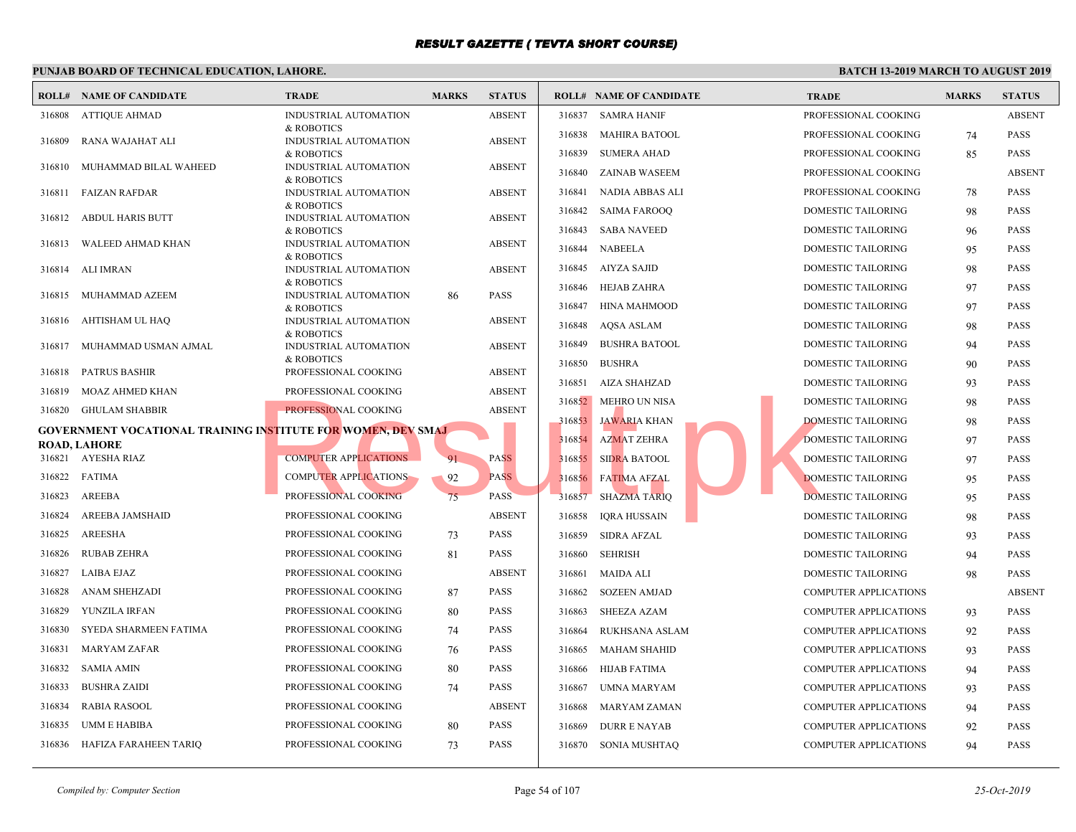|        | <b>ROLL# NAME OF CANDIDATE</b>                                             | <b>TRADE</b>                        | <b>MARKS</b> | <b>STATUS</b> |        | <b>ROLL# NAME OF CANDIDATE</b> | <b>TRAL</b>  |
|--------|----------------------------------------------------------------------------|-------------------------------------|--------------|---------------|--------|--------------------------------|--------------|
|        | 316808 ATTIQUE AHMAD                                                       | INDUSTRIAL AUTOMATION               |              | <b>ABSENT</b> | 316837 | <b>SAMRA HANIF</b>             | <b>PROFE</b> |
| 316809 | RANA WAJAHAT ALI                                                           | & ROBOTICS<br>INDUSTRIAL AUTOMATION |              | <b>ABSENT</b> | 316838 | <b>MAHIRA BATOOL</b>           | <b>PROFE</b> |
|        |                                                                            | & ROBOTICS                          |              |               | 316839 | <b>SUMERA AHAD</b>             | <b>PROFE</b> |
| 316810 | MUHAMMAD BILAL WAHEED                                                      | INDUSTRIAL AUTOMATION<br>& ROBOTICS |              | <b>ABSENT</b> | 316840 | ZAINAB WASEEM                  | <b>PROFE</b> |
| 316811 | <b>FAIZAN RAFDAR</b>                                                       | INDUSTRIAL AUTOMATION               |              | <b>ABSENT</b> | 316841 | NADIA ABBAS ALI                | <b>PROFE</b> |
|        |                                                                            | & ROBOTICS                          |              |               | 316842 | SAIMA FAROOQ                   | <b>DOME</b>  |
| 316812 | ABDUL HARIS BUTT                                                           | INDUSTRIAL AUTOMATION<br>& ROBOTICS |              | <b>ABSENT</b> | 316843 | <b>SABA NAVEED</b>             | <b>DOME</b>  |
| 316813 | WALEED AHMAD KHAN                                                          | INDUSTRIAL AUTOMATION               |              | <b>ABSENT</b> | 316844 | <b>NABEELA</b>                 | <b>DOME</b>  |
|        | 316814 ALI IMRAN                                                           | & ROBOTICS<br>INDUSTRIAL AUTOMATION |              | <b>ABSENT</b> | 316845 | AIYZA SAJID                    | <b>DOME</b>  |
|        |                                                                            | & ROBOTICS                          |              |               | 316846 | HEJAB ZAHRA                    | <b>DOME</b>  |
|        | 316815 MUHAMMAD AZEEM                                                      | INDUSTRIAL AUTOMATION<br>& ROBOTICS | 86           | <b>PASS</b>   | 316847 | HINA MAHMOOD                   | <b>DOME</b>  |
| 316816 | AHTISHAM UL HAQ                                                            | INDUSTRIAL AUTOMATION               |              | <b>ABSENT</b> | 316848 | AQSA ASLAM                     | <b>DOME</b>  |
| 316817 | MUHAMMAD USMAN AJMAL                                                       | & ROBOTICS<br>INDUSTRIAL AUTOMATION |              | <b>ABSENT</b> | 316849 | <b>BUSHRA BATOOL</b>           | <b>DOME</b>  |
|        |                                                                            | & ROBOTICS                          |              |               | 316850 | <b>BUSHRA</b>                  | <b>DOME</b>  |
| 316818 | PATRUS BASHIR                                                              | PROFESSIONAL COOKING                |              | <b>ABSENT</b> | 316851 | AIZA SHAHZAD                   | <b>DOME</b>  |
| 316819 | MOAZ AHMED KHAN                                                            | PROFESSIONAL COOKING                |              | <b>ABSENT</b> |        | 316852 MEHRO UN NISA           | <b>DOME</b>  |
|        | 316820 GHULAM SHABBIR                                                      | PROFESSIONAL COOKING                |              | <b>ABSENT</b> |        | 316853 JAWARIA KHAN            | <b>DOME</b>  |
|        | GOVERNMENT VOCATIONAL TRAINING INSTITUTE F <mark>OR WOMEN, DEV</mark> SMAJ |                                     |              |               | 316854 | <b>AZMAT ZEHRA</b>             | <b>DOME</b>  |
|        | <b>ROAD, LAHORE</b><br>316821 AYESHA RIAZ                                  | <b>COMPUTER APPLICATIONS</b>        | 91           | <b>PASS</b>   | 316855 | <b>SIDRA BATOOL</b>            | <b>DOME</b>  |
| 316822 | <b>FATIMA</b>                                                              | <b>COMPUTER APPLICATIONS</b>        | 92           | <b>PASS</b>   | 316856 | <b>FATIMA AFZAL</b>            | <b>DOME</b>  |
| 316823 | AREEBA                                                                     | PROFESSIONAL COOKING                | 75           | <b>PASS</b>   | 316857 | <b>SHAZMA TARIQ</b>            | <b>DOME</b>  |
| 316824 | AREEBA JAMSHAID                                                            | PROFESSIONAL COOKING                |              | <b>ABSENT</b> | 316858 | <b>IQRA HUSSAIN</b>            | <b>DOME</b>  |
| 316825 | AREESHA                                                                    | PROFESSIONAL COOKING                | 73           | <b>PASS</b>   | 316859 | <b>SIDRA AFZAL</b>             | <b>DOME</b>  |
| 316826 | <b>RUBAB ZEHRA</b>                                                         | PROFESSIONAL COOKING                | 81           | <b>PASS</b>   | 316860 | <b>SEHRISH</b>                 | <b>DOME</b>  |
| 316827 | LAIBA EJAZ                                                                 | PROFESSIONAL COOKING                |              | <b>ABSENT</b> | 316861 | <b>MAIDA ALI</b>               | <b>DOME</b>  |
| 316828 | <b>ANAM SHEHZADI</b>                                                       | PROFESSIONAL COOKING                | 87           | <b>PASS</b>   | 316862 | <b>SOZEEN AMJAD</b>            | <b>COMP</b>  |
| 316829 | YUNZILA IRFAN                                                              | PROFESSIONAL COOKING                | 80           | <b>PASS</b>   | 316863 | <b>SHEEZA AZAM</b>             | <b>COMP</b>  |
| 316830 | SYEDA SHARMEEN FATIMA                                                      | PROFESSIONAL COOKING                | 74           | <b>PASS</b>   | 316864 | RUKHSANA ASLAM                 | <b>COMP</b>  |
| 316831 | <b>MARYAM ZAFAR</b>                                                        | PROFESSIONAL COOKING                | 76           | <b>PASS</b>   | 316865 | <b>MAHAM SHAHID</b>            | <b>COMP</b>  |
| 316832 | <b>SAMIA AMIN</b>                                                          | PROFESSIONAL COOKING                | 80           | <b>PASS</b>   | 316866 | HIJAB FATIMA                   | <b>COMP</b>  |
| 316833 | <b>BUSHRA ZAIDI</b>                                                        | PROFESSIONAL COOKING                | 74           | <b>PASS</b>   | 316867 | UMNA MARYAM                    | <b>COMP</b>  |
| 316834 | <b>RABIA RASOOL</b>                                                        | PROFESSIONAL COOKING                |              | <b>ABSENT</b> | 316868 | <b>MARYAM ZAMAN</b>            | <b>COMP</b>  |
| 316835 | <b>UMM E HABIBA</b>                                                        | PROFESSIONAL COOKING                | 80           | <b>PASS</b>   | 316869 | <b>DURR E NAYAB</b>            | <b>COMP</b>  |
| 316836 | HAFIZA FARAHEEN TARIQ                                                      | PROFESSIONAL COOKING                | 73           | <b>PASS</b>   |        | 316870 SONIA MUSHTAQ           | <b>COMP</b>  |
|        |                                                                            |                                     |              |               |        |                                |              |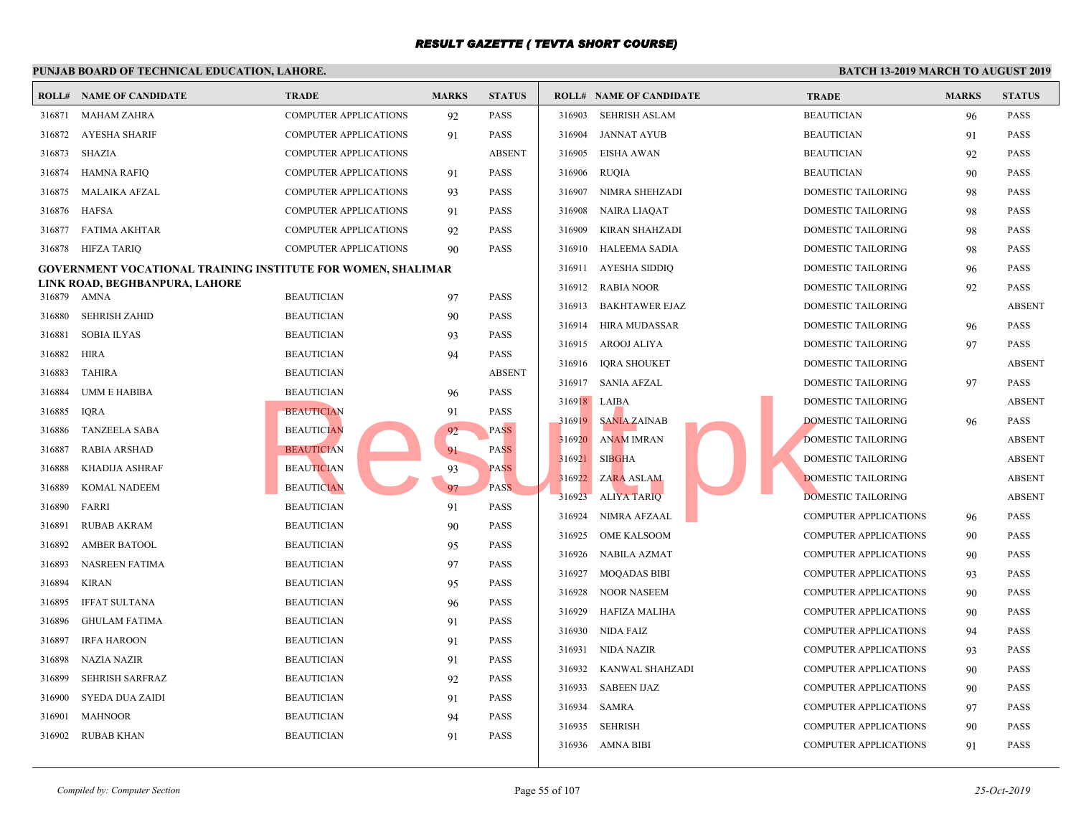|        | <b>ROLL# NAME OF CANDIDATE</b>                                      | <b>TRADE</b>                           | <b>MARKS</b> | <b>STATUS</b> |        | <b>ROLL# NAME OF CANDIDATE</b> | <b>TRAI</b> |
|--------|---------------------------------------------------------------------|----------------------------------------|--------------|---------------|--------|--------------------------------|-------------|
| 316871 | MAHAM ZAHRA                                                         | <b>COMPUTER APPLICATIONS</b>           | 92           | PASS          | 316903 | SEHRISH ASLAM                  | <b>BEAU</b> |
| 316872 | AYESHA SHARIF                                                       | <b>COMPUTER APPLICATIONS</b>           | 91           | PASS          | 316904 | <b>JANNAT AYUB</b>             | <b>BEAU</b> |
| 316873 | SHAZIA                                                              | <b>COMPUTER APPLICATIONS</b>           |              | <b>ABSENT</b> | 316905 | <b>EISHA AWAN</b>              | <b>BEAU</b> |
| 316874 | <b>HAMNA RAFIQ</b>                                                  | <b>COMPUTER APPLICATIONS</b>           | 91           | <b>PASS</b>   | 316906 | <b>RUQIA</b>                   | <b>BEAU</b> |
| 316875 | MALAIKA AFZAL                                                       | <b>COMPUTER APPLICATIONS</b>           | 93           | <b>PASS</b>   | 316907 | NIMRA SHEHZADI                 | <b>DOME</b> |
| 316876 | HAFSA                                                               | <b>COMPUTER APPLICATIONS</b>           | 91           | PASS          | 316908 | <b>NAIRA LIAQAT</b>            | <b>DOME</b> |
| 316877 | <b>FATIMA AKHTAR</b>                                                | <b>COMPUTER APPLICATIONS</b>           | 92           | PASS          | 316909 | KIRAN SHAHZADI                 | <b>DOME</b> |
| 316878 | HIFZA TARIQ                                                         | <b>COMPUTER APPLICATIONS</b>           | 90           | <b>PASS</b>   | 316910 | <b>HALEEMA SADIA</b>           | <b>DOME</b> |
|        | <b>GOVERNMENT VOCATIONAL TRAINING INSTITUTE FOR WOMEN, SHALIMAR</b> |                                        |              |               | 316911 | AYESHA SIDDIQ                  | <b>DOME</b> |
|        | LINK ROAD, BEGHBANPURA, LAHORE<br>316879 AMNA                       | <b>BEAUTICIAN</b>                      |              | <b>PASS</b>   | 316912 | <b>RABIA NOOR</b>              | <b>DOME</b> |
| 316880 | <b>SEHRISH ZAHID</b>                                                | <b>BEAUTICIAN</b>                      | 97           | PASS          | 316913 | <b>BAKHTAWER EJAZ</b>          | <b>DOME</b> |
| 316881 | <b>SOBIA ILYAS</b>                                                  | <b>BEAUTICIAN</b>                      | 90<br>93     | PASS          | 316914 | HIRA MUDASSAR                  | <b>DOME</b> |
| 316882 | <b>HIRA</b>                                                         | <b>BEAUTICIAN</b>                      |              | <b>PASS</b>   | 316915 | AROOJ ALIYA                    | <b>DOME</b> |
| 316883 | <b>TAHIRA</b>                                                       | <b>BEAUTICIAN</b>                      | 94           | <b>ABSENT</b> | 316916 | <b>IQRA SHOUKET</b>            | <b>DOME</b> |
| 316884 | <b>UMM E HABIBA</b>                                                 | <b>BEAUTICIAN</b>                      |              | PASS          | 316917 | <b>SANIA AFZAL</b>             | <b>DOME</b> |
| 316885 | <b>IQRA</b>                                                         | <b>BEAUTICIAN</b>                      | 96           | PASS          |        | 316918 LAIBA                   | <b>DOME</b> |
| 316886 | <b>TANZEELA SABA</b>                                                | <b>BEAUTICIAN</b>                      | 91           | PASS          | 316919 | <b>SANIA ZAINAB</b>            | <b>DOME</b> |
| 316887 | <b>RABIA ARSHAD</b>                                                 | <b>BEAUTICIAN</b>                      | 92<br>91     | <b>PASS</b>   | 316920 | <b>ANAM IMRAN</b>              | <b>DOME</b> |
| 316888 | KHADIJA ASHRAF                                                      | <b>BEAUTICIAN</b>                      | 93           | <b>PASS</b>   | 316921 | <b>SIBGHA</b>                  | <b>DOME</b> |
| 316889 | <b>KOMAL NADEEM</b>                                                 | <b>BEAUTICIAN</b>                      | 97           | PASS.         | 316922 | ZARA ASLAM                     | <b>DOME</b> |
| 316890 | FARRI                                                               | <b>BEAUTICIAN</b>                      | 91           | <b>PASS</b>   | 316923 | <b>ALIYA TARIQ</b>             | <b>DOME</b> |
| 316891 | <b>RUBAB AKRAM</b>                                                  | <b>BEAUTICIAN</b>                      |              | PASS          | 316924 | NIMRA AFZAAL                   | COMP        |
| 316892 | <b>AMBER BATOOL</b>                                                 | <b>BEAUTICIAN</b>                      | 90           | PASS          | 316925 | <b>OME KALSOOM</b>             | <b>COMP</b> |
| 316893 | <b>NASREEN FATIMA</b>                                               | <b>BEAUTICIAN</b>                      | 95<br>97     | <b>PASS</b>   | 316926 | NABILA AZMAT                   | COMP        |
| 316894 | <b>KIRAN</b>                                                        | <b>BEAUTICIAN</b>                      |              | <b>PASS</b>   | 316927 | MOQADAS BIBI                   | <b>COMP</b> |
| 316895 | <b>IFFAT SULTANA</b>                                                | <b>BEAUTICIAN</b>                      | 95<br>96     | PASS          | 316928 | <b>NOOR NASEEM</b>             | <b>COMP</b> |
| 316896 | <b>GHULAM FATIMA</b>                                                | <b>BEAUTICIAN</b>                      |              | PASS          | 316929 | HAFIZA MALIHA                  | <b>COMP</b> |
| 316897 | <b>IRFA HAROON</b>                                                  | <b>BEAUTICIAN</b>                      | 91           | <b>PASS</b>   | 316930 | NIDA FAIZ                      | <b>COMP</b> |
| 316898 | <b>NAZIA NAZIR</b>                                                  | <b>BEAUTICIAN</b>                      | 91           | PASS          | 316931 | NIDA NAZIR                     | <b>COMP</b> |
|        |                                                                     |                                        | 91           |               | 316932 | KANWAL SHAHZADI                | <b>COMP</b> |
| 316899 | <b>SEHRISH SARFRAZ</b>                                              | <b>BEAUTICIAN</b>                      | 92           | PASS          | 316933 | <b>SABEEN IJAZ</b>             | <b>COMP</b> |
| 316900 | SYEDA DUA ZAIDI<br><b>MAHNOOR</b>                                   | <b>BEAUTICIAN</b><br><b>BEAUTICIAN</b> | 91           | PASS<br>PASS  | 316934 | SAMRA                          | COMP        |
| 316901 | <b>RUBAB KHAN</b>                                                   | <b>BEAUTICIAN</b>                      | 94           | <b>PASS</b>   | 316935 | <b>SEHRISH</b>                 | <b>COMP</b> |
| 316902 |                                                                     |                                        | 91           |               |        | 316936 AMNA BIBI               | <b>COMP</b> |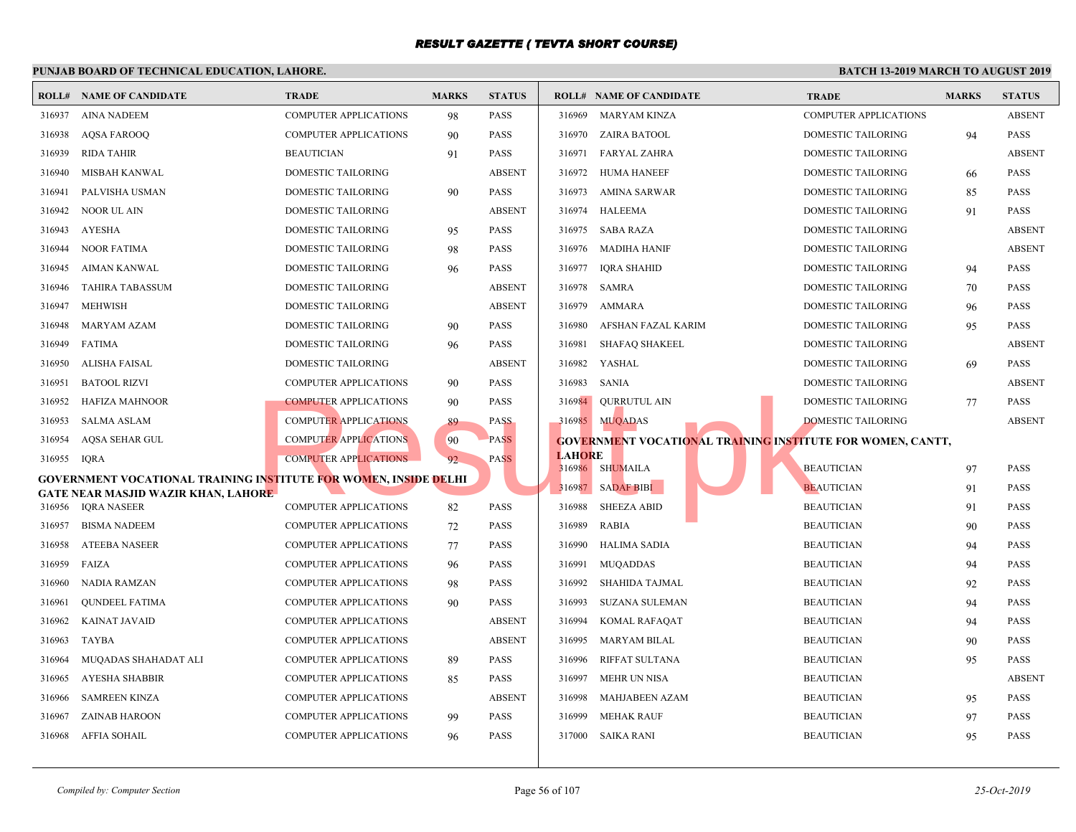|             | <b>ROLL# NAME OF CANDIDATE</b>                                   | <b>TRADE</b>                 | <b>MARKS</b> | <b>STATUS</b> |               | <b>ROLL# NAME OF CANDIDATE</b>                  | <b>TRAL</b> |
|-------------|------------------------------------------------------------------|------------------------------|--------------|---------------|---------------|-------------------------------------------------|-------------|
| 316937      | AINA NADEEM                                                      | <b>COMPUTER APPLICATIONS</b> | 98           | PASS          | 316969        | MARYAM KINZA                                    | <b>COMP</b> |
| 316938      | <b>AQSA FAROOQ</b>                                               | COMPUTER APPLICATIONS        | 90           | PASS          |               | 316970 ZAIRA BATOOL                             | <b>DOME</b> |
| 316939      | RIDA TAHIR                                                       | <b>BEAUTICIAN</b>            | 91           | PASS          | 316971        | FARYAL ZAHRA                                    | <b>DOME</b> |
| 316940      | MISBAH KANWAL                                                    | DOMESTIC TAILORING           |              | <b>ABSENT</b> | 316972        | <b>HUMA HANEEF</b>                              | <b>DOME</b> |
| 316941      | PALVISHA USMAN                                                   | DOMESTIC TAILORING           | 90           | <b>PASS</b>   | 316973        | AMINA SARWAR                                    | <b>DOME</b> |
| 316942      | NOOR UL AIN                                                      | DOMESTIC TAILORING           |              | <b>ABSENT</b> | 316974        | <b>HALEEMA</b>                                  | <b>DOME</b> |
| 316943      | AYESHA                                                           | <b>DOMESTIC TAILORING</b>    | 95           | <b>PASS</b>   | 316975        | SABA RAZA                                       | <b>DOME</b> |
| 316944      | <b>NOOR FATIMA</b>                                               | DOMESTIC TAILORING           | 98           | PASS          | 316976        | MADIHA HANIF                                    | <b>DOME</b> |
| 316945      | AIMAN KANWAL                                                     | DOMESTIC TAILORING           | 96           | PASS          | 316977        | <b>IORA SHAHID</b>                              | <b>DOME</b> |
| 316946      | <b>TAHIRA TABASSUM</b>                                           | DOMESTIC TAILORING           |              | <b>ABSENT</b> | 316978        | <b>SAMRA</b>                                    | <b>DOME</b> |
| 316947      | <b>MEHWISH</b>                                                   | DOMESTIC TAILORING           |              | <b>ABSENT</b> | 316979        | AMMARA                                          | <b>DOME</b> |
| 316948      | <b>MARYAM AZAM</b>                                               | DOMESTIC TAILORING           | 90           | PASS          | 316980        | AFSHAN FAZAL KARIM                              | <b>DOME</b> |
| 316949      | FATIMA                                                           | DOMESTIC TAILORING           | 96           | PASS          | 316981        | <b>SHAFAQ SHAKEEL</b>                           | <b>DOME</b> |
| 316950      | ALISHA FAISAL                                                    | <b>DOMESTIC TAILORING</b>    |              | <b>ABSENT</b> | 316982        | YASHAL                                          | <b>DOME</b> |
| 316951      | <b>BATOOL RIZVI</b>                                              | <b>COMPUTER APPLICATIONS</b> | 90           | PASS          | 316983        | SANIA                                           | <b>DOME</b> |
| 316952      | <b>HAFIZA MAHNOOR</b>                                            | <b>COMPUTER APPLICATIONS</b> | 90           | PASS          | 316984        | QURRUTUL AIN                                    | <b>DOME</b> |
| 316953      | SALMA ASLAM                                                      | <b>COMPUTER APPLICATIONS</b> | 89           | <b>PASS</b>   |               | 316985 MUQADAS                                  | <b>DOME</b> |
| 316954      | AQSA SEHAR GUL                                                   | <b>COMPUTER APPLICATIONS</b> | 90           | <b>PASS</b>   |               | <b>GOVERNMENT VOCATIONAL TRAINING INSTITUTE</b> |             |
| 316955 IQRA |                                                                  | <b>COMPUTER APPLICATIONS</b> | 92           | <b>PASS</b>   | <b>LAHORE</b> | 316986 SHUMAILA                                 | <b>BEAU</b> |
|             | GOVERNMENT VOCATIONAL TRAINING INSTITUTE FOR WOMEN, INSIDE DELHI |                              |              |               |               | 316987 SADAF BIBI                               | <b>BEAU</b> |
| 316956      | GATE NEAR MASJID WAZIR KHAN, LAHORE<br>IQRA NASEER               | <b>COMPUTER APPLICATIONS</b> | 82           | PASS          | 316988        | <b>SHEEZA ABID</b>                              | <b>BEAU</b> |
| 316957      | <b>BISMA NADEEM</b>                                              | <b>COMPUTER APPLICATIONS</b> | 72           | PASS          | 316989        | <b>RABIA</b>                                    | <b>BEAU</b> |
| 316958      | <b>ATEEBA NASEER</b>                                             | COMPUTER APPLICATIONS        | 77           | <b>PASS</b>   | 316990        | HALIMA SADIA                                    | <b>BEAU</b> |
| 316959      | FAIZA                                                            | <b>COMPUTER APPLICATIONS</b> | 96           | PASS          | 316991        | MUQADDAS                                        | <b>BEAU</b> |
| 316960      | NADIA RAMZAN                                                     | COMPUTER APPLICATIONS        | 98           | PASS          | 316992        | SHAHIDA TAJMAL                                  | <b>BEAU</b> |
| 316961      | <b>QUNDEEL FATIMA</b>                                            | <b>COMPUTER APPLICATIONS</b> | 90           | PASS          | 316993        | SUZANA SULEMAN                                  | <b>BEAU</b> |
| 316962      | KAINAT JAVAID                                                    | COMPUTER APPLICATIONS        |              | <b>ABSENT</b> | 316994        | KOMAL RAFAQAT                                   | <b>BEAU</b> |
| 316963      | TAYBA                                                            | <b>COMPUTER APPLICATIONS</b> |              | <b>ABSENT</b> | 316995        | MARYAM BILAL                                    | <b>BEAU</b> |
| 316964      | MUQADAS SHAHADAT ALI                                             | COMPUTER APPLICATIONS        | 89           | <b>PASS</b>   | 316996        | RIFFAT SULTANA                                  | <b>BEAU</b> |
| 316965      | AYESHA SHABBIR                                                   | <b>COMPUTER APPLICATIONS</b> | 85           | PASS          | 316997        | <b>MEHR UN NISA</b>                             | <b>BEAU</b> |
| 316966      | <b>SAMREEN KINZA</b>                                             | <b>COMPUTER APPLICATIONS</b> |              | <b>ABSENT</b> | 316998        | MAHJABEEN AZAM                                  | <b>BEAU</b> |
| 316967      | ZAINAB HAROON                                                    | <b>COMPUTER APPLICATIONS</b> | 99           | PASS          | 316999        | <b>MEHAK RAUF</b>                               | <b>BEAU</b> |
| 316968      | AFFIA SOHAIL                                                     | COMPUTER APPLICATIONS        | 96           | PASS          |               | 317000 SAIKA RANI                               | <b>BEAU</b> |
|             |                                                                  |                              |              |               |               |                                                 |             |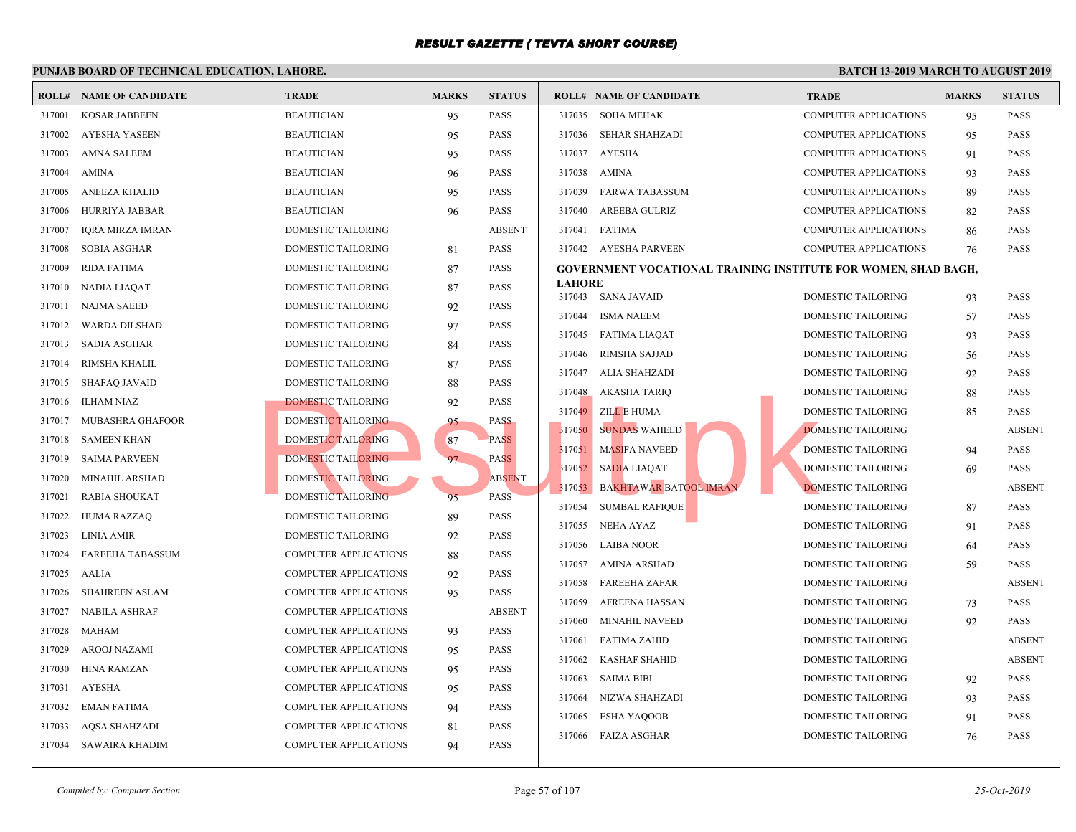|        | <b>ROLL# NAME OF CANDIDATE</b> | <b>TRADE</b>                 | <b>MARKS</b> | <b>STATUS</b> |               | <b>ROLL# NAME OF CANDIDATE</b>                  | <b>TRAL</b> |
|--------|--------------------------------|------------------------------|--------------|---------------|---------------|-------------------------------------------------|-------------|
| 317001 | <b>KOSAR JABBEEN</b>           | <b>BEAUTICIAN</b>            | 95           | <b>PASS</b>   |               | 317035 SOHA MEHAK                               | <b>COMP</b> |
| 317002 | AYESHA YASEEN                  | <b>BEAUTICIAN</b>            | 95           | <b>PASS</b>   |               | 317036 SEHAR SHAHZADI                           | <b>COMP</b> |
| 317003 | AMNA SALEEM                    | <b>BEAUTICIAN</b>            | 95           | <b>PASS</b>   |               | 317037 AYESHA                                   | <b>COMP</b> |
| 317004 | <b>AMINA</b>                   | <b>BEAUTICIAN</b>            | 96           | <b>PASS</b>   | 317038        | AMINA                                           | <b>COMP</b> |
| 317005 | <b>ANEEZA KHALID</b>           | <b>BEAUTICIAN</b>            | 95           | <b>PASS</b>   | 317039        | FARWA TABASSUM                                  | <b>COMP</b> |
| 317006 | HURRIYA JABBAR                 | <b>BEAUTICIAN</b>            | 96           | <b>PASS</b>   | 317040        | <b>AREEBA GULRIZ</b>                            | <b>COMP</b> |
| 317007 | <b>IORA MIRZA IMRAN</b>        | <b>DOMESTIC TAILORING</b>    |              | <b>ABSENT</b> | 317041        | FATIMA                                          | <b>COMP</b> |
| 317008 | <b>SOBIA ASGHAR</b>            | <b>DOMESTIC TAILORING</b>    | 81           | <b>PASS</b>   |               | 317042 AYESHA PARVEEN                           | <b>COMP</b> |
| 317009 | <b>RIDA FATIMA</b>             | <b>DOMESTIC TAILORING</b>    | 87           | <b>PASS</b>   |               | <b>GOVERNMENT VOCATIONAL TRAINING INSTITUTE</b> |             |
| 317010 | NADIA LIAQAT                   | <b>DOMESTIC TAILORING</b>    | 87           | <b>PASS</b>   | <b>LAHORE</b> |                                                 |             |
| 317011 | <b>NAJMA SAEED</b>             | DOMESTIC TAILORING           | 92           | <b>PASS</b>   |               | 317043 SANA JAVAID                              | <b>DOME</b> |
| 317012 | WARDA DILSHAD                  | DOMESTIC TAILORING           | 97           | <b>PASS</b>   | 317044        | ISMA NAEEM                                      | <b>DOME</b> |
| 317013 | <b>SADIA ASGHAR</b>            | DOMESTIC TAILORING           | 84           | <b>PASS</b>   | 317045        | FATIMA LIAQAT                                   | <b>DOME</b> |
| 317014 | RIMSHA KHALIL                  | DOMESTIC TAILORING           | 87           | <b>PASS</b>   | 317046        | RIMSHA SAJJAD                                   | <b>DOME</b> |
| 317015 | <b>SHAFAQ JAVAID</b>           | DOMESTIC TAILORING           | 88           | <b>PASS</b>   | 317047        | ALIA SHAHZADI                                   | <b>DOME</b> |
| 317016 | <b>ILHAM NIAZ</b>              | <b>DOMESTIC TAILORING</b>    | 92           | <b>PASS</b>   | 317048        | AKASHA TARIQ                                    | <b>DOME</b> |
| 317017 | MUBASHRA GHAFOOR               | <b>DOMESTIC TAILORING</b>    | 95           | <b>PASS</b>   | 317049        | <b>ZILL E HUMA</b>                              | <b>DOME</b> |
| 317018 | SAMEEN KHAN                    | <b>DOMESTIC TAILORING</b>    | 87           | <b>PASS</b>   | 317050        | <b>SUNDAS WAHEED</b>                            | <b>DOME</b> |
| 317019 | <b>SAIMA PARVEEN</b>           | DOMESTIC TAILORING           | 97           | <b>PASS</b>   | 317051        | <b>MASIFA NAVEED</b>                            | <b>DOME</b> |
| 317020 | <b>MINAHIL ARSHAD</b>          | DOMESTIC TAILORING           |              | <b>ABSENT</b> | 317052        | <b>SADIA LIAOAT</b>                             | <b>DOME</b> |
| 317021 | RABIA SHOUKAT                  | DOMESTIC TAILORING           | 95           | <b>PASS</b>   | 317053        | <b>BAKHTAWAR BATOOL IMRAN</b>                   | <b>DOME</b> |
| 317022 | HUMA RAZZAQ                    | DOMESTIC TAILORING           | 89           | PASS          | 317054        | <b>SUMBAL RAFIQUE</b>                           | <b>DOME</b> |
| 317023 | LINIA AMIR                     | DOMESTIC TAILORING           | 92           | <b>PASS</b>   | 317055        | NEHA AYAZ                                       | <b>DOME</b> |
| 317024 | <b>FAREEHA TABASSUM</b>        | COMPUTER APPLICATIONS        | 88           | <b>PASS</b>   | 317056        | <b>LAIBA NOOR</b>                               | <b>DOME</b> |
| 317025 | AALIA                          | <b>COMPUTER APPLICATIONS</b> | 92           | <b>PASS</b>   | 317057        | AMINA ARSHAD                                    | <b>DOME</b> |
| 317026 | <b>SHAHREEN ASLAM</b>          | <b>COMPUTER APPLICATIONS</b> | 95           | <b>PASS</b>   | 317058        | FAREEHA ZAFAR                                   | <b>DOME</b> |
| 317027 | <b>NABILA ASHRAF</b>           | <b>COMPUTER APPLICATIONS</b> |              | <b>ABSENT</b> | 317059        | AFREENA HASSAN                                  | <b>DOME</b> |
| 317028 | MAHAM                          | <b>COMPUTER APPLICATIONS</b> | 93           | <b>PASS</b>   | 317060        | <b>MINAHIL NAVEED</b>                           | <b>DOME</b> |
| 317029 | AROOJ NAZAMI                   | <b>COMPUTER APPLICATIONS</b> | 95           | <b>PASS</b>   | 317061        | <b>FATIMA ZAHID</b>                             | <b>DOME</b> |
| 317030 | HINA RAMZAN                    | <b>COMPUTER APPLICATIONS</b> | 95           | <b>PASS</b>   | 317062        | <b>KASHAF SHAHID</b>                            | <b>DOME</b> |
| 317031 | AYESHA                         | <b>COMPUTER APPLICATIONS</b> | 95           | PASS          | 317063        | SAIMA BIBI                                      | <b>DOME</b> |
|        |                                |                              |              | <b>PASS</b>   | 317064        | NIZWA SHAHZADI                                  | <b>DOME</b> |
| 317032 | <b>EMAN FATIMA</b>             | <b>COMPUTER APPLICATIONS</b> | 94           |               | 317065        | <b>ESHA YAQOOB</b>                              | <b>DOME</b> |
| 317033 | AQSA SHAHZADI                  | <b>COMPUTER APPLICATIONS</b> | 81           | <b>PASS</b>   | 317066        | <b>FAIZA ASGHAR</b>                             | <b>DOME</b> |
|        | 317034 SAWAIRA KHADIM          | <b>COMPUTER APPLICATIONS</b> | 94           | <b>PASS</b>   |               |                                                 |             |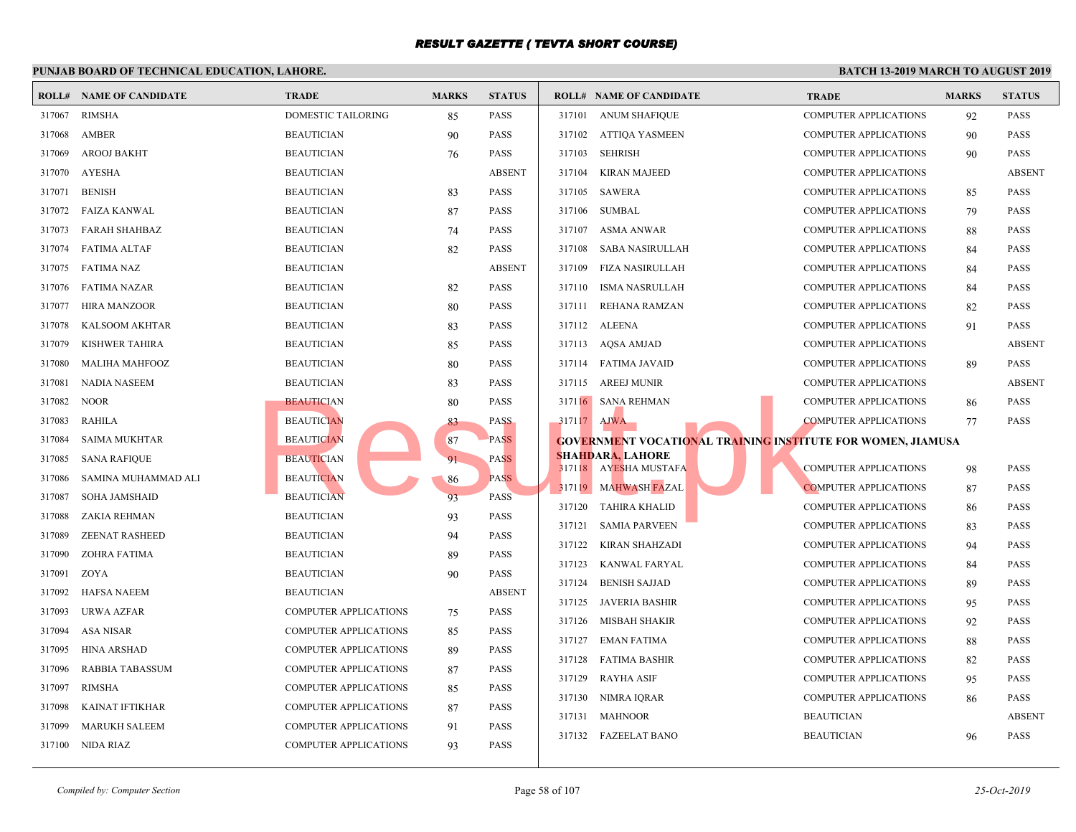|        | <b>ROLL# NAME OF CANDIDATE</b> | <b>TRADE</b>                 | <b>MARKS</b> | <b>STATUS</b> |             | <b>ROLL# NAME OF CANDIDATE</b>                   | <b>TRAL</b>                                     |
|--------|--------------------------------|------------------------------|--------------|---------------|-------------|--------------------------------------------------|-------------------------------------------------|
| 317067 | RIMSHA                         | <b>DOMESTIC TAILORING</b>    | 85           | <b>PASS</b>   |             | 317101 ANUM SHAFIQUE                             | <b>COMP</b>                                     |
| 317068 | AMBER                          | <b>BEAUTICIAN</b>            | 90           | <b>PASS</b>   | 317102      | ATTIQA YASMEEN                                   | <b>COMP</b>                                     |
| 317069 | <b>AROOJ BAKHT</b>             | <b>BEAUTICIAN</b>            | 76           | <b>PASS</b>   | 317103      | <b>SEHRISH</b>                                   | <b>COMP</b>                                     |
| 317070 | <b>AYESHA</b>                  | <b>BEAUTICIAN</b>            |              | <b>ABSENT</b> | 317104      | <b>KIRAN MAJEED</b>                              | <b>COMP</b>                                     |
| 317071 | <b>BENISH</b>                  | <b>BEAUTICIAN</b>            | 83           | <b>PASS</b>   | 317105      | <b>SAWERA</b>                                    | <b>COMP</b>                                     |
| 317072 | FAIZA KANWAL                   | <b>BEAUTICIAN</b>            | 87           | <b>PASS</b>   | 317106      | <b>SUMBAL</b>                                    | <b>COMP</b>                                     |
| 317073 | <b>FARAH SHAHBAZ</b>           | <b>BEAUTICIAN</b>            | 74           | <b>PASS</b>   | 317107      | <b>ASMA ANWAR</b>                                | <b>COMP</b>                                     |
| 317074 | FATIMA ALTAF                   | <b>BEAUTICIAN</b>            | 82           | <b>PASS</b>   | 317108      | SABA NASIRULLAH                                  | <b>COMP</b>                                     |
| 317075 | FATIMA NAZ                     | <b>BEAUTICIAN</b>            |              | <b>ABSENT</b> | 317109      | FIZA NASIRULLAH                                  | <b>COMP</b>                                     |
| 317076 | FATIMA NAZAR                   | <b>BEAUTICIAN</b>            | 82           | <b>PASS</b>   | 317110      | ISMA NASRULLAH                                   | <b>COMP</b>                                     |
| 317077 | HIRA MANZOOR                   | <b>BEAUTICIAN</b>            | 80           | <b>PASS</b>   | 317111      | REHANA RAMZAN                                    | <b>COMP</b>                                     |
| 317078 | KALSOOM AKHTAR                 | <b>BEAUTICIAN</b>            | 83           | <b>PASS</b>   |             | 317112 ALEENA                                    | <b>COMP</b>                                     |
| 317079 | KISHWER TAHIRA                 | <b>BEAUTICIAN</b>            | 85           | <b>PASS</b>   |             | 317113 AQSA AMJAD                                | <b>COMP</b>                                     |
| 317080 | <b>MALIHA MAHFOOZ</b>          | <b>BEAUTICIAN</b>            | 80           | <b>PASS</b>   |             | 317114 FATIMA JAVAID                             | COMP                                            |
| 317081 | <b>NADIA NASEEM</b>            | <b>BEAUTICIAN</b>            | 83           | <b>PASS</b>   |             | 317115 AREEJ MUNIR                               | <b>COMP</b>                                     |
| 317082 | <b>NOOR</b>                    | <b>BEAUTICIAN</b>            | 80           | <b>PASS</b>   |             | 317116 SANA REHMAN                               | <b>COMP</b>                                     |
| 317083 | <b>RAHILA</b>                  | <b>BEAUTICIAN</b>            | 83           | <b>PASS</b>   | 317117 AJWA |                                                  | <b>COMP</b>                                     |
| 317084 | <b>SAIMA MUKHTAR</b>           | <b>BEAUTICIAN</b>            | 87           | <b>PASS</b>   |             |                                                  | <b>GOVERNMENT VOCATIONAL TRAINING INSTITUTE</b> |
| 317085 | <b>SANA RAFIQUE</b>            | <b>BEAUTICIAN</b>            | 91.          | <b>PASS</b>   |             | <b>SHAHDARA, LAHORE</b><br>317118 AYESHA MUSTAFA | <b>COMP</b>                                     |
| 317086 | SAMINA MUHAMMAD ALI            | <b>BEAUTICIAN</b>            | 86           | <b>PASS</b>   | 317119      | <b>MAHWASH FAZAL</b>                             | <b>COMP</b>                                     |
| 317087 | <b>SOHA JAMSHAID</b>           | <b>BEAUTICIAN</b>            | 93           | <b>PASS</b>   | 317120      | TAHIRA KHALID                                    | <b>COMP</b>                                     |
| 317088 | ZAKIA REHMAN                   | <b>BEAUTICIAN</b>            | 93           | PASS          | 317121      | <b>SAMIA PARVEEN</b>                             | <b>COMP</b>                                     |
| 317089 | <b>ZEENAT RASHEED</b>          | <b>BEAUTICIAN</b>            | 94           | <b>PASS</b>   | 317122      | KIRAN SHAHZADI                                   | <b>COMP</b>                                     |
| 317090 | ZOHRA FATIMA                   | <b>BEAUTICIAN</b>            | 89           | <b>PASS</b>   | 317123      | KANWAL FARYAL                                    | <b>COMP</b>                                     |
| 317091 | ZOYA                           | <b>BEAUTICIAN</b>            | 90           | <b>PASS</b>   | 317124      | <b>BENISH SAJJAD</b>                             | <b>COMP</b>                                     |
| 317092 | HAFSA NAEEM                    | <b>BEAUTICIAN</b>            |              | <b>ABSENT</b> |             | 317125 JAVERIA BASHIR                            | <b>COMP</b>                                     |
| 317093 | <b>URWA AZFAR</b>              | <b>COMPUTER APPLICATIONS</b> | 75           | <b>PASS</b>   |             | 317126 MISBAH SHAKIR                             | <b>COMP</b>                                     |
| 317094 | <b>ASA NISAR</b>               | <b>COMPUTER APPLICATIONS</b> | 85           | <b>PASS</b>   | 317127      | <b>EMAN FATIMA</b>                               | <b>COMP</b>                                     |
| 317095 | <b>HINA ARSHAD</b>             | <b>COMPUTER APPLICATIONS</b> | 89           | <b>PASS</b>   |             | 317128 FATIMA BASHIR                             | <b>COMP</b>                                     |
| 317096 | <b>RABBIA TABASSUM</b>         | <b>COMPUTER APPLICATIONS</b> | 87           | <b>PASS</b>   |             | 317129 RAYHA ASIF                                | <b>COMP</b>                                     |
| 317097 | <b>RIMSHA</b>                  | <b>COMPUTER APPLICATIONS</b> | 85           | <b>PASS</b>   |             | 317130 NIMRA IQRAR                               | <b>COMP</b>                                     |
| 317098 | KAINAT IFTIKHAR                | <b>COMPUTER APPLICATIONS</b> | 87           | <b>PASS</b>   | 317131      | <b>MAHNOOR</b>                                   | <b>BEAU</b>                                     |
| 317099 | <b>MARUKH SALEEM</b>           | <b>COMPUTER APPLICATIONS</b> | 91           | <b>PASS</b>   |             | 317132 FAZEELAT BANO                             | <b>BEAU</b>                                     |
| 317100 | NIDA RIAZ                      | <b>COMPUTER APPLICATIONS</b> | 93           | <b>PASS</b>   |             |                                                  |                                                 |
|        |                                |                              |              |               |             |                                                  |                                                 |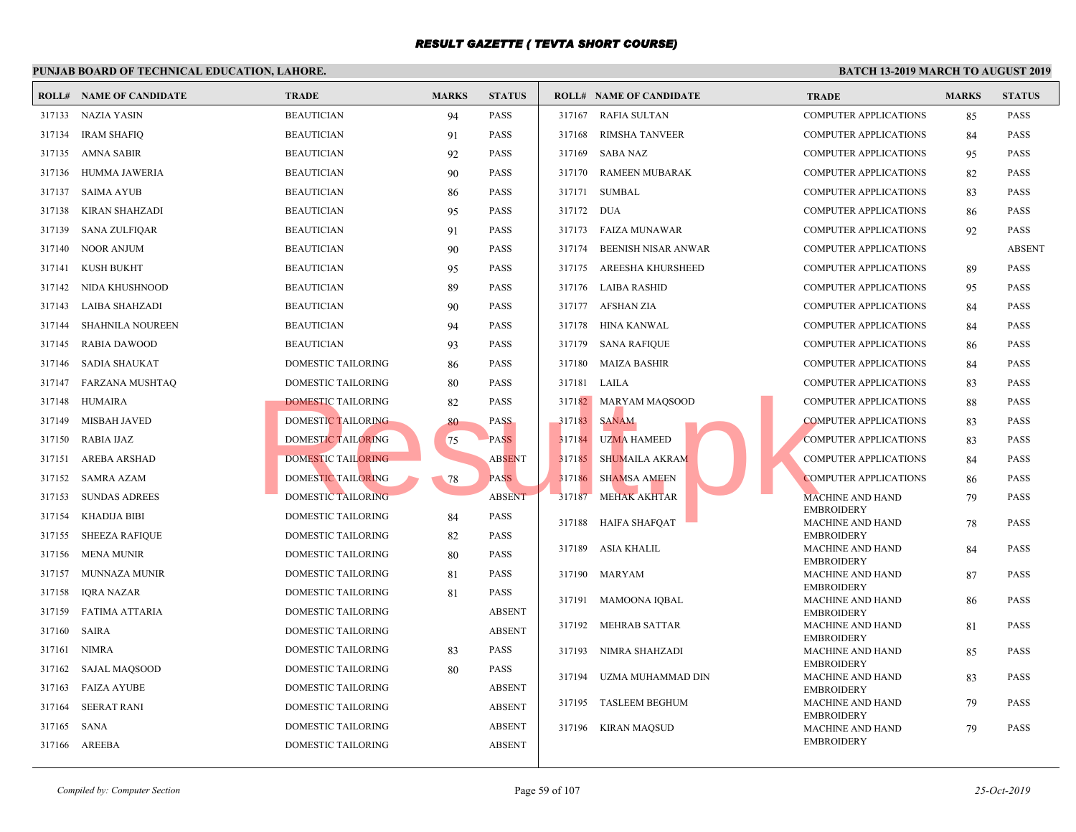|        | <b>ROLL# NAME OF CANDIDATE</b> | <b>TRADE</b>       | <b>MARKS</b> | <b>STATUS</b> |        | <b>ROLL# NAME OF CANDIDATE</b> | <b>TRAL</b>                |
|--------|--------------------------------|--------------------|--------------|---------------|--------|--------------------------------|----------------------------|
|        | 317133 NAZIA YASIN             | <b>BEAUTICIAN</b>  | 94           | PASS          | 317167 | <b>RAFIA SULTAN</b>            | <b>COMP</b>                |
| 317134 | <b>IRAM SHAFIQ</b>             | <b>BEAUTICIAN</b>  | 91           | PASS          | 317168 | <b>RIMSHA TANVEER</b>          | <b>COMP</b>                |
| 317135 | AMNA SABIR                     | <b>BEAUTICIAN</b>  | 92           | PASS          | 317169 | SABA NAZ                       | <b>COMP</b>                |
| 317136 | HUMMA JAWERIA                  | <b>BEAUTICIAN</b>  | 90           | PASS          | 317170 | <b>RAMEEN MUBARAK</b>          | <b>COMP</b>                |
| 317137 | SAIMA AYUB                     | <b>BEAUTICIAN</b>  | 86           | PASS          | 317171 | SUMBAL                         | <b>COMP</b>                |
| 317138 | KIRAN SHAHZADI                 | <b>BEAUTICIAN</b>  | 95           | PASS          | 317172 | DUA                            | <b>COMP</b>                |
| 317139 | <b>SANA ZULFIQAR</b>           | <b>BEAUTICIAN</b>  | 91           | PASS          | 317173 | FAIZA MUNAWAR                  | <b>COMP</b>                |
| 317140 | <b>NOOR ANJUM</b>              | <b>BEAUTICIAN</b>  | 90           | PASS          | 317174 | <b>BEENISH NISAR ANWAR</b>     | <b>COMP</b>                |
| 317141 | KUSH BUKHT                     | <b>BEAUTICIAN</b>  | 95           | PASS          | 317175 | AREESHA KHURSHEED              | <b>COMP</b>                |
| 317142 | NIDA KHUSHNOOD                 | <b>BEAUTICIAN</b>  | 89           | PASS          | 317176 | LAIBA RASHID                   | <b>COMP</b>                |
| 317143 | LAIBA SHAHZADI                 | <b>BEAUTICIAN</b>  | 90           | PASS          |        | 317177 AFSHAN ZIA              | <b>COMP</b>                |
| 317144 | <b>SHAHNILA NOUREEN</b>        | <b>BEAUTICIAN</b>  | 94           | PASS          | 317178 | HINA KANWAL                    | <b>COMP</b>                |
| 317145 | <b>RABIA DAWOOD</b>            | <b>BEAUTICIAN</b>  | 93           | PASS          | 317179 | <b>SANA RAFIQUE</b>            | <b>COMP</b>                |
| 317146 | SADIA SHAUKAT                  | DOMESTIC TAILORING | 86           | PASS          | 317180 | <b>MAIZA BASHIR</b>            | <b>COMP</b>                |
| 317147 | FARZANA MUSHTAQ                | DOMESTIC TAILORING | 80           | PASS          | 317181 | LAILA                          | <b>COMP</b>                |
| 317148 | HUMAIRA                        | DOMESTIC TAILORING | 82           | PASS          |        | 317182 MARYAM MAQSOOD          | <b>COMP</b>                |
| 317149 | <b>MISBAH JAVED</b>            | DOMESTIC TAILORING | 80           | <b>PASS</b>   | 317183 | <b>SANAM</b>                   | <b>COMP</b>                |
| 317150 | <b>RABIA IJAZ</b>              | DOMESTIC TAILORING | 75           | <b>PASS</b>   | 317184 | <b>UZMA HAMEED</b>             | <b>COMP</b>                |
| 317151 | AREBA ARSHAD                   | DOMESTIC TAILORING |              | <b>ABSENT</b> | 317185 | SHUMAILA AKRAM                 | <b>COMP</b>                |
| 317152 | SAMRA AZAM                     | DOMESTIC TAILORING | 78           | <b>PASS</b>   | 317186 | <b>SHAMSA AMEEN</b>            | <b>COMP</b>                |
| 317153 | <b>SUNDAS ADREES</b>           | DOMESTIC TAILORING |              | <b>ABSENT</b> | 317187 | <b>MEHAK AKHTAR</b>            | <b>MACH</b>                |
| 317154 | KHADIJA BIBI                   | DOMESTIC TAILORING | 84           | PASS          | 317188 | HAIFA SHAFQAT                  | <b>EMBR</b><br><b>MACH</b> |
| 317155 | <b>SHEEZA RAFIQUE</b>          | DOMESTIC TAILORING | 82           | PASS          |        |                                | <b>EMBR</b>                |
| 317156 | <b>MENA MUNIR</b>              | DOMESTIC TAILORING | 80           | PASS          |        | 317189 ASIA KHALIL             | <b>MACH</b><br><b>EMBR</b> |
| 317157 | MUNNAZA MUNIR                  | DOMESTIC TAILORING | 81           | PASS          |        | 317190 MARYAM                  | <b>MACH</b>                |
| 317158 | IQRA NAZAR                     | DOMESTIC TAILORING | 81           | PASS          | 317191 | <b>MAMOONA IQBAL</b>           | <b>EMBR</b><br><b>MACH</b> |
| 317159 | <b>FATIMA ATTARIA</b>          | DOMESTIC TAILORING |              | <b>ABSENT</b> |        |                                | <b>EMBR</b>                |
| 317160 | <b>SAIRA</b>                   | DOMESTIC TAILORING |              | <b>ABSENT</b> | 317192 | <b>MEHRAB SATTAR</b>           | <b>MACH</b><br><b>EMBR</b> |
| 317161 | <b>NIMRA</b>                   | DOMESTIC TAILORING | 83           | PASS          | 317193 | NIMRA SHAHZADI                 | <b>MACH</b>                |
| 317162 | SAJAL MAQSOOD                  | DOMESTIC TAILORING | 80           | PASS          | 317194 | UZMA MUHAMMAD DIN              | <b>EMBR</b><br><b>MACH</b> |
| 317163 | <b>FAIZA AYUBE</b>             | DOMESTIC TAILORING |              | <b>ABSENT</b> |        |                                | <b>EMBR</b>                |
| 317164 | <b>SEERAT RANI</b>             | DOMESTIC TAILORING |              | <b>ABSENT</b> |        | 317195 TASLEEM BEGHUM          | <b>MACH</b><br><b>EMBR</b> |
| 317165 | SANA                           | DOMESTIC TAILORING |              | <b>ABSENT</b> |        | 317196 KIRAN MAQSUD            | <b>MACH</b>                |
| 317166 | AREEBA                         | DOMESTIC TAILORING |              | <b>ABSENT</b> |        |                                | <b>EMBR</b>                |
|        |                                |                    |              |               |        |                                |                            |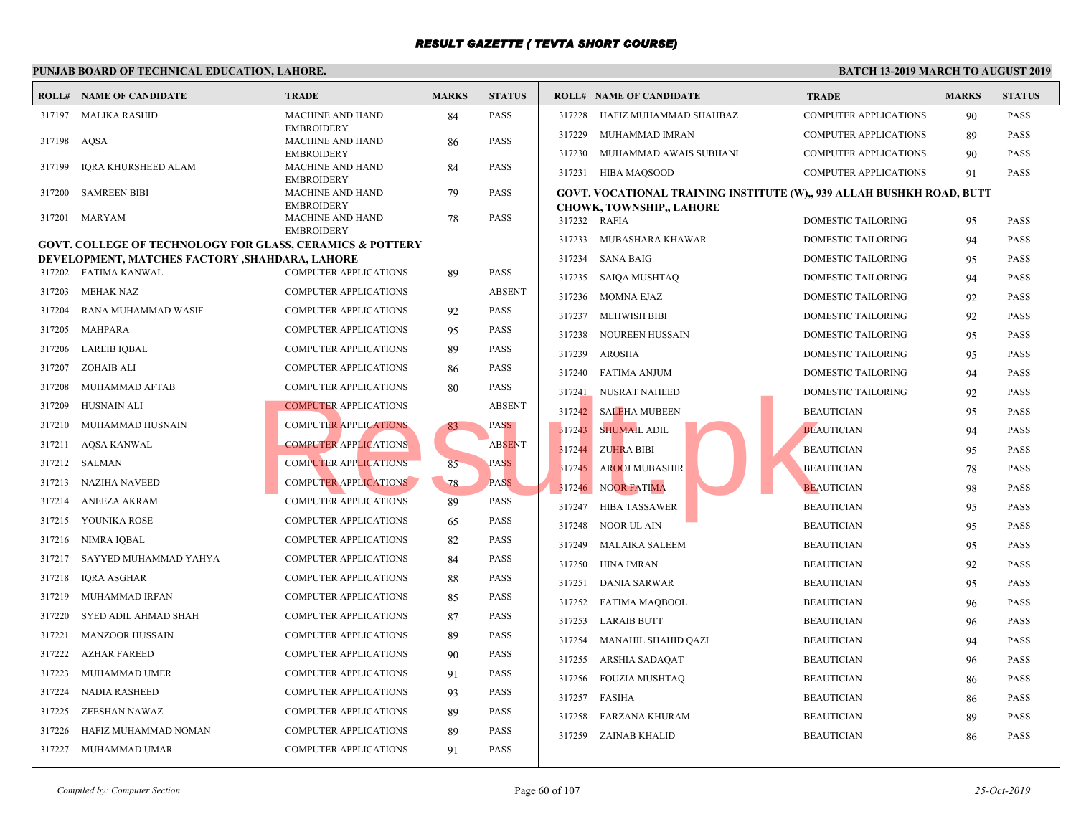#### **PUNJAB BOARD OF TECHNICAL EDUCATION, LAHORE. ROLL# NAME OF CANDIDATE TRADE MARKS STATUS ROLL# NAME OF CANDIDATE TRADE MARKS STATUS** MACHINE AND HAND 84 PASS EMBROIDERY 317197 MALIKA RASHID MACHINE AND HAND 86 PASS EMBROIDERY 317198 AQSA MACHINE AND HAND 84 PASS **EMBROIDERY**  317199 IQRA KHURSHEED ALAM MACHINE AND HAND 79 PASS **EMBROIDERY**  317200 SAMREEN BIBI MACHINE AND HAND 78 PASS EMBROIDERY 317201 MARYAM **GOVT. COLLEGE OF TECHNOLOGY FOR GLASS, CERAMICS & POTTERY DEVELOPMENT, MATCHES FACTORY ,SHAHDARA, LAHORE** 317202 FATIMA KANWAL COMPUTER APPLICATIONS 89 PASS 317203 MEHAK NAZ COMPUTER APPLICATIONS ABSENT 317204 RANA MUHAMMAD WASIF COMPUTER APPLICATIONS 92 PASS 317205 MAHPARA COMPUTER APPLICATIONS 95 PASS 317206 LAREIB IQBAL COMPUTER APPLICATIONS 89 PASS 317207 ZOHAIB ALI COMPUTER APPLICATIONS 86 PASS 317208 MUHAMMAD AFTAB COMPUTER APPLICATIONS 80 PASS 317209 HUSNAIN ALI COMPUTER APPLICATIONS ABSENT 317210 MUHAMMAD HUSNAIN COMPUTER APPLICATIONS 83 PASS 317211 AQSA KANWAL COMPUTER APPLICATIONS ABSENT 317212 SALMAN COMPUTER APPLICATIONS 85 PASS 317213 NAZIHA NAVEED COMPUTER APPLICATIONS 78 PASS 317214 ANEEZA AKRAM COMPUTER APPLICATIONS 89 PASS 317215 YOUNIKA ROSE COMPUTER APPLICATIONS 65 PASS 317216 NIMRA IQBAL COMPUTER APPLICATIONS 82 PASS 317217 SAYYED MUHAMMAD YAHYA COMPUTER APPLICATIONS 84 PASS 317218 IQRA ASGHAR COMPUTER APPLICATIONS 88 PASS 317219 MUHAMMAD IRFAN COMPUTER APPLICATIONS 85 PASS 317220 SYED ADIL AHMAD SHAH COMPUTER APPLICATIONS 87 PASS 317221 MANZOOR HUSSAIN COMPUTER APPLICATIONS 89 PASS 317222 AZHAR FAREED COMPUTER APPLICATIONS 90 PASS 317223 MUHAMMAD UMER COMPUTER APPLICATIONS 91 PASS 317224 NADIA RASHEED COMPUTER APPLICATIONS 93 PASS 317225 ZEESHAN NAWAZ COMPUTER APPLICATIONS 89 PASS 317226 HAFIZ MUHAMMAD NOMAN COMPUTER APPLICATIONS 89 PASS 317227 MUHAMMAD UMAR COMPUTER APPLICATIONS 91 PASS 317228 HAFIZ MUHAMMAD SHAHBAZ COMP 317229 MUHAMMAD IMRAN COMP 317230 MUHAMMAD AWAIS SUBHANI COMP 317231 HIBA MAQSOOD COMP **[GOVT. VOCATIONAL TRAINING INSTITUTE \(W\),, 9](http://www.result.pk/)39 CHOWK, TOWNSHIP,, LAHORE** 317232 RAFIA DOME 317233 MUBASHARA KHAWAR DOME 317234 SANA BAIG DOME 317235 SAIQA MUSHTAQ DOME 317236 MOMNA EJAZ DOME 317237 MEHWISH BIBI DOME 317238 NOUREEN HUSSAIN DOME 317239 AROSHA DOME 317240 FATIMA ANJUM DOME 317241 NUSRAT NAHEED DOME 317242 SALEHA MUBEEN BEAUT 317243 SHUMAIL ADIL BEAUTICIAN 95 317244 ZUHRA BIBI BEAUTICIAN 95 PASSES BEAUTICIAN 95 PASSES BEAUTICIAN 95 PASSES BEAUTICIAN 95 PASSES BEAUTICIAN 95 PASSES BEAUTICIAN 95 PASSES BEAUTICIAN 95 PASSES BEAUTICIAN 95 PASSES BEAUTICIAN 95 PASSES BEAUTICIAN 95 P 317245 AROOJ MUBASHIR BEAUTICIAN 78 BEAUTICIAN 78 BEAUTICIAN 78 PASSAURICIAN 78 PASSAURICIAN 78 PASSAURICIAN 7 317246 NOOR FATIMA BEAUTICIAN 98 PASSES 317247 HIBA TASSAWER BEAUTICIAN 95 BEAUTICIAN 95 BEAUTICIAN 95 BEAUTICIAN 95 PASSAMER 317248 NOOR UL AIN BEAUTICIAN 317249 MALAIKA SALEEM BEAUT 317250 HINA IMRAN BEAUT 317251 DANIA SARWAR BEAUT 317252 FATIMA MAQBOOL BEAUT 317253 LARAIB BUTT BEAUT 317254 MANAHIL SHAHID QAZI BEAUT 317255 ARSHIA SADAQAT BEAUT 317256 FOUZIA MUSHTAQ BEAUT 317257 FASIHA BEAUT 317258 FARZANA KHURAM BEAUT 317259 ZAINAB KHALID BEAUT COMPUTER APPLICATIONS ABSENT<br>
COMPUTER APPLICATIONS ABSENT<br>
COMPUTER APPLICATIONS ABSENT<br>
COMPUTER APPLICATIONS ABSENT<br>
COMPUTER APPLICATIONS ABSOLUTER APPLICATIONS ABSOLUTER APPLICATIONS PASS<br>
COMPUTER APPLICATIONS ABSOLU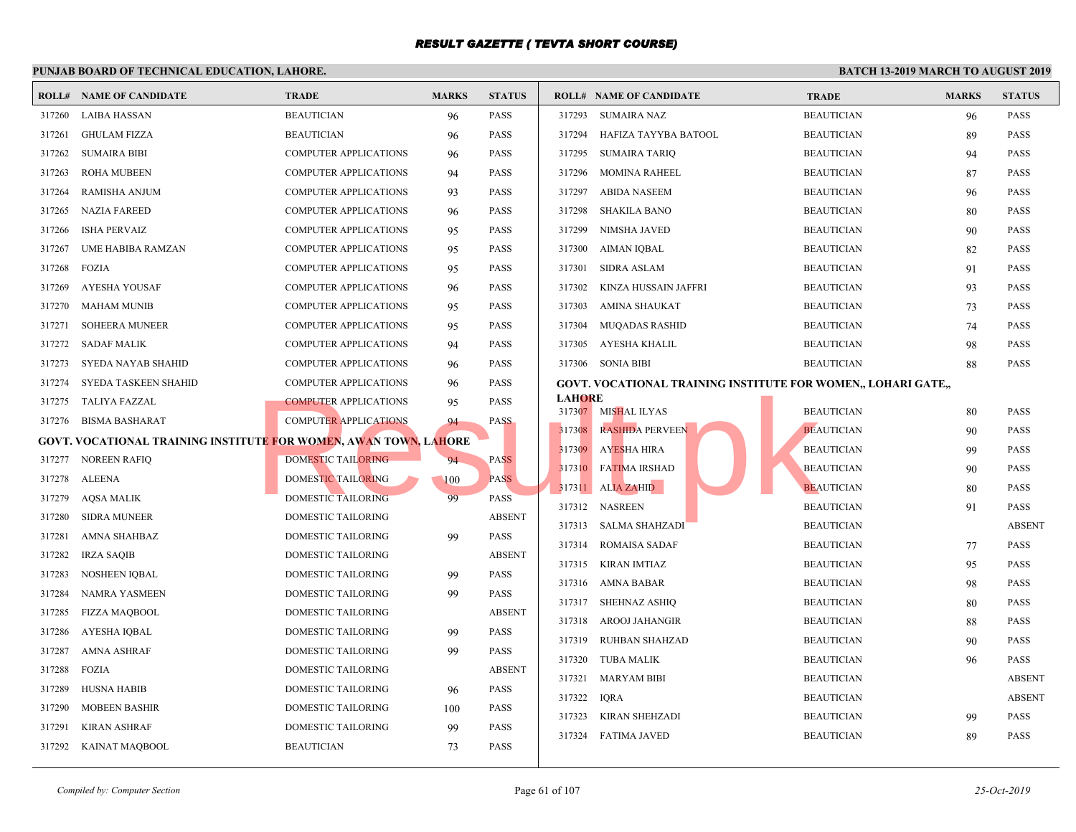|        | <b>ROLL# NAME OF CANDIDATE</b>                                   | TRADE                        | <b>MARKS</b> | <b>STATUS</b> |               | <b>ROLL# NAME OF CANDIDATE</b>                    | <b>TRAL</b> |
|--------|------------------------------------------------------------------|------------------------------|--------------|---------------|---------------|---------------------------------------------------|-------------|
| 317260 | LAIBA HASSAN                                                     | <b>BEAUTICIAN</b>            | 96           | <b>PASS</b>   |               | 317293 SUMAIRA NAZ                                | <b>BEAU</b> |
| 317261 | <b>GHULAM FIZZA</b>                                              | <b>BEAUTICIAN</b>            | 96           | <b>PASS</b>   | 317294        | HAFIZA TAYYBA BATOOL                              | <b>BEAU</b> |
| 317262 | <b>SUMAIRA BIBI</b>                                              | <b>COMPUTER APPLICATIONS</b> | 96           | <b>PASS</b>   | 317295        | <b>SUMAIRA TARIQ</b>                              | <b>BEAU</b> |
| 317263 | <b>ROHA MUBEEN</b>                                               | <b>COMPUTER APPLICATIONS</b> | 94           | <b>PASS</b>   | 317296        | MOMINA RAHEEL                                     | <b>BEAU</b> |
| 317264 | <b>RAMISHA ANJUM</b>                                             | <b>COMPUTER APPLICATIONS</b> | 93           | <b>PASS</b>   | 317297        | ABIDA NASEEM                                      | <b>BEAU</b> |
| 317265 | <b>NAZIA FAREED</b>                                              | <b>COMPUTER APPLICATIONS</b> | 96           | <b>PASS</b>   | 317298        | <b>SHAKILA BANO</b>                               | <b>BEAU</b> |
| 317266 | <b>ISHA PERVAIZ</b>                                              | <b>COMPUTER APPLICATIONS</b> | 95           | <b>PASS</b>   | 317299        | NIMSHA JAVED                                      | <b>BEAU</b> |
| 317267 | UME HABIBA RAMZAN                                                | <b>COMPUTER APPLICATIONS</b> | 95           | <b>PASS</b>   | 317300        | AIMAN IQBAL                                       | <b>BEAU</b> |
| 317268 | <b>FOZIA</b>                                                     | <b>COMPUTER APPLICATIONS</b> | 95           | <b>PASS</b>   | 317301        | <b>SIDRA ASLAM</b>                                | <b>BEAU</b> |
| 317269 | AYESHA YOUSAF                                                    | <b>COMPUTER APPLICATIONS</b> | 96           | <b>PASS</b>   | 317302        | KINZA HUSSAIN JAFFRI                              | <b>BEAU</b> |
| 317270 | MAHAM MUNIB                                                      | <b>COMPUTER APPLICATIONS</b> | 95           | <b>PASS</b>   | 317303        | AMINA SHAUKAT                                     | <b>BEAU</b> |
| 317271 | <b>SOHEERA MUNEER</b>                                            | <b>COMPUTER APPLICATIONS</b> | 95           | <b>PASS</b>   | 317304        | <b>MUQADAS RASHID</b>                             | <b>BEAU</b> |
| 317272 | <b>SADAF MALIK</b>                                               | <b>COMPUTER APPLICATIONS</b> | 94           | <b>PASS</b>   | 317305        | AYESHA KHALIL                                     | <b>BEAU</b> |
| 317273 | SYEDA NAYAB SHAHID                                               | <b>COMPUTER APPLICATIONS</b> | 96           | <b>PASS</b>   |               | 317306 SONIA BIBI                                 | <b>BEAU</b> |
| 317274 | SYEDA TASKEEN SHAHID                                             | <b>COMPUTER APPLICATIONS</b> | 96           | <b>PASS</b>   |               | <b>GOVT. VOCATIONAL TRAINING INSTITUTE FOR WO</b> |             |
| 317275 | TALIYA FAZZAL                                                    | <b>COMPUTER APPLICATIONS</b> | 95           | <b>PASS</b>   | <b>LAHORE</b> |                                                   |             |
| 317276 | BISMA BASHARAT                                                   | <b>COMPUTER APPLICATIONS</b> | 94           | <b>PASS</b>   |               | 317307 MISHAL ILYAS                               | <b>BEAU</b> |
|        | GOVT. VOCATIONAL TRAINING INSTITUTE FOR WOMEN, AWAN TOWN, LAHORE |                              |              |               | 317308        | <b>RASHIDA PERVEEN</b>                            | <b>BEAU</b> |
| 317277 | <b>NOREEN RAFIQ</b>                                              | DOMESTIC TAILORING           | 94           | <b>PASS</b>   | 317309        | AYESHA HIRA                                       | <b>BEAU</b> |
| 317278 | <b>ALEENA</b>                                                    | DOMESTIC TAILORING           | 100          | <b>PASS</b>   |               | 317310 FATIMA IRSHAD                              | <b>BEAU</b> |
| 317279 | AQSA MALIK                                                       | DOMESTIC TAILORING           | 99           | <b>PASS</b>   |               | 317311 ALIA ZAHID                                 | <b>BEAU</b> |
| 317280 | <b>SIDRA MUNEER</b>                                              | <b>DOMESTIC TAILORING</b>    |              | <b>ABSENT</b> |               | 317312 NASREEN                                    | <b>BEAU</b> |
| 317281 | <b>AMNA SHAHBAZ</b>                                              | DOMESTIC TAILORING           | 99           | <b>PASS</b>   |               | 317313 SALMA SHAHZADI                             | <b>BEAU</b> |
| 317282 | <b>IRZA SAQIB</b>                                                | DOMESTIC TAILORING           |              | <b>ABSENT</b> |               | 317314 ROMAISA SADAF                              | <b>BEAU</b> |
| 317283 | <b>NOSHEEN IQBAL</b>                                             | DOMESTIC TAILORING           | 99           | <b>PASS</b>   |               | 317315 KIRAN IMTIAZ                               | <b>BEAU</b> |
| 317284 | <b>NAMRA YASMEEN</b>                                             | DOMESTIC TAILORING           | 99           | <b>PASS</b>   |               | 317316 AMNA BABAR                                 | <b>BEAU</b> |
| 317285 | <b>FIZZA MAQBOOL</b>                                             | DOMESTIC TAILORING           |              | <b>ABSENT</b> |               | 317317 SHEHNAZ ASHIQ                              | <b>BEAU</b> |
| 317286 | AYESHA IQBAL                                                     | DOMESTIC TAILORING           | 99           | <b>PASS</b>   |               | 317318 AROOJ JAHANGIR                             | <b>BEAU</b> |
| 317287 | <b>AMNA ASHRAF</b>                                               | DOMESTIC TAILORING           | 99           | <b>PASS</b>   | 317319        | RUHBAN SHAHZAD                                    | <b>BEAU</b> |
| 317288 | FOZIA                                                            | DOMESTIC TAILORING           |              | <b>ABSENT</b> |               | 317320 TUBA MALIK                                 | <b>BEAU</b> |
| 317289 | <b>HUSNA HABIB</b>                                               | DOMESTIC TAILORING           | 96           | <b>PASS</b>   | 317321        | <b>MARYAM BIBI</b>                                | <b>BEAU</b> |
| 317290 | <b>MOBEEN BASHIR</b>                                             | DOMESTIC TAILORING           | 100          | <b>PASS</b>   | 317322        | <b>IQRA</b>                                       | <b>BEAU</b> |
| 317291 | <b>KIRAN ASHRAF</b>                                              | <b>DOMESTIC TAILORING</b>    | 99           | <b>PASS</b>   | 317323        | KIRAN SHEHZADI                                    | <b>BEAU</b> |
| 317292 | KAINAT MAQBOOL                                                   | <b>BEAUTICIAN</b>            | 73           | <b>PASS</b>   |               | 317324 FATIMA JAVED                               | <b>BEAU</b> |
|        |                                                                  |                              |              |               |               |                                                   |             |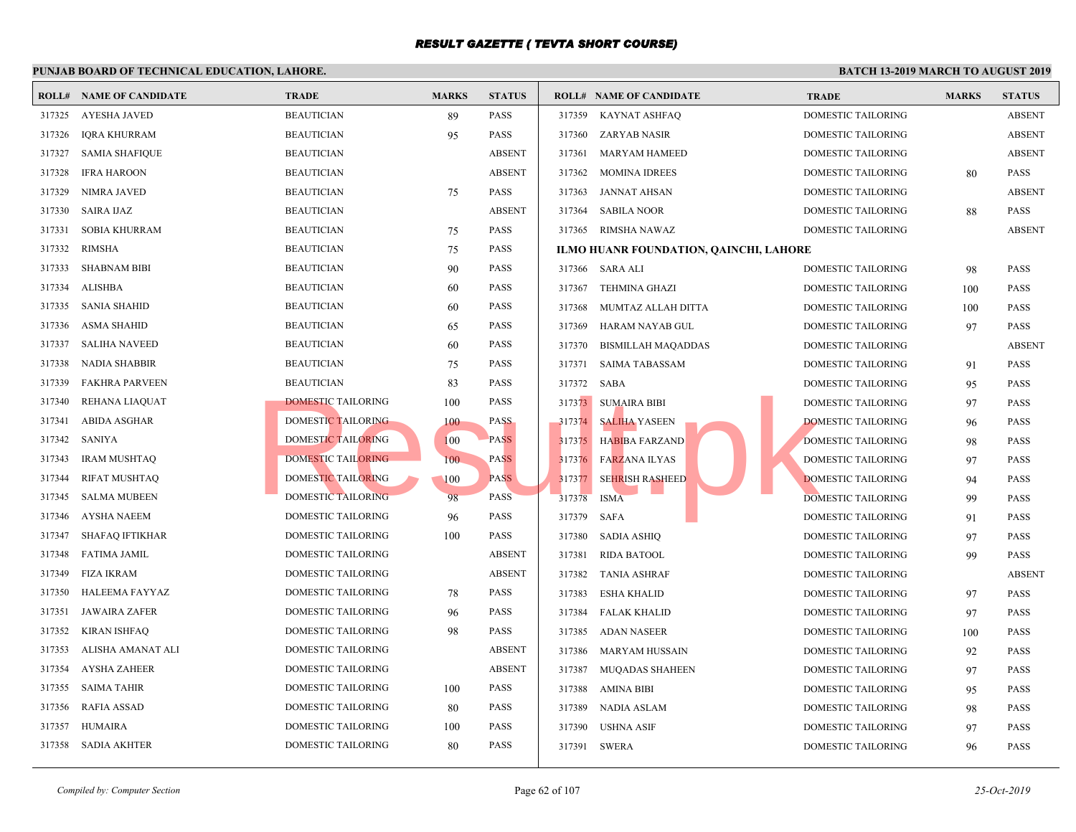317359 KAYNAT ASHFAQ DOME

#### 317326 IQRA KHURRAM BEAUTICIAN 95 PASS 317327 SAMIA SHAFIQUE BEAUTICIAN ABSENT 317328 IFRA HAROON BEAUTICIAN ABSENT 317329 NIMRA JAVED BEAUTICIAN 75 PASS 317330 SAIRA IJAZ BEAUTICIAN ABSENT 317331 SOBIA KHURRAM BEAUTICIAN 75 PASS 317332 RIMSHA BEAUTICIAN 75 PASS 317333 SHABNAM BIBI BEAUTICIAN 90 PASS 317334 ALISHBA BEAUTICIAN 60 PASS 317335 SANIA SHAHID BEAUTICIAN 60 PASS 317336 ASMA SHAHID BEAUTICIAN 65 PASS 317337 SALIHA NAVEED BEAUTICIAN 60 PASS 317338 NADIA SHABBIR BEAUTICIAN 75 PASS 317339 FAKHRA PARVEEN BEAUTICIAN 83 PASS 317340 REHANA LIAQUAT DOMESTIC TAILORING 100 PASS 317341 ABIDA ASGHAR DOMESTIC TAILORING 100 PASS 317342 SANIYA DOMESTIC TAILORING 100 PASS 317343 IRAM MUSHTAQ DOMESTIC TAILORING 100 PASS 317344 RIFAT MUSHTAQ DOMESTIC TAILORING 100 PASS 317345 SALMA MUBEEN DOMESTIC TAILORING 98 PASS 317346 AYSHA NAEEM DOMESTIC TAILORING 96 PASS 317360 ZARYAB NASIR DOME 317361 MARYAM HAMEED DOME 317362 MOMINA IDREES DOME 317363 JANNAT AHSAN DOME 317364 SABILA NOOR DOME 317365 RIMSHA NAWAZ DOME **ILMO HUANR FOUNDATION, QAINCHI, LAHORE**

| 317333 | SHABNAM BIBI          | <b>BEAUTICIAN</b>         | 90  | <b>PASS</b>   |             | 317366 SARA ALI           | <b>DOME</b> |
|--------|-----------------------|---------------------------|-----|---------------|-------------|---------------------------|-------------|
| 317334 | ALISHBA               | <b>BEAUTICIAN</b>         | 60  | <b>PASS</b>   | 317367      | <b>TEHMINA GHAZI</b>      | <b>DOME</b> |
| 317335 | SANIA SHAHID          | <b>BEAUTICIAN</b>         | 60  | <b>PASS</b>   | 317368      | MUMTAZ ALLAH DITTA        | <b>DOME</b> |
| 317336 | ASMA SHAHID           | <b>BEAUTICIAN</b>         | 65  | PASS          | 317369      | HARAM NAYAB GUL           | <b>DOME</b> |
| 317337 | <b>SALIHA NAVEED</b>  | <b>BEAUTICIAN</b>         | 60  | <b>PASS</b>   | 317370      | <b>BISMILLAH MAQADDAS</b> | <b>DOME</b> |
| 317338 | <b>NADIA SHABBIR</b>  | <b>BEAUTICIAN</b>         | 75  | <b>PASS</b>   | 317371      | <b>SAIMA TABASSAM</b>     | <b>DOME</b> |
| 317339 | <b>FAKHRA PARVEEN</b> | <b>BEAUTICIAN</b>         | 83  | <b>PASS</b>   | 317372 SABA |                           | <b>DOME</b> |
| 317340 | REHANA LIAQUAT        | DOMESTIC TAILORING        | 100 | <b>PASS</b>   |             | 317373 SUMAIRA BIBI       | <b>DOME</b> |
| 317341 | ABIDA ASGHAR          | DOMESTIC TAILORING        | 100 | <b>PASS</b>   |             | 317374 SALIHA YASEEN      | <b>DOME</b> |
| 317342 | SANIYA                | <b>DOMESTIC TAILORING</b> | 100 | <b>PASS</b>   |             | 317375 HABIBA FARZAND     | <b>DOME</b> |
| 317343 | <b>IRAM MUSHTAQ</b>   | DOMESTIC TAILORING        | 100 | <b>PASS</b>   |             | 317376 FARZANA ILYAS      | <b>DOME</b> |
| 317344 | <b>RIFAT MUSHTAQ</b>  | DOMESTIC TAILORING        | 100 | <b>PASS</b>   | 317377      | <b>SEHRISH RASHEED</b>    | <b>DOME</b> |
| 317345 | SALMA MUBEEN          | <b>DOMESTIC TAILORING</b> | 98  | <b>PASS</b>   | 317378      | <b>ISMA</b>               | <b>DOME</b> |
| 317346 | <b>AYSHA NAEEM</b>    | <b>DOMESTIC TAILORING</b> | 96  | <b>PASS</b>   | 317379      | SAFA                      | <b>DOME</b> |
| 317347 | SHAFAQ IFTIKHAR       | <b>DOMESTIC TAILORING</b> | 100 | <b>PASS</b>   | 317380      | <b>SADIA ASHIQ</b>        | <b>DOME</b> |
|        | 317348 FATIMA JAMIL   | <b>DOMESTIC TAILORING</b> |     | <b>ABSENT</b> | 317381      | RIDA BATOOL               | <b>DOME</b> |
| 317349 | <b>FIZA IKRAM</b>     | DOMESTIC TAILORING        |     | <b>ABSENT</b> | 317382      | <b>TANIA ASHRAF</b>       | <b>DOME</b> |
| 317350 | HALEEMA FAYYAZ        | <b>DOMESTIC TAILORING</b> | 78  | PASS          | 317383      | <b>ESHA KHALID</b>        | <b>DOME</b> |
| 317351 | JAWAIRA ZAFER         | DOMESTIC TAILORING        | 96  | PASS          | 317384      | <b>FALAK KHALID</b>       | <b>DOME</b> |
| 317352 | KIRAN ISHFAO          | <b>DOMESTIC TAILORING</b> | 98  | <b>PASS</b>   | 317385      | <b>ADAN NASEER</b>        | <b>DOME</b> |
| 317353 | ALISHA AMANAT ALI     | DOMESTIC TAILORING        |     | <b>ABSENT</b> | 317386      | MARYAM HUSSAIN            | <b>DOME</b> |
| 317354 | <b>AYSHA ZAHEER</b>   | <b>DOMESTIC TAILORING</b> |     | <b>ABSENT</b> | 317387      | MUQADAS SHAHEEN           | <b>DOME</b> |
| 317355 | SAIMA TAHIR           | <b>DOMESTIC TAILORING</b> | 100 | PASS          | 317388      | <b>AMINA BIBI</b>         | <b>DOME</b> |
| 317356 | <b>RAFIA ASSAD</b>    | <b>DOMESTIC TAILORING</b> | 80  | PASS          | 317389      | NADIA ASLAM               | <b>DOME</b> |
|        | 317357 HUMAIRA        | DOMESTIC TAILORING        | 100 | PASS          |             | 317390 USHNA ASIF         | <b>DOME</b> |
|        | 317358 SADIA AKHTER   | DOMESTIC TAILORING        | 80  | PASS          |             | 317391 SWERA              | <b>DOME</b> |
|        |                       |                           |     |               |             |                           |             |

**ROLL# NAME OF CANDIDATE TRADE MARKS STATUS ROLL# NAME OF CANDIDATE TRADE MARKS STATUS**

**PUNJAB BOARD OF TECHNICAL EDUCATION, LAHORE.** 

317325 AYESHA JAVED BEAUTICIAN 89 PASS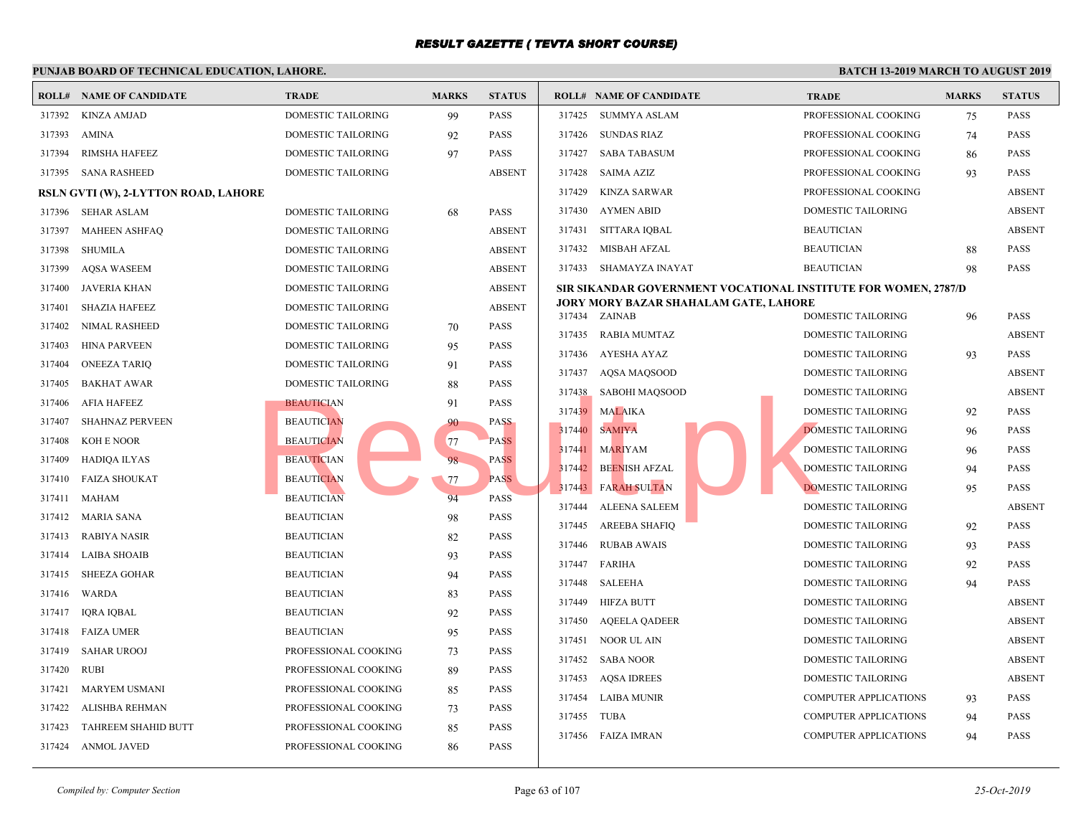|        |                                      |                      | PUNJAB BOARD OF TECHNICAL EDUCATION, LAHORE. |               |               |                                           |              |  |  |  |  |  |  |
|--------|--------------------------------------|----------------------|----------------------------------------------|---------------|---------------|-------------------------------------------|--------------|--|--|--|--|--|--|
|        | <b>ROLL# NAME OF CANDIDATE</b>       | <b>TRADE</b>         | <b>MARKS</b>                                 | <b>STATUS</b> |               | <b>ROLL# NAME OF CANDIDATE</b>            | <b>TRAL</b>  |  |  |  |  |  |  |
| 317392 | <b>KINZA AMJAD</b>                   | DOMESTIC TAILORING   | 99                                           | <b>PASS</b>   |               | 317425 SUMMYA ASLAM                       | <b>PROFI</b> |  |  |  |  |  |  |
| 317393 | <b>AMINA</b>                         | DOMESTIC TAILORING   | 92                                           | <b>PASS</b>   | 317426        | SUNDAS RIAZ                               | <b>PROFE</b> |  |  |  |  |  |  |
| 317394 | RIMSHA HAFEEZ                        | DOMESTIC TAILORING   | 97                                           | <b>PASS</b>   | 317427        | SABA TABASUM                              | <b>PROFE</b> |  |  |  |  |  |  |
| 317395 | <b>SANA RASHEED</b>                  | DOMESTIC TAILORING   |                                              | <b>ABSENT</b> | 317428        | SAIMA AZIZ                                | <b>PROFF</b> |  |  |  |  |  |  |
|        | RSLN GVTI (W), 2-LYTTON ROAD, LAHORE |                      |                                              |               | 317429        | KINZA SARWAR                              | <b>PROFE</b> |  |  |  |  |  |  |
| 317396 | SEHAR ASLAM                          | DOMESTIC TAILORING   | 68                                           | <b>PASS</b>   | 317430        | AYMEN ABID                                | <b>DOME</b>  |  |  |  |  |  |  |
| 317397 | <b>MAHEEN ASHFAQ</b>                 | DOMESTIC TAILORING   |                                              | <b>ABSENT</b> | 317431        | SITTARA IQBAL                             | <b>BEAU</b>  |  |  |  |  |  |  |
| 317398 | <b>SHUMILA</b>                       | DOMESTIC TAILORING   |                                              | <b>ABSENT</b> | 317432        | MISBAH AFZAL                              | <b>BEAU</b>  |  |  |  |  |  |  |
| 317399 | <b>AQSA WASEEM</b>                   | DOMESTIC TAILORING   |                                              | <b>ABSENT</b> |               | 317433 SHAMAYZA INAYAT                    | <b>BEAU</b>  |  |  |  |  |  |  |
| 317400 | <b>JAVERIA KHAN</b>                  | DOMESTIC TAILORING   |                                              | <b>ABSENT</b> |               | SIR SIKANDAR GOVERNMENT VOCATIONAL INSTIT |              |  |  |  |  |  |  |
| 317401 | <b>SHAZIA HAFEEZ</b>                 | DOMESTIC TAILORING   |                                              | <b>ABSENT</b> | 317434 ZAINAB | JORY MORY BAZAR SHAHALAM GATE, LAHORE     | <b>DOME</b>  |  |  |  |  |  |  |
| 317402 | NIMAL RASHEED                        | DOMESTIC TAILORING   | 70                                           | <b>PASS</b>   | 317435        | RABIA MUMTAZ                              | <b>DOME</b>  |  |  |  |  |  |  |
| 317403 | <b>HINA PARVEEN</b>                  | DOMESTIC TAILORING   | 95                                           | <b>PASS</b>   | 317436        | AYESHA AYAZ                               | <b>DOME</b>  |  |  |  |  |  |  |
| 317404 | <b>ONEEZA TARIQ</b>                  | DOMESTIC TAILORING   | 91                                           | <b>PASS</b>   | 317437        | AQSA MAQSOOD                              | <b>DOME</b>  |  |  |  |  |  |  |
| 317405 | <b>BAKHAT AWAR</b>                   | DOMESTIC TAILORING   | 88                                           | <b>PASS</b>   | 317438        | SABOHI MAQSOOD                            | <b>DOME</b>  |  |  |  |  |  |  |
| 317406 | <b>AFIA HAFEEZ</b>                   | <b>BEAUTICIAN</b>    | 91                                           | <b>PASS</b>   | 317439        | <b>MALAIKA</b>                            | <b>DOME</b>  |  |  |  |  |  |  |
| 317407 | <b>SHAHNAZ PERVEEN</b>               | <b>BEAUTICIAN</b>    | 90                                           | <b>PASS</b>   | 317440        | <b>SAMIYA</b>                             | <b>DOME</b>  |  |  |  |  |  |  |
| 317408 | KOH E NOOR                           | <b>BEAUTICIAN</b>    | 77                                           | <b>PASS</b>   | 317441        | <b>MARIYAM</b>                            | <b>DOME</b>  |  |  |  |  |  |  |
| 317409 | <b>HADIQA ILYAS</b>                  | <b>BEAUTICIAN</b>    | 98                                           | <b>PASS</b>   | 317442        | <b>BEENISH AFZAL</b>                      | <b>DOME</b>  |  |  |  |  |  |  |
| 317410 | <b>FAIZA SHOUKAT</b>                 | <b>BEAUTICIAN</b>    | 77                                           | <b>PASS</b>   | 317443        | <b>FARAH SULTAN</b>                       | <b>DOME</b>  |  |  |  |  |  |  |
| 317411 | <b>MAHAM</b>                         | <b>BEAUTICIAN</b>    | 94                                           | <b>PASS</b>   | 317444        | <b>ALEENA SALEEM</b>                      | <b>DOME</b>  |  |  |  |  |  |  |
| 317412 | <b>MARIA SANA</b>                    | <b>BEAUTICIAN</b>    | 98                                           | <b>PASS</b>   | 317445        | AREEBA SHAFIQ                             | <b>DOME</b>  |  |  |  |  |  |  |
| 317413 | RABIYA NASIR                         | <b>BEAUTICIAN</b>    | 82                                           | <b>PASS</b>   | 317446        | <b>RUBAB AWAIS</b>                        | <b>DOME</b>  |  |  |  |  |  |  |
| 317414 | <b>LAIBA SHOAIB</b>                  | <b>BEAUTICIAN</b>    | 93                                           | <b>PASS</b>   | 317447        | FARIHA                                    | <b>DOME</b>  |  |  |  |  |  |  |
| 317415 | <b>SHEEZA GOHAR</b>                  | <b>BEAUTICIAN</b>    | 94                                           | <b>PASS</b>   | 317448        | SALEEHA                                   | <b>DOME</b>  |  |  |  |  |  |  |
| 317416 | <b>WARDA</b>                         | <b>BEAUTICIAN</b>    | 83                                           | <b>PASS</b>   | 317449        | <b>HIFZA BUTT</b>                         | <b>DOME</b>  |  |  |  |  |  |  |
| 317417 | IQRA IQBAL                           | <b>BEAUTICIAN</b>    | 92                                           | <b>PASS</b>   | 317450        | AQEELA QADEER                             | <b>DOME</b>  |  |  |  |  |  |  |
| 317418 | <b>FAIZA UMER</b>                    | <b>BEAUTICIAN</b>    | 95                                           | <b>PASS</b>   | 317451        | NOOR UL AIN                               | <b>DOME</b>  |  |  |  |  |  |  |
| 317419 | <b>SAHAR UROOJ</b>                   | PROFESSIONAL COOKING | 73                                           | <b>PASS</b>   | 317452        | SABA NOOR                                 | <b>DOME</b>  |  |  |  |  |  |  |
| 317420 | <b>RUBI</b>                          | PROFESSIONAL COOKING | 89                                           | <b>PASS</b>   | 317453        | <b>AQSA IDREES</b>                        | <b>DOME</b>  |  |  |  |  |  |  |
| 317421 | MARYEM USMANI                        | PROFESSIONAL COOKING | 85                                           | <b>PASS</b>   | 317454        | LAIBA MUNIR                               | <b>COMP</b>  |  |  |  |  |  |  |
| 317422 | ALISHBA REHMAN                       | PROFESSIONAL COOKING | 73                                           | <b>PASS</b>   | 317455        | TUBA                                      | <b>COMP</b>  |  |  |  |  |  |  |
| 317423 | TAHREEM SHAHID BUTT                  | PROFESSIONAL COOKING | 85                                           | <b>PASS</b>   |               | 317456 FAIZA IMRAN                        | COMP         |  |  |  |  |  |  |
| 317424 | <b>ANMOL JAVED</b>                   | PROFESSIONAL COOKING | 86                                           | <b>PASS</b>   |               |                                           |              |  |  |  |  |  |  |
|        |                                      |                      |                                              |               |               |                                           |              |  |  |  |  |  |  |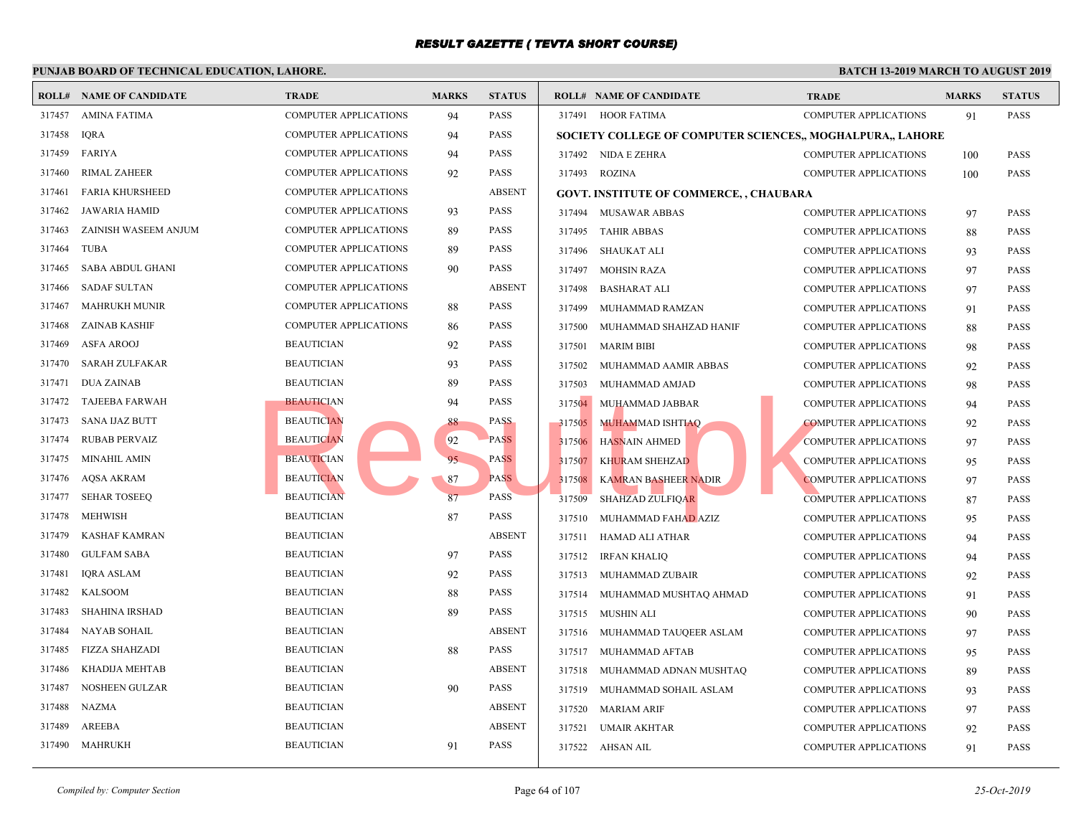|        | <b>ROLL# NAME OF CANDIDATE</b> | <b>TRADE</b>                 | <b>MARKS</b> | <b>STATUS</b> |        | <b>ROLL# NAME OF CANDIDATE</b>                    | <b>TRAL</b> |
|--------|--------------------------------|------------------------------|--------------|---------------|--------|---------------------------------------------------|-------------|
| 317457 | <b>AMINA FATIMA</b>            | <b>COMPUTER APPLICATIONS</b> | 94           | <b>PASS</b>   |        | 317491 HOOR FATIMA                                | <b>COMP</b> |
| 317458 | <b>IQRA</b>                    | <b>COMPUTER APPLICATIONS</b> | 94           | <b>PASS</b>   |        | <b>SOCIETY COLLEGE OF COMPUTER SCIENCES,, MOC</b> |             |
| 317459 | FARIYA                         | COMPUTER APPLICATIONS        | 94           | <b>PASS</b>   |        | 317492 NIDA E ZEHRA                               | <b>COMP</b> |
| 317460 | <b>RIMAL ZAHEER</b>            | <b>COMPUTER APPLICATIONS</b> | 92           | <b>PASS</b>   |        | 317493 ROZINA                                     | <b>COMP</b> |
| 317461 | <b>FARIA KHURSHEED</b>         | <b>COMPUTER APPLICATIONS</b> |              | <b>ABSENT</b> |        | <b>GOVT. INSTITUTE OF COMMERCE, , CHAUBARA</b>    |             |
| 317462 | <b>JAWARIA HAMID</b>           | <b>COMPUTER APPLICATIONS</b> | 93           | <b>PASS</b>   |        | 317494 MUSAWAR ABBAS                              | <b>COMP</b> |
| 317463 | ZAINISH WASEEM ANJUM           | COMPUTER APPLICATIONS        | 89           | <b>PASS</b>   | 317495 | <b>TAHIR ABBAS</b>                                | <b>COMP</b> |
| 317464 | <b>TUBA</b>                    | <b>COMPUTER APPLICATIONS</b> | 89           | <b>PASS</b>   | 317496 | SHAUKAT ALI                                       | <b>COMP</b> |
| 317465 | SABA ABDUL GHANI               | <b>COMPUTER APPLICATIONS</b> | 90           | <b>PASS</b>   | 317497 | <b>MOHSIN RAZA</b>                                | <b>COMP</b> |
| 317466 | <b>SADAF SULTAN</b>            | <b>COMPUTER APPLICATIONS</b> |              | <b>ABSENT</b> | 317498 | <b>BASHARAT ALI</b>                               | <b>COMP</b> |
| 317467 | <b>MAHRUKH MUNIR</b>           | <b>COMPUTER APPLICATIONS</b> | 88           | <b>PASS</b>   | 317499 | MUHAMMAD RAMZAN                                   | <b>COMP</b> |
| 317468 | <b>ZAINAB KASHIF</b>           | <b>COMPUTER APPLICATIONS</b> | 86           | <b>PASS</b>   | 317500 | MUHAMMAD SHAHZAD HANIF                            | <b>COMP</b> |
| 317469 | <b>ASFA AROOJ</b>              | <b>BEAUTICIAN</b>            | 92           | <b>PASS</b>   | 317501 | <b>MARIM BIBI</b>                                 | <b>COMP</b> |
| 317470 | <b>SARAH ZULFAKAR</b>          | <b>BEAUTICIAN</b>            | 93           | <b>PASS</b>   | 317502 | MUHAMMAD AAMIR ABBAS                              | <b>COMP</b> |
| 317471 | <b>DUA ZAINAB</b>              | <b>BEAUTICIAN</b>            | 89           | <b>PASS</b>   | 317503 | MUHAMMAD AMJAD                                    | <b>COMP</b> |
| 317472 | <b>TAJEEBA FARWAH</b>          | <b>BEAUTICIAN</b>            | 94           | <b>PASS</b>   | 317504 | MUHAMMAD JABBAR                                   | <b>COMP</b> |
| 317473 | <b>SANA IJAZ BUTT</b>          | <b>BEAUTICIAN</b>            | 88           | <b>PASS</b>   | 317505 | <b>MUHAMMAD ISHTIAQ</b>                           | <b>COMP</b> |
| 317474 | <b>RUBAB PERVAIZ</b>           | <b>BEAUTICIAN</b>            | 92           | <b>PASS</b>   | 317506 | <b>HASNAIN AHMED</b>                              | <b>COMP</b> |
| 317475 | MINAHIL AMIN                   | <b>BEAUTICIAN</b>            | 95           | <b>PASS</b>   | 317507 | <b>KHURAM SHEHZAD</b>                             | <b>COMP</b> |
| 317476 | AQSA AKRAM                     | <b>BEAUTICIAN</b>            | 87           | <b>PASS</b>   | 317508 | <b>KAMRAN BASHEER NADIR</b>                       | <b>COMP</b> |
| 317477 | <b>SEHAR TOSEEO</b>            | <b>BEAUTICIAN</b>            | 87           | <b>PASS</b>   | 317509 | <b>SHAHZAD ZULFIQAR</b>                           | <b>COMP</b> |
| 317478 | MEHWISH                        | <b>BEAUTICIAN</b>            | 87           | <b>PASS</b>   | 317510 | MUHAMMAD FAHAD AZIZ                               | <b>COMP</b> |
| 317479 | KASHAF KAMRAN                  | <b>BEAUTICIAN</b>            |              | <b>ABSENT</b> | 317511 | HAMAD ALI ATHAR                                   | <b>COMP</b> |
| 317480 | <b>GULFAM SABA</b>             | <b>BEAUTICIAN</b>            | 97           | <b>PASS</b>   | 317512 | IRFAN KHALIQ                                      | <b>COMP</b> |
| 317481 | <b>IQRA ASLAM</b>              | <b>BEAUTICIAN</b>            | 92           | <b>PASS</b>   |        | 317513 MUHAMMAD ZUBAIR                            | <b>COMP</b> |
| 317482 | <b>KALSOOM</b>                 | <b>BEAUTICIAN</b>            | 88           | <b>PASS</b>   | 317514 | MUHAMMAD MUSHTAQ AHMAD                            | <b>COMP</b> |
| 317483 | <b>SHAHINA IRSHAD</b>          | <b>BEAUTICIAN</b>            | 89           | <b>PASS</b>   | 317515 | MUSHIN ALI                                        | <b>COMP</b> |
| 317484 | <b>NAYAB SOHAIL</b>            | <b>BEAUTICIAN</b>            |              | <b>ABSENT</b> | 317516 | MUHAMMAD TAUQEER ASLAM                            | <b>COMP</b> |
| 317485 | <b>FIZZA SHAHZADI</b>          | <b>BEAUTICIAN</b>            | 88           | <b>PASS</b>   | 317517 | MUHAMMAD AFTAB                                    | <b>COMP</b> |
| 317486 | KHADIJA MEHTAB                 | <b>BEAUTICIAN</b>            |              | <b>ABSENT</b> | 317518 | MUHAMMAD ADNAN MUSHTAQ                            | <b>COMP</b> |
| 317487 | NOSHEEN GULZAR                 | <b>BEAUTICIAN</b>            | 90           | <b>PASS</b>   | 317519 | MUHAMMAD SOHAIL ASLAM                             | <b>COMP</b> |
| 317488 | <b>NAZMA</b>                   | <b>BEAUTICIAN</b>            |              | <b>ABSENT</b> |        | 317520 MARIAM ARIF                                | <b>COMP</b> |
| 317489 | AREEBA                         | <b>BEAUTICIAN</b>            |              | <b>ABSENT</b> | 317521 | <b>UMAIR AKHTAR</b>                               | <b>COMP</b> |
| 317490 | <b>MAHRUKH</b>                 | <b>BEAUTICIAN</b>            | 91           | <b>PASS</b>   |        | 317522 AHSAN AIL                                  | <b>COMP</b> |
|        |                                |                              |              |               |        |                                                   |             |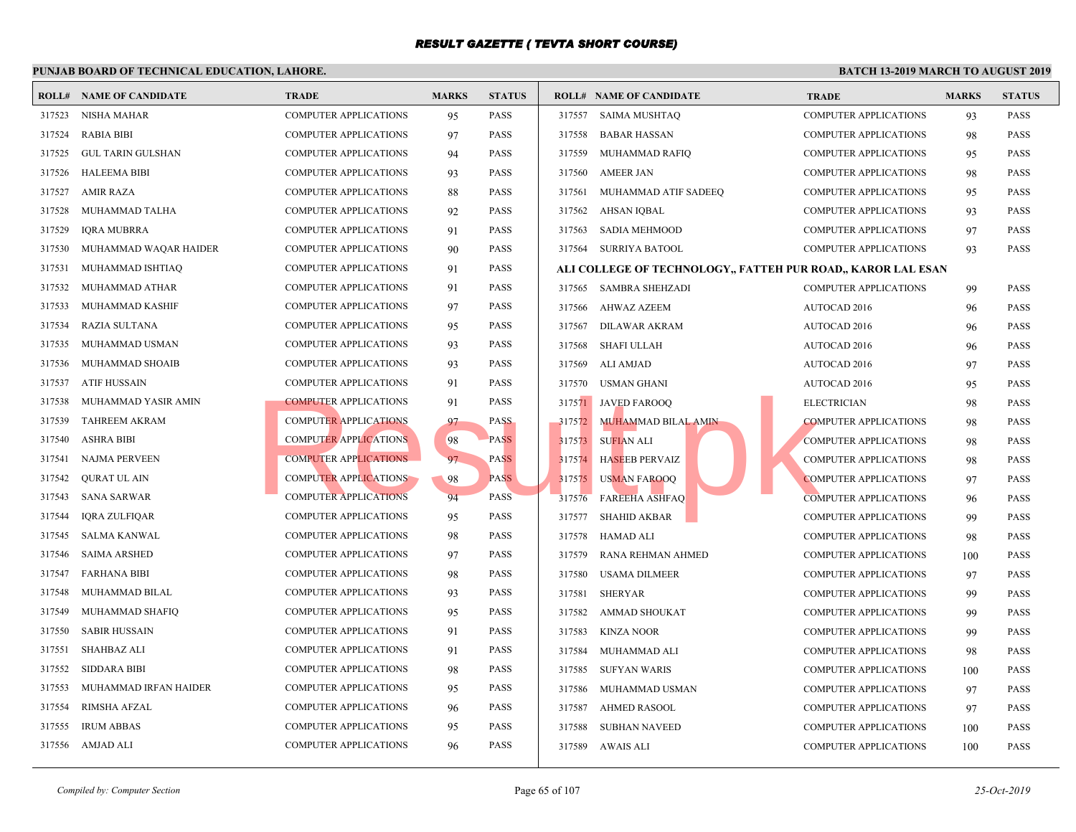|        | <b>ROLL# NAME OF CANDIDATE</b> | <b>TRADE</b>                 | <b>MARKS</b> | <b>STATUS</b> |        | <b>ROLL# NAME OF CANDIDATE</b>             | <b>TRAL</b>  |
|--------|--------------------------------|------------------------------|--------------|---------------|--------|--------------------------------------------|--------------|
| 317523 | <b>NISHA MAHAR</b>             | COMPUTER APPLICATIONS        | 95           | <b>PASS</b>   | 317557 | <b>SAIMA MUSHTAQ</b>                       | <b>COMP</b>  |
| 317524 | <b>RABIA BIBI</b>              | COMPUTER APPLICATIONS        | 97           | <b>PASS</b>   | 317558 | <b>BABAR HASSAN</b>                        | <b>COMP</b>  |
| 317525 | <b>GUL TARIN GULSHAN</b>       | <b>COMPUTER APPLICATIONS</b> | 94           | <b>PASS</b>   | 317559 | MUHAMMAD RAFIQ                             | <b>COMP</b>  |
| 317526 | <b>HALEEMA BIBI</b>            | COMPUTER APPLICATIONS        | 93           | <b>PASS</b>   | 317560 | <b>AMEER JAN</b>                           | <b>COMP</b>  |
| 317527 | <b>AMIR RAZA</b>               | <b>COMPUTER APPLICATIONS</b> | 88           | <b>PASS</b>   | 317561 | MUHAMMAD ATIF SADEEQ                       | <b>COMP</b>  |
| 317528 | MUHAMMAD TALHA                 | COMPUTER APPLICATIONS        | 92           | <b>PASS</b>   | 317562 | AHSAN IQBAL                                | <b>COMP</b>  |
| 317529 | <b>IQRA MUBRRA</b>             | COMPUTER APPLICATIONS        | 91           | <b>PASS</b>   | 317563 | <b>SADIA MEHMOOD</b>                       | <b>COMP</b>  |
| 317530 | MUHAMMAD WAQAR HAIDER          | COMPUTER APPLICATIONS        | 90           | <b>PASS</b>   | 317564 | SURRIYA BATOOL                             | <b>COMP</b>  |
| 317531 | MUHAMMAD ISHTIAQ               | <b>COMPUTER APPLICATIONS</b> | 91           | <b>PASS</b>   |        | ALI COLLEGE OF TECHNOLOGY,, FATTEH PUR ROA |              |
| 317532 | MUHAMMAD ATHAR                 | <b>COMPUTER APPLICATIONS</b> | 91           | <b>PASS</b>   | 317565 | <b>SAMBRA SHEHZADI</b>                     | <b>COMP</b>  |
| 317533 | MUHAMMAD KASHIF                | <b>COMPUTER APPLICATIONS</b> | 97           | <b>PASS</b>   | 317566 | AHWAZ AZEEM                                | <b>AUTO</b>  |
| 317534 | <b>RAZIA SULTANA</b>           | COMPUTER APPLICATIONS        | 95           | <b>PASS</b>   | 317567 | DILAWAR AKRAM                              | <b>AUTO</b>  |
| 317535 | MUHAMMAD USMAN                 | COMPUTER APPLICATIONS        | 93           | <b>PASS</b>   | 317568 | <b>SHAFI ULLAH</b>                         | <b>AUTO</b>  |
| 317536 | MUHAMMAD SHOAIB                | COMPUTER APPLICATIONS        | 93           | <b>PASS</b>   | 317569 | ALI AMJAD                                  | <b>AUTO</b>  |
| 317537 | ATIF HUSSAIN                   | <b>COMPUTER APPLICATIONS</b> | 91           | <b>PASS</b>   | 317570 | USMAN GHANI                                | <b>AUTO</b>  |
| 317538 | MUHAMMAD YASIR AMIN            | <b>COMPUTER APPLICATIONS</b> | 91           | <b>PASS</b>   | 317571 | <b>JAVED FAROOO</b>                        | <b>ELECT</b> |
| 317539 | <b>TAHREEM AKRAM</b>           | <b>COMPUTER APPLICATIONS</b> | 97           | <b>PASS</b>   | 317572 | <b>MUHAMMAD BILAL AMIN</b>                 | <b>COMP</b>  |
| 317540 | <b>ASHRA BIBI</b>              | <b>COMPUTER APPLICATIONS</b> | 98           | <b>PASS</b>   | 317573 | <b>SUFIAN ALI</b>                          | <b>COMP</b>  |
| 317541 | NAJMA PERVEEN                  | <b>COMPUTER APPLICATIONS</b> | 97           | <b>PASS</b>   | 317574 | <b>HASEEB PERVAIZ</b>                      | <b>COMP</b>  |
| 317542 | QURAT UL AIN                   | <b>COMPUTER APPLICATIONS</b> | 98           | <b>PASS</b>   | 317575 | <b>USMAN FAROOQ</b>                        | <b>COMP</b>  |
| 317543 | <b>SANA SARWAR</b>             | <b>COMPUTER APPLICATIONS</b> | 94           | <b>PASS</b>   | 317576 | <b>FAREEHA ASHFAQ</b>                      | <b>COMP</b>  |
| 317544 | IQRA ZULFIQAR                  | COMPUTER APPLICATIONS        | 95           | <b>PASS</b>   | 317577 | <b>SHAHID AKBAR</b>                        | <b>COMP</b>  |
| 317545 | <b>SALMA KANWAL</b>            | <b>COMPUTER APPLICATIONS</b> | 98           | <b>PASS</b>   | 317578 | HAMAD ALI                                  | <b>COMP</b>  |
| 317546 | <b>SAIMA ARSHED</b>            | COMPUTER APPLICATIONS        | 97           | <b>PASS</b>   | 317579 | RANA REHMAN AHMED                          | <b>COMP</b>  |
| 317547 | <b>FARHANA BIBI</b>            | COMPUTER APPLICATIONS        | 98           | <b>PASS</b>   | 317580 | <b>USAMA DILMEER</b>                       | <b>COMP</b>  |
| 317548 | MUHAMMAD BILAL                 | COMPUTER APPLICATIONS        | 93           | <b>PASS</b>   | 317581 | <b>SHERYAR</b>                             | <b>COMP</b>  |
| 317549 | MUHAMMAD SHAFIQ                | COMPUTER APPLICATIONS        | 95           | <b>PASS</b>   | 317582 | <b>AMMAD SHOUKAT</b>                       | <b>COMP</b>  |
| 317550 | <b>SABIR HUSSAIN</b>           | <b>COMPUTER APPLICATIONS</b> | 91           | <b>PASS</b>   | 317583 | <b>KINZA NOOR</b>                          | <b>COMP</b>  |
| 317551 | <b>SHAHBAZ ALI</b>             | <b>COMPUTER APPLICATIONS</b> | 91           | <b>PASS</b>   | 317584 | MUHAMMAD ALI                               | <b>COMP</b>  |
| 317552 | <b>SIDDARA BIBI</b>            | <b>COMPUTER APPLICATIONS</b> | 98           | <b>PASS</b>   | 317585 | <b>SUFYAN WARIS</b>                        | <b>COMP</b>  |
| 317553 | MUHAMMAD IRFAN HAIDER          | COMPUTER APPLICATIONS        | 95           | <b>PASS</b>   | 317586 | MUHAMMAD USMAN                             | <b>COMP</b>  |
| 317554 | <b>RIMSHA AFZAL</b>            | COMPUTER APPLICATIONS        | 96           | <b>PASS</b>   | 317587 | <b>AHMED RASOOL</b>                        | <b>COMP</b>  |
| 317555 | <b>IRUM ABBAS</b>              | COMPUTER APPLICATIONS        | 95           | <b>PASS</b>   | 317588 | <b>SUBHAN NAVEED</b>                       | COMP         |
|        | 317556 AMJAD ALI               | <b>COMPUTER APPLICATIONS</b> | 96           | <b>PASS</b>   |        | 317589 AWAIS ALI                           | COMP         |
|        |                                |                              |              |               |        |                                            |              |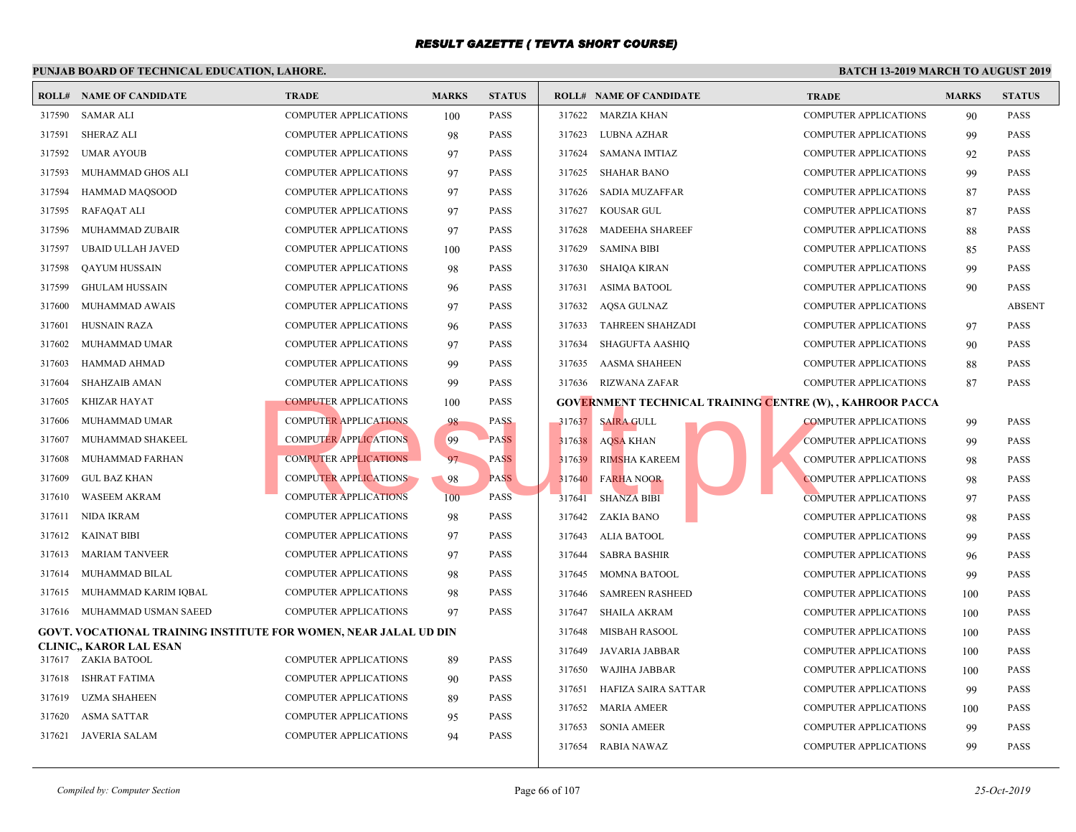|        | <b>ROLL# NAME OF CANDIDATE</b>                                   | <b>TRADE</b>                 | <b>MARKS</b> | <b>STATUS</b> |        | <b>ROLL# NAME OF CANDIDATE</b>                   | <b>TRAL</b> |  |
|--------|------------------------------------------------------------------|------------------------------|--------------|---------------|--------|--------------------------------------------------|-------------|--|
| 317590 | SAMAR ALI                                                        | <b>COMPUTER APPLICATIONS</b> | 100          | <b>PASS</b>   |        | 317622 MARZIA KHAN                               | <b>COMP</b> |  |
| 317591 | <b>SHERAZ ALI</b>                                                | <b>COMPUTER APPLICATIONS</b> | 98           | <b>PASS</b>   | 317623 | LUBNA AZHAR                                      | <b>COMP</b> |  |
| 317592 | <b>UMAR AYOUB</b>                                                | <b>COMPUTER APPLICATIONS</b> | 97           | <b>PASS</b>   | 317624 | SAMANA IMTIAZ                                    | <b>COMP</b> |  |
| 317593 | MUHAMMAD GHOS ALI                                                | COMPUTER APPLICATIONS        | 97           | <b>PASS</b>   | 317625 | <b>SHAHAR BANO</b>                               | <b>COMP</b> |  |
| 317594 | <b>HAMMAD MAQSOOD</b>                                            | COMPUTER APPLICATIONS        | 97           | <b>PASS</b>   | 317626 | SADIA MUZAFFAR                                   | <b>COMP</b> |  |
| 317595 | RAFAQAT ALI                                                      | <b>COMPUTER APPLICATIONS</b> | 97           | <b>PASS</b>   | 317627 | KOUSAR GUL                                       | <b>COMP</b> |  |
| 317596 | MUHAMMAD ZUBAIR                                                  | <b>COMPUTER APPLICATIONS</b> | 97           | <b>PASS</b>   | 317628 | <b>MADEEHA SHAREEF</b>                           | <b>COMP</b> |  |
| 317597 | UBAID ULLAH JAVED                                                | <b>COMPUTER APPLICATIONS</b> | 100          | <b>PASS</b>   | 317629 | <b>SAMINA BIBI</b>                               | <b>COMP</b> |  |
| 317598 | <b>QAYUM HUSSAIN</b>                                             | <b>COMPUTER APPLICATIONS</b> | 98           | <b>PASS</b>   | 317630 | SHAIQA KIRAN                                     | <b>COMP</b> |  |
| 317599 | <b>GHULAM HUSSAIN</b>                                            | <b>COMPUTER APPLICATIONS</b> | 96           | <b>PASS</b>   | 317631 | ASIMA BATOOL                                     | <b>COMP</b> |  |
| 317600 | MUHAMMAD AWAIS                                                   | <b>COMPUTER APPLICATIONS</b> | 97           | <b>PASS</b>   | 317632 | AQSA GULNAZ                                      | <b>COMP</b> |  |
| 317601 | <b>HUSNAIN RAZA</b>                                              | <b>COMPUTER APPLICATIONS</b> | 96           | <b>PASS</b>   | 317633 | TAHREEN SHAHZADI                                 | <b>COMP</b> |  |
| 317602 | MUHAMMAD UMAR                                                    | <b>COMPUTER APPLICATIONS</b> | 97           | <b>PASS</b>   | 317634 | <b>SHAGUFTA AASHIQ</b>                           | <b>COMP</b> |  |
| 317603 | <b>HAMMAD AHMAD</b>                                              | <b>COMPUTER APPLICATIONS</b> | 99           | <b>PASS</b>   | 317635 | AASMA SHAHEEN                                    | <b>COMP</b> |  |
| 317604 | <b>SHAHZAIB AMAN</b>                                             | <b>COMPUTER APPLICATIONS</b> | 99           | PASS          | 317636 | RIZWANA ZAFAR                                    | <b>COMP</b> |  |
| 317605 | KHIZAR HAYAT                                                     | <b>COMPUTER APPLICATIONS</b> | 100          | <b>PASS</b>   |        | <b>GOVERNMENT TECHNICAL TRAINING CENTRE (W).</b> |             |  |
| 317606 | MUHAMMAD UMAR                                                    | <b>COMPUTER APPLICATIONS</b> | 98           | <b>PASS</b>   |        | 317637 SAIRA GULL                                | <b>COMP</b> |  |
| 317607 | MUHAMMAD SHAKEEL                                                 | <b>COMPUTER APPLICATIONS</b> | 99           | PASS          |        | 317638 AQSA KHAN                                 | <b>COMP</b> |  |
| 317608 | MUHAMMAD FARHAN                                                  | <b>COMPUTER APPLICATIONS</b> | 97           | <b>PASS</b>   | 317639 | RIMSHA KAREEM                                    | <b>COMP</b> |  |
| 317609 | <b>GUL BAZ KHAN</b>                                              | <b>COMPUTER APPLICATIONS</b> | 98           | <b>PASS</b>   | 317640 | <b>FARHA NOOR</b>                                | <b>COMP</b> |  |
| 317610 | WASEEM AKRAM                                                     | <b>COMPUTER APPLICATIONS</b> | 100          | <b>PASS</b>   | 317641 | <b>SHANZA BIBI</b>                               | <b>COMP</b> |  |
| 317611 | NIDA IKRAM                                                       | <b>COMPUTER APPLICATIONS</b> | 98           | <b>PASS</b>   |        | 317642 ZAKIA BANO                                | <b>COMP</b> |  |
| 317612 | KAINAT BIBI                                                      | COMPUTER APPLICATIONS        | 97           | <b>PASS</b>   | 317643 | ALIA BATOOL                                      | <b>COMP</b> |  |
| 317613 | <b>MARIAM TANVEER</b>                                            | <b>COMPUTER APPLICATIONS</b> | 97           | <b>PASS</b>   | 317644 | <b>SABRA BASHIR</b>                              | <b>COMP</b> |  |
| 317614 | MUHAMMAD BILAL                                                   | <b>COMPUTER APPLICATIONS</b> | 98           | <b>PASS</b>   | 317645 | MOMNA BATOOL                                     | <b>COMP</b> |  |
| 317615 | MUHAMMAD KARIM IQBAL                                             | <b>COMPUTER APPLICATIONS</b> | 98           | PASS          | 317646 | <b>SAMREEN RASHEED</b>                           | <b>COMP</b> |  |
| 317616 | MUHAMMAD USMAN SAEED                                             | <b>COMPUTER APPLICATIONS</b> | 97           | <b>PASS</b>   | 317647 | <b>SHAILA AKRAM</b>                              | <b>COMP</b> |  |
|        | GOVT. VOCATIONAL TRAINING INSTITUTE FOR WOMEN, NEAR JALAL UD DIN |                              |              |               | 317648 | <b>MISBAH RASOOL</b>                             | <b>COMP</b> |  |
|        | <b>CLINIC., KAROR LAL ESAN</b>                                   |                              |              |               | 317649 | JAVARIA JABBAR                                   | <b>COMP</b> |  |
|        | 317617 ZAKIA BATOOL                                              | <b>COMPUTER APPLICATIONS</b> | 89           | <b>PASS</b>   | 317650 | WAJIHA JABBAR                                    | <b>COMP</b> |  |
| 317618 | ISHRAT FATIMA                                                    | <b>COMPUTER APPLICATIONS</b> | 90           | <b>PASS</b>   | 317651 | HAFIZA SAIRA SATTAR                              | <b>COMP</b> |  |
| 317619 | <b>UZMA SHAHEEN</b>                                              | <b>COMPUTER APPLICATIONS</b> | 89           | <b>PASS</b>   | 317652 | MARIA AMEER                                      | <b>COMP</b> |  |
| 317620 | ASMA SATTAR                                                      | <b>COMPUTER APPLICATIONS</b> | 95           | <b>PASS</b>   | 317653 | <b>SONIA AMEER</b>                               | <b>COMP</b> |  |
| 317621 | <b>JAVERIA SALAM</b>                                             | <b>COMPUTER APPLICATIONS</b> | 94           | <b>PASS</b>   | 317654 | <b>RABIA NAWAZ</b>                               | <b>COMP</b> |  |
|        |                                                                  |                              |              |               |        |                                                  |             |  |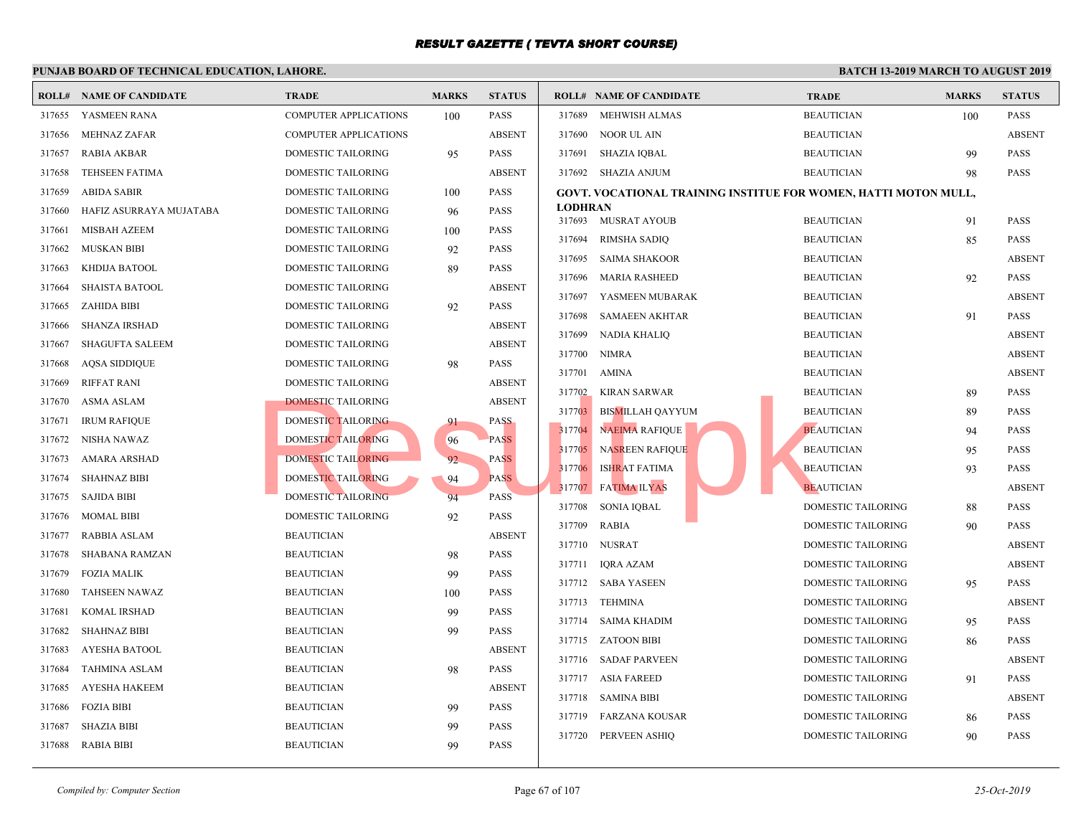|        | <b>ROLL# NAME OF CANDIDATE</b> | <b>TRADE</b>                 | <b>MARKS</b> | <b>STATUS</b> |                | <b>ROLL# NAME OF CANDIDATE</b>                    | <b>TRAL</b> |
|--------|--------------------------------|------------------------------|--------------|---------------|----------------|---------------------------------------------------|-------------|
|        | 317655 YASMEEN RANA            | <b>COMPUTER APPLICATIONS</b> | 100          | <b>PASS</b>   | 317689         | MEHWISH ALMAS                                     | <b>BEAU</b> |
| 317656 | <b>MEHNAZ ZAFAR</b>            | <b>COMPUTER APPLICATIONS</b> |              | <b>ABSENT</b> | 317690         | NOOR UL AIN                                       | <b>BEAU</b> |
| 317657 | <b>RABIA AKBAR</b>             | DOMESTIC TAILORING           | 95           | <b>PASS</b>   | 317691         | SHAZIA IQBAL                                      | <b>BEAU</b> |
| 317658 | <b>TEHSEEN FATIMA</b>          | DOMESTIC TAILORING           |              | <b>ABSENT</b> |                | 317692 SHAZIA ANJUM                               | <b>BEAU</b> |
| 317659 | <b>ABIDA SABIR</b>             | DOMESTIC TAILORING           | 100          | <b>PASS</b>   |                | <b>GOVT. VOCATIONAL TRAINING INSTITUE FOR WON</b> |             |
| 317660 | HAFIZ ASURRAYA MUJATABA        | DOMESTIC TAILORING           | 96           | <b>PASS</b>   | <b>LODHRAN</b> |                                                   |             |
| 317661 | <b>MISBAH AZEEM</b>            | DOMESTIC TAILORING           | 100          | <b>PASS</b>   |                | 317693 MUSRAT AYOUB                               | <b>BEAU</b> |
| 317662 | <b>MUSKAN BIBI</b>             | DOMESTIC TAILORING           | 92           | <b>PASS</b>   | 317694         | <b>RIMSHA SADIQ</b>                               | <b>BEAU</b> |
| 317663 | KHDIJA BATOOL                  | DOMESTIC TAILORING           | 89           | <b>PASS</b>   | 317695         | <b>SAIMA SHAKOOR</b>                              | <b>BEAU</b> |
| 317664 | <b>SHAISTA BATOOL</b>          | DOMESTIC TAILORING           |              | <b>ABSENT</b> | 317696         | <b>MARIA RASHEED</b>                              | <b>BEAU</b> |
| 317665 | ZAHIDA BIBI                    | DOMESTIC TAILORING           | 92           | <b>PASS</b>   | 317697         | YASMEEN MUBARAK                                   | <b>BEAU</b> |
| 317666 | <b>SHANZA IRSHAD</b>           | DOMESTIC TAILORING           |              | <b>ABSENT</b> | 317698         | <b>SAMAEEN AKHTAR</b>                             | <b>BEAU</b> |
| 317667 | <b>SHAGUFTA SALEEM</b>         | DOMESTIC TAILORING           |              | <b>ABSENT</b> | 317699         | NADIA KHALIQ                                      | <b>BEAU</b> |
| 317668 | <b>AQSA SIDDIQUE</b>           | DOMESTIC TAILORING           | 98           | <b>PASS</b>   | 317700         | <b>NIMRA</b>                                      | <b>BEAU</b> |
| 317669 | <b>RIFFAT RANI</b>             | DOMESTIC TAILORING           |              | <b>ABSENT</b> | 317701         | AMINA                                             | <b>BEAU</b> |
| 317670 | ASMA ASLAM                     | <b>DOMESTIC TAILORING</b>    |              | <b>ABSENT</b> |                | 317702 KIRAN SARWAR                               | <b>BEAU</b> |
| 317671 | <b>IRUM RAFIQUE</b>            | DOMESTIC TAILORING           | 91           | <b>PASS</b>   | 317703         | <b>BISMILLAH QAYYUM</b>                           | <b>BEAU</b> |
| 317672 | NISHA NAWAZ                    | <b>DOMESTIC TAILORING</b>    | 96           | <b>PASS</b>   | 317704         | <b>NAEIMA RAFIQUE</b>                             | <b>BEAU</b> |
| 317673 | AMARA ARSHAD                   | DOMESTIC TAILORING           | 92           | <b>PASS</b>   | 317705         | <b>NASREEN RAFIQUE</b>                            | <b>BEAU</b> |
| 317674 | <b>SHAHNAZ BIBI</b>            | DOMESTIC TAILORING           | 94           | <b>PASS</b>   | 317706         | <b>ISHRAT FATIMA</b>                              | <b>BEAU</b> |
| 317675 | <b>SAJIDA BIBI</b>             | DOMESTIC TAILORING           | 94           | <b>PASS</b>   | 317707         | <b>FATIMA ILYAS</b>                               | <b>BEAU</b> |
| 317676 | <b>MOMAL BIBI</b>              | DOMESTIC TAILORING           | 92           | <b>PASS</b>   | 317708         | <b>SONIA IQBAL</b>                                | <b>DOME</b> |
| 317677 | <b>RABBIA ASLAM</b>            | <b>BEAUTICIAN</b>            |              | <b>ABSENT</b> | 317709         | <b>RABIA</b>                                      | <b>DOME</b> |
| 317678 | SHABANA RAMZAN                 | <b>BEAUTICIAN</b>            | 98           | <b>PASS</b>   |                | 317710 NUSRAT                                     | <b>DOME</b> |
| 317679 | <b>FOZIA MALIK</b>             | <b>BEAUTICIAN</b>            | 99           | <b>PASS</b>   |                | 317711 IQRA AZAM                                  | <b>DOME</b> |
| 317680 | <b>TAHSEEN NAWAZ</b>           | <b>BEAUTICIAN</b>            | 100          | <b>PASS</b>   |                | 317712 SABA YASEEN                                | <b>DOME</b> |
| 317681 | <b>KOMAL IRSHAD</b>            | <b>BEAUTICIAN</b>            | 99           | <b>PASS</b>   |                | 317713 TEHMINA                                    | <b>DOME</b> |
| 317682 | <b>SHAHNAZ BIBI</b>            | <b>BEAUTICIAN</b>            | 99           | <b>PASS</b>   |                | 317714 SAIMA KHADIM                               | <b>DOME</b> |
| 317683 | <b>AYESHA BATOOL</b>           | <b>BEAUTICIAN</b>            |              | <b>ABSENT</b> |                | 317715 ZATOON BIBI                                | <b>DOME</b> |
| 317684 | <b>TAHMINA ASLAM</b>           | <b>BEAUTICIAN</b>            | 98           | <b>PASS</b>   |                | 317716 SADAF PARVEEN                              | <b>DOME</b> |
| 317685 | AYESHA HAKEEM                  | <b>BEAUTICIAN</b>            |              | <b>ABSENT</b> |                | 317717 ASIA FAREED                                | <b>DOME</b> |
| 317686 | <b>FOZIA BIBI</b>              | <b>BEAUTICIAN</b>            | 99           | <b>PASS</b>   |                | 317718 SAMINA BIBI                                | <b>DOME</b> |
| 317687 | <b>SHAZIA BIBI</b>             | <b>BEAUTICIAN</b>            | 99           | <b>PASS</b>   |                | 317719 FARZANA KOUSAR                             | <b>DOME</b> |
| 317688 |                                |                              | 99           | <b>PASS</b>   |                | 317720 PERVEEN ASHIQ                              | <b>DOME</b> |
|        | RABIA BIBI                     | <b>BEAUTICIAN</b>            |              |               |                |                                                   |             |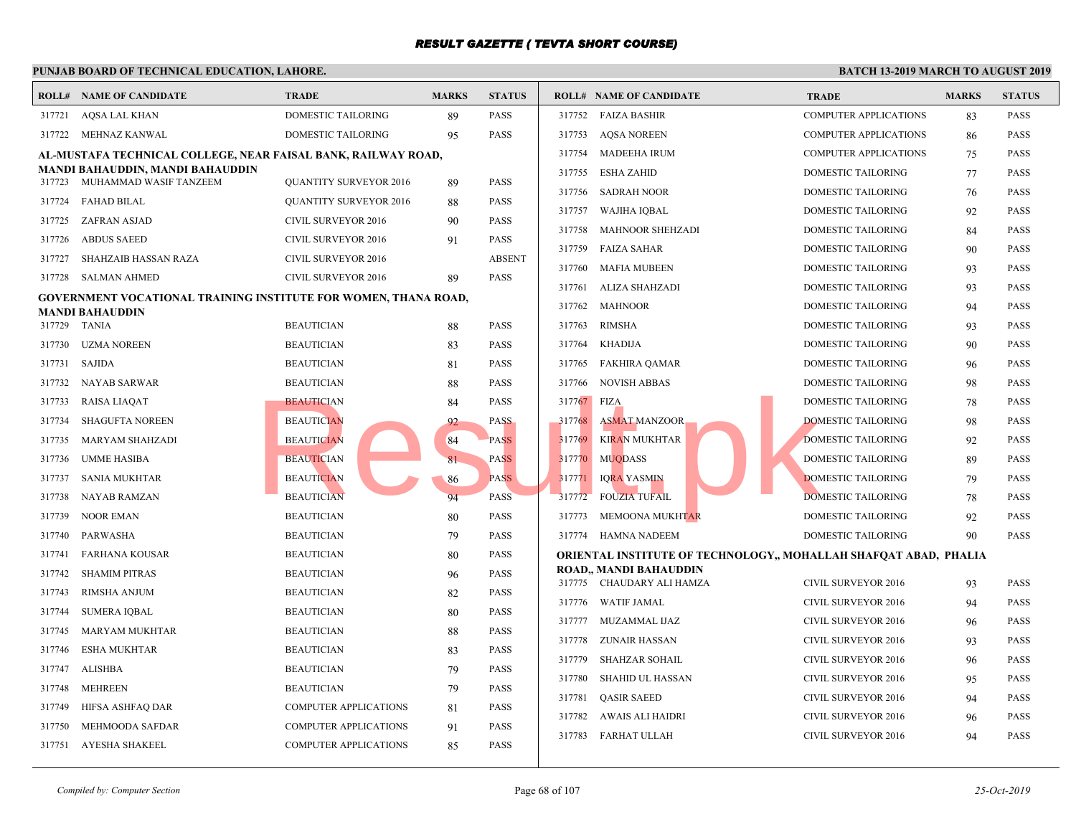|                                                               | PUNJAB BOARD OF TECHNICAL EDUCATION, LAHORE.                           |                               |              |               |        |                                           |              |
|---------------------------------------------------------------|------------------------------------------------------------------------|-------------------------------|--------------|---------------|--------|-------------------------------------------|--------------|
|                                                               | <b>ROLL# NAME OF CANDIDATE</b>                                         | <b>TRADE</b>                  | <b>MARKS</b> | <b>STATUS</b> |        | <b>ROLL# NAME OF CANDIDATE</b>            | <b>TRAL</b>  |
|                                                               | 317721 AQSA LAL KHAN                                                   | <b>DOMESTIC TAILORING</b>     | 89           | <b>PASS</b>   | 317752 | <b>FAIZA BASHIR</b>                       | COMP         |
|                                                               | 317722 MEHNAZ KANWAL                                                   | DOMESTIC TAILORING            | 95           | <b>PASS</b>   | 317753 | <b>AQSA NOREEN</b>                        | <b>COMP</b>  |
| AL-MUSTAFA TECHNICAL COLLEGE, NEAR FAISAL BANK, RAILWAY ROAD, |                                                                        |                               |              |               |        | <b>MADEEHA IRUM</b>                       | <b>COMP</b>  |
|                                                               | MANDI BAHAUDDIN, MANDI BAHAUDDIN                                       |                               |              |               | 317755 | <b>ESHA ZAHID</b>                         | <b>DOME</b>  |
| 317723                                                        | MUHAMMAD WASIF TANZEEM                                                 | <b>QUANTITY SURVEYOR 2016</b> | 89           | <b>PASS</b>   | 317756 | <b>SADRAH NOOR</b>                        | <b>DOME</b>  |
|                                                               | 317724 FAHAD BILAL                                                     | <b>QUANTITY SURVEYOR 2016</b> | 88           | <b>PASS</b>   | 317757 | WAJIHA IQBAL                              | <b>DOME</b>  |
| 317725                                                        | ZAFRAN ASJAD                                                           | CIVIL SURVEYOR 2016           | 90           | <b>PASS</b>   | 317758 | <b>MAHNOOR SHEHZADI</b>                   | <b>DOME</b>  |
| 317726                                                        | <b>ABDUS SAEED</b>                                                     | CIVIL SURVEYOR 2016           | 91           | <b>PASS</b>   | 317759 | <b>FAIZA SAHAR</b>                        | <b>DOME</b>  |
| 317727                                                        | SHAHZAIB HASSAN RAZA                                                   | <b>CIVIL SURVEYOR 2016</b>    |              | <b>ABSENT</b> | 317760 | <b>MAFIA MUBEEN</b>                       | <b>DOME</b>  |
|                                                               | 317728 SALMAN AHMED                                                    | CIVIL SURVEYOR 2016           | 89           | <b>PASS</b>   | 317761 | <b>ALIZA SHAHZADI</b>                     | <b>DOME</b>  |
|                                                               | <b>GOVERNMENT VOCATIONAL TRAINING INSTITUTE FOR WOMEN, THANA ROAD,</b> |                               |              |               | 317762 | <b>MAHNOOR</b>                            | <b>DOME</b>  |
|                                                               | <b>MANDI BAHAUDDIN</b><br>317729 TANIA                                 | <b>BEAUTICIAN</b>             | 88           | <b>PASS</b>   | 317763 | <b>RIMSHA</b>                             | <b>DOME</b>  |
| 317730                                                        | <b>UZMA NOREEN</b>                                                     | <b>BEAUTICIAN</b>             | 83           | <b>PASS</b>   | 317764 | <b>KHADIJA</b>                            | <b>DOME</b>  |
| 317731                                                        | SAJIDA                                                                 | <b>BEAUTICIAN</b>             | 81           | <b>PASS</b>   | 317765 | <b>FAKHIRA QAMAR</b>                      | <b>DOME</b>  |
| 317732                                                        | NAYAB SARWAR                                                           | <b>BEAUTICIAN</b>             | 88           | <b>PASS</b>   | 317766 | <b>NOVISH ABBAS</b>                       | <b>DOME</b>  |
| 317733                                                        | RAISA LIAQAT                                                           | <b>BEAUTICIAN</b>             | 84           | <b>PASS</b>   | 317767 | FIZA.                                     | <b>DOME</b>  |
| 317734                                                        | <b>SHAGUFTA NOREEN</b>                                                 | <b>BEAUTICIAN</b>             | 92           | <b>PASS</b>   | 317768 | <b>ASMAT MANZOOR</b>                      | <b>DOME</b>  |
| 317735                                                        | MARYAM SHAHZADI                                                        | <b>BEAUTICIAN</b>             | 84           | <b>PASS</b>   | 317769 | <b>KIRAN MUKHTAR</b>                      | <b>DOME</b>  |
| 317736                                                        | UMME HASIBA                                                            | <b>BEAUTICIAN</b>             | 81           | <b>PASS</b>   | 317770 | <b>MUQDASS</b>                            | <b>DOME</b>  |
| 317737                                                        | SANIA MUKHTAR                                                          | <b>BEAUTICIAN</b>             | 86           | <b>PASS</b>   | 317771 | <b>IQRA YASMIN</b>                        | <b>DOME</b>  |
| 317738                                                        | NAYAB RAMZAN                                                           | <b>BEAUTICIAN</b>             | 94           | <b>PASS</b>   | 317772 | <b>FOUZIA TUFAIL</b>                      | <b>DOME</b>  |
| 317739                                                        | NOOR EMAN                                                              | <b>BEAUTICIAN</b>             | 80           | <b>PASS</b>   | 317773 | <b>MEMOONA MUKHTAR</b>                    | <b>DOME</b>  |
| 317740                                                        | PARWASHA                                                               | <b>BEAUTICIAN</b>             | 79           | <b>PASS</b>   | 317774 | <b>HAMNA NADEEM</b>                       | <b>DOME</b>  |
| 317741                                                        | FARHANA KOUSAR                                                         | <b>BEAUTICIAN</b>             | 80           | <b>PASS</b>   |        | ORIENTAL INSTITUTE OF TECHNOLOGY,, MOHALL |              |
| 317742                                                        | <b>SHAMIM PITRAS</b>                                                   | <b>BEAUTICIAN</b>             | 96           | <b>PASS</b>   |        | <b>ROAD, MANDI BAHAUDDIN</b>              |              |
| 317743                                                        | RIMSHA ANJUM                                                           | <b>BEAUTICIAN</b>             | 82           | <b>PASS</b>   |        | 317775 CHAUDARY ALI HAMZA                 | <b>CIVIL</b> |
| 317744                                                        | <b>SUMERA IQBAL</b>                                                    | <b>BEAUTICIAN</b>             | 80           | <b>PASS</b>   | 317776 | <b>WATIF JAMAL</b>                        | <b>CIVIL</b> |
| 317745                                                        | <b>MARYAM MUKHTAR</b>                                                  | <b>BEAUTICIAN</b>             | 88           | <b>PASS</b>   | 317777 | MUZAMMAL IJAZ                             | <b>CIVIL</b> |
| 317746                                                        | ESHA MUKHTAR                                                           | <b>BEAUTICIAN</b>             | 83           | <b>PASS</b>   | 317778 | <b>ZUNAIR HASSAN</b>                      | <b>CIVIL</b> |
| 317747                                                        | ALISHBA                                                                | <b>BEAUTICIAN</b>             | 79           | <b>PASS</b>   | 317779 | <b>SHAHZAR SOHAIL</b>                     | <b>CIVIL</b> |
| 317748                                                        | MEHREEN                                                                | <b>BEAUTICIAN</b>             | 79           | <b>PASS</b>   | 317780 | <b>SHAHID UL HASSAN</b>                   | <b>CIVIL</b> |
| 317749                                                        | HIFSA ASHFAQ DAR                                                       | <b>COMPUTER APPLICATIONS</b>  | 81           | <b>PASS</b>   | 317781 | <b>QASIR SAEED</b>                        | <b>CIVIL</b> |
| 317750                                                        | MEHMOODA SAFDAR                                                        | <b>COMPUTER APPLICATIONS</b>  | 91           | <b>PASS</b>   | 317782 | AWAIS ALI HAIDRI                          | <b>CIVIL</b> |
|                                                               | 317751 AYESHA SHAKEEL                                                  | <b>COMPUTER APPLICATIONS</b>  | 85           | <b>PASS</b>   | 317783 | FARHAT ULLAH                              | <b>CIVIL</b> |
|                                                               |                                                                        |                               |              |               |        |                                           |              |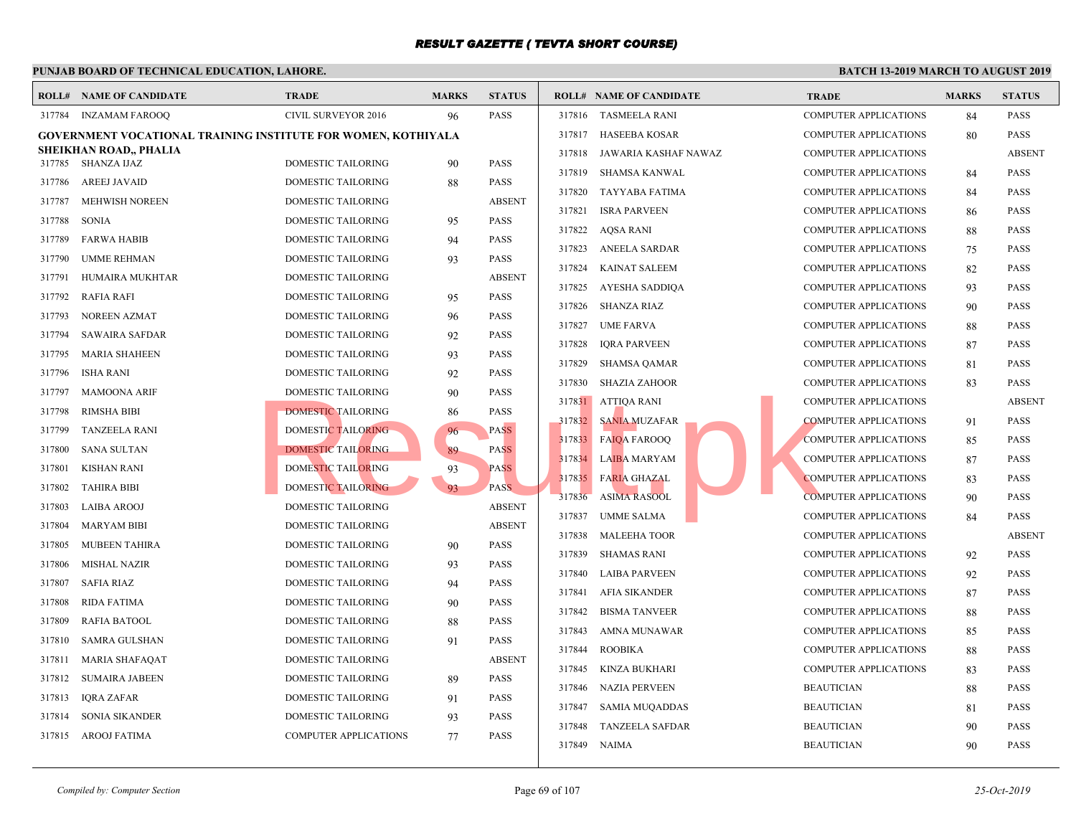|                  | <b>ROLL# NAME OF CANDIDATE</b>                                       | <b>TRADE</b>                             | <b>MARKS</b> | <b>STATUS</b>                |        | <b>ROLL# NAME OF CANDIDATE</b> | <b>TRAD</b> |
|------------------|----------------------------------------------------------------------|------------------------------------------|--------------|------------------------------|--------|--------------------------------|-------------|
| 317784           | INZAMAM FAROOQ                                                       | CIVIL SURVEYOR 2016                      | 96           | <b>PASS</b>                  | 317816 | TASMEELA RANI                  | <b>COMP</b> |
|                  | <b>GOVERNMENT VOCATIONAL TRAINING INSTITUTE FOR WOMEN, KOTHIYALA</b> |                                          |              |                              | 317817 | <b>HASEEBA KOSAR</b>           | <b>COMP</b> |
|                  | SHEIKHAN ROAD,, PHALIA                                               |                                          |              | <b>PASS</b>                  | 317818 | JAWARIA KASHAF NAWAZ           | <b>COMP</b> |
| 317785<br>317786 | SHANZA IJAZ<br><b>AREEJ JAVAID</b>                                   | DOMESTIC TAILORING<br>DOMESTIC TAILORING | 90           | <b>PASS</b>                  | 317819 | SHAMSA KANWAL                  | <b>COMP</b> |
| 317787           | <b>MEHWISH NOREEN</b>                                                | <b>DOMESTIC TAILORING</b>                | 88           | <b>ABSENT</b>                | 317820 | TAYYABA FATIMA                 | <b>COMP</b> |
| 317788           | <b>SONIA</b>                                                         |                                          |              | <b>PASS</b>                  | 317821 | <b>ISRA PARVEEN</b>            | <b>COMP</b> |
|                  |                                                                      | DOMESTIC TAILORING                       | 95           |                              | 317822 | AQSA RANI                      | <b>COMP</b> |
| 317789           | <b>FARWA HABIB</b>                                                   | DOMESTIC TAILORING                       | 94           | <b>PASS</b><br><b>PASS</b>   | 317823 | ANEELA SARDAR                  | <b>COMP</b> |
| 317790           | <b>UMME REHMAN</b>                                                   | DOMESTIC TAILORING                       | 93           |                              | 317824 | <b>KAINAT SALEEM</b>           | <b>COMP</b> |
| 317791           | HUMAIRA MUKHTAR                                                      | DOMESTIC TAILORING                       |              | <b>ABSENT</b><br><b>PASS</b> | 317825 | AYESHA SADDIQA                 | <b>COMP</b> |
| 317792           | RAFIA RAFI                                                           | DOMESTIC TAILORING                       | 95           |                              | 317826 | SHANZA RIAZ                    | <b>COMP</b> |
| 317793           | <b>NOREEN AZMAT</b>                                                  | DOMESTIC TAILORING                       | 96           | <b>PASS</b>                  | 317827 | <b>UME FARVA</b>               | <b>COMP</b> |
| 317794           | <b>SAWAIRA SAFDAR</b>                                                | DOMESTIC TAILORING                       | 92           | <b>PASS</b>                  | 317828 | <b>IORA PARVEEN</b>            | <b>COMP</b> |
| 317795           | <b>MARIA SHAHEEN</b>                                                 | DOMESTIC TAILORING                       | 93           | PASS                         | 317829 | SHAMSA QAMAR                   | <b>COMP</b> |
| 317796           | <b>ISHA RANI</b>                                                     | DOMESTIC TAILORING                       | 92           | <b>PASS</b>                  | 317830 | SHAZIA ZAHOOR                  | <b>COMP</b> |
| 317797           | <b>MAMOONA ARIF</b>                                                  | DOMESTIC TAILORING                       | 90           | <b>PASS</b>                  |        | 317831 ATTIQA RANI             | <b>COMP</b> |
| 317798           | RIMSHA BIBI                                                          | DOMESTIC TAILORING                       | 86           | <b>PASS</b>                  | 317832 | <b>SANIA MUZAFAR</b>           | <b>COMP</b> |
| 317799           | TANZEELA RANI                                                        | DOMESTIC TAILORING                       | 96           | <b>PASS</b>                  |        | 317833 FAIQA FAROOQ            | <b>COMP</b> |
| 317800           | <b>SANA SULTAN</b>                                                   | <b>DOMESTIC TAILORING</b>                | 89           | <b>PASS</b>                  | 317834 | LAIBA MARYAM                   | <b>COMP</b> |
| 317801           | <b>KISHAN RANI</b>                                                   | DOMESTIC TAILORING                       | 93           | <b>PASS</b>                  | 317835 | <b>FARIA GHAZAL</b>            | <b>COMP</b> |
| 317802           | <b>TAHIRA BIBI</b>                                                   | DOMESTIC TAILORING                       | 93           | <b>PASS</b>                  | 317836 | <b>ASIMA RASOOL</b>            | <b>COMP</b> |
| 317803           | <b>LAIBA AROOJ</b>                                                   | <b>DOMESTIC TAILORING</b>                |              | <b>ABSENT</b>                | 317837 | <b>UMME SALMA</b>              | <b>COMP</b> |
| 317804           | <b>MARYAM BIBI</b>                                                   | DOMESTIC TAILORING                       |              | <b>ABSENT</b>                | 317838 | <b>MALEEHA TOOR</b>            | <b>COMP</b> |
| 317805           | <b>MUBEEN TAHIRA</b>                                                 | DOMESTIC TAILORING                       | 90           | <b>PASS</b>                  | 317839 | <b>SHAMAS RANI</b>             | <b>COMP</b> |
| 317806           | <b>MISHAL NAZIR</b>                                                  | DOMESTIC TAILORING                       | 93           | <b>PASS</b>                  | 317840 | <b>LAIBA PARVEEN</b>           | <b>COMP</b> |
| 317807           | <b>SAFIA RIAZ</b>                                                    | DOMESTIC TAILORING                       | 94           | <b>PASS</b>                  | 317841 | <b>AFIA SIKANDER</b>           | <b>COMP</b> |
| 317808           | RIDA FATIMA                                                          | DOMESTIC TAILORING                       | 90           | <b>PASS</b>                  | 317842 | <b>BISMA TANVEER</b>           | <b>COMP</b> |
| 317809           | <b>RAFIA BATOOL</b>                                                  | DOMESTIC TAILORING                       | 88           | <b>PASS</b>                  | 317843 | AMNA MUNAWAR                   | <b>COMP</b> |
| 317810           | SAMRA GULSHAN                                                        | DOMESTIC TAILORING                       | 91           | <b>PASS</b>                  | 317844 | <b>ROOBIKA</b>                 | <b>COMP</b> |
| 317811           | <b>MARIA SHAFAQAT</b>                                                | <b>DOMESTIC TAILORING</b>                |              | <b>ABSENT</b>                | 317845 | KINZA BUKHARI                  | <b>COMP</b> |
| 317812           | <b>SUMAIRA JABEEN</b>                                                | DOMESTIC TAILORING                       | 89           | <b>PASS</b>                  | 317846 | NAZIA PERVEEN                  | <b>BEAU</b> |
| 317813           | IQRA ZAFAR                                                           | DOMESTIC TAILORING                       | 91           | <b>PASS</b>                  | 317847 | <b>SAMIA MUQADDAS</b>          | <b>BEAU</b> |
| 317814           | SONIA SIKANDER                                                       | DOMESTIC TAILORING                       | 93           | <b>PASS</b>                  | 317848 | <b>TANZEELA SAFDAR</b>         | <b>BEAU</b> |
| 317815           | AROOJ FATIMA                                                         | <b>COMPUTER APPLICATIONS</b>             | 77           | <b>PASS</b>                  |        | 317849 NAIMA                   | <b>BEAU</b> |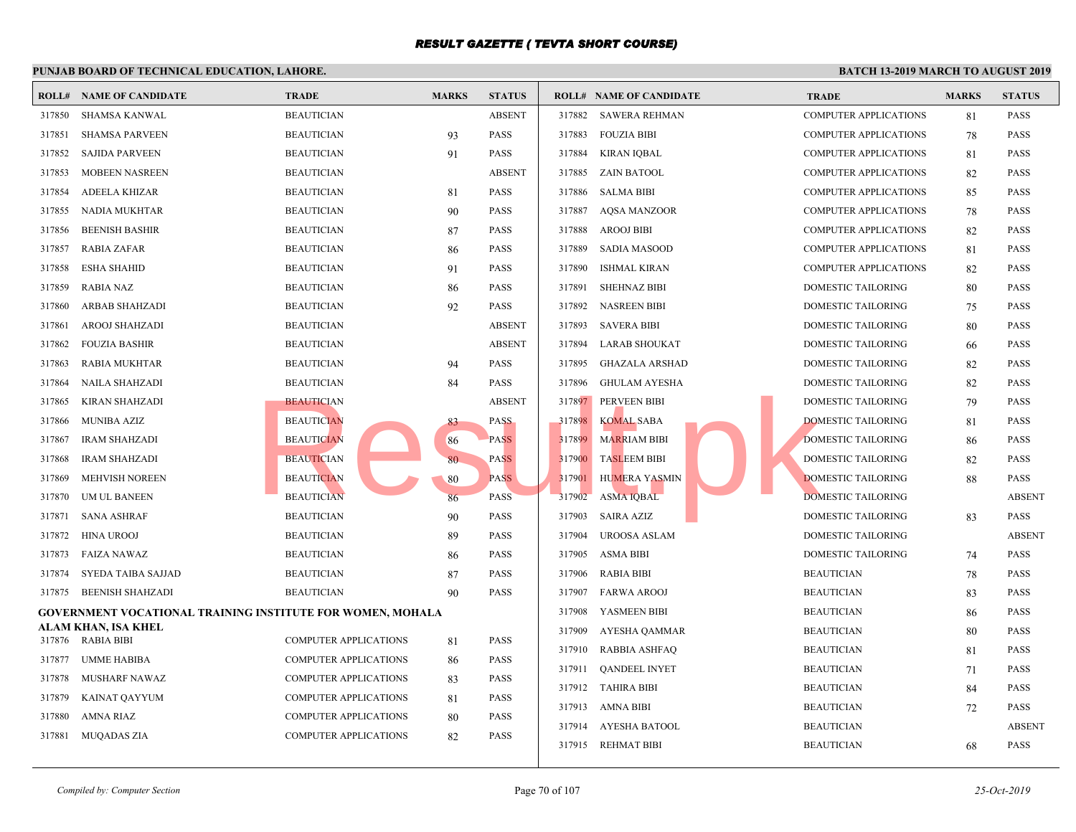|        | I UNIAD DOARD OF TECHNICAL EDUCATION, LAHORE                      |                              |              |               |        |                                |             |  |  |
|--------|-------------------------------------------------------------------|------------------------------|--------------|---------------|--------|--------------------------------|-------------|--|--|
|        | <b>ROLL# NAME OF CANDIDATE</b>                                    | <b>TRADE</b>                 | <b>MARKS</b> | <b>STATUS</b> |        | <b>ROLL# NAME OF CANDIDATE</b> | <b>TRAL</b> |  |  |
| 317850 | SHAMSA KANWAL                                                     | <b>BEAUTICIAN</b>            |              | <b>ABSENT</b> |        | 317882 SAWERA REHMAN           | <b>COMP</b> |  |  |
| 317851 | <b>SHAMSA PARVEEN</b>                                             | <b>BEAUTICIAN</b>            | 93           | <b>PASS</b>   | 317883 | <b>FOUZIA BIBI</b>             | COMP        |  |  |
| 317852 | <b>SAJIDA PARVEEN</b>                                             | <b>BEAUTICIAN</b>            | 91           | <b>PASS</b>   | 317884 | KIRAN IOBAL                    | <b>COMP</b> |  |  |
| 317853 | MOBEEN NASREEN                                                    | <b>BEAUTICIAN</b>            |              | <b>ABSENT</b> | 317885 | ZAIN BATOOL                    | <b>COMP</b> |  |  |
| 317854 | <b>ADEELA KHIZAR</b>                                              | <b>BEAUTICIAN</b>            | 81           | <b>PASS</b>   | 317886 | <b>SALMA BIBI</b>              | <b>COMP</b> |  |  |
| 317855 | NADIA MUKHTAR                                                     | <b>BEAUTICIAN</b>            | 90           | <b>PASS</b>   | 317887 | AQSA MANZOOR                   | <b>COMP</b> |  |  |
| 317856 | <b>BEENISH BASHIR</b>                                             | <b>BEAUTICIAN</b>            | 87           | <b>PASS</b>   | 317888 | <b>AROOJ BIBI</b>              | <b>COMP</b> |  |  |
| 317857 | <b>RABIA ZAFAR</b>                                                | <b>BEAUTICIAN</b>            | 86           | <b>PASS</b>   | 317889 | SADIA MASOOD                   | <b>COMP</b> |  |  |
| 317858 | <b>ESHA SHAHID</b>                                                | <b>BEAUTICIAN</b>            | 91           | <b>PASS</b>   | 317890 | ISHMAL KIRAN                   | COMP        |  |  |
| 317859 | <b>RABIA NAZ</b>                                                  | <b>BEAUTICIAN</b>            | 86           | <b>PASS</b>   | 317891 | <b>SHEHNAZ BIBI</b>            | <b>DOME</b> |  |  |
| 317860 | ARBAB SHAHZADI                                                    | <b>BEAUTICIAN</b>            | 92           | <b>PASS</b>   | 317892 | <b>NASREEN BIBI</b>            | <b>DOME</b> |  |  |
| 317861 | <b>AROOJ SHAHZADI</b>                                             | <b>BEAUTICIAN</b>            |              | <b>ABSENT</b> | 317893 | <b>SAVERA BIBI</b>             | <b>DOME</b> |  |  |
| 317862 | <b>FOUZIA BASHIR</b>                                              | <b>BEAUTICIAN</b>            |              | <b>ABSENT</b> | 317894 | LARAB SHOUKAT                  | <b>DOME</b> |  |  |
| 317863 | <b>RABIA MUKHTAR</b>                                              | <b>BEAUTICIAN</b>            | 94           | <b>PASS</b>   | 317895 | <b>GHAZALA ARSHAD</b>          | <b>DOME</b> |  |  |
| 317864 | <b>NAILA SHAHZADI</b>                                             | <b>BEAUTICIAN</b>            | 84           | <b>PASS</b>   | 317896 | <b>GHULAM AYESHA</b>           | <b>DOME</b> |  |  |
| 317865 | <b>KIRAN SHAHZADI</b>                                             | <b>BEAUTICIAN</b>            |              | <b>ABSENT</b> | 317897 | PERVEEN BIBI                   | <b>DOME</b> |  |  |
| 317866 | <b>MUNIBA AZIZ</b>                                                | <b>BEAUTICIAN</b>            | 83           | <b>PASS</b>   | 317898 | <b>KOMAL SABA</b>              | <b>DOME</b> |  |  |
| 317867 | <b>IRAM SHAHZADI</b>                                              | <b>BEAUTICIAN</b>            | 86           | <b>PASS</b>   | 317899 | <b>MARRIAM BIBI</b>            | <b>DOME</b> |  |  |
| 317868 | <b>IRAM SHAHZADI</b>                                              | <b>BEAUTICIAN</b>            | 80           | <b>PASS</b>   | 317900 | <b>TASLEEM BIBI</b>            | <b>DOME</b> |  |  |
| 317869 | <b>MEHVISH NOREEN</b>                                             | <b>BEAUTICIAN</b>            | 80           | <b>PASS</b>   | 317901 | HUMERA YASMIN                  | <b>DOME</b> |  |  |
| 317870 | <b>UM UL BANEEN</b>                                               | <b>BEAUTICIAN</b>            | 86           | <b>PASS</b>   | 317902 | <b>ASMA IOBAL</b>              | <b>DOME</b> |  |  |
| 317871 | <b>SANA ASHRAF</b>                                                | <b>BEAUTICIAN</b>            | 90           | <b>PASS</b>   | 317903 | <b>SAIRA AZIZ</b>              | <b>DOME</b> |  |  |
| 317872 | <b>HINA UROOJ</b>                                                 | <b>BEAUTICIAN</b>            | 89           | <b>PASS</b>   | 317904 | UROOSA ASLAM                   | <b>DOME</b> |  |  |
| 317873 | FAIZA NAWAZ                                                       | <b>BEAUTICIAN</b>            | 86           | <b>PASS</b>   | 317905 | ASMA BIBI                      | <b>DOME</b> |  |  |
| 317874 | SYEDA TAIBA SAJJAD                                                | <b>BEAUTICIAN</b>            | 87           | <b>PASS</b>   | 317906 | <b>RABIA BIBI</b>              | <b>BEAU</b> |  |  |
| 317875 | <b>BEENISH SHAHZADI</b>                                           | <b>BEAUTICIAN</b>            | 90           | <b>PASS</b>   | 317907 | <b>FARWA AROOJ</b>             | <b>BEAU</b> |  |  |
|        | <b>GOVERNMENT VOCATIONAL TRAINING INSTITUTE FOR WOMEN, MOHALA</b> |                              |              |               | 317908 | YASMEEN BIBI                   | <b>BEAU</b> |  |  |
|        | ALAM KHAN, ISA KHEL<br>317876 RABIA BIBI                          | <b>COMPUTER APPLICATIONS</b> | 81           | <b>PASS</b>   | 317909 | AYESHA QAMMAR                  | <b>BEAU</b> |  |  |
| 317877 | UMME HABIBA                                                       | <b>COMPUTER APPLICATIONS</b> | 86           | <b>PASS</b>   | 317910 | RABBIA ASHFAQ                  | <b>BEAU</b> |  |  |
| 317878 | MUSHARF NAWAZ                                                     | <b>COMPUTER APPLICATIONS</b> | 83           | <b>PASS</b>   | 317911 | <b>QANDEEL INYET</b>           | <b>BEAU</b> |  |  |
| 317879 | KAINAT QAYYUM                                                     | <b>COMPUTER APPLICATIONS</b> | 81           | <b>PASS</b>   |        | 317912 TAHIRA BIBI             | <b>BEAU</b> |  |  |
| 317880 | <b>AMNA RIAZ</b>                                                  | <b>COMPUTER APPLICATIONS</b> | 80           | <b>PASS</b>   |        | 317913 AMNA BIBI               | <b>BEAU</b> |  |  |
| 317881 | MUQADAS ZIA                                                       | <b>COMPUTER APPLICATIONS</b> | 82           | <b>PASS</b>   | 317914 | AYESHA BATOOL                  | <b>BEAU</b> |  |  |
|        |                                                                   |                              |              |               |        | 317915 REHMAT BIBI             | <b>BEAU</b> |  |  |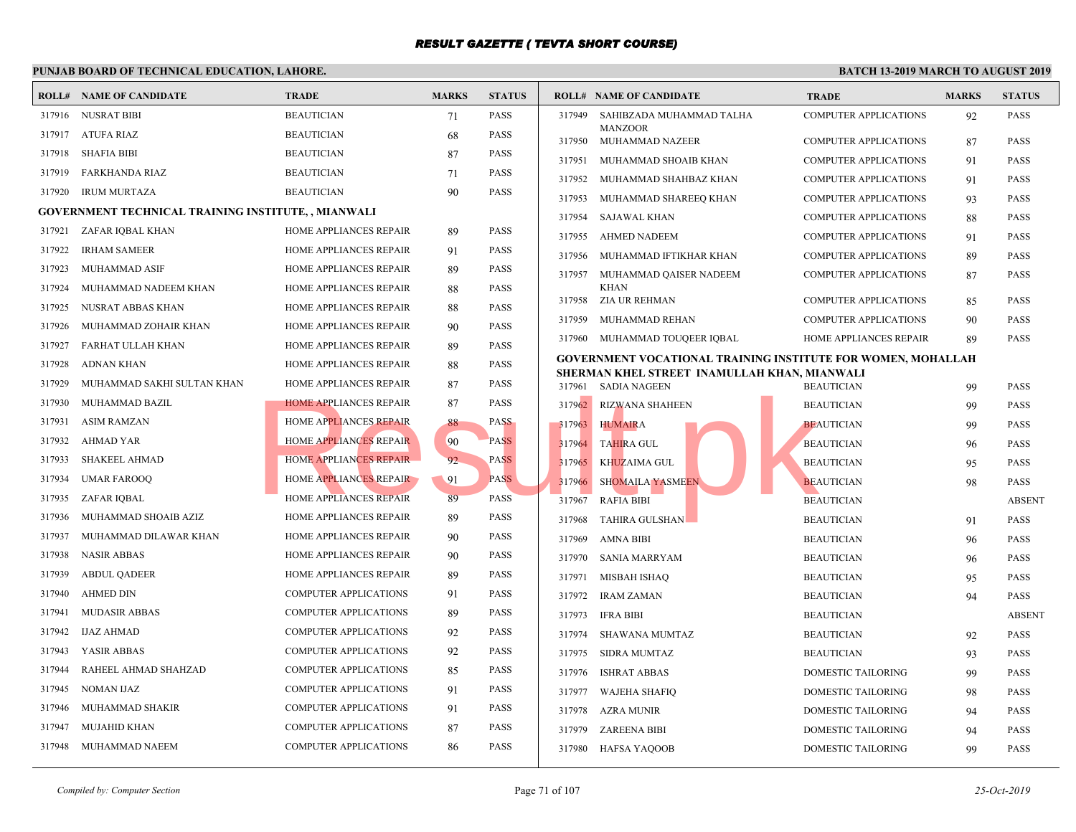#### **PUNJAB BOARD OF TECHNICAL EDUCATION, LAHORE. ROLL# NAME OF CANDIDATE TRADE MARKS STATUS ROLL# NAME OF CANDIDATE TRADE MARKS STATUS** 317916 NUSRAT BIBI BEAUTICIAN 71 PASS 317917 ATUFA RIAZ BEAUTICIAN 68 PASS 317918 SHAFIA BIBI BEAUTICIAN 87 PASS 317919 FARKHANDA RIAZ BEAUTICIAN 71 PASS 317920 IRUM MURTAZA BEAUTICIAN 90 PASS **GOVERNMENT TECHNICAL TRAINING INSTITUTE, , MIANWALI** 317921 ZAFAR IQBAL KHAN HOME APPLIANCES REPAIR 89 PASS 317922 IRHAM SAMEER HOME APPLIANCES REPAIR 91 PASS 317923 MUHAMMAD ASIF **HOME APPLIANCES REPAIR** 89 PASS 317924 MUHAMMAD NADEEM KHAN HOME APPLIANCES REPAIR 88 PASS 317925 NUSRAT ABBAS KHAN HOME APPLIANCES REPAIR 88 PASS 317926 MUHAMMAD ZOHAIR KHAN HOME APPLIANCES REPAIR 90 PASS 317927 FARHAT ULLAH KHAN HOME APPLIANCES REPAIR 89 PASS 317928 ADNAN KHAN HOME APPLIANCES REPAIR 88 PASS 317929 MUHAMMAD SAKHI SULTAN KHAN HOME APPLIANCES REPAIR 87 PASS 317930 MUHAMMAD BAZIL **HOME APPLIANCES REPAIR** 87 PASS 317931 ASIM RAMZAN HOME APPLIANCES REPAIR 88 PASS 317932 AHMAD YAR **HOME APPLIANCES REPAIR** 90 PASS 317933 SHAKEEL AHMAD HOME APPLIANCES REPAIR 92 PASS 317934 UMAR FAROOQ HOME APPLIANCES REPAIR 91 PASS 317935 ZAFAR IQBAL HOME APPLIANCES REPAIR 89 PASS 317936 MUHAMMAD SHOAIB AZIZ HOME APPLIANCES REPAIR 89 PASS 317937 MUHAMMAD DILAWAR KHAN HOME APPLIANCES REPAIR 90 PASS 317938 NASIR ABBAS HOME APPLIANCES REPAIR 90 PASS 317939 ABDUL QADEER HOME APPLIANCES REPAIR 89 PASS 317940 AHMED DIN COMPUTER APPLICATIONS 91 PASS 317941 MUDASIR ABBAS COMPUTER APPLICATIONS 89 PASS 317942 IJAZ AHMAD COMPUTER APPLICATIONS 92 PASS 317943 YASIR ABBAS COMPUTER APPLICATIONS 92 PASS 317944 RAHEEL AHMAD SHAHZAD COMPUTER APPLICATIONS 85 PASS 317945 NOMAN IJAZ COMPUTER APPLICATIONS 91 PASS 317946 MUHAMMAD SHAKIR COMPUTER APPLICATIONS 91 PASS 317947 MUJAHID KHAN COMPUTER APPLICATIONS 87 PASS 317948 MUHAMMAD NAEEM COMPUTER APPLICATIONS 86 PASS [SAHIBZADA MUHAMMAD TALHA COM](http://www.result.pk/)P MANZOOR 317949 317950 MUHAMMAD NAZEER COMP 317951 MUHAMMAD SHOAIB KHAN COMP 317952 MUHAMMAD SHAHBAZ KHAN COMP 317953 MUHAMMAD SHAREEQ KHAN COMP 317954 SAJAWAL KHAN COMP 317955 AHMED NADEEM COMP 317956 MUHAMMAD IFTIKHAR KHAN COMP MUHAMMAD QAISER NADEEM COMP KHAN 317957 317958 ZIA UR REHMAN COMP 317959 MUHAMMAD REHAN COMP 317960 MUHAMMAD TOUQEER IQBAL HOME **GOVERNMENT VOCATIONAL TRAINING INSTITUTE SHERMAN KHEL STREET INAMULLAH KHAN, MIAN** 317961 SADIA NAGEEN BEAUT 317962 RIZWANA SHAHEEN BEAUT 317963 HUMAIRA BEAUTICIAN BEAUTICIAN 9 317964 TAHIRA GUL BEAUTICIAN 96 PASSAU 317965 KHUZAIMA GUL BEAUTICIAN 95 BEAUTICIAN 95 BEAUTICIAN 95 PASSAURE ENTRE 317966 SHOMAILA YASMEEN BEAUTICIAN 98 317967 RAFIA BIBI BEAUTICIAN ABSENT 317968 TAHIRA GULSHAN BEAUTICIAN BEAUTICIAN BEAUTICIAN BEAUTICIAN BEAUTICIAN BEAUTICIAN BEAUTICIAN BEAUTICIAN BEAUTICIAN BEAUTICIAN BEAUTICIAN BEAUTICIAN BEAUTICIAN BEAUTICIAN BEAUTICIAN BEAUTICIAN BEAUTICIAN BEAUTICIAN BE 317969 AMNA BIBI BEAUT 317970 SANIA MARRYAM BEAUT 317971 MISBAH ISHAQ BEAUT 317972 IRAM ZAMAN BEAUT 317973 IFRA BIBI BEAUT 317974 SHAWANA MUMTAZ BEAUT 317975 SIDRA MUMTAZ BEAUT 317976 ISHRAT ABBAS DOME 317977 WAJEHA SHAFIQ DOME 317978 AZRA MUNIR DOME 317979 ZAREENA BIBI DOME 317980 HAFSA YAQOOB DOME HOME APPLIANCES REPAIR<br>
HOME APPLIANCES REPAIR<br>
HOME APPLIANCES REPAIR<br>
HOME APPLIANCES REPAIR<br>
PASS<br>
HOME APPLIANCES REPAIR<br>
PASS<br>
PASS<br>
PASS<br>
PASS<br>
PASS<br>
PASS<br>
PASS<br>
PASS<br>
PASS<br>
PASS<br>
PASS<br>
PASS<br>
PASS<br>
PASS<br>
PASS<br>
PASS<br>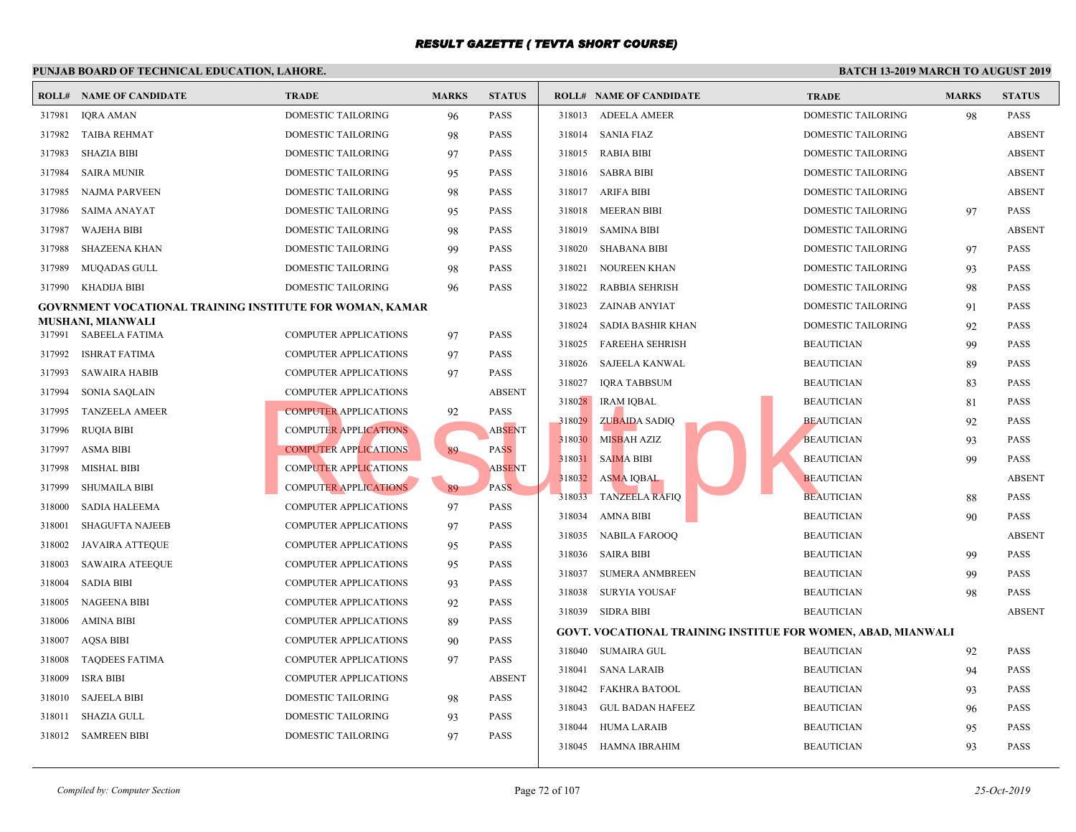|        | <b>ROLL# NAME OF CANDIDATE</b>                           | <b>TRADE</b>                 | <b>MARKS</b> | <b>STATUS</b> |        | <b>ROLL# NAME OF CANDIDATE</b>                    | <b>TRAD</b> |
|--------|----------------------------------------------------------|------------------------------|--------------|---------------|--------|---------------------------------------------------|-------------|
| 317981 | <b>IQRA AMAN</b>                                         | DOMESTIC TAILORING           | 96           | <b>PASS</b>   | 318013 | <b>ADEELA AMEER</b>                               | <b>DOME</b> |
| 317982 | <b>TAIBA REHMAT</b>                                      | DOMESTIC TAILORING           | 98           | <b>PASS</b>   | 318014 | SANIA FIAZ                                        | <b>DOME</b> |
| 317983 | <b>SHAZIA BIBI</b>                                       | DOMESTIC TAILORING           | 97           | <b>PASS</b>   | 318015 | RABIA BIBI                                        | <b>DOME</b> |
| 317984 | <b>SAIRA MUNIR</b>                                       | DOMESTIC TAILORING           | 95           | <b>PASS</b>   | 318016 | <b>SABRA BIBI</b>                                 | <b>DOME</b> |
| 317985 | <b>NAJMA PARVEEN</b>                                     | DOMESTIC TAILORING           | 98           | <b>PASS</b>   | 318017 | ARIFA BIBI                                        | <b>DOME</b> |
| 317986 | SAIMA ANAYAT                                             | DOMESTIC TAILORING           | 95           | <b>PASS</b>   | 318018 | MEERAN BIBI                                       | <b>DOME</b> |
| 317987 | <b>WAJEHA BIBI</b>                                       | DOMESTIC TAILORING           | 98           | <b>PASS</b>   | 318019 | <b>SAMINA BIBI</b>                                | <b>DOME</b> |
| 317988 | <b>SHAZEENA KHAN</b>                                     | <b>DOMESTIC TAILORING</b>    | 99           | <b>PASS</b>   | 318020 | SHABANA BIBI                                      | <b>DOME</b> |
| 317989 | <b>MUQADAS GULL</b>                                      | DOMESTIC TAILORING           | 98           | <b>PASS</b>   | 318021 | NOUREEN KHAN                                      | <b>DOME</b> |
| 317990 | KHADIJA BIBI                                             | DOMESTIC TAILORING           | 96           | <b>PASS</b>   | 318022 | <b>RABBIA SEHRISH</b>                             | <b>DOME</b> |
|        | GOVRNMENT VOCATIONAL TRAINING INSTITUTE FOR WOMAN, KAMAR |                              |              |               | 318023 | ZAINAB ANYIAT                                     | <b>DOME</b> |
|        | MUSHANI, MIANWALI<br>317991 SABEELA FATIMA               | <b>COMPUTER APPLICATIONS</b> | 97           | <b>PASS</b>   | 318024 | SADIA BASHIR KHAN                                 | <b>DOME</b> |
| 317992 | <b>ISHRAT FATIMA</b>                                     | <b>COMPUTER APPLICATIONS</b> | 97           | <b>PASS</b>   | 318025 | <b>FAREEHA SEHRISH</b>                            | <b>BEAU</b> |
| 317993 | <b>SAWAIRA HABIB</b>                                     | <b>COMPUTER APPLICATIONS</b> | 97           | <b>PASS</b>   | 318026 | <b>SAJEELA KANWAL</b>                             | <b>BEAU</b> |
| 317994 | <b>SONIA SAQLAIN</b>                                     | <b>COMPUTER APPLICATIONS</b> |              | <b>ABSENT</b> | 318027 | <b>IQRA TABBSUM</b>                               | <b>BEAU</b> |
| 317995 | <b>TANZEELA AMEER</b>                                    | <b>COMPUTER APPLICATIONS</b> |              | <b>PASS</b>   | 318028 | <b>IRAM IQBAL</b>                                 | <b>BEAU</b> |
| 317996 | RUQIA BIBI                                               | <b>COMPUTER APPLICATIONS</b> | 92           | <b>ABSENT</b> | 318029 | <b>ZUBAIDA SADIQ</b>                              | <b>BEAU</b> |
| 317997 | <b>ASMA BIBI</b>                                         | <b>COMPUTER APPLICATIONS</b> | 89           | <b>PASS</b>   | 318030 | MISBAH AZIZ                                       | <b>BEAU</b> |
| 317998 | <b>MISHAL BIBI</b>                                       | <b>COMPUTER APPLICATIONS</b> |              | <b>ABSENT</b> | 318031 | <b>SAIMA BIBI</b>                                 | <b>BEAU</b> |
| 317999 | <b>SHUMAILA BIBI</b>                                     | <b>COMPUTER APPLICATIONS</b> | 89           | PASS.         | 318032 | <b>ASMA IQBAL</b>                                 | <b>BEAU</b> |
| 318000 | SADIA HALEEMA                                            | COMPUTER APPLICATIONS        | 97           | <b>PASS</b>   | 318033 | <b>TANZEELA RAFIQ</b>                             | <b>BEAU</b> |
| 318001 | <b>SHAGUFTA NAJEEB</b>                                   | <b>COMPUTER APPLICATIONS</b> | 97           | <b>PASS</b>   | 318034 | <b>AMNA BIBI</b>                                  | <b>BEAU</b> |
| 318002 | <b>JAVAIRA ATTEQUE</b>                                   | <b>COMPUTER APPLICATIONS</b> | 95           | <b>PASS</b>   | 318035 | NABILA FAROOQ                                     | <b>BEAU</b> |
| 318003 | <b>SAWAIRA ATEEQUE</b>                                   | COMPUTER APPLICATIONS        | 95           | <b>PASS</b>   | 318036 | SAIRA BIBI                                        | <b>BEAU</b> |
| 318004 | <b>SADIA BIBI</b>                                        | COMPUTER APPLICATIONS        | 93           | <b>PASS</b>   | 318037 | <b>SUMERA ANMBREEN</b>                            | <b>BEAU</b> |
| 318005 | <b>NAGEENA BIBI</b>                                      | <b>COMPUTER APPLICATIONS</b> | 92           | <b>PASS</b>   | 318038 | SURYIA YOUSAF                                     | <b>BEAU</b> |
| 318006 | <b>AMINA BIBI</b>                                        | <b>COMPUTER APPLICATIONS</b> | 89           | <b>PASS</b>   | 318039 | SIDRA BIBI                                        | <b>BEAU</b> |
| 318007 | <b>AQSA BIBI</b>                                         | <b>COMPUTER APPLICATIONS</b> | 90           | <b>PASS</b>   |        | <b>GOVT. VOCATIONAL TRAINING INSTITUE FOR WON</b> |             |
| 318008 | <b>TAQDEES FATIMA</b>                                    | <b>COMPUTER APPLICATIONS</b> | 97           | <b>PASS</b>   | 318040 | SUMAIRA GUL                                       | <b>BEAU</b> |
| 318009 | <b>ISRA BIBI</b>                                         | COMPUTER APPLICATIONS        |              | <b>ABSENT</b> | 318041 | SANA LARAIB                                       | <b>BEAU</b> |
| 318010 | <b>SAJEELA BIBI</b>                                      | <b>DOMESTIC TAILORING</b>    | 98           | <b>PASS</b>   | 318042 | <b>FAKHRA BATOOL</b>                              | <b>BEAU</b> |
| 318011 | <b>SHAZIA GULL</b>                                       | <b>DOMESTIC TAILORING</b>    | 93           | <b>PASS</b>   | 318043 | <b>GUL BADAN HAFEEZ</b>                           | <b>BEAU</b> |
| 318012 | <b>SAMREEN BIBI</b>                                      | <b>DOMESTIC TAILORING</b>    | 97           | <b>PASS</b>   | 318044 | <b>HUMA LARAIB</b>                                | <b>BEAU</b> |
|        |                                                          |                              |              |               | 318045 | HAMNA IBRAHIM                                     | <b>BEAU</b> |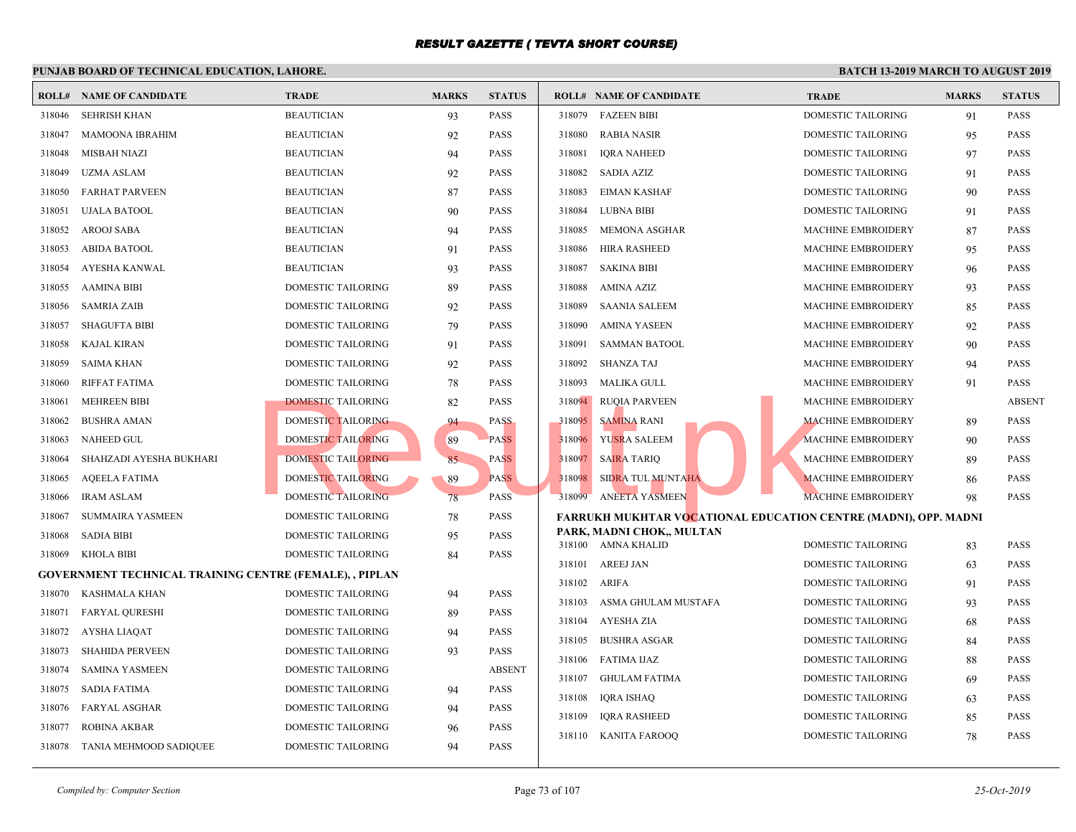|        | I UNJAD DOARD OF TECHNICAL EDUCATION, LAHORE,                  |                           |              |               |                  |                                                 |                            |
|--------|----------------------------------------------------------------|---------------------------|--------------|---------------|------------------|-------------------------------------------------|----------------------------|
|        | <b>ROLL# NAME OF CANDIDATE</b>                                 | <b>TRADE</b>              | <b>MARKS</b> | <b>STATUS</b> |                  | <b>ROLL# NAME OF CANDIDATE</b>                  | <b>TRAL</b>                |
| 318046 | SEHRISH KHAN                                                   | <b>BEAUTICIAN</b>         | 93           | <b>PASS</b>   | 318079           | <b>FAZEEN BIBI</b>                              | <b>DOME</b>                |
| 318047 | <b>MAMOONA IBRAHIM</b>                                         | <b>BEAUTICIAN</b>         | 92           | PASS          | 318080           | <b>RABIA NASIR</b>                              | <b>DOME</b>                |
| 318048 | MISBAH NIAZI                                                   | <b>BEAUTICIAN</b>         | 94           | PASS          | 318081           | <b>IORA NAHEED</b>                              | <b>DOME</b>                |
| 318049 | <b>UZMA ASLAM</b>                                              | <b>BEAUTICIAN</b>         | 92           | PASS          | 318082           | SADIA AZIZ                                      | <b>DOME</b>                |
| 318050 | <b>FARHAT PARVEEN</b>                                          | <b>BEAUTICIAN</b>         | 87           | PASS          | 318083           | EIMAN KASHAF                                    | <b>DOME</b>                |
| 318051 | <b>UJALA BATOOL</b>                                            | <b>BEAUTICIAN</b>         | 90           | PASS          | 318084           | <b>LUBNA BIBI</b>                               | <b>DOME</b>                |
| 318052 | AROOJ SABA                                                     | <b>BEAUTICIAN</b>         | 94           | PASS          | 318085           | MEMONA ASGHAR                                   | <b>MACH</b>                |
| 318053 | <b>ABIDA BATOOL</b>                                            | <b>BEAUTICIAN</b>         | 91           | PASS          | 318086           | <b>HIRA RASHEED</b>                             | <b>MACH</b>                |
| 318054 | AYESHA KANWAL                                                  | <b>BEAUTICIAN</b>         | 93           | PASS          | 318087           | SAKINA BIBI                                     | <b>MACH</b>                |
| 318055 | AAMINA BIBI                                                    | <b>DOMESTIC TAILORING</b> | 89           | PASS          | 318088           | AMINA AZIZ                                      | <b>MACH</b>                |
| 318056 | <b>SAMRIA ZAIB</b>                                             | DOMESTIC TAILORING        | 92           | <b>PASS</b>   | 318089           | <b>SAANIA SALEEM</b>                            | <b>MACH</b>                |
| 318057 | <b>SHAGUFTA BIBI</b>                                           | DOMESTIC TAILORING        | 79           | PASS          | 318090           | AMINA YASEEN                                    | <b>MACH</b>                |
| 318058 | KAJAL KIRAN                                                    | DOMESTIC TAILORING        | 91           | PASS          | 318091           | <b>SAMMAN BATOOL</b>                            | <b>MACH</b>                |
| 318059 | SAIMA KHAN                                                     | DOMESTIC TAILORING        | 92           | PASS          | 318092           | SHANZA TAJ                                      | <b>MACH</b>                |
| 318060 | RIFFAT FATIMA                                                  | DOMESTIC TAILORING        | 78           | PASS          | 318093           | MALIKA GULL                                     | <b>MACH</b>                |
| 318061 | <b>MEHREEN BIBI</b>                                            | <b>DOMESTIC TAILORING</b> | 82           | PASS          | 318094           | <b>RUQIA PARVEEN</b>                            | <b>MACH</b>                |
| 318062 | <b>BUSHRA AMAN</b>                                             | DOMESTIC TAILORING        | 94           | <b>PASS</b>   | 318095           | <b>SAMINA RANI</b>                              | <b>MACH</b>                |
| 318063 | <b>NAHEED GUL</b>                                              | <b>DOMESTIC TAILORING</b> | 89           | <b>PASS</b>   | 318096           | YUSRA SALEEM                                    | <b>MACH</b>                |
| 318064 | SHAHZADI AYESHA BUKHARI                                        | <b>DOMESTIC TAILORING</b> | 85           | <b>PASS</b>   | 318097           | <b>SAIRA TARIO</b>                              | <b>MACH</b>                |
| 318065 | <b>AQEELA FATIMA</b>                                           | DOMESTIC TAILORING        | 89           | <b>PASS</b>   | 318098           | <b>SIDRA TUL MUNTAHA</b>                        | <b>MACH</b>                |
| 318066 | <b>IRAM ASLAM</b>                                              | <b>DOMESTIC TAILORING</b> | 78           | <b>PASS</b>   | 318099           | <b>ANEETA YASMEEN</b>                           | <b>MACH</b>                |
| 318067 | <b>SUMMAIRA YASMEEN</b>                                        | <b>DOMESTIC TAILORING</b> | 78           | <b>PASS</b>   |                  | <b>FARRUKH MUKHTAR VOCATIONAL EDUCATION CE</b>  |                            |
| 318068 | <b>SADIA BIBI</b>                                              | DOMESTIC TAILORING        | 95           | PASS          |                  | PARK, MADNI CHOK,, MULTAN<br>318100 AMNA KHALID | <b>DOME</b>                |
| 318069 | <b>KHOLA BIBI</b>                                              | <b>DOMESTIC TAILORING</b> | 84           | PASS          |                  |                                                 |                            |
|        | <b>GOVERNMENT TECHNICAL TRAINING CENTRE (FEMALE), , PIPLAN</b> |                           |              |               | 318101<br>318102 | AREEJ JAN<br>ARIFA                              | <b>DOME</b><br><b>DOME</b> |
| 318070 | KASHMALA KHAN                                                  | <b>DOMESTIC TAILORING</b> | 94           | <b>PASS</b>   | 318103           | ASMA GHULAM MUSTAFA                             | <b>DOME</b>                |
| 318071 | <b>FARYAL QURESHI</b>                                          | <b>DOMESTIC TAILORING</b> | 89           | PASS          | 318104           | AYESHA ZIA                                      | <b>DOME</b>                |
| 318072 | AYSHA LIAQAT                                                   | <b>DOMESTIC TAILORING</b> | 94           | PASS          |                  |                                                 |                            |
| 318073 | <b>SHAHIDA PERVEEN</b>                                         | <b>DOMESTIC TAILORING</b> | 93           | <b>PASS</b>   | 318105<br>318106 | <b>BUSHRA ASGAR</b><br>FATIMA IJAZ              | <b>DOME</b><br><b>DOME</b> |
| 318074 | <b>SAMINA YASMEEN</b>                                          | DOMESTIC TAILORING        |              | <b>ABSENT</b> |                  |                                                 |                            |
| 318075 | SADIA FATIMA                                                   | DOMESTIC TAILORING        | 94           | <b>PASS</b>   | 318107           | GHULAM FATIMA                                   | <b>DOME</b>                |
| 318076 | <b>FARYAL ASGHAR</b>                                           | <b>DOMESTIC TAILORING</b> | 94           | <b>PASS</b>   | 318108<br>318109 | <b>IQRA ISHAQ</b>                               | <b>DOME</b><br><b>DOME</b> |
| 318077 | <b>ROBINA AKBAR</b>                                            | <b>DOMESTIC TAILORING</b> | 96           | PASS          |                  | <b>IORA RASHEED</b>                             | <b>DOME</b>                |
| 318078 | TANIA MEHMOOD SADIQUEE                                         | <b>DOMESTIC TAILORING</b> | 94           | PASS          |                  | 318110 KANITA FAROOQ                            |                            |
|        |                                                                |                           |              |               |                  |                                                 |                            |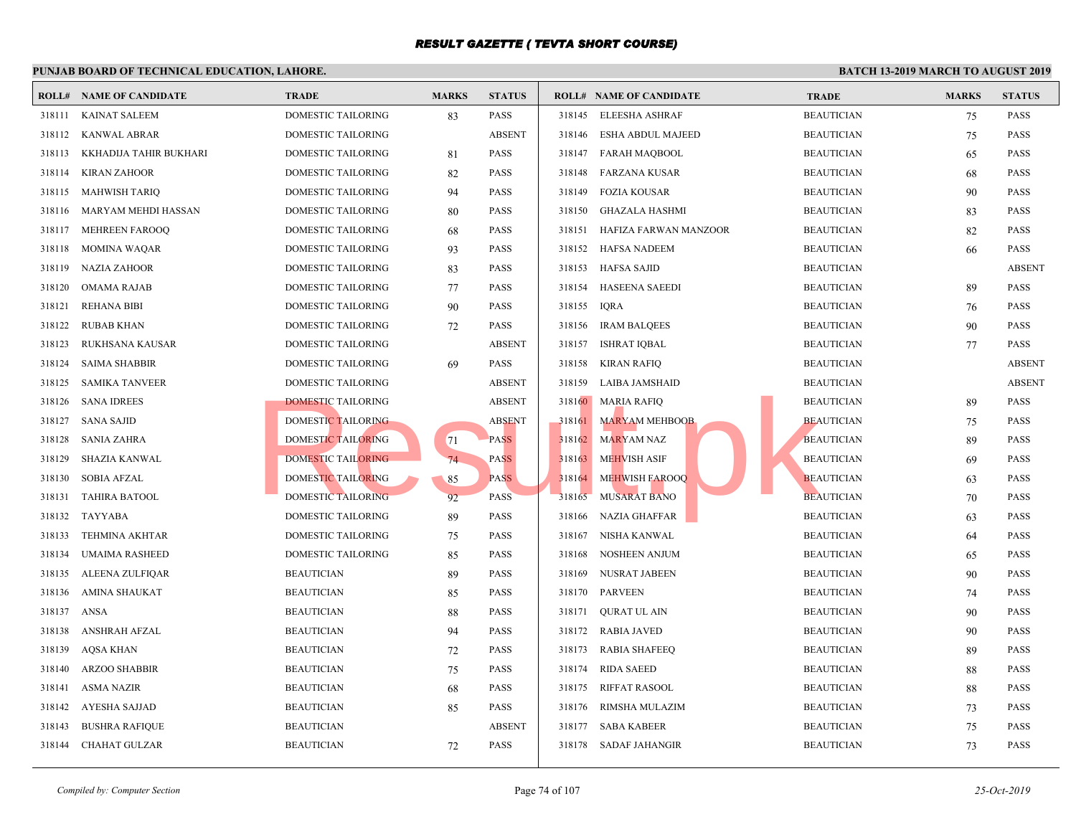|        | <b>ROLL# NAME OF CANDIDATE</b> | <b>TRADE</b>              | <b>MARKS</b> | <b>STATUS</b> |        | <b>ROLL# NAME OF CANDIDATE</b> | <b>TRAL</b> |
|--------|--------------------------------|---------------------------|--------------|---------------|--------|--------------------------------|-------------|
| 318111 | <b>KAINAT SALEEM</b>           | DOMESTIC TAILORING        | 83           | <b>PASS</b>   | 318145 | ELEESHA ASHRAF                 | <b>BEAU</b> |
| 318112 | KANWAL ABRAR                   | DOMESTIC TAILORING        |              | <b>ABSENT</b> | 318146 | ESHA ABDUL MAJEED              | <b>BEAU</b> |
| 318113 | KKHADIJA TAHIR BUKHARI         | DOMESTIC TAILORING        | 81           | <b>PASS</b>   | 318147 | <b>FARAH MAQBOOL</b>           | <b>BEAU</b> |
| 318114 | <b>KIRAN ZAHOOR</b>            | DOMESTIC TAILORING        | 82           | <b>PASS</b>   | 318148 | <b>FARZANA KUSAR</b>           | <b>BEAU</b> |
| 318115 | <b>MAHWISH TARIQ</b>           | DOMESTIC TAILORING        | 94           | <b>PASS</b>   | 318149 | <b>FOZIA KOUSAR</b>            | <b>BEAU</b> |
| 318116 | MARYAM MEHDI HASSAN            | DOMESTIC TAILORING        | 80           | <b>PASS</b>   | 318150 | GHAZALA HASHMI                 | <b>BEAU</b> |
| 318117 | <b>MEHREEN FAROOQ</b>          | DOMESTIC TAILORING        | 68           | <b>PASS</b>   | 318151 | HAFIZA FARWAN MANZOOR          | <b>BEAU</b> |
| 318118 | <b>MOMINA WAQAR</b>            | DOMESTIC TAILORING        | 93           | <b>PASS</b>   | 318152 | HAFSA NADEEM                   | <b>BEAU</b> |
| 318119 | <b>NAZIA ZAHOOR</b>            | DOMESTIC TAILORING        | 83           | <b>PASS</b>   | 318153 | <b>HAFSA SAJID</b>             | <b>BEAU</b> |
| 318120 | <b>OMAMA RAJAB</b>             | DOMESTIC TAILORING        | 77           | <b>PASS</b>   | 318154 | <b>HASEENA SAEEDI</b>          | <b>BEAU</b> |
| 318121 | <b>REHANA BIBI</b>             | DOMESTIC TAILORING        | 90           | <b>PASS</b>   | 318155 | <b>IQRA</b>                    | <b>BEAU</b> |
| 318122 | <b>RUBAB KHAN</b>              | DOMESTIC TAILORING        | 72           | <b>PASS</b>   | 318156 | <b>IRAM BALQEES</b>            | <b>BEAU</b> |
| 318123 | RUKHSANA KAUSAR                | DOMESTIC TAILORING        |              | <b>ABSENT</b> | 318157 | <b>ISHRAT IQBAL</b>            | <b>BEAU</b> |
| 318124 | <b>SAIMA SHABBIR</b>           | DOMESTIC TAILORING        | 69           | <b>PASS</b>   | 318158 | <b>KIRAN RAFIQ</b>             | <b>BEAU</b> |
| 318125 | <b>SAMIKA TANVEER</b>          | DOMESTIC TAILORING        |              | <b>ABSENT</b> | 318159 | LAIBA JAMSHAID                 | <b>BEAU</b> |
| 318126 | <b>SANA IDREES</b>             | <b>DOMESTIC TAILORING</b> |              | <b>ABSENT</b> | 318160 | <b>MARIA RAFIQ</b>             | <b>BEAU</b> |
| 318127 | <b>SANA SAJID</b>              | DOMESTIC TAILORING        |              | <b>ABSENT</b> | 318161 | <b>MARYAM MEHBOOB</b>          | <b>BEAU</b> |
| 318128 | <b>SANIA ZAHRA</b>             | <b>DOMESTIC TAILORING</b> | 71           | <b>PASS</b>   | 318162 | <b>MARYAM NAZ</b>              | <b>BEAU</b> |
| 318129 | SHAZIA KANWAL                  | DOMESTIC TAILORING        | 74           | <b>PASS</b>   | 318163 | <b>MEHVISH ASIF</b>            | <b>BEAU</b> |
| 318130 | <b>SOBIA AFZAL</b>             | DOMESTIC TAILORING        | 85           | <b>PASS</b>   | 318164 | <b>MEHWISH FAROOQ</b>          | <b>BEAU</b> |
| 318131 | <b>TAHIRA BATOOL</b>           | <b>DOMESTIC TAILORING</b> | 92           | PASS          | 318165 | <b>MUSARAT BANO</b>            | <b>BEAU</b> |
| 318132 | TAYYABA                        | DOMESTIC TAILORING        | 89           | PASS          | 318166 | NAZIA GHAFFAR                  | <b>BEAU</b> |
| 318133 | TEHMINA AKHTAR                 | DOMESTIC TAILORING        | 75           | <b>PASS</b>   | 318167 | NISHA KANWAL                   | <b>BEAU</b> |
| 318134 | UMAIMA RASHEED                 | DOMESTIC TAILORING        | 85           | PASS          | 318168 | <b>NOSHEEN ANJUM</b>           | <b>BEAU</b> |
| 318135 | ALEENA ZULFIQAR                | <b>BEAUTICIAN</b>         | 89           | <b>PASS</b>   | 318169 | NUSRAT JABEEN                  | <b>BEAU</b> |
| 318136 | <b>AMINA SHAUKAT</b>           | <b>BEAUTICIAN</b>         | 85           | <b>PASS</b>   | 318170 | <b>PARVEEN</b>                 | <b>BEAU</b> |
| 318137 | ANSA                           | <b>BEAUTICIAN</b>         | 88           | <b>PASS</b>   | 318171 | QURAT UL AIN                   | <b>BEAU</b> |
| 318138 | ANSHRAH AFZAL                  | <b>BEAUTICIAN</b>         | 94           | <b>PASS</b>   | 318172 | RABIA JAVED                    | <b>BEAU</b> |
| 318139 | AQSA KHAN                      | <b>BEAUTICIAN</b>         | 72           | <b>PASS</b>   | 318173 | <b>RABIA SHAFEEQ</b>           | <b>BEAU</b> |
| 318140 | <b>ARZOO SHABBIR</b>           | <b>BEAUTICIAN</b>         | 75           | <b>PASS</b>   | 318174 | RIDA SAEED                     | <b>BEAU</b> |
| 318141 | ASMA NAZIR                     | <b>BEAUTICIAN</b>         | 68           | <b>PASS</b>   | 318175 | <b>RIFFAT RASOOL</b>           | <b>BEAU</b> |
| 318142 | AYESHA SAJJAD                  | <b>BEAUTICIAN</b>         | 85           | <b>PASS</b>   | 318176 | RIMSHA MULAZIM                 | <b>BEAU</b> |
| 318143 | <b>BUSHRA RAFIQUE</b>          | <b>BEAUTICIAN</b>         |              | <b>ABSENT</b> | 318177 | <b>SABA KABEER</b>             | <b>BEAU</b> |
| 318144 | <b>CHAHAT GULZAR</b>           | <b>BEAUTICIAN</b>         | 72           | <b>PASS</b>   | 318178 | SADAF JAHANGIR                 | <b>BEAU</b> |
|        |                                |                           |              |               |        |                                |             |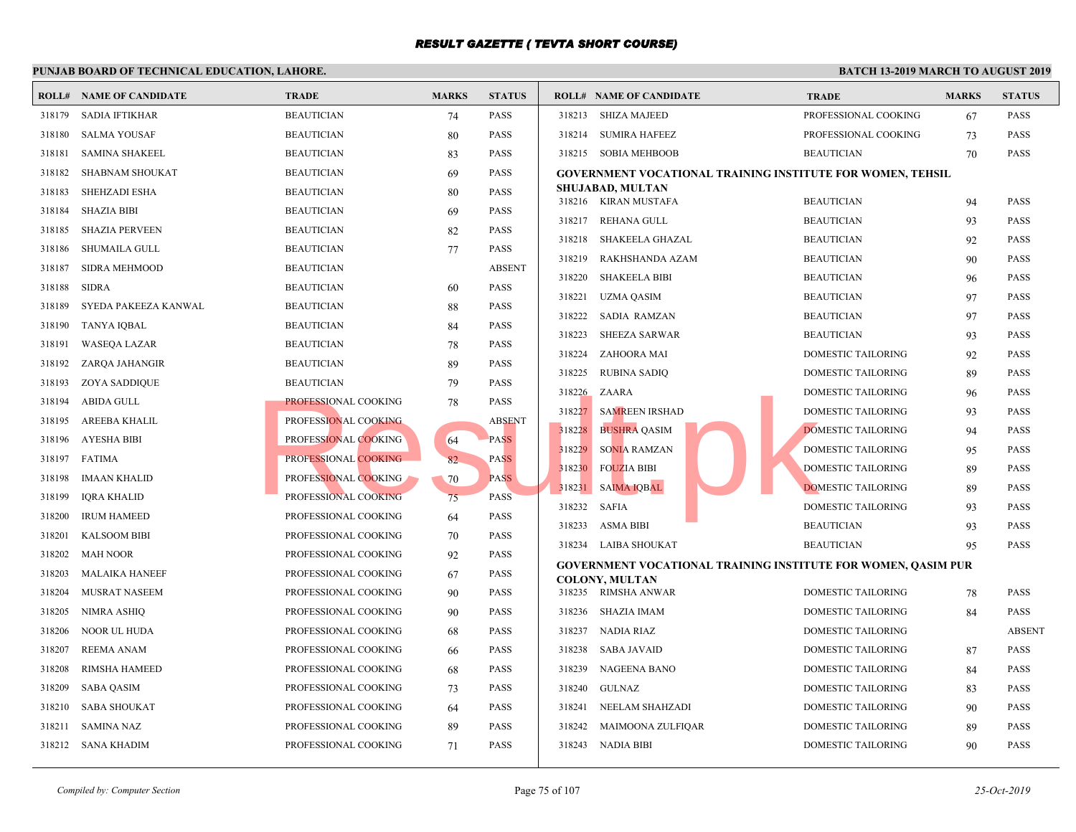|        | <b>ROLL# NAME OF CANDIDATE</b> | <b>TRADE</b>         | <b>MARKS</b> | <b>STATUS</b> | <b>ROLL# NAME OF CANDIDATE</b>                  | <b>TRAL</b>  |
|--------|--------------------------------|----------------------|--------------|---------------|-------------------------------------------------|--------------|
| 318179 | SADIA IFTIKHAR                 | <b>BEAUTICIAN</b>    | 74           | PASS          | 318213 SHIZA MAJEED                             | <b>PROFE</b> |
| 318180 | <b>SALMA YOUSAF</b>            | <b>BEAUTICIAN</b>    | 80           | <b>PASS</b>   | 318214<br><b>SUMIRA HAFEEZ</b>                  | <b>PROFI</b> |
| 318181 | <b>SAMINA SHAKEEL</b>          | <b>BEAUTICIAN</b>    | 83           | PASS          | 318215 SOBIA MEHBOOB                            | <b>BEAU</b>  |
| 318182 | <b>SHABNAM SHOUKAT</b>         | <b>BEAUTICIAN</b>    | 69           | <b>PASS</b>   | <b>GOVERNMENT VOCATIONAL TRAINING INSTITUTE</b> |              |
| 318183 | SHEHZADI ESHA                  | <b>BEAUTICIAN</b>    | 80           | PASS          | <b>SHUJABAD, MULTAN</b><br>318216 KIRAN MUSTAFA | <b>BEAU</b>  |
| 318184 | <b>SHAZIA BIBI</b>             | <b>BEAUTICIAN</b>    | -69          | PASS          | 318217                                          | <b>BEAU</b>  |
| 318185 | <b>SHAZIA PERVEEN</b>          | <b>BEAUTICIAN</b>    | 82           | <b>PASS</b>   | REHANA GULL                                     |              |
| 318186 | SHUMAILA GULL                  | <b>BEAUTICIAN</b>    | 77           | PASS          | 318218<br>SHAKEELA GHAZAL                       | <b>BEAU</b>  |
| 318187 | <b>SIDRA MEHMOOD</b>           | <b>BEAUTICIAN</b>    |              | <b>ABSENT</b> | 318219<br>RAKHSHANDA AZAM                       | <b>BEAU</b>  |
| 318188 | <b>SIDRA</b>                   | <b>BEAUTICIAN</b>    | 60           | <b>PASS</b>   | 318220<br><b>SHAKEELA BIBI</b>                  | <b>BEAU</b>  |
| 318189 | SYEDA PAKEEZA KANWAL           | <b>BEAUTICIAN</b>    | 88           | PASS          | 318221<br>UZMA QASIM                            | <b>BEAU</b>  |
| 318190 | TANYA IQBAL                    | <b>BEAUTICIAN</b>    | 84           | PASS          | 318222<br><b>SADIA RAMZAN</b>                   | <b>BEAU</b>  |
| 318191 | WASEQA LAZAR                   | <b>BEAUTICIAN</b>    | 78           | <b>PASS</b>   | 318223<br><b>SHEEZA SARWAR</b>                  | <b>BEAU</b>  |
| 318192 | ZARQA JAHANGIR                 | <b>BEAUTICIAN</b>    | 89           | PASS          | ZAHOORA MAI<br>318224                           | <b>DOME</b>  |
| 318193 | ZOYA SADDIQUE                  | <b>BEAUTICIAN</b>    | 79           | PASS          | 318225<br><b>RUBINA SADIQ</b>                   | <b>DOME</b>  |
| 318194 | <b>ABIDA GULL</b>              | PROFESSIONAL COOKING | 78           | PASS          | 318226<br>ZAARA                                 | <b>DOME</b>  |
| 318195 | AREEBA KHALIL                  | PROFESSIONAL COOKING |              | <b>ABSENT</b> | <b>SAMREEN IRSHAD</b><br>318227                 | <b>DOME</b>  |
| 318196 | AYESHA BIBI                    | PROFESSIONAL COOKING | 64           | <b>PASS</b>   | 318228<br><b>BUSHRA QASIM</b>                   | <b>DOME</b>  |
| 318197 | FATIMA                         | PROFESSIONAL COOKING | 82           | <b>PASS</b>   | <b>SONIA RAMZAN</b><br>318229                   | <b>DOME</b>  |
| 318198 | <b>IMAAN KHALID</b>            | PROFESSIONAL COOKING | 70           | <b>PASS</b>   | 318230<br><b>FOUZIA BIBI</b>                    | <b>DOME</b>  |
| 318199 | <b>IQRA KHALID</b>             | PROFESSIONAL COOKING | 75           | <b>PASS</b>   | 318231 SAIMA IQBAL                              | <b>DOME</b>  |
| 318200 | <b>IRUM HAMEED</b>             | PROFESSIONAL COOKING | 64           | <b>PASS</b>   | 318232<br><b>SAFIA</b>                          | <b>DOME</b>  |
| 318201 | <b>KALSOOM BIBI</b>            | PROFESSIONAL COOKING | 70           | PASS          | 318233<br><b>ASMA BIBI</b>                      | <b>BEAU</b>  |
| 318202 | <b>MAH NOOR</b>                | PROFESSIONAL COOKING | 92           | <b>PASS</b>   | 318234<br>LAIBA SHOUKAT                         | <b>BEAU</b>  |
| 318203 | <b>MALAIKA HANEEF</b>          | PROFESSIONAL COOKING | 67           | <b>PASS</b>   | GOVERNMENT VOCATIONAL TRAINING INSTITUTE        |              |
| 318204 | MUSRAT NASEEM                  | PROFESSIONAL COOKING | 90           | <b>PASS</b>   | <b>COLONY, MULTAN</b><br>318235 RIMSHA ANWAR    | <b>DOME</b>  |
| 318205 | <b>NIMRA ASHIQ</b>             | PROFESSIONAL COOKING | 90           | <b>PASS</b>   | 318236<br>SHAZIA IMAM                           | <b>DOME</b>  |
| 318206 | NOOR UL HUDA                   | PROFESSIONAL COOKING | 68           | PASS          | 318237<br>NADIA RIAZ                            | <b>DOME</b>  |
| 318207 | REEMA ANAM                     | PROFESSIONAL COOKING | 66           | PASS          | 318238<br>SABA JAVAID                           | <b>DOME</b>  |
| 318208 | RIMSHA HAMEED                  | PROFESSIONAL COOKING | 68           | <b>PASS</b>   | 318239<br>NAGEENA BANO                          | <b>DOME</b>  |
| 318209 | <b>SABA QASIM</b>              | PROFESSIONAL COOKING | 73           | <b>PASS</b>   | 318240<br>GULNAZ                                | <b>DOME</b>  |
| 318210 | <b>SABA SHOUKAT</b>            | PROFESSIONAL COOKING | 64           | <b>PASS</b>   | 318241<br>NEELAM SHAHZADI                       | <b>DOME</b>  |
| 318211 |                                |                      |              | <b>PASS</b>   | 318242                                          |              |
|        | <b>SAMINA NAZ</b>              | PROFESSIONAL COOKING | 89           |               | MAIMOONA ZULFIQAR                               | <b>DOME</b>  |
|        | 318212 SANA KHADIM             | PROFESSIONAL COOKING | 71           | PASS          | 318243<br>NADIA BIBI                            | <b>DOME</b>  |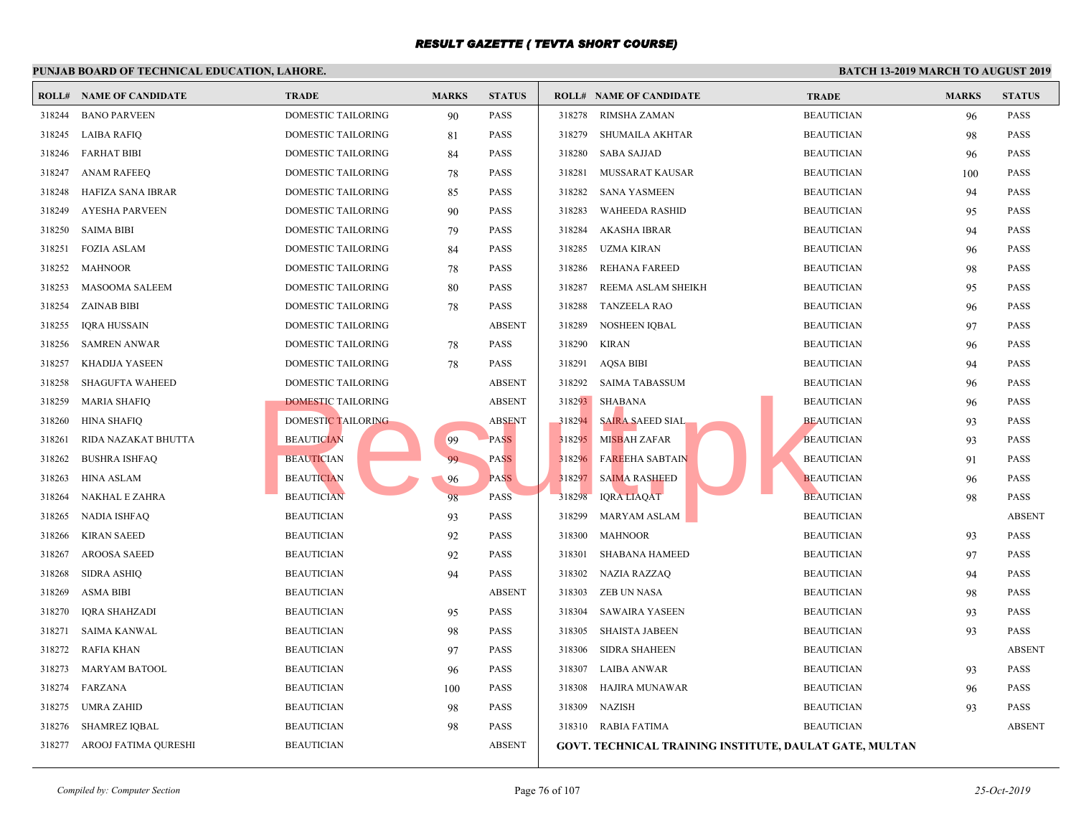|        | <b>ROLL# NAME OF CANDIDATE</b> | <b>TRADE</b>              | <b>MARKS</b> | <b>STATUS</b> |        | <b>ROLL# NAME OF CANDIDATE</b>             | <b>TRAL</b> |
|--------|--------------------------------|---------------------------|--------------|---------------|--------|--------------------------------------------|-------------|
| 318244 | <b>BANO PARVEEN</b>            | DOMESTIC TAILORING        | 90           | PASS          | 318278 | RIMSHA ZAMAN                               | <b>BEAU</b> |
| 318245 | <b>LAIBA RAFIQ</b>             | DOMESTIC TAILORING        | 81           | PASS          | 318279 | SHUMAILA AKHTAR                            | <b>BEAU</b> |
| 318246 | <b>FARHAT BIBI</b>             | DOMESTIC TAILORING        | 84           | PASS          | 318280 | <b>SABA SAJJAD</b>                         | <b>BEAU</b> |
| 318247 | <b>ANAM RAFEEQ</b>             | DOMESTIC TAILORING        | 78           | PASS          | 318281 | MUSSARAT KAUSAR                            | <b>BEAU</b> |
| 318248 | HAFIZA SANA IBRAR              | DOMESTIC TAILORING        | 85           | PASS          | 318282 | <b>SANA YASMEEN</b>                        | <b>BEAU</b> |
| 318249 | <b>AYESHA PARVEEN</b>          | DOMESTIC TAILORING        | 90           | PASS          | 318283 | <b>WAHEEDA RASHID</b>                      | <b>BEAU</b> |
| 318250 | <b>SAIMA BIBI</b>              | DOMESTIC TAILORING        | 79           | <b>PASS</b>   | 318284 | <b>AKASHA IBRAR</b>                        | <b>BEAU</b> |
| 318251 | <b>FOZIA ASLAM</b>             | DOMESTIC TAILORING        | 84           | PASS          | 318285 | <b>UZMA KIRAN</b>                          | <b>BEAU</b> |
| 318252 | <b>MAHNOOR</b>                 | DOMESTIC TAILORING        | 78           | PASS          | 318286 | <b>REHANA FAREED</b>                       | <b>BEAU</b> |
| 318253 | <b>MASOOMA SALEEM</b>          | DOMESTIC TAILORING        | 80           | PASS          | 318287 | REEMA ASLAM SHEIKH                         | <b>BEAU</b> |
| 318254 | <b>ZAINAB BIBI</b>             | DOMESTIC TAILORING        | 78           | PASS          | 318288 | <b>TANZEELA RAO</b>                        | <b>BEAU</b> |
| 318255 | IQRA HUSSAIN                   | DOMESTIC TAILORING        |              | <b>ABSENT</b> | 318289 | <b>NOSHEEN IQBAL</b>                       | <b>BEAU</b> |
| 318256 | <b>SAMREN ANWAR</b>            | DOMESTIC TAILORING        | 78           | <b>PASS</b>   | 318290 | <b>KIRAN</b>                               | <b>BEAU</b> |
| 318257 | KHADIJA YASEEN                 | DOMESTIC TAILORING        | 78           | <b>PASS</b>   | 318291 | <b>AQSA BIBI</b>                           | <b>BEAU</b> |
| 318258 | <b>SHAGUFTA WAHEED</b>         | DOMESTIC TAILORING        |              | <b>ABSENT</b> | 318292 | SAIMA TABASSUM                             | <b>BEAU</b> |
| 318259 | <b>MARIA SHAFIQ</b>            | <b>DOMESTIC TAILORING</b> |              | <b>ABSENT</b> | 318293 | <b>SHABANA</b>                             | <b>BEAU</b> |
| 318260 | <b>HINA SHAFIQ</b>             | DOMESTIC TAILORING        |              | <b>ABSENT</b> | 318294 | <b>SAIRA SAEED SIAL</b>                    | <b>BEAU</b> |
| 318261 | RIDA NAZAKAT BHUTTA            | <b>BEAUTICIAN</b>         | 99           | <b>PASS</b>   | 318295 | <b>MISBAH ZAFAR</b>                        | <b>BEAU</b> |
| 318262 | <b>BUSHRA ISHFAQ</b>           | <b>BEAUTICIAN</b>         | 99           | <b>PASS</b>   | 318296 | <b>FAREEHA SABTAIN</b>                     | <b>BEAU</b> |
| 318263 | <b>HINA ASLAM</b>              | <b>BEAUTICIAN</b>         | 96           | <b>PASS</b>   | 318297 | <b>SAIMA RASHEED</b>                       | <b>BEAU</b> |
| 318264 | NAKHAL E ZAHRA                 | <b>BEAUTICIAN</b>         | 98           | PASS          | 318298 | <b>IQRA LIAQAT</b>                         | <b>BEAU</b> |
| 318265 | <b>NADIA ISHFAQ</b>            | <b>BEAUTICIAN</b>         | 93           | <b>PASS</b>   | 318299 | MARYAM ASLAM                               | <b>BEAU</b> |
| 318266 | <b>KIRAN SAEED</b>             | <b>BEAUTICIAN</b>         | 92           | PASS          | 318300 | <b>MAHNOOR</b>                             | <b>BEAU</b> |
| 318267 | <b>AROOSA SAEED</b>            | <b>BEAUTICIAN</b>         | 92           | PASS          | 318301 | <b>SHABANA HAMEED</b>                      | <b>BEAU</b> |
| 318268 | <b>SIDRA ASHIQ</b>             | <b>BEAUTICIAN</b>         | 94           | PASS          | 318302 | <b>NAZIA RAZZAQ</b>                        | <b>BEAU</b> |
| 318269 | <b>ASMA BIBI</b>               | <b>BEAUTICIAN</b>         |              | <b>ABSENT</b> | 318303 | <b>ZEB UN NASA</b>                         | <b>BEAU</b> |
| 318270 | <b>IQRA SHAHZADI</b>           | <b>BEAUTICIAN</b>         | 95           | <b>PASS</b>   | 318304 | <b>SAWAIRA YASEEN</b>                      | <b>BEAU</b> |
| 318271 | <b>SAIMA KANWAL</b>            | <b>BEAUTICIAN</b>         | 98           | <b>PASS</b>   | 318305 | <b>SHAISTA JABEEN</b>                      | <b>BEAU</b> |
| 318272 | RAFIA KHAN                     | <b>BEAUTICIAN</b>         | 97           | PASS          | 318306 | <b>SIDRA SHAHEEN</b>                       | <b>BEAU</b> |
| 318273 | <b>MARYAM BATOOL</b>           | <b>BEAUTICIAN</b>         | 96           | <b>PASS</b>   | 318307 | <b>LAIBA ANWAR</b>                         | <b>BEAU</b> |
| 318274 | FARZANA                        | <b>BEAUTICIAN</b>         | 100          | PASS          | 318308 | HAJIRA MUNAWAR                             | <b>BEAU</b> |
| 318275 | <b>UMRA ZAHID</b>              | <b>BEAUTICIAN</b>         | 98           | PASS          | 318309 | <b>NAZISH</b>                              | <b>BEAU</b> |
| 318276 | <b>SHAMREZ IQBAL</b>           | <b>BEAUTICIAN</b>         | 98           | PASS          | 318310 | RABIA FATIMA                               | <b>BEAU</b> |
| 318277 | AROOJ FATIMA QURESHI           | <b>BEAUTICIAN</b>         |              | <b>ABSENT</b> |        | GOVT. TECHNICAL TRAINING INSTITUTE, DAULAT |             |
|        |                                |                           |              |               |        |                                            |             |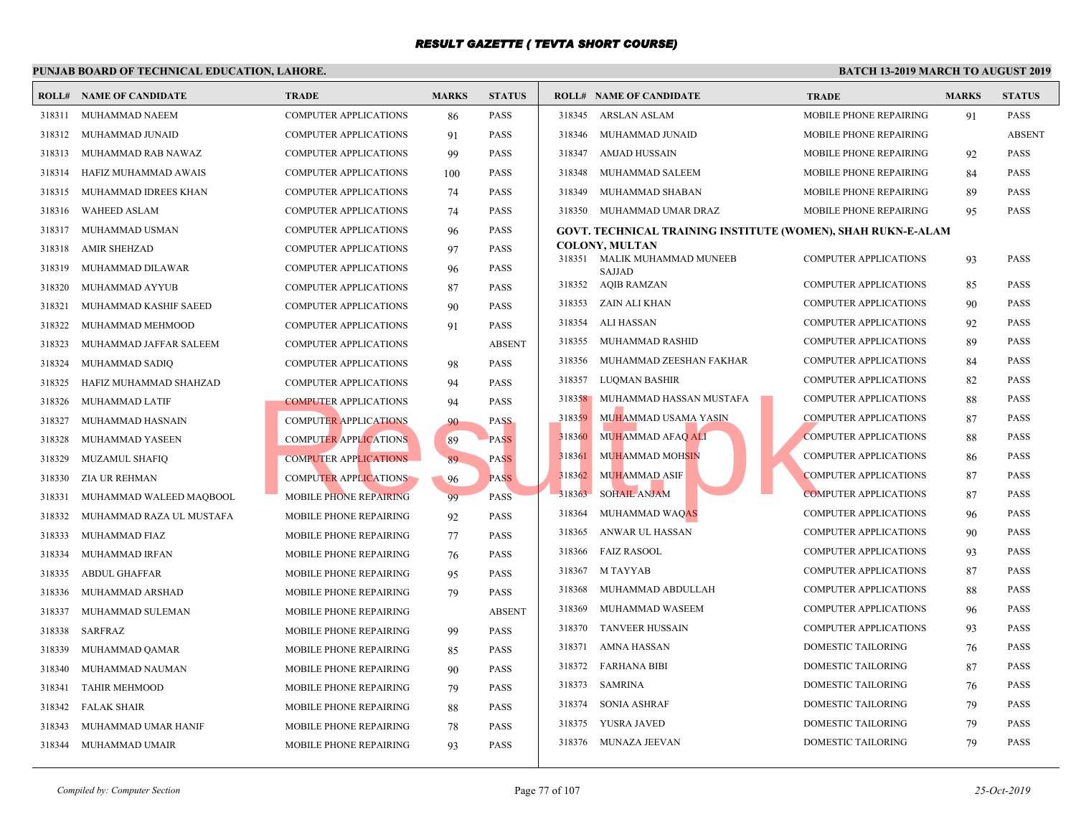|        | <b>ROLL# NAME OF CANDIDATE</b> | <b>TRADE</b>                  | <b>MARKS</b> | <b>STATUS</b> |        | <b>ROLL# NAME OF CANDIDATE</b>                    | <b>TRAL</b>  |
|--------|--------------------------------|-------------------------------|--------------|---------------|--------|---------------------------------------------------|--------------|
| 318311 | MUHAMMAD NAEEM                 | <b>COMPUTER APPLICATIONS</b>  | 86           | <b>PASS</b>   | 318345 | ARSLAN ASLAM                                      | <b>MOBII</b> |
| 318312 | MUHAMMAD JUNAID                | COMPUTER APPLICATIONS         | 91           | <b>PASS</b>   | 318346 | MUHAMMAD JUNAID                                   | <b>MOBII</b> |
| 318313 | MUHAMMAD RAB NAWAZ             | COMPUTER APPLICATIONS         | 99           | <b>PASS</b>   | 318347 | AMJAD HUSSAIN                                     | <b>MOBII</b> |
| 318314 | HAFIZ MUHAMMAD AWAIS           | COMPUTER APPLICATIONS         | 100          | <b>PASS</b>   | 318348 | MUHAMMAD SALEEM                                   | <b>MOBII</b> |
| 318315 | MUHAMMAD IDREES KHAN           | <b>COMPUTER APPLICATIONS</b>  | 74           | <b>PASS</b>   | 318349 | MUHAMMAD SHABAN                                   | <b>MOBII</b> |
| 318316 | <b>WAHEED ASLAM</b>            | <b>COMPUTER APPLICATIONS</b>  | 74           | <b>PASS</b>   |        | 318350 MUHAMMAD UMAR DRAZ                         | <b>MOBII</b> |
| 318317 | MUHAMMAD USMAN                 | COMPUTER APPLICATIONS         | 96           | <b>PASS</b>   |        | <b>GOVT. TECHNICAL TRAINING INSTITUTE (WOMEN)</b> |              |
| 318318 | <b>AMIR SHEHZAD</b>            | <b>COMPUTER APPLICATIONS</b>  | 97           | <b>PASS</b>   |        | <b>COLONY, MULTAN</b>                             |              |
| 318319 | MUHAMMAD DILAWAR               | <b>COMPUTER APPLICATIONS</b>  | 96           | <b>PASS</b>   | 318351 | MALIK MUHAMMAD MUNEEB<br><b>SAJJAD</b>            | <b>COMP</b>  |
| 318320 | MUHAMMAD AYYUB                 | <b>COMPUTER APPLICATIONS</b>  | 87           | <b>PASS</b>   | 318352 | <b>AQIB RAMZAN</b>                                | <b>COMP</b>  |
| 318321 | MUHAMMAD KASHIF SAEED          | <b>COMPUTER APPLICATIONS</b>  | 90           | <b>PASS</b>   | 318353 | ZAIN ALI KHAN                                     | <b>COMP</b>  |
| 318322 | MUHAMMAD MEHMOOD               | <b>COMPUTER APPLICATIONS</b>  | 91           | <b>PASS</b>   | 318354 | <b>ALI HASSAN</b>                                 | <b>COMP</b>  |
| 318323 | MUHAMMAD JAFFAR SALEEM         | <b>COMPUTER APPLICATIONS</b>  |              | <b>ABSENT</b> | 318355 | MUHAMMAD RASHID                                   | <b>COMP</b>  |
| 318324 | MUHAMMAD SADIQ                 | <b>COMPUTER APPLICATIONS</b>  | 98           | <b>PASS</b>   | 318356 | MUHAMMAD ZEESHAN FAKHAR                           | <b>COMP</b>  |
| 318325 | HAFIZ MUHAMMAD SHAHZAD         | <b>COMPUTER APPLICATIONS</b>  | 94           | <b>PASS</b>   | 318357 | LUQMAN BASHIR                                     | <b>COMP</b>  |
| 318326 | MUHAMMAD LATIF                 | <b>COMPUTER APPLICATIONS</b>  | 94           | <b>PASS</b>   |        | 318358 MUHAMMAD HASSAN MUSTAFA                    | COMP         |
| 318327 | MUHAMMAD HASNAIN               | <b>COMPUTER APPLICATIONS</b>  | 90           | <b>PASS</b>   | 318359 | MUHAMMAD USAMA YASIN                              | <b>COMP</b>  |
| 318328 | MUHAMMAD YASEEN                | <b>COMPUTER APPLICATIONS</b>  | 89           | <b>PASS</b>   | 318360 | MUHAMMAD AFAQ ALI                                 | <b>COMP</b>  |
| 318329 | <b>MUZAMUL SHAFIQ</b>          | <b>COMPUTER APPLICATIONS</b>  | 89           | <b>PASS</b>   | 318361 | MUHAMMAD MOHSIN                                   | <b>COMP</b>  |
| 318330 | ZIA UR REHMAN                  | <b>COMPUTER APPLICATIONS</b>  | 96           | <b>PASS</b>   | 318362 | <b>MUHAMMAD ASIF</b>                              | <b>COMP</b>  |
| 318331 | MUHAMMAD WALEED MAQBOOL        | MOBILE PHONE REPAIRING        | 99           | <b>PASS</b>   | 318363 | <b>SOHAIL ANJAM</b>                               | <b>COMP</b>  |
| 318332 | MUHAMMAD RAZA UL MUSTAFA       | MOBILE PHONE REPAIRING        | 92           | <b>PASS</b>   | 318364 | MUHAMMAD WAQAS                                    | <b>COMP</b>  |
| 318333 | MUHAMMAD FIAZ                  | MOBILE PHONE REPAIRING        | 77           | <b>PASS</b>   | 318365 | ANWAR UL HASSAN                                   | <b>COMP</b>  |
| 318334 | MUHAMMAD IRFAN                 | MOBILE PHONE REPAIRING        | 76           | <b>PASS</b>   | 318366 | <b>FAIZ RASOOL</b>                                | <b>COMP</b>  |
| 318335 | <b>ABDUL GHAFFAR</b>           | <b>MOBILE PHONE REPAIRING</b> | 95           | <b>PASS</b>   | 318367 | M TAYYAB                                          | COMP         |
| 318336 | MUHAMMAD ARSHAD                | MOBILE PHONE REPAIRING        | 79           | <b>PASS</b>   | 318368 | MUHAMMAD ABDULLAH                                 | <b>COMP</b>  |
| 318337 | MUHAMMAD SULEMAN               | MOBILE PHONE REPAIRING        |              | <b>ABSENT</b> | 318369 | MUHAMMAD WASEEM                                   | <b>COMP</b>  |
| 318338 | <b>SARFRAZ</b>                 | MOBILE PHONE REPAIRING        | 99           | <b>PASS</b>   | 318370 | TANVEER HUSSAIN                                   | <b>COMP</b>  |
| 318339 | MUHAMMAD QAMAR                 | MOBILE PHONE REPAIRING        | 85           | <b>PASS</b>   | 318371 | <b>AMNA HASSAN</b>                                | <b>DOME</b>  |
| 318340 | MUHAMMAD NAUMAN                | <b>MOBILE PHONE REPAIRING</b> | 90           | <b>PASS</b>   | 318372 | <b>FARHANA BIBI</b>                               | <b>DOME</b>  |
| 318341 | <b>TAHIR MEHMOOD</b>           | MOBILE PHONE REPAIRING        | 79           | <b>PASS</b>   | 318373 | <b>SAMRINA</b>                                    | <b>DOME</b>  |
| 318342 | <b>FALAK SHAIR</b>             | <b>MOBILE PHONE REPAIRING</b> | 88           | <b>PASS</b>   | 318374 | <b>SONIA ASHRAF</b>                               | <b>DOME</b>  |
| 318343 | MUHAMMAD UMAR HANIF            | MOBILE PHONE REPAIRING        | 78           | <b>PASS</b>   | 318375 | YUSRA JAVED                                       | <b>DOME</b>  |
| 318344 | MUHAMMAD UMAIR                 | MOBILE PHONE REPAIRING        | 93           | <b>PASS</b>   |        | 318376 MUNAZA JEEVAN                              | <b>DOME</b>  |
|        |                                |                               |              |               |        |                                                   |              |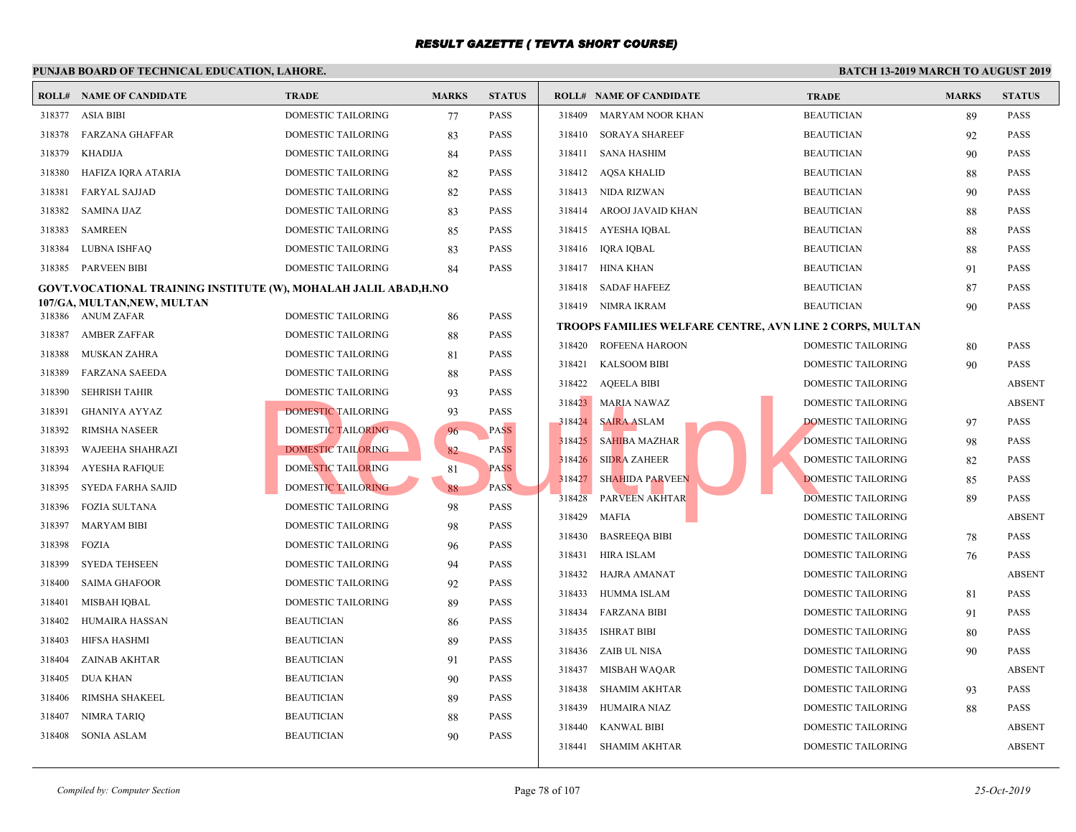#### **PUNJAB BOARD OF TECHNICAL EDUCATION, LAHORE. ROLL# NAME OF CANDIDATE TRADE MARKS STATUS ROLL# NAME OF CANDIDATE TRADE MARKS STATUS** 318377 ASIA BIBI DOMESTIC TAILORING 77 PASS 318378 FARZANA GHAFFAR DOMESTIC TAILORING 83 PASS 318379 KHADIJA DOMESTIC TAILORING 84 PASS 318380 HAFIZA IQRA ATARIA DOMESTIC TAILORING 82 PASS 318381 FARYAL SAJJAD DOMESTIC TAILORING 82 PASS 318382 SAMINA IJAZ DOMESTIC TAILORING 83 PASS 318383 SAMREEN DOMESTIC TAILORING 85 PASS 318384 LUBNA ISHFAQ DOMESTIC TAILORING 83 PASS 318385 PARVEEN BIBI DOMESTIC TAILORING 84 PASS **GOVT.VOCATIONAL TRAINING INSTITUTE (W), MOHALAH JALIL ABAD,H.NO 107/GA, MULTAN,NEW, MULTAN** 318386 ANUM ZAFAR DOMESTIC TAILORING 86 PASS 318387 AMBER ZAFFAR DOMESTIC TAILORING 88 PASS 318388 MUSKAN ZAHRA DOMESTIC TAILORING 81 PASS 318389 FARZANA SAEEDA DOMESTIC TAILORING 88 PASS 318390 SEHRISH TAHIR DOMESTIC TAILORING 93 PASS 318391 GHANIYA AYYAZ DOMESTIC TAILORING 93 PASS 318392 RIMSHA NASEER DOMESTIC TAILORING 96 PASS 318393 WAJEEHA SHAHRAZI DOMESTIC TAILORING 82 PASS 318394 AYESHA RAFIQUE DOMESTIC TAILORING 81 PASS 318395 SYEDA FARHA SAJID DOMESTIC TAILORING 88 PASS 318396 FOZIA SULTANA DOMESTIC TAILORING 98 PASS 318397 MARYAM BIBI DOMESTIC TAILORING 98 PASS 318398 FOZIA DOMESTIC TAILORING 96 PASS 318399 SYEDA TEHSEEN DOMESTIC TAILORING 94 PASS 318400 SAIMA GHAFOOR DOMESTIC TAILORING 92 PASS 318401 MISBAH IQBAL DOMESTIC TAILORING 89 PASS 318402 HUMAIRA HASSAN BEAUTICIAN 86 PASS 318403 HIFSA HASHMI BEAUTICIAN 89 PASS 318404 ZAINAB AKHTAR BEAUTICIAN 91 PASS 318405 DUA KHAN BEAUTICIAN 90 PASS 318406 RIMSHA SHAKEEL BEAUTICIAN 89 PASS 318407 NIMRA TARIQ BEAUTICIAN 88 PASS 318408 SONIA ASLAM BEAUTICIAN 90 PASS 318409 MARYAM NOOR KHAN BEAUTICIAN BEAUTICIAN BEAUTICIAN BEAUTICIAN BEAUTICIAN BEAUTICIAN BEAUTICIAN BEAUTICIAN BEAU 318410 SORAYA SHAREEF BEAUT 318411 SANA HASHIM BEAUTICIAN 90 BEAU 318412 AQSA KHALID BEAUTICIAN 88 BAUTICIAN 88 BASE 318413 NIDA RIZWAN BEAUT 318414 AROOJ JAVAID KHAN BEAUT 318415 AYESHA IOBAL BEAUTICIAN BEAU 318416 IQRA IQBAL BEAU 318417 HINA KHAN BEAUT 318418 SADAF HAFEEZ BEAUT 318419 NIMRA IKRAM BEAUT **TROOPS FAMILIES WELFARE CENTRE, AVN LINE 2** 318420 ROFEENA HAROON DOME 318421 KALSOOM BIBI DOME 318422 AQEELA BIBI DOME 318423 MARIA NAWAZ DOME 318424 SAIRA ASLAM DOME 318425 SAHIBA MAZHAR DOME 318426 SIDRA ZAHEER DOME 318427 SHAHIDA PARVEEN DOME 318428 PARVEEN AKHTAR DOME 318429 MAFIA DOME 318430 BASREEQA BIBI DOME 318431 HIRA ISLAM DOME 318432 HAJRA AMANAT DOME 318433 HUMMA ISLAM DOME 318434 FARZANA BIBI DOME 318435 ISHRAT BIBI DOME 318436 ZAIB UL NISA DOME 318437 MISBAH WAQAR DOME 318438 SHAMIM AKHTAR DOME 318439 HUMAIRA NIAZ DOME 318440 KANWAL BIBI DOME 318441 SHAMIM AKHTAR DOME DOMESTIC TAILORING BE PASS<br>
DOMESTIC TAILORING BE PASS<br>
DOMESTIC TAILORING BE PASS<br>
DOMESTIC TAILORING BE PASS<br>
DOMESTIC TAILORING BE PASS<br>
DOMESTIC TAILORING BE PASS<br>
DOMESTIC TAILORING BE PASS<br>
DOMESTIC TAILORING BE PASS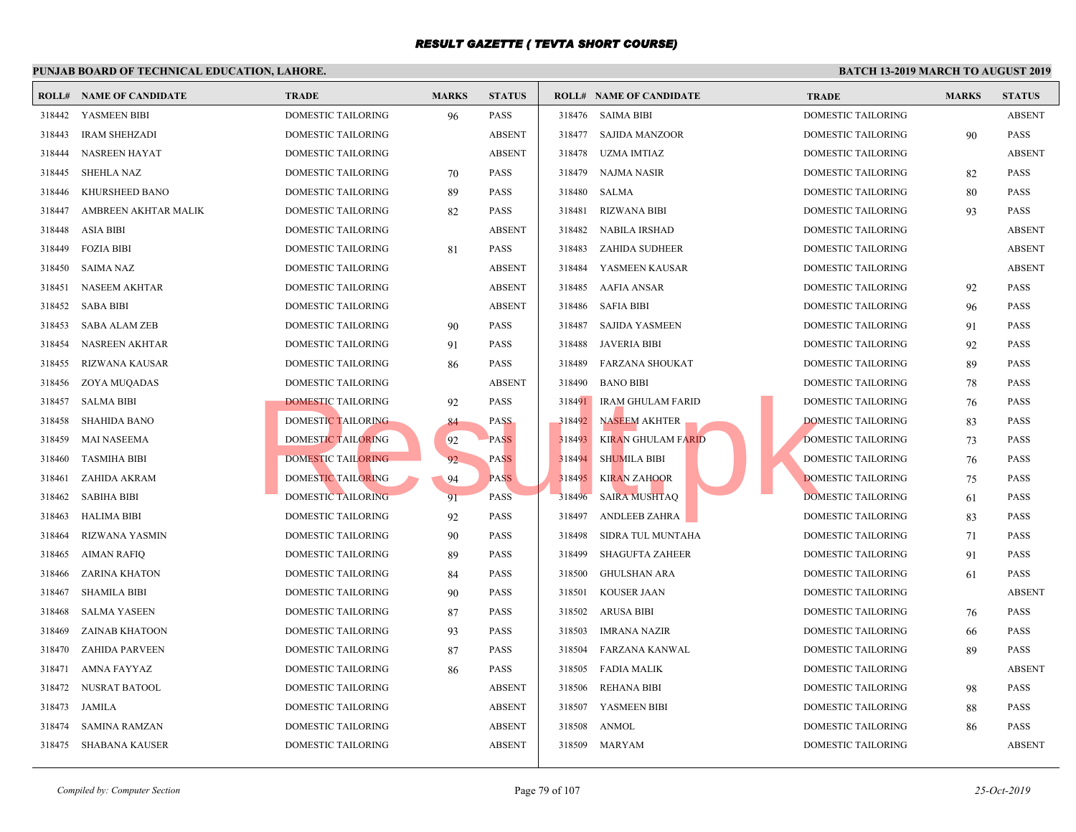|        | <b>ROLL# NAME OF CANDIDATE</b> | <b>TRADE</b>              | <b>MARKS</b> | <b>STATUS</b> |        | <b>ROLL# NAME OF CANDIDATE</b> | <b>TRAL</b> |
|--------|--------------------------------|---------------------------|--------------|---------------|--------|--------------------------------|-------------|
| 318442 | YASMEEN BIBI                   | <b>DOMESTIC TAILORING</b> | 96           | <b>PASS</b>   |        | 318476 SAIMA BIBI              | <b>DOME</b> |
| 318443 | <b>IRAM SHEHZADI</b>           | DOMESTIC TAILORING        |              | <b>ABSENT</b> | 318477 | SAJIDA MANZOOR                 | <b>DOME</b> |
| 318444 | NASREEN HAYAT                  | DOMESTIC TAILORING        |              | <b>ABSENT</b> | 318478 | UZMA IMTIAZ                    | <b>DOME</b> |
| 318445 | <b>SHEHLA NAZ</b>              | DOMESTIC TAILORING        | 70           | <b>PASS</b>   | 318479 | NAJMA NASIR                    | <b>DOME</b> |
| 318446 | KHURSHEED BANO                 | DOMESTIC TAILORING        | 89           | <b>PASS</b>   | 318480 | SALMA                          | <b>DOME</b> |
| 318447 | AMBREEN AKHTAR MALIK           | DOMESTIC TAILORING        | 82           | <b>PASS</b>   | 318481 | <b>RIZWANA BIBI</b>            | <b>DOME</b> |
| 318448 | <b>ASIA BIBI</b>               | DOMESTIC TAILORING        |              | <b>ABSENT</b> | 318482 | <b>NABILA IRSHAD</b>           | <b>DOME</b> |
| 318449 | <b>FOZIA BIBI</b>              | DOMESTIC TAILORING        | 81           | <b>PASS</b>   | 318483 | ZAHIDA SUDHEER                 | <b>DOME</b> |
| 318450 | SAIMA NAZ                      | DOMESTIC TAILORING        |              | <b>ABSENT</b> | 318484 | YASMEEN KAUSAR                 | <b>DOME</b> |
| 318451 | NASEEM AKHTAR                  | DOMESTIC TAILORING        |              | <b>ABSENT</b> | 318485 | AAFIA ANSAR                    | <b>DOME</b> |
| 318452 | <b>SABA BIBI</b>               | DOMESTIC TAILORING        |              | <b>ABSENT</b> | 318486 | <b>SAFIA BIBI</b>              | <b>DOME</b> |
| 318453 | <b>SABA ALAM ZEB</b>           | DOMESTIC TAILORING        | 90           | <b>PASS</b>   | 318487 | <b>SAJIDA YASMEEN</b>          | <b>DOME</b> |
| 318454 | <b>NASREEN AKHTAR</b>          | DOMESTIC TAILORING        | 91           | <b>PASS</b>   | 318488 | JAVERIA BIBI                   | <b>DOME</b> |
| 318455 | <b>RIZWANA KAUSAR</b>          | DOMESTIC TAILORING        | 86           | <b>PASS</b>   | 318489 | FARZANA SHOUKAT                | <b>DOME</b> |
| 318456 | ZOYA MUQADAS                   | DOMESTIC TAILORING        |              | <b>ABSENT</b> | 318490 | BANO BIBI                      | <b>DOME</b> |
| 318457 | <b>SALMA BIBI</b>              | DOMESTIC TAILORING        | 92           | PASS          | 318491 | IRAM GHULAM FARID              | <b>DOME</b> |
| 318458 | <b>SHAHIDA BANO</b>            | DOMESTIC TAILORING        | 84           | <b>PASS</b>   | 318492 | NASEEM AKHTER                  | <b>DOME</b> |
| 318459 | <b>MAI NASEEMA</b>             | <b>DOMESTIC TAILORING</b> | 92           | <b>PASS</b>   | 318493 | <b>KIRAN GHULAM FARID</b>      | <b>DOME</b> |
| 318460 | <b>TASMIHA BIBI</b>            | DOMESTIC TAILORING        | 92           | <b>PASS</b>   | 318494 | <b>SHUMILA BIBI</b>            | <b>DOME</b> |
| 318461 | ZAHIDA AKRAM                   | DOMESTIC TAILORING        | 94           | <b>PASS</b>   | 318495 | <b>KIRAN ZAHOOR</b>            | <b>DOME</b> |
| 318462 | <b>SABIHA BIBI</b>             | DOMESTIC TAILORING        | 91           | <b>PASS</b>   | 318496 | <b>SAIRA MUSHTAQ</b>           | <b>DOME</b> |
| 318463 | <b>HALIMA BIBI</b>             | DOMESTIC TAILORING        | 92           | <b>PASS</b>   | 318497 | ANDLEEB ZAHRA                  | <b>DOME</b> |
| 318464 | RIZWANA YASMIN                 | DOMESTIC TAILORING        | 90           | PASS          | 318498 | SIDRA TUL MUNTAHA              | <b>DOME</b> |
| 318465 | <b>AIMAN RAFIQ</b>             | DOMESTIC TAILORING        | 89           | <b>PASS</b>   | 318499 | <b>SHAGUFTA ZAHEER</b>         | <b>DOME</b> |
| 318466 | <b>ZARINA KHATON</b>           | DOMESTIC TAILORING        | 84           | <b>PASS</b>   | 318500 | <b>GHULSHAN ARA</b>            | <b>DOME</b> |
| 318467 | <b>SHAMILA BIBI</b>            | DOMESTIC TAILORING        | 90           | <b>PASS</b>   | 318501 | <b>KOUSER JAAN</b>             | <b>DOME</b> |
| 318468 | <b>SALMA YASEEN</b>            | DOMESTIC TAILORING        | 87           | PASS          | 318502 | <b>ARUSA BIBI</b>              | <b>DOME</b> |
| 318469 | ZAINAB KHATOON                 | DOMESTIC TAILORING        | 93           | <b>PASS</b>   | 318503 | IMRANA NAZIR                   | <b>DOME</b> |
| 318470 | <b>ZAHIDA PARVEEN</b>          | DOMESTIC TAILORING        | 87           | <b>PASS</b>   | 318504 | FARZANA KANWAL                 | <b>DOME</b> |
| 318471 | <b>AMNA FAYYAZ</b>             | DOMESTIC TAILORING        | 86           | <b>PASS</b>   | 318505 | FADIA MALIK                    | <b>DOME</b> |
| 318472 | NUSRAT BATOOL                  | DOMESTIC TAILORING        |              | <b>ABSENT</b> | 318506 | REHANA BIBI                    | <b>DOME</b> |
| 318473 | JAMILA                         | DOMESTIC TAILORING        |              | <b>ABSENT</b> | 318507 | YASMEEN BIBI                   | <b>DOME</b> |
| 318474 | <b>SAMINA RAMZAN</b>           | DOMESTIC TAILORING        |              | <b>ABSENT</b> | 318508 | ANMOL                          | <b>DOME</b> |
| 318475 | SHABANA KAUSER                 | DOMESTIC TAILORING        |              | <b>ABSENT</b> |        | 318509 MARYAM                  | <b>DOME</b> |
|        |                                |                           |              |               |        |                                |             |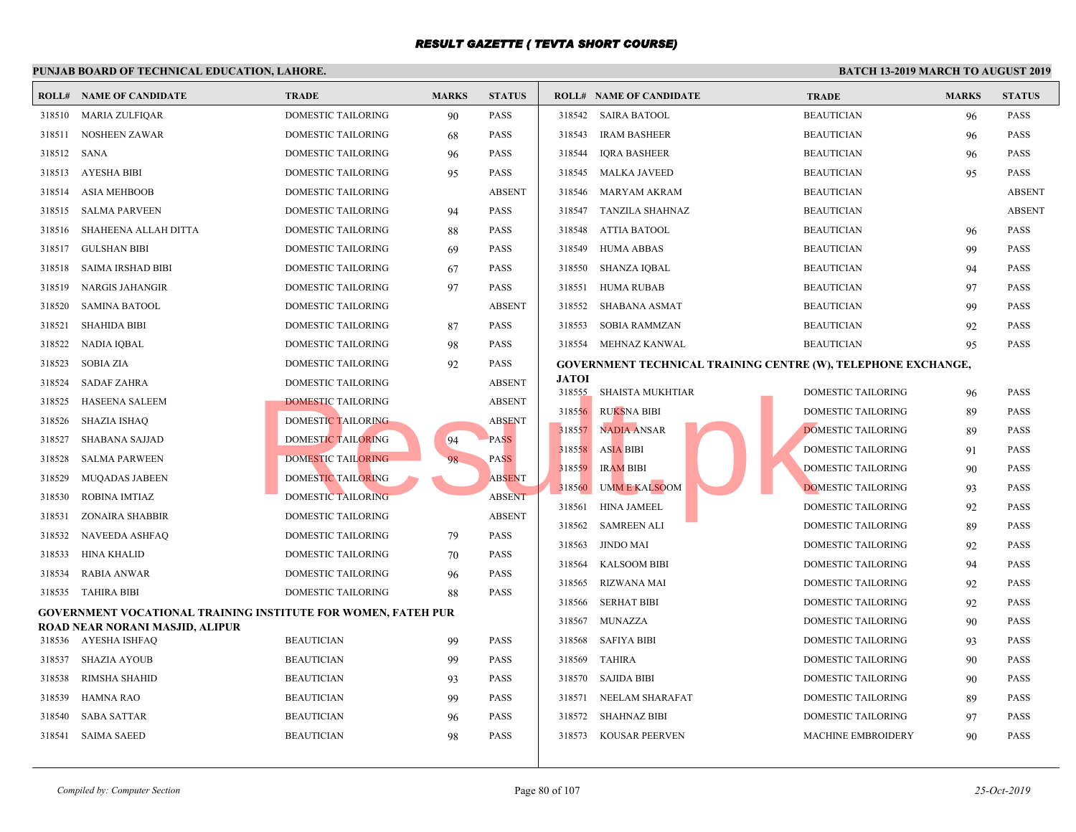|        | <b>ROLL# NAME OF CANDIDATE</b>                                | <b>TRADE</b>              | <b>MARKS</b> | <b>STATUS</b> |                  | <b>ROLL# NAME OF CANDIDATE</b>          | <b>TRAL</b>                                      |
|--------|---------------------------------------------------------------|---------------------------|--------------|---------------|------------------|-----------------------------------------|--------------------------------------------------|
|        | 318510 MARIA ZULFIQAR                                         | DOMESTIC TAILORING        | 90           | PASS          |                  | 318542 SAIRA BATOOL                     | <b>BEAU</b>                                      |
| 318511 | NOSHEEN ZAWAR                                                 | DOMESTIC TAILORING        | 68           | <b>PASS</b>   | 318543           | <b>IRAM BASHEER</b>                     | <b>BEAU</b>                                      |
| 318512 | SANA                                                          | DOMESTIC TAILORING        | 96           | <b>PASS</b>   | 318544           | <b>IQRA BASHEER</b>                     | <b>BEAU</b>                                      |
| 318513 | AYESHA BIBI                                                   | DOMESTIC TAILORING        | 95           | <b>PASS</b>   |                  | 318545 MALKA JAVEED                     | <b>BEAU</b>                                      |
| 318514 | <b>ASIA MEHBOOB</b>                                           | DOMESTIC TAILORING        |              | <b>ABSENT</b> | 318546           | MARYAM AKRAM                            | <b>BEAU</b>                                      |
| 318515 | <b>SALMA PARVEEN</b>                                          | DOMESTIC TAILORING        | 94           | <b>PASS</b>   |                  | 318547 TANZILA SHAHNAZ                  | <b>BEAU</b>                                      |
| 318516 | SHAHEENA ALLAH DITTA                                          | DOMESTIC TAILORING        | 88           | <b>PASS</b>   | 318548           | ATTIA BATOOL                            | <b>BEAU</b>                                      |
| 318517 | <b>GULSHAN BIBI</b>                                           | DOMESTIC TAILORING        | 69           | <b>PASS</b>   |                  | 318549 HUMA ABBAS                       | <b>BEAU</b>                                      |
| 318518 | SAIMA IRSHAD BIBI                                             | DOMESTIC TAILORING        | 67           | <b>PASS</b>   | 318550           | SHANZA IQBAL                            | <b>BEAU</b>                                      |
| 318519 | NARGIS JAHANGIR                                               | DOMESTIC TAILORING        | 97           | <b>PASS</b>   | 318551           | HUMA RUBAB                              | <b>BEAU</b>                                      |
| 318520 | <b>SAMINA BATOOL</b>                                          | DOMESTIC TAILORING        |              | <b>ABSENT</b> | 318552           | SHABANA ASMAT                           | <b>BEAU</b>                                      |
| 318521 | <b>SHAHIDA BIBI</b>                                           | DOMESTIC TAILORING        | 87           | <b>PASS</b>   | 318553           | SOBIA RAMMZAN                           | <b>BEAU</b>                                      |
| 318522 | NADIA IQBAL                                                   | DOMESTIC TAILORING        | 98           | <b>PASS</b>   |                  | 318554 MEHNAZ KANWAL                    | <b>BEAU</b>                                      |
| 318523 | SOBIA ZIA                                                     | DOMESTIC TAILORING        | 92           | <b>PASS</b>   |                  |                                         | <b>GOVERNMENT TECHNICAL TRAINING CENTRE (W).</b> |
| 318524 | <b>SADAF ZAHRA</b>                                            | DOMESTIC TAILORING        |              | <b>ABSENT</b> | <b>JATOI</b>     |                                         |                                                  |
| 318525 | <b>HASEENA SALEEM</b>                                         | <b>DOMESTIC TAILORING</b> |              | <b>ABSENT</b> |                  | 318555 SHAISTA MUKHTIAR                 | <b>DOME</b>                                      |
| 318526 | <b>SHAZIA ISHAQ</b>                                           | <b>DOMESTIC TAILORING</b> |              | <b>ABSENT</b> | 318556           | <b>RUKSNA BIBI</b>                      | <b>DOME</b>                                      |
| 318527 | <b>SHABANA SAJJAD</b>                                         | <b>DOMESTIC TAILORING</b> | 94           | <b>PASS</b>   | 318557           | <b>NADIA ANSAR</b>                      | <b>DOME</b>                                      |
| 318528 | <b>SALMA PARWEEN</b>                                          | <b>DOMESTIC TAILORING</b> | 98           | <b>PASS</b>   | 318558           | <b>ASIA BIBI</b>                        | <b>DOME</b>                                      |
| 318529 | <b>MUQADAS JABEEN</b>                                         | DOMESTIC TAILORING        |              | <b>ABSENT</b> | 318560           | 318559 IRAM BIBI<br><b>UMME KALSOOM</b> | <b>DOME</b><br><b>DOME</b>                       |
| 318530 | <b>ROBINA IMTIAZ</b>                                          | <b>DOMESTIC TAILORING</b> |              | <b>ABSENT</b> | 318561           | HINA JAMEEL                             | <b>DOME</b>                                      |
| 318531 | <b>ZONAIRA SHABBIR</b>                                        | DOMESTIC TAILORING        |              | <b>ABSENT</b> |                  |                                         |                                                  |
| 318532 | NAVEEDA ASHFAQ                                                | DOMESTIC TAILORING        | 79           | <b>PASS</b>   | 318562<br>318563 | <b>SAMREEN ALI</b><br>JINDO MAI         | <b>DOME</b><br><b>DOME</b>                       |
| 318533 | HINA KHALID                                                   | DOMESTIC TAILORING        | 70           | <b>PASS</b>   |                  |                                         |                                                  |
| 318534 | <b>RABIA ANWAR</b>                                            | DOMESTIC TAILORING        | 96           | <b>PASS</b>   | 318564           | <b>KALSOOM BIBI</b>                     | <b>DOME</b>                                      |
|        | 318535 TAHIRA BIBI                                            | DOMESTIC TAILORING        | 88           | <b>PASS</b>   | 318565           | RIZWANA MAI                             | <b>DOME</b>                                      |
|        | GOVERNMENT VOCATIONAL TRAINING INSTITUTE FOR WOMEN, FATEH PUR |                           |              |               | 318566<br>318567 | <b>SERHAT BIBI</b><br>MUNAZZA           | <b>DOME</b><br><b>DOME</b>                       |
|        | ROAD NEAR NORANI MASJID, ALIPUR                               | <b>BEAUTICIAN</b>         |              | <b>PASS</b>   | 318568           | <b>SAFIYA BIBI</b>                      | <b>DOME</b>                                      |
| 318537 | 318536 AYESHA ISHFAQ<br><b>SHAZIA AYOUB</b>                   | <b>BEAUTICIAN</b>         | 99           | <b>PASS</b>   | 318569           | <b>TAHIRA</b>                           | <b>DOME</b>                                      |
|        |                                                               |                           | -99          |               |                  |                                         |                                                  |
| 318538 | RIMSHA SHAHID                                                 | <b>BEAUTICIAN</b>         | 93           | <b>PASS</b>   | 318570           | SAJIDA BIBI                             | <b>DOME</b>                                      |
| 318539 | <b>HAMNA RAO</b>                                              | <b>BEAUTICIAN</b>         | 99           | <b>PASS</b>   | 318571           | NEELAM SHARAFAT                         | <b>DOME</b>                                      |
| 318540 | SABA SATTAR                                                   | <b>BEAUTICIAN</b>         | 96           | <b>PASS</b>   | 318572           | SHAHNAZ BIBI                            | <b>DOME</b>                                      |
| 318541 | <b>SAIMA SAEED</b>                                            | <b>BEAUTICIAN</b>         | 98           | <b>PASS</b>   |                  | 318573 KOUSAR PEERVEN                   | <b>MACH</b>                                      |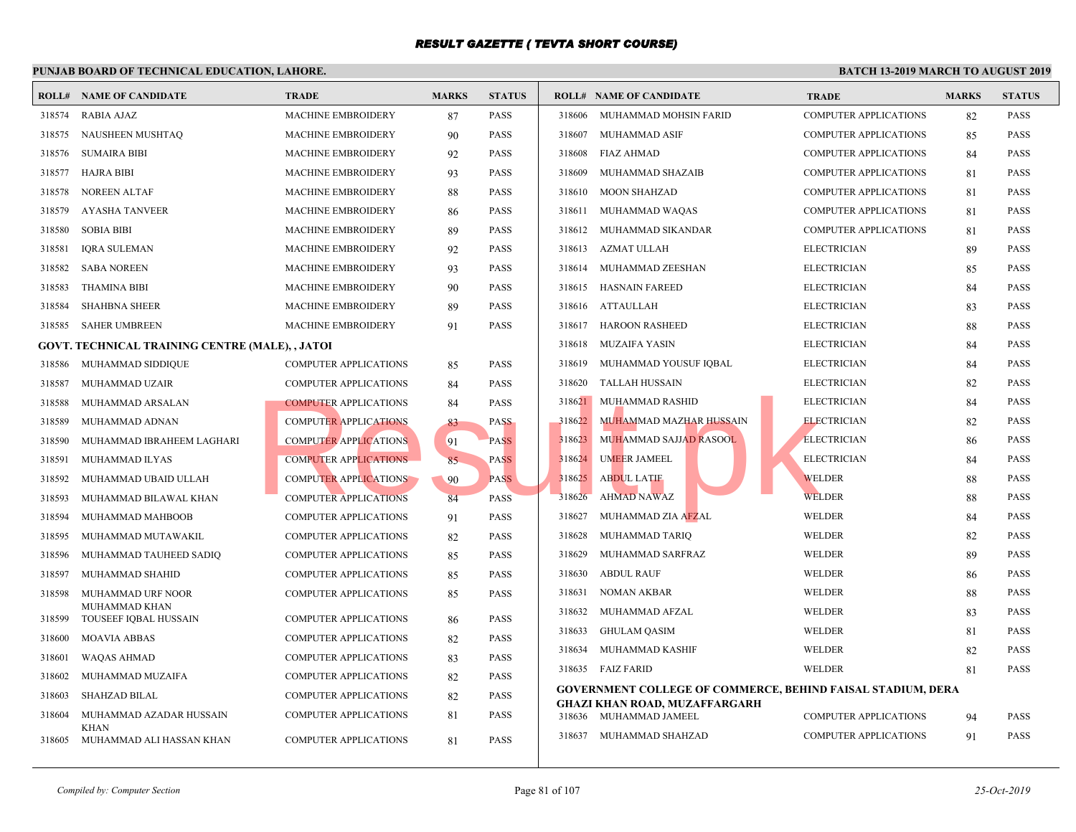| ROLL#  | NAME OF CANDIDATE                               | <b>TRADE</b>                 | <b>MARKS</b> | <b>STATUS</b> |        | <b>ROLL# NAME OF CANDIDATE</b>                | <b>TRAL</b>  |
|--------|-------------------------------------------------|------------------------------|--------------|---------------|--------|-----------------------------------------------|--------------|
| 318574 | <b>RABIA AJAZ</b>                               | <b>MACHINE EMBROIDERY</b>    | 87           | <b>PASS</b>   | 318606 | MUHAMMAD MOHSIN FARID                         | <b>COMP</b>  |
| 318575 | NAUSHEEN MUSHTAQ                                | <b>MACHINE EMBROIDERY</b>    | 90           | <b>PASS</b>   | 318607 | MUHAMMAD ASIF                                 | <b>COMP</b>  |
| 318576 | <b>SUMAIRA BIBI</b>                             | <b>MACHINE EMBROIDERY</b>    | 92           | <b>PASS</b>   | 318608 | FIAZ AHMAD                                    | <b>COMP</b>  |
| 318577 | <b>HAJRA BIBI</b>                               | MACHINE EMBROIDERY           | 93           | <b>PASS</b>   | 318609 | MUHAMMAD SHAZAIB                              | <b>COMP</b>  |
| 318578 | <b>NOREEN ALTAF</b>                             | MACHINE EMBROIDERY           | 88           | <b>PASS</b>   | 318610 | <b>MOON SHAHZAD</b>                           | <b>COMP</b>  |
| 318579 | <b>AYASHA TANVEER</b>                           | <b>MACHINE EMBROIDERY</b>    | 86           | <b>PASS</b>   | 318611 | MUHAMMAD WAQAS                                | <b>COMP</b>  |
| 318580 | <b>SOBIA BIBI</b>                               | <b>MACHINE EMBROIDERY</b>    | 89           | <b>PASS</b>   | 318612 | MUHAMMAD SIKANDAR                             | <b>COMP</b>  |
| 318581 | <b>IQRA SULEMAN</b>                             | <b>MACHINE EMBROIDERY</b>    | 92           | <b>PASS</b>   | 318613 | AZMAT ULLAH                                   | <b>ELECT</b> |
| 318582 | <b>SABA NOREEN</b>                              | MACHINE EMBROIDERY           | 93           | <b>PASS</b>   | 318614 | MUHAMMAD ZEESHAN                              | <b>ELECT</b> |
| 318583 | <b>THAMINA BIBI</b>                             | <b>MACHINE EMBROIDERY</b>    | 90           | <b>PASS</b>   | 318615 | <b>HASNAIN FAREED</b>                         | <b>ELECT</b> |
| 318584 | <b>SHAHBNA SHEER</b>                            | MACHINE EMBROIDERY           | 89           | <b>PASS</b>   |        | 318616 ATTAULLAH                              | <b>ELECT</b> |
| 318585 | <b>SAHER UMBREEN</b>                            | <b>MACHINE EMBROIDERY</b>    | 91           | <b>PASS</b>   | 318617 | <b>HAROON RASHEED</b>                         | <b>ELECT</b> |
|        | GOVT. TECHNICAL TRAINING CENTRE (MALE), , JATOI |                              |              |               | 318618 | MUZAIFA YASIN                                 | <b>ELECT</b> |
| 318586 | MUHAMMAD SIDDIQUE                               | <b>COMPUTER APPLICATIONS</b> | 85           | <b>PASS</b>   | 318619 | MUHAMMAD YOUSUF IQBAL                         | <b>ELECT</b> |
| 318587 | MUHAMMAD UZAIR                                  | <b>COMPUTER APPLICATIONS</b> | 84           | <b>PASS</b>   | 318620 | <b>TALLAH HUSSAIN</b>                         | <b>ELECT</b> |
| 318588 | MUHAMMAD ARSALAN                                | <b>COMPUTER APPLICATIONS</b> | 84           | <b>PASS</b>   | 318621 | MUHAMMAD RASHID                               | <b>ELECT</b> |
| 318589 | MUHAMMAD ADNAN                                  | <b>COMPUTER APPLICATIONS</b> | 83           | <b>PASS</b>   | 318622 | MUHAMMAD MAZHAR HUSSAIN                       | <b>ELECT</b> |
| 318590 | MUHAMMAD IBRAHEEM LAGHARI                       | <b>COMPUTER APPLICATIONS</b> | 91           | <b>PASS</b>   | 318623 | MUHAMMAD SAJJ <mark>AD R</mark> ASOOL         | <b>ELECT</b> |
| 318591 | MUHAMMAD ILYAS                                  | <b>COMPUTER APPLICATIONS</b> | 85           | <b>PASS</b>   | 318624 | <b>UMEER JAMEEL</b>                           | <b>ELECT</b> |
| 318592 | MUHAMMAD UBAID ULLAH                            | <b>COMPUTER APPLICATIONS</b> | 90           | <b>PASS</b>   | 318625 | <b>ABDUL LATIF</b>                            | <b>WELD</b>  |
| 318593 | MUHAMMAD BILAWAL KHAN                           | <b>COMPUTER APPLICATIONS</b> | 84           | <b>PASS</b>   | 318626 | <b>AHMAD NAWAZ</b>                            | WELD         |
| 318594 | MUHAMMAD MAHBOOB                                | <b>COMPUTER APPLICATIONS</b> | 91           | <b>PASS</b>   | 318627 | MUHAMMAD ZIA AFZAL                            | <b>WELD</b>  |
| 318595 | MUHAMMAD MUTAWAKIL                              | <b>COMPUTER APPLICATIONS</b> | 82           | <b>PASS</b>   | 318628 | MUHAMMAD TARIQ                                | WELD         |
| 318596 | MUHAMMAD TAUHEED SADIQ                          | <b>COMPUTER APPLICATIONS</b> | 85           | <b>PASS</b>   | 318629 | MUHAMMAD SARFRAZ                              | <b>WELD</b>  |
| 318597 | MUHAMMAD SHAHID                                 | <b>COMPUTER APPLICATIONS</b> | 85           | <b>PASS</b>   | 318630 | <b>ABDUL RAUF</b>                             | <b>WELD</b>  |
| 318598 | MUHAMMAD URF NOOR                               | <b>COMPUTER APPLICATIONS</b> | 85           | <b>PASS</b>   | 318631 | NOMAN AKBAR                                   | <b>WELD</b>  |
| 318599 | MUHAMMAD KHAN<br>TOUSEEF IQBAL HUSSAIN          | <b>COMPUTER APPLICATIONS</b> | 86           | <b>PASS</b>   | 318632 | MUHAMMAD AFZAL                                | <b>WELD</b>  |
| 318600 | <b>MOAVIA ABBAS</b>                             | <b>COMPUTER APPLICATIONS</b> | 82           | <b>PASS</b>   | 318633 | <b>GHULAM QASIM</b>                           | <b>WELD</b>  |
| 318601 | WAQAS AHMAD                                     | <b>COMPUTER APPLICATIONS</b> | 83           | <b>PASS</b>   | 318634 | MUHAMMAD KASHIF                               | <b>WELD</b>  |
| 318602 | MUHAMMAD MUZAIFA                                | <b>COMPUTER APPLICATIONS</b> | 82           | <b>PASS</b>   |        | 318635 FAIZ FARID                             | <b>WELD</b>  |
| 318603 | <b>SHAHZAD BILAL</b>                            | <b>COMPUTER APPLICATIONS</b> | 82           | <b>PASS</b>   |        | <b>GOVERNMENT COLLEGE OF COMMERCE, BEHIND</b> |              |
| 318604 | MUHAMMAD AZADAR HUSSAIN                         | <b>COMPUTER APPLICATIONS</b> | 81           | <b>PASS</b>   |        | <b>GHAZI KHAN ROAD, MUZAFFARGARH</b>          |              |
|        | KHAN                                            |                              |              |               |        | 318636 MUHAMMAD JAMEEL                        | <b>COMP</b>  |
| 318605 | MUHAMMAD ALI HASSAN KHAN                        | <b>COMPUTER APPLICATIONS</b> | 81           | <b>PASS</b>   | 318637 | MUHAMMAD SHAHZAD                              | <b>COMP</b>  |
|        |                                                 |                              |              |               |        |                                               |              |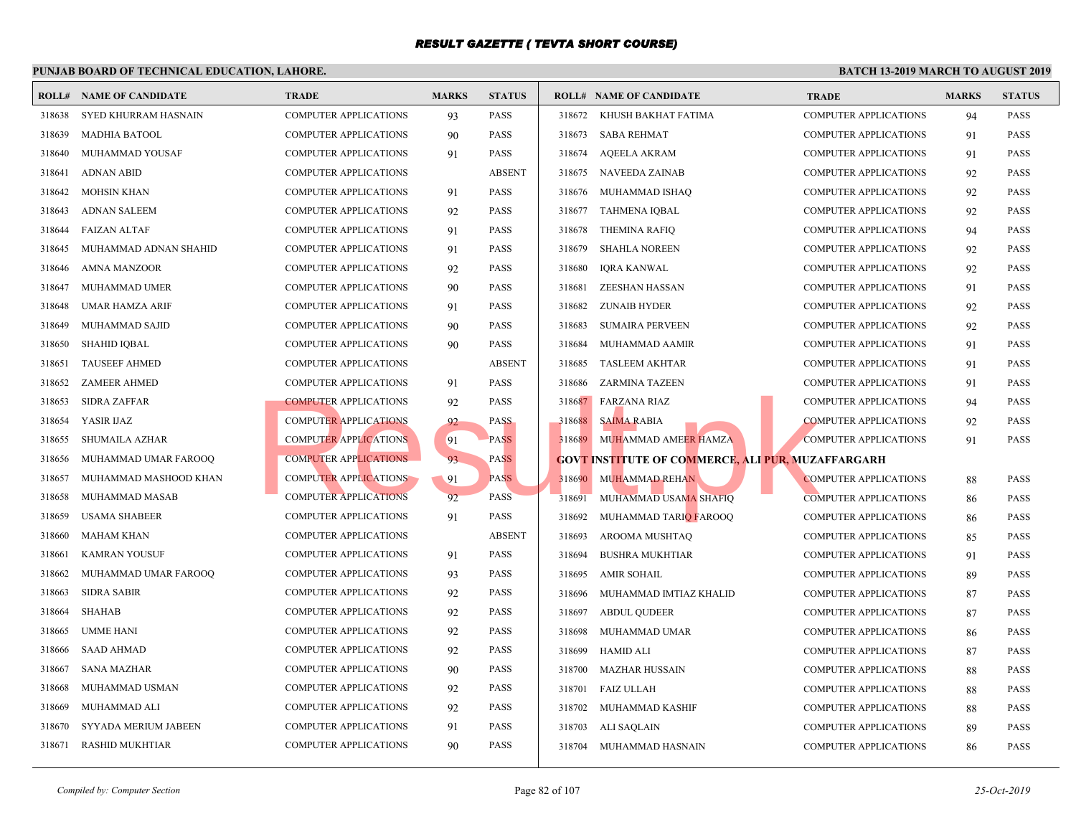| ROLL#  | <b>NAME OF CANDIDATE</b> | <b>TRADE</b>                 | <b>MARKS</b> | <b>STATUS</b> |        | <b>ROLL# NAME OF CANDIDATE</b>                    | <b>TRAL</b> |
|--------|--------------------------|------------------------------|--------------|---------------|--------|---------------------------------------------------|-------------|
| 318638 | SYED KHURRAM HASNAIN     | <b>COMPUTER APPLICATIONS</b> | 93           | <b>PASS</b>   |        | 318672 KHUSH BAKHAT FATIMA                        | <b>COMP</b> |
| 318639 | <b>MADHIA BATOOL</b>     | <b>COMPUTER APPLICATIONS</b> | 90           | <b>PASS</b>   | 318673 | <b>SABA REHMAT</b>                                | <b>COMP</b> |
| 318640 | MUHAMMAD YOUSAF          | <b>COMPUTER APPLICATIONS</b> | 91           | <b>PASS</b>   | 318674 | <b>AQEELA AKRAM</b>                               | <b>COMP</b> |
| 318641 | <b>ADNAN ABID</b>        | <b>COMPUTER APPLICATIONS</b> |              | <b>ABSENT</b> | 318675 | <b>NAVEEDA ZAINAB</b>                             | <b>COMP</b> |
| 318642 | <b>MOHSIN KHAN</b>       | <b>COMPUTER APPLICATIONS</b> | 91           | <b>PASS</b>   | 318676 | MUHAMMAD ISHAQ                                    | <b>COMP</b> |
| 318643 | <b>ADNAN SALEEM</b>      | <b>COMPUTER APPLICATIONS</b> | 92           | <b>PASS</b>   | 318677 | <b>TAHMENA IQBAL</b>                              | <b>COMP</b> |
| 318644 | <b>FAIZAN ALTAF</b>      | <b>COMPUTER APPLICATIONS</b> | 91           | <b>PASS</b>   | 318678 | THEMINA RAFIQ                                     | <b>COMP</b> |
| 318645 | MUHAMMAD ADNAN SHAHID    | <b>COMPUTER APPLICATIONS</b> | 91           | <b>PASS</b>   | 318679 | <b>SHAHLA NOREEN</b>                              | <b>COMP</b> |
| 318646 | <b>AMNA MANZOOR</b>      | COMPUTER APPLICATIONS        | 92           | <b>PASS</b>   | 318680 | <b>IQRA KANWAL</b>                                | <b>COMP</b> |
| 318647 | <b>MUHAMMAD UMER</b>     | <b>COMPUTER APPLICATIONS</b> | 90           | <b>PASS</b>   | 318681 | <b>ZEESHAN HASSAN</b>                             | <b>COMP</b> |
| 318648 | <b>UMAR HAMZA ARIF</b>   | <b>COMPUTER APPLICATIONS</b> | 91           | <b>PASS</b>   | 318682 | ZUNAIB HYDER                                      | <b>COMP</b> |
| 318649 | MUHAMMAD SAJID           | <b>COMPUTER APPLICATIONS</b> | 90           | <b>PASS</b>   | 318683 | <b>SUMAIRA PERVEEN</b>                            | <b>COMP</b> |
| 318650 | <b>SHAHID IQBAL</b>      | <b>COMPUTER APPLICATIONS</b> | 90           | <b>PASS</b>   | 318684 | MUHAMMAD AAMIR                                    | <b>COMP</b> |
| 318651 | <b>TAUSEEF AHMED</b>     | COMPUTER APPLICATIONS        |              | <b>ABSENT</b> | 318685 | <b>TASLEEM AKHTAR</b>                             | <b>COMP</b> |
| 318652 | <b>ZAMEER AHMED</b>      | <b>COMPUTER APPLICATIONS</b> | 91           | <b>PASS</b>   | 318686 | ZARMINA TAZEEN                                    | <b>COMP</b> |
| 318653 | <b>SIDRA ZAFFAR</b>      | <b>COMPUTER APPLICATIONS</b> | 92           | <b>PASS</b>   | 318687 | <b>FARZANA RIAZ</b>                               | <b>COMP</b> |
| 318654 | YASIR IJAZ               | COMPUTER APPLICATIONS        | 92           | <b>PASS</b>   | 318688 | <b>SAIMA RABIA</b>                                | <b>COMP</b> |
| 318655 | <b>SHUMAILA AZHAR</b>    | <b>COMPUTER APPLICATIONS</b> | 91           | <b>PASS</b>   | 318689 | MUHAMMAD AMEER HAMZA                              | <b>COMP</b> |
| 318656 | MUHAMMAD UMAR FAROOQ     | <b>COMPUTER APPLICATIONS</b> | 93           | <b>PASS</b>   |        | <b>GOVT INSTITUTE OF COMMERCE, ALI PUR, MUZAF</b> |             |
| 318657 | MUHAMMAD MASHOOD KHAN    | <b>COMPUTER APPLICATIONS</b> | 91           | <b>PASS</b>   | 318690 | MUHAMMAD REHAN                                    | <b>COMP</b> |
| 318658 | MUHAMMAD MASAB           | <b>COMPUTER APPLICATIONS</b> | 92           | <b>PASS</b>   | 318691 | MUHAMMAD USAMA SHAFIQ                             | <b>COMP</b> |
| 318659 | <b>USAMA SHABEER</b>     | <b>COMPUTER APPLICATIONS</b> | 91           | <b>PASS</b>   | 318692 | MUHAMMAD TARIQ FAROOQ                             | <b>COMP</b> |
| 318660 | <b>MAHAM KHAN</b>        | <b>COMPUTER APPLICATIONS</b> |              | <b>ABSENT</b> | 318693 | AROOMA MUSHTAQ                                    | <b>COMP</b> |
| 318661 | <b>KAMRAN YOUSUF</b>     | <b>COMPUTER APPLICATIONS</b> | 91           | <b>PASS</b>   | 318694 | <b>BUSHRA MUKHTIAR</b>                            | <b>COMP</b> |
| 318662 | MUHAMMAD UMAR FAROOQ     | <b>COMPUTER APPLICATIONS</b> | 93           | <b>PASS</b>   | 318695 | <b>AMIR SOHAIL</b>                                | <b>COMP</b> |
| 318663 | <b>SIDRA SABIR</b>       | <b>COMPUTER APPLICATIONS</b> | 92           | <b>PASS</b>   | 318696 | MUHAMMAD IMTIAZ KHALID                            | <b>COMP</b> |
| 318664 | <b>SHAHAB</b>            | <b>COMPUTER APPLICATIONS</b> | 92           | <b>PASS</b>   | 318697 | <b>ABDUL QUDEER</b>                               | <b>COMP</b> |
| 318665 | <b>UMME HANI</b>         | <b>COMPUTER APPLICATIONS</b> | 92           | <b>PASS</b>   | 318698 | MUHAMMAD UMAR                                     | <b>COMP</b> |
| 318666 | <b>SAAD AHMAD</b>        | <b>COMPUTER APPLICATIONS</b> | 92           | <b>PASS</b>   | 318699 | <b>HAMID ALI</b>                                  | <b>COMP</b> |
| 318667 | <b>SANA MAZHAR</b>       | <b>COMPUTER APPLICATIONS</b> | 90           | <b>PASS</b>   | 318700 | MAZHAR HUSSAIN                                    | <b>COMP</b> |
| 318668 | MUHAMMAD USMAN           | <b>COMPUTER APPLICATIONS</b> | 92           | <b>PASS</b>   | 318701 | FAIZ ULLAH                                        | <b>COMP</b> |
| 318669 | MUHAMMAD ALI             | <b>COMPUTER APPLICATIONS</b> | 92           | <b>PASS</b>   | 318702 | MUHAMMAD KASHIF                                   | <b>COMP</b> |
| 318670 | SYYADA MERIUM JABEEN     | <b>COMPUTER APPLICATIONS</b> | 91           | <b>PASS</b>   | 318703 | ALI SAQLAIN                                       | <b>COMP</b> |
| 318671 | <b>RASHID MUKHTIAR</b>   | <b>COMPUTER APPLICATIONS</b> | 90           | <b>PASS</b>   |        | 318704 MUHAMMAD HASNAIN                           | <b>COMP</b> |
|        |                          |                              |              |               |        |                                                   |             |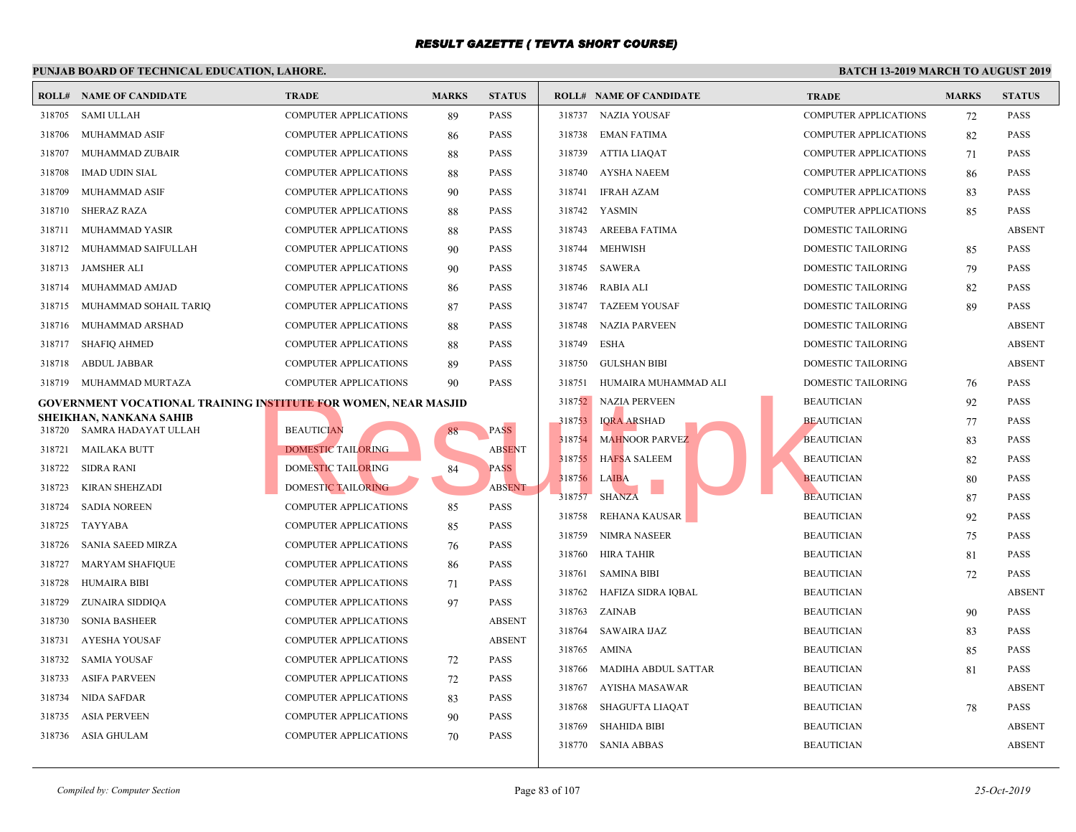|        | <b>ROLL# NAME OF CANDIDATE</b>                                  | TRADE                        | <b>MARKS</b> | <b>STATUS</b> |        | <b>ROLL# NAME OF CANDIDATE</b> | <b>TRAL</b> |
|--------|-----------------------------------------------------------------|------------------------------|--------------|---------------|--------|--------------------------------|-------------|
| 318705 | <b>SAMI ULLAH</b>                                               | <b>COMPUTER APPLICATIONS</b> | 89           | PASS          |        | 318737 NAZIA YOUSAF            | <b>COMP</b> |
| 318706 | MUHAMMAD ASIF                                                   | <b>COMPUTER APPLICATIONS</b> | 86           | <b>PASS</b>   | 318738 | EMAN FATIMA                    | <b>COMP</b> |
| 318707 | MUHAMMAD ZUBAIR                                                 | <b>COMPUTER APPLICATIONS</b> | 88           | <b>PASS</b>   | 318739 | ATTIA LIAQAT                   | <b>COMP</b> |
| 318708 | <b>IMAD UDIN SIAL</b>                                           | <b>COMPUTER APPLICATIONS</b> | 88           | <b>PASS</b>   | 318740 | AYSHA NAEEM                    | <b>COMP</b> |
| 318709 | <b>MUHAMMAD ASIF</b>                                            | <b>COMPUTER APPLICATIONS</b> | 90           | <b>PASS</b>   | 318741 | <b>IFRAH AZAM</b>              | <b>COMP</b> |
| 318710 | <b>SHERAZ RAZA</b>                                              | <b>COMPUTER APPLICATIONS</b> | 88           | <b>PASS</b>   | 318742 | YASMIN                         | <b>COMP</b> |
| 318711 | MUHAMMAD YASIR                                                  | <b>COMPUTER APPLICATIONS</b> | 88           | <b>PASS</b>   | 318743 | AREEBA FATIMA                  | <b>DOME</b> |
| 318712 | MUHAMMAD SAIFULLAH                                              | COMPUTER APPLICATIONS        | 90           | <b>PASS</b>   | 318744 | <b>MEHWISH</b>                 | <b>DOME</b> |
| 318713 | JAMSHER ALI                                                     | <b>COMPUTER APPLICATIONS</b> | 90           | <b>PASS</b>   | 318745 | SAWERA                         | <b>DOME</b> |
| 318714 | MUHAMMAD AMJAD                                                  | <b>COMPUTER APPLICATIONS</b> | 86           | <b>PASS</b>   |        | 318746 RABIA ALI               | <b>DOME</b> |
| 318715 | MUHAMMAD SOHAIL TARIO                                           | <b>COMPUTER APPLICATIONS</b> | 87           | <b>PASS</b>   | 318747 | <b>TAZEEM YOUSAF</b>           | <b>DOME</b> |
| 318716 | MUHAMMAD ARSHAD                                                 | <b>COMPUTER APPLICATIONS</b> | 88           | <b>PASS</b>   | 318748 | NAZIA PARVEEN                  | <b>DOME</b> |
| 318717 | <b>SHAFIQ AHMED</b>                                             | <b>COMPUTER APPLICATIONS</b> | 88           | <b>PASS</b>   | 318749 | ESHA                           | <b>DOME</b> |
| 318718 | ABDUL JABBAR                                                    | <b>COMPUTER APPLICATIONS</b> | 89           | <b>PASS</b>   | 318750 | <b>GULSHAN BIBI</b>            | <b>DOME</b> |
| 318719 | MUHAMMAD MURTAZA                                                | <b>COMPUTER APPLICATIONS</b> | 90           | <b>PASS</b>   | 318751 | HUMAIRA MUHAMMAD ALI           | <b>DOME</b> |
|        | GOVERNMENT VOCATIONAL TRAINING INSTITUTE FOR WOMEN, NEAR MASJID |                              |              |               |        | 318752 NAZIA PERVEEN           | <b>BEAU</b> |
| 318720 | SHEIKHAN, NANKANA SAHIB<br>SAMRA HADAYAT ULLAH                  | <b>BEAUTICIAN</b>            | 88           | <b>PASS</b>   | 318753 | <b>IORA ARSHAD</b>             | <b>BEAU</b> |
| 318721 | <b>MAILAKA BUTT</b>                                             | <b>DOMESTIC TAILORING</b>    |              | <b>ABSENT</b> | 318754 | <b>MAHNOOR PARVEZ</b>          | <b>BEAU</b> |
| 318722 | <b>SIDRA RANI</b>                                               | DOMESTIC TAILORING           | 84           | <b>PASS</b>   | 318755 | <b>HAFSA SALEEM</b>            | <b>BEAU</b> |
| 318723 | KIRAN SHEHZADI                                                  | <b>DOMESTIC TAILORING</b>    |              | <b>ABSENT</b> | 318756 | <b>LAIBA</b>                   | <b>BEAU</b> |
| 318724 | <b>SADIA NOREEN</b>                                             | <b>COMPUTER APPLICATIONS</b> | 85           | <b>PASS</b>   | 318757 | <b>SHANZA</b>                  | <b>BEAU</b> |
| 318725 | <b>TAYYABA</b>                                                  | <b>COMPUTER APPLICATIONS</b> | 85           | <b>PASS</b>   | 318758 | REHANA KAUSAR                  | <b>BEAU</b> |
| 318726 | <b>SANIA SAEED MIRZA</b>                                        | <b>COMPUTER APPLICATIONS</b> | 76           | <b>PASS</b>   | 318759 | NIMRA NASEER                   | <b>BEAU</b> |
| 318727 | <b>MARYAM SHAFIQUE</b>                                          | <b>COMPUTER APPLICATIONS</b> | 86           | <b>PASS</b>   | 318760 | HIRA TAHIR                     | <b>BEAU</b> |
| 318728 | <b>HUMAIRA BIBI</b>                                             | <b>COMPUTER APPLICATIONS</b> | 71           | <b>PASS</b>   | 318761 | <b>SAMINA BIBI</b>             | <b>BEAU</b> |
| 318729 | ZUNAIRA SIDDIQA                                                 | <b>COMPUTER APPLICATIONS</b> | 97           | <b>PASS</b>   | 318762 | HAFIZA SIDRA IOBAL             | <b>BEAU</b> |
| 318730 | <b>SONIA BASHEER</b>                                            | <b>COMPUTER APPLICATIONS</b> |              | <b>ABSENT</b> | 318763 | ZAINAB                         | <b>BEAU</b> |
| 318731 | <b>AYESHA YOUSAF</b>                                            | <b>COMPUTER APPLICATIONS</b> |              | <b>ABSENT</b> | 318764 | SAWAIRA IJAZ                   | <b>BEAU</b> |
| 318732 | <b>SAMIA YOUSAF</b>                                             | COMPUTER APPLICATIONS        | 72           | <b>PASS</b>   | 318765 | AMINA                          | <b>BEAU</b> |
| 318733 | <b>ASIFA PARVEEN</b>                                            | <b>COMPUTER APPLICATIONS</b> | 72           | <b>PASS</b>   | 318766 | MADIHA ABDUL SATTAR            | <b>BEAU</b> |
| 318734 | <b>NIDA SAFDAR</b>                                              | <b>COMPUTER APPLICATIONS</b> | 83           | <b>PASS</b>   | 318767 | AYISHA MASAWAR                 | <b>BEAU</b> |
| 318735 | <b>ASIA PERVEEN</b>                                             | <b>COMPUTER APPLICATIONS</b> | 90           | <b>PASS</b>   | 318768 | SHAGUFTA LIAQAT                | <b>BEAU</b> |
| 318736 | ASIA GHULAM                                                     | <b>COMPUTER APPLICATIONS</b> | 70           | <b>PASS</b>   | 318769 | <b>SHAHIDA BIBI</b>            | <b>BEAU</b> |
|        |                                                                 |                              |              |               |        | 318770 SANIA ABBAS             | <b>BEAU</b> |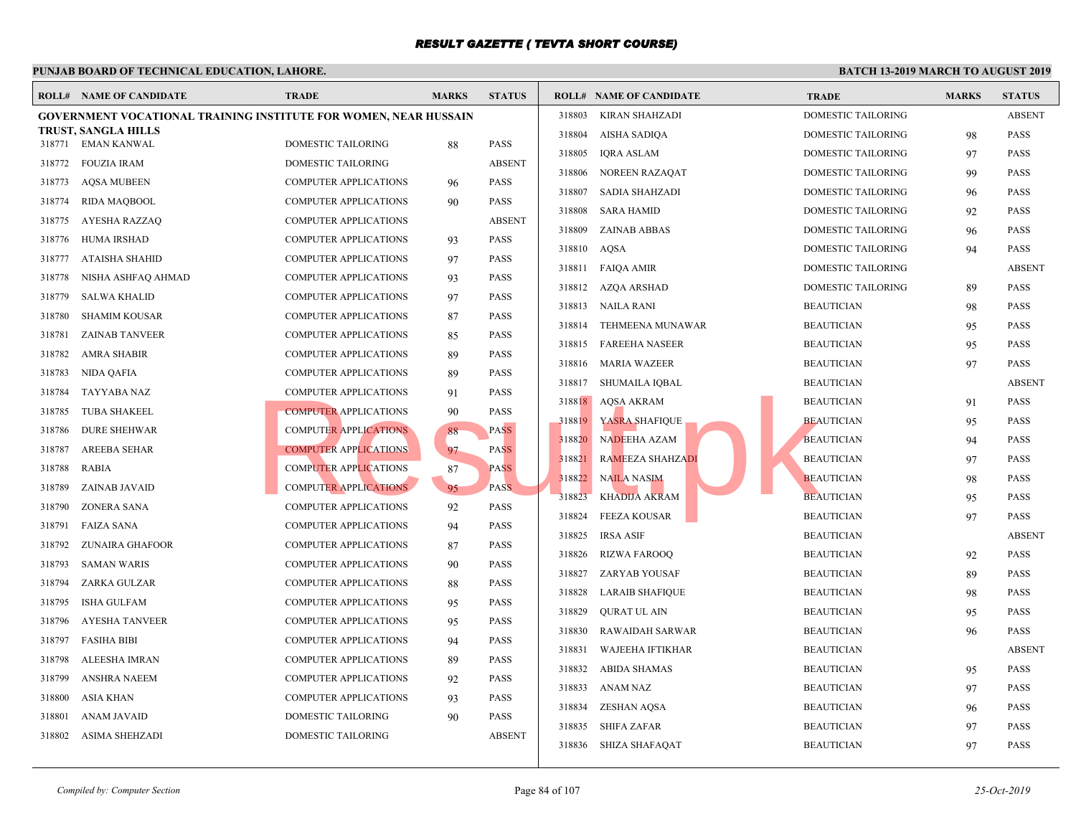|        | <b>ROLL# NAME OF CANDIDATE</b>                                          | <b>TRADE</b>                 | <b>MARKS</b> | <b>STATUS</b> |        | <b>ROLL# NAME OF CANDIDATE</b> | <b>TRAL</b> |
|--------|-------------------------------------------------------------------------|------------------------------|--------------|---------------|--------|--------------------------------|-------------|
|        | <b>GOVERNMENT VOCATIONAL TRAINING INSTITUTE FOR WOMEN, NEAR HUSSAIN</b> |                              |              |               | 318803 | <b>KIRAN SHAHZADI</b>          | <b>DOME</b> |
|        | TRUST, SANGLA HILLS<br>318771 EMAN KANWAL                               | <b>DOMESTIC TAILORING</b>    |              | <b>PASS</b>   | 318804 | AISHA SADIQA                   | <b>DOME</b> |
|        |                                                                         |                              | 88           | <b>ABSENT</b> | 318805 | <b>IQRA ASLAM</b>              | <b>DOME</b> |
| 318772 | FOUZIA IRAM                                                             | DOMESTIC TAILORING           |              | <b>PASS</b>   | 318806 | NOREEN RAZAQAT                 | <b>DOME</b> |
| 318773 | <b>AQSA MUBEEN</b>                                                      | <b>COMPUTER APPLICATIONS</b> | 96           |               | 318807 | SADIA SHAHZADI                 | <b>DOME</b> |
| 318774 | RIDA MAQBOOL                                                            | <b>COMPUTER APPLICATIONS</b> | 90           | <b>PASS</b>   | 318808 | <b>SARA HAMID</b>              | <b>DOME</b> |
| 318775 | AYESHA RAZZAQ                                                           | <b>COMPUTER APPLICATIONS</b> |              | <b>ABSENT</b> | 318809 | <b>ZAINAB ABBAS</b>            | <b>DOME</b> |
| 318776 | <b>HUMA IRSHAD</b>                                                      | <b>COMPUTER APPLICATIONS</b> | 93           | <b>PASS</b>   | 318810 | AQSA                           | <b>DOME</b> |
| 318777 | <b>ATAISHA SHAHID</b>                                                   | COMPUTER APPLICATIONS        | 97           | <b>PASS</b>   | 318811 | <b>FAIQA AMIR</b>              | <b>DOME</b> |
| 318778 | NISHA ASHFAQ AHMAD                                                      | <b>COMPUTER APPLICATIONS</b> | 93           | <b>PASS</b>   | 318812 | AZQA ARSHAD                    | <b>DOME</b> |
| 318779 | <b>SALWA KHALID</b>                                                     | <b>COMPUTER APPLICATIONS</b> | 97           | <b>PASS</b>   | 318813 | NAILA RANI                     | <b>BEAU</b> |
| 318780 | <b>SHAMIM KOUSAR</b>                                                    | <b>COMPUTER APPLICATIONS</b> | 87           | <b>PASS</b>   | 318814 | TEHMEENA MUNAWAR               | <b>BEAU</b> |
| 318781 | <b>ZAINAB TANVEER</b>                                                   | <b>COMPUTER APPLICATIONS</b> | 85           | <b>PASS</b>   | 318815 | <b>FAREEHA NASEER</b>          | <b>BEAU</b> |
| 318782 | <b>AMRA SHABIR</b>                                                      | COMPUTER APPLICATIONS        | 89           | <b>PASS</b>   | 318816 | MARIA WAZEER                   | <b>BEAU</b> |
| 318783 | NIDA QAFIA                                                              | <b>COMPUTER APPLICATIONS</b> | 89           | <b>PASS</b>   | 318817 | SHUMAILA IQBAL                 | <b>BEAU</b> |
| 318784 | TAYYABA NAZ                                                             | COMPUTER APPLICATIONS        | 91           | <b>PASS</b>   | 318818 | AQSA AKRAM                     | <b>BEAU</b> |
| 318785 | <b>TUBA SHAKEEL</b>                                                     | <b>COMPUTER APPLICATIONS</b> | 90           | <b>PASS</b>   | 318819 | YASRA SHAFIQUE                 | <b>BEAU</b> |
| 318786 | <b>DURE SHEHWAR</b>                                                     | <b>COMPUTER APPLICATIONS</b> | 88           | PASS          | 318820 | NADEEHA AZAM                   | <b>BEAU</b> |
| 318787 | <b>AREEBA SEHAR</b>                                                     | <b>COMPUTER APPLICATIONS</b> | 97           | <b>PASS</b>   | 318821 | <b>RAMEEZA SHAHZADI</b>        | <b>BEAU</b> |
| 318788 | RABIA                                                                   | <b>COMPUTER APPLICATIONS</b> | 87           | <b>PASS</b>   | 318822 | <b>NAILA NASIM</b>             | <b>BEAU</b> |
| 318789 | <b>ZAINAB JAVAID</b>                                                    | <b>COMPUTER APPLICATIONS</b> | 95           | PASS.         | 318823 | <b>KHADIJA AKRAM</b>           | <b>BEAU</b> |
| 318790 | ZONERA SANA                                                             | COMPUTER APPLICATIONS        | 92           | <b>PASS</b>   | 318824 | <b>FEEZA KOUSAR</b>            | <b>BEAU</b> |
| 318791 | FAIZA SANA                                                              | <b>COMPUTER APPLICATIONS</b> | 94           | <b>PASS</b>   | 318825 | <b>IRSA ASIF</b>               | <b>BEAU</b> |
| 318792 | ZUNAIRA GHAFOOR                                                         | COMPUTER APPLICATIONS        | 87           | <b>PASS</b>   | 318826 | <b>RIZWA FAROOQ</b>            | <b>BEAU</b> |
| 318793 | <b>SAMAN WARIS</b>                                                      | <b>COMPUTER APPLICATIONS</b> | 90           | <b>PASS</b>   | 318827 | ZARYAB YOUSAF                  | <b>BEAU</b> |
| 318794 | ZARKA GULZAR                                                            | <b>COMPUTER APPLICATIONS</b> | 88           | <b>PASS</b>   | 318828 | <b>LARAIB SHAFIQUE</b>         | <b>BEAU</b> |
| 318795 | <b>ISHA GULFAM</b>                                                      | COMPUTER APPLICATIONS        | 95           | <b>PASS</b>   | 318829 | <b>QURAT UL AIN</b>            | <b>BEAU</b> |
| 318796 | <b>AYESHA TANVEER</b>                                                   | COMPUTER APPLICATIONS        | 95           | <b>PASS</b>   | 318830 |                                | <b>BEAU</b> |
| 318797 | <b>FASIHA BIBI</b>                                                      | <b>COMPUTER APPLICATIONS</b> | 94           | <b>PASS</b>   | 318831 | <b>RAWAIDAH SARWAR</b>         | <b>BEAU</b> |
| 318798 | ALEESHA IMRAN                                                           | COMPUTER APPLICATIONS        | 89           | <b>PASS</b>   |        | <b>WAJEEHA IFTIKHAR</b>        |             |
| 318799 | <b>ANSHRA NAEEM</b>                                                     | <b>COMPUTER APPLICATIONS</b> | 92           | <b>PASS</b>   | 318832 | <b>ABIDA SHAMAS</b>            | <b>BEAU</b> |
| 318800 | <b>ASIA KHAN</b>                                                        | <b>COMPUTER APPLICATIONS</b> | 93           | <b>PASS</b>   | 318833 | ANAM NAZ                       | <b>BEAU</b> |
| 318801 | <b>ANAM JAVAID</b>                                                      | DOMESTIC TAILORING           | 90           | <b>PASS</b>   | 318834 | ZESHAN AQSA                    | <b>BEAU</b> |
| 318802 | <b>ASIMA SHEHZADI</b>                                                   | <b>DOMESTIC TAILORING</b>    |              | <b>ABSENT</b> | 318835 | SHIFA ZAFAR                    | <b>BEAU</b> |
|        |                                                                         |                              |              |               |        | 318836 SHIZA SHAFAQAT          | <b>BEAU</b> |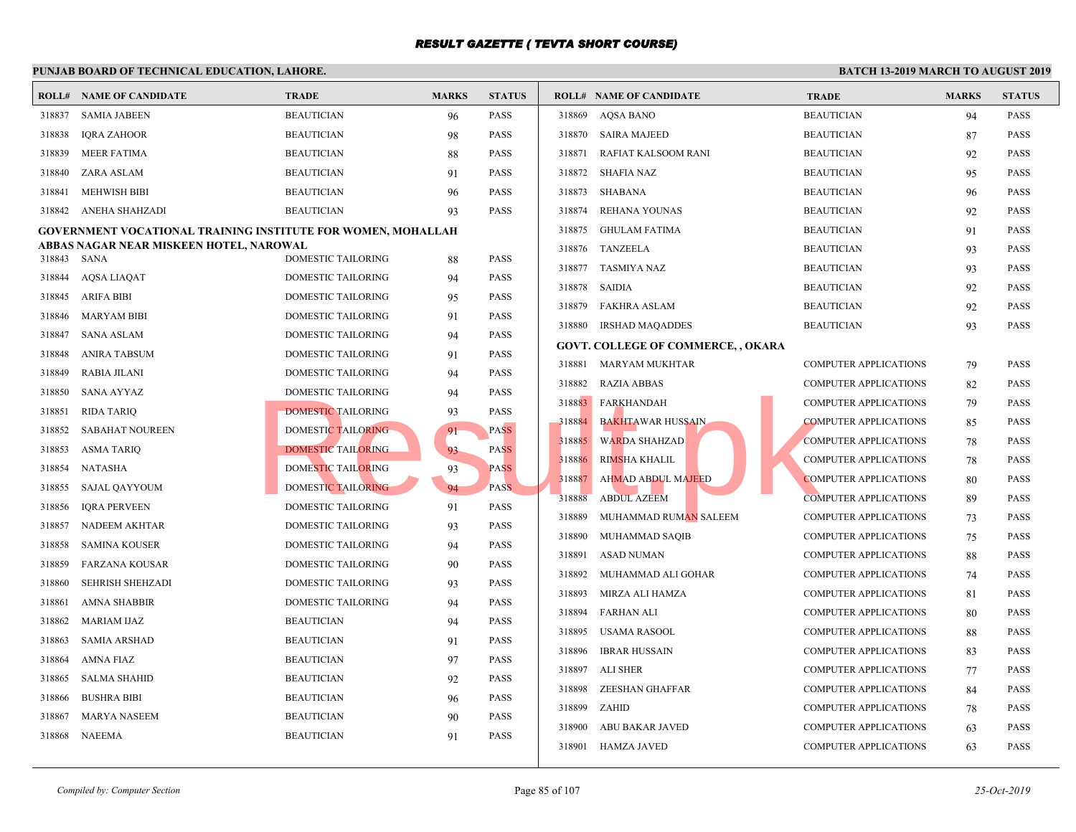|        | PUNJAB BOARD OF TECHNICAL EDUCATION, LAHORE.                        |                           |                      |               |        |                                           |             |
|--------|---------------------------------------------------------------------|---------------------------|----------------------|---------------|--------|-------------------------------------------|-------------|
|        | <b>ROLL# NAME OF CANDIDATE</b>                                      | <b>TRADE</b>              | <b>MARKS</b>         | <b>STATUS</b> |        | <b>ROLL# NAME OF CANDIDATE</b>            | <b>TRAL</b> |
| 318837 | <b>SAMIA JABEEN</b>                                                 | <b>BEAUTICIAN</b>         | 96                   | <b>PASS</b>   | 318869 | <b>AQSA BANO</b>                          | <b>BEAU</b> |
| 318838 | <b>IORA ZAHOOR</b>                                                  | <b>BEAUTICIAN</b>         | 98                   | <b>PASS</b>   |        | 318870 SAIRA MAJEED                       | <b>BEAU</b> |
| 318839 | MEER FATIMA                                                         | <b>BEAUTICIAN</b>         | 88                   | PASS          | 318871 | RAFIAT KALSOOM RANI                       | <b>BEAU</b> |
| 318840 | ZARA ASLAM                                                          | <b>BEAUTICIAN</b>         | 91                   | <b>PASS</b>   | 318872 | <b>SHAFIA NAZ</b>                         | <b>BEAU</b> |
| 318841 | <b>MEHWISH BIBI</b>                                                 | <b>BEAUTICIAN</b>         | 96                   | <b>PASS</b>   | 318873 | SHABANA                                   | <b>BEAU</b> |
| 318842 | ANEHA SHAHZADI                                                      | <b>BEAUTICIAN</b>         | 93                   | <b>PASS</b>   | 318874 | REHANA YOUNAS                             | <b>BEAU</b> |
|        | <b>GOVERNMENT VOCATIONAL TRAINING INSTITUTE FOR WOMEN, MOHALLAH</b> | 318875                    | <b>GHULAM FATIMA</b> | <b>BEAU</b>   |        |                                           |             |
|        | ABBAS NAGAR NEAR MISKEEN HOTEL, NAROWAL                             |                           |                      |               | 318876 | TANZEELA                                  | <b>BEAU</b> |
| 318843 | SANA                                                                | DOMESTIC TAILORING        | 88                   | <b>PASS</b>   |        | 318877 TASMIYA NAZ                        | <b>BEAU</b> |
| 318844 | <b>AQSA LIAQAT</b>                                                  | DOMESTIC TAILORING        | 94                   | <b>PASS</b>   | 318878 | SAIDIA                                    | <b>BEAU</b> |
| 318845 | <b>ARIFA BIBI</b>                                                   | DOMESTIC TAILORING        | 95                   | <b>PASS</b>   | 318879 | <b>FAKHRA ASLAM</b>                       | <b>BEAU</b> |
| 318846 | MARYAM BIBI                                                         | DOMESTIC TAILORING        | 91                   | <b>PASS</b>   | 318880 | <b>IRSHAD MAQADDES</b>                    | <b>BEAU</b> |
| 318847 | SANA ASLAM                                                          | DOMESTIC TAILORING        | 94                   | <b>PASS</b>   |        | <b>GOVT. COLLEGE OF COMMERCE, , OKARA</b> |             |
| 318848 | ANIRA TABSUM                                                        | DOMESTIC TAILORING        | 91                   | <b>PASS</b>   | 318881 | MARYAM MUKHTAR                            | <b>COMP</b> |
| 318849 | RABIA JILANI                                                        | DOMESTIC TAILORING        | 94                   | PASS          | 318882 | <b>RAZIA ABBAS</b>                        | <b>COMP</b> |
| 318850 | SANA AYYAZ                                                          | DOMESTIC TAILORING        | 94                   | PASS          | 318883 | FARKHANDAH                                | <b>COMP</b> |
| 318851 | <b>RIDA TARIQ</b>                                                   | <b>DOMESTIC TAILORING</b> | 93                   | <b>PASS</b>   |        |                                           |             |
| 318852 | <b>SABAHAT NOUREEN</b>                                              | DOMESTIC TAILORING        | 91                   | <b>PASS</b>   | 318884 | <b>BAKHTAWAR HUSSAIN</b>                  | <b>COMP</b> |
| 318853 | <b>ASMA TARIQ</b>                                                   | <b>DOMESTIC TAILORING</b> | 93                   | <b>PASS</b>   | 318885 | <b>WARDA SHAHZAD</b>                      | <b>COMP</b> |
| 318854 | <b>NATASHA</b>                                                      | DOMESTIC TAILORING        | 93                   | <b>PASS</b>   | 318886 | RIMSHA KHALIL                             | <b>COMP</b> |
| 318855 | SAJAL QAYYOUM                                                       | DOMESTIC TAILORING        | 94                   | <b>PASS</b>   | 318887 | <b>AHMAD ABDUL MAJEED</b>                 | <b>COMP</b> |
| 318856 | <b>IQRA PERVEEN</b>                                                 | DOMESTIC TAILORING        | 91                   | <b>PASS</b>   | 318888 | <b>ABDUL AZEEM</b>                        | <b>COMP</b> |
| 318857 | NADEEM AKHTAR                                                       | DOMESTIC TAILORING        | 93                   | <b>PASS</b>   | 318889 | MUHAMMAD RUMAN SALEEM                     | <b>COMP</b> |
| 318858 | <b>SAMINA KOUSER</b>                                                | DOMESTIC TAILORING        | 94                   | <b>PASS</b>   | 318890 | MUHAMMAD SAQIB                            | <b>COMP</b> |
| 318859 | <b>FARZANA KOUSAR</b>                                               | DOMESTIC TAILORING        | 90                   | <b>PASS</b>   | 318891 | <b>ASAD NUMAN</b>                         | <b>COMP</b> |
| 318860 | SEHRISH SHEHZADI                                                    | DOMESTIC TAILORING        | 93                   | <b>PASS</b>   | 318892 | MUHAMMAD ALI GOHAR                        | <b>COMP</b> |
| 318861 | <b>AMNA SHABBIR</b>                                                 | DOMESTIC TAILORING        | 94                   | <b>PASS</b>   | 318893 | MIRZA ALI HAMZA                           | <b>COMP</b> |
| 318862 | <b>MARIAM IJAZ</b>                                                  | <b>BEAUTICIAN</b>         | 94                   | <b>PASS</b>   | 318894 | <b>FARHAN ALI</b>                         | <b>COMP</b> |
| 318863 | <b>SAMIA ARSHAD</b>                                                 | <b>BEAUTICIAN</b>         | 91                   | <b>PASS</b>   | 318895 | USAMA RASOOL                              | <b>COMP</b> |
| 318864 | <b>AMNA FIAZ</b>                                                    | <b>BEAUTICIAN</b>         | 97                   | <b>PASS</b>   | 318896 | IBRAR HUSSAIN                             | <b>COMP</b> |
| 318865 | <b>SALMA SHAHID</b>                                                 | <b>BEAUTICIAN</b>         | 92                   | <b>PASS</b>   | 318897 | ALI SHER                                  | <b>COMP</b> |
| 318866 | <b>BUSHRA BIBI</b>                                                  | <b>BEAUTICIAN</b>         | 96                   | <b>PASS</b>   | 318898 | ZEESHAN GHAFFAR                           | <b>COMP</b> |
| 318867 | MARYA NASEEM                                                        | <b>BEAUTICIAN</b>         | 90                   | <b>PASS</b>   | 318899 | ZAHID                                     | <b>COMP</b> |
| 318868 | NAEEMA                                                              | <b>BEAUTICIAN</b>         | 91                   | <b>PASS</b>   | 318900 | ABU BAKAR JAVED                           | <b>COMP</b> |
|        |                                                                     |                           |                      |               |        | 318901 HAMZA JAVED                        | <b>COMP</b> |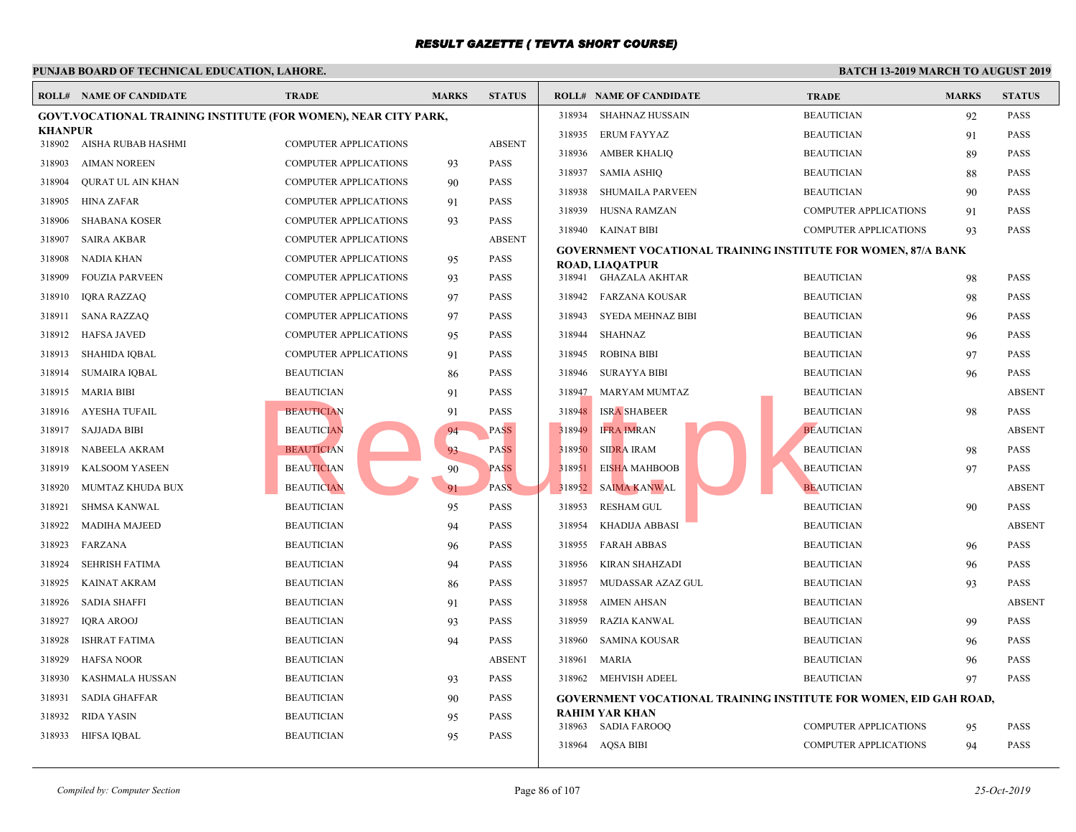|                          | <b>ROLL# NAME OF CANDIDATE</b>                                         | <b>TRADE</b>                 | <b>MARKS</b> | <b>STATUS</b> |        | <b>ROLL# NAME OF CANDIDATE</b>                  | <b>TRAL</b> |
|--------------------------|------------------------------------------------------------------------|------------------------------|--------------|---------------|--------|-------------------------------------------------|-------------|
|                          | <b>GOVT.VOCATIONAL TRAINING INSTITUTE (FOR WOMEN), NEAR CITY PARK,</b> |                              |              |               | 318934 | SHAHNAZ HUSSAIN                                 | <b>BEAU</b> |
| <b>KHANPUR</b><br>318902 | AISHA RUBAB HASHMI                                                     | <b>COMPUTER APPLICATIONS</b> |              | <b>ABSENT</b> | 318935 | <b>ERUM FAYYAZ</b>                              | <b>BEAU</b> |
| 318903                   | <b>AIMAN NOREEN</b>                                                    | <b>COMPUTER APPLICATIONS</b> | 93           | <b>PASS</b>   | 318936 | <b>AMBER KHALIQ</b>                             | <b>BEAU</b> |
| 318904                   | <b>QURAT UL AIN KHAN</b>                                               | <b>COMPUTER APPLICATIONS</b> | 90           | <b>PASS</b>   | 318937 | <b>SAMIA ASHIQ</b>                              | <b>BEAU</b> |
| 318905                   | HINA ZAFAR                                                             | <b>COMPUTER APPLICATIONS</b> | 91           | <b>PASS</b>   | 318938 | <b>SHUMAILA PARVEEN</b>                         | <b>BEAU</b> |
| 318906                   | <b>SHABANA KOSER</b>                                                   | <b>COMPUTER APPLICATIONS</b> | 93           | <b>PASS</b>   | 318939 | HUSNA RAMZAN                                    | COMP        |
| 318907                   | <b>SAIRA AKBAR</b>                                                     | <b>COMPUTER APPLICATIONS</b> |              | <b>ABSENT</b> | 318940 | KAINAT BIBI                                     | <b>COMP</b> |
| 318908                   | <b>NADIA KHAN</b>                                                      | COMPUTER APPLICATIONS        | 95           | <b>PASS</b>   |        | <b>GOVERNMENT VOCATIONAL TRAINING INSTITUTE</b> |             |
| 318909                   | <b>FOUZIA PARVEEN</b>                                                  | <b>COMPUTER APPLICATIONS</b> | 93           | <b>PASS</b>   |        | <b>ROAD, LIAQATPUR</b><br>318941 GHAZALA AKHTAR | <b>BEAU</b> |
| 318910                   | <b>IQRA RAZZAQ</b>                                                     | <b>COMPUTER APPLICATIONS</b> | 97           | <b>PASS</b>   | 318942 | FARZANA KOUSAR                                  | <b>BEAU</b> |
| 318911                   | <b>SANA RAZZAQ</b>                                                     | COMPUTER APPLICATIONS        | 97           | <b>PASS</b>   | 318943 | <b>SYEDA MEHNAZ BIBI</b>                        | <b>BEAU</b> |
| 318912                   | <b>HAFSA JAVED</b>                                                     | <b>COMPUTER APPLICATIONS</b> | 95           | <b>PASS</b>   | 318944 | SHAHNAZ                                         | <b>BEAU</b> |
| 318913                   | <b>SHAHIDA IQBAL</b>                                                   | <b>COMPUTER APPLICATIONS</b> | 91           | <b>PASS</b>   | 318945 | <b>ROBINA BIBI</b>                              | <b>BEAU</b> |
| 318914                   | <b>SUMAIRA IQBAL</b>                                                   | <b>BEAUTICIAN</b>            | 86           | <b>PASS</b>   | 318946 | SURAYYA BIBI                                    | <b>BEAU</b> |
| 318915                   | <b>MARIA BIBI</b>                                                      | <b>BEAUTICIAN</b>            | 91           | <b>PASS</b>   | 318947 | MARYAM MUMTAZ                                   | <b>BEAU</b> |
| 318916                   | AYESHA TUFAIL                                                          | <b>BEAUTICIAN</b>            | 91           | <b>PASS</b>   | 318948 | <b>ISRA SHABEER</b>                             | <b>BEAU</b> |
| 318917                   | <b>SAJJADA BIBI</b>                                                    | <b>BEAUTICIAN</b>            | 94           | <b>PASS</b>   | 318949 | <b>IFRA IMRAN</b>                               | <b>BEAU</b> |
| 318918                   | NABEELA AKRAM                                                          | <b>BEAUTICIAN</b>            | 93           | <b>PASS</b>   | 318950 | <b>SIDRA IRAM</b>                               | <b>BEAU</b> |
| 318919                   | <b>KALSOOM YASEEN</b>                                                  | <b>BEAUTICIAN</b>            | 90           | <b>PASS</b>   | 318951 | EISHA MAHBOOB                                   | <b>BEAU</b> |
| 318920                   | MUMTAZ KHUDA BUX                                                       | <b>BEAUTICIAN</b>            | 91           | PASS.         | 318952 | <b>SAIMA KANWAL</b>                             | <b>BEAU</b> |
| 318921                   | SHMSA KANWAL                                                           | <b>BEAUTICIAN</b>            | 95           | <b>PASS</b>   | 318953 | <b>RESHAM GUL</b>                               | <b>BEAU</b> |
| 318922                   | <b>MADIHA MAJEED</b>                                                   | <b>BEAUTICIAN</b>            | 94           | <b>PASS</b>   | 318954 | KHADIJA ABBASI                                  | <b>BEAU</b> |
| 318923                   | <b>FARZANA</b>                                                         | <b>BEAUTICIAN</b>            | 96           | <b>PASS</b>   | 318955 | <b>FARAH ABBAS</b>                              | <b>BEAU</b> |
| 318924                   | <b>SEHRISH FATIMA</b>                                                  | <b>BEAUTICIAN</b>            | 94           | <b>PASS</b>   | 318956 | KIRAN SHAHZADI                                  | <b>BEAU</b> |
| 318925                   | KAINAT AKRAM                                                           | <b>BEAUTICIAN</b>            | 86           | <b>PASS</b>   | 318957 | MUDASSAR AZAZ GUL                               | <b>BEAU</b> |
| 318926                   | <b>SADIA SHAFFI</b>                                                    | <b>BEAUTICIAN</b>            | 91           | <b>PASS</b>   | 318958 | AIMEN AHSAN                                     | <b>BEAU</b> |
| 318927                   | <b>IQRA AROOJ</b>                                                      | <b>BEAUTICIAN</b>            | 93           | <b>PASS</b>   | 318959 | RAZIA KANWAL                                    | <b>BEAU</b> |
| 318928                   | <b>ISHRAT FATIMA</b>                                                   | <b>BEAUTICIAN</b>            | 94           | <b>PASS</b>   | 318960 | <b>SAMINA KOUSAR</b>                            | <b>BEAU</b> |
| 318929                   | HAFSA NOOR                                                             | <b>BEAUTICIAN</b>            |              | <b>ABSENT</b> | 318961 | MARIA                                           | <b>BEAU</b> |
| 318930                   | KASHMALA HUSSAN                                                        | <b>BEAUTICIAN</b>            | 93           | <b>PASS</b>   | 318962 | <b>MEHVISH ADEEL</b>                            | <b>BEAU</b> |
| 318931                   | <b>SADIA GHAFFAR</b>                                                   | <b>BEAUTICIAN</b>            | 90           | <b>PASS</b>   |        | <b>GOVERNMENT VOCATIONAL TRAINING INSTITUTE</b> |             |
| 318932                   | <b>RIDA YASIN</b>                                                      | <b>BEAUTICIAN</b>            | 95           | <b>PASS</b>   |        | <b>RAHIM YAR KHAN</b><br>318963 SADIA FAROOQ    | <b>COMP</b> |
| 318933                   | <b>HIFSA IQBAL</b>                                                     | <b>BEAUTICIAN</b>            | 95           | <b>PASS</b>   |        | 318964 AQSA BIBI                                | <b>COMP</b> |
|                          |                                                                        |                              |              |               |        |                                                 |             |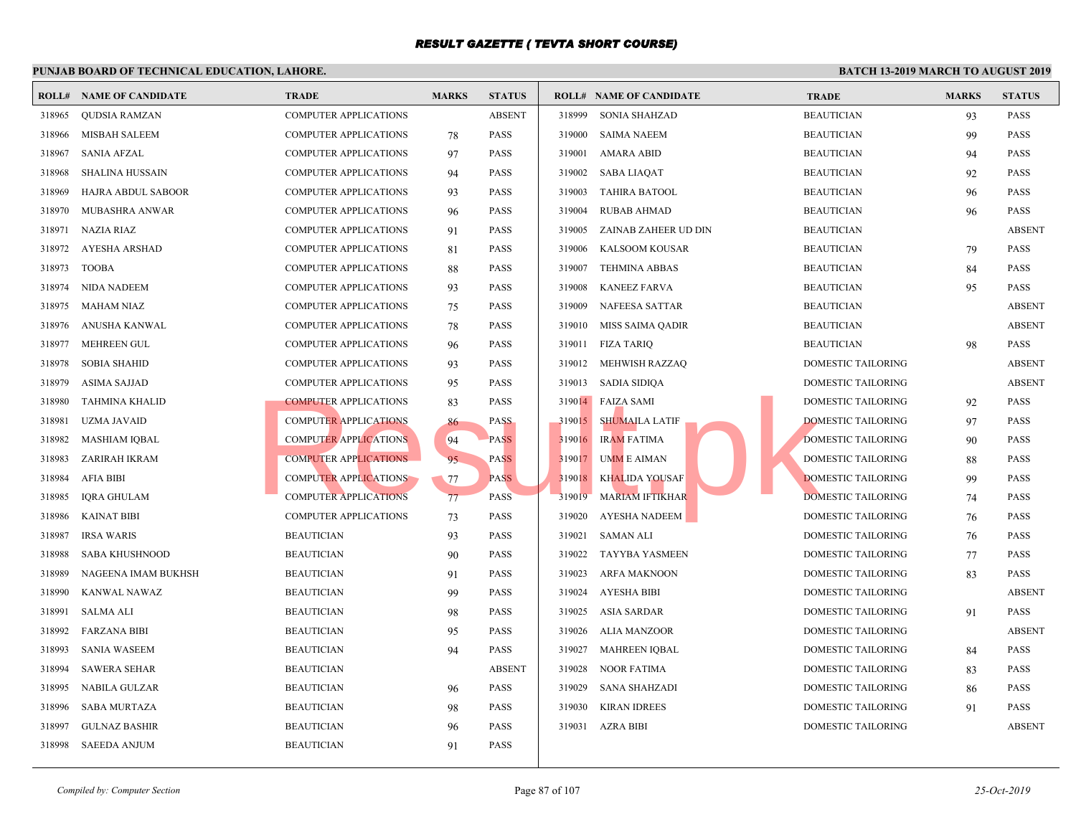|        | <b>ROLL# NAME OF CANDIDATE</b> | <b>TRADE</b>                 | <b>MARKS</b> | <b>STATUS</b> |        | <b>ROLL# NAME OF CANDIDATE</b> | <b>TRAL</b> |
|--------|--------------------------------|------------------------------|--------------|---------------|--------|--------------------------------|-------------|
| 318965 | QUDSIA RAMZAN                  | COMPUTER APPLICATIONS        |              | <b>ABSENT</b> | 318999 | SONIA SHAHZAD                  | <b>BEAU</b> |
| 318966 | MISBAH SALEEM                  | <b>COMPUTER APPLICATIONS</b> | 78           | <b>PASS</b>   | 319000 | <b>SAIMA NAEEM</b>             | <b>BEAU</b> |
| 318967 | <b>SANIA AFZAL</b>             | <b>COMPUTER APPLICATIONS</b> | 97           | <b>PASS</b>   | 319001 | AMARA ABID                     | <b>BEAU</b> |
| 318968 | <b>SHALINA HUSSAIN</b>         | <b>COMPUTER APPLICATIONS</b> | 94           | <b>PASS</b>   | 319002 | <b>SABA LIAQAT</b>             | <b>BEAU</b> |
| 318969 | HAJRA ABDUL SABOOR             | <b>COMPUTER APPLICATIONS</b> | 93           | <b>PASS</b>   | 319003 | <b>TAHIRA BATOOL</b>           | <b>BEAU</b> |
| 318970 | <b>MUBASHRA ANWAR</b>          | <b>COMPUTER APPLICATIONS</b> | 96           | <b>PASS</b>   | 319004 | <b>RUBAB AHMAD</b>             | <b>BEAU</b> |
| 318971 | NAZIA RIAZ                     | <b>COMPUTER APPLICATIONS</b> | 91           | <b>PASS</b>   | 319005 | ZAINAB ZAHEER UD DIN           | <b>BEAU</b> |
| 318972 | AYESHA ARSHAD                  | COMPUTER APPLICATIONS        | 81           | <b>PASS</b>   | 319006 | KALSOOM KOUSAR                 | <b>BEAU</b> |
| 318973 | <b>TOOBA</b>                   | <b>COMPUTER APPLICATIONS</b> | 88           | <b>PASS</b>   | 319007 | <b>TEHMINA ABBAS</b>           | <b>BEAU</b> |
| 318974 | <b>NIDA NADEEM</b>             | COMPUTER APPLICATIONS        | 93           | <b>PASS</b>   | 319008 | <b>KANEEZ FARVA</b>            | <b>BEAU</b> |
| 318975 | <b>MAHAM NIAZ</b>              | COMPUTER APPLICATIONS        | 75           | <b>PASS</b>   | 319009 | NAFEESA SATTAR                 | <b>BEAU</b> |
| 318976 | ANUSHA KANWAL                  | <b>COMPUTER APPLICATIONS</b> | 78           | <b>PASS</b>   | 319010 | MISS SAIMA QADIR               | <b>BEAU</b> |
| 318977 | <b>MEHREEN GUL</b>             | <b>COMPUTER APPLICATIONS</b> | 96           | <b>PASS</b>   | 319011 | <b>FIZA TARIQ</b>              | <b>BEAU</b> |
| 318978 | <b>SOBIA SHAHID</b>            | <b>COMPUTER APPLICATIONS</b> | 93           | <b>PASS</b>   | 319012 | MEHWISH RAZZAO                 | <b>DOME</b> |
| 318979 | <b>ASIMA SAJJAD</b>            | <b>COMPUTER APPLICATIONS</b> | 95           | <b>PASS</b>   |        | 319013 SADIA SIDIQA            | <b>DOME</b> |
| 318980 | <b>TAHMINA KHALID</b>          | <b>COMPUTER APPLICATIONS</b> | 83           | <b>PASS</b>   |        | 319014 FAIZA SAMI              | <b>DOME</b> |
| 318981 | <b>UZMA JAVAID</b>             | <b>COMPUTER APPLICATIONS</b> | 86           | <b>PASS</b>   | 319015 | <b>SHUMAILA LATIF</b>          | <b>DOME</b> |
| 318982 | <b>MASHIAM IQBAL</b>           | <b>COMPUTER APPLICATIONS</b> | 94           | <b>PASS</b>   | 319016 | <b>IRAM FATIMA</b>             | <b>DOME</b> |
| 318983 | ZARIRAH IKRAM                  | <b>COMPUTER APPLICATIONS</b> | 95           | <b>PASS</b>   | 319017 | <b>UMME AIMAN</b>              | <b>DOME</b> |
| 318984 | <b>AFIA BIBI</b>               | <b>COMPUTER APPLICATIONS</b> | 77           | <b>PASS</b>   | 319018 | <b>KHALIDA YOUSAF</b>          | <b>DOME</b> |
| 318985 | <b>IORA GHULAM</b>             | <b>COMPUTER APPLICATIONS</b> | 77           | <b>PASS</b>   | 319019 | <b>MARIAM IFTIKHAR</b>         | <b>DOME</b> |
| 318986 | <b>KAINAT BIBI</b>             | <b>COMPUTER APPLICATIONS</b> | 73           | <b>PASS</b>   | 319020 | <b>AYESHA NADEEM</b>           | <b>DOME</b> |
| 318987 | <b>IRSA WARIS</b>              | <b>BEAUTICIAN</b>            | 93           | <b>PASS</b>   | 319021 | SAMAN ALI                      | <b>DOME</b> |
| 318988 | SABA KHUSHNOOD                 | <b>BEAUTICIAN</b>            | 90           | <b>PASS</b>   | 319022 | TAYYBA YASMEEN                 | <b>DOME</b> |
| 318989 | NAGEENA IMAM BUKHSH            | <b>BEAUTICIAN</b>            | 91           | <b>PASS</b>   | 319023 | <b>ARFA MAKNOON</b>            | <b>DOME</b> |
| 318990 | KANWAL NAWAZ                   | <b>BEAUTICIAN</b>            | 99           | <b>PASS</b>   | 319024 | <b>AYESHA BIBI</b>             | <b>DOME</b> |
| 318991 | <b>SALMA ALI</b>               | <b>BEAUTICIAN</b>            | 98           | <b>PASS</b>   | 319025 | ASIA SARDAR                    | <b>DOME</b> |
| 318992 | <b>FARZANA BIBI</b>            | <b>BEAUTICIAN</b>            | 95           | <b>PASS</b>   | 319026 | ALIA MANZOOR                   | <b>DOME</b> |
| 318993 | <b>SANIA WASEEM</b>            | <b>BEAUTICIAN</b>            | 94           | <b>PASS</b>   | 319027 | <b>MAHREEN IQBAL</b>           | <b>DOME</b> |
| 318994 | <b>SAWERA SEHAR</b>            | <b>BEAUTICIAN</b>            |              | <b>ABSENT</b> | 319028 | <b>NOOR FATIMA</b>             | <b>DOME</b> |
| 318995 | <b>NABILA GULZAR</b>           | <b>BEAUTICIAN</b>            | 96           | <b>PASS</b>   | 319029 | <b>SANA SHAHZADI</b>           | <b>DOME</b> |
| 318996 | <b>SABA MURTAZA</b>            | <b>BEAUTICIAN</b>            | 98           | <b>PASS</b>   | 319030 | <b>KIRAN IDREES</b>            | <b>DOME</b> |
| 318997 | <b>GULNAZ BASHIR</b>           | <b>BEAUTICIAN</b>            | 96           | <b>PASS</b>   |        | 319031 AZRA BIBI               | <b>DOME</b> |
| 318998 | SAEEDA ANJUM                   | <b>BEAUTICIAN</b>            | 91           | <b>PASS</b>   |        |                                |             |
|        |                                |                              |              |               |        |                                |             |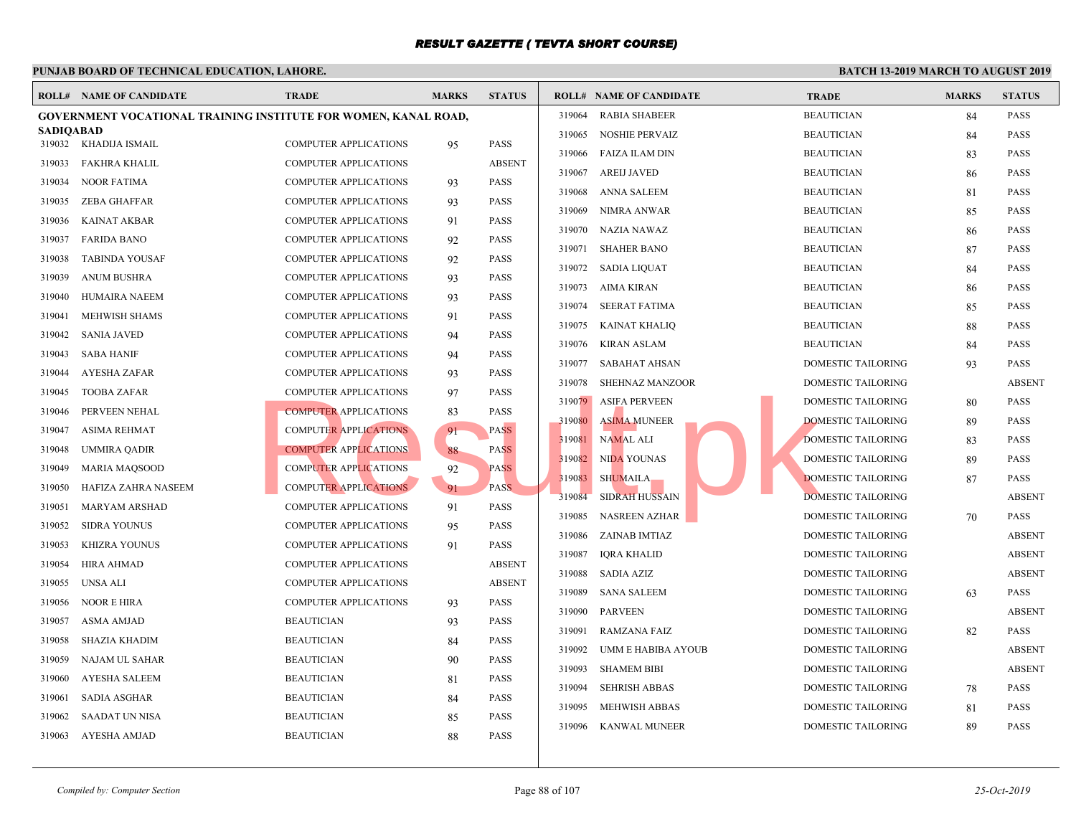|                  | <b>ROLL# NAME OF CANDIDATE</b>                                  | <b>TRADE</b>                 | <b>MARKS</b> | <b>STATUS</b> |        | <b>ROLL# NAME OF CANDIDATE</b> | <b>TRAL</b> |
|------------------|-----------------------------------------------------------------|------------------------------|--------------|---------------|--------|--------------------------------|-------------|
|                  | GOVERNMENT VOCATIONAL TRAINING INSTITUTE FOR WOMEN, KANAL ROAD, |                              |              |               | 319064 | <b>RABIA SHABEER</b>           | <b>BEAU</b> |
| <b>SADIQABAD</b> | 319032 KHADIJA ISMAIL                                           |                              |              | <b>PASS</b>   | 319065 | <b>NOSHIE PERVAIZ</b>          | <b>BEAU</b> |
|                  |                                                                 | <b>COMPUTER APPLICATIONS</b> | 95           |               | 319066 | <b>FAIZA ILAM DIN</b>          | <b>BEAU</b> |
| 319033           | FAKHRA KHALIL                                                   | <b>COMPUTER APPLICATIONS</b> |              | <b>ABSENT</b> | 319067 | <b>AREIJ JAVED</b>             | <b>BEAU</b> |
| 319034           | <b>NOOR FATIMA</b>                                              | <b>COMPUTER APPLICATIONS</b> | 93           | <b>PASS</b>   | 319068 | ANNA SALEEM                    | <b>BEAU</b> |
| 319035           | <b>ZEBA GHAFFAR</b>                                             | <b>COMPUTER APPLICATIONS</b> | 93           | <b>PASS</b>   | 319069 | <b>NIMRA ANWAR</b>             | <b>BEAU</b> |
| 319036           | <b>KAINAT AKBAR</b>                                             | <b>COMPUTER APPLICATIONS</b> | 91           | <b>PASS</b>   | 319070 | NAZIA NAWAZ                    | <b>BEAU</b> |
| 319037           | <b>FARIDA BANO</b>                                              | <b>COMPUTER APPLICATIONS</b> | 92           | <b>PASS</b>   | 319071 | <b>SHAHER BANO</b>             | <b>BEAU</b> |
| 319038           | <b>TABINDA YOUSAF</b>                                           | <b>COMPUTER APPLICATIONS</b> | 92           | <b>PASS</b>   | 319072 | SADIA LIQUAT                   | <b>BEAU</b> |
| 319039           | <b>ANUM BUSHRA</b>                                              | <b>COMPUTER APPLICATIONS</b> | 93           | <b>PASS</b>   | 319073 | AIMA KIRAN                     | <b>BEAU</b> |
| 319040           | <b>HUMAIRA NAEEM</b>                                            | <b>COMPUTER APPLICATIONS</b> | 93           | <b>PASS</b>   | 319074 | SEERAT FATIMA                  | <b>BEAU</b> |
| 319041           | MEHWISH SHAMS                                                   | <b>COMPUTER APPLICATIONS</b> | 91           | <b>PASS</b>   | 319075 | KAINAT KHALIQ                  | <b>BEAU</b> |
| 319042           | <b>SANIA JAVED</b>                                              | <b>COMPUTER APPLICATIONS</b> | 94           | <b>PASS</b>   | 319076 | <b>KIRAN ASLAM</b>             | <b>BEAU</b> |
| 319043           | <b>SABA HANIF</b>                                               | <b>COMPUTER APPLICATIONS</b> | 94           | <b>PASS</b>   | 319077 | SABAHAT AHSAN                  | <b>DOME</b> |
| 319044           | <b>AYESHA ZAFAR</b>                                             | <b>COMPUTER APPLICATIONS</b> | 93           | <b>PASS</b>   | 319078 | SHEHNAZ MANZOOR                | <b>DOME</b> |
| 319045           | <b>TOOBA ZAFAR</b>                                              | <b>COMPUTER APPLICATIONS</b> | 97           | <b>PASS</b>   | 319079 | <b>ASIFA PERVEEN</b>           | <b>DOME</b> |
| 319046           | PERVEEN NEHAL                                                   | <b>COMPUTER APPLICATIONS</b> | 83           | <b>PASS</b>   | 319080 | <b>ASIMA MUNEER</b>            | <b>DOME</b> |
| 319047           | ASIMA REHMAT                                                    | <b>COMPUTER APPLICATIONS</b> | 91           | <b>PASS</b>   | 319081 | <b>NAMAL ALI</b>               | <b>DOME</b> |
| 319048           | <b>UMMIRA QADIR</b>                                             | <b>COMPUTER APPLICATIONS</b> | 88           | <b>PASS</b>   | 319082 | <b>NIDA YOUNAS</b>             | <b>DOME</b> |
| 319049           | <b>MARIA MAQSOOD</b>                                            | <b>COMPUTER APPLICATIONS</b> | 92           | <b>PASS</b>   | 319083 | <b>SHUMAILA</b>                | <b>DOME</b> |
| 319050           | HAFIZA ZAHRA NASEEM                                             | <b>COMPUTER APPLICATIONS</b> | 91           | PASS.         | 319084 | <b>SIDRAH HUSSAIN</b>          | <b>DOME</b> |
| 319051           | <b>MARYAM ARSHAD</b>                                            | <b>COMPUTER APPLICATIONS</b> | 91           | <b>PASS</b>   | 319085 | <b>NASREEN AZHAR</b>           | <b>DOME</b> |
| 319052           | <b>SIDRA YOUNUS</b>                                             | <b>COMPUTER APPLICATIONS</b> | 95           | <b>PASS</b>   | 319086 | ZAINAB IMTIAZ                  | <b>DOME</b> |
| 319053           | KHIZRA YOUNUS                                                   | <b>COMPUTER APPLICATIONS</b> | 91           | <b>PASS</b>   | 319087 | <b>IQRA KHALID</b>             | <b>DOME</b> |
| 319054           | <b>HIRA AHMAD</b>                                               | <b>COMPUTER APPLICATIONS</b> |              | <b>ABSENT</b> | 319088 | <b>SADIA AZIZ</b>              | <b>DOME</b> |
| 319055           | UNSA ALI                                                        | <b>COMPUTER APPLICATIONS</b> |              | <b>ABSENT</b> | 319089 | <b>SANA SALEEM</b>             | <b>DOME</b> |
| 319056           | <b>NOOR E HIRA</b>                                              | <b>COMPUTER APPLICATIONS</b> | 93           | <b>PASS</b>   | 319090 | <b>PARVEEN</b>                 | <b>DOME</b> |
| 319057           | ASMA AMJAD                                                      | <b>BEAUTICIAN</b>            | 93           | PASS          | 319091 | <b>RAMZANA FAIZ</b>            | <b>DOME</b> |
| 319058           | SHAZIA KHADIM                                                   | <b>BEAUTICIAN</b>            | 84           | <b>PASS</b>   | 319092 | UMM E HABIBA AYOUB             | <b>DOME</b> |
| 319059           | NAJAM UL SAHAR                                                  | <b>BEAUTICIAN</b>            | 90           | <b>PASS</b>   | 319093 | <b>SHAMEM BIBI</b>             | <b>DOME</b> |
| 319060           | <b>AYESHA SALEEM</b>                                            | <b>BEAUTICIAN</b>            | 81           | <b>PASS</b>   | 319094 | <b>SEHRISH ABBAS</b>           | <b>DOME</b> |
| 319061           | <b>SADIA ASGHAR</b>                                             | <b>BEAUTICIAN</b>            | 84           | <b>PASS</b>   | 319095 | <b>MEHWISH ABBAS</b>           | <b>DOME</b> |
| 319062           | SAADAT UN NISA                                                  | <b>BEAUTICIAN</b>            | 85           | PASS          | 319096 |                                | <b>DOME</b> |
| 319063           | AYESHA AMJAD                                                    | <b>BEAUTICIAN</b>            | 88           | <b>PASS</b>   |        | <b>KANWAL MUNEER</b>           |             |
|                  |                                                                 |                              |              |               |        |                                |             |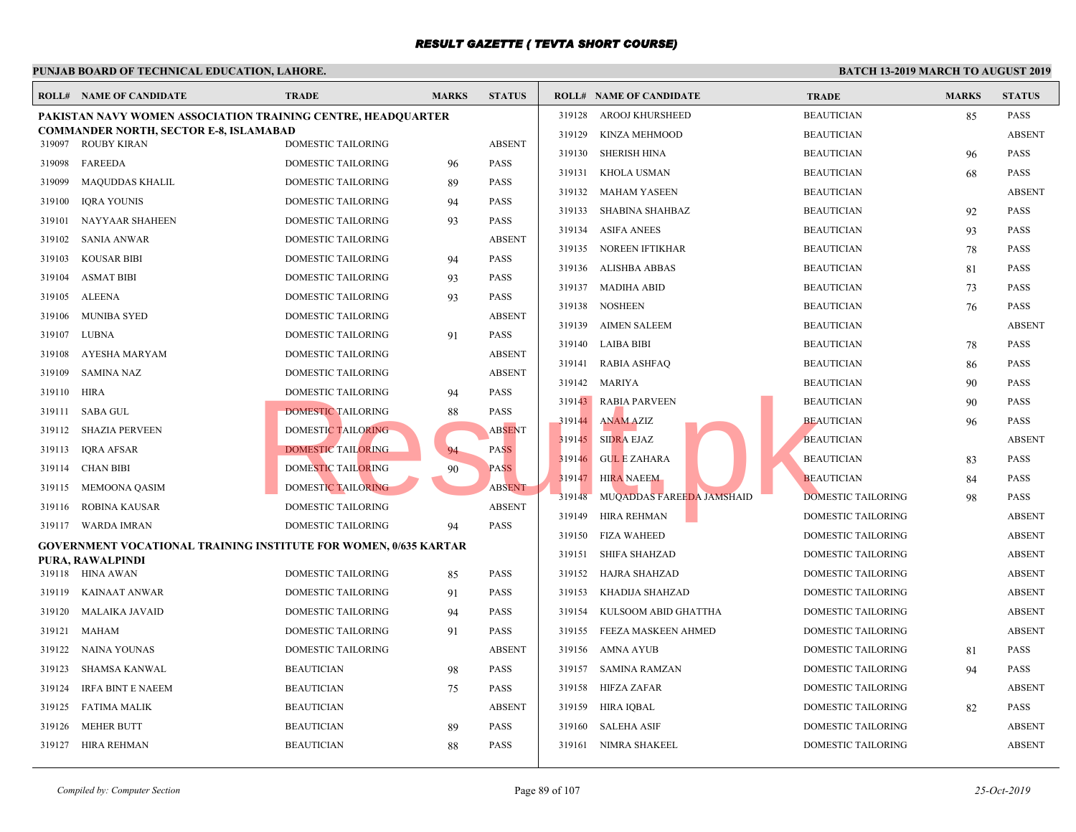|        | <b>ROLL# NAME OF CANDIDATE</b>                                          | <b>TRADE</b>              | <b>MARKS</b> | <b>STATUS</b> |        | <b>ROLL# NAME OF CANDIDATE</b> | <b>TRAL</b> |
|--------|-------------------------------------------------------------------------|---------------------------|--------------|---------------|--------|--------------------------------|-------------|
|        | PAKISTAN NAVY WOMEN ASSOCIATION TRAINING CENTRE, HEADQUARTER            |                           |              |               | 319128 | AROOJ KHURSHEED                | <b>BEAU</b> |
| 319097 | <b>COMMANDER NORTH, SECTOR E-8, ISLAMABAD</b><br>ROUBY KIRAN            | DOMESTIC TAILORING        |              | <b>ABSENT</b> | 319129 | <b>KINZA MEHMOOD</b>           | <b>BEAU</b> |
| 319098 | FAREEDA                                                                 | DOMESTIC TAILORING        | 96           | <b>PASS</b>   | 319130 | SHERISH HINA                   | <b>BEAU</b> |
| 319099 | <b>MAQUDDAS KHALIL</b>                                                  | DOMESTIC TAILORING        | 89           | <b>PASS</b>   | 319131 | KHOLA USMAN                    | <b>BEAU</b> |
| 319100 | <b>IQRA YOUNIS</b>                                                      | DOMESTIC TAILORING        | 94           | <b>PASS</b>   | 319132 | MAHAM YASEEN                   | <b>BEAU</b> |
|        |                                                                         | DOMESTIC TAILORING        |              | <b>PASS</b>   | 319133 | SHABINA SHAHBAZ                | <b>BEAU</b> |
| 319101 | NAYYAAR SHAHEEN                                                         |                           | 93           |               | 319134 | <b>ASIFA ANEES</b>             | <b>BEAU</b> |
| 319102 | SANIA ANWAR                                                             | DOMESTIC TAILORING        |              | <b>ABSENT</b> | 319135 | NOREEN IFTIKHAR                | <b>BEAU</b> |
| 319103 | <b>KOUSAR BIBI</b>                                                      | DOMESTIC TAILORING        | 94           | <b>PASS</b>   | 319136 | ALISHBA ABBAS                  | <b>BEAU</b> |
| 319104 | <b>ASMAT BIBI</b>                                                       | DOMESTIC TAILORING        | 93           | <b>PASS</b>   | 319137 | MADIHA ABID                    | <b>BEAU</b> |
| 319105 | ALEENA                                                                  | DOMESTIC TAILORING        | 93           | <b>PASS</b>   | 319138 | NOSHEEN                        | <b>BEAU</b> |
| 319106 | <b>MUNIBA SYED</b>                                                      | DOMESTIC TAILORING        |              | <b>ABSENT</b> | 319139 | AIMEN SALEEM                   | <b>BEAU</b> |
| 319107 | LUBNA                                                                   | DOMESTIC TAILORING        | 91           | <b>PASS</b>   | 319140 | LAIBA BIBI                     | <b>BEAU</b> |
| 319108 | AYESHA MARYAM                                                           | DOMESTIC TAILORING        |              | <b>ABSENT</b> | 319141 | RABIA ASHFAQ                   | <b>BEAU</b> |
| 319109 | <b>SAMINA NAZ</b>                                                       | DOMESTIC TAILORING        |              | <b>ABSENT</b> |        | 319142 MARIYA                  | <b>BEAU</b> |
| 319110 | <b>HIRA</b>                                                             | <b>DOMESTIC TAILORING</b> | 94           | <b>PASS</b>   |        | 319143 RABIA PARVEEN           | <b>BEAU</b> |
| 319111 | <b>SABA GUL</b>                                                         | <b>DOMESTIC TAILORING</b> | 88           | <b>PASS</b>   |        | 319144 ANAM AZIZ               | <b>BEAU</b> |
| 319112 | <b>SHAZIA PERVEEN</b>                                                   | <b>DOMESTIC TAILORING</b> |              | <b>ABSENT</b> |        | 319145 SIDRA EJAZ              | <b>BEAU</b> |
| 319113 | IQRA AFSAR                                                              | <b>DOMESTIC TAILORING</b> | 94           | <b>PASS</b>   | 319146 | <b>GUL E ZAHARA</b>            | <b>BEAU</b> |
| 319114 | <b>CHAN BIBI</b>                                                        | DOMESTIC TAILORING        | 90           | <b>PASS</b>   | 319147 | <b>HIRA NAEEM</b>              | <b>BEAU</b> |
| 319115 | MEMOONA QASIM                                                           | DOMESTIC TAILORING        |              | <b>ABSENT</b> | 319148 | MUQADDAS FAREEDA JAMSHAID      | <b>DOME</b> |
| 319116 | ROBINA KAUSAR                                                           | DOMESTIC TAILORING        |              | <b>ABSENT</b> | 319149 | HIRA REHMAN                    | <b>DOME</b> |
| 319117 | WARDA IMRAN                                                             | <b>DOMESTIC TAILORING</b> | 94           | <b>PASS</b>   | 319150 | FIZA WAHEED                    | <b>DOME</b> |
|        | <b>GOVERNMENT VOCATIONAL TRAINING INSTITUTE FOR WOMEN, 0/635 KARTAR</b> |                           |              |               | 319151 | SHIFA SHAHZAD                  | <b>DOME</b> |
|        | PURA, RAWALPINDI                                                        |                           |              |               | 319152 | HAJRA SHAHZAD                  | <b>DOME</b> |
|        | 319118 HINA AWAN                                                        | <b>DOMESTIC TAILORING</b> | 85           | <b>PASS</b>   |        |                                |             |
| 319119 | KAINAAT ANWAR                                                           | DOMESTIC TAILORING        | 91           | <b>PASS</b>   | 319153 | KHADIJA SHAHZAD                | <b>DOME</b> |
| 319120 | MALAIKA JAVAID                                                          | DOMESTIC TAILORING        | 94           | <b>PASS</b>   | 319154 | KULSOOM ABID GHATTHA           | <b>DOME</b> |
| 319121 | MAHAM                                                                   | <b>DOMESTIC TAILORING</b> | 91           | <b>PASS</b>   | 319155 | FEEZA MASKEEN AHMED            | <b>DOME</b> |
| 319122 | NAINA YOUNAS                                                            | <b>DOMESTIC TAILORING</b> |              | <b>ABSENT</b> | 319156 | AMNA AYUB                      | <b>DOME</b> |
| 319123 | SHAMSA KANWAL                                                           | <b>BEAUTICIAN</b>         | 98           | <b>PASS</b>   | 319157 | SAMINA RAMZAN                  | <b>DOME</b> |
| 319124 | IRFA BINT E NAEEM                                                       | <b>BEAUTICIAN</b>         | 75           | <b>PASS</b>   | 319158 | HIFZA ZAFAR                    | <b>DOME</b> |
| 319125 | FATIMA MALIK                                                            | <b>BEAUTICIAN</b>         |              | <b>ABSENT</b> | 319159 | HIRA IOBAL                     | <b>DOME</b> |
| 319126 | MEHER BUTT                                                              | <b>BEAUTICIAN</b>         | 89           | <b>PASS</b>   | 319160 | SALEHA ASIF                    | <b>DOME</b> |
| 319127 | HIRA REHMAN                                                             | <b>BEAUTICIAN</b>         | 88           | <b>PASS</b>   |        | 319161 NIMRA SHAKEEL           | <b>DOME</b> |
|        |                                                                         |                           |              |               |        |                                |             |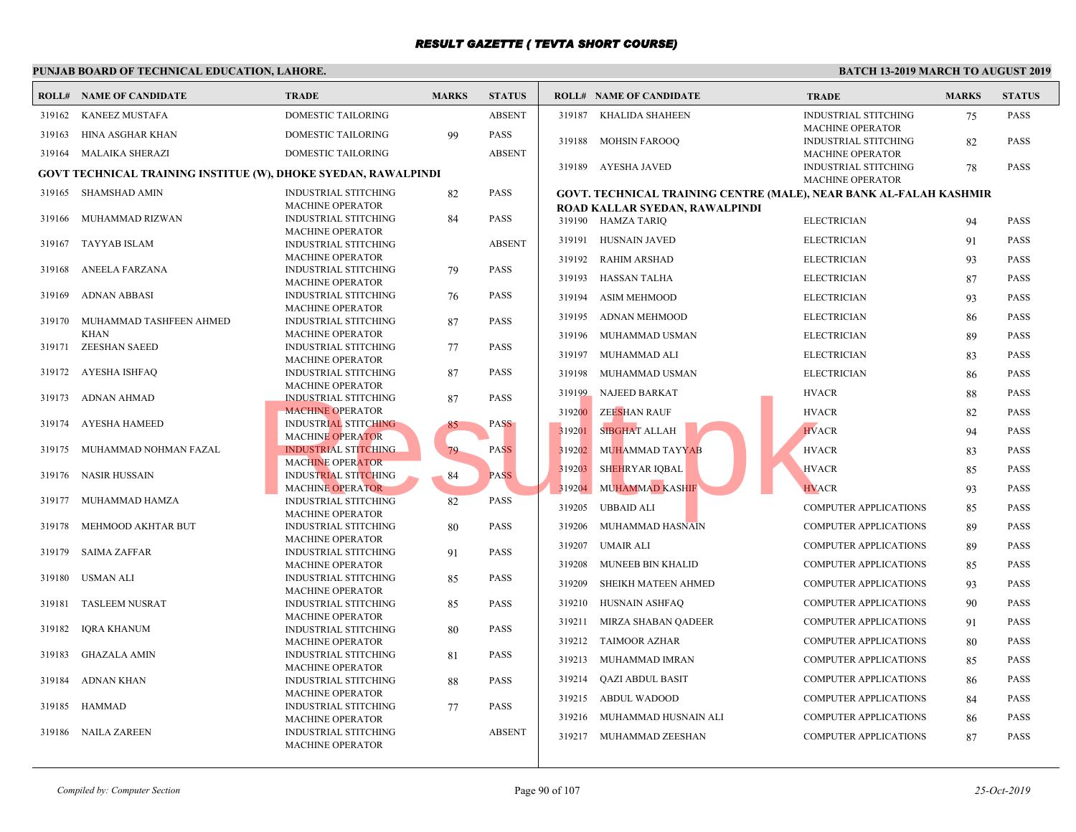|        | PUNJAB BOARD OF TECHNICAL EDUCATION, LAHORE.                          |                                                        |              |               |        |                                                    |                             |  |  |  |  |  |
|--------|-----------------------------------------------------------------------|--------------------------------------------------------|--------------|---------------|--------|----------------------------------------------------|-----------------------------|--|--|--|--|--|
|        | <b>ROLL# NAME OF CANDIDATE</b>                                        | <b>TRADE</b>                                           | <b>MARKS</b> | <b>STATUS</b> |        | <b>ROLL# NAME OF CANDIDATE</b>                     | <b>TRAL</b>                 |  |  |  |  |  |
| 319162 | <b>KANEEZ MUSTAFA</b>                                                 | <b>DOMESTIC TAILORING</b>                              |              | <b>ABSENT</b> | 319187 | KHALIDA SHAHEEN                                    | <b>INDUS</b>                |  |  |  |  |  |
| 319163 | HINA ASGHAR KHAN                                                      | DOMESTIC TAILORING                                     | 99           | <b>PASS</b>   |        |                                                    | <b>MACH</b>                 |  |  |  |  |  |
|        |                                                                       |                                                        |              |               | 319188 | <b>MOHSIN FAROOQ</b>                               | <b>INDUS</b>                |  |  |  |  |  |
| 319164 | MALAIKA SHERAZI                                                       | DOMESTIC TAILORING                                     |              | <b>ABSENT</b> |        |                                                    | <b>MACH</b>                 |  |  |  |  |  |
|        | <b>GOVT TECHNICAL TRAINING INSTITUE (W), DHOKE SYEDAN, RAWALPINDI</b> |                                                        |              |               |        | 319189 AYESHA JAVED                                | <b>INDUS</b><br><b>MACH</b> |  |  |  |  |  |
| 319165 | SHAMSHAD AMIN                                                         | <b>INDUSTRIAL STITCHING</b>                            | 82           | <b>PASS</b>   |        | <b>GOVT. TECHNICAL TRAINING CENTRE (MALE), NEA</b> |                             |  |  |  |  |  |
|        |                                                                       | <b>MACHINE OPERATOR</b>                                |              |               |        | ROAD KALLAR SYEDAN, RAWALPINDI                     |                             |  |  |  |  |  |
| 319166 | MUHAMMAD RIZWAN                                                       | <b>INDUSTRIAL STITCHING</b>                            | 84           | <b>PASS</b>   |        | 319190 HAMZA TARIO                                 | <b>ELECT</b>                |  |  |  |  |  |
|        |                                                                       | <b>MACHINE OPERATOR</b>                                |              |               |        |                                                    |                             |  |  |  |  |  |
| 319167 | <b>TAYYAB ISLAM</b>                                                   | <b>INDUSTRIAL STITCHING</b>                            |              | <b>ABSENT</b> | 319191 | <b>HUSNAIN JAVED</b>                               | <b>ELECT</b>                |  |  |  |  |  |
|        |                                                                       | <b>MACHINE OPERATOR</b>                                |              |               |        | 319192 RAHIM ARSHAD                                | <b>ELECT</b>                |  |  |  |  |  |
| 319168 | ANEELA FARZANA                                                        | INDUSTRIAL STITCHING                                   | 79           | <b>PASS</b>   | 319193 | HASSAN TALHA                                       | <b>ELECT</b>                |  |  |  |  |  |
|        |                                                                       | <b>MACHINE OPERATOR</b>                                |              |               |        |                                                    |                             |  |  |  |  |  |
| 319169 | <b>ADNAN ABBASI</b>                                                   | <b>INDUSTRIAL STITCHING</b><br><b>MACHINE OPERATOR</b> | 76           | <b>PASS</b>   | 319194 | <b>ASIM MEHMOOD</b>                                | <b>ELECT</b>                |  |  |  |  |  |
| 319170 | MUHAMMAD TASHFEEN AHMED                                               | <b>INDUSTRIAL STITCHING</b>                            | 87           | <b>PASS</b>   | 319195 | ADNAN MEHMOOD                                      | <b>ELECT</b>                |  |  |  |  |  |
|        | <b>KHAN</b>                                                           | <b>MACHINE OPERATOR</b>                                |              |               | 319196 | MUHAMMAD USMAN                                     | <b>ELECT</b>                |  |  |  |  |  |
| 319171 | <b>ZEESHAN SAEED</b>                                                  | <b>INDUSTRIAL STITCHING</b>                            | 77           | <b>PASS</b>   |        |                                                    |                             |  |  |  |  |  |
|        |                                                                       | <b>MACHINE OPERATOR</b>                                |              |               | 319197 | MUHAMMAD ALI                                       | <b>ELECT</b>                |  |  |  |  |  |
| 319172 | AYESHA ISHFAQ                                                         | <b>INDUSTRIAL STITCHING</b>                            | 87           | <b>PASS</b>   | 319198 | MUHAMMAD USMAN                                     | <b>ELECT</b>                |  |  |  |  |  |
|        |                                                                       | <b>MACHINE OPERATOR</b>                                |              |               | 319199 | NAJEED BARKAT                                      | <b>HVAC</b>                 |  |  |  |  |  |
| 319173 | <b>ADNAN AHMAD</b>                                                    | <b>INDUSTRIAL STITCHING</b>                            | 87           | <b>PASS</b>   |        |                                                    |                             |  |  |  |  |  |
|        |                                                                       | <b>MACHINE OPERATOR</b>                                |              |               | 319200 | ZEESHAN RAUF                                       | <b>HVAC</b>                 |  |  |  |  |  |
| 319174 | AYESHA HAMEED                                                         | <b>INDUSTRIAL STITCHING</b><br><b>MACHINE OPERATOR</b> | 85           | <b>PASS</b>   | 319201 | <b>SIBGHAT ALLAH</b>                               | <b>HVAC</b>                 |  |  |  |  |  |
| 319175 | MUHAMMAD NOHMAN FAZAL                                                 | <b>INDUSTRIAL STITCHING</b>                            | 79           | <b>PASS</b>   | 319202 | MUHAMMAD TAYYAB                                    | <b>HVAC</b>                 |  |  |  |  |  |
|        |                                                                       | <b>MACHINE OPERATOR</b>                                |              |               |        |                                                    |                             |  |  |  |  |  |
| 319176 | <b>NASIR HUSSAIN</b>                                                  | <b>INDUSTRIAL STITCHING</b>                            | 84           | <b>PASS</b>   | 319203 | SHEHRYAR IQBAL                                     | <b>HVAC</b>                 |  |  |  |  |  |
|        |                                                                       | <b>MACHINE OPERATOR</b>                                |              |               | 319204 | <b>MUHAMMAD KASHIF</b>                             | <b>HVAC</b>                 |  |  |  |  |  |
| 319177 | MUHAMMAD HAMZA                                                        | <b>INDUSTRIAL STITCHING</b>                            | 82           | <b>PASS</b>   | 319205 | <b>UBBAID ALI</b>                                  | <b>COMP</b>                 |  |  |  |  |  |
|        |                                                                       | <b>MACHINE OPERATOR</b>                                |              |               |        |                                                    |                             |  |  |  |  |  |
| 319178 | MEHMOOD AKHTAR BUT                                                    | <b>INDUSTRIAL STITCHING</b>                            | 80           | <b>PASS</b>   | 319206 | MUHAMMAD HASNAIN                                   | <b>COMP</b>                 |  |  |  |  |  |
|        |                                                                       | <b>MACHINE OPERATOR</b>                                |              |               | 319207 | UMAIR ALI                                          | <b>COMP</b>                 |  |  |  |  |  |
| 319179 | SAIMA ZAFFAR                                                          | <b>INDUSTRIAL STITCHING</b><br><b>MACHINE OPERATOR</b> | 91           | <b>PASS</b>   | 319208 | MUNEEB BIN KHALID                                  | <b>COMP</b>                 |  |  |  |  |  |
| 319180 | USMAN ALI                                                             | <b>INDUSTRIAL STITCHING</b>                            | 85           | <b>PASS</b>   |        |                                                    |                             |  |  |  |  |  |
|        |                                                                       | <b>MACHINE OPERATOR</b>                                |              |               | 319209 | SHEIKH MATEEN AHMED                                | <b>COMP</b>                 |  |  |  |  |  |
| 319181 | <b>TASLEEM NUSRAT</b>                                                 | <b>INDUSTRIAL STITCHING</b>                            | 85           | <b>PASS</b>   | 319210 | HUSNAIN ASHFAQ                                     | <b>COMP</b>                 |  |  |  |  |  |
|        |                                                                       | <b>MACHINE OPERATOR</b>                                |              |               | 319211 | MIRZA SHABAN QADEER                                | <b>COMP</b>                 |  |  |  |  |  |
| 319182 | <b>IQRA KHANUM</b>                                                    | <b>INDUSTRIAL STITCHING</b>                            | 80           | <b>PASS</b>   |        |                                                    |                             |  |  |  |  |  |
|        |                                                                       | MACHINE OPERATOR                                       |              |               |        | 319212 TAIMOOR AZHAR                               | <b>COMP</b>                 |  |  |  |  |  |
| 319183 | <b>GHAZALA AMIN</b>                                                   | <b>INDUSTRIAL STITCHING</b>                            | 81           | <b>PASS</b>   |        | 319213 MUHAMMAD IMRAN                              | <b>COMP</b>                 |  |  |  |  |  |
|        |                                                                       | <b>MACHINE OPERATOR</b>                                |              |               | 319214 |                                                    | <b>COMP</b>                 |  |  |  |  |  |
| 319184 | ADNAN KHAN                                                            | <b>INDUSTRIAL STITCHING</b><br><b>MACHINE OPERATOR</b> | 88           | <b>PASS</b>   |        | <b>QAZI ABDUL BASIT</b>                            |                             |  |  |  |  |  |
| 319185 | HAMMAD                                                                | <b>INDUSTRIAL STITCHING</b>                            | 77           | <b>PASS</b>   |        | 319215 ABDUL WADOOD                                | <b>COMP</b>                 |  |  |  |  |  |
|        |                                                                       | <b>MACHINE OPERATOR</b>                                |              |               | 319216 | MUHAMMAD HUSNAIN ALI                               | <b>COMP</b>                 |  |  |  |  |  |
|        | 319186 NAILA ZAREEN                                                   | <b>INDUSTRIAL STITCHING</b>                            |              | <b>ABSENT</b> |        | 319217 MUHAMMAD ZEESHAN                            | <b>COMP</b>                 |  |  |  |  |  |
|        |                                                                       | <b>MACHINE OPERATOR</b>                                |              |               |        |                                                    |                             |  |  |  |  |  |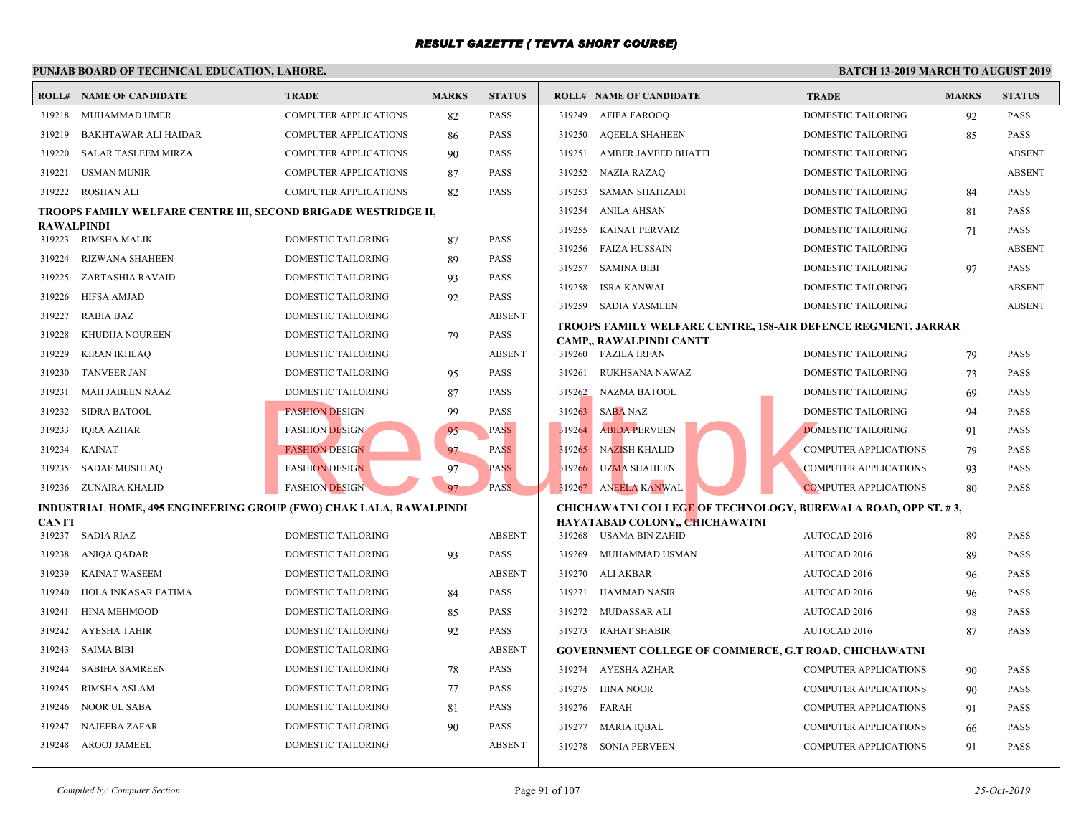|              | <b>ROLL# NAME OF CANDIDATE</b>                                     | TRADE                        | <b>MARKS</b> | <b>STATUS</b> |        | <b>ROLL# NAME OF CANDIDATE</b>                     | <b>TRAL</b> |
|--------------|--------------------------------------------------------------------|------------------------------|--------------|---------------|--------|----------------------------------------------------|-------------|
| 319218       | MUHAMMAD UMER                                                      | <b>COMPUTER APPLICATIONS</b> | 82           | <b>PASS</b>   | 319249 | AFIFA FAROOQ                                       | <b>DOME</b> |
| 319219       | BAKHTAWAR ALI HAIDAR                                               | <b>COMPUTER APPLICATIONS</b> | 86           | <b>PASS</b>   | 319250 | <b>AQEELA SHAHEEN</b>                              | <b>DOME</b> |
| 319220       | <b>SALAR TASLEEM MIRZA</b>                                         | <b>COMPUTER APPLICATIONS</b> | 90           | <b>PASS</b>   | 319251 | <b>AMBER JAVEED BHATTI</b>                         | <b>DOME</b> |
| 319221       | <b>USMAN MUNIR</b>                                                 | <b>COMPUTER APPLICATIONS</b> | 87           | <b>PASS</b>   | 319252 | NAZIA RAZAQ                                        | <b>DOME</b> |
| 319222       | ROSHAN ALI                                                         | <b>COMPUTER APPLICATIONS</b> | 82           | <b>PASS</b>   | 319253 | <b>SAMAN SHAHZADI</b>                              | <b>DOME</b> |
|              | TROOPS FAMILY WELFARE CENTRE III, SECOND BRIGADE WESTRIDGE II,     |                              |              |               | 319254 | <b>ANILA AHSAN</b>                                 | <b>DOME</b> |
| RAWALPINDI   |                                                                    |                              |              |               | 319255 | <b>KAINAT PERVAIZ</b>                              | <b>DOME</b> |
|              | 319223 RIMSHA MALIK                                                | <b>DOMESTIC TAILORING</b>    | 87           | <b>PASS</b>   | 319256 | FAIZA HUSSAIN                                      | <b>DOME</b> |
| 319224       | <b>RIZWANA SHAHEEN</b>                                             | DOMESTIC TAILORING           | 89           | <b>PASS</b>   | 319257 | <b>SAMINA BIBI</b>                                 | <b>DOME</b> |
| 319225       | ZARTASHIA RAVAID                                                   | DOMESTIC TAILORING           | 93           | <b>PASS</b>   | 319258 | ISRA KANWAL                                        | <b>DOME</b> |
| 319226       | HIFSA AMJAD                                                        | DOMESTIC TAILORING           | 92           | <b>PASS</b>   |        | 319259 SADIA YASMEEN                               | <b>DOME</b> |
| 319227       | RABIA IJAZ                                                         | DOMESTIC TAILORING           |              | <b>ABSENT</b> |        | <b>TROOPS FAMILY WELFARE CENTRE, 158-AIR DEFEI</b> |             |
| 319228       | KHUDIJA NOUREEN                                                    | DOMESTIC TAILORING           | 79           | <b>PASS</b>   |        | CAMP,, RAWALPINDI CANTT                            |             |
| 319229       | <b>KIRAN IKHLAQ</b>                                                | DOMESTIC TAILORING           |              | <b>ABSENT</b> |        | 319260 FAZILA IRFAN                                | <b>DOME</b> |
| 319230       | <b>TANVEER JAN</b>                                                 | DOMESTIC TAILORING           | 95           | <b>PASS</b>   | 319261 | RUKHSANA NAWAZ                                     | <b>DOME</b> |
| 319231       | MAH JABEEN NAAZ                                                    | <b>DOMESTIC TAILORING</b>    | 87           | <b>PASS</b>   |        | 319262 NAZMA BATOOL                                | <b>DOME</b> |
| 319232       | <b>SIDRA BATOOL</b>                                                | <b>FASHION DESIGN</b>        | 99           | <b>PASS</b>   | 319263 | <b>SABA NAZ</b>                                    | <b>DOME</b> |
| 319233       | <b>IORA AZHAR</b>                                                  | <b>FASHION DESIGN</b>        | 95           | <b>PASS</b>   | 319264 | <b>ABIDA PERVEEN</b>                               | <b>DOME</b> |
| 319234       | KAINAT                                                             | <b>FASHION DESIGN</b>        | 97           | <b>PASS</b>   | 319265 | <b>NAZISH KHALID</b>                               | <b>COMP</b> |
| 319235       | <b>SADAF MUSHTAQ</b>                                               | <b>FASHION DESIGN</b>        | 97           | <b>PASS</b>   | 319266 | <b>UZMA SHAHEEN</b>                                | <b>COMP</b> |
|              | 319236 ZUNAIRA KHALID                                              | <b>FASHION DESIGN</b>        | 97           | PASS.         |        | 319267 ANEELA KANWAL                               | <b>COMP</b> |
|              | INDUSTRIAL HOME, 495 ENGINEERING GROUP (FWO) CHAK LALA, RAWALPINDI |                              |              |               |        | <b>CHICHAWATNI COLLEGE OF TECHNOLOGY, BUREY</b>    |             |
| <b>CANTT</b> |                                                                    |                              |              |               |        | HAYATABAD COLONY,, CHICHAWATNI                     |             |
| 319237       | SADIA RIAZ                                                         | <b>DOMESTIC TAILORING</b>    |              | <b>ABSENT</b> |        | 319268 USAMA BIN ZAHID                             | AUTO        |
| 319238       | ANIQA QADAR                                                        | <b>DOMESTIC TAILORING</b>    | 93           | <b>PASS</b>   | 319269 | MUHAMMAD USMAN                                     | <b>AUTO</b> |
| 319239       | KAINAT WASEEM                                                      | DOMESTIC TAILORING           |              | <b>ABSENT</b> | 319270 | ALI AKBAR                                          | <b>AUTO</b> |
| 319240       | HOLA INKASAR FATIMA                                                | DOMESTIC TAILORING           | 84           | <b>PASS</b>   | 319271 | HAMMAD NASIR                                       | <b>AUTO</b> |
| 319241       | <b>HINA MEHMOOD</b>                                                | DOMESTIC TAILORING           | 85           | <b>PASS</b>   | 319272 | MUDASSAR ALI                                       | <b>AUTO</b> |
| 319242       | AYESHA TAHIR                                                       | DOMESTIC TAILORING           | 92           | <b>PASS</b>   |        | 319273 RAHAT SHABIR                                | <b>AUTO</b> |
| 319243       | <b>SAIMA BIBI</b>                                                  | DOMESTIC TAILORING           |              | <b>ABSENT</b> |        | <b>GOVERNMENT COLLEGE OF COMMERCE, G.T ROAL</b>    |             |
| 319244       | <b>SABIHA SAMREEN</b>                                              | DOMESTIC TAILORING           | 78           | <b>PASS</b>   |        | 319274 AYESHA AZHAR                                | <b>COMP</b> |
| 319245       | <b>RIMSHA ASLAM</b>                                                | DOMESTIC TAILORING           | 77           | <b>PASS</b>   | 319275 | <b>HINA NOOR</b>                                   | <b>COMP</b> |
| 319246       | <b>NOOR UL SABA</b>                                                | DOMESTIC TAILORING           | 81           | <b>PASS</b>   | 319276 | FARAH                                              | <b>COMP</b> |
| 319247       | NAJEEBA ZAFAR                                                      | <b>DOMESTIC TAILORING</b>    | 90           | <b>PASS</b>   | 319277 | MARIA IOBAL                                        | <b>COMP</b> |
|              | 319248 AROOJ JAMEEL                                                | <b>DOMESTIC TAILORING</b>    |              | <b>ABSENT</b> | 319278 | <b>SONIA PERVEEN</b>                               | <b>COMP</b> |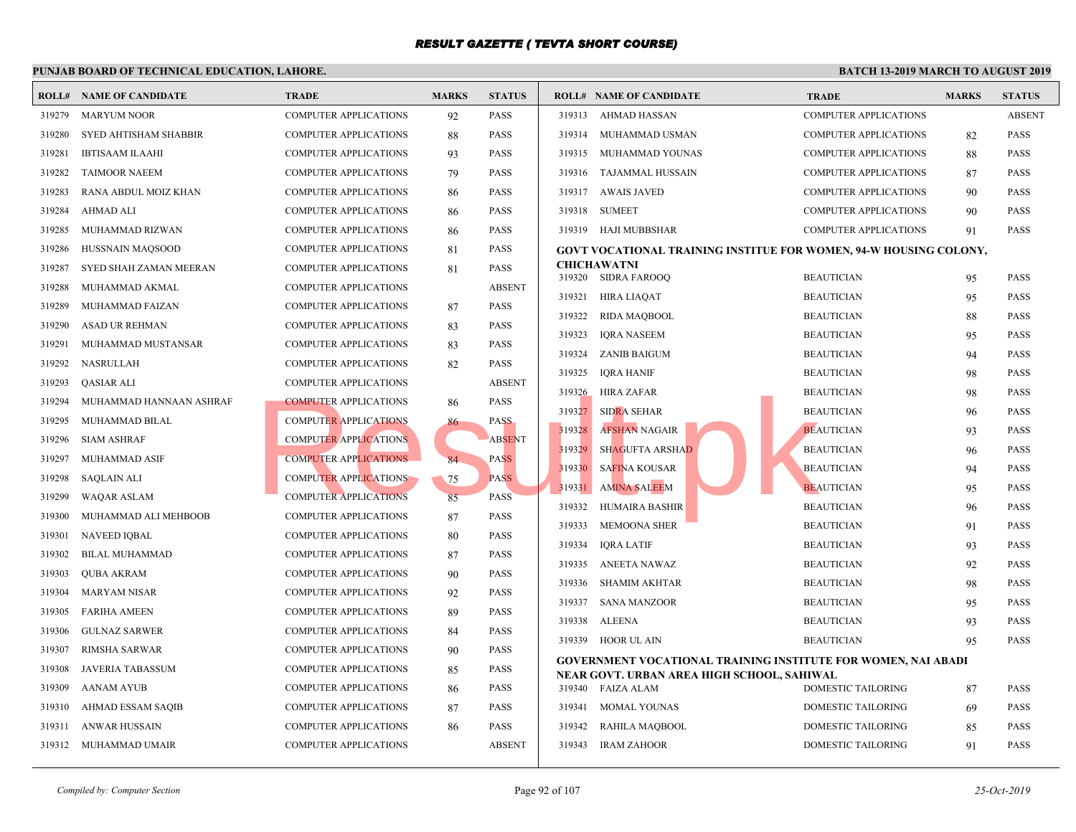|        | <b>ROLL# NAME OF CANDIDATE</b> | <b>TRADE</b>                 | <b>MARKS</b> | <b>STATUS</b> |        | <b>ROLL# NAME OF CANDIDATE</b>                                 | <b>TRAL</b> |
|--------|--------------------------------|------------------------------|--------------|---------------|--------|----------------------------------------------------------------|-------------|
| 319279 | <b>MARYUM NOOR</b>             | <b>COMPUTER APPLICATIONS</b> | 92           | <b>PASS</b>   | 319313 | AHMAD HASSAN                                                   | <b>COMP</b> |
| 319280 | SYED AHTISHAM SHABBIR          | <b>COMPUTER APPLICATIONS</b> | 88           | <b>PASS</b>   | 319314 | MUHAMMAD USMAN                                                 | <b>COMP</b> |
| 319281 | <b>IBTISAAM ILAAHI</b>         | <b>COMPUTER APPLICATIONS</b> | 93           | <b>PASS</b>   | 319315 | MUHAMMAD YOUNAS                                                | COMP        |
| 319282 | <b>TAIMOOR NAEEM</b>           | <b>COMPUTER APPLICATIONS</b> | 79           | <b>PASS</b>   | 319316 | TAJAMMAL HUSSAIN                                               | <b>COMP</b> |
| 319283 | RANA ABDUL MOIZ KHAN           | <b>COMPUTER APPLICATIONS</b> | 86           | <b>PASS</b>   | 319317 | <b>AWAIS JAVED</b>                                             | COMP        |
| 319284 | <b>AHMAD ALI</b>               | <b>COMPUTER APPLICATIONS</b> | 86           | <b>PASS</b>   | 319318 | <b>SUMEET</b>                                                  | <b>COMP</b> |
| 319285 | MUHAMMAD RIZWAN                | <b>COMPUTER APPLICATIONS</b> | 86           | <b>PASS</b>   | 319319 | HAJI MUBBSHAR                                                  | <b>COMP</b> |
| 319286 | HUSSNAIN MAQSOOD               | <b>COMPUTER APPLICATIONS</b> | 81           | <b>PASS</b>   |        | GOVT VOCATIONAL TRAINING INSTITUE FOR WOM                      |             |
| 319287 | SYED SHAH ZAMAN MEERAN         | <b>COMPUTER APPLICATIONS</b> | 81           | <b>PASS</b>   |        | <b>CHICHAWATNI</b>                                             |             |
| 319288 | MUHAMMAD AKMAL                 | <b>COMPUTER APPLICATIONS</b> |              | <b>ABSENT</b> |        | 319320 SIDRA FAROOQ                                            | <b>BEAU</b> |
| 319289 | MUHAMMAD FAIZAN                | <b>COMPUTER APPLICATIONS</b> | 87           | <b>PASS</b>   | 319321 | HIRA LIAQAT                                                    | <b>BEAU</b> |
| 319290 | ASAD UR REHMAN                 | <b>COMPUTER APPLICATIONS</b> | 83           | <b>PASS</b>   | 319322 | <b>RIDA MAQBOOL</b>                                            | <b>BEAU</b> |
| 319291 | MUHAMMAD MUSTANSAR             | <b>COMPUTER APPLICATIONS</b> | 83           | <b>PASS</b>   | 319323 | <b>IQRA NASEEM</b>                                             | <b>BEAU</b> |
| 319292 | NASRULLAH                      | <b>COMPUTER APPLICATIONS</b> | 82           | <b>PASS</b>   | 319324 | ZANIB BAIGUM                                                   | <b>BEAU</b> |
| 319293 | <b>QASIAR ALI</b>              | <b>COMPUTER APPLICATIONS</b> |              | <b>ABSENT</b> | 319325 | IQRA HANIF                                                     | <b>BEAU</b> |
| 319294 | MUHAMMAD HANNAAN ASHRAF        | <b>COMPUTER APPLICATIONS</b> | 86           | <b>PASS</b>   | 319326 | HIRA ZAFAR                                                     | <b>BEAU</b> |
| 319295 | MUHAMMAD BILAL                 | <b>COMPUTER APPLICATIONS</b> | 86           | <b>PASS</b>   | 319327 | <b>SIDRA SEHAR</b>                                             | <b>BEAU</b> |
| 319296 | <b>SIAM ASHRAF</b>             | <b>COMPUTER APPLICATIONS</b> |              | <b>ABSENT</b> | 319328 | <b>AFSHAN NAGAIR</b>                                           | <b>BEAU</b> |
| 319297 | <b>MUHAMMAD ASIF</b>           | <b>COMPUTER APPLICATIONS</b> | 84           | <b>PASS</b>   | 319329 | <b>SHAGUFTA ARSHAD</b>                                         | <b>BEAU</b> |
| 319298 | <b>SAQLAIN ALI</b>             | <b>COMPUTER APPLICATIONS</b> | 75           | <b>PASS</b>   | 319330 | <b>SAFINA KOUSAR</b>                                           | <b>BEAU</b> |
| 319299 | WAQAR ASLAM                    | <b>COMPUTER APPLICATIONS</b> | 85           | <b>PASS</b>   | 319331 | <b>AMINA SALEEM</b>                                            | <b>BEAU</b> |
| 319300 | MUHAMMAD ALI MEHBOOB           | COMPUTER APPLICATIONS        | 87           | <b>PASS</b>   | 319332 | HUMAIRA BASHIR                                                 | <b>BEAU</b> |
| 319301 | <b>NAVEED IQBAL</b>            | <b>COMPUTER APPLICATIONS</b> | 80           | <b>PASS</b>   | 319333 | <b>MEMOONA SHER</b>                                            | <b>BEAU</b> |
| 319302 | <b>BILAL MUHAMMAD</b>          | <b>COMPUTER APPLICATIONS</b> | 87           | <b>PASS</b>   | 319334 | <b>IQRA LATIF</b>                                              | <b>BEAU</b> |
| 319303 | <b>QUBA AKRAM</b>              | COMPUTER APPLICATIONS        | 90           | <b>PASS</b>   | 319335 | ANEETA NAWAZ                                                   | <b>BEAU</b> |
| 319304 | <b>MARYAM NISAR</b>            | <b>COMPUTER APPLICATIONS</b> | 92           | <b>PASS</b>   | 319336 | <b>SHAMIM AKHTAR</b>                                           | <b>BEAU</b> |
| 319305 | <b>FARIHA AMEEN</b>            | <b>COMPUTER APPLICATIONS</b> | 89           | <b>PASS</b>   | 319337 | <b>SANA MANZOOR</b>                                            | <b>BEAU</b> |
| 319306 | <b>GULNAZ SARWER</b>           | <b>COMPUTER APPLICATIONS</b> | 84           | <b>PASS</b>   | 319338 | ALEENA                                                         | <b>BEAU</b> |
| 319307 | RIMSHA SARWAR                  | <b>COMPUTER APPLICATIONS</b> | 90           | <b>PASS</b>   | 319339 | HOOR UL AIN                                                    | <b>BEAU</b> |
| 319308 | <b>JAVERIA TABASSUM</b>        | <b>COMPUTER APPLICATIONS</b> | 85           | <b>PASS</b>   |        | <b>GOVERNMENT VOCATIONAL TRAINING INSTITUTE</b>                |             |
| 319309 | <b>AANAM AYUB</b>              | <b>COMPUTER APPLICATIONS</b> | 86           | <b>PASS</b>   |        | NEAR GOVT. URBAN AREA HIGH SCHOOL, SAHIWA<br>319340 FAIZA ALAM | <b>DOME</b> |
| 319310 | AHMAD ESSAM SAQIB              | <b>COMPUTER APPLICATIONS</b> | 87           | <b>PASS</b>   | 319341 | MOMAL YOUNAS                                                   | <b>DOME</b> |
| 319311 | ANWAR HUSSAIN                  | <b>COMPUTER APPLICATIONS</b> | 86           | <b>PASS</b>   | 319342 | RAHILA MAQBOOL                                                 | <b>DOME</b> |
|        | 319312 MUHAMMAD UMAIR          | COMPUTER APPLICATIONS        |              | <b>ABSENT</b> | 319343 | <b>IRAM ZAHOOR</b>                                             | <b>DOME</b> |
|        |                                |                              |              |               |        |                                                                |             |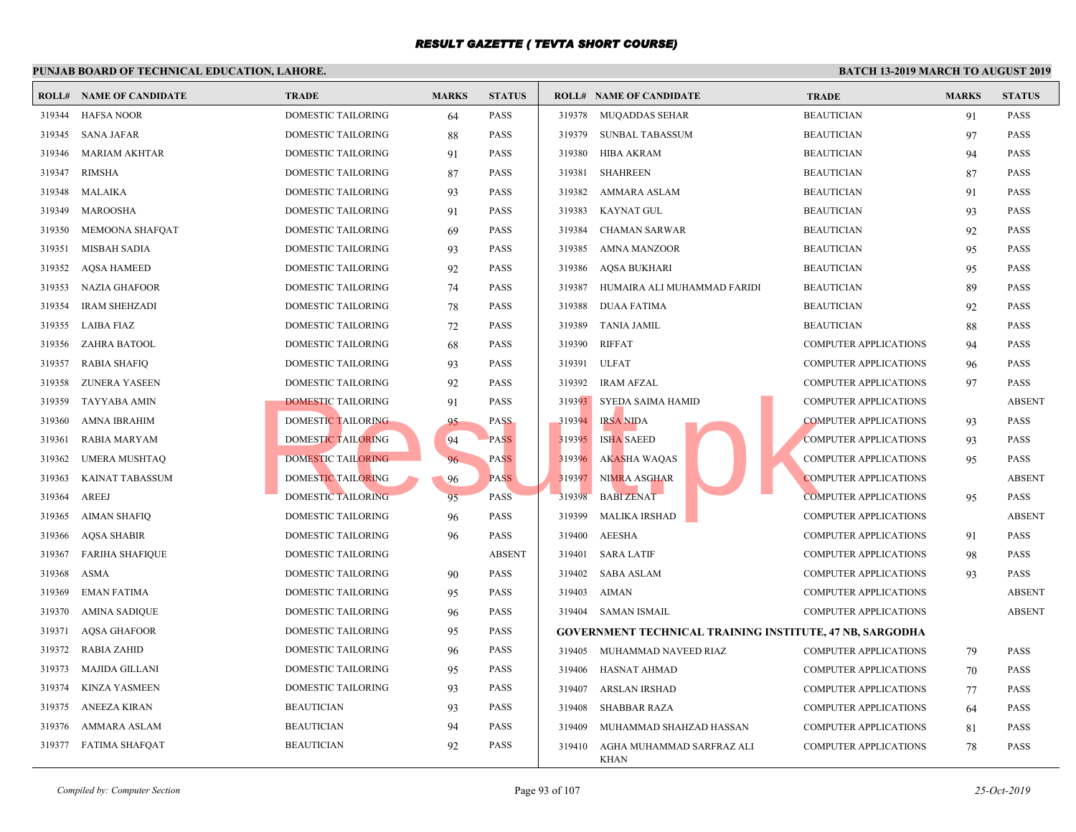|        | <b>ROLL# NAME OF CANDIDATE</b> | <b>TRADE</b>              | <b>MARKS</b> | <b>STATUS</b> |        | <b>ROLL# NAME OF CANDIDATE</b>                    | <b>TRAL</b> |
|--------|--------------------------------|---------------------------|--------------|---------------|--------|---------------------------------------------------|-------------|
| 319344 | <b>HAFSA NOOR</b>              | DOMESTIC TAILORING        | 64           | <b>PASS</b>   |        | 319378 MUQADDAS SEHAR                             | <b>BEAU</b> |
| 319345 | <b>SANA JAFAR</b>              | DOMESTIC TAILORING        | 88           | <b>PASS</b>   | 319379 | <b>SUNBAL TABASSUM</b>                            | <b>BEAU</b> |
| 319346 | <b>MARIAM AKHTAR</b>           | DOMESTIC TAILORING        | 91           | <b>PASS</b>   | 319380 | HIBA AKRAM                                        | <b>BEAU</b> |
| 319347 | RIMSHA                         | DOMESTIC TAILORING        | 87           | <b>PASS</b>   | 319381 | <b>SHAHREEN</b>                                   | <b>BEAU</b> |
| 319348 | MALAIKA                        | DOMESTIC TAILORING        | 93           | <b>PASS</b>   | 319382 | AMMARA ASLAM                                      | <b>BEAU</b> |
| 319349 | MAROOSHA                       | DOMESTIC TAILORING        | 91           | <b>PASS</b>   | 319383 | KAYNAT GUL                                        | <b>BEAU</b> |
| 319350 | MEMOONA SHAFQAT                | DOMESTIC TAILORING        | 69           | <b>PASS</b>   | 319384 | <b>CHAMAN SARWAR</b>                              | <b>BEAU</b> |
| 319351 | <b>MISBAH SADIA</b>            | DOMESTIC TAILORING        | 93           | <b>PASS</b>   | 319385 | <b>AMNA MANZOOR</b>                               | <b>BEAU</b> |
| 319352 | <b>AQSA HAMEED</b>             | DOMESTIC TAILORING        | 92           | <b>PASS</b>   | 319386 | AQSA BUKHARI                                      | <b>BEAU</b> |
| 319353 | NAZIA GHAFOOR                  | DOMESTIC TAILORING        | 74           | <b>PASS</b>   | 319387 | HUMAIRA ALI MUHAMMAD FARIDI                       | <b>BEAU</b> |
| 319354 | <b>IRAM SHEHZADI</b>           | DOMESTIC TAILORING        | 78           | <b>PASS</b>   | 319388 | DUAA FATIMA                                       | <b>BEAU</b> |
| 319355 | LAIBA FIAZ                     | DOMESTIC TAILORING        | 72           | <b>PASS</b>   | 319389 | <b>TANIA JAMIL</b>                                | <b>BEAU</b> |
| 319356 | ZAHRA BATOOL                   | DOMESTIC TAILORING        | 68           | <b>PASS</b>   | 319390 | <b>RIFFAT</b>                                     | <b>COMP</b> |
| 319357 | <b>RABIA SHAFIQ</b>            | DOMESTIC TAILORING        | 93           | <b>PASS</b>   | 319391 | <b>ULFAT</b>                                      | <b>COMP</b> |
| 319358 | ZUNERA YASEEN                  | DOMESTIC TAILORING        | 92           | <b>PASS</b>   | 319392 | <b>IRAM AFZAL</b>                                 | <b>COMP</b> |
| 319359 | TAYYABA AMIN                   | DOMESTIC TAILORING        | 91           | PASS          |        | 319393 SYEDA SAIMA HAMID                          | <b>COMP</b> |
| 319360 | AMNA IBRAHIM                   | DOMESTIC TAILORING        | 95           | <b>PASS</b>   | 319394 | <b>IRSA NIDA</b>                                  | <b>COMP</b> |
| 319361 | <b>RABIA MARYAM</b>            | DOMESTIC TAILORING        | 94           | <b>PASS</b>   | 319395 | <b>ISHA SAEED</b>                                 | <b>COMP</b> |
| 319362 | <b>UMERA MUSHTAQ</b>           | DOMESTIC TAILORING        | 96           | <b>PASS</b>   | 319396 | <b>AKASHA WAQAS</b>                               | <b>COMP</b> |
| 319363 | <b>KAINAT TABASSUM</b>         | DOMESTIC TAILORING        | 96           | <b>PASS</b>   | 319397 | NIMRA ASGHAR                                      | <b>COMP</b> |
| 319364 | <b>AREEJ</b>                   | <b>DOMESTIC TAILORING</b> | 95           | <b>PASS</b>   | 319398 | <b>BABI ZENAT</b>                                 | <b>COMP</b> |
| 319365 | <b>AIMAN SHAFIQ</b>            | DOMESTIC TAILORING        | 96           | <b>PASS</b>   | 319399 | <b>MALIKA IRSHAD</b>                              | <b>COMP</b> |
| 319366 | AQSA SHABIR                    | DOMESTIC TAILORING        | 96           | <b>PASS</b>   | 319400 | <b>AEESHA</b>                                     | <b>COMP</b> |
| 319367 | <b>FARIHA SHAFIQUE</b>         | DOMESTIC TAILORING        |              | <b>ABSENT</b> | 319401 | <b>SARA LATIF</b>                                 | <b>COMP</b> |
| 319368 | ASMA                           | DOMESTIC TAILORING        | 90           | <b>PASS</b>   | 319402 | <b>SABA ASLAM</b>                                 | <b>COMP</b> |
| 319369 | <b>EMAN FATIMA</b>             | DOMESTIC TAILORING        | 95           | <b>PASS</b>   | 319403 | <b>AIMAN</b>                                      | <b>COMP</b> |
| 319370 | <b>AMINA SADIQUE</b>           | DOMESTIC TAILORING        | 96           | <b>PASS</b>   |        | 319404 SAMAN ISMAIL                               | <b>COMP</b> |
| 319371 | <b>AQSA GHAFOOR</b>            | DOMESTIC TAILORING        | 95           | PASS          |        | <b>GOVERNMENT TECHNICAL TRAINING INSTITUTE, 4</b> |             |
| 319372 | <b>RABIA ZAHID</b>             | DOMESTIC TAILORING        | 96           | <b>PASS</b>   |        | 319405 MUHAMMAD NAVEED RIAZ                       | <b>COMP</b> |
| 319373 | MAJIDA GILLANI                 | DOMESTIC TAILORING        | 95           | <b>PASS</b>   | 319406 | HASNAT AHMAD                                      | <b>COMP</b> |
| 319374 | <b>KINZA YASMEEN</b>           | DOMESTIC TAILORING        | 93           | <b>PASS</b>   | 319407 | ARSLAN IRSHAD                                     | <b>COMP</b> |
| 319375 | ANEEZA KIRAN                   | <b>BEAUTICIAN</b>         | 93           | <b>PASS</b>   | 319408 | <b>SHABBAR RAZA</b>                               | <b>COMP</b> |
| 319376 | AMMARA ASLAM                   | <b>BEAUTICIAN</b>         | 94           | <b>PASS</b>   | 319409 | MUHAMMAD SHAHZAD HASSAN                           | <b>COMP</b> |
|        | 319377 FATIMA SHAFQAT          | <b>BEAUTICIAN</b>         | 92           | <b>PASS</b>   | 319410 | AGHA MUHAMMAD SARFRAZ ALI<br><b>KHAN</b>          | <b>COMP</b> |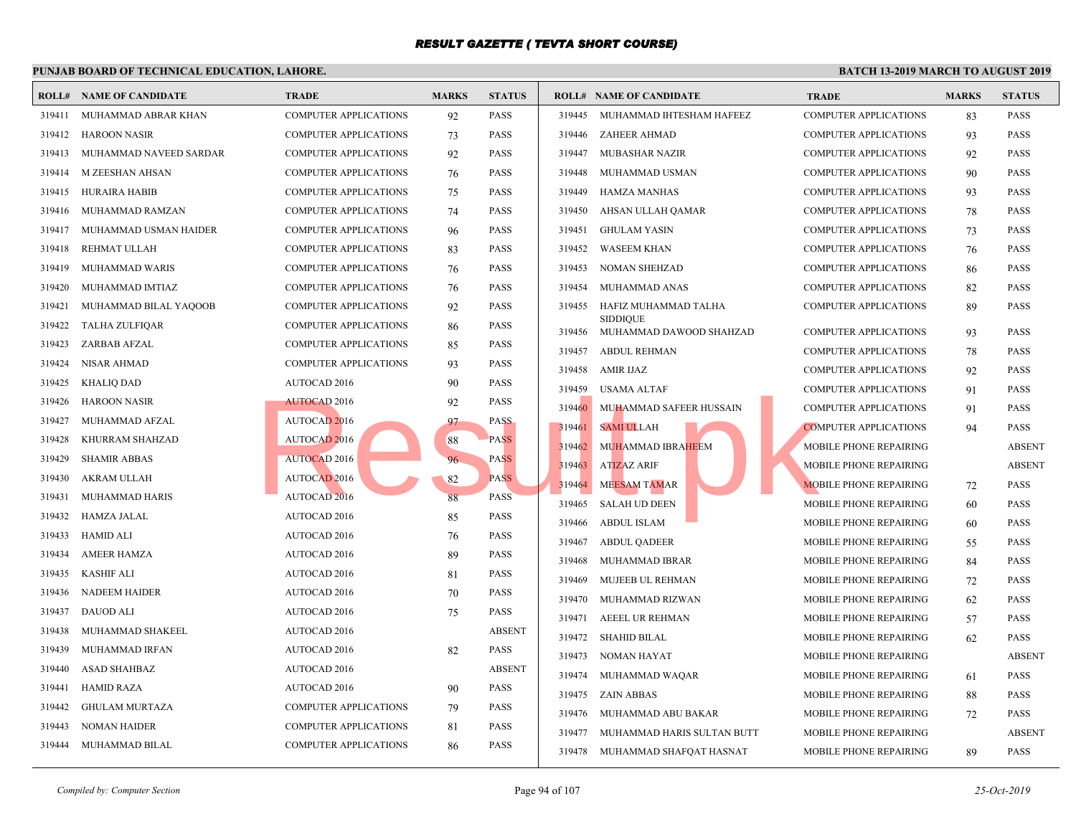|        | <b>ROLL# NAME OF CANDIDATE</b> | <b>TRADE</b>                 | <b>MARKS</b> | <b>STATUS</b> |        | <b>ROLL# NAME OF CANDIDATE</b>             | <b>TRAI</b>  |
|--------|--------------------------------|------------------------------|--------------|---------------|--------|--------------------------------------------|--------------|
| 319411 | MUHAMMAD ABRAR KHAN            | <b>COMPUTER APPLICATIONS</b> | 92           | <b>PASS</b>   | 319445 | MUHAMMAD IHTESHAM HAFEEZ                   | <b>COMP</b>  |
| 319412 | <b>HAROON NASIR</b>            | <b>COMPUTER APPLICATIONS</b> | 73           | <b>PASS</b>   | 319446 | <b>ZAHEER AHMAD</b>                        | <b>COMP</b>  |
| 319413 | MUHAMMAD NAVEED SARDAR         | COMPUTER APPLICATIONS        | 92           | <b>PASS</b>   | 319447 | <b>MUBASHAR NAZIR</b>                      | <b>COMP</b>  |
| 319414 | M ZEESHAN AHSAN                | COMPUTER APPLICATIONS        | 76           | <b>PASS</b>   | 319448 | MUHAMMAD USMAN                             | <b>COMP</b>  |
| 319415 | <b>HURAIRA HABIB</b>           | <b>COMPUTER APPLICATIONS</b> | 75           | <b>PASS</b>   | 319449 | <b>HAMZA MANHAS</b>                        | <b>COMP</b>  |
| 319416 | MUHAMMAD RAMZAN                | COMPUTER APPLICATIONS        | 74           | <b>PASS</b>   | 319450 | AHSAN ULLAH QAMAR                          | <b>COMP</b>  |
| 319417 | MUHAMMAD USMAN HAIDER          | <b>COMPUTER APPLICATIONS</b> | 96           | <b>PASS</b>   | 319451 | <b>GHULAM YASIN</b>                        | <b>COMP</b>  |
| 319418 | REHMAT ULLAH                   | COMPUTER APPLICATIONS        | 83           | <b>PASS</b>   | 319452 | <b>WASEEM KHAN</b>                         | COMP         |
| 319419 | MUHAMMAD WARIS                 | COMPUTER APPLICATIONS        | 76           | <b>PASS</b>   | 319453 | <b>NOMAN SHEHZAD</b>                       | <b>COMP</b>  |
| 319420 | MUHAMMAD IMTIAZ                | <b>COMPUTER APPLICATIONS</b> | 76           | <b>PASS</b>   | 319454 | MUHAMMAD ANAS                              | <b>COMP</b>  |
| 319421 | MUHAMMAD BILAL YAQOOB          | COMPUTER APPLICATIONS        | 92           | <b>PASS</b>   | 319455 | HAFIZ MUHAMMAD TALHA                       | <b>COMP</b>  |
| 319422 | TALHA ZULFIQAR                 | <b>COMPUTER APPLICATIONS</b> | 86           | <b>PASS</b>   | 319456 | <b>SIDDIQUE</b><br>MUHAMMAD DAWOOD SHAHZAD | <b>COMP</b>  |
| 319423 | ZARBAB AFZAL                   | COMPUTER APPLICATIONS        | 85           | <b>PASS</b>   | 319457 | <b>ABDUL REHMAN</b>                        | <b>COMP</b>  |
| 319424 | <b>NISAR AHMAD</b>             | COMPUTER APPLICATIONS        | 93           | <b>PASS</b>   | 319458 | <b>AMIR IJAZ</b>                           | <b>COMP</b>  |
| 319425 | <b>KHALIQ DAD</b>              | <b>AUTOCAD 2016</b>          | 90           | <b>PASS</b>   | 319459 | USAMA ALTAF                                | <b>COMP</b>  |
| 319426 | <b>HAROON NASIR</b>            | <b>AUTOCAD 2016</b>          | 92           | <b>PASS</b>   | 319460 | MUHAMMAD SAFEER HUSSAIN                    | <b>COMP</b>  |
| 319427 | MUHAMMAD AFZAL                 | <b>AUTOCAD 2016</b>          | 97           | <b>PASS</b>   | 319461 | <b>SAMI ULLAH</b>                          | <b>COMP</b>  |
| 319428 | KHURRAM SHAHZAD                | <b>AUTOCAD 2016</b>          | 88           | <b>PASS</b>   | 319462 | <b>MUHAMMAD IBRAHEEM</b>                   | <b>MOBII</b> |
| 319429 | <b>SHAMIR ABBAS</b>            | <b>AUTOCAD 2016</b>          | 96           | <b>PASS</b>   | 319463 | <b>ATIZAZ ARIF</b>                         | <b>MOBII</b> |
| 319430 | <b>AKRAM ULLAH</b>             | <b>AUTOCAD 2016</b>          | 82           | <b>PASS</b>   | 319464 | <b>MEESAM TAMAR</b>                        | <b>MOBII</b> |
| 319431 | MUHAMMAD HARIS                 | <b>AUTOCAD 2016</b>          | 88           | <b>PASS</b>   | 319465 | <b>SALAH UD DEEN</b>                       | <b>MOBII</b> |
| 319432 | HAMZA JALAL                    | AUTOCAD 2016                 | 85           | PASS          | 319466 | <b>ABDUL ISLAM</b>                         | <b>MOBII</b> |
| 319433 | <b>HAMID ALI</b>               | AUTOCAD 2016                 | 76           | <b>PASS</b>   | 319467 | <b>ABDUL QADEER</b>                        | <b>MOBII</b> |
| 319434 | <b>AMEER HAMZA</b>             | AUTOCAD 2016                 | 89           | <b>PASS</b>   | 319468 | MUHAMMAD IBRAR                             | <b>MOBII</b> |
| 319435 | <b>KASHIF ALI</b>              | <b>AUTOCAD 2016</b>          | 81           | <b>PASS</b>   | 319469 | MUJEEB UL REHMAN                           | <b>MOBII</b> |
| 319436 | <b>NADEEM HAIDER</b>           | <b>AUTOCAD 2016</b>          | 70           | <b>PASS</b>   | 319470 | MUHAMMAD RIZWAN                            | <b>MOBII</b> |
| 319437 | <b>DAUOD ALI</b>               | <b>AUTOCAD 2016</b>          | 75           | <b>PASS</b>   | 319471 | AEEEL UR REHMAN                            | <b>MOBII</b> |
| 319438 | MUHAMMAD SHAKEEL               | AUTOCAD 2016                 |              | <b>ABSENT</b> | 319472 | <b>SHAHID BILAL</b>                        | <b>MOBII</b> |
| 319439 | MUHAMMAD IRFAN                 | <b>AUTOCAD 2016</b>          | 82           | PASS          | 319473 | NOMAN HAYAT                                | <b>MOBII</b> |
| 319440 | <b>ASAD SHAHBAZ</b>            | <b>AUTOCAD 2016</b>          |              | <b>ABSENT</b> | 319474 | MUHAMMAD WAQAR                             | <b>MOBII</b> |
| 319441 | <b>HAMID RAZA</b>              | <b>AUTOCAD 2016</b>          | 90           | <b>PASS</b>   | 319475 | ZAIN ABBAS                                 | <b>MOBII</b> |
| 319442 | <b>GHULAM MURTAZA</b>          | COMPUTER APPLICATIONS        | 79           | <b>PASS</b>   | 319476 | MUHAMMAD ABU BAKAR                         | <b>MOBII</b> |
| 319443 | <b>NOMAN HAIDER</b>            | <b>COMPUTER APPLICATIONS</b> | 81           | <b>PASS</b>   | 319477 |                                            | <b>MOBII</b> |
| 319444 | MUHAMMAD BILAL                 | <b>COMPUTER APPLICATIONS</b> | 86           | <b>PASS</b>   |        | MUHAMMAD HARIS SULTAN BUTT                 | <b>MOBII</b> |
|        |                                |                              |              |               |        | 319478 MUHAMMAD SHAFQAT HASNAT             |              |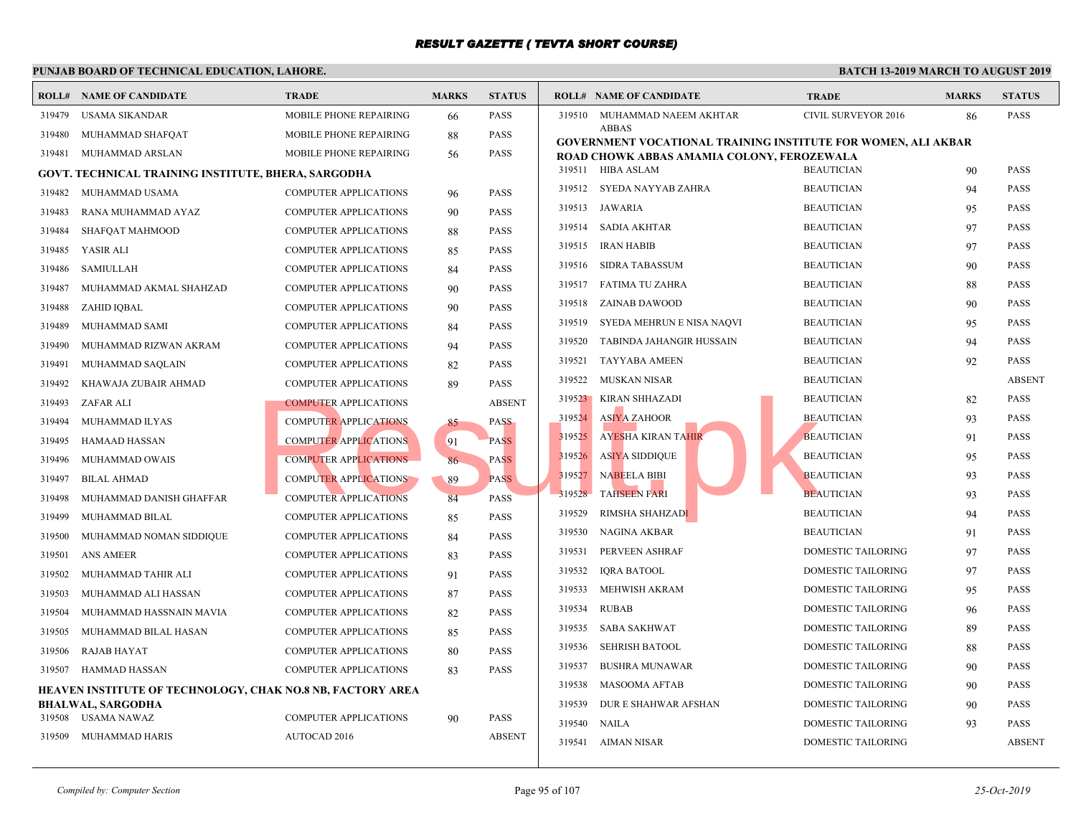| ROLL#  | <b>NAME OF CANDIDATE</b>                                   | <b>TRADE</b>                  | <b>MARKS</b> | <b>STATUS</b> |        | <b>ROLL# NAME OF CANDIDATE</b>                                  | <b>TRAL</b>  |
|--------|------------------------------------------------------------|-------------------------------|--------------|---------------|--------|-----------------------------------------------------------------|--------------|
| 319479 | <b>USAMA SIKANDAR</b>                                      | MOBILE PHONE REPAIRING        | 66           | <b>PASS</b>   | 319510 | MUHAMMAD NAEEM AKHTAR                                           | <b>CIVIL</b> |
| 319480 | MUHAMMAD SHAFQAT                                           | MOBILE PHONE REPAIRING        | 88           | <b>PASS</b>   |        | <b>ABBAS</b><br><b>GOVERNMENT VOCATIONAL TRAINING INSTITUTE</b> |              |
| 319481 | MUHAMMAD ARSLAN                                            | <b>MOBILE PHONE REPAIRING</b> | 56           | <b>PASS</b>   |        | ROAD CHOWK ABBAS AMAMIA COLONY, FEROZEW                         |              |
|        | <b>GOVT. TECHNICAL TRAINING INSTITUTE, BHERA, SARGODHA</b> |                               |              |               |        | 319511 HIBA ASLAM                                               | <b>BEAU</b>  |
| 319482 | MUHAMMAD USAMA                                             | <b>COMPUTER APPLICATIONS</b>  | 96           | <b>PASS</b>   | 319512 | SYEDA NAYYAB ZAHRA                                              | <b>BEAU</b>  |
| 319483 | RANA MUHAMMAD AYAZ                                         | <b>COMPUTER APPLICATIONS</b>  | 90           | <b>PASS</b>   | 319513 | JAWARIA                                                         | <b>BEAU</b>  |
| 319484 | SHAFQAT MAHMOOD                                            | COMPUTER APPLICATIONS         | 88           | <b>PASS</b>   | 319514 | <b>SADIA AKHTAR</b>                                             | <b>BEAU</b>  |
| 319485 | YASIR ALI                                                  | <b>COMPUTER APPLICATIONS</b>  | 85           | <b>PASS</b>   | 319515 | IRAN HABIB                                                      | <b>BEAU</b>  |
| 319486 | <b>SAMIULLAH</b>                                           | <b>COMPUTER APPLICATIONS</b>  | 84           | <b>PASS</b>   | 319516 | <b>SIDRA TABASSUM</b>                                           | <b>BEAU</b>  |
| 319487 | MUHAMMAD AKMAL SHAHZAD                                     | <b>COMPUTER APPLICATIONS</b>  | 90           | <b>PASS</b>   | 319517 | <b>FATIMA TU ZAHRA</b>                                          | <b>BEAU</b>  |
| 319488 | ZAHID IQBAL                                                | <b>COMPUTER APPLICATIONS</b>  | 90           | <b>PASS</b>   | 319518 | ZAINAB DAWOOD                                                   | <b>BEAU</b>  |
| 319489 | MUHAMMAD SAMI                                              | COMPUTER APPLICATIONS         | 84           | <b>PASS</b>   | 319519 | SYEDA MEHRUN E NISA NAQVI                                       | <b>BEAU</b>  |
| 319490 | MUHAMMAD RIZWAN AKRAM                                      | COMPUTER APPLICATIONS         | 94           | <b>PASS</b>   | 319520 | TABINDA JAHANGIR HUSSAIN                                        | <b>BEAU</b>  |
| 319491 | MUHAMMAD SAQLAIN                                           | <b>COMPUTER APPLICATIONS</b>  | 82           | <b>PASS</b>   | 319521 | <b>TAYYABA AMEEN</b>                                            | <b>BEAU</b>  |
| 319492 | KHAWAJA ZUBAIR AHMAD                                       | <b>COMPUTER APPLICATIONS</b>  | 89           | <b>PASS</b>   | 319522 | <b>MUSKAN NISAR</b>                                             | <b>BEAU</b>  |
| 319493 | ZAFAR ALI                                                  | <b>COMPUTER APPLICATIONS</b>  |              | <b>ABSENT</b> | 319523 | KIRAN SHHAZADI                                                  | <b>BEAU</b>  |
| 319494 | MUHAMMAD ILYAS                                             | <b>COMPUTER APPLICATIONS</b>  | 85           | <b>PASS</b>   | 319524 | ASIYA ZAHOOR                                                    | <b>BEAU</b>  |
| 319495 | <b>HAMAAD HASSAN</b>                                       | <b>COMPUTER APPLICATIONS</b>  | 91           | <b>PASS</b>   | 319525 | <b>AYESHA KIRAN TAHIR</b>                                       | <b>BEAU</b>  |
| 319496 | <b>MUHAMMAD OWAIS</b>                                      | <b>COMPUTER APPLICATIONS</b>  | 86           | <b>PASS</b>   | 319526 | ASIYA SIDDIQUE                                                  | <b>BEAU</b>  |
| 319497 | <b>BILAL AHMAD</b>                                         | <b>COMPUTER APPLICATIONS</b>  | 89           | <b>PASS</b>   | 319527 | <b>NABEELA BIBI</b>                                             | <b>BEAU</b>  |
| 319498 | MUHAMMAD DANISH GHAFFAR                                    | <b>COMPUTER APPLICATIONS</b>  | 84           | <b>PASS</b>   | 319528 | <b>TAHSEEN FARI</b>                                             | <b>BEAU</b>  |
| 319499 | MUHAMMAD BILAL                                             | COMPUTER APPLICATIONS         | 85           | <b>PASS</b>   | 319529 | RIMSHA SHAHZADI                                                 | <b>BEAU</b>  |
| 319500 | MUHAMMAD NOMAN SIDDIQUE                                    | COMPUTER APPLICATIONS         | 84           | <b>PASS</b>   | 319530 | <b>NAGINA AKBAR</b>                                             | <b>BEAU</b>  |
| 319501 | ANS AMEER                                                  | COMPUTER APPLICATIONS         | 83           | <b>PASS</b>   | 319531 | PERVEEN ASHRAF                                                  | <b>DOME</b>  |
| 319502 | MUHAMMAD TAHIR ALI                                         | <b>COMPUTER APPLICATIONS</b>  | 91           | <b>PASS</b>   | 319532 | <b>IQRA BATOOL</b>                                              | <b>DOME</b>  |
| 319503 | MUHAMMAD ALI HASSAN                                        | <b>COMPUTER APPLICATIONS</b>  | 87           | <b>PASS</b>   | 319533 | MEHWISH AKRAM                                                   | <b>DOME</b>  |
| 319504 | MUHAMMAD HASSNAIN MAVIA                                    | <b>COMPUTER APPLICATIONS</b>  | 82           | <b>PASS</b>   | 319534 | RUBAB                                                           | <b>DOME</b>  |
| 319505 | MUHAMMAD BILAL HASAN                                       | COMPUTER APPLICATIONS         | 85           | <b>PASS</b>   | 319535 | <b>SABA SAKHWAT</b>                                             | <b>DOME</b>  |
| 319506 | <b>RAJAB HAYAT</b>                                         | <b>COMPUTER APPLICATIONS</b>  | 80           | <b>PASS</b>   | 319536 | <b>SEHRISH BATOOL</b>                                           | <b>DOME</b>  |
| 319507 | HAMMAD HASSAN                                              | COMPUTER APPLICATIONS         | 83           | <b>PASS</b>   | 319537 | <b>BUSHRA MUNAWAR</b>                                           | <b>DOME</b>  |
|        | HEAVEN INSTITUTE OF TECHNOLOGY, CHAK NO.8 NB, FACTORY AREA |                               |              |               | 319538 | <b>MASOOMA AFTAB</b>                                            | <b>DOME</b>  |
|        | <b>BHALWAL, SARGODHA</b>                                   |                               |              |               | 319539 | DUR E SHAHWAR AFSHAN                                            | <b>DOME</b>  |
| 319508 | USAMA NAWAZ                                                | COMPUTER APPLICATIONS         | 90           | <b>PASS</b>   | 319540 | <b>NAILA</b>                                                    | <b>DOME</b>  |
| 319509 | MUHAMMAD HARIS                                             | <b>AUTOCAD 2016</b>           |              | <b>ABSENT</b> | 319541 | AIMAN NISAR                                                     | <b>DOME</b>  |
|        |                                                            |                               |              |               |        |                                                                 |              |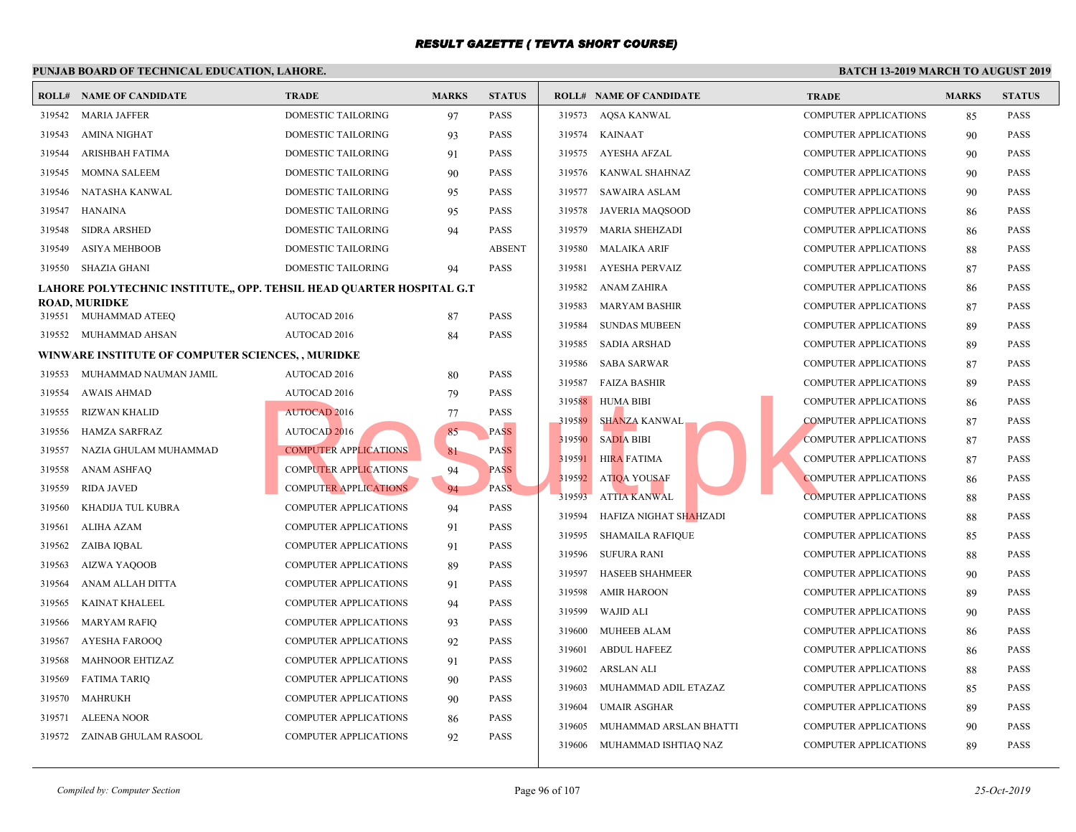|        | PUNJAB BOARD OF TECHNICAL EDUCATION, LAHORE.                         |                              |              |               |        |                                |             |
|--------|----------------------------------------------------------------------|------------------------------|--------------|---------------|--------|--------------------------------|-------------|
|        | <b>ROLL# NAME OF CANDIDATE</b>                                       | <b>TRADE</b>                 | <b>MARKS</b> | <b>STATUS</b> |        | <b>ROLL# NAME OF CANDIDATE</b> | <b>TRAL</b> |
| 319542 | <b>MARIA JAFFER</b>                                                  | DOMESTIC TAILORING           | 97           | <b>PASS</b>   | 319573 | AQSA KANWAL                    | <b>COMP</b> |
| 319543 | <b>AMINA NIGHAT</b>                                                  | DOMESTIC TAILORING           | 93           | <b>PASS</b>   |        | 319574 KAINAAT                 | <b>COMP</b> |
| 319544 | <b>ARISHBAH FATIMA</b>                                               | DOMESTIC TAILORING           | 91           | <b>PASS</b>   |        | 319575 AYESHA AFZAL            | <b>COMP</b> |
| 319545 | MOMNA SALEEM                                                         | DOMESTIC TAILORING           | 90           | <b>PASS</b>   | 319576 | KANWAL SHAHNAZ                 | <b>COMP</b> |
| 319546 | NATASHA KANWAL                                                       | DOMESTIC TAILORING           | 95           | <b>PASS</b>   | 319577 | <b>SAWAIRA ASLAM</b>           | <b>COMP</b> |
| 319547 | HANAINA                                                              | DOMESTIC TAILORING           | 95           | <b>PASS</b>   | 319578 | <b>JAVERIA MAQSOOD</b>         | <b>COMP</b> |
| 319548 | <b>SIDRA ARSHED</b>                                                  | <b>DOMESTIC TAILORING</b>    | 94           | <b>PASS</b>   | 319579 | <b>MARIA SHEHZADI</b>          | <b>COMP</b> |
| 319549 | <b>ASIYA MEHBOOB</b>                                                 | DOMESTIC TAILORING           |              | <b>ABSENT</b> | 319580 | <b>MALAIKA ARIF</b>            | <b>COMP</b> |
| 319550 | <b>SHAZIA GHANI</b>                                                  | DOMESTIC TAILORING           | 94           | <b>PASS</b>   | 319581 | AYESHA PERVAIZ                 | <b>COMP</b> |
|        | LAHORE POLYTECHNIC INSTITUTE,, OPP. TEHSIL HEAD QUARTER HOSPITAL G.T |                              |              |               | 319582 | ANAM ZAHIRA                    | <b>COMP</b> |
|        | <b>ROAD, MURIDKE</b>                                                 |                              |              |               | 319583 | MARYAM BASHIR                  | <b>COMP</b> |
|        | 319551 MUHAMMAD ATEEQ                                                | AUTOCAD 2016                 | 87           | <b>PASS</b>   | 319584 | <b>SUNDAS MUBEEN</b>           | <b>COMP</b> |
| 319552 | MUHAMMAD AHSAN                                                       | AUTOCAD 2016                 | 84           | <b>PASS</b>   | 319585 | SADIA ARSHAD                   | <b>COMP</b> |
|        | WINWARE INSTITUTE OF COMPUTER SCIENCES,, MURIDKE                     |                              |              |               | 319586 | <b>SABA SARWAR</b>             | <b>COMP</b> |
| 319553 | MUHAMMAD NAUMAN JAMIL                                                | AUTOCAD 2016                 | 80           | <b>PASS</b>   | 319587 | <b>FAIZA BASHIR</b>            | <b>COMP</b> |
| 319554 | <b>AWAIS AHMAD</b>                                                   | <b>AUTOCAD 2016</b>          | 79           | <b>PASS</b>   | 319588 | HUMA BIBI                      | <b>COMP</b> |
| 319555 | <b>RIZWAN KHALID</b>                                                 | <b>AUTOCAD 2016</b>          | 77           | <b>PASS</b>   | 319589 | <b>SHANZA KANWAL</b>           | <b>COMP</b> |
| 319556 | HAMZA SARFRAZ                                                        | <b>AUTOCAD 2016</b>          | 85           | <b>PASS</b>   | 319590 | <b>SADIA BIBI</b>              | <b>COMP</b> |
| 319557 | NAZIA GHULAM MUHAMMAD                                                | <b>COMPUTER APPLICATIONS</b> | 81           | <b>PASS</b>   | 319591 | <b>HIRA FATIMA</b>             | <b>COMP</b> |
| 319558 | ANAM ASHFAQ                                                          | <b>COMPUTER APPLICATIONS</b> | 94           | <b>PASS</b>   |        | 319592 ATIQA YOUSAF            | <b>COMP</b> |
| 319559 | <b>RIDA JAVED</b>                                                    | <b>COMPUTER APPLICATIONS</b> | 94           | <b>PASS</b>   | 319593 | <b>ATTIA KANWAL</b>            | <b>COMP</b> |
| 319560 | KHADIJA TUL KUBRA                                                    | <b>COMPUTER APPLICATIONS</b> | 94           | <b>PASS</b>   | 319594 | HAFIZA NIGHAT SHAHZADI         | <b>COMP</b> |
| 319561 | ALIHA AZAM                                                           | COMPUTER APPLICATIONS        | 91           | <b>PASS</b>   | 319595 | <b>SHAMAILA RAFIQUE</b>        | <b>COMP</b> |
| 319562 | ZAIBA IQBAL                                                          | <b>COMPUTER APPLICATIONS</b> | 91           | <b>PASS</b>   | 319596 | <b>SUFURA RANI</b>             | <b>COMP</b> |
| 319563 | <b>AIZWA YAQOOB</b>                                                  | <b>COMPUTER APPLICATIONS</b> | 89           | <b>PASS</b>   | 319597 | HASEEB SHAHMEER                | <b>COMP</b> |
| 319564 | ANAM ALLAH DITTA                                                     | <b>COMPUTER APPLICATIONS</b> | 91           | <b>PASS</b>   | 319598 | <b>AMIR HAROON</b>             | <b>COMP</b> |
| 319565 | <b>KAINAT KHALEEL</b>                                                | <b>COMPUTER APPLICATIONS</b> | 94           | <b>PASS</b>   | 319599 | <b>WAJID ALI</b>               | <b>COMP</b> |
| 319566 | <b>MARYAM RAFIQ</b>                                                  | <b>COMPUTER APPLICATIONS</b> | 93           | <b>PASS</b>   | 319600 | MUHEEB ALAM                    | <b>COMP</b> |
| 319567 | <b>AYESHA FAROOQ</b>                                                 | <b>COMPUTER APPLICATIONS</b> | 92           | <b>PASS</b>   | 319601 | <b>ABDUL HAFEEZ</b>            | <b>COMP</b> |
| 319568 | <b>MAHNOOR EHTIZAZ</b>                                               | COMPUTER APPLICATIONS        | 91           | <b>PASS</b>   | 319602 | ARSLAN ALI                     | <b>COMP</b> |
| 319569 | <b>FATIMA TARIQ</b>                                                  | <b>COMPUTER APPLICATIONS</b> | 90           | <b>PASS</b>   | 319603 | MUHAMMAD ADIL ETAZAZ           | <b>COMP</b> |
| 319570 | <b>MAHRUKH</b>                                                       | <b>COMPUTER APPLICATIONS</b> | 90           | <b>PASS</b>   | 319604 | <b>UMAIR ASGHAR</b>            | <b>COMP</b> |
| 319571 | <b>ALEENA NOOR</b>                                                   | <b>COMPUTER APPLICATIONS</b> | 86           | <b>PASS</b>   | 319605 | MUHAMMAD ARSLAN BHATTI         | <b>COMP</b> |
|        | 319572 ZAINAB GHULAM RASOOL                                          | <b>COMPUTER APPLICATIONS</b> | 92           | <b>PASS</b>   |        | 319606 MUHAMMAD ISHTIAQ NAZ    | <b>COMP</b> |
|        |                                                                      |                              |              |               |        |                                |             |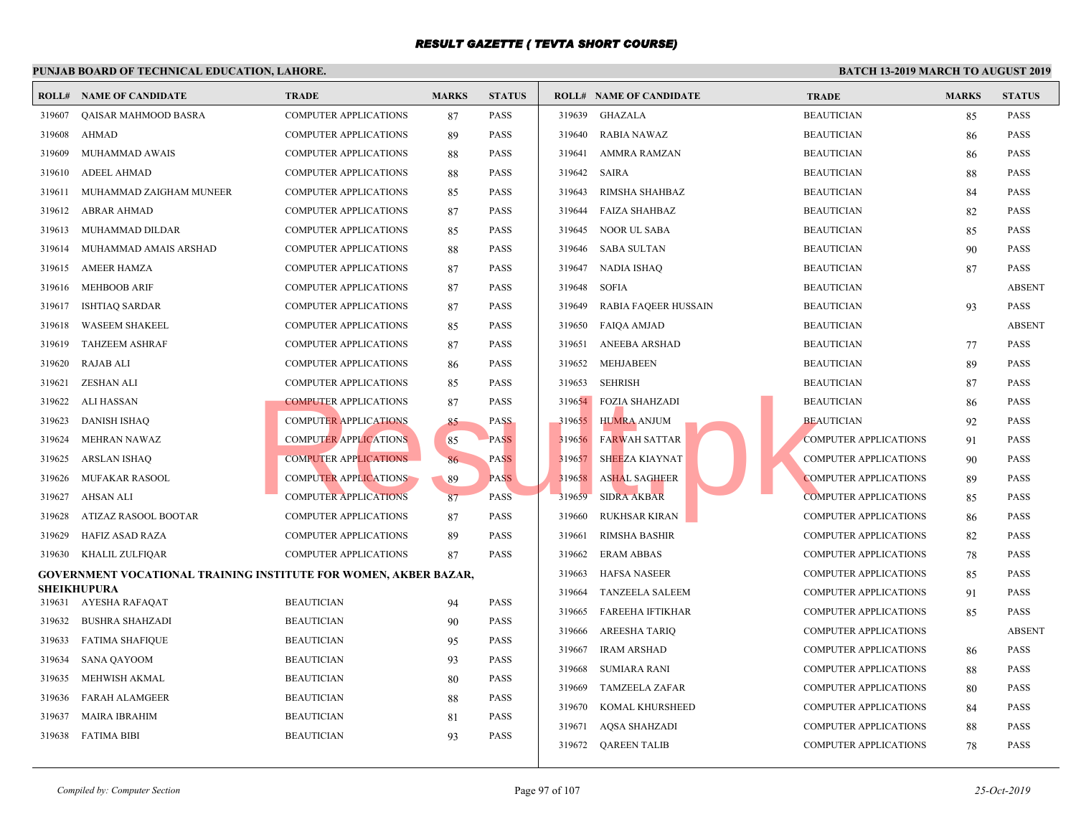|                  | I UNJAD DOARD OF TECHNICAL EDUCATION, LAHORE,                           |                              |              |               |        |                                |             |
|------------------|-------------------------------------------------------------------------|------------------------------|--------------|---------------|--------|--------------------------------|-------------|
|                  | <b>ROLL# NAME OF CANDIDATE</b>                                          | <b>TRADE</b>                 | <b>MARKS</b> | <b>STATUS</b> |        | <b>ROLL# NAME OF CANDIDATE</b> | <b>TRAL</b> |
| 319607           | QAISAR MAHMOOD BASRA                                                    | <b>COMPUTER APPLICATIONS</b> | 87           | <b>PASS</b>   | 319639 | <b>GHAZALA</b>                 | <b>BEAU</b> |
| 319608           | <b>AHMAD</b>                                                            | <b>COMPUTER APPLICATIONS</b> | 89           | <b>PASS</b>   | 319640 | <b>RABIA NAWAZ</b>             | <b>BEAU</b> |
| 319609           | MUHAMMAD AWAIS                                                          | <b>COMPUTER APPLICATIONS</b> | 88           | <b>PASS</b>   | 319641 | AMMRA RAMZAN                   | <b>BEAU</b> |
| 319610           | <b>ADEEL AHMAD</b>                                                      | <b>COMPUTER APPLICATIONS</b> | 88           | <b>PASS</b>   | 319642 | <b>SAIRA</b>                   | <b>BEAU</b> |
| 319611           | MUHAMMAD ZAIGHAM MUNEER                                                 | <b>COMPUTER APPLICATIONS</b> | 85           | <b>PASS</b>   | 319643 | RIMSHA SHAHBAZ                 | <b>BEAU</b> |
| 319612           | <b>ABRAR AHMAD</b>                                                      | <b>COMPUTER APPLICATIONS</b> | 87           | <b>PASS</b>   | 319644 | <b>FAIZA SHAHBAZ</b>           | <b>BEAU</b> |
| 319613           | MUHAMMAD DILDAR                                                         | COMPUTER APPLICATIONS        | 85           | <b>PASS</b>   | 319645 | <b>NOOR UL SABA</b>            | <b>BEAU</b> |
| 319614           | MUHAMMAD AMAIS ARSHAD                                                   | <b>COMPUTER APPLICATIONS</b> | 88           | <b>PASS</b>   | 319646 | <b>SABA SULTAN</b>             | <b>BEAU</b> |
| 319615           | <b>AMEER HAMZA</b>                                                      | <b>COMPUTER APPLICATIONS</b> | 87           | <b>PASS</b>   | 319647 | <b>NADIA ISHAQ</b>             | <b>BEAU</b> |
| 319616           | <b>MEHBOOB ARIF</b>                                                     | <b>COMPUTER APPLICATIONS</b> | 87           | <b>PASS</b>   | 319648 | <b>SOFIA</b>                   | <b>BEAU</b> |
| 319617           | <b>ISHTIAQ SARDAR</b>                                                   | <b>COMPUTER APPLICATIONS</b> | 87           | <b>PASS</b>   | 319649 | RABIA FAQEER HUSSAIN           | <b>BEAU</b> |
| 319618           | <b>WASEEM SHAKEEL</b>                                                   | <b>COMPUTER APPLICATIONS</b> | 85           | <b>PASS</b>   | 319650 | FAIQA AMJAD                    | <b>BEAU</b> |
| 319619           | <b>TAHZEEM ASHRAF</b>                                                   | <b>COMPUTER APPLICATIONS</b> | 87           | <b>PASS</b>   | 319651 | ANEEBA ARSHAD                  | <b>BEAU</b> |
| 319620           | <b>RAJAB ALI</b>                                                        | <b>COMPUTER APPLICATIONS</b> | 86           | <b>PASS</b>   | 319652 | <b>MEHJABEEN</b>               | <b>BEAU</b> |
| 319621           | <b>ZESHAN ALI</b>                                                       | <b>COMPUTER APPLICATIONS</b> | 85           | <b>PASS</b>   | 319653 | <b>SEHRISH</b>                 | <b>BEAU</b> |
| 319622           | ALI HASSAN                                                              | <b>COMPUTER APPLICATIONS</b> | 87           | <b>PASS</b>   | 319654 | <b>FOZIA SHAHZADI</b>          | <b>BEAU</b> |
| 319623           | <b>DANISH ISHAQ</b>                                                     | COMPUTER APPLICATIONS        | 85           | <b>PASS</b>   |        | 319655 HUMRA ANJUM             | <b>BEAU</b> |
| 319624           | <b>MEHRAN NAWAZ</b>                                                     | <b>COMPUTER APPLICATIONS</b> | 85           | <b>PASS</b>   | 319656 | <b>FARWAH SATTAR</b>           | <b>COMP</b> |
| 319625           | <b>ARSLAN ISHAQ</b>                                                     | <b>COMPUTER APPLICATIONS</b> | 86           | <b>PASS</b>   | 319657 | SHEEZA KIAYNAT                 | <b>COMP</b> |
| 319626           | <b>MUFAKAR RASOOL</b>                                                   | <b>COMPUTER APPLICATIONS</b> | 89           | <b>PASS</b>   | 319658 | <b>ASHAL SAGHEER</b>           | <b>COMP</b> |
| 319627           | AHSAN ALI                                                               | <b>COMPUTER APPLICATIONS</b> | 87           | <b>PASS</b>   | 319659 | <b>SIDRA AKBAR</b>             | <b>COMP</b> |
| 319628           | ATIZAZ RASOOL BOOTAR                                                    | <b>COMPUTER APPLICATIONS</b> | 87           | <b>PASS</b>   | 319660 | <b>RUKHSAR KIRAN</b>           | <b>COMP</b> |
| 319629           | HAFIZ ASAD RAZA                                                         | <b>COMPUTER APPLICATIONS</b> | 89           | <b>PASS</b>   | 319661 | <b>RIMSHA BASHIR</b>           | <b>COMP</b> |
| 319630           | KHALIL ZULFIQAR                                                         | <b>COMPUTER APPLICATIONS</b> | 87           | <b>PASS</b>   | 319662 | <b>ERAM ABBAS</b>              | <b>COMP</b> |
|                  | <b>GOVERNMENT VOCATIONAL TRAINING INSTITUTE FOR WOMEN, AKBER BAZAR,</b> |                              |              |               | 319663 | HAFSA NASEER                   | <b>COMP</b> |
|                  | <b>SHEIKHUPURA</b>                                                      | <b>BEAUTICIAN</b>            | 94           | <b>PASS</b>   | 319664 | <b>TANZEELA SALEEM</b>         | <b>COMP</b> |
| 319632           | 319631 AYESHA RAFAQAT                                                   | <b>BEAUTICIAN</b>            |              | <b>PASS</b>   | 319665 | <b>FAREEHA IFTIKHAR</b>        | <b>COMP</b> |
|                  | <b>BUSHRA SHAHZADI</b>                                                  | <b>BEAUTICIAN</b>            | 90           | <b>PASS</b>   | 319666 | AREESHA TARIQ                  | <b>COMP</b> |
| 319633<br>319634 | <b>FATIMA SHAFIQUE</b><br><b>SANA QAYOOM</b>                            | <b>BEAUTICIAN</b>            | 95           | <b>PASS</b>   | 319667 | <b>IRAM ARSHAD</b>             | <b>COMP</b> |
|                  |                                                                         |                              | 93           |               | 319668 | <b>SUMIARA RANI</b>            | <b>COMP</b> |
| 319635           | MEHWISH AKMAL                                                           | <b>BEAUTICIAN</b>            | 80           | <b>PASS</b>   | 319669 | <b>TAMZEELA ZAFAR</b>          | <b>COMP</b> |
| 319636           | <b>FARAH ALAMGEER</b>                                                   | <b>BEAUTICIAN</b>            | 88           | <b>PASS</b>   | 319670 | KOMAL KHURSHEED                | <b>COMP</b> |
| 319637           | <b>MAIRA IBRAHIM</b>                                                    | <b>BEAUTICIAN</b>            | 81           | <b>PASS</b>   | 319671 | <b>AQSA SHAHZADI</b>           | <b>COMP</b> |
| 319638           | FATIMA BIBI                                                             | <b>BEAUTICIAN</b>            | 93           | PASS          | 319672 | QAREEN TALIB                   | <b>COMP</b> |
|                  |                                                                         |                              |              |               |        |                                |             |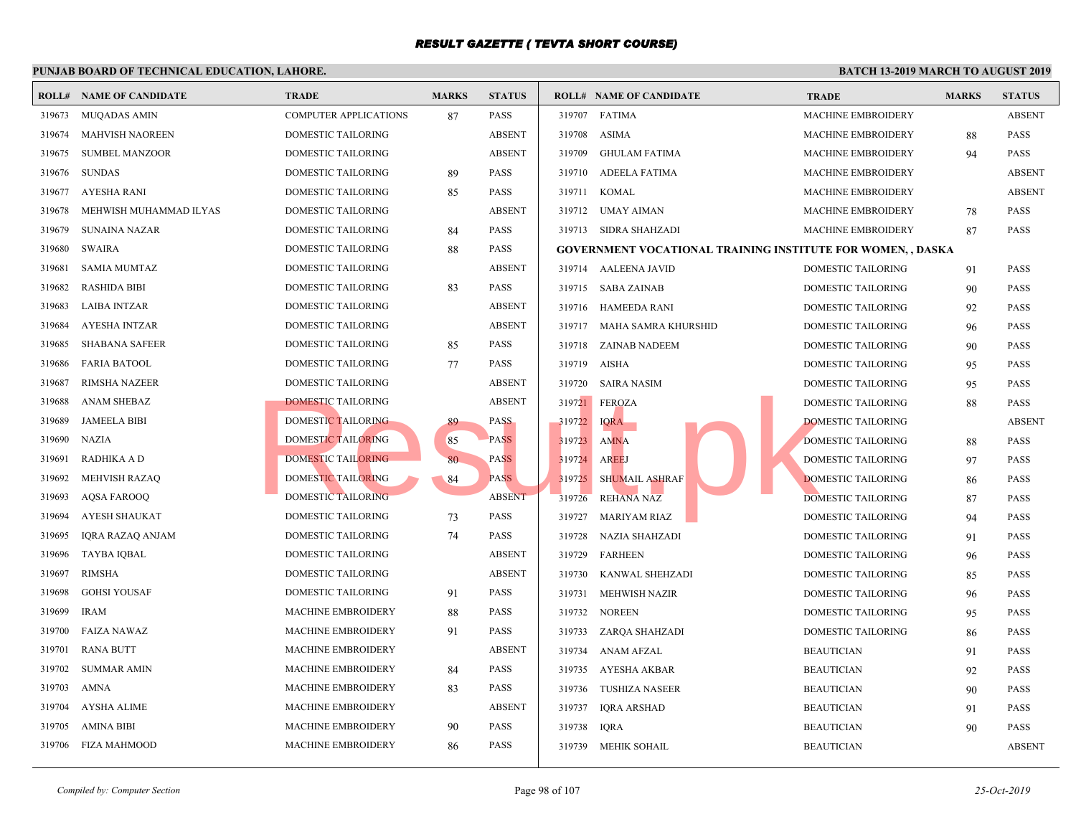|        | <b>ROLL# NAME OF CANDIDATE</b> | <b>TRADE</b>                 | <b>MARKS</b> | <b>STATUS</b> |        | <b>ROLL# NAME OF CANDIDATE</b>           | <b>TRAL</b> |
|--------|--------------------------------|------------------------------|--------------|---------------|--------|------------------------------------------|-------------|
| 319673 | MUQADAS AMIN                   | <b>COMPUTER APPLICATIONS</b> | 87           | <b>PASS</b>   |        | 319707 FATIMA                            | <b>MACH</b> |
| 319674 | <b>MAHVISH NAOREEN</b>         | DOMESTIC TAILORING           |              | <b>ABSENT</b> | 319708 | ASIMA                                    | <b>MACH</b> |
| 319675 | <b>SUMBEL MANZOOR</b>          | DOMESTIC TAILORING           |              | <b>ABSENT</b> | 319709 | GHULAM FATIMA                            | <b>MACH</b> |
| 319676 | <b>SUNDAS</b>                  | DOMESTIC TAILORING           | 89           | <b>PASS</b>   | 319710 | ADEELA FATIMA                            | <b>MACF</b> |
| 319677 | <b>AYESHA RANI</b>             | DOMESTIC TAILORING           | 85           | <b>PASS</b>   | 319711 | KOMAL                                    | <b>MACH</b> |
| 319678 | MEHWISH MUHAMMAD ILYAS         | DOMESTIC TAILORING           |              | <b>ABSENT</b> | 319712 | UMAY AIMAN                               | MACH        |
| 319679 | <b>SUNAINA NAZAR</b>           | DOMESTIC TAILORING           | 84           | <b>PASS</b>   |        | 319713 SIDRA SHAHZADI                    | <b>MACF</b> |
| 319680 | <b>SWAIRA</b>                  | DOMESTIC TAILORING           | 88           | <b>PASS</b>   |        | GOVERNMENT VOCATIONAL TRAINING INSTITUTE |             |
| 319681 | SAMIA MUMTAZ                   | DOMESTIC TAILORING           |              | <b>ABSENT</b> |        | 319714 AALEENA JAVID                     | <b>DOME</b> |
| 319682 | <b>RASHIDA BIBI</b>            | DOMESTIC TAILORING           | 83           | <b>PASS</b>   |        | 319715 SABA ZAINAB                       | <b>DOME</b> |
| 319683 | LAIBA INTZAR                   | DOMESTIC TAILORING           |              | <b>ABSENT</b> |        | 319716 HAMEEDA RANI                      | <b>DOME</b> |
| 319684 | AYESHA INTZAR                  | DOMESTIC TAILORING           |              | <b>ABSENT</b> |        | 319717 MAHA SAMRA KHURSHID               | <b>DOME</b> |
| 319685 | <b>SHABANA SAFEER</b>          | DOMESTIC TAILORING           | 85           | <b>PASS</b>   | 319718 | ZAINAB NADEEM                            | <b>DOME</b> |
| 319686 | <b>FARIA BATOOL</b>            | DOMESTIC TAILORING           | 77           | <b>PASS</b>   | 319719 | AISHA                                    | <b>DOME</b> |
| 319687 | RIMSHA NAZEER                  | DOMESTIC TAILORING           |              | <b>ABSENT</b> | 319720 | SAIRA NASIM                              | <b>DOME</b> |
| 319688 | <b>ANAM SHEBAZ</b>             | DOMESTIC TAILORING           |              | <b>ABSENT</b> |        | 319721 FEROZA                            | <b>DOME</b> |
| 319689 | <b>JAMEELA BIBI</b>            | DOMESTIC TAILORING           | 89           | <b>PASS</b>   | 319722 | <b>IQRA</b>                              | <b>DOME</b> |
| 319690 | <b>NAZIA</b>                   | <b>DOMESTIC TAILORING</b>    | 85           | <b>PASS</b>   | 319723 | <b>AMNA</b>                              | <b>DOME</b> |
| 319691 | RADHIKA A D                    | DOMESTIC TAILORING           | 80           | <b>PASS</b>   | 319724 | <b>AREEJ</b>                             | <b>DOME</b> |
| 319692 | MEHVISH RAZAQ                  | DOMESTIC TAILORING           | 84           | <b>PASS</b>   | 319725 | <b>SHUMAIL ASHRAF</b>                    | <b>DOME</b> |
| 319693 | <b>AQSA FAROOQ</b>             | <b>DOMESTIC TAILORING</b>    |              | <b>ABSENT</b> | 319726 | <b>REHANA NAZ</b>                        | <b>DOME</b> |
| 319694 | <b>AYESH SHAUKAT</b>           | DOMESTIC TAILORING           | 73           | <b>PASS</b>   | 319727 | MARIYAM RIAZ                             | <b>DOME</b> |
| 319695 | IQRA RAZAQ ANJAM               | DOMESTIC TAILORING           | 74           | <b>PASS</b>   | 319728 | NAZIA SHAHZADI                           | <b>DOME</b> |
| 319696 | <b>TAYBA IQBAL</b>             | DOMESTIC TAILORING           |              | <b>ABSENT</b> | 319729 | <b>FARHEEN</b>                           | <b>DOME</b> |
| 319697 | <b>RIMSHA</b>                  | DOMESTIC TAILORING           |              | <b>ABSENT</b> | 319730 | KANWAL SHEHZADI                          | <b>DOME</b> |
| 319698 | <b>GOHSI YOUSAF</b>            | DOMESTIC TAILORING           | 91           | <b>PASS</b>   | 319731 | MEHWISH NAZIR                            | <b>DOME</b> |
| 319699 | <b>IRAM</b>                    | MACHINE EMBROIDERY           | 88           | <b>PASS</b>   | 319732 | <b>NOREEN</b>                            | <b>DOME</b> |
| 319700 | <b>FAIZA NAWAZ</b>             | MACHINE EMBROIDERY           | 91           | <b>PASS</b>   | 319733 | ZARQA SHAHZADI                           | <b>DOME</b> |
| 319701 | <b>RANA BUTT</b>               | MACHINE EMBROIDERY           |              | <b>ABSENT</b> | 319734 | ANAM AFZAL                               | <b>BEAU</b> |
| 319702 | <b>SUMMAR AMIN</b>             | MACHINE EMBROIDERY           | 84           | <b>PASS</b>   | 319735 | AYESHA AKBAR                             | <b>BEAU</b> |
| 319703 | AMNA                           | <b>MACHINE EMBROIDERY</b>    | 83           | <b>PASS</b>   | 319736 | TUSHIZA NASEER                           | <b>BEAU</b> |
| 319704 | AYSHA ALIME                    | <b>MACHINE EMBROIDERY</b>    |              | <b>ABSENT</b> | 319737 | IQRA ARSHAD                              | <b>BEAU</b> |
| 319705 | AMINA BIBI                     | <b>MACHINE EMBROIDERY</b>    | 90           | <b>PASS</b>   | 319738 | <b>IQRA</b>                              | <b>BEAU</b> |
| 319706 | FIZA MAHMOOD                   | <b>MACHINE EMBROIDERY</b>    | 86           | <b>PASS</b>   |        | 319739 MEHIK SOHAIL                      | <b>BEAU</b> |
|        |                                |                              |              |               |        |                                          |             |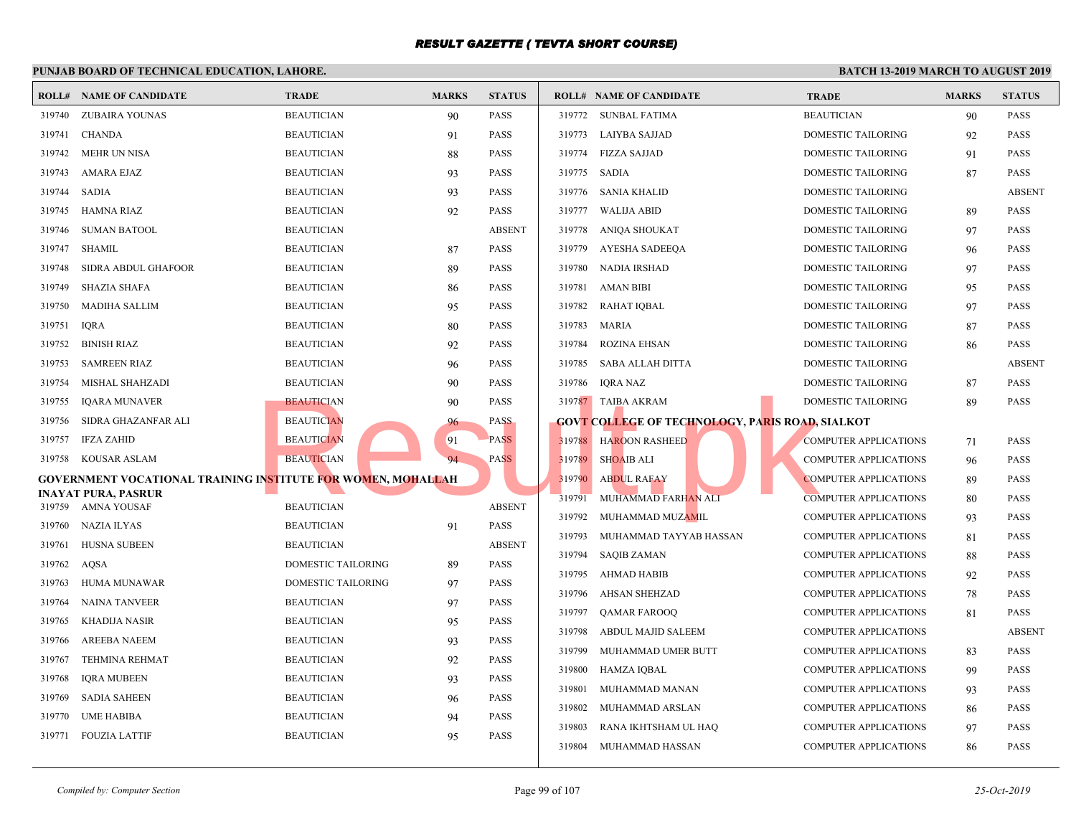#### **PUNJAB BOARD OF TECHNICAL EDUCATION, LAHORE. ROLL# NAME OF CANDIDATE TRADE MARKS STATUS ROLL# NAME OF CANDIDATE TRADE MARKS STATUS** 319740 ZUBAIRA YOUNAS BEAUTICIAN 90 PASS 319741 CHANDA BEAUTICIAN 91 PASS 319742 MEHR UN NISA BEAUTICIAN 88 PASS 319743 AMARA EJAZ BEAUTICIAN 93 PASS 319744 SADIA BEAUTICIAN 93 PASS 319745 HAMNA RIAZ BEAUTICIAN 92 PASS 319746 SUMAN BATOOL BEAUTICIAN ABSENT 319747 SHAMIL BEAUTICIAN 87 PASS 319748 SIDRA ABDUL GHAFOOR BEAUTICIAN 89 PASS 319749 SHAZIA SHAFA BEAUTICIAN 86 PASS 319750 MADIHA SALLIM BEAUTICIAN 95 PASS 319751 IQRA BEAUTICIAN 80 PASS 319752 BINISH RIAZ BEAUTICIAN 92 PASS 319753 SAMREEN RIAZ BEAUTICIAN 96 PASS 319754 MISHAL SHAHZADI BEAUTICIAN 90 PASS 319755 IQARA MUNAVER BEAUTICIAN 90 PASS 319756 SIDRA GHAZANFAR ALI BEAUTICIAN 96 PASS 319757 IFZA ZAHID BEAUTICIAN 91 PASS 319758 KOUSAR ASLAM BEAUTICIAN 94 PASS **GOVERNMENT VOCATIONAL TRAINING INSTITUTE FOR WOMEN, MOHALLAH INAYAT PURA, PASRUR** 319759 AMNA YOUSAF BEAUTICIAN ABSENT 319760 NAZIA ILYAS BEAUTICIAN 91 PASS 319761 HUSNA SUBEEN BEAUTICIAN ABSENT 319762 AQSA DOMESTIC TAILORING 89 PASS 319763 HUMA MUNAWAR DOMESTIC TAILORING 97 PASS 319764 NAINA TANVEER BEAUTICIAN 97 PASS 319765 KHADIJA NASIR BEAUTICIAN 95 PASS 319766 AREEBA NAEEM BEAUTICIAN 93 PASS 319767 TEHMINA REHMAT BEAUTICIAN 92 PASS 319768 IQRA MUBEEN BEAUTICIAN 93 PASS 319769 SADIA SAHEEN BEAUTICIAN 96 PASS 319770 UME HABIBA BEAUTICIAN 94 PASS 319771 FOUZIA LATTIF BEAUTICIAN 95 PASS 319772 SUNBAL FATIMA BEAUT 319773 LAIYBA SAJJAD DOME 319774 FIZZA SAJJAD DOME 319775 SADIA DOME 319776 SANIA KHALID DOME 319777 WALIJA ABID DOME 319778 ANIOA SHOUKAT DOME 319779 AYESHA SADEEQA DOME 319780 NADIA IRSHAD DOME 319781 AMAN BIBI DOME 319782 RAHAT IQBAL DOME 319783 MARIA DOME 319784 ROZINA EHSAN DOME 319785 SABA ALLAH DITTA DOME 319786 IQRA NAZ DOME 319787 TAIBA AKRAM DOME **GOVT COLLEGE OF TECHNOLOGY, PARIS ROAD, SI** 319788 HAROON RASHEED COMP 319789 SHOAIB ALI COMP 319790 ABDUL RAFAY COMP 319791 MUHAMMAD FARHAN ALI COMP 319792 MUHAMMAD MUZAMIL COMP 319793 MUHAMMAD TAYYAB HASSAN COMP 319794 SAQIB ZAMAN COMP 319795 AHMAD HABIB COMP 319796 AHSAN SHEHZAD COMP 319797 QAMAR FAROOQ COMP 319798 ABDUL MAJID SALEEM COMP 319799 MUHAMMAD UMER BUTT COMP 319800 HAMZA IQBAL COMP 319801 MUHAMMAD MANAN COMP 319802 MUHAMMAD ARSLAN COMP 319803 RANA IKHTSHAM UL HAQ COMP 319804 MUHAMMAD HASSAN COMP BEAUTICIAN<br>
BEAUTICIAN<br>
BEAUTICIAN<br>
BEAUTICIAN<br>
BEAUTICIAN<br>
BEAUTICIAN<br>
BEAUTICIAN<br>
BEAUTICIAN<br>
BEAUTICIAN<br>
BEAUTICIAN<br>
BEAUTICIAN<br>
BEAUTICIAN<br>
BEAUTICIAN<br>
BEAUTICIAN<br>
BEAUTICIAN<br>
BEAUTICIAN<br>
BEAUTICIAN<br>
BEAUTICIAN<br>
BEAUTI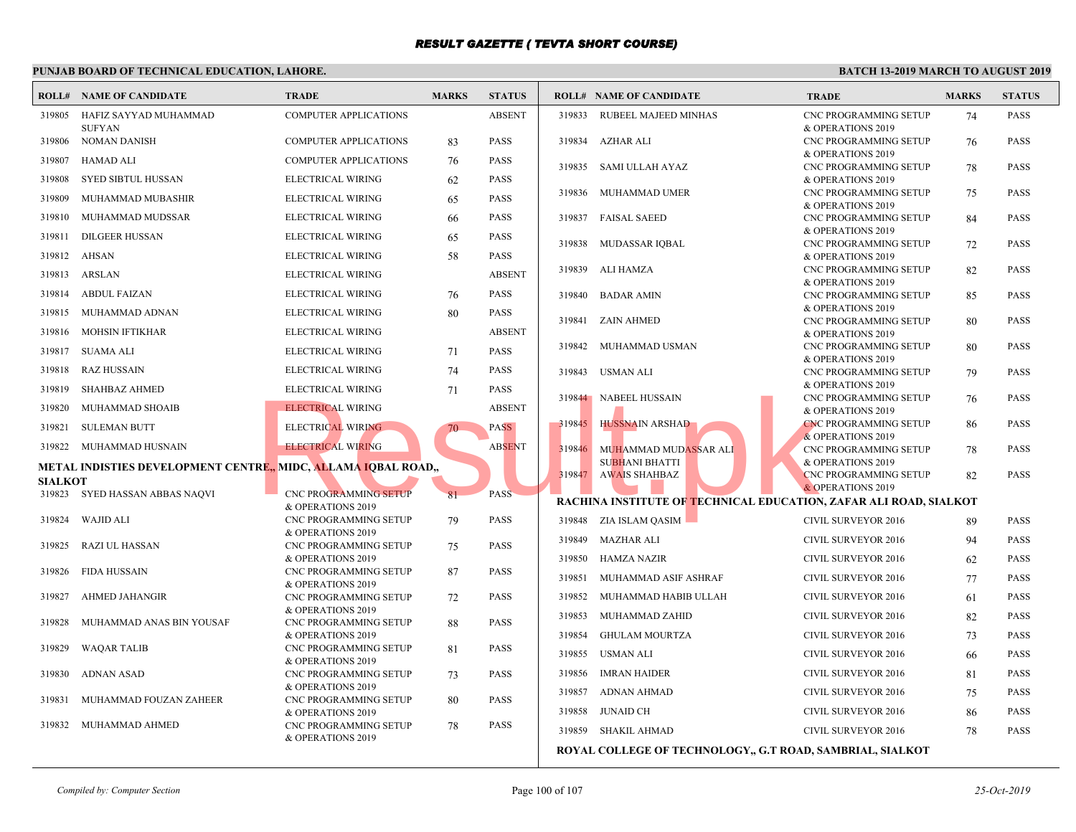#### **PUNJAB BOARD OF TECHNICAL EDUCATION, LAHORE. ROLL# NAME OF CANDIDATE TRADE MARKS STATUS ROLL# NAME OF CANDIDATE TRADE MARKS STATUS** HAFIZ SAYYAD MUHAMMAD COMPUTER APPLICATIONS ABSENT SUFYAN 319805 319806 NOMAN DANISH COMPUTER APPLICATIONS 83 PASS 319807 HAMAD ALI COMPUTER APPLICATIONS 76 PASS 319808 SYED SIBTUL HUSSAN ELECTRICAL WIRING 62 PASS 319809 MUHAMMAD MUBASHIR ELECTRICAL WIRING 65 PASS 319810 MUHAMMAD MUDSSAR ELECTRICAL WIRING 66 PASS 319811 DILGEER HUSSAN ELECTRICAL WIRING 65 PASS 319812 AHSAN ELECTRICAL WIRING 58 PASS 319813 ARSLAN ELECTRICAL WIRING ABSENT 319814 ABDUL FAIZAN ELECTRICAL WIRING 76 PASS 319815 MUHAMMAD ADNAN ELECTRICAL WIRING 80 PASS 319816 MOHSIN IFTIKHAR ELECTRICAL WIRING ABSENT 319817 SUAMA ALI ELECTRICAL WIRING 71 PASS 319818 RAZ HUSSAIN ELECTRICAL WIRING 74 PASS 319819 SHAHBAZ AHMED ELECTRICAL WIRING 71 PASS 319820 MUHAMMAD SHOAIB ELECTRICAL WIRING ABSENT 319821 SULEMAN BUTT ELECTRICAL WIRING 70 PASS 319822 MUHAMMAD HUSNAIN ELECTRICAL WIRING ABSENT **METAL INDISTIES DEVELOPMENT CENTRE,, MIDC, ALLAMA IQBAL ROAD,, SIALKOT**<br>319823 S CNC PROGRAMMING SETUP 81 PASS & OPERATIONS 2019 SYED HASSAN ABBAS NAQVI CNC PROGRAMMING SETUP 79 PASS & OPERATIONS 2019 319824 WAJID ALI CNC PROGRAMMING SETUP 75 PASS & OPERATIONS 2019 319825 RAZI UL HASSAN CNC PROGRAMMING SETUP 87 PASS & OPERATIONS 2019 319826 FIDA HUSSAIN CNC PROGRAMMING SETUP 72 PASS & OPERATIONS 2019 319827 AHMED JAHANGIR CNC PROGRAMMING SETUP 88 PASS & OPERATIONS 2019 319828 MUHAMMAD ANAS BIN YOUSAF CNC PROGRAMMING SETUP 81 PASS & OPERATIONS 2019 319829 WAQAR TALIB CNC PROGRAMMING SETUP 73 PASS & OPERATIONS 2019 319830 ADNAN ASAD CNC PROGRAMMING SETUP 80 PASS & OPERATIONS 2019 319831 MUHAMMAD FOUZAN ZAHEER CNC PROGRAMMING SETUP 78 PASS & OPERATIONS 2019 319832 MUHAMMAD AHMED CNC P  $&$  OPE  [319833 RUBEEL MAJEED MINHAS](http://www.result.pk/) CNC P  $&$  OPE 319834 AZHAR ALI CNC P  $&$  OPE 319835 SAMI ULLAH AYAZ CNC P  $&$  OPE 319836 MUHAMMAD UMER CNC P  $&$  OPF 319837 FAISAL SAEED CNC P & OPE<br>CNC P 319838 MUDASSAR IQBAL CNC P  $&$  OPF 319839 ALI HAMZA CNC P  $&$  OPE 319840 BADAR AMIN CNC P  $&$  OPE 319841 ZAIN AHMED CNC P  $&$  OPE 319842 MUHAMMAD USMAN CNC P  $&$  OPF 319843 USMAN ALI CNC P  $&$  OPE 319844 NABEEL HUSSAIN CNC P  $&$  OPE 319845 HUSSNAIN ARSHAD CNC P  $&$  OPE MUHAMMAD MUDASSAR ALI SUBHANI BHATTI 319846 CNC P.  $&$  OPE 319847 AWAIS SHAHBAZ **RACHINA INSTITUTE OF TECHNICAL EDUCATION, 2** 319848 ZIA ISLAM QASIM CIVIL 319849 MAZHAR ALI CIVIL 319850 HAMZA NAZIR CIVIL 319851 MUHAMMAD ASIF ASHRAF CIVIL 319852 MUHAMMAD HABIB ULLAH CIVIL 319853 MUHAMMAD ZAHID CIVIL 319854 GHULAM MOURTZA CIVIL 319855 USMAN ALI CIVIL 319856 IMRAN HAIDER CIVIL 319857 ADNAN AHMAD CIVIL 319858 JUNAID CH CIVIL 319859 SHAKIL AHMAD CIVIL ELECTRICAL WIRING ABSENT<br>
ELECTRICAL WIRING ABSENT ELECTRICAL WIRING ABSENT ELECTRICAL WIRING ABSENT RESULTION AND MUHAMMAD MUDASSAR ALL CNO CONTROL CONTROL CONTROL CONTROL CONTROL CONTROL CONTROL CONTROL CONTROL CONTROL C

**ROYAL COLLEGE OF TECHNOLOGY,, G.T ROAD, SA**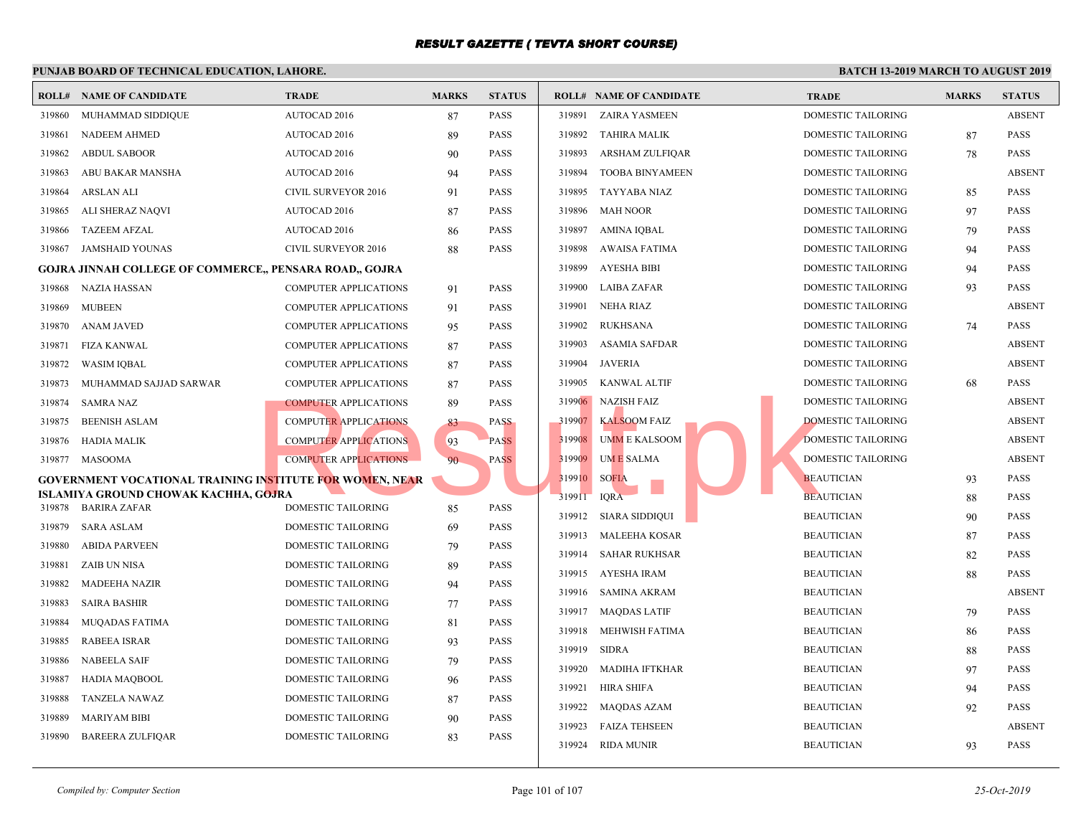#### **PUNJAB BOARD OF TECHNICAL EDUCATION, LAHORE. ROLL# NAME OF CANDIDATE TRADE MARKS STATUS ROLL# NAME OF CANDIDATE TRADE MARKS STATUS** 319860 MUHAMMAD SIDDIQUE AUTOCAD 2016 87 PASS 319861 NADEEM AHMED AUTOCAD 2016 89 PASS 319862 ABDUL SABOOR AUTOCAD 2016 90 PASS 319863 ABU BAKAR MANSHA AUTOCAD 2016 94 PASS 319864 ARSLAN ALI CIVIL SURVEYOR 2016 91 PASS 319865 ALI SHERAZ NAQVI AUTOCAD 2016 87 PASS 319866 TAZEEM AFZAL AUTOCAD 2016 86 PASS 319867 JAMSHAID YOUNAS CIVIL SURVEYOR 2016 88 PASS **GOJRA JINNAH COLLEGE OF COMMERCE,, PENSARA ROAD,, GOJRA** 319868 NAZIA HASSAN COMPUTER APPLICATIONS 91 PASS 319869 MUBEEN COMPUTER APPLICATIONS 91 PASS 319870 ANAM JAVED COMPUTER APPLICATIONS 95 PASS 319871 FIZA KANWAL COMPUTER APPLICATIONS 87 PASS 319872 WASIM IQBAL COMPUTER APPLICATIONS 87 PASS 319873 MUHAMMAD SAJJAD SARWAR COMPUTER APPLICATIONS 87 PASS 319874 SAMRA NAZ COMPUTER APPLICATIONS 89 PASS 319875 BEENISH ASLAM COMPUTER APPLICATIONS 83 PASS 319876 HADIA MALIK COMPUTER APPLICATIONS 93 PASS 319877 MASOOMA COMPUTER APPLICATIONS 90 PASS **GOVERNMENT VOCATIONAL TRAINING INSTITUTE FOR WOMEN, NEAR ISLAMIYA GROUND CHOWAK KACHHA, GOJRA** 319878 BARIRA ZAFAR DOMESTIC TAILORING 85 PASS 319879 SARA ASLAM DOMESTIC TAILORING 69 PASS 319880 ABIDA PARVEEN DOMESTIC TAILORING 79 PASS 319881 ZAIB UN NISA DOMESTIC TAILORING 89 PASS 319882 MADEEHA NAZIR DOMESTIC TAILORING 94 PASS 319883 SAIRA BASHIR DOMESTIC TAILORING 77 PASS 319884 MUQADAS FATIMA DOMESTIC TAILORING 81 PASS 319885 RABEEA ISRAR DOMESTIC TAILORING 93 PASS 319886 NABEELA SAIF DOMESTIC TAILORING 79 PASS 319887 HADIA MAQBOOL DOMESTIC TAILORING 96 PASS 319888 TANZELA NAWAZ DOMESTIC TAILORING 87 PASS 319889 MARIYAM BIBI DOMESTIC TAILORING 90 PASS 319890 BAREERA ZULFIQAR DOMESTIC TAILORING 83 PASS 319891 ZAIRA YASMEEN DOME 319892 TAHIRA MALIK DOME 319893 ARSHAM ZULFIQAR DOME 319894 TOOBA BINYAMEEN DOME 319895 TAYYABA NIAZ DOME 319896 MAH NOOR DOME 319897 AMINA IQBAL DOME 319898 AWAISA FATIMA DOME 319899 AYESHA BIBI DOME 319900 LAIBA ZAFAR DOME 319901 NEHA RIAZ DOME 319902 RUKHSANA DOME 319903 ASAMIA SAFDAR DOME 319904 JAVERIA DOME 319905 KANWAL ALTIF DOME 319906 NAZISH FAIZ DOME 319907 KALSOOM FAIZ DOME 319908 UMM E KALSOOM DOME 319909 UM E SALMA DOME 319910 SOFIA BEAUTICIAN BEAUTICIAN 93 319911 IQRA BEAUTICIAN BEAUTICIAN BEAUTICIAN BEAUTICIAN BEAUTICIAN BEAUTICIAN BEAUTICIAN BEAUTICIAN BEAUTICIAN BEAUTICIAN BEAUTICIAN BEAUTICIAN BEAUTICIAN BEAUTICIAN BEAUTICIAN BEAUTICIAN BEAUTICIAN BEAUTICIAN BEAUTICIAN B 319912 SIARA SIDDIQUI BEAUTICIAN 919912 319913 MALEEHA KOSAR BEAUT 319914 SAHAR RUKHSAR BEAUT 319915 AYESHA IRAM BEAUTICIAN BEAUTICIAN BEAUTICIAN BEAUTICIAN BEAUTICIAN BEAUTICIAN BEAUTICIAN BEAU 319916 SAMINA AKRAM BEAUT 319917 MAQDAS LATIF BEAU 319918 MEHWISH FATIMA BEAUT 319919 SIDRA BEAUT 319920 MADIHA IFTKHAR BEAUT 319921 HIRA SHIFA BEAUTICIAN 95 319922 MAQDAS AZAM BEAUT 319923 FAIZA TEHSEEN BEAUT 319924 RIDA MUNIR BEAUT COMPUTER APPLICATIONS 89 PASS<br>
COMPUTER APPLICATIONS 83 PASS<br>
COMPUTER APPLICATIONS 90 PASS<br>
COMPUTER APPLICATIONS 90 PASS<br>
COMPUTER APPLICATIONS 90 PASS<br>
COMPUTER APPLICATIONS 90 PASS<br>
COMPUTER APPLICATIONS 90 PASS<br>
COMPU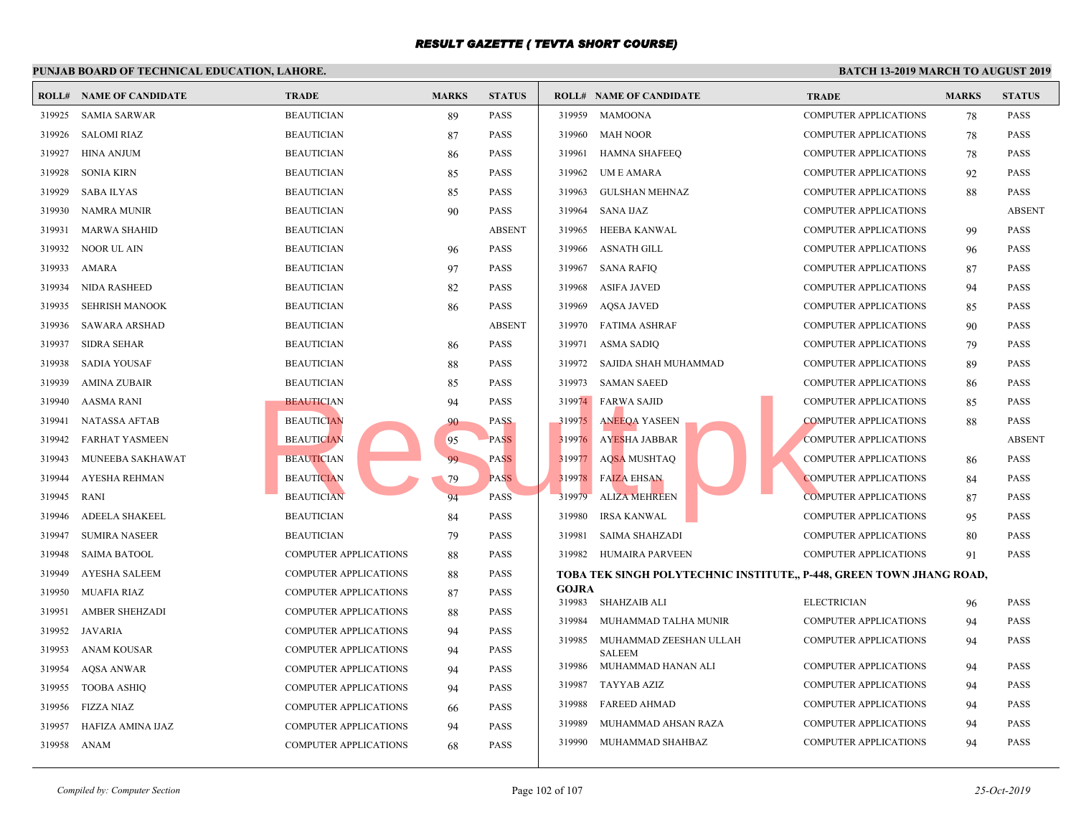#### **PUNJAB BOARD OF TECHNICAL EDUCATION, LAHORE. ROLL# NAME OF CANDIDATE TRADE MARKS STATUS ROLL# NAME OF CANDIDATE TRADE MARKS STATUS** 319925 SAMIA SARWAR BEAUTICIAN 89 PASS 319926 SALOMI RIAZ BEAUTICIAN 87 PASS 319927 HINA ANJUM BEAUTICIAN 86 PASS 319928 SONIA KIRN BEAUTICIAN 85 PASS 319929 SABA ILYAS BEAUTICIAN 85 PASS 319930 NAMRA MUNIR BEAUTICIAN 90 PASS 319931 MARWA SHAHID BEAUTICIAN ABSENT 319932 NOOR UL AIN BEAUTICIAN 96 PASS 319933 AMARA BEAUTICIAN 97 PASS 319934 NIDA RASHEED BEAUTICIAN 82 PASS 319935 SEHRISH MANOOK BEAUTICIAN 86 PASS 319936 SAWARA ARSHAD BEAUTICIAN ABSENT 319937 SIDRA SEHAR BEAUTICIAN 86 PASS 319938 SADIA YOUSAF BEAUTICIAN 88 PASS 319939 AMINA ZUBAIR BEAUTICIAN 85 PASS 319940 AASMA RANI BEAUTICIAN 94 PASS 319941 NATASSA AFTAB BEAUTICIAN 90 PASS 319942 FARHAT YASMEEN BEAUTICIAN 95 PASS 319943 MUNEEBA SAKHAWAT BEAUTICIAN 99 PASS 319944 AYESHA REHMAN BEAUTICIAN REGISTER AND ASSESSED FOR A REGISTER AND RANGE 319945 RANI BEAUTICIAN 94 PASS 319946 ADEELA SHAKEEL BEAUTICIAN 84 PASS 319947 SUMIRA NASEER BEAUTICIAN 79 PASS 319948 SAIMA BATOOL COMPUTER APPLICATIONS 88 PASS 319949 AYESHA SALEEM COMPUTER APPLICATIONS 88 PASS 319950 MUAFIA RIAZ COMPUTER APPLICATIONS 87 PASS 319951 AMBER SHEHZADI COMPUTER APPLICATIONS 88 PASS 319952 JAVARIA COMPUTER APPLICATIONS 94 PASS 319953 ANAM KOUSAR COMPUTER APPLICATIONS 94 PASS 319954 AQSA ANWAR COMPUTER APPLICATIONS 94 PASS 319955 TOOBA ASHIQ COMPUTER APPLICATIONS 94 PASS 319956 FIZZA NIAZ COMPUTER APPLICATIONS 66 PASS 319957 HAFIZA AMINA IJAZ COMPUTER APPLICATIONS 94 PASS 319958 ANAM COMPUTER APPLICATIONS 68 PASS 319959 MAMOONA COMP 319960 MAH NOOR COMP 319961 HAMNA SHAFEEQ COMP 319962 UM E AMARA COMP 319963 GULSHAN MEHNAZ COMP 319964 SANA IJAZ COMP 319965 HEEBA KANWAL COMP 319966 ASNATH GILL COMP 319967 SANA RAFIQ COMP 319968 ASIFA JAVED COMP 319969 AQSA JAVED COMP 319970 FATIMA ASHRAF COMP 319971 ASMA SADIQ COMP 319972 SAJIDA SHAH MUHAMMAD COMP 319973 SAMAN SAEED COMP 319974 FARWA SAJID COMP 319975 ANEEQA YASEEN COMP 319976 AYESHA JABBAR COMP 319977 AQSA MUSHTAQ COMP 319978 FAIZA EHSAN COMP 319979 ALIZA MEHREEN COMP 319980 IRSA KANWAL COMP 319981 SAIMA SHAHZADI COMP 319982 HUMAIRA PARVEEN COMP **TOBA TEK SINGH POLYTECHNIC INSTITUTE,, P-448, GOJRA** 319983 SHAHZAIB ALI ELECT 319984 MUHAMMAD TALHA MUNIR COMP MUHAMMAD ZEESHAN ULLAH COMP SALEEM 319985 319986 MUHAMMAD HANAN ALI COMP 319987 TAYYAB AZIZ COMP 319988 FAREED AHMAD COMP 319989 MUHAMMAD AHSAN RAZA COMP 319990 MUHAMMAD SHAHBAZ COMP Result.pk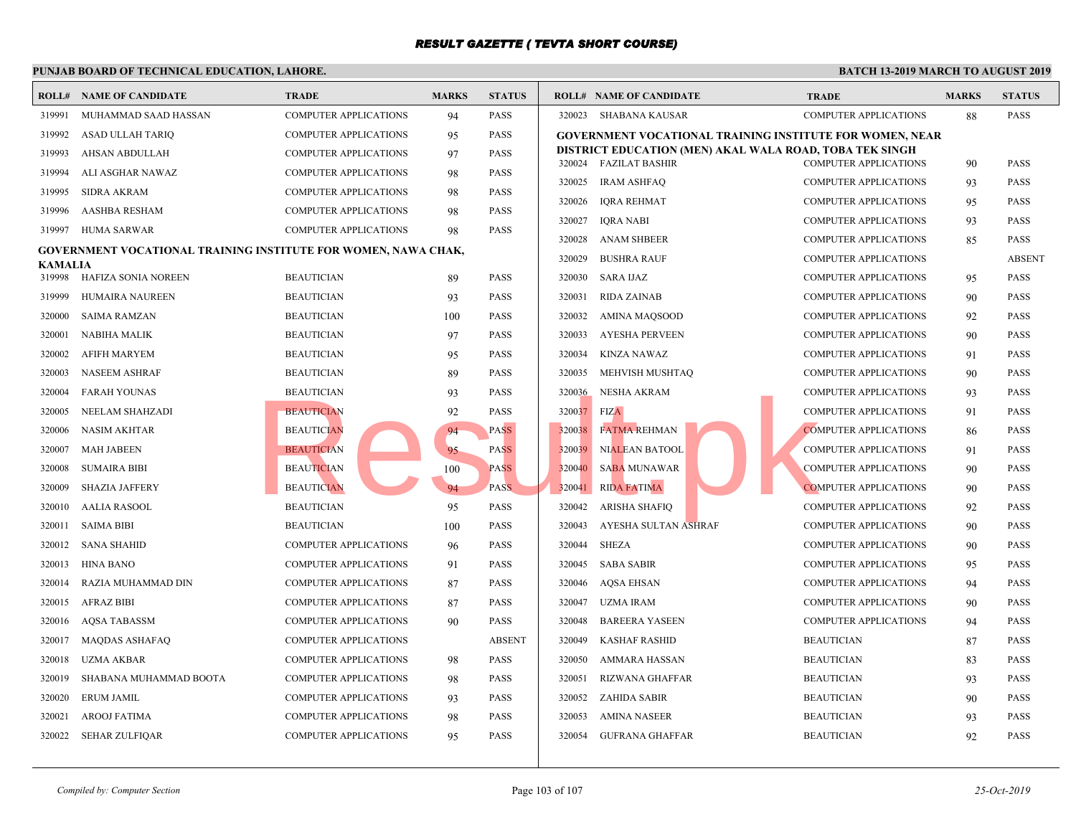|                | <b>ROLL# NAME OF CANDIDATE</b>                                 | <b>TRADE</b>                 | <b>MARKS</b> | <b>STATUS</b> |             | <b>ROLL# NAME OF CANDIDATE</b>             | <b>TRAL</b> |
|----------------|----------------------------------------------------------------|------------------------------|--------------|---------------|-------------|--------------------------------------------|-------------|
| 319991         | MUHAMMAD SAAD HASSAN                                           | <b>COMPUTER APPLICATIONS</b> | 94           | <b>PASS</b>   |             | 320023 SHABANA KAUSAR                      | <b>COMP</b> |
| 319992         | ASAD ULLAH TARIQ                                               | <b>COMPUTER APPLICATIONS</b> | 95           | <b>PASS</b>   |             | GOVERNMENT VOCATIONAL TRAINING INSTITUTE   |             |
| 319993         | AHSAN ABDULLAH                                                 | <b>COMPUTER APPLICATIONS</b> | 97           | <b>PASS</b>   |             | DISTRICT EDUCATION (MEN) AKAL WALA ROAD, T |             |
| 319994         | ALI ASGHAR NAWAZ                                               | <b>COMPUTER APPLICATIONS</b> | 98           | <b>PASS</b>   |             | 320024 FAZILAT BASHIR                      | <b>COMP</b> |
| 319995         | <b>SIDRA AKRAM</b>                                             | <b>COMPUTER APPLICATIONS</b> | 98           | <b>PASS</b>   | 320025      | <b>IRAM ASHFAQ</b>                         | <b>COMP</b> |
| 319996         | AASHBA RESHAM                                                  | <b>COMPUTER APPLICATIONS</b> | 98           | <b>PASS</b>   | 320026      | IQRA REHMAT                                | <b>COMP</b> |
| 319997         | HUMA SARWAR                                                    | <b>COMPUTER APPLICATIONS</b> | 98           | <b>PASS</b>   | 320027      | IQRA NABI                                  | <b>COMP</b> |
|                | GOVERNMENT VOCATIONAL TRAINING INSTITUTE FOR WOMEN, NAWA CHAK, |                              |              |               | 320028      | <b>ANAM SHBEER</b>                         | <b>COMP</b> |
| <b>KAMALIA</b> |                                                                |                              |              |               | 320029      | <b>BUSHRA RAUF</b>                         | <b>COMP</b> |
| 319998         | HAFIZA SONIA NOREEN                                            | <b>BEAUTICIAN</b>            | -89          | <b>PASS</b>   | 320030      | SARA IJAZ                                  | <b>COMP</b> |
| 319999         | HUMAIRA NAUREEN                                                | <b>BEAUTICIAN</b>            | 93           | <b>PASS</b>   | 320031      | <b>RIDA ZAINAB</b>                         | <b>COMP</b> |
| 320000         | <b>SAIMA RAMZAN</b>                                            | <b>BEAUTICIAN</b>            | 100          | <b>PASS</b>   | 320032      | AMINA MAQSOOD                              | COMP        |
| 320001         | <b>NABIHA MALIK</b>                                            | <b>BEAUTICIAN</b>            | 97           | <b>PASS</b>   | 320033      | AYESHA PERVEEN                             | <b>COMP</b> |
| 320002         | AFIFH MARYEM                                                   | <b>BEAUTICIAN</b>            | 95           | <b>PASS</b>   | 320034      | KINZA NAWAZ                                | <b>COMP</b> |
| 320003         | <b>NASEEM ASHRAF</b>                                           | <b>BEAUTICIAN</b>            | 89           | <b>PASS</b>   | 320035      | MEHVISH MUSHTAQ                            | <b>COMP</b> |
| 320004         | <b>FARAH YOUNAS</b>                                            | <b>BEAUTICIAN</b>            | 93           | <b>PASS</b>   | 320036      | NESHA AKRAM                                | <b>COMP</b> |
| 320005         | NEELAM SHAHZADI                                                | <b>BEAUTICIAN</b>            | 92           | PASS          | 320037 FIZA |                                            | <b>COMP</b> |
| 320006         | <b>NASIM AKHTAR</b>                                            | <b>BEAUTICIAN</b>            | 94           | <b>PASS</b>   | 320038      | <b>FATMA REHMAN</b>                        | <b>COMP</b> |
| 320007         | <b>MAH JABEEN</b>                                              | <b>BEAUTICIAN</b>            | 95           | <b>PASS</b>   | 320039      | <b>NIALEAN BATOOL</b>                      | <b>COMP</b> |
| 320008         | <b>SUMAIRA BIBI</b>                                            | <b>BEAUTICIAN</b>            | 100          | <b>PASS</b>   | 320040      | <b>SABA MUNAWAR</b>                        | <b>COMP</b> |
| 320009         | <b>SHAZIA JAFFERY</b>                                          | <b>BEAUTICIAN</b>            | 94           | PASS.         | 320041      | <b>RIDA FATIMA</b>                         | <b>COMP</b> |
| 320010         | <b>AALIA RASOOL</b>                                            | <b>BEAUTICIAN</b>            | 95           | <b>PASS</b>   | 320042      | ARISHA SHAFIQ                              | <b>COMP</b> |
| 320011         | <b>SAIMA BIBI</b>                                              | <b>BEAUTICIAN</b>            | 100          | <b>PASS</b>   | 320043      | AYESHA SULTAN ASHRAF                       | <b>COMP</b> |
| 320012         | <b>SANA SHAHID</b>                                             | <b>COMPUTER APPLICATIONS</b> | 96           | <b>PASS</b>   | 320044      | SHEZA                                      | <b>COMP</b> |
| 320013         | <b>HINA BANO</b>                                               | <b>COMPUTER APPLICATIONS</b> | 91           | <b>PASS</b>   | 320045      | <b>SABA SABIR</b>                          | <b>COMP</b> |
| 320014         | RAZIA MUHAMMAD DIN                                             | <b>COMPUTER APPLICATIONS</b> | 87           | <b>PASS</b>   | 320046      | AQSA EHSAN                                 | <b>COMP</b> |
| 320015         | <b>AFRAZ BIBI</b>                                              | COMPUTER APPLICATIONS        | 87           | <b>PASS</b>   | 320047      | UZMA IRAM                                  | <b>COMP</b> |
| 320016         | <b>AQSA TABASSM</b>                                            | <b>COMPUTER APPLICATIONS</b> | 90           | <b>PASS</b>   | 320048      | <b>BAREERA YASEEN</b>                      | <b>COMP</b> |
| 320017         | <b>MAQDAS ASHAFAQ</b>                                          | <b>COMPUTER APPLICATIONS</b> |              | <b>ABSENT</b> | 320049      | <b>KASHAF RASHID</b>                       | <b>BEAU</b> |
| 320018         | <b>UZMA AKBAR</b>                                              | <b>COMPUTER APPLICATIONS</b> | 98           | <b>PASS</b>   | 320050      | AMMARA HASSAN                              | <b>BEAU</b> |
| 320019         | SHABANA MUHAMMAD BOOTA                                         | <b>COMPUTER APPLICATIONS</b> | 98           | <b>PASS</b>   | 320051      | <b>RIZWANA GHAFFAR</b>                     | <b>BEAU</b> |
| 320020         | <b>ERUM JAMIL</b>                                              | <b>COMPUTER APPLICATIONS</b> | 93           | <b>PASS</b>   | 320052      | <b>ZAHIDA SABIR</b>                        | <b>BEAU</b> |
| 320021         | <b>AROOJ FATIMA</b>                                            | <b>COMPUTER APPLICATIONS</b> | 98           | <b>PASS</b>   | 320053      | <b>AMINA NASEER</b>                        | <b>BEAU</b> |
| 320022         | SEHAR ZULFIQAR                                                 | <b>COMPUTER APPLICATIONS</b> | 95           | <b>PASS</b>   | 320054      | <b>GUFRANA GHAFFAR</b>                     | <b>BEAU</b> |
|                |                                                                |                              |              |               |             |                                            |             |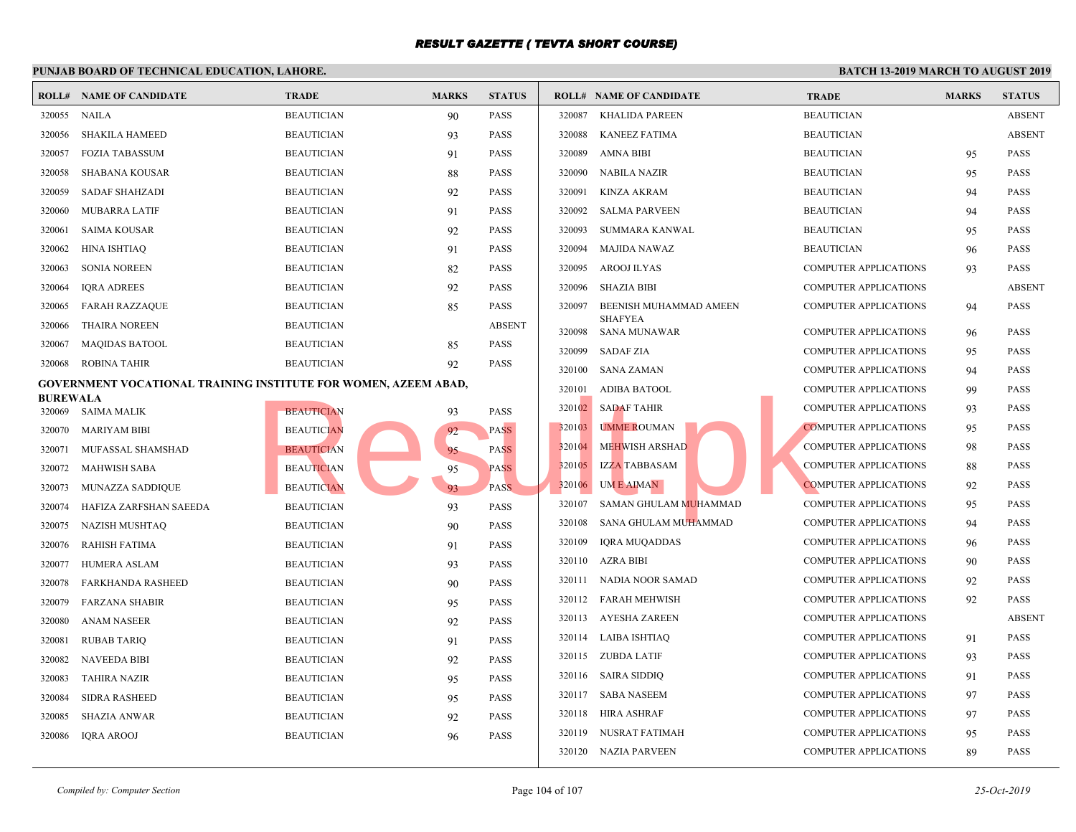|                                                                 | PUNJAB BOARD OF TECHNICAL EDUCATION, LAHORE. |                   |              |               |        |                                |             |  |  |  |
|-----------------------------------------------------------------|----------------------------------------------|-------------------|--------------|---------------|--------|--------------------------------|-------------|--|--|--|
|                                                                 | <b>ROLL# NAME OF CANDIDATE</b>               | <b>TRADE</b>      | <b>MARKS</b> | <b>STATUS</b> |        | <b>ROLL# NAME OF CANDIDATE</b> | <b>TRAL</b> |  |  |  |
| 320055                                                          | NAILA                                        | <b>BEAUTICIAN</b> | 90           | <b>PASS</b>   | 320087 | KHALIDA PAREEN                 | <b>BEAU</b> |  |  |  |
| 320056                                                          | <b>SHAKILA HAMEED</b>                        | <b>BEAUTICIAN</b> | 93           | <b>PASS</b>   | 320088 | <b>KANEEZ FATIMA</b>           | <b>BEAU</b> |  |  |  |
| 320057                                                          | <b>FOZIA TABASSUM</b>                        | <b>BEAUTICIAN</b> | 91           | <b>PASS</b>   | 320089 | <b>AMNA BIBI</b>               | <b>BEAU</b> |  |  |  |
| 320058                                                          | SHABANA KOUSAR                               | <b>BEAUTICIAN</b> | 88           | <b>PASS</b>   | 320090 | <b>NABILA NAZIR</b>            | <b>BEAU</b> |  |  |  |
| 320059                                                          | <b>SADAF SHAHZADI</b>                        | <b>BEAUTICIAN</b> | 92           | <b>PASS</b>   | 320091 | <b>KINZA AKRAM</b>             | <b>BEAU</b> |  |  |  |
| 320060                                                          | <b>MUBARRA LATIF</b>                         | <b>BEAUTICIAN</b> | 91           | <b>PASS</b>   | 320092 | <b>SALMA PARVEEN</b>           | <b>BEAU</b> |  |  |  |
| 320061                                                          | <b>SAIMA KOUSAR</b>                          | <b>BEAUTICIAN</b> | 92           | <b>PASS</b>   | 320093 | SUMMARA KANWAL                 | <b>BEAU</b> |  |  |  |
| 320062                                                          | <b>HINA ISHTIAQ</b>                          | <b>BEAUTICIAN</b> | 91           | <b>PASS</b>   | 320094 | <b>MAJIDA NAWAZ</b>            | <b>BEAU</b> |  |  |  |
| 320063                                                          | <b>SONIA NOREEN</b>                          | <b>BEAUTICIAN</b> | 82           | <b>PASS</b>   | 320095 | AROOJ ILYAS                    | <b>COMP</b> |  |  |  |
| 320064                                                          | <b>IQRA ADREES</b>                           | <b>BEAUTICIAN</b> | 92           | <b>PASS</b>   | 320096 | <b>SHAZIA BIBI</b>             | <b>COMP</b> |  |  |  |
| 320065                                                          | <b>FARAH RAZZAQUE</b>                        | <b>BEAUTICIAN</b> | 85           | <b>PASS</b>   | 320097 | BEENISH MUHAMMAD AMEEN         | <b>COMP</b> |  |  |  |
| 320066                                                          | <b>THAIRA NOREEN</b>                         | <b>BEAUTICIAN</b> |              | <b>ABSENT</b> | 320098 | SHAFYEA<br><b>SANA MUNAWAR</b> | <b>COMP</b> |  |  |  |
| 320067                                                          | <b>MAQIDAS BATOOL</b>                        | <b>BEAUTICIAN</b> | 85           | <b>PASS</b>   | 320099 | <b>SADAF ZIA</b>               | <b>COMP</b> |  |  |  |
| 320068                                                          | <b>ROBINA TAHIR</b>                          | <b>BEAUTICIAN</b> | 92           | <b>PASS</b>   | 320100 | SANA ZAMAN                     | <b>COMP</b> |  |  |  |
| GOVERNMENT VOCATIONAL TRAINING INSTITUTE FOR WOMEN, AZEEM ABAD, |                                              |                   |              |               | 320101 | <b>ADIBA BATOOL</b>            | <b>COMP</b> |  |  |  |
| <b>BUREWALA</b>                                                 | 320069 SAIMA MALIK                           | <b>BEAUTICIAN</b> | 93           | <b>PASS</b>   | 320102 | <b>SADAF TAHIR</b>             | <b>COMP</b> |  |  |  |
| 320070                                                          | MARIYAM BIBI                                 | <b>BEAUTICIAN</b> | 92           | <b>PASS</b>   | 320103 | UMME ROUMAN                    | <b>COMP</b> |  |  |  |
| 320071                                                          | MUFASSAL SHAMSHAD                            | <b>BEAUTICIAN</b> | 95           | <b>PASS</b>   | 320104 | MEHWISH ARSHAD                 | <b>COMP</b> |  |  |  |
| 320072                                                          | <b>MAHWISH SABA</b>                          | <b>BEAUTICIAN</b> | 95           | <b>PASS</b>   | 320105 | <b>IZZA TABBASAM</b>           | <b>COMP</b> |  |  |  |
| 320073                                                          | MUNAZZA SADDIQUE                             | <b>BEAUTICIAN</b> | 93           | PASS.         | 320106 | UM E AIMAN                     | <b>COMP</b> |  |  |  |
| 320074                                                          | HAFIZA ZARFSHAN SAEEDA                       | <b>BEAUTICIAN</b> | 93           | <b>PASS</b>   | 320107 | SAMAN GHULAM MUHAMMAD          | <b>COMP</b> |  |  |  |
| 320075                                                          | NAZISH MUSHTAQ                               | <b>BEAUTICIAN</b> | 90           | <b>PASS</b>   | 320108 | SANA GHULAM MUHAMMAD           | <b>COMP</b> |  |  |  |
| 320076                                                          | <b>RAHISH FATIMA</b>                         | <b>BEAUTICIAN</b> | 91           | <b>PASS</b>   | 320109 | IQRA MUQADDAS                  | <b>COMP</b> |  |  |  |
| 320077                                                          | <b>HUMERA ASLAM</b>                          | <b>BEAUTICIAN</b> | 93           | <b>PASS</b>   | 320110 | AZRA BIBI                      | <b>COMP</b> |  |  |  |
| 320078                                                          | FARKHANDA RASHEED                            | <b>BEAUTICIAN</b> | 90           | <b>PASS</b>   | 320111 | NADIA NOOR SAMAD               | <b>COMP</b> |  |  |  |
| 320079                                                          | <b>FARZANA SHABIR</b>                        | <b>BEAUTICIAN</b> | 95           | <b>PASS</b>   |        | 320112 FARAH MEHWISH           | <b>COMP</b> |  |  |  |
| 320080                                                          | <b>ANAM NASEER</b>                           | <b>BEAUTICIAN</b> | 92           | <b>PASS</b>   |        | 320113 AYESHA ZAREEN           | <b>COMP</b> |  |  |  |
| 320081                                                          | <b>RUBAB TARIQ</b>                           | <b>BEAUTICIAN</b> | 91           | <b>PASS</b>   |        | 320114 LAIBA ISHTIAQ           | <b>COMP</b> |  |  |  |
| 320082                                                          | <b>NAVEEDA BIBI</b>                          | <b>BEAUTICIAN</b> | 92           | <b>PASS</b>   |        | 320115 ZUBDA LATIF             | <b>COMP</b> |  |  |  |
| 320083                                                          | <b>TAHIRA NAZIR</b>                          | <b>BEAUTICIAN</b> | 95           | <b>PASS</b>   |        | 320116 SAIRA SIDDIQ            | <b>COMP</b> |  |  |  |
| 320084                                                          | <b>SIDRA RASHEED</b>                         | <b>BEAUTICIAN</b> | 95           | <b>PASS</b>   |        | 320117 SABA NASEEM             | <b>COMP</b> |  |  |  |
| 320085                                                          | <b>SHAZIA ANWAR</b>                          | <b>BEAUTICIAN</b> | 92           | <b>PASS</b>   | 320118 | HIRA ASHRAF                    | <b>COMP</b> |  |  |  |
| 320086                                                          | <b>IQRA AROOJ</b>                            | <b>BEAUTICIAN</b> | 96           | <b>PASS</b>   | 320119 | NUSRAT FATIMAH                 | <b>COMP</b> |  |  |  |
|                                                                 |                                              |                   |              |               |        | 320120 NAZIA PARVEEN           | <b>COMP</b> |  |  |  |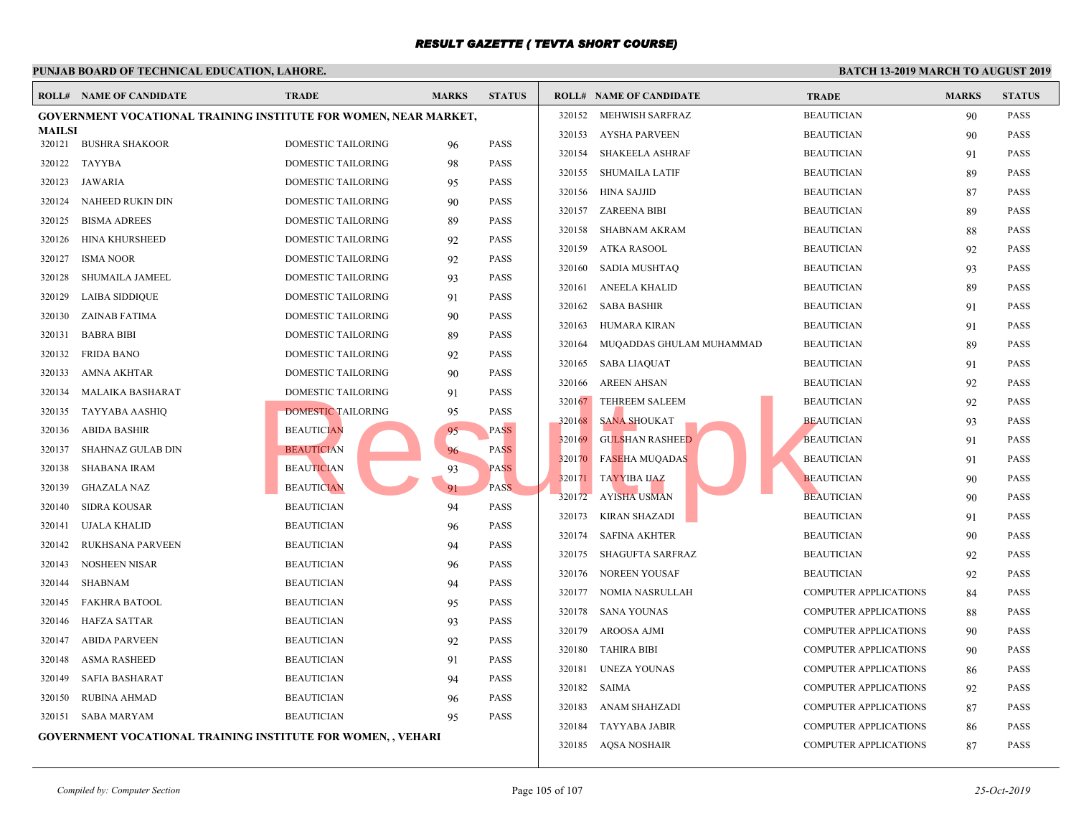|                         | <b>ROLL# NAME OF CANDIDATE</b>                                      | <b>TRADE</b>              | <b>MARKS</b>        | <b>STATUS</b> |        | <b>ROLL# NAME OF CANDIDATE</b> | <b>TRAL</b> |
|-------------------------|---------------------------------------------------------------------|---------------------------|---------------------|---------------|--------|--------------------------------|-------------|
|                         | GOVERNMENT VOCATIONAL TRAINING INSTITUTE FOR WOMEN, NEAR MARKET,    |                           |                     |               |        | 320152 MEHWISH SARFRAZ         | <b>BEAU</b> |
| <b>MAILSI</b><br>320121 | <b>BUSHRA SHAKOOR</b>                                               | DOMESTIC TAILORING        | 96                  | <b>PASS</b>   | 320153 | AYSHA PARVEEN                  | <b>BEAU</b> |
| 320122                  | TAYYBA                                                              | DOMESTIC TAILORING        | 98                  | <b>PASS</b>   | 320154 | SHAKEELA ASHRAF                | <b>BEAU</b> |
| 320123                  | JAWARIA                                                             | DOMESTIC TAILORING        |                     | PASS          | 320155 | SHUMAILA LATIF                 | <b>BEAU</b> |
| 320124                  | NAHEED RUKIN DIN                                                    | DOMESTIC TAILORING        | 95                  | <b>PASS</b>   |        | 320156 HINA SAJJID             | <b>BEAU</b> |
|                         |                                                                     |                           | 90                  |               |        | 320157 ZAREENA BIBI            | <b>BEAU</b> |
| 320125                  | <b>BISMA ADREES</b>                                                 | DOMESTIC TAILORING        | 89                  | <b>PASS</b>   | 320158 | SHABNAM AKRAM                  | <b>BEAU</b> |
| 320126                  | <b>HINA KHURSHEED</b>                                               | DOMESTIC TAILORING        | 92                  | <b>PASS</b>   | 320159 | ATKA RASOOL                    | <b>BEAU</b> |
| 320127                  | <b>ISMA NOOR</b>                                                    | DOMESTIC TAILORING        | 92                  | <b>PASS</b>   | 320160 | SADIA MUSHTAQ                  | <b>BEAU</b> |
| 320128                  | <b>SHUMAILA JAMEEL</b>                                              | DOMESTIC TAILORING        | 93                  | <b>PASS</b>   | 320161 | ANEELA KHALID                  | <b>BEAU</b> |
| 320129                  | <b>LAIBA SIDDIQUE</b>                                               | DOMESTIC TAILORING        | 91                  | <b>PASS</b>   | 320162 | <b>SABA BASHIR</b>             | <b>BEAU</b> |
| 320130                  | <b>ZAINAB FATIMA</b>                                                | DOMESTIC TAILORING        | 90                  | <b>PASS</b>   | 320163 | HUMARA KIRAN                   | <b>BEAU</b> |
| 320131                  | <b>BABRA BIBI</b>                                                   | DOMESTIC TAILORING        | 89                  | <b>PASS</b>   | 320164 | MUQADDAS GHULAM MUHAMMAD       | <b>BEAU</b> |
| 320132                  | <b>FRIDA BANO</b>                                                   | DOMESTIC TAILORING        | 92                  | <b>PASS</b>   | 320165 | SABA LIAQUAT                   | <b>BEAU</b> |
| 320133                  | <b>AMNA AKHTAR</b>                                                  | DOMESTIC TAILORING        | 90                  | <b>PASS</b>   | 320166 | AREEN AHSAN                    | <b>BEAU</b> |
| 320134                  | <b>MALAIKA BASHARAT</b>                                             | DOMESTIC TAILORING        | 91                  | <b>PASS</b>   | 320167 | <b>TEHREEM SALEEM</b>          | <b>BEAU</b> |
| 320135                  | <b>TAYYABA AASHIQ</b>                                               | <b>DOMESTIC TAILORING</b> | 95                  | <b>PASS</b>   | 320168 | SANA SHOUKAT                   | <b>BEAU</b> |
| 320136                  | ABIDA BASHIR                                                        | <b>BEAUTICIAN</b>         | 95                  | <b>PASS</b>   | 320169 | <b>GULSHAN RASHEED</b>         | <b>BEAU</b> |
| 320137                  | SHAHNAZ GULAB DIN                                                   | <b>BEAUTICIAN</b>         | 96                  | <b>PASS</b>   | 320170 | <b>FASEHA MUQADAS</b>          | <b>BEAU</b> |
| 320138                  | <b>SHABANA IRAM</b>                                                 | <b>BEAUTICIAN</b>         | 93                  | <b>PASS</b>   | 320171 | TAYYIBA IJAZ                   | <b>BEAU</b> |
| 320139                  | <b>GHAZALA NAZ</b>                                                  | <b>BEAUTICIAN</b>         | 91                  | PASS.         | 320172 | <b>AYISHA USMAN</b>            | <b>BEAU</b> |
| 320140                  | <b>SIDRA KOUSAR</b>                                                 | <b>BEAUTICIAN</b>         | 94                  | <b>PASS</b>   | 320173 | <b>KIRAN SHAZADI</b>           | <b>BEAU</b> |
| 320141                  | <b>UJALA KHALID</b>                                                 | <b>BEAUTICIAN</b>         | 96                  | <b>PASS</b>   | 320174 | <b>SAFINA AKHTER</b>           | <b>BEAU</b> |
| 320142                  | RUKHSANA PARVEEN                                                    | <b>BEAUTICIAN</b>         | 94                  | <b>PASS</b>   | 320175 | SHAGUFTA SARFRAZ               | <b>BEAU</b> |
| 320143                  | NOSHEEN NISAR                                                       | <b>BEAUTICIAN</b>         | 96                  | <b>PASS</b>   |        | 320176 NOREEN YOUSAF           | <b>BEAU</b> |
| 320144                  | <b>SHABNAM</b>                                                      | <b>BEAUTICIAN</b>         | 94                  | <b>PASS</b>   | 320177 | NOMIA NASRULLAH                | <b>COMP</b> |
| 320145                  | <b>FAKHRA BATOOL</b>                                                | <b>BEAUTICIAN</b>         | 95                  | <b>PASS</b>   | 320178 | SANA YOUNAS                    | <b>COMP</b> |
| 320146                  | <b>HAFZA SATTAR</b>                                                 | <b>BEAUTICIAN</b>         | 93                  | <b>PASS</b>   | 320179 | AROOSA AJMI                    | <b>COMP</b> |
| 320147                  | <b>ABIDA PARVEEN</b>                                                | <b>BEAUTICIAN</b>         | 92                  | <b>PASS</b>   |        |                                | <b>COMP</b> |
| 320148                  | <b>ASMA RASHEED</b>                                                 | <b>BEAUTICIAN</b>         | 91                  | <b>PASS</b>   | 320180 | TAHIRA BIBI                    |             |
| 320149                  | <b>SAFIA BASHARAT</b>                                               | <b>BEAUTICIAN</b>         | 94                  | <b>PASS</b>   | 320181 | UNEZA YOUNAS                   | <b>COMP</b> |
| 320150                  | <b>RUBINA AHMAD</b>                                                 | <b>BEAUTICIAN</b>         | 96                  | <b>PASS</b>   | 320182 | <b>SAIMA</b>                   | <b>COMP</b> |
| 320151                  | <b>SABA MARYAM</b>                                                  | <b>BEAUTICIAN</b>         | 95                  | <b>PASS</b>   | 320183 | ANAM SHAHZADI                  | <b>COMP</b> |
|                         | <b>GOVERNMENT VOCATIONAL TRAINING INSTITUTE FOR WOMEN, , VEHARI</b> |                           |                     |               | 320184 | TAYYABA JABIR                  | <b>COMP</b> |
|                         |                                                                     |                           | 320185 AQSA NOSHAIR | <b>COMP</b>   |        |                                |             |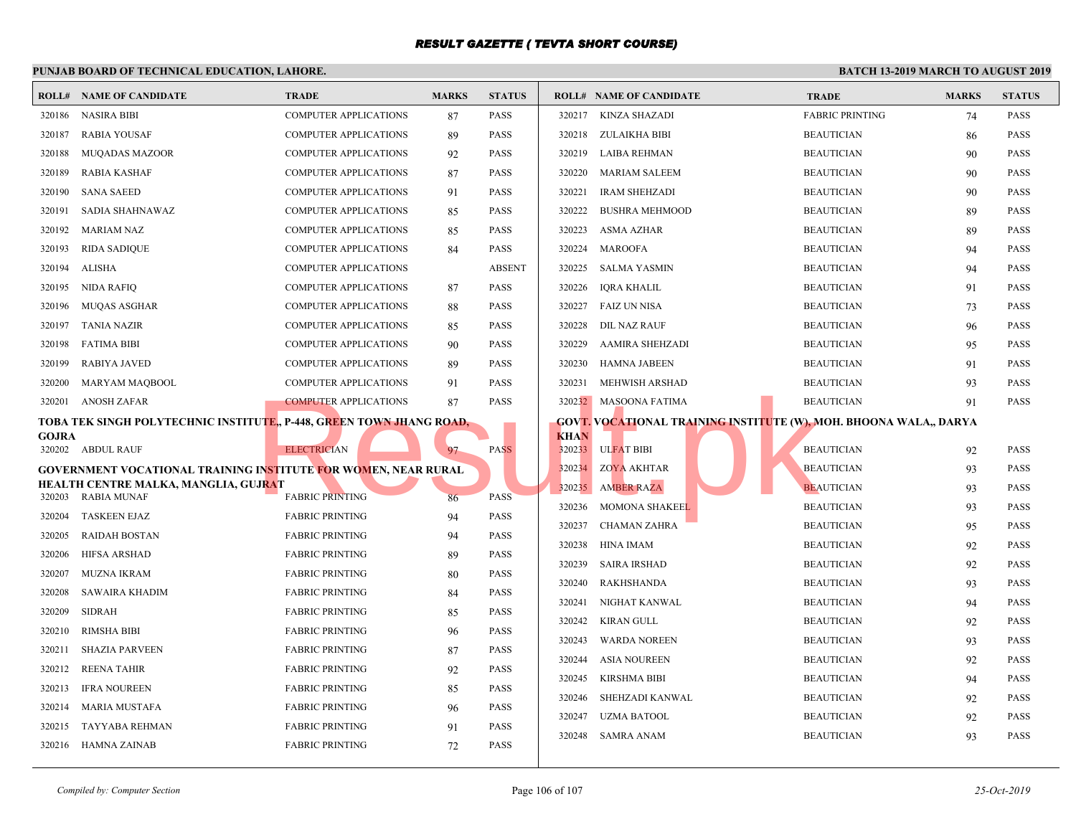|              | <b>ROLL# NAME OF CANDIDATE</b>                                                                                  | <b>TRADE</b>                 | <b>MARKS</b> | <b>STATUS</b> |                  | <b>ROLL# NAME OF CANDIDATE</b>                     | <b>TRAL</b>                |
|--------------|-----------------------------------------------------------------------------------------------------------------|------------------------------|--------------|---------------|------------------|----------------------------------------------------|----------------------------|
| 320186       | <b>NASIRA BIBI</b>                                                                                              | <b>COMPUTER APPLICATIONS</b> | 87           | PASS          | 320217           | <b>KINZA SHAZADI</b>                               | FABRI                      |
| 320187       | <b>RABIA YOUSAF</b>                                                                                             | <b>COMPUTER APPLICATIONS</b> | 89           | <b>PASS</b>   |                  | 320218 ZULAIKHA BIBI                               | <b>BEAU</b>                |
| 320188       | <b>MUQADAS MAZOOR</b>                                                                                           | <b>COMPUTER APPLICATIONS</b> | 92           | <b>PASS</b>   |                  | 320219 LAIBA REHMAN                                | <b>BEAU</b>                |
| 320189       | RABIA KASHAF                                                                                                    | <b>COMPUTER APPLICATIONS</b> | 87           | <b>PASS</b>   | 320220           | <b>MARIAM SALEEM</b>                               | <b>BEAU</b>                |
| 320190       | <b>SANA SAEED</b>                                                                                               | <b>COMPUTER APPLICATIONS</b> | 91           | <b>PASS</b>   | 320221           | <b>IRAM SHEHZADI</b>                               | <b>BEAU</b>                |
| 320191       | SADIA SHAHNAWAZ                                                                                                 | <b>COMPUTER APPLICATIONS</b> | 85           | <b>PASS</b>   | 320222           | <b>BUSHRA MEHMOOD</b>                              | <b>BEAU</b>                |
| 320192       | <b>MARIAM NAZ</b>                                                                                               | <b>COMPUTER APPLICATIONS</b> | 85           | <b>PASS</b>   | 320223           | ASMA AZHAR                                         | <b>BEAU</b>                |
| 320193       | <b>RIDA SADIQUE</b>                                                                                             | <b>COMPUTER APPLICATIONS</b> | 84           | PASS          | 320224           | <b>MAROOFA</b>                                     | <b>BEAU</b>                |
| 320194       | ALISHA                                                                                                          | <b>COMPUTER APPLICATIONS</b> |              | <b>ABSENT</b> | 320225           | <b>SALMA YASMIN</b>                                | <b>BEAU</b>                |
| 320195       | NIDA RAFIQ                                                                                                      | <b>COMPUTER APPLICATIONS</b> | 87           | <b>PASS</b>   | 320226           | <b>IQRA KHALIL</b>                                 | <b>BEAU</b>                |
| 320196       | MUQAS ASGHAR                                                                                                    | <b>COMPUTER APPLICATIONS</b> | 88           | <b>PASS</b>   | 320227           | <b>FAIZ UN NISA</b>                                | <b>BEAU</b>                |
| 320197       | TANIA NAZIR                                                                                                     | <b>COMPUTER APPLICATIONS</b> | 85           | <b>PASS</b>   | 320228           | DIL NAZ RAUF                                       | <b>BEAU</b>                |
| 320198       | <b>FATIMA BIBI</b>                                                                                              | <b>COMPUTER APPLICATIONS</b> | 90           | <b>PASS</b>   | 320229           | AAMIRA SHEHZADI                                    | <b>BEAU</b>                |
| 320199       | RABIYA JAVED                                                                                                    | <b>COMPUTER APPLICATIONS</b> | 89           | <b>PASS</b>   | 320230           | HAMNA JABEEN                                       | <b>BEAU</b>                |
| 320200       | MARYAM MAQBOOL                                                                                                  | <b>COMPUTER APPLICATIONS</b> | 91           | <b>PASS</b>   | 320231           | MEHWISH ARSHAD                                     | <b>BEAU</b>                |
| 320201       | <b>ANOSH ZAFAR</b>                                                                                              | <b>COMPUTER APPLICATIONS</b> | 87           | <b>PASS</b>   |                  | 320232 MASOONA FATIMA                              | <b>BEAU</b>                |
|              | TOBA TEK SINGH POLYTECHNIC INSTITUTE,, P-448, GREEN TOWN JHANG ROAD,                                            |                              |              |               |                  | <b>GOVT. VOCATIONAL TRAINING INSTITUTE (W), MO</b> |                            |
| <b>GOJRA</b> | 320202 ABDUL RAUF                                                                                               | <b>ELECTRICIAN</b>           | 97           | <b>PASS</b>   | <b>KHAN</b>      | 320233 ULFAT BIBI                                  | <b>BEAU</b>                |
|              |                                                                                                                 |                              |              |               | 320234           | <b>ZOYA AKHTAR</b>                                 | <b>BEAU</b>                |
|              | GOVERNMENT VOCATIONAL TRAINING INSTITUTE FOR WOMEN, NEAR RURAL<br>HEALTH CENTRE MALKA, MANGLIA, GUJR <b>A</b> T |                              |              |               | 320235           | <b>AMBER RAZA</b>                                  | <b>BEAU</b>                |
| 320203       | <b>RABIA MUNAF</b>                                                                                              | <b>FABRIC PRINTING</b>       | 86           | <b>PASS</b>   | 320236           | <b>MOMONA SHAKEEL</b>                              | <b>BEAU</b>                |
| 320204       | <b>TASKEEN EJAZ</b>                                                                                             | <b>FABRIC PRINTING</b>       | 94           | <b>PASS</b>   | 320237           |                                                    |                            |
| 320205       | <b>RAIDAH BOSTAN</b>                                                                                            | <b>FABRIC PRINTING</b>       | 94           | <b>PASS</b>   | 320238           | <b>CHAMAN ZAHRA</b><br>HINA IMAM                   | <b>BEAU</b><br><b>BEAU</b> |
| 320206       | <b>HIFSA ARSHAD</b>                                                                                             | <b>FABRIC PRINTING</b>       | 89           | <b>PASS</b>   | 320239           | <b>SAIRA IRSHAD</b>                                | <b>BEAU</b>                |
| 320207       | <b>MUZNA IKRAM</b>                                                                                              | <b>FABRIC PRINTING</b>       | 80           | <b>PASS</b>   | 320240           | <b>RAKHSHANDA</b>                                  | <b>BEAU</b>                |
| 320208       | SAWAIRA KHADIM                                                                                                  | <b>FABRIC PRINTING</b>       | 84           | <b>PASS</b>   |                  |                                                    |                            |
| 320209       | <b>SIDRAH</b>                                                                                                   | <b>FABRIC PRINTING</b>       | 85           | <b>PASS</b>   | 320241           | NIGHAT KANWAL                                      | <b>BEAU</b>                |
| 320210       | <b>RIMSHA BIBI</b>                                                                                              | <b>FABRIC PRINTING</b>       | 96           | PASS          | 320242           | KIRAN GULL                                         | <b>BEAU</b>                |
| 320211       | <b>SHAZIA PARVEEN</b>                                                                                           | <b>FABRIC PRINTING</b>       | 87           | <b>PASS</b>   | 320243<br>320244 | <b>WARDA NOREEN</b>                                | <b>BEAU</b>                |
| 320212       | <b>REENA TAHIR</b>                                                                                              | <b>FABRIC PRINTING</b>       | 92           | <b>PASS</b>   |                  | ASIA NOUREEN                                       | <b>BEAU</b>                |
| 320213       | <b>IFRA NOUREEN</b>                                                                                             | <b>FABRIC PRINTING</b>       | 85           | <b>PASS</b>   | 320245           | <b>KIRSHMA BIBI</b>                                | <b>BEAU</b>                |
| 320214       | MARIA MUSTAFA                                                                                                   | <b>FABRIC PRINTING</b>       | 96           | PASS          | 320246           | SHEHZADI KANWAL                                    | <b>BEAU</b>                |
| 320215       | TAYYABA REHMAN                                                                                                  | <b>FABRIC PRINTING</b>       | 91           | PASS          | 320247           | <b>UZMA BATOOL</b>                                 | <b>BEAU</b>                |
| 320216       | HAMNA ZAINAB                                                                                                    | <b>FABRIC PRINTING</b>       | 72           | <b>PASS</b>   |                  | 320248 SAMRA ANAM                                  | <b>BEAU</b>                |
|              |                                                                                                                 |                              |              |               |                  |                                                    |                            |